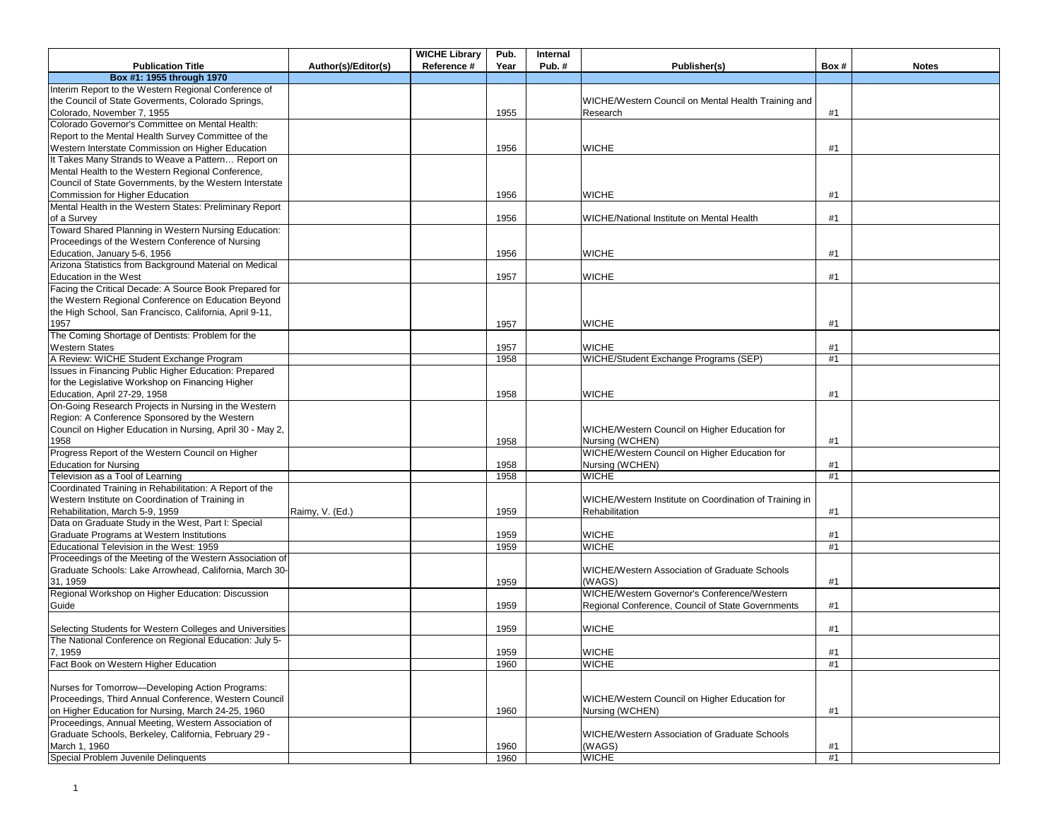|                                                                     |                     | <b>WICHE Library</b> | Pub. | Internal |                                                        |      |              |
|---------------------------------------------------------------------|---------------------|----------------------|------|----------|--------------------------------------------------------|------|--------------|
| <b>Publication Title</b>                                            | Author(s)/Editor(s) | Reference #          | Year | Pub.#    | Publisher(s)                                           | Box# | <b>Notes</b> |
| Box #1: 1955 through 1970                                           |                     |                      |      |          |                                                        |      |              |
| Interim Report to the Western Regional Conference of                |                     |                      |      |          |                                                        |      |              |
| the Council of State Goverments, Colorado Springs,                  |                     |                      |      |          | WICHE/Western Council on Mental Health Training and    |      |              |
| Colorado, November 7, 1955                                          |                     |                      | 1955 |          | Research                                               | #1   |              |
| Colorado Governor's Committee on Mental Health:                     |                     |                      |      |          |                                                        |      |              |
| Report to the Mental Health Survey Committee of the                 |                     |                      |      |          |                                                        |      |              |
| Western Interstate Commission on Higher Education                   |                     |                      | 1956 |          | <b>WICHE</b>                                           | #1   |              |
| It Takes Many Strands to Weave a Pattern Report on                  |                     |                      |      |          |                                                        |      |              |
| Mental Health to the Western Regional Conference,                   |                     |                      |      |          |                                                        |      |              |
| Council of State Governments, by the Western Interstate             |                     |                      |      |          |                                                        |      |              |
| Commission for Higher Education                                     |                     |                      | 1956 |          | <b>WICHE</b>                                           | #1   |              |
| Mental Health in the Western States: Preliminary Report             |                     |                      |      |          |                                                        |      |              |
|                                                                     |                     |                      |      |          |                                                        | #1   |              |
| of a Survey<br>Toward Shared Planning in Western Nursing Education: |                     |                      | 1956 |          | WICHE/National Institute on Mental Health              |      |              |
|                                                                     |                     |                      |      |          |                                                        |      |              |
| Proceedings of the Western Conference of Nursing                    |                     |                      |      |          |                                                        |      |              |
| Education, January 5-6, 1956                                        |                     |                      | 1956 |          | <b>WICHE</b>                                           | #1   |              |
| Arizona Statistics from Background Material on Medical              |                     |                      |      |          |                                                        |      |              |
| Education in the West                                               |                     |                      | 1957 |          | <b>WICHE</b>                                           | #1   |              |
| Facing the Critical Decade: A Source Book Prepared for              |                     |                      |      |          |                                                        |      |              |
| the Western Regional Conference on Education Beyond                 |                     |                      |      |          |                                                        |      |              |
| the High School, San Francisco, California, April 9-11,             |                     |                      |      |          |                                                        |      |              |
| 1957                                                                |                     |                      | 1957 |          | <b>WICHE</b>                                           | #1   |              |
| The Coming Shortage of Dentists: Problem for the                    |                     |                      |      |          |                                                        |      |              |
| <b>Western States</b>                                               |                     |                      | 1957 |          | <b>WICHE</b>                                           | #1   |              |
| A Review: WICHE Student Exchange Program                            |                     |                      | 1958 |          | WICHE/Student Exchange Programs (SEP)                  | #1   |              |
| Issues in Financing Public Higher Education: Prepared               |                     |                      |      |          |                                                        |      |              |
| for the Legislative Workshop on Financing Higher                    |                     |                      |      |          |                                                        |      |              |
| Education, April 27-29, 1958                                        |                     |                      | 1958 |          | <b>WICHE</b>                                           | #1   |              |
| On-Going Research Projects in Nursing in the Western                |                     |                      |      |          |                                                        |      |              |
| Region: A Conference Sponsored by the Western                       |                     |                      |      |          |                                                        |      |              |
| Council on Higher Education in Nursing, April 30 - May 2,           |                     |                      |      |          | WICHE/Western Council on Higher Education for          |      |              |
| 1958                                                                |                     |                      | 1958 |          | Nursing (WCHEN)                                        | #1   |              |
| Progress Report of the Western Council on Higher                    |                     |                      |      |          | WICHE/Western Council on Higher Education for          |      |              |
| <b>Education for Nursing</b>                                        |                     |                      | 1958 |          | Nursing (WCHEN)                                        | #1   |              |
| Television as a Tool of Learning                                    |                     |                      | 1958 |          | <b>WICHE</b>                                           | #1   |              |
| Coordinated Training in Rehabilitation: A Report of the             |                     |                      |      |          |                                                        |      |              |
| Western Institute on Coordination of Training in                    |                     |                      |      |          | WICHE/Western Institute on Coordination of Training in |      |              |
| Rehabilitation, March 5-9, 1959                                     | Raimy, V. (Ed.)     |                      | 1959 |          | Rehabilitation                                         | #1   |              |
| Data on Graduate Study in the West, Part I: Special                 |                     |                      |      |          |                                                        |      |              |
| Graduate Programs at Western Institutions                           |                     |                      |      |          | <b>WICHE</b>                                           |      |              |
|                                                                     |                     |                      | 1959 |          |                                                        | #1   |              |
| Educational Television in the West: 1959                            |                     |                      | 1959 |          | <b>WICHE</b>                                           | #1   |              |
| Proceedings of the Meeting of the Western Association of            |                     |                      |      |          |                                                        |      |              |
| Graduate Schools: Lake Arrowhead, California, March 30-             |                     |                      |      |          | <b>WICHE/Western Association of Graduate Schools</b>   |      |              |
| 31, 1959                                                            |                     |                      | 1959 |          | (WAGS)                                                 | #1   |              |
| Regional Workshop on Higher Education: Discussion                   |                     |                      |      |          | WICHE/Western Governor's Conference/Western            |      |              |
| Guide                                                               |                     |                      | 1959 |          | Regional Conference, Council of State Governments      | #1   |              |
|                                                                     |                     |                      |      |          |                                                        |      |              |
| Selecting Students for Western Colleges and Universities            |                     |                      | 1959 |          | <b>WICHE</b>                                           | #1   |              |
| The National Conference on Regional Education: July 5-              |                     |                      |      |          |                                                        |      |              |
| 7, 1959                                                             |                     |                      | 1959 |          | <b>WICHE</b>                                           | #1   |              |
| Fact Book on Western Higher Education                               |                     |                      | 1960 |          | <b>WICHE</b>                                           | #1   |              |
|                                                                     |                     |                      |      |          |                                                        |      |              |
| Nurses for Tomorrow-Developing Action Programs:                     |                     |                      |      |          |                                                        |      |              |
| Proceedings, Third Annual Conference, Western Council               |                     |                      |      |          | WICHE/Western Council on Higher Education for          |      |              |
| on Higher Education for Nursing, March 24-25, 1960                  |                     |                      | 1960 |          | Nursing (WCHEN)                                        | #1   |              |
| Proceedings, Annual Meeting, Western Association of                 |                     |                      |      |          |                                                        |      |              |
| Graduate Schools, Berkeley, California, February 29 -               |                     |                      |      |          | <b>WICHE/Western Association of Graduate Schools</b>   |      |              |
| March 1, 1960                                                       |                     |                      | 1960 |          | (WAGS)                                                 | #1   |              |
| Special Problem Juvenile Delinquents                                |                     |                      | 1960 |          | <b>WICHE</b>                                           | #1   |              |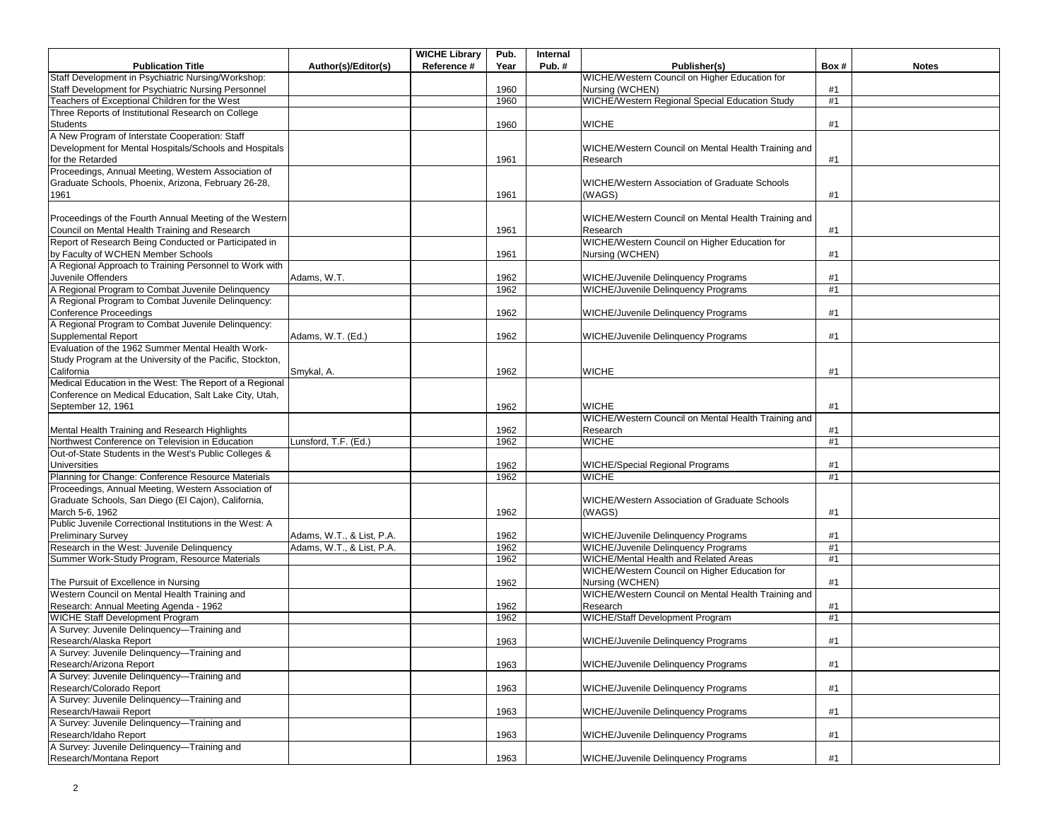|                                                           |                           | <b>WICHE Library</b> | Pub. | Internal |                                                      |      |              |
|-----------------------------------------------------------|---------------------------|----------------------|------|----------|------------------------------------------------------|------|--------------|
| <b>Publication Title</b>                                  | Author(s)/Editor(s)       | Reference #          | Year | Pub.#    | Publisher(s)                                         | Box# | <b>Notes</b> |
| Staff Development in Psychiatric Nursing/Workshop:        |                           |                      |      |          | WICHE/Western Council on Higher Education for        |      |              |
| Staff Development for Psychiatric Nursing Personnel       |                           |                      | 1960 |          | Nursing (WCHEN)                                      | #1   |              |
| <b>Teachers of Exceptional Children for the West</b>      |                           |                      | 1960 |          | WICHE/Western Regional Special Education Study       | #1   |              |
| Three Reports of Institutional Research on College        |                           |                      |      |          |                                                      |      |              |
| <b>Students</b>                                           |                           |                      | 1960 |          | <b>WICHE</b>                                         | #1   |              |
| A New Program of Interstate Cooperation: Staff            |                           |                      |      |          |                                                      |      |              |
| Development for Mental Hospitals/Schools and Hospitals    |                           |                      |      |          | WICHE/Western Council on Mental Health Training and  |      |              |
| for the Retarded                                          |                           |                      | 1961 |          | Research                                             | #1   |              |
| Proceedings, Annual Meeting, Western Association of       |                           |                      |      |          |                                                      |      |              |
| Graduate Schools, Phoenix, Arizona, February 26-28,       |                           |                      |      |          | <b>WICHE/Western Association of Graduate Schools</b> |      |              |
| 1961                                                      |                           |                      | 1961 |          | (WAGS)                                               | #1   |              |
|                                                           |                           |                      |      |          |                                                      |      |              |
| Proceedings of the Fourth Annual Meeting of the Western   |                           |                      |      |          | WICHE/Western Council on Mental Health Training and  |      |              |
| Council on Mental Health Training and Research            |                           |                      | 1961 |          | Research                                             | #1   |              |
| Report of Research Being Conducted or Participated in     |                           |                      |      |          | WICHE/Western Council on Higher Education for        |      |              |
| by Faculty of WCHEN Member Schools                        |                           |                      | 1961 |          | Nursing (WCHEN)                                      | #1   |              |
| A Regional Approach to Training Personnel to Work with    |                           |                      |      |          |                                                      |      |              |
| Juvenile Offenders                                        | Adams, W.T.               |                      | 1962 |          | WICHE/Juvenile Delinquency Programs                  | #1   |              |
| A Regional Program to Combat Juvenile Delinquency         |                           |                      | 1962 |          | <b>WICHE/Juvenile Delinquency Programs</b>           | #1   |              |
| A Regional Program to Combat Juvenile Delinquency:        |                           |                      |      |          |                                                      |      |              |
| Conference Proceedings                                    |                           |                      | 1962 |          | WICHE/Juvenile Delinquency Programs                  | #1   |              |
| A Regional Program to Combat Juvenile Delinguency:        |                           |                      |      |          |                                                      |      |              |
| <b>Supplemental Report</b>                                | Adams, W.T. (Ed.)         |                      | 1962 |          | <b>WICHE/Juvenile Delinquency Programs</b>           | #1   |              |
| Evaluation of the 1962 Summer Mental Health Work-         |                           |                      |      |          |                                                      |      |              |
| Study Program at the University of the Pacific, Stockton, |                           |                      |      |          |                                                      |      |              |
| California                                                | Smykal, A.                |                      | 1962 |          | <b>WICHE</b>                                         | #1   |              |
| Medical Education in the West: The Report of a Regional   |                           |                      |      |          |                                                      |      |              |
| Conference on Medical Education, Salt Lake City, Utah,    |                           |                      |      |          |                                                      |      |              |
| September 12, 1961                                        |                           |                      | 1962 |          | <b>WICHE</b>                                         | #1   |              |
|                                                           |                           |                      |      |          | WICHE/Western Council on Mental Health Training and  |      |              |
| Mental Health Training and Research Highlights            |                           |                      | 1962 |          | Research                                             | #1   |              |
| Northwest Conference on Television in Education           | Lunsford, T.F. (Ed.)      |                      | 1962 |          | <b>WICHE</b>                                         | #1   |              |
| Out-of-State Students in the West's Public Colleges &     |                           |                      |      |          |                                                      |      |              |
| <b>Universities</b>                                       |                           |                      | 1962 |          | WICHE/Special Regional Programs                      | #1   |              |
| Planning for Change: Conference Resource Materials        |                           |                      | 1962 |          | <b>WICHE</b>                                         | #1   |              |
| Proceedings, Annual Meeting, Western Association of       |                           |                      |      |          |                                                      |      |              |
| Graduate Schools, San Diego (El Cajon), California,       |                           |                      |      |          | <b>WICHE/Western Association of Graduate Schools</b> |      |              |
| March 5-6, 1962                                           |                           |                      | 1962 |          | (WAGS)                                               | #1   |              |
| Public Juvenile Correctional Institutions in the West: A  |                           |                      |      |          |                                                      |      |              |
| <b>Preliminary Survey</b>                                 | Adams, W.T., & List, P.A. |                      | 1962 |          | <b>WICHE/Juvenile Delinquency Programs</b>           | #1   |              |
| Research in the West: Juvenile Delinquency                | Adams, W.T., & List, P.A. |                      | 1962 |          | <b>WICHE/Juvenile Delinquency Programs</b>           | #1   |              |
| Summer Work-Study Program, Resource Materials             |                           |                      | 1962 |          | WICHE/Mental Health and Related Areas                | #1   |              |
|                                                           |                           |                      |      |          | WICHE/Western Council on Higher Education for        |      |              |
| The Pursuit of Excellence in Nursing                      |                           |                      | 1962 |          | Nursing (WCHEN)                                      | #1   |              |
| Western Council on Mental Health Training and             |                           |                      |      |          | WICHE/Western Council on Mental Health Training and  |      |              |
| Research: Annual Meeting Agenda - 1962                    |                           |                      | 1962 |          | Research                                             | #1   |              |
| WICHE Staff Development Program                           |                           |                      | 1962 |          | WICHE/Staff Development Program                      | #1   |              |
| A Survey: Juvenile Delinquency-Training and               |                           |                      |      |          |                                                      |      |              |
| Research/Alaska Report                                    |                           |                      | 1963 |          | WICHE/Juvenile Delinquency Programs                  | #1   |              |
| A Survey: Juvenile Delinquency-Training and               |                           |                      |      |          |                                                      |      |              |
| Research/Arizona Report                                   |                           |                      | 1963 |          | <b>WICHE/Juvenile Delinquency Programs</b>           | #1   |              |
| A Survey: Juvenile Delinquency-Training and               |                           |                      |      |          |                                                      |      |              |
| Research/Colorado Report                                  |                           |                      | 1963 |          | <b>WICHE/Juvenile Delinquency Programs</b>           | #1   |              |
| A Survey: Juvenile Delinquency-Training and               |                           |                      |      |          |                                                      |      |              |
| Research/Hawaii Report                                    |                           |                      | 1963 |          | WICHE/Juvenile Delinquency Programs                  | #1   |              |
| A Survey: Juvenile Delinquency-Training and               |                           |                      |      |          |                                                      |      |              |
| Research/Idaho Report                                     |                           |                      | 1963 |          | <b>WICHE/Juvenile Delinquency Programs</b>           | #1   |              |
| A Survey: Juvenile Delinquency-Training and               |                           |                      |      |          |                                                      |      |              |
| Research/Montana Report                                   |                           |                      | 1963 |          | <b>WICHE/Juvenile Delinquency Programs</b>           | #1   |              |
|                                                           |                           |                      |      |          |                                                      |      |              |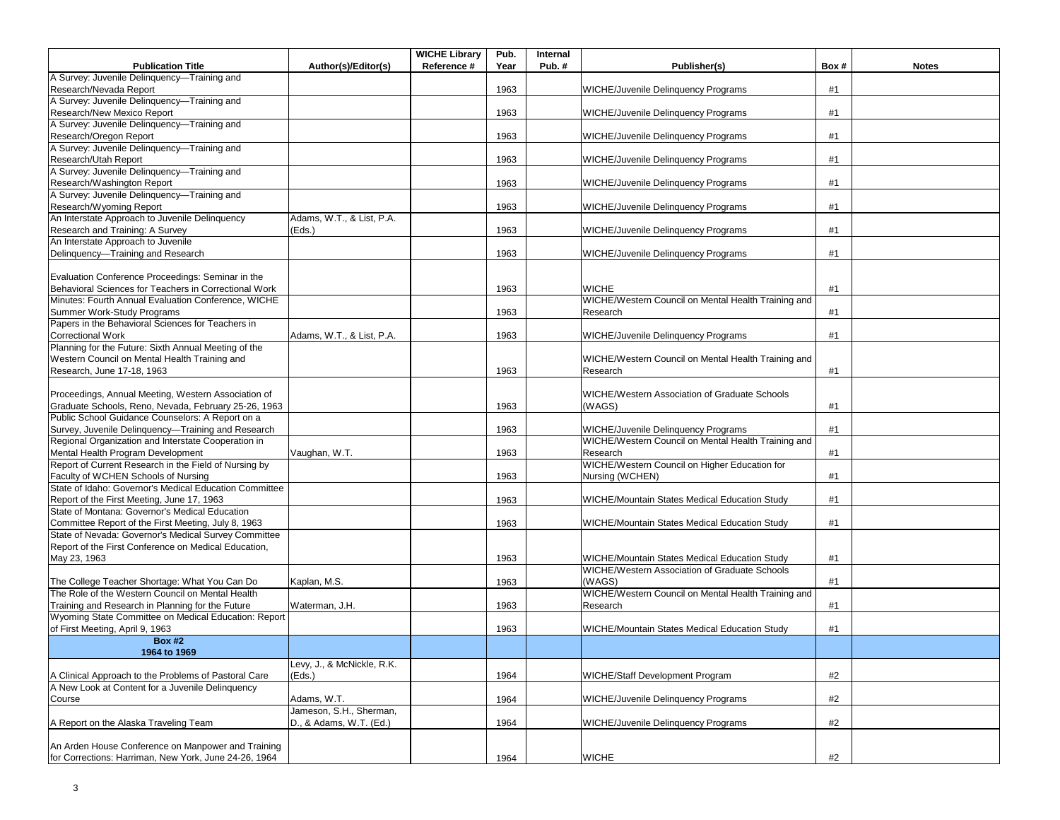|                                                        |                            | <b>WICHE Library</b> | Pub. | Internal |                                                      |      |              |
|--------------------------------------------------------|----------------------------|----------------------|------|----------|------------------------------------------------------|------|--------------|
| <b>Publication Title</b>                               | Author(s)/Editor(s)        | Reference #          | Year | Pub.#    | Publisher(s)                                         | Box# | <b>Notes</b> |
| A Survey: Juvenile Delinquency-Training and            |                            |                      |      |          |                                                      |      |              |
| Research/Nevada Report                                 |                            |                      | 1963 |          | <b>WICHE/Juvenile Delinguency Programs</b>           | #1   |              |
| A Survey: Juvenile Delinquency-Training and            |                            |                      |      |          |                                                      |      |              |
| Research/New Mexico Report                             |                            |                      | 1963 |          | <b>WICHE/Juvenile Delinquency Programs</b>           | #1   |              |
| A Survey: Juvenile Delinquency-Training and            |                            |                      |      |          |                                                      |      |              |
| Research/Oregon Report                                 |                            |                      | 1963 |          | <b>WICHE/Juvenile Delinquency Programs</b>           | #1   |              |
| A Survey: Juvenile Delinquency-Training and            |                            |                      |      |          |                                                      |      |              |
| Research/Utah Report                                   |                            |                      | 1963 |          | WICHE/Juvenile Delinquency Programs                  | #1   |              |
| A Survey: Juvenile Delinquency-Training and            |                            |                      |      |          |                                                      |      |              |
| Research/Washington Report                             |                            |                      | 1963 |          | <b>WICHE/Juvenile Delinquency Programs</b>           | #1   |              |
| A Survey: Juvenile Delinquency-Training and            |                            |                      |      |          |                                                      |      |              |
| Research/Wyoming Report                                |                            |                      | 1963 |          | <b>WICHE/Juvenile Delinquency Programs</b>           | #1   |              |
| An Interstate Approach to Juvenile Delinquency         | Adams, W.T., & List, P.A.  |                      |      |          |                                                      |      |              |
| Research and Training: A Survey                        | (Eds.)                     |                      | 1963 |          | <b>WICHE/Juvenile Delinquency Programs</b>           | #1   |              |
| An Interstate Approach to Juvenile                     |                            |                      |      |          |                                                      |      |              |
| Delinquency-Training and Research                      |                            |                      | 1963 |          |                                                      | #1   |              |
|                                                        |                            |                      |      |          | <b>WICHE/Juvenile Delinquency Programs</b>           |      |              |
|                                                        |                            |                      |      |          |                                                      |      |              |
| Evaluation Conference Proceedings: Seminar in the      |                            |                      |      |          |                                                      |      |              |
| Behavioral Sciences for Teachers in Correctional Work  |                            |                      | 1963 |          | <b>WICHE</b>                                         | #1   |              |
| Minutes: Fourth Annual Evaluation Conference, WICHE    |                            |                      |      |          | WICHE/Western Council on Mental Health Training and  |      |              |
| Summer Work-Study Programs                             |                            |                      | 1963 |          | Research                                             | #1   |              |
| Papers in the Behavioral Sciences for Teachers in      |                            |                      |      |          |                                                      |      |              |
| <b>Correctional Work</b>                               | Adams, W.T., & List, P.A.  |                      | 1963 |          | WICHE/Juvenile Delinquency Programs                  | #1   |              |
| Planning for the Future: Sixth Annual Meeting of the   |                            |                      |      |          |                                                      |      |              |
| Western Council on Mental Health Training and          |                            |                      |      |          | WICHE/Western Council on Mental Health Training and  |      |              |
| Research, June 17-18, 1963                             |                            |                      | 1963 |          | Research                                             | #1   |              |
|                                                        |                            |                      |      |          |                                                      |      |              |
| Proceedings, Annual Meeting, Western Association of    |                            |                      |      |          | <b>WICHE/Western Association of Graduate Schools</b> |      |              |
| Graduate Schools, Reno, Nevada, February 25-26, 1963   |                            |                      | 1963 |          | (WAGS)                                               | #1   |              |
| Public School Guidance Counselors: A Report on a       |                            |                      |      |          |                                                      |      |              |
| Survey, Juvenile Delinquency-Training and Research     |                            |                      | 1963 |          | <b>WICHE/Juvenile Delinquency Programs</b>           | #1   |              |
| Regional Organization and Interstate Cooperation in    |                            |                      |      |          | WICHE/Western Council on Mental Health Training and  |      |              |
| Mental Health Program Development                      | Vaughan, W.T.              |                      | 1963 |          | Research                                             | #1   |              |
| Report of Current Research in the Field of Nursing by  |                            |                      |      |          | WICHE/Western Council on Higher Education for        |      |              |
| Faculty of WCHEN Schools of Nursing                    |                            |                      | 1963 |          | Nursing (WCHEN)                                      | #1   |              |
| State of Idaho: Governor's Medical Education Committee |                            |                      |      |          |                                                      |      |              |
| Report of the First Meeting, June 17, 1963             |                            |                      | 1963 |          | WICHE/Mountain States Medical Education Study        | #1   |              |
| State of Montana: Governor's Medical Education         |                            |                      |      |          |                                                      |      |              |
| Committee Report of the First Meeting, July 8, 1963    |                            |                      | 1963 |          | WICHE/Mountain States Medical Education Study        | #1   |              |
| State of Nevada: Governor's Medical Survey Committee   |                            |                      |      |          |                                                      |      |              |
|                                                        |                            |                      |      |          |                                                      |      |              |
| Report of the First Conference on Medical Education,   |                            |                      |      |          |                                                      |      |              |
| May 23, 1963                                           |                            |                      | 1963 |          | WICHE/Mountain States Medical Education Study        | #1   |              |
|                                                        |                            |                      |      |          | WICHE/Western Association of Graduate Schools        |      |              |
| The College Teacher Shortage: What You Can Do          | Kaplan, M.S.               |                      | 1963 |          | (WAGS)                                               | #1   |              |
| The Role of the Western Council on Mental Health       |                            |                      |      |          | WICHE/Western Council on Mental Health Training and  |      |              |
| Training and Research in Planning for the Future       | Waterman, J.H.             |                      | 1963 |          | Research                                             | #1   |              |
| Wyoming State Committee on Medical Education: Report   |                            |                      |      |          |                                                      |      |              |
| of First Meeting, April 9, 1963                        |                            |                      | 1963 |          | WICHE/Mountain States Medical Education Study        | #1   |              |
| <b>Box #2</b>                                          |                            |                      |      |          |                                                      |      |              |
| 1964 to 1969                                           |                            |                      |      |          |                                                      |      |              |
|                                                        | Levy, J., & McNickle, R.K. |                      |      |          |                                                      |      |              |
| A Clinical Approach to the Problems of Pastoral Care   | (Eds.)                     |                      | 1964 |          | WICHE/Staff Development Program                      | #2   |              |
| A New Look at Content for a Juvenile Delinquency       |                            |                      |      |          |                                                      |      |              |
| Course                                                 | Adams, W.T.                |                      | 1964 |          | WICHE/Juvenile Delinquency Programs                  | #2   |              |
|                                                        | Jameson, S.H., Sherman,    |                      |      |          |                                                      |      |              |
| A Report on the Alaska Traveling Team                  | D., & Adams, W.T. (Ed.)    |                      | 1964 |          | <b>WICHE/Juvenile Delinquency Programs</b>           | #2   |              |
|                                                        |                            |                      |      |          |                                                      |      |              |
| An Arden House Conference on Manpower and Training     |                            |                      |      |          |                                                      |      |              |
| for Corrections: Harriman, New York, June 24-26, 1964  |                            |                      | 1964 |          | <b>WICHE</b>                                         | #2   |              |
|                                                        |                            |                      |      |          |                                                      |      |              |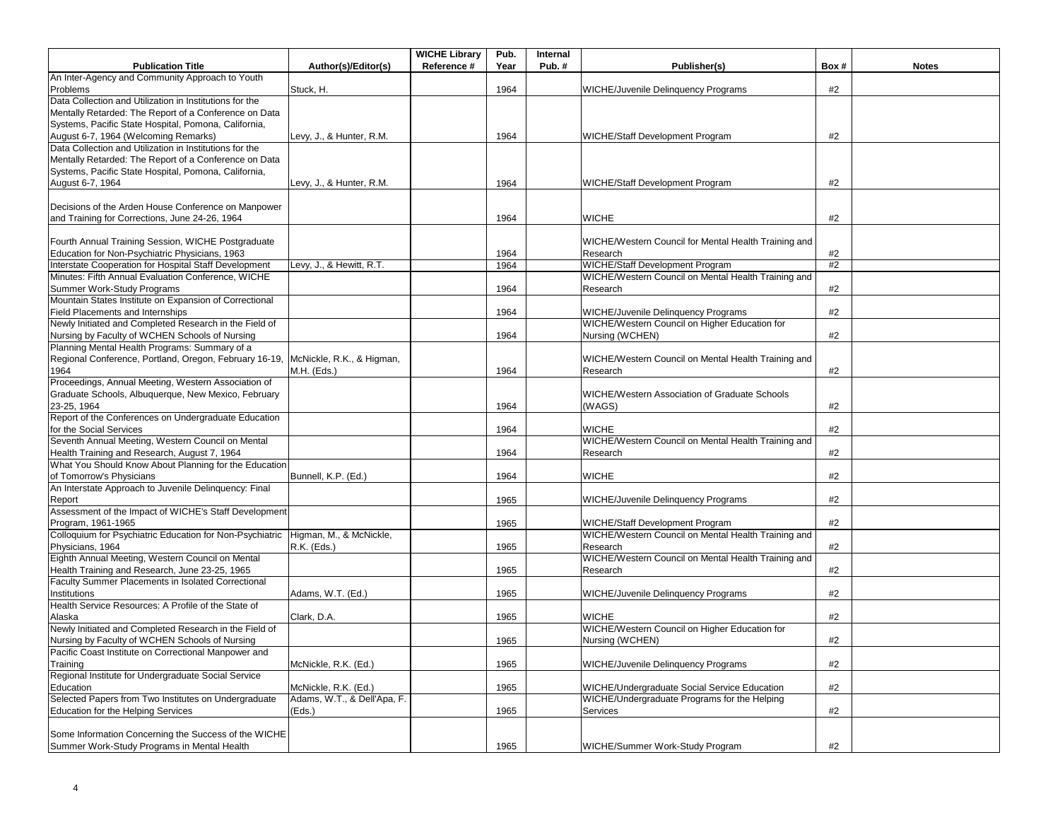|                                                                                  |                             | <b>WICHE Library</b> | Pub. | Internal |                                                      |      |              |
|----------------------------------------------------------------------------------|-----------------------------|----------------------|------|----------|------------------------------------------------------|------|--------------|
| <b>Publication Title</b>                                                         | Author(s)/Editor(s)         | Reference #          | Year | Pub.#    | Publisher(s)                                         | Box# | <b>Notes</b> |
| An Inter-Agency and Community Approach to Youth                                  |                             |                      |      |          |                                                      |      |              |
| Problems                                                                         | Stuck, H.                   |                      | 1964 |          | <b>WICHE/Juvenile Delinquency Programs</b>           | #2   |              |
| Data Collection and Utilization in Institutions for the                          |                             |                      |      |          |                                                      |      |              |
| Mentally Retarded: The Report of a Conference on Data                            |                             |                      |      |          |                                                      |      |              |
| Systems, Pacific State Hospital, Pomona, California,                             |                             |                      |      |          |                                                      |      |              |
| August 6-7, 1964 (Welcoming Remarks)                                             | Levy, J., & Hunter, R.M.    |                      | 1964 |          | <b>WICHE/Staff Development Program</b>               | #2   |              |
| Data Collection and Utilization in Institutions for the                          |                             |                      |      |          |                                                      |      |              |
| Mentally Retarded: The Report of a Conference on Data                            |                             |                      |      |          |                                                      |      |              |
| Systems, Pacific State Hospital, Pomona, California,                             |                             |                      |      |          |                                                      |      |              |
| August 6-7, 1964                                                                 | Levy, J., & Hunter, R.M.    |                      | 1964 |          | WICHE/Staff Development Program                      | #2   |              |
|                                                                                  |                             |                      |      |          |                                                      |      |              |
| Decisions of the Arden House Conference on Manpower                              |                             |                      |      |          |                                                      |      |              |
| and Training for Corrections, June 24-26, 1964                                   |                             |                      | 1964 |          | <b>WICHE</b>                                         | #2   |              |
|                                                                                  |                             |                      |      |          |                                                      |      |              |
| Fourth Annual Training Session, WICHE Postgraduate                               |                             |                      |      |          | WICHE/Western Council for Mental Health Training and |      |              |
| Education for Non-Psychiatric Physicians, 1963                                   |                             |                      | 1964 |          | Research                                             | #2   |              |
| Interstate Cooperation for Hospital Staff Development                            | Levy, J., & Hewitt, R.T.    |                      | 1964 |          | WICHE/Staff Development Program                      | #2   |              |
| Minutes: Fifth Annual Evaluation Conference, WICHE                               |                             |                      |      |          | WICHE/Western Council on Mental Health Training and  |      |              |
| Summer Work-Study Programs                                                       |                             |                      | 1964 |          | Research                                             | #2   |              |
| Mountain States Institute on Expansion of Correctional                           |                             |                      |      |          |                                                      |      |              |
| Field Placements and Internships                                                 |                             |                      | 1964 |          | <b>WICHE/Juvenile Delinquency Programs</b>           | #2   |              |
| Newly Initiated and Completed Research in the Field of                           |                             |                      |      |          | WICHE/Western Council on Higher Education for        |      |              |
| Nursing by Faculty of WCHEN Schools of Nursing                                   |                             |                      | 1964 |          | Nursing (WCHEN)                                      | #2   |              |
| Planning Mental Health Programs: Summary of a                                    |                             |                      |      |          |                                                      |      |              |
| Regional Conference, Portland, Oregon, February 16-19, McNickle, R.K., & Higman, |                             |                      |      |          | WICHE/Western Council on Mental Health Training and  |      |              |
| 1964                                                                             | M.H. (Eds.)                 |                      | 1964 |          | Research                                             | #2   |              |
| Proceedings, Annual Meeting, Western Association of                              |                             |                      |      |          |                                                      |      |              |
| Graduate Schools, Albuquerque, New Mexico, February                              |                             |                      |      |          | WICHE/Western Association of Graduate Schools        |      |              |
| 23-25, 1964                                                                      |                             |                      | 1964 |          | (WAGS)                                               | #2   |              |
| Report of the Conferences on Undergraduate Education                             |                             |                      |      |          |                                                      |      |              |
| for the Social Services                                                          |                             |                      | 1964 |          | <b>WICHE</b>                                         | #2   |              |
| Seventh Annual Meeting, Western Council on Mental                                |                             |                      |      |          | WICHE/Western Council on Mental Health Training and  |      |              |
| Health Training and Research, August 7, 1964                                     |                             |                      | 1964 |          | Research                                             | #2   |              |
| What You Should Know About Planning for the Education                            |                             |                      |      |          |                                                      |      |              |
| of Tomorrow's Physicians                                                         | Bunnell, K.P. (Ed.)         |                      | 1964 |          | <b>WICHE</b>                                         | #2   |              |
| An Interstate Approach to Juvenile Delinquency: Final                            |                             |                      |      |          |                                                      |      |              |
| Report                                                                           |                             |                      | 1965 |          | WICHE/Juvenile Delinquency Programs                  | #2   |              |
| Assessment of the Impact of WICHE's Staff Development                            |                             |                      |      |          |                                                      |      |              |
| Program, 1961-1965                                                               |                             |                      | 1965 |          | WICHE/Staff Development Program                      | #2   |              |
| Colloquium for Psychiatric Education for Non-Psychiatric                         | Higman, M., & McNickle,     |                      |      |          | WICHE/Western Council on Mental Health Training and  |      |              |
| Physicians, 1964                                                                 | R.K. (Eds.)                 |                      | 1965 |          | Research                                             | #2   |              |
| Eighth Annual Meeting, Western Council on Mental                                 |                             |                      |      |          | WICHE/Western Council on Mental Health Training and  |      |              |
| Health Training and Research, June 23-25, 1965                                   |                             |                      | 1965 |          | Research                                             | #2   |              |
| Faculty Summer Placements in Isolated Correctional                               |                             |                      |      |          |                                                      |      |              |
| Institutions                                                                     | Adams, W.T. (Ed.)           |                      | 1965 |          | <b>WICHE/Juvenile Delinquency Programs</b>           | #2   |              |
| Health Service Resources: A Profile of the State of                              |                             |                      |      |          |                                                      |      |              |
| Alaska                                                                           | Clark, D.A.                 |                      | 1965 |          | <b>WICHE</b>                                         | #2   |              |
| Newly Initiated and Completed Research in the Field of                           |                             |                      |      |          | WICHE/Western Council on Higher Education for        |      |              |
| Nursing by Faculty of WCHEN Schools of Nursing                                   |                             |                      | 1965 |          | Nursing (WCHEN)                                      | #2   |              |
| Pacific Coast Institute on Correctional Manpower and                             |                             |                      |      |          |                                                      |      |              |
| Training                                                                         | McNickle, R.K. (Ed.)        |                      | 1965 |          | <b>WICHE/Juvenile Delinguency Programs</b>           | #2   |              |
| Regional Institute for Undergraduate Social Service                              |                             |                      |      |          |                                                      |      |              |
| Education                                                                        | McNickle, R.K. (Ed.)        |                      | 1965 |          | WICHE/Undergraduate Social Service Education         | #2   |              |
| Selected Papers from Two Institutes on Undergraduate                             | Adams, W.T., & Dell'Apa, F. |                      |      |          | WICHE/Undergraduate Programs for the Helping         |      |              |
| <b>Education for the Helping Services</b>                                        | (Eds.)                      |                      | 1965 |          | Services                                             | #2   |              |
|                                                                                  |                             |                      |      |          |                                                      |      |              |
| Some Information Concerning the Success of the WICHE                             |                             |                      |      |          |                                                      |      |              |
| Summer Work-Study Programs in Mental Health                                      |                             |                      | 1965 |          | WICHE/Summer Work-Study Program                      | #2   |              |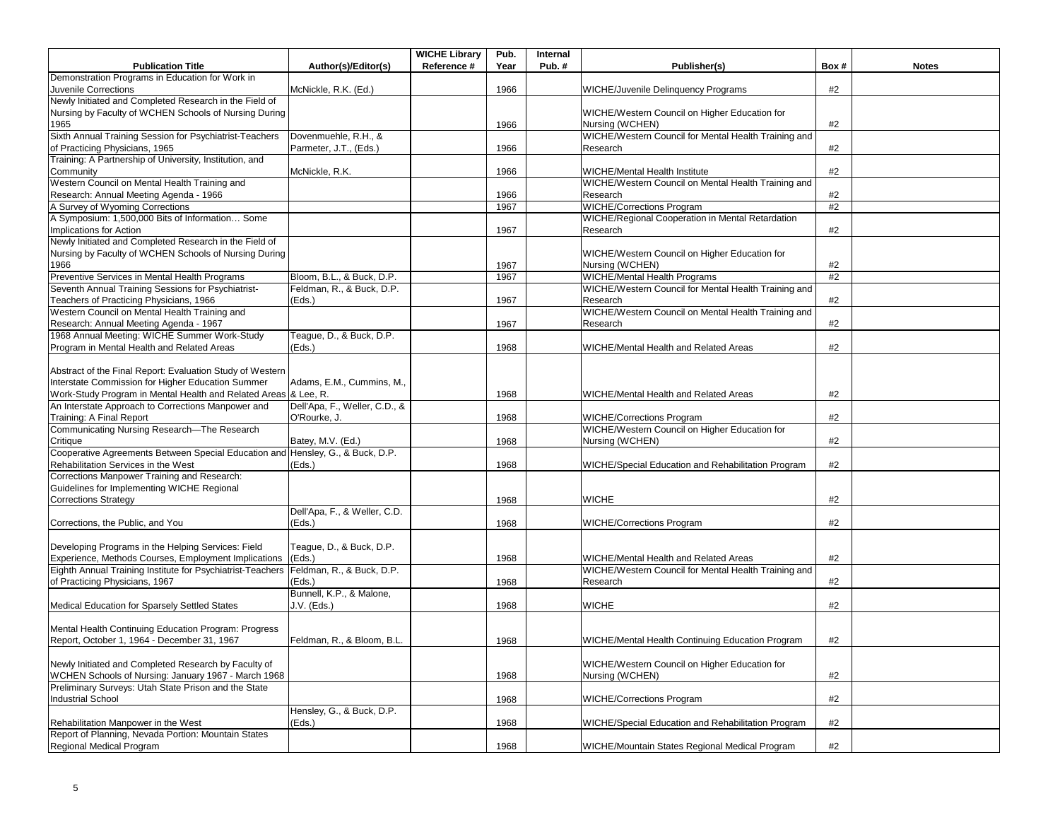|                                                                                        |                               | <b>WICHE Library</b> | Pub. | Internal |                                                      |      |              |
|----------------------------------------------------------------------------------------|-------------------------------|----------------------|------|----------|------------------------------------------------------|------|--------------|
| <b>Publication Title</b>                                                               | Author(s)/Editor(s)           | Reference #          | Year | Pub.#    | Publisher(s)                                         | Box# | <b>Notes</b> |
| Demonstration Programs in Education for Work in                                        |                               |                      |      |          |                                                      |      |              |
| Juvenile Corrections                                                                   | McNickle, R.K. (Ed.)          |                      | 1966 |          | <b>WICHE/Juvenile Delinquency Programs</b>           | #2   |              |
| Newly Initiated and Completed Research in the Field of                                 |                               |                      |      |          |                                                      |      |              |
| Nursing by Faculty of WCHEN Schools of Nursing During                                  |                               |                      |      |          | WICHE/Western Council on Higher Education for        |      |              |
| 1965                                                                                   |                               |                      | 1966 |          | Nursing (WCHEN)                                      | #2   |              |
| Sixth Annual Training Session for Psychiatrist-Teachers                                | Dovenmuehle, R.H., &          |                      |      |          | WICHE/Western Council for Mental Health Training and |      |              |
| of Practicing Physicians, 1965                                                         | Parmeter, J.T., (Eds.)        |                      | 1966 |          | Research                                             | #2   |              |
| Training: A Partnership of University, Institution, and                                |                               |                      |      |          |                                                      |      |              |
| Community                                                                              | McNickle, R.K.                |                      | 1966 |          | <b>WICHE/Mental Health Institute</b>                 | #2   |              |
| Western Council on Mental Health Training and                                          |                               |                      |      |          | WICHE/Western Council on Mental Health Training and  |      |              |
| Research: Annual Meeting Agenda - 1966                                                 |                               |                      | 1966 |          | Research                                             | #2   |              |
| A Survey of Wyoming Corrections                                                        |                               |                      | 1967 |          | <b>WICHE/Corrections Program</b>                     | #2   |              |
| A Symposium: 1,500,000 Bits of Information Some                                        |                               |                      |      |          | WICHE/Regional Cooperation in Mental Retardation     |      |              |
| Implications for Action                                                                |                               |                      | 1967 |          | Research                                             | #2   |              |
| Newly Initiated and Completed Research in the Field of                                 |                               |                      |      |          |                                                      |      |              |
| Nursing by Faculty of WCHEN Schools of Nursing During                                  |                               |                      |      |          | WICHE/Western Council on Higher Education for        |      |              |
| 1966                                                                                   |                               |                      | 1967 |          | Nursing (WCHEN)                                      | #2   |              |
|                                                                                        |                               |                      |      |          |                                                      | #2   |              |
| Preventive Services in Mental Health Programs                                          | Bloom, B.L., & Buck, D.P.     |                      | 1967 |          | <b>WICHE/Mental Health Programs</b>                  |      |              |
| Seventh Annual Training Sessions for Psychiatrist-                                     | Feldman, R., & Buck, D.P.     |                      |      |          | WICHE/Western Council for Mental Health Training and |      |              |
| Teachers of Practicing Physicians, 1966                                                | (Eds.)                        |                      | 1967 |          | Research                                             | #2   |              |
| Western Council on Mental Health Training and                                          |                               |                      |      |          | WICHE/Western Council on Mental Health Training and  |      |              |
| Research: Annual Meeting Agenda - 1967                                                 |                               |                      | 1967 |          | Research                                             | #2   |              |
| 1968 Annual Meeting: WICHE Summer Work-Study                                           | Teague, D., & Buck, D.P.      |                      |      |          |                                                      |      |              |
| Program in Mental Health and Related Areas                                             | (Eds.)                        |                      | 1968 |          | <b>WICHE/Mental Health and Related Areas</b>         | #2   |              |
|                                                                                        |                               |                      |      |          |                                                      |      |              |
| Abstract of the Final Report: Evaluation Study of Western                              |                               |                      |      |          |                                                      |      |              |
| Interstate Commission for Higher Education Summer                                      | Adams, E.M., Cummins, M.,     |                      |      |          |                                                      |      |              |
| Work-Study Program in Mental Health and Related Areas & Lee, R.                        |                               |                      | 1968 |          | WICHE/Mental Health and Related Areas                | #2   |              |
| An Interstate Approach to Corrections Manpower and                                     | Dell'Apa, F., Weller, C.D., & |                      |      |          |                                                      |      |              |
| Training: A Final Report                                                               | O'Rourke, J.                  |                      | 1968 |          | <b>WICHE/Corrections Program</b>                     | #2   |              |
| Communicating Nursing Research-The Research                                            |                               |                      |      |          | WICHE/Western Council on Higher Education for        |      |              |
| Critique                                                                               | Batey, M.V. (Ed.)             |                      | 1968 |          | Nursing (WCHEN)                                      | #2   |              |
| Cooperative Agreements Between Special Education and Hensley, G., & Buck, D.P.         |                               |                      |      |          |                                                      |      |              |
| Rehabilitation Services in the West                                                    | (Eds.)                        |                      | 1968 |          | WICHE/Special Education and Rehabilitation Program   | #2   |              |
| Corrections Manpower Training and Research:                                            |                               |                      |      |          |                                                      |      |              |
| Guidelines for Implementing WICHE Regional                                             |                               |                      |      |          |                                                      |      |              |
|                                                                                        |                               |                      |      |          | <b>WICHE</b>                                         | #2   |              |
| <b>Corrections Strategy</b>                                                            |                               |                      | 1968 |          |                                                      |      |              |
|                                                                                        | Dell'Apa, F., & Weller, C.D.  |                      |      |          |                                                      |      |              |
| Corrections, the Public, and You                                                       | (Eds.)                        |                      | 1968 |          | <b>WICHE/Corrections Program</b>                     | #2   |              |
|                                                                                        |                               |                      |      |          |                                                      |      |              |
| Developing Programs in the Helping Services: Field                                     | Teague, D., & Buck, D.P.      |                      |      |          |                                                      |      |              |
| Experience, Methods Courses, Employment Implications                                   | (Eds.)                        |                      | 1968 |          | WICHE/Mental Health and Related Areas                | #2   |              |
| Eighth Annual Training Institute for Psychiatrist-Teachers   Feldman, R., & Buck, D.P. |                               |                      |      |          | WICHE/Western Council for Mental Health Training and |      |              |
| of Practicing Physicians, 1967                                                         | (Eds.)                        |                      | 1968 |          | Research                                             | #2   |              |
|                                                                                        | Bunnell, K.P., & Malone,      |                      |      |          |                                                      |      |              |
| Medical Education for Sparsely Settled States                                          | J.V. (Eds.)                   |                      | 1968 |          | <b>WICHE</b>                                         | #2   |              |
|                                                                                        |                               |                      |      |          |                                                      |      |              |
| Mental Health Continuing Education Program: Progress                                   |                               |                      |      |          |                                                      |      |              |
| Report, October 1, 1964 - December 31, 1967                                            | Feldman, R., & Bloom, B.L.    |                      | 1968 |          | WICHE/Mental Health Continuing Education Program     | #2   |              |
|                                                                                        |                               |                      |      |          |                                                      |      |              |
| Newly Initiated and Completed Research by Faculty of                                   |                               |                      |      |          | WICHE/Western Council on Higher Education for        |      |              |
| WCHEN Schools of Nursing: January 1967 - March 1968                                    |                               |                      | 1968 |          | Nursing (WCHEN)                                      | #2   |              |
| Preliminary Surveys: Utah State Prison and the State                                   |                               |                      |      |          |                                                      |      |              |
| <b>Industrial School</b>                                                               |                               |                      |      |          | <b>WICHE/Corrections Program</b>                     | #2   |              |
|                                                                                        | Hensley, G., & Buck, D.P.     |                      | 1968 |          |                                                      |      |              |
|                                                                                        |                               |                      |      |          |                                                      |      |              |
| Rehabilitation Manpower in the West                                                    | (Eds.)                        |                      | 1968 |          | WICHE/Special Education and Rehabilitation Program   | #2   |              |
| Report of Planning, Nevada Portion: Mountain States                                    |                               |                      |      |          |                                                      |      |              |
| Regional Medical Program                                                               |                               |                      | 1968 |          | WICHE/Mountain States Regional Medical Program       | #2   |              |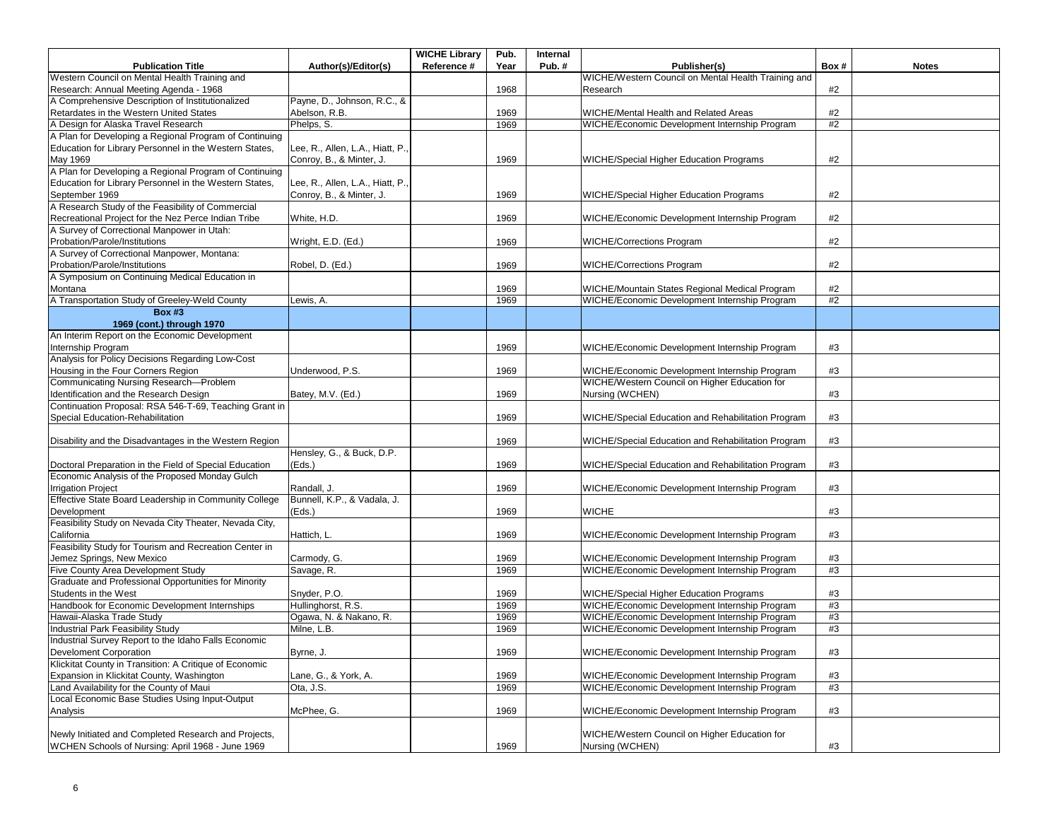| Reference #<br>Pub.#<br>Publisher(s)<br><b>Publication Title</b><br>Author(s)/Editor(s)<br>Year<br>Box#<br><b>Notes</b><br>WICHE/Western Council on Mental Health Training and<br>Western Council on Mental Health Training and<br>Research: Annual Meeting Agenda - 1968<br>1968<br>#2<br>Research<br>A Comprehensive Description of Institutionalized<br>Payne, D., Johnson, R.C., &<br>Retardates in the Western United States<br>Abelson, R.B.<br>#2<br>1969<br>WICHE/Mental Health and Related Areas<br>A Design for Alaska Travel Research<br>Phelps, S.<br>1969<br>WICHE/Economic Development Internship Program<br>#2<br>A Plan for Developing a Regional Program of Continuing<br>Education for Library Personnel in the Western States,<br>Lee, R., Allen, L.A., Hiatt, P.<br>Conroy, B., & Minter, J.<br>1969<br>#2<br>May 1969<br>WICHE/Special Higher Education Programs<br>A Plan for Developing a Regional Program of Continuing<br>Education for Library Personnel in the Western States,<br>Lee, R., Allen, L.A., Hiatt, P.,<br>September 1969<br>Conroy, B., & Minter, J.<br>1969<br>#2<br><b>WICHE/Special Higher Education Programs</b><br>A Research Study of the Feasibility of Commercial<br>Recreational Project for the Nez Perce Indian Tribe<br>1969<br>#2<br>White, H.D.<br>WICHE/Economic Development Internship Program<br>A Survey of Correctional Manpower in Utah:<br>Probation/Parole/Institutions<br>#2<br>Wright, E.D. (Ed.)<br>1969<br><b>WICHE/Corrections Program</b><br>A Survey of Correctional Manpower, Montana:<br>Probation/Parole/Institutions<br>1969<br>#2<br>Robel, D. (Ed.)<br><b>WICHE/Corrections Program</b><br>A Symposium on Continuing Medical Education in<br>#2<br>Montana<br>1969<br>WICHE/Mountain States Regional Medical Program<br>A Transportation Study of Greeley-Weld County<br>1969<br>WICHE/Economic Development Internship Program<br>#2<br>.ewis, A.<br><b>Box #3</b><br>1969 (cont.) through 1970<br>An Interim Report on the Economic Development<br>Internship Program<br>1969<br>WICHE/Economic Development Internship Program<br>#3<br>Analysis for Policy Decisions Regarding Low-Cost<br>Housing in the Four Corners Region<br>#3<br>Underwood, P.S.<br>1969<br>WICHE/Economic Development Internship Program<br>Communicating Nursing Research-Problem<br>WICHE/Western Council on Higher Education for<br>Identification and the Research Design<br>1969<br>Nursing (WCHEN)<br>#3<br>Batey, M.V. (Ed.)<br>Continuation Proposal: RSA 546-T-69, Teaching Grant in<br>Special Education-Rehabilitation<br>WICHE/Special Education and Rehabilitation Program<br>1969<br>#3<br>#3<br>Disability and the Disadvantages in the Western Region<br>WICHE/Special Education and Rehabilitation Program<br>1969<br>Hensley, G., & Buck, D.P.<br>Doctoral Preparation in the Field of Special Education<br>(Eds.)<br>1969<br>WICHE/Special Education and Rehabilitation Program<br>#3<br>Economic Analysis of the Proposed Monday Gulch<br><b>Irrigation Project</b><br>1969<br>WICHE/Economic Development Internship Program<br>#3<br>Randall, J.<br>Effective State Board Leadership in Community College<br>Bunnell, K.P., & Vadala, J.<br>Development<br>(Eds.)<br><b>WICHE</b><br>1969<br>#3<br>Feasibility Study on Nevada City Theater, Nevada City,<br>California<br>Hattich, L.<br>WICHE/Economic Development Internship Program<br>#3<br>1969<br>Feasibility Study for Tourism and Recreation Center in<br>Jemez Springs, New Mexico<br>WICHE/Economic Development Internship Program<br>#3<br>Carmody, G.<br>1969<br>WICHE/Economic Development Internship Program<br>Five County Area Development Study<br>#3<br>Savage, R.<br>1969<br>Graduate and Professional Opportunities for Minority<br>Students in the West<br>Snyder, P.O.<br>1969<br>WICHE/Special Higher Education Programs<br>#3<br>Handbook for Economic Development Internships<br>WICHE/Economic Development Internship Program<br>Hullinghorst, R.S.<br>1969<br>#3<br>WICHE/Economic Development Internship Program<br>Hawaii-Alaska Trade Study<br>Ogawa, N. & Nakano, R.<br>1969<br>#3<br>Industrial Park Feasibility Study<br>#3<br>Milne, L.B.<br>WICHE/Economic Development Internship Program<br>1969<br>Industrial Survey Report to the Idaho Falls Economic<br>Develoment Corporation<br>Byrne, J.<br>1969<br>WICHE/Economic Development Internship Program<br>#3<br>Klickitat County in Transition: A Critique of Economic<br>Expansion in Klickitat County, Washington<br>1969<br>WICHE/Economic Development Internship Program<br>#3<br>Lane, G., & York, A.<br>Land Availability for the County of Maui<br>Ota, J.S.<br>1969<br>WICHE/Economic Development Internship Program<br>#3<br>Local Economic Base Studies Using Input-Output<br>McPhee, G.<br>1969<br>WICHE/Economic Development Internship Program<br>#3<br>Analysis<br>Newly Initiated and Completed Research and Projects,<br>WICHE/Western Council on Higher Education for<br>WCHEN Schools of Nursing: April 1968 - June 1969<br>1969<br>#3<br>Nursing (WCHEN) |  | <b>WICHE Library</b> | Pub. | Internal |  |  |
|--------------------------------------------------------------------------------------------------------------------------------------------------------------------------------------------------------------------------------------------------------------------------------------------------------------------------------------------------------------------------------------------------------------------------------------------------------------------------------------------------------------------------------------------------------------------------------------------------------------------------------------------------------------------------------------------------------------------------------------------------------------------------------------------------------------------------------------------------------------------------------------------------------------------------------------------------------------------------------------------------------------------------------------------------------------------------------------------------------------------------------------------------------------------------------------------------------------------------------------------------------------------------------------------------------------------------------------------------------------------------------------------------------------------------------------------------------------------------------------------------------------------------------------------------------------------------------------------------------------------------------------------------------------------------------------------------------------------------------------------------------------------------------------------------------------------------------------------------------------------------------------------------------------------------------------------------------------------------------------------------------------------------------------------------------------------------------------------------------------------------------------------------------------------------------------------------------------------------------------------------------------------------------------------------------------------------------------------------------------------------------------------------------------------------------------------------------------------------------------------------------------------------------------------------------------------------------------------------------------------------------------------------------------------------------------------------------------------------------------------------------------------------------------------------------------------------------------------------------------------------------------------------------------------------------------------------------------------------------------------------------------------------------------------------------------------------------------------------------------------------------------------------------------------------------------------------------------------------------------------------------------------------------------------------------------------------------------------------------------------------------------------------------------------------------------------------------------------------------------------------------------------------------------------------------------------------------------------------------------------------------------------------------------------------------------------------------------------------------------------------------------------------------------------------------------------------------------------------------------------------------------------------------------------------------------------------------------------------------------------------------------------------------------------------------------------------------------------------------------------------------------------------------------------------------------------------------------------------------------------------------------------------------------------------------------------------------------------------------------------------------------------------------------------------------------------------------------------------------------------------------------------------------------------------------------------------------------------------------------------------------------------------------------------------------------------------------------------------------------------------------------------------------------------------------------------------------------------------------------------------------------------------------------------------------------------------------------------------------------------------------------------------------------------------------------------------------------------|--|----------------------|------|----------|--|--|
|                                                                                                                                                                                                                                                                                                                                                                                                                                                                                                                                                                                                                                                                                                                                                                                                                                                                                                                                                                                                                                                                                                                                                                                                                                                                                                                                                                                                                                                                                                                                                                                                                                                                                                                                                                                                                                                                                                                                                                                                                                                                                                                                                                                                                                                                                                                                                                                                                                                                                                                                                                                                                                                                                                                                                                                                                                                                                                                                                                                                                                                                                                                                                                                                                                                                                                                                                                                                                                                                                                                                                                                                                                                                                                                                                                                                                                                                                                                                                                                                                                                                                                                                                                                                                                                                                                                                                                                                                                                                                                                                                                                                                                                                                                                                                                                                                                                                                                                                                                                                                                                                                            |  |                      |      |          |  |  |
|                                                                                                                                                                                                                                                                                                                                                                                                                                                                                                                                                                                                                                                                                                                                                                                                                                                                                                                                                                                                                                                                                                                                                                                                                                                                                                                                                                                                                                                                                                                                                                                                                                                                                                                                                                                                                                                                                                                                                                                                                                                                                                                                                                                                                                                                                                                                                                                                                                                                                                                                                                                                                                                                                                                                                                                                                                                                                                                                                                                                                                                                                                                                                                                                                                                                                                                                                                                                                                                                                                                                                                                                                                                                                                                                                                                                                                                                                                                                                                                                                                                                                                                                                                                                                                                                                                                                                                                                                                                                                                                                                                                                                                                                                                                                                                                                                                                                                                                                                                                                                                                                                            |  |                      |      |          |  |  |
|                                                                                                                                                                                                                                                                                                                                                                                                                                                                                                                                                                                                                                                                                                                                                                                                                                                                                                                                                                                                                                                                                                                                                                                                                                                                                                                                                                                                                                                                                                                                                                                                                                                                                                                                                                                                                                                                                                                                                                                                                                                                                                                                                                                                                                                                                                                                                                                                                                                                                                                                                                                                                                                                                                                                                                                                                                                                                                                                                                                                                                                                                                                                                                                                                                                                                                                                                                                                                                                                                                                                                                                                                                                                                                                                                                                                                                                                                                                                                                                                                                                                                                                                                                                                                                                                                                                                                                                                                                                                                                                                                                                                                                                                                                                                                                                                                                                                                                                                                                                                                                                                                            |  |                      |      |          |  |  |
|                                                                                                                                                                                                                                                                                                                                                                                                                                                                                                                                                                                                                                                                                                                                                                                                                                                                                                                                                                                                                                                                                                                                                                                                                                                                                                                                                                                                                                                                                                                                                                                                                                                                                                                                                                                                                                                                                                                                                                                                                                                                                                                                                                                                                                                                                                                                                                                                                                                                                                                                                                                                                                                                                                                                                                                                                                                                                                                                                                                                                                                                                                                                                                                                                                                                                                                                                                                                                                                                                                                                                                                                                                                                                                                                                                                                                                                                                                                                                                                                                                                                                                                                                                                                                                                                                                                                                                                                                                                                                                                                                                                                                                                                                                                                                                                                                                                                                                                                                                                                                                                                                            |  |                      |      |          |  |  |
|                                                                                                                                                                                                                                                                                                                                                                                                                                                                                                                                                                                                                                                                                                                                                                                                                                                                                                                                                                                                                                                                                                                                                                                                                                                                                                                                                                                                                                                                                                                                                                                                                                                                                                                                                                                                                                                                                                                                                                                                                                                                                                                                                                                                                                                                                                                                                                                                                                                                                                                                                                                                                                                                                                                                                                                                                                                                                                                                                                                                                                                                                                                                                                                                                                                                                                                                                                                                                                                                                                                                                                                                                                                                                                                                                                                                                                                                                                                                                                                                                                                                                                                                                                                                                                                                                                                                                                                                                                                                                                                                                                                                                                                                                                                                                                                                                                                                                                                                                                                                                                                                                            |  |                      |      |          |  |  |
|                                                                                                                                                                                                                                                                                                                                                                                                                                                                                                                                                                                                                                                                                                                                                                                                                                                                                                                                                                                                                                                                                                                                                                                                                                                                                                                                                                                                                                                                                                                                                                                                                                                                                                                                                                                                                                                                                                                                                                                                                                                                                                                                                                                                                                                                                                                                                                                                                                                                                                                                                                                                                                                                                                                                                                                                                                                                                                                                                                                                                                                                                                                                                                                                                                                                                                                                                                                                                                                                                                                                                                                                                                                                                                                                                                                                                                                                                                                                                                                                                                                                                                                                                                                                                                                                                                                                                                                                                                                                                                                                                                                                                                                                                                                                                                                                                                                                                                                                                                                                                                                                                            |  |                      |      |          |  |  |
|                                                                                                                                                                                                                                                                                                                                                                                                                                                                                                                                                                                                                                                                                                                                                                                                                                                                                                                                                                                                                                                                                                                                                                                                                                                                                                                                                                                                                                                                                                                                                                                                                                                                                                                                                                                                                                                                                                                                                                                                                                                                                                                                                                                                                                                                                                                                                                                                                                                                                                                                                                                                                                                                                                                                                                                                                                                                                                                                                                                                                                                                                                                                                                                                                                                                                                                                                                                                                                                                                                                                                                                                                                                                                                                                                                                                                                                                                                                                                                                                                                                                                                                                                                                                                                                                                                                                                                                                                                                                                                                                                                                                                                                                                                                                                                                                                                                                                                                                                                                                                                                                                            |  |                      |      |          |  |  |
|                                                                                                                                                                                                                                                                                                                                                                                                                                                                                                                                                                                                                                                                                                                                                                                                                                                                                                                                                                                                                                                                                                                                                                                                                                                                                                                                                                                                                                                                                                                                                                                                                                                                                                                                                                                                                                                                                                                                                                                                                                                                                                                                                                                                                                                                                                                                                                                                                                                                                                                                                                                                                                                                                                                                                                                                                                                                                                                                                                                                                                                                                                                                                                                                                                                                                                                                                                                                                                                                                                                                                                                                                                                                                                                                                                                                                                                                                                                                                                                                                                                                                                                                                                                                                                                                                                                                                                                                                                                                                                                                                                                                                                                                                                                                                                                                                                                                                                                                                                                                                                                                                            |  |                      |      |          |  |  |
|                                                                                                                                                                                                                                                                                                                                                                                                                                                                                                                                                                                                                                                                                                                                                                                                                                                                                                                                                                                                                                                                                                                                                                                                                                                                                                                                                                                                                                                                                                                                                                                                                                                                                                                                                                                                                                                                                                                                                                                                                                                                                                                                                                                                                                                                                                                                                                                                                                                                                                                                                                                                                                                                                                                                                                                                                                                                                                                                                                                                                                                                                                                                                                                                                                                                                                                                                                                                                                                                                                                                                                                                                                                                                                                                                                                                                                                                                                                                                                                                                                                                                                                                                                                                                                                                                                                                                                                                                                                                                                                                                                                                                                                                                                                                                                                                                                                                                                                                                                                                                                                                                            |  |                      |      |          |  |  |
|                                                                                                                                                                                                                                                                                                                                                                                                                                                                                                                                                                                                                                                                                                                                                                                                                                                                                                                                                                                                                                                                                                                                                                                                                                                                                                                                                                                                                                                                                                                                                                                                                                                                                                                                                                                                                                                                                                                                                                                                                                                                                                                                                                                                                                                                                                                                                                                                                                                                                                                                                                                                                                                                                                                                                                                                                                                                                                                                                                                                                                                                                                                                                                                                                                                                                                                                                                                                                                                                                                                                                                                                                                                                                                                                                                                                                                                                                                                                                                                                                                                                                                                                                                                                                                                                                                                                                                                                                                                                                                                                                                                                                                                                                                                                                                                                                                                                                                                                                                                                                                                                                            |  |                      |      |          |  |  |
|                                                                                                                                                                                                                                                                                                                                                                                                                                                                                                                                                                                                                                                                                                                                                                                                                                                                                                                                                                                                                                                                                                                                                                                                                                                                                                                                                                                                                                                                                                                                                                                                                                                                                                                                                                                                                                                                                                                                                                                                                                                                                                                                                                                                                                                                                                                                                                                                                                                                                                                                                                                                                                                                                                                                                                                                                                                                                                                                                                                                                                                                                                                                                                                                                                                                                                                                                                                                                                                                                                                                                                                                                                                                                                                                                                                                                                                                                                                                                                                                                                                                                                                                                                                                                                                                                                                                                                                                                                                                                                                                                                                                                                                                                                                                                                                                                                                                                                                                                                                                                                                                                            |  |                      |      |          |  |  |
|                                                                                                                                                                                                                                                                                                                                                                                                                                                                                                                                                                                                                                                                                                                                                                                                                                                                                                                                                                                                                                                                                                                                                                                                                                                                                                                                                                                                                                                                                                                                                                                                                                                                                                                                                                                                                                                                                                                                                                                                                                                                                                                                                                                                                                                                                                                                                                                                                                                                                                                                                                                                                                                                                                                                                                                                                                                                                                                                                                                                                                                                                                                                                                                                                                                                                                                                                                                                                                                                                                                                                                                                                                                                                                                                                                                                                                                                                                                                                                                                                                                                                                                                                                                                                                                                                                                                                                                                                                                                                                                                                                                                                                                                                                                                                                                                                                                                                                                                                                                                                                                                                            |  |                      |      |          |  |  |
|                                                                                                                                                                                                                                                                                                                                                                                                                                                                                                                                                                                                                                                                                                                                                                                                                                                                                                                                                                                                                                                                                                                                                                                                                                                                                                                                                                                                                                                                                                                                                                                                                                                                                                                                                                                                                                                                                                                                                                                                                                                                                                                                                                                                                                                                                                                                                                                                                                                                                                                                                                                                                                                                                                                                                                                                                                                                                                                                                                                                                                                                                                                                                                                                                                                                                                                                                                                                                                                                                                                                                                                                                                                                                                                                                                                                                                                                                                                                                                                                                                                                                                                                                                                                                                                                                                                                                                                                                                                                                                                                                                                                                                                                                                                                                                                                                                                                                                                                                                                                                                                                                            |  |                      |      |          |  |  |
|                                                                                                                                                                                                                                                                                                                                                                                                                                                                                                                                                                                                                                                                                                                                                                                                                                                                                                                                                                                                                                                                                                                                                                                                                                                                                                                                                                                                                                                                                                                                                                                                                                                                                                                                                                                                                                                                                                                                                                                                                                                                                                                                                                                                                                                                                                                                                                                                                                                                                                                                                                                                                                                                                                                                                                                                                                                                                                                                                                                                                                                                                                                                                                                                                                                                                                                                                                                                                                                                                                                                                                                                                                                                                                                                                                                                                                                                                                                                                                                                                                                                                                                                                                                                                                                                                                                                                                                                                                                                                                                                                                                                                                                                                                                                                                                                                                                                                                                                                                                                                                                                                            |  |                      |      |          |  |  |
|                                                                                                                                                                                                                                                                                                                                                                                                                                                                                                                                                                                                                                                                                                                                                                                                                                                                                                                                                                                                                                                                                                                                                                                                                                                                                                                                                                                                                                                                                                                                                                                                                                                                                                                                                                                                                                                                                                                                                                                                                                                                                                                                                                                                                                                                                                                                                                                                                                                                                                                                                                                                                                                                                                                                                                                                                                                                                                                                                                                                                                                                                                                                                                                                                                                                                                                                                                                                                                                                                                                                                                                                                                                                                                                                                                                                                                                                                                                                                                                                                                                                                                                                                                                                                                                                                                                                                                                                                                                                                                                                                                                                                                                                                                                                                                                                                                                                                                                                                                                                                                                                                            |  |                      |      |          |  |  |
|                                                                                                                                                                                                                                                                                                                                                                                                                                                                                                                                                                                                                                                                                                                                                                                                                                                                                                                                                                                                                                                                                                                                                                                                                                                                                                                                                                                                                                                                                                                                                                                                                                                                                                                                                                                                                                                                                                                                                                                                                                                                                                                                                                                                                                                                                                                                                                                                                                                                                                                                                                                                                                                                                                                                                                                                                                                                                                                                                                                                                                                                                                                                                                                                                                                                                                                                                                                                                                                                                                                                                                                                                                                                                                                                                                                                                                                                                                                                                                                                                                                                                                                                                                                                                                                                                                                                                                                                                                                                                                                                                                                                                                                                                                                                                                                                                                                                                                                                                                                                                                                                                            |  |                      |      |          |  |  |
|                                                                                                                                                                                                                                                                                                                                                                                                                                                                                                                                                                                                                                                                                                                                                                                                                                                                                                                                                                                                                                                                                                                                                                                                                                                                                                                                                                                                                                                                                                                                                                                                                                                                                                                                                                                                                                                                                                                                                                                                                                                                                                                                                                                                                                                                                                                                                                                                                                                                                                                                                                                                                                                                                                                                                                                                                                                                                                                                                                                                                                                                                                                                                                                                                                                                                                                                                                                                                                                                                                                                                                                                                                                                                                                                                                                                                                                                                                                                                                                                                                                                                                                                                                                                                                                                                                                                                                                                                                                                                                                                                                                                                                                                                                                                                                                                                                                                                                                                                                                                                                                                                            |  |                      |      |          |  |  |
|                                                                                                                                                                                                                                                                                                                                                                                                                                                                                                                                                                                                                                                                                                                                                                                                                                                                                                                                                                                                                                                                                                                                                                                                                                                                                                                                                                                                                                                                                                                                                                                                                                                                                                                                                                                                                                                                                                                                                                                                                                                                                                                                                                                                                                                                                                                                                                                                                                                                                                                                                                                                                                                                                                                                                                                                                                                                                                                                                                                                                                                                                                                                                                                                                                                                                                                                                                                                                                                                                                                                                                                                                                                                                                                                                                                                                                                                                                                                                                                                                                                                                                                                                                                                                                                                                                                                                                                                                                                                                                                                                                                                                                                                                                                                                                                                                                                                                                                                                                                                                                                                                            |  |                      |      |          |  |  |
|                                                                                                                                                                                                                                                                                                                                                                                                                                                                                                                                                                                                                                                                                                                                                                                                                                                                                                                                                                                                                                                                                                                                                                                                                                                                                                                                                                                                                                                                                                                                                                                                                                                                                                                                                                                                                                                                                                                                                                                                                                                                                                                                                                                                                                                                                                                                                                                                                                                                                                                                                                                                                                                                                                                                                                                                                                                                                                                                                                                                                                                                                                                                                                                                                                                                                                                                                                                                                                                                                                                                                                                                                                                                                                                                                                                                                                                                                                                                                                                                                                                                                                                                                                                                                                                                                                                                                                                                                                                                                                                                                                                                                                                                                                                                                                                                                                                                                                                                                                                                                                                                                            |  |                      |      |          |  |  |
|                                                                                                                                                                                                                                                                                                                                                                                                                                                                                                                                                                                                                                                                                                                                                                                                                                                                                                                                                                                                                                                                                                                                                                                                                                                                                                                                                                                                                                                                                                                                                                                                                                                                                                                                                                                                                                                                                                                                                                                                                                                                                                                                                                                                                                                                                                                                                                                                                                                                                                                                                                                                                                                                                                                                                                                                                                                                                                                                                                                                                                                                                                                                                                                                                                                                                                                                                                                                                                                                                                                                                                                                                                                                                                                                                                                                                                                                                                                                                                                                                                                                                                                                                                                                                                                                                                                                                                                                                                                                                                                                                                                                                                                                                                                                                                                                                                                                                                                                                                                                                                                                                            |  |                      |      |          |  |  |
|                                                                                                                                                                                                                                                                                                                                                                                                                                                                                                                                                                                                                                                                                                                                                                                                                                                                                                                                                                                                                                                                                                                                                                                                                                                                                                                                                                                                                                                                                                                                                                                                                                                                                                                                                                                                                                                                                                                                                                                                                                                                                                                                                                                                                                                                                                                                                                                                                                                                                                                                                                                                                                                                                                                                                                                                                                                                                                                                                                                                                                                                                                                                                                                                                                                                                                                                                                                                                                                                                                                                                                                                                                                                                                                                                                                                                                                                                                                                                                                                                                                                                                                                                                                                                                                                                                                                                                                                                                                                                                                                                                                                                                                                                                                                                                                                                                                                                                                                                                                                                                                                                            |  |                      |      |          |  |  |
|                                                                                                                                                                                                                                                                                                                                                                                                                                                                                                                                                                                                                                                                                                                                                                                                                                                                                                                                                                                                                                                                                                                                                                                                                                                                                                                                                                                                                                                                                                                                                                                                                                                                                                                                                                                                                                                                                                                                                                                                                                                                                                                                                                                                                                                                                                                                                                                                                                                                                                                                                                                                                                                                                                                                                                                                                                                                                                                                                                                                                                                                                                                                                                                                                                                                                                                                                                                                                                                                                                                                                                                                                                                                                                                                                                                                                                                                                                                                                                                                                                                                                                                                                                                                                                                                                                                                                                                                                                                                                                                                                                                                                                                                                                                                                                                                                                                                                                                                                                                                                                                                                            |  |                      |      |          |  |  |
|                                                                                                                                                                                                                                                                                                                                                                                                                                                                                                                                                                                                                                                                                                                                                                                                                                                                                                                                                                                                                                                                                                                                                                                                                                                                                                                                                                                                                                                                                                                                                                                                                                                                                                                                                                                                                                                                                                                                                                                                                                                                                                                                                                                                                                                                                                                                                                                                                                                                                                                                                                                                                                                                                                                                                                                                                                                                                                                                                                                                                                                                                                                                                                                                                                                                                                                                                                                                                                                                                                                                                                                                                                                                                                                                                                                                                                                                                                                                                                                                                                                                                                                                                                                                                                                                                                                                                                                                                                                                                                                                                                                                                                                                                                                                                                                                                                                                                                                                                                                                                                                                                            |  |                      |      |          |  |  |
|                                                                                                                                                                                                                                                                                                                                                                                                                                                                                                                                                                                                                                                                                                                                                                                                                                                                                                                                                                                                                                                                                                                                                                                                                                                                                                                                                                                                                                                                                                                                                                                                                                                                                                                                                                                                                                                                                                                                                                                                                                                                                                                                                                                                                                                                                                                                                                                                                                                                                                                                                                                                                                                                                                                                                                                                                                                                                                                                                                                                                                                                                                                                                                                                                                                                                                                                                                                                                                                                                                                                                                                                                                                                                                                                                                                                                                                                                                                                                                                                                                                                                                                                                                                                                                                                                                                                                                                                                                                                                                                                                                                                                                                                                                                                                                                                                                                                                                                                                                                                                                                                                            |  |                      |      |          |  |  |
|                                                                                                                                                                                                                                                                                                                                                                                                                                                                                                                                                                                                                                                                                                                                                                                                                                                                                                                                                                                                                                                                                                                                                                                                                                                                                                                                                                                                                                                                                                                                                                                                                                                                                                                                                                                                                                                                                                                                                                                                                                                                                                                                                                                                                                                                                                                                                                                                                                                                                                                                                                                                                                                                                                                                                                                                                                                                                                                                                                                                                                                                                                                                                                                                                                                                                                                                                                                                                                                                                                                                                                                                                                                                                                                                                                                                                                                                                                                                                                                                                                                                                                                                                                                                                                                                                                                                                                                                                                                                                                                                                                                                                                                                                                                                                                                                                                                                                                                                                                                                                                                                                            |  |                      |      |          |  |  |
|                                                                                                                                                                                                                                                                                                                                                                                                                                                                                                                                                                                                                                                                                                                                                                                                                                                                                                                                                                                                                                                                                                                                                                                                                                                                                                                                                                                                                                                                                                                                                                                                                                                                                                                                                                                                                                                                                                                                                                                                                                                                                                                                                                                                                                                                                                                                                                                                                                                                                                                                                                                                                                                                                                                                                                                                                                                                                                                                                                                                                                                                                                                                                                                                                                                                                                                                                                                                                                                                                                                                                                                                                                                                                                                                                                                                                                                                                                                                                                                                                                                                                                                                                                                                                                                                                                                                                                                                                                                                                                                                                                                                                                                                                                                                                                                                                                                                                                                                                                                                                                                                                            |  |                      |      |          |  |  |
|                                                                                                                                                                                                                                                                                                                                                                                                                                                                                                                                                                                                                                                                                                                                                                                                                                                                                                                                                                                                                                                                                                                                                                                                                                                                                                                                                                                                                                                                                                                                                                                                                                                                                                                                                                                                                                                                                                                                                                                                                                                                                                                                                                                                                                                                                                                                                                                                                                                                                                                                                                                                                                                                                                                                                                                                                                                                                                                                                                                                                                                                                                                                                                                                                                                                                                                                                                                                                                                                                                                                                                                                                                                                                                                                                                                                                                                                                                                                                                                                                                                                                                                                                                                                                                                                                                                                                                                                                                                                                                                                                                                                                                                                                                                                                                                                                                                                                                                                                                                                                                                                                            |  |                      |      |          |  |  |
|                                                                                                                                                                                                                                                                                                                                                                                                                                                                                                                                                                                                                                                                                                                                                                                                                                                                                                                                                                                                                                                                                                                                                                                                                                                                                                                                                                                                                                                                                                                                                                                                                                                                                                                                                                                                                                                                                                                                                                                                                                                                                                                                                                                                                                                                                                                                                                                                                                                                                                                                                                                                                                                                                                                                                                                                                                                                                                                                                                                                                                                                                                                                                                                                                                                                                                                                                                                                                                                                                                                                                                                                                                                                                                                                                                                                                                                                                                                                                                                                                                                                                                                                                                                                                                                                                                                                                                                                                                                                                                                                                                                                                                                                                                                                                                                                                                                                                                                                                                                                                                                                                            |  |                      |      |          |  |  |
|                                                                                                                                                                                                                                                                                                                                                                                                                                                                                                                                                                                                                                                                                                                                                                                                                                                                                                                                                                                                                                                                                                                                                                                                                                                                                                                                                                                                                                                                                                                                                                                                                                                                                                                                                                                                                                                                                                                                                                                                                                                                                                                                                                                                                                                                                                                                                                                                                                                                                                                                                                                                                                                                                                                                                                                                                                                                                                                                                                                                                                                                                                                                                                                                                                                                                                                                                                                                                                                                                                                                                                                                                                                                                                                                                                                                                                                                                                                                                                                                                                                                                                                                                                                                                                                                                                                                                                                                                                                                                                                                                                                                                                                                                                                                                                                                                                                                                                                                                                                                                                                                                            |  |                      |      |          |  |  |
|                                                                                                                                                                                                                                                                                                                                                                                                                                                                                                                                                                                                                                                                                                                                                                                                                                                                                                                                                                                                                                                                                                                                                                                                                                                                                                                                                                                                                                                                                                                                                                                                                                                                                                                                                                                                                                                                                                                                                                                                                                                                                                                                                                                                                                                                                                                                                                                                                                                                                                                                                                                                                                                                                                                                                                                                                                                                                                                                                                                                                                                                                                                                                                                                                                                                                                                                                                                                                                                                                                                                                                                                                                                                                                                                                                                                                                                                                                                                                                                                                                                                                                                                                                                                                                                                                                                                                                                                                                                                                                                                                                                                                                                                                                                                                                                                                                                                                                                                                                                                                                                                                            |  |                      |      |          |  |  |
|                                                                                                                                                                                                                                                                                                                                                                                                                                                                                                                                                                                                                                                                                                                                                                                                                                                                                                                                                                                                                                                                                                                                                                                                                                                                                                                                                                                                                                                                                                                                                                                                                                                                                                                                                                                                                                                                                                                                                                                                                                                                                                                                                                                                                                                                                                                                                                                                                                                                                                                                                                                                                                                                                                                                                                                                                                                                                                                                                                                                                                                                                                                                                                                                                                                                                                                                                                                                                                                                                                                                                                                                                                                                                                                                                                                                                                                                                                                                                                                                                                                                                                                                                                                                                                                                                                                                                                                                                                                                                                                                                                                                                                                                                                                                                                                                                                                                                                                                                                                                                                                                                            |  |                      |      |          |  |  |
|                                                                                                                                                                                                                                                                                                                                                                                                                                                                                                                                                                                                                                                                                                                                                                                                                                                                                                                                                                                                                                                                                                                                                                                                                                                                                                                                                                                                                                                                                                                                                                                                                                                                                                                                                                                                                                                                                                                                                                                                                                                                                                                                                                                                                                                                                                                                                                                                                                                                                                                                                                                                                                                                                                                                                                                                                                                                                                                                                                                                                                                                                                                                                                                                                                                                                                                                                                                                                                                                                                                                                                                                                                                                                                                                                                                                                                                                                                                                                                                                                                                                                                                                                                                                                                                                                                                                                                                                                                                                                                                                                                                                                                                                                                                                                                                                                                                                                                                                                                                                                                                                                            |  |                      |      |          |  |  |
|                                                                                                                                                                                                                                                                                                                                                                                                                                                                                                                                                                                                                                                                                                                                                                                                                                                                                                                                                                                                                                                                                                                                                                                                                                                                                                                                                                                                                                                                                                                                                                                                                                                                                                                                                                                                                                                                                                                                                                                                                                                                                                                                                                                                                                                                                                                                                                                                                                                                                                                                                                                                                                                                                                                                                                                                                                                                                                                                                                                                                                                                                                                                                                                                                                                                                                                                                                                                                                                                                                                                                                                                                                                                                                                                                                                                                                                                                                                                                                                                                                                                                                                                                                                                                                                                                                                                                                                                                                                                                                                                                                                                                                                                                                                                                                                                                                                                                                                                                                                                                                                                                            |  |                      |      |          |  |  |
|                                                                                                                                                                                                                                                                                                                                                                                                                                                                                                                                                                                                                                                                                                                                                                                                                                                                                                                                                                                                                                                                                                                                                                                                                                                                                                                                                                                                                                                                                                                                                                                                                                                                                                                                                                                                                                                                                                                                                                                                                                                                                                                                                                                                                                                                                                                                                                                                                                                                                                                                                                                                                                                                                                                                                                                                                                                                                                                                                                                                                                                                                                                                                                                                                                                                                                                                                                                                                                                                                                                                                                                                                                                                                                                                                                                                                                                                                                                                                                                                                                                                                                                                                                                                                                                                                                                                                                                                                                                                                                                                                                                                                                                                                                                                                                                                                                                                                                                                                                                                                                                                                            |  |                      |      |          |  |  |
|                                                                                                                                                                                                                                                                                                                                                                                                                                                                                                                                                                                                                                                                                                                                                                                                                                                                                                                                                                                                                                                                                                                                                                                                                                                                                                                                                                                                                                                                                                                                                                                                                                                                                                                                                                                                                                                                                                                                                                                                                                                                                                                                                                                                                                                                                                                                                                                                                                                                                                                                                                                                                                                                                                                                                                                                                                                                                                                                                                                                                                                                                                                                                                                                                                                                                                                                                                                                                                                                                                                                                                                                                                                                                                                                                                                                                                                                                                                                                                                                                                                                                                                                                                                                                                                                                                                                                                                                                                                                                                                                                                                                                                                                                                                                                                                                                                                                                                                                                                                                                                                                                            |  |                      |      |          |  |  |
|                                                                                                                                                                                                                                                                                                                                                                                                                                                                                                                                                                                                                                                                                                                                                                                                                                                                                                                                                                                                                                                                                                                                                                                                                                                                                                                                                                                                                                                                                                                                                                                                                                                                                                                                                                                                                                                                                                                                                                                                                                                                                                                                                                                                                                                                                                                                                                                                                                                                                                                                                                                                                                                                                                                                                                                                                                                                                                                                                                                                                                                                                                                                                                                                                                                                                                                                                                                                                                                                                                                                                                                                                                                                                                                                                                                                                                                                                                                                                                                                                                                                                                                                                                                                                                                                                                                                                                                                                                                                                                                                                                                                                                                                                                                                                                                                                                                                                                                                                                                                                                                                                            |  |                      |      |          |  |  |
|                                                                                                                                                                                                                                                                                                                                                                                                                                                                                                                                                                                                                                                                                                                                                                                                                                                                                                                                                                                                                                                                                                                                                                                                                                                                                                                                                                                                                                                                                                                                                                                                                                                                                                                                                                                                                                                                                                                                                                                                                                                                                                                                                                                                                                                                                                                                                                                                                                                                                                                                                                                                                                                                                                                                                                                                                                                                                                                                                                                                                                                                                                                                                                                                                                                                                                                                                                                                                                                                                                                                                                                                                                                                                                                                                                                                                                                                                                                                                                                                                                                                                                                                                                                                                                                                                                                                                                                                                                                                                                                                                                                                                                                                                                                                                                                                                                                                                                                                                                                                                                                                                            |  |                      |      |          |  |  |
|                                                                                                                                                                                                                                                                                                                                                                                                                                                                                                                                                                                                                                                                                                                                                                                                                                                                                                                                                                                                                                                                                                                                                                                                                                                                                                                                                                                                                                                                                                                                                                                                                                                                                                                                                                                                                                                                                                                                                                                                                                                                                                                                                                                                                                                                                                                                                                                                                                                                                                                                                                                                                                                                                                                                                                                                                                                                                                                                                                                                                                                                                                                                                                                                                                                                                                                                                                                                                                                                                                                                                                                                                                                                                                                                                                                                                                                                                                                                                                                                                                                                                                                                                                                                                                                                                                                                                                                                                                                                                                                                                                                                                                                                                                                                                                                                                                                                                                                                                                                                                                                                                            |  |                      |      |          |  |  |
|                                                                                                                                                                                                                                                                                                                                                                                                                                                                                                                                                                                                                                                                                                                                                                                                                                                                                                                                                                                                                                                                                                                                                                                                                                                                                                                                                                                                                                                                                                                                                                                                                                                                                                                                                                                                                                                                                                                                                                                                                                                                                                                                                                                                                                                                                                                                                                                                                                                                                                                                                                                                                                                                                                                                                                                                                                                                                                                                                                                                                                                                                                                                                                                                                                                                                                                                                                                                                                                                                                                                                                                                                                                                                                                                                                                                                                                                                                                                                                                                                                                                                                                                                                                                                                                                                                                                                                                                                                                                                                                                                                                                                                                                                                                                                                                                                                                                                                                                                                                                                                                                                            |  |                      |      |          |  |  |
|                                                                                                                                                                                                                                                                                                                                                                                                                                                                                                                                                                                                                                                                                                                                                                                                                                                                                                                                                                                                                                                                                                                                                                                                                                                                                                                                                                                                                                                                                                                                                                                                                                                                                                                                                                                                                                                                                                                                                                                                                                                                                                                                                                                                                                                                                                                                                                                                                                                                                                                                                                                                                                                                                                                                                                                                                                                                                                                                                                                                                                                                                                                                                                                                                                                                                                                                                                                                                                                                                                                                                                                                                                                                                                                                                                                                                                                                                                                                                                                                                                                                                                                                                                                                                                                                                                                                                                                                                                                                                                                                                                                                                                                                                                                                                                                                                                                                                                                                                                                                                                                                                            |  |                      |      |          |  |  |
|                                                                                                                                                                                                                                                                                                                                                                                                                                                                                                                                                                                                                                                                                                                                                                                                                                                                                                                                                                                                                                                                                                                                                                                                                                                                                                                                                                                                                                                                                                                                                                                                                                                                                                                                                                                                                                                                                                                                                                                                                                                                                                                                                                                                                                                                                                                                                                                                                                                                                                                                                                                                                                                                                                                                                                                                                                                                                                                                                                                                                                                                                                                                                                                                                                                                                                                                                                                                                                                                                                                                                                                                                                                                                                                                                                                                                                                                                                                                                                                                                                                                                                                                                                                                                                                                                                                                                                                                                                                                                                                                                                                                                                                                                                                                                                                                                                                                                                                                                                                                                                                                                            |  |                      |      |          |  |  |
|                                                                                                                                                                                                                                                                                                                                                                                                                                                                                                                                                                                                                                                                                                                                                                                                                                                                                                                                                                                                                                                                                                                                                                                                                                                                                                                                                                                                                                                                                                                                                                                                                                                                                                                                                                                                                                                                                                                                                                                                                                                                                                                                                                                                                                                                                                                                                                                                                                                                                                                                                                                                                                                                                                                                                                                                                                                                                                                                                                                                                                                                                                                                                                                                                                                                                                                                                                                                                                                                                                                                                                                                                                                                                                                                                                                                                                                                                                                                                                                                                                                                                                                                                                                                                                                                                                                                                                                                                                                                                                                                                                                                                                                                                                                                                                                                                                                                                                                                                                                                                                                                                            |  |                      |      |          |  |  |
|                                                                                                                                                                                                                                                                                                                                                                                                                                                                                                                                                                                                                                                                                                                                                                                                                                                                                                                                                                                                                                                                                                                                                                                                                                                                                                                                                                                                                                                                                                                                                                                                                                                                                                                                                                                                                                                                                                                                                                                                                                                                                                                                                                                                                                                                                                                                                                                                                                                                                                                                                                                                                                                                                                                                                                                                                                                                                                                                                                                                                                                                                                                                                                                                                                                                                                                                                                                                                                                                                                                                                                                                                                                                                                                                                                                                                                                                                                                                                                                                                                                                                                                                                                                                                                                                                                                                                                                                                                                                                                                                                                                                                                                                                                                                                                                                                                                                                                                                                                                                                                                                                            |  |                      |      |          |  |  |
|                                                                                                                                                                                                                                                                                                                                                                                                                                                                                                                                                                                                                                                                                                                                                                                                                                                                                                                                                                                                                                                                                                                                                                                                                                                                                                                                                                                                                                                                                                                                                                                                                                                                                                                                                                                                                                                                                                                                                                                                                                                                                                                                                                                                                                                                                                                                                                                                                                                                                                                                                                                                                                                                                                                                                                                                                                                                                                                                                                                                                                                                                                                                                                                                                                                                                                                                                                                                                                                                                                                                                                                                                                                                                                                                                                                                                                                                                                                                                                                                                                                                                                                                                                                                                                                                                                                                                                                                                                                                                                                                                                                                                                                                                                                                                                                                                                                                                                                                                                                                                                                                                            |  |                      |      |          |  |  |
|                                                                                                                                                                                                                                                                                                                                                                                                                                                                                                                                                                                                                                                                                                                                                                                                                                                                                                                                                                                                                                                                                                                                                                                                                                                                                                                                                                                                                                                                                                                                                                                                                                                                                                                                                                                                                                                                                                                                                                                                                                                                                                                                                                                                                                                                                                                                                                                                                                                                                                                                                                                                                                                                                                                                                                                                                                                                                                                                                                                                                                                                                                                                                                                                                                                                                                                                                                                                                                                                                                                                                                                                                                                                                                                                                                                                                                                                                                                                                                                                                                                                                                                                                                                                                                                                                                                                                                                                                                                                                                                                                                                                                                                                                                                                                                                                                                                                                                                                                                                                                                                                                            |  |                      |      |          |  |  |
|                                                                                                                                                                                                                                                                                                                                                                                                                                                                                                                                                                                                                                                                                                                                                                                                                                                                                                                                                                                                                                                                                                                                                                                                                                                                                                                                                                                                                                                                                                                                                                                                                                                                                                                                                                                                                                                                                                                                                                                                                                                                                                                                                                                                                                                                                                                                                                                                                                                                                                                                                                                                                                                                                                                                                                                                                                                                                                                                                                                                                                                                                                                                                                                                                                                                                                                                                                                                                                                                                                                                                                                                                                                                                                                                                                                                                                                                                                                                                                                                                                                                                                                                                                                                                                                                                                                                                                                                                                                                                                                                                                                                                                                                                                                                                                                                                                                                                                                                                                                                                                                                                            |  |                      |      |          |  |  |
|                                                                                                                                                                                                                                                                                                                                                                                                                                                                                                                                                                                                                                                                                                                                                                                                                                                                                                                                                                                                                                                                                                                                                                                                                                                                                                                                                                                                                                                                                                                                                                                                                                                                                                                                                                                                                                                                                                                                                                                                                                                                                                                                                                                                                                                                                                                                                                                                                                                                                                                                                                                                                                                                                                                                                                                                                                                                                                                                                                                                                                                                                                                                                                                                                                                                                                                                                                                                                                                                                                                                                                                                                                                                                                                                                                                                                                                                                                                                                                                                                                                                                                                                                                                                                                                                                                                                                                                                                                                                                                                                                                                                                                                                                                                                                                                                                                                                                                                                                                                                                                                                                            |  |                      |      |          |  |  |
|                                                                                                                                                                                                                                                                                                                                                                                                                                                                                                                                                                                                                                                                                                                                                                                                                                                                                                                                                                                                                                                                                                                                                                                                                                                                                                                                                                                                                                                                                                                                                                                                                                                                                                                                                                                                                                                                                                                                                                                                                                                                                                                                                                                                                                                                                                                                                                                                                                                                                                                                                                                                                                                                                                                                                                                                                                                                                                                                                                                                                                                                                                                                                                                                                                                                                                                                                                                                                                                                                                                                                                                                                                                                                                                                                                                                                                                                                                                                                                                                                                                                                                                                                                                                                                                                                                                                                                                                                                                                                                                                                                                                                                                                                                                                                                                                                                                                                                                                                                                                                                                                                            |  |                      |      |          |  |  |
|                                                                                                                                                                                                                                                                                                                                                                                                                                                                                                                                                                                                                                                                                                                                                                                                                                                                                                                                                                                                                                                                                                                                                                                                                                                                                                                                                                                                                                                                                                                                                                                                                                                                                                                                                                                                                                                                                                                                                                                                                                                                                                                                                                                                                                                                                                                                                                                                                                                                                                                                                                                                                                                                                                                                                                                                                                                                                                                                                                                                                                                                                                                                                                                                                                                                                                                                                                                                                                                                                                                                                                                                                                                                                                                                                                                                                                                                                                                                                                                                                                                                                                                                                                                                                                                                                                                                                                                                                                                                                                                                                                                                                                                                                                                                                                                                                                                                                                                                                                                                                                                                                            |  |                      |      |          |  |  |
|                                                                                                                                                                                                                                                                                                                                                                                                                                                                                                                                                                                                                                                                                                                                                                                                                                                                                                                                                                                                                                                                                                                                                                                                                                                                                                                                                                                                                                                                                                                                                                                                                                                                                                                                                                                                                                                                                                                                                                                                                                                                                                                                                                                                                                                                                                                                                                                                                                                                                                                                                                                                                                                                                                                                                                                                                                                                                                                                                                                                                                                                                                                                                                                                                                                                                                                                                                                                                                                                                                                                                                                                                                                                                                                                                                                                                                                                                                                                                                                                                                                                                                                                                                                                                                                                                                                                                                                                                                                                                                                                                                                                                                                                                                                                                                                                                                                                                                                                                                                                                                                                                            |  |                      |      |          |  |  |
|                                                                                                                                                                                                                                                                                                                                                                                                                                                                                                                                                                                                                                                                                                                                                                                                                                                                                                                                                                                                                                                                                                                                                                                                                                                                                                                                                                                                                                                                                                                                                                                                                                                                                                                                                                                                                                                                                                                                                                                                                                                                                                                                                                                                                                                                                                                                                                                                                                                                                                                                                                                                                                                                                                                                                                                                                                                                                                                                                                                                                                                                                                                                                                                                                                                                                                                                                                                                                                                                                                                                                                                                                                                                                                                                                                                                                                                                                                                                                                                                                                                                                                                                                                                                                                                                                                                                                                                                                                                                                                                                                                                                                                                                                                                                                                                                                                                                                                                                                                                                                                                                                            |  |                      |      |          |  |  |
|                                                                                                                                                                                                                                                                                                                                                                                                                                                                                                                                                                                                                                                                                                                                                                                                                                                                                                                                                                                                                                                                                                                                                                                                                                                                                                                                                                                                                                                                                                                                                                                                                                                                                                                                                                                                                                                                                                                                                                                                                                                                                                                                                                                                                                                                                                                                                                                                                                                                                                                                                                                                                                                                                                                                                                                                                                                                                                                                                                                                                                                                                                                                                                                                                                                                                                                                                                                                                                                                                                                                                                                                                                                                                                                                                                                                                                                                                                                                                                                                                                                                                                                                                                                                                                                                                                                                                                                                                                                                                                                                                                                                                                                                                                                                                                                                                                                                                                                                                                                                                                                                                            |  |                      |      |          |  |  |
|                                                                                                                                                                                                                                                                                                                                                                                                                                                                                                                                                                                                                                                                                                                                                                                                                                                                                                                                                                                                                                                                                                                                                                                                                                                                                                                                                                                                                                                                                                                                                                                                                                                                                                                                                                                                                                                                                                                                                                                                                                                                                                                                                                                                                                                                                                                                                                                                                                                                                                                                                                                                                                                                                                                                                                                                                                                                                                                                                                                                                                                                                                                                                                                                                                                                                                                                                                                                                                                                                                                                                                                                                                                                                                                                                                                                                                                                                                                                                                                                                                                                                                                                                                                                                                                                                                                                                                                                                                                                                                                                                                                                                                                                                                                                                                                                                                                                                                                                                                                                                                                                                            |  |                      |      |          |  |  |
|                                                                                                                                                                                                                                                                                                                                                                                                                                                                                                                                                                                                                                                                                                                                                                                                                                                                                                                                                                                                                                                                                                                                                                                                                                                                                                                                                                                                                                                                                                                                                                                                                                                                                                                                                                                                                                                                                                                                                                                                                                                                                                                                                                                                                                                                                                                                                                                                                                                                                                                                                                                                                                                                                                                                                                                                                                                                                                                                                                                                                                                                                                                                                                                                                                                                                                                                                                                                                                                                                                                                                                                                                                                                                                                                                                                                                                                                                                                                                                                                                                                                                                                                                                                                                                                                                                                                                                                                                                                                                                                                                                                                                                                                                                                                                                                                                                                                                                                                                                                                                                                                                            |  |                      |      |          |  |  |
|                                                                                                                                                                                                                                                                                                                                                                                                                                                                                                                                                                                                                                                                                                                                                                                                                                                                                                                                                                                                                                                                                                                                                                                                                                                                                                                                                                                                                                                                                                                                                                                                                                                                                                                                                                                                                                                                                                                                                                                                                                                                                                                                                                                                                                                                                                                                                                                                                                                                                                                                                                                                                                                                                                                                                                                                                                                                                                                                                                                                                                                                                                                                                                                                                                                                                                                                                                                                                                                                                                                                                                                                                                                                                                                                                                                                                                                                                                                                                                                                                                                                                                                                                                                                                                                                                                                                                                                                                                                                                                                                                                                                                                                                                                                                                                                                                                                                                                                                                                                                                                                                                            |  |                      |      |          |  |  |
|                                                                                                                                                                                                                                                                                                                                                                                                                                                                                                                                                                                                                                                                                                                                                                                                                                                                                                                                                                                                                                                                                                                                                                                                                                                                                                                                                                                                                                                                                                                                                                                                                                                                                                                                                                                                                                                                                                                                                                                                                                                                                                                                                                                                                                                                                                                                                                                                                                                                                                                                                                                                                                                                                                                                                                                                                                                                                                                                                                                                                                                                                                                                                                                                                                                                                                                                                                                                                                                                                                                                                                                                                                                                                                                                                                                                                                                                                                                                                                                                                                                                                                                                                                                                                                                                                                                                                                                                                                                                                                                                                                                                                                                                                                                                                                                                                                                                                                                                                                                                                                                                                            |  |                      |      |          |  |  |
|                                                                                                                                                                                                                                                                                                                                                                                                                                                                                                                                                                                                                                                                                                                                                                                                                                                                                                                                                                                                                                                                                                                                                                                                                                                                                                                                                                                                                                                                                                                                                                                                                                                                                                                                                                                                                                                                                                                                                                                                                                                                                                                                                                                                                                                                                                                                                                                                                                                                                                                                                                                                                                                                                                                                                                                                                                                                                                                                                                                                                                                                                                                                                                                                                                                                                                                                                                                                                                                                                                                                                                                                                                                                                                                                                                                                                                                                                                                                                                                                                                                                                                                                                                                                                                                                                                                                                                                                                                                                                                                                                                                                                                                                                                                                                                                                                                                                                                                                                                                                                                                                                            |  |                      |      |          |  |  |
|                                                                                                                                                                                                                                                                                                                                                                                                                                                                                                                                                                                                                                                                                                                                                                                                                                                                                                                                                                                                                                                                                                                                                                                                                                                                                                                                                                                                                                                                                                                                                                                                                                                                                                                                                                                                                                                                                                                                                                                                                                                                                                                                                                                                                                                                                                                                                                                                                                                                                                                                                                                                                                                                                                                                                                                                                                                                                                                                                                                                                                                                                                                                                                                                                                                                                                                                                                                                                                                                                                                                                                                                                                                                                                                                                                                                                                                                                                                                                                                                                                                                                                                                                                                                                                                                                                                                                                                                                                                                                                                                                                                                                                                                                                                                                                                                                                                                                                                                                                                                                                                                                            |  |                      |      |          |  |  |
|                                                                                                                                                                                                                                                                                                                                                                                                                                                                                                                                                                                                                                                                                                                                                                                                                                                                                                                                                                                                                                                                                                                                                                                                                                                                                                                                                                                                                                                                                                                                                                                                                                                                                                                                                                                                                                                                                                                                                                                                                                                                                                                                                                                                                                                                                                                                                                                                                                                                                                                                                                                                                                                                                                                                                                                                                                                                                                                                                                                                                                                                                                                                                                                                                                                                                                                                                                                                                                                                                                                                                                                                                                                                                                                                                                                                                                                                                                                                                                                                                                                                                                                                                                                                                                                                                                                                                                                                                                                                                                                                                                                                                                                                                                                                                                                                                                                                                                                                                                                                                                                                                            |  |                      |      |          |  |  |
|                                                                                                                                                                                                                                                                                                                                                                                                                                                                                                                                                                                                                                                                                                                                                                                                                                                                                                                                                                                                                                                                                                                                                                                                                                                                                                                                                                                                                                                                                                                                                                                                                                                                                                                                                                                                                                                                                                                                                                                                                                                                                                                                                                                                                                                                                                                                                                                                                                                                                                                                                                                                                                                                                                                                                                                                                                                                                                                                                                                                                                                                                                                                                                                                                                                                                                                                                                                                                                                                                                                                                                                                                                                                                                                                                                                                                                                                                                                                                                                                                                                                                                                                                                                                                                                                                                                                                                                                                                                                                                                                                                                                                                                                                                                                                                                                                                                                                                                                                                                                                                                                                            |  |                      |      |          |  |  |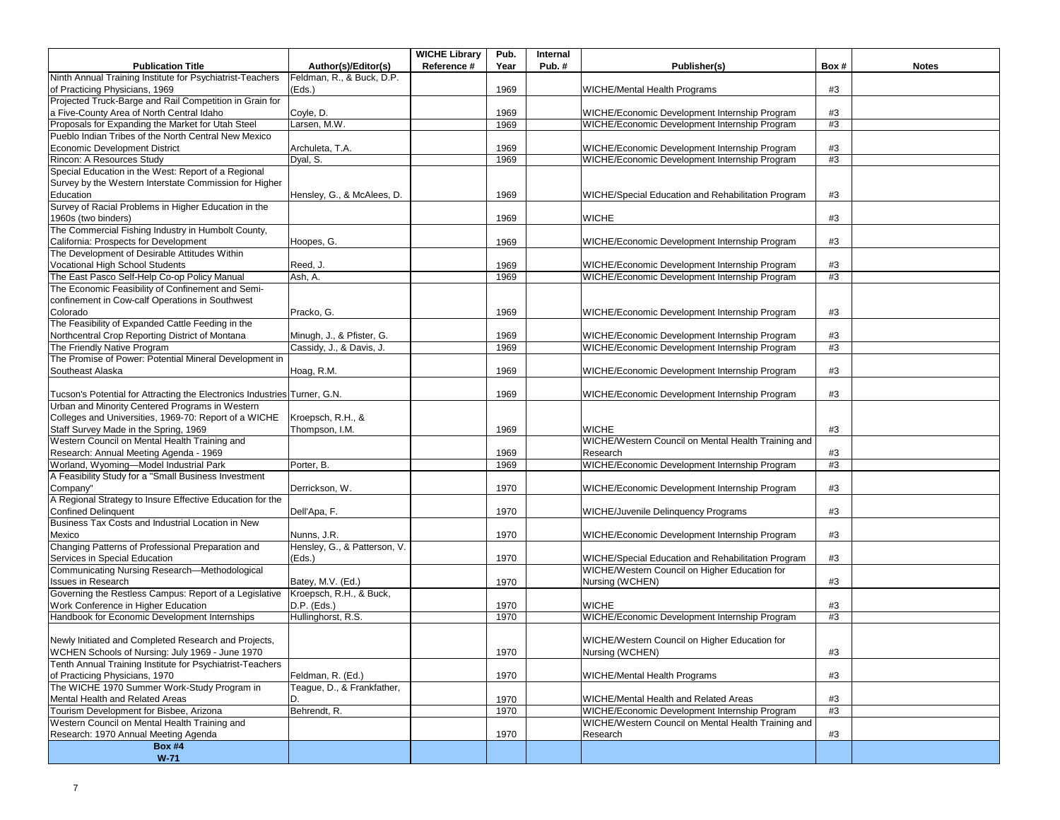|                                                                                  |                              | <b>WICHE Library</b> | Pub. | Internal |                                                     |      |              |
|----------------------------------------------------------------------------------|------------------------------|----------------------|------|----------|-----------------------------------------------------|------|--------------|
| <b>Publication Title</b>                                                         | Author(s)/Editor(s)          | Reference #          | Year | Pub.#    | Publisher(s)                                        | Box# | <b>Notes</b> |
| Ninth Annual Training Institute for Psychiatrist-Teachers                        | Feldman, R., & Buck, D.P.    |                      |      |          |                                                     |      |              |
| of Practicing Physicians, 1969                                                   | (Eds.)                       |                      | 1969 |          | <b>WICHE/Mental Health Programs</b>                 | #3   |              |
| Projected Truck-Barge and Rail Competition in Grain for                          |                              |                      |      |          |                                                     |      |              |
| a Five-County Area of North Central Idaho                                        | Coyle, D.                    |                      | 1969 |          | WICHE/Economic Development Internship Program       | #3   |              |
| Proposals for Expanding the Market for Utah Steel                                | Larsen, M.W.                 |                      | 1969 |          | WICHE/Economic Development Internship Program       | #3   |              |
| Pueblo Indian Tribes of the North Central New Mexico                             |                              |                      |      |          |                                                     |      |              |
| <b>Economic Development District</b>                                             | Archuleta, T.A.              |                      | 1969 |          | WICHE/Economic Development Internship Program       | #3   |              |
| Rincon: A Resources Study                                                        | Dyal, S.                     |                      | 1969 |          | WICHE/Economic Development Internship Program       | #3   |              |
| Special Education in the West: Report of a Regional                              |                              |                      |      |          |                                                     |      |              |
| Survey by the Western Interstate Commission for Higher                           |                              |                      |      |          |                                                     |      |              |
| Education                                                                        | Hensley, G., & McAlees, D.   |                      | 1969 |          | WICHE/Special Education and Rehabilitation Program  | #3   |              |
| Survey of Racial Problems in Higher Education in the                             |                              |                      |      |          |                                                     |      |              |
| 1960s (two binders)                                                              |                              |                      | 1969 |          | <b>WICHE</b>                                        | #3   |              |
| The Commercial Fishing Industry in Humbolt County,                               |                              |                      |      |          |                                                     |      |              |
| California: Prospects for Development                                            | Hoopes, G.                   |                      | 1969 |          | WICHE/Economic Development Internship Program       | #3   |              |
| The Development of Desirable Attitudes Within                                    |                              |                      |      |          |                                                     |      |              |
| Vocational High School Students                                                  | Reed, J.                     |                      | 1969 |          | WICHE/Economic Development Internship Program       | #3   |              |
| The East Pasco Self-Help Co-op Policy Manual                                     | Ash, A.                      |                      | 1969 |          | WICHE/Economic Development Internship Program       | #3   |              |
| The Economic Feasibility of Confinement and Semi-                                |                              |                      |      |          |                                                     |      |              |
| confinement in Cow-calf Operations in Southwest                                  |                              |                      |      |          |                                                     |      |              |
| Colorado                                                                         | Pracko, G.                   |                      | 1969 |          | WICHE/Economic Development Internship Program       | #3   |              |
| The Feasibility of Expanded Cattle Feeding in the                                |                              |                      |      |          |                                                     |      |              |
| Northcentral Crop Reporting District of Montana                                  | Minugh, J., & Pfister, G.    |                      | 1969 |          | WICHE/Economic Development Internship Program       | #3   |              |
| The Friendly Native Program                                                      | Cassidy, J., & Davis, J.     |                      | 1969 |          | WICHE/Economic Development Internship Program       | #3   |              |
| The Promise of Power: Potential Mineral Development in                           |                              |                      |      |          |                                                     |      |              |
| Southeast Alaska                                                                 | Hoag, R.M.                   |                      | 1969 |          | WICHE/Economic Development Internship Program       | #3   |              |
|                                                                                  |                              |                      |      |          |                                                     |      |              |
| Tucson's Potential for Attracting the Electronics Industries Turner, G.N.        |                              |                      | 1969 |          | WICHE/Economic Development Internship Program       | #3   |              |
| Urban and Minority Centered Programs in Western                                  |                              |                      |      |          |                                                     |      |              |
| Colleges and Universities, 1969-70: Report of a WICHE                            | Kroepsch, R.H., &            |                      |      |          |                                                     |      |              |
| Staff Survey Made in the Spring, 1969                                            | Thompson, I.M.               |                      | 1969 |          | <b>WICHE</b>                                        | #3   |              |
| Western Council on Mental Health Training and                                    |                              |                      |      |          | WICHE/Western Council on Mental Health Training and |      |              |
| Research: Annual Meeting Agenda - 1969                                           |                              |                      | 1969 |          | Research                                            | #3   |              |
| Worland, Wyoming-Model Industrial Park                                           | Porter, B.                   |                      | 1969 |          | WICHE/Economic Development Internship Program       | #3   |              |
| A Feasibility Study for a "Small Business Investment                             |                              |                      |      |          |                                                     |      |              |
| Company"                                                                         | Derrickson, W.               |                      | 1970 |          | WICHE/Economic Development Internship Program       | #3   |              |
| A Regional Strategy to Insure Effective Education for the                        |                              |                      |      |          |                                                     |      |              |
| <b>Confined Delinquent</b>                                                       | Dell'Apa, F.                 |                      | 1970 |          | WICHE/Juvenile Delinquency Programs                 | #3   |              |
| Business Tax Costs and Industrial Location in New                                |                              |                      |      |          |                                                     |      |              |
| Mexico                                                                           | Nunns, J.R.                  |                      | 1970 |          | WICHE/Economic Development Internship Program       | #3   |              |
| Changing Patterns of Professional Preparation and                                | Hensley, G., & Patterson, V. |                      |      |          |                                                     |      |              |
| Services in Special Education                                                    | (Eds.)                       |                      | 1970 |          | WICHE/Special Education and Rehabilitation Program  | #3   |              |
| Communicating Nursing Research-Methodological                                    |                              |                      |      |          | WICHE/Western Council on Higher Education for       |      |              |
| <b>Issues in Research</b>                                                        | Batey, M.V. (Ed.)            |                      | 1970 |          | Nursing (WCHEN)                                     | #3   |              |
| Governing the Restless Campus: Report of a Legislative   Kroepsch, R.H., & Buck, |                              |                      |      |          |                                                     |      |              |
| Work Conference in Higher Education                                              | D.P. (Eds.)                  |                      | 1970 |          | <b>WICHE</b>                                        | #3   |              |
| Handbook for Economic Development Internships                                    | Hullinghorst, R.S.           |                      | 1970 |          | WICHE/Economic Development Internship Program       | #3   |              |
|                                                                                  |                              |                      |      |          |                                                     |      |              |
| Newly Initiated and Completed Research and Projects,                             |                              |                      |      |          | WICHE/Western Council on Higher Education for       |      |              |
| WCHEN Schools of Nursing: July 1969 - June 1970                                  |                              |                      | 1970 |          | Nursing (WCHEN)                                     | #3   |              |
| Tenth Annual Training Institute for Psychiatrist-Teachers                        |                              |                      |      |          |                                                     |      |              |
| of Practicing Physicians, 1970                                                   | Feldman, R. (Ed.)            |                      | 1970 |          | <b>WICHE/Mental Health Programs</b>                 | #3   |              |
| The WICHE 1970 Summer Work-Study Program in                                      | Teague, D., & Frankfather,   |                      |      |          |                                                     |      |              |
| Mental Health and Related Areas                                                  | D.                           |                      | 1970 |          | WICHE/Mental Health and Related Areas               | #3   |              |
| Tourism Development for Bisbee, Arizona                                          | Behrendt, R.                 |                      | 1970 |          | WICHE/Economic Development Internship Program       | #3   |              |
| Western Council on Mental Health Training and                                    |                              |                      |      |          | WICHE/Western Council on Mental Health Training and |      |              |
| Research: 1970 Annual Meeting Agenda                                             |                              |                      | 1970 |          | Research                                            | #3   |              |
| <b>Box #4</b>                                                                    |                              |                      |      |          |                                                     |      |              |
| $W-71$                                                                           |                              |                      |      |          |                                                     |      |              |
|                                                                                  |                              |                      |      |          |                                                     |      |              |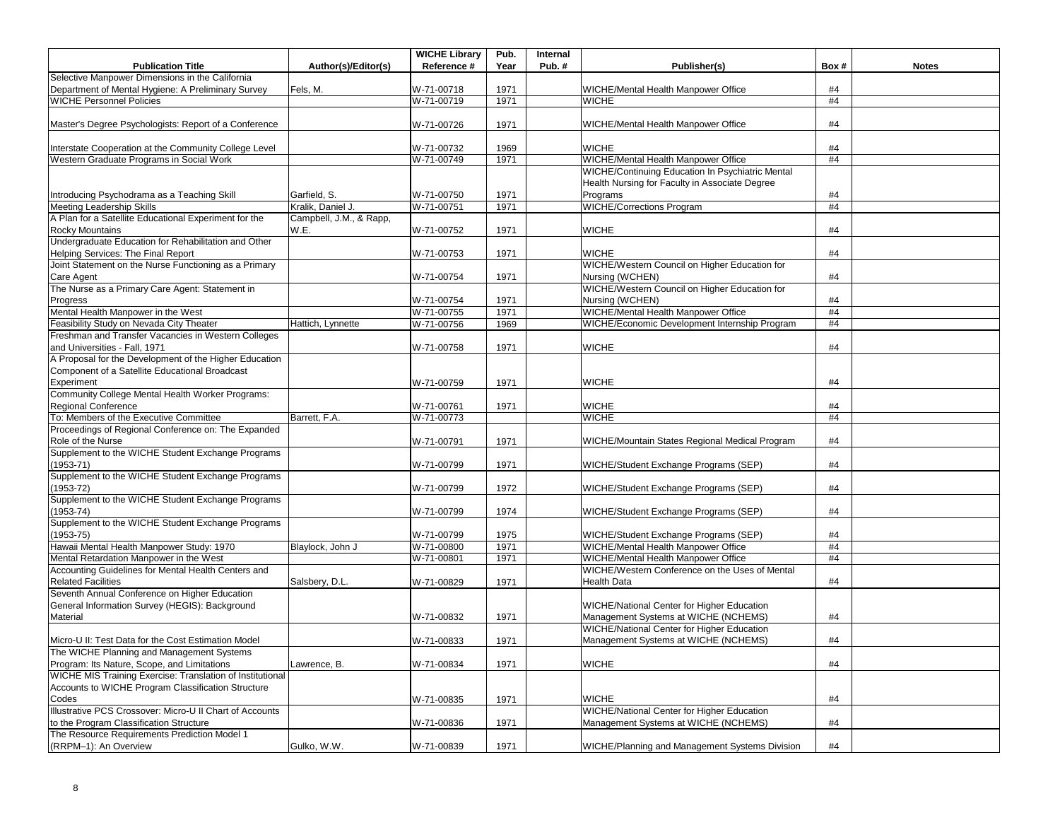|                                                                                                          |                         | <b>WICHE Library</b> | Pub. | Internal |                                                   |      |              |
|----------------------------------------------------------------------------------------------------------|-------------------------|----------------------|------|----------|---------------------------------------------------|------|--------------|
| <b>Publication Title</b>                                                                                 | Author(s)/Editor(s)     | Reference #          | Year | Pub.#    | Publisher(s)                                      | Box# | <b>Notes</b> |
| Selective Manpower Dimensions in the California                                                          |                         |                      |      |          |                                                   |      |              |
| Department of Mental Hygiene: A Preliminary Survey                                                       | Fels, M.                | W-71-00718           | 1971 |          | WICHE/Mental Health Manpower Office               | #4   |              |
| <b>WICHE Personnel Policies</b>                                                                          |                         | W-71-00719           | 1971 |          | <b>WICHE</b>                                      | #4   |              |
| Master's Degree Psychologists: Report of a Conference                                                    |                         | W-71-00726           | 1971 |          | WICHE/Mental Health Manpower Office               | #4   |              |
| Interstate Cooperation at the Community College Level                                                    |                         | W-71-00732           | 1969 |          | <b>WICHE</b>                                      | #4   |              |
| Western Graduate Programs in Social Work                                                                 |                         | W-71-00749           | 1971 |          | WICHE/Mental Health Manpower Office               | #4   |              |
|                                                                                                          |                         |                      |      |          | WICHE/Continuing Education In Psychiatric Mental  |      |              |
|                                                                                                          |                         |                      |      |          | Health Nursing for Faculty in Associate Degree    |      |              |
| Introducing Psychodrama as a Teaching Skill                                                              | Garfield, S.            | W-71-00750           | 1971 |          | Programs                                          | #4   |              |
| <b>Meeting Leadership Skills</b>                                                                         | Kralik, Daniel J.       | W-71-00751           | 1971 |          | <b>WICHE/Corrections Program</b>                  | #4   |              |
| A Plan for a Satellite Educational Experiment for the                                                    | Campbell, J.M., & Rapp, |                      |      |          |                                                   |      |              |
| Rocky Mountains                                                                                          | W.E.                    | W-71-00752           | 1971 |          | <b>WICHE</b>                                      | #4   |              |
| Undergraduate Education for Rehabilitation and Other                                                     |                         |                      |      |          |                                                   |      |              |
| Helping Services: The Final Report                                                                       |                         | W-71-00753           | 1971 |          | <b>WICHE</b>                                      | #4   |              |
| Joint Statement on the Nurse Functioning as a Primary                                                    |                         |                      |      |          | WICHE/Western Council on Higher Education for     |      |              |
| Care Agent                                                                                               |                         | W-71-00754           | 1971 |          | Nursing (WCHEN)                                   | #4   |              |
| The Nurse as a Primary Care Agent: Statement in                                                          |                         |                      |      |          | WICHE/Western Council on Higher Education for     |      |              |
| Progress                                                                                                 |                         | W-71-00754           | 1971 |          | Nursing (WCHEN)                                   | #4   |              |
| Mental Health Manpower in the West                                                                       |                         | W-71-00755           | 1971 |          | WICHE/Mental Health Manpower Office               | #4   |              |
| Feasibility Study on Nevada City Theater                                                                 | Hattich, Lynnette       | W-71-00756           | 1969 |          | WICHE/Economic Development Internship Program     | #4   |              |
| Freshman and Transfer Vacancies in Western Colleges                                                      |                         |                      |      |          |                                                   |      |              |
| and Universities - Fall, 1971                                                                            |                         | W-71-00758           | 1971 |          | <b>WICHE</b>                                      | #4   |              |
| A Proposal for the Development of the Higher Education                                                   |                         |                      |      |          |                                                   |      |              |
| Component of a Satellite Educational Broadcast<br>Experiment                                             |                         |                      | 1971 |          | <b>WICHE</b>                                      | #4   |              |
| Community College Mental Health Worker Programs:                                                         |                         | W-71-00759           |      |          |                                                   |      |              |
| <b>Regional Conference</b>                                                                               |                         | W-71-00761           | 1971 |          | <b>WICHE</b>                                      | #4   |              |
| To: Members of the Executive Committee                                                                   | Barrett, F.A.           | W-71-00773           |      |          | <b>WICHE</b>                                      | #4   |              |
| Proceedings of Regional Conference on: The Expanded                                                      |                         |                      |      |          |                                                   |      |              |
| Role of the Nurse                                                                                        |                         | W-71-00791           | 1971 |          | WICHE/Mountain States Regional Medical Program    | #4   |              |
| Supplement to the WICHE Student Exchange Programs                                                        |                         |                      |      |          |                                                   |      |              |
| $(1953 - 71)$                                                                                            |                         | W-71-00799           | 1971 |          | WICHE/Student Exchange Programs (SEP)             | #4   |              |
| Supplement to the WICHE Student Exchange Programs                                                        |                         |                      |      |          |                                                   |      |              |
| $(1953 - 72)$                                                                                            |                         | W-71-00799           | 1972 |          | WICHE/Student Exchange Programs (SEP)             | #4   |              |
| Supplement to the WICHE Student Exchange Programs                                                        |                         |                      |      |          |                                                   |      |              |
| $(1953 - 74)$                                                                                            |                         | W-71-00799           | 1974 |          | WICHE/Student Exchange Programs (SEP)             | #4   |              |
| Supplement to the WICHE Student Exchange Programs                                                        |                         |                      |      |          |                                                   |      |              |
| $(1953 - 75)$                                                                                            |                         | W-71-00799           | 1975 |          | WICHE/Student Exchange Programs (SEP)             | #4   |              |
| Hawaii Mental Health Manpower Study: 1970                                                                | Blaylock, John J        | W-71-00800           | 1971 |          | WICHE/Mental Health Manpower Office               | #4   |              |
| Mental Retardation Manpower in the West                                                                  |                         | W-71-00801           | 1971 |          | WICHE/Mental Health Manpower Office               | #4   |              |
| Accounting Guidelines for Mental Health Centers and                                                      |                         |                      |      |          | WICHE/Western Conference on the Uses of Mental    |      |              |
| <b>Related Facilities</b>                                                                                | Salsbery, D.L.          | W-71-00829           | 1971 |          | <b>Health Data</b>                                | #4   |              |
| Seventh Annual Conference on Higher Education                                                            |                         |                      |      |          |                                                   |      |              |
| General Information Survey (HEGIS): Background                                                           |                         |                      |      |          | <b>WICHE/National Center for Higher Education</b> |      |              |
| <b>Material</b>                                                                                          |                         | W-71-00832           | 1971 |          | Management Systems at WICHE (NCHEMS)              | #4   |              |
|                                                                                                          |                         |                      |      |          | WICHE/National Center for Higher Education        |      |              |
| Micro-U II: Test Data for the Cost Estimation Model                                                      |                         | W-71-00833           | 1971 |          | Management Systems at WICHE (NCHEMS)              | #4   |              |
| The WICHE Planning and Management Systems                                                                |                         |                      |      |          |                                                   |      |              |
| Program: Its Nature, Scope, and Limitations<br>WICHE MIS Training Exercise: Translation of Institutional | Lawrence, B.            | W-71-00834           | 1971 |          | <b>WICHE</b>                                      | #4   |              |
| Accounts to WICHE Program Classification Structure                                                       |                         |                      |      |          |                                                   |      |              |
| Codes                                                                                                    |                         | W-71-00835           | 1971 |          | <b>WICHE</b>                                      | #4   |              |
| Illustrative PCS Crossover: Micro-U II Chart of Accounts                                                 |                         |                      |      |          | WICHE/National Center for Higher Education        |      |              |
| to the Program Classification Structure                                                                  |                         | W-71-00836           | 1971 |          | Management Systems at WICHE (NCHEMS)              | #4   |              |
| The Resource Requirements Prediction Model 1                                                             |                         |                      |      |          |                                                   |      |              |
| (RRPM-1): An Overview                                                                                    | Gulko, W.W.             | W-71-00839           | 1971 |          | WICHE/Planning and Management Systems Division    | #4   |              |
|                                                                                                          |                         |                      |      |          |                                                   |      |              |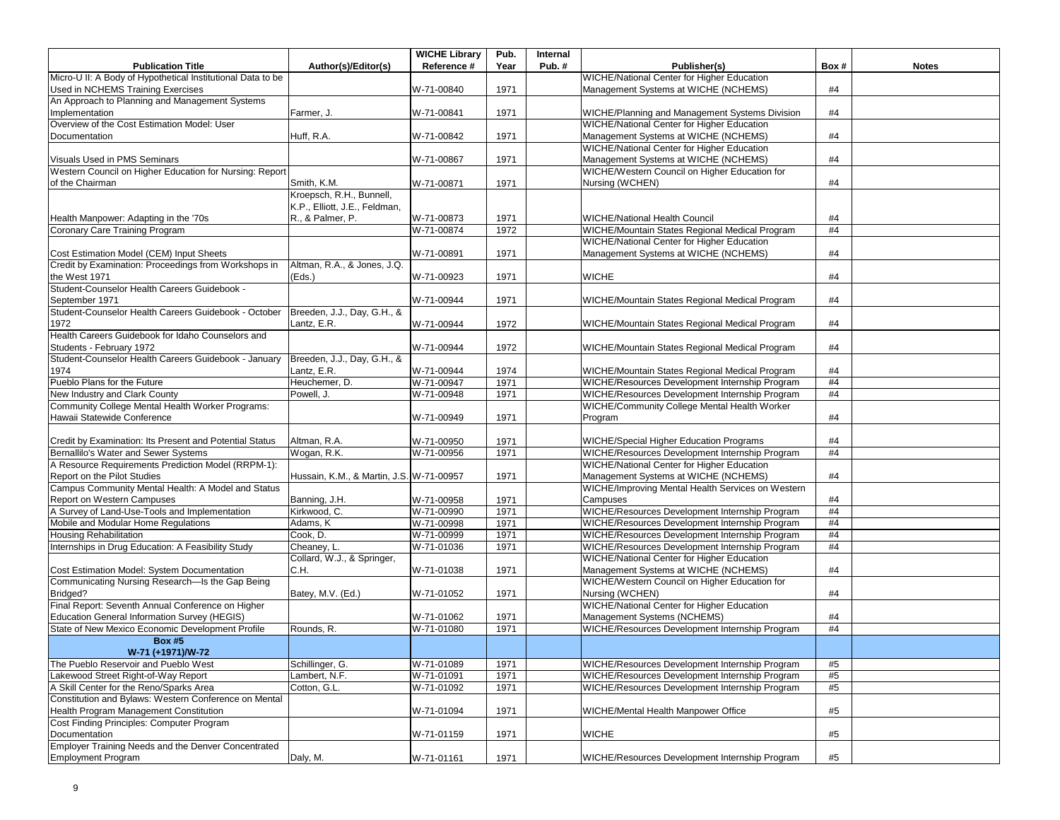|                                                                                                |                                          | <b>WICHE Library</b>     | Pub.         | Internal |                                                                                                  |          |              |
|------------------------------------------------------------------------------------------------|------------------------------------------|--------------------------|--------------|----------|--------------------------------------------------------------------------------------------------|----------|--------------|
| <b>Publication Title</b>                                                                       | Author(s)/Editor(s)                      | Reference #              | Year         | Pub. $#$ | Publisher(s)                                                                                     | Box#     | <b>Notes</b> |
| Micro-U II: A Body of Hypothetical Institutional Data to be                                    |                                          |                          |              |          | <b>WICHE/National Center for Higher Education</b>                                                |          |              |
| Used in NCHEMS Training Exercises                                                              |                                          | W-71-00840               | 1971         |          | Management Systems at WICHE (NCHEMS)                                                             | #4       |              |
| An Approach to Planning and Management Systems                                                 |                                          |                          |              |          |                                                                                                  |          |              |
| Implementation                                                                                 | Farmer, J.                               | W-71-00841               | 1971         |          | WICHE/Planning and Management Systems Division                                                   | #4       |              |
| Overview of the Cost Estimation Model: User                                                    |                                          |                          |              |          | WICHE/National Center for Higher Education                                                       |          |              |
| Documentation                                                                                  | Huff, R.A.                               | W-71-00842               | 1971         |          | Management Systems at WICHE (NCHEMS)                                                             | #4       |              |
|                                                                                                |                                          |                          |              |          | WICHE/National Center for Higher Education                                                       |          |              |
| Visuals Used in PMS Seminars                                                                   |                                          | W-71-00867               | 1971         |          | Management Systems at WICHE (NCHEMS)                                                             | #4       |              |
| Western Council on Higher Education for Nursing: Report                                        |                                          |                          |              |          | WICHE/Western Council on Higher Education for                                                    |          |              |
| of the Chairman                                                                                | Smith, K.M.                              | W-71-00871               | 1971         |          | Nursing (WCHEN)                                                                                  | #4       |              |
|                                                                                                | Kroepsch, R.H., Bunnell,                 |                          |              |          |                                                                                                  |          |              |
|                                                                                                | K.P., Elliott, J.E., Feldman,            |                          |              |          |                                                                                                  |          |              |
| Health Manpower: Adapting in the '70s                                                          | R., & Palmer, P.                         | W-71-00873               | 1971         |          | <b>WICHE/National Health Council</b>                                                             | #4       |              |
| Coronary Care Training Program                                                                 |                                          | W-71-00874               | 1972         |          | WICHE/Mountain States Regional Medical Program                                                   | #4       |              |
|                                                                                                |                                          |                          |              |          | <b>WICHE/National Center for Higher Education</b>                                                |          |              |
| Cost Estimation Model (CEM) Input Sheets                                                       |                                          | W-71-00891               | 1971         |          | Management Systems at WICHE (NCHEMS)                                                             | #4       |              |
| Credit by Examination: Proceedings from Workshops in                                           | Altman, R.A., & Jones, J.Q.              |                          |              |          |                                                                                                  |          |              |
| the West 1971                                                                                  | (Eds.)                                   | W-71-00923               | 1971         |          | <b>WICHE</b>                                                                                     | #4       |              |
| Student-Counselor Health Careers Guidebook -                                                   |                                          |                          |              |          |                                                                                                  |          |              |
| September 1971                                                                                 |                                          | W-71-00944               | 1971         |          | WICHE/Mountain States Regional Medical Program                                                   | #4       |              |
| Student-Counselor Health Careers Guidebook - October                                           | Breeden, J.J., Day, G.H., &              |                          |              |          |                                                                                                  |          |              |
| 1972                                                                                           | Lantz, E.R.                              | W-71-00944               | 1972         |          | WICHE/Mountain States Regional Medical Program                                                   | #4       |              |
| Health Careers Guidebook for Idaho Counselors and                                              |                                          |                          |              |          |                                                                                                  |          |              |
| Students - February 1972                                                                       |                                          | W-71-00944               | 1972         |          | WICHE/Mountain States Regional Medical Program                                                   | #4       |              |
| Student-Counselor Health Careers Guidebook - January                                           | Breeden, J.J., Day, G.H., &              |                          |              |          |                                                                                                  |          |              |
| 1974                                                                                           | Lantz, E.R.                              | W-71-00944               | 1974         |          | WICHE/Mountain States Regional Medical Program                                                   | #4       |              |
| Pueblo Plans for the Future                                                                    | Heuchemer, D.                            | W-71-00947               | 1971         |          | WICHE/Resources Development Internship Program                                                   | #4       |              |
| New Industry and Clark County                                                                  | Powell, J.                               | W-71-00948               | 1971         |          | WICHE/Resources Development Internship Program                                                   | #4       |              |
| Community College Mental Health Worker Programs:                                               |                                          |                          |              |          | WICHE/Community College Mental Health Worker                                                     |          |              |
| Hawaii Statewide Conference                                                                    |                                          | W-71-00949               | 1971         |          | Program                                                                                          | #4       |              |
|                                                                                                |                                          |                          |              |          |                                                                                                  |          |              |
| Credit by Examination: Its Present and Potential Status                                        | Altman, R.A.                             | W-71-00950               | 1971         |          | WICHE/Special Higher Education Programs                                                          | #4       |              |
| Bernallilo's Water and Sewer Systems                                                           | Wogan, R.K.                              | W-71-00956               | 1971         |          | WICHE/Resources Development Internship Program                                                   | #4       |              |
| A Resource Requirements Prediction Model (RRPM-1):                                             |                                          |                          |              |          | WICHE/National Center for Higher Education                                                       |          |              |
| Report on the Pilot Studies                                                                    | Hussain, K.M., & Martin, J.S. W-71-00957 |                          | 1971         |          | Management Systems at WICHE (NCHEMS)                                                             | #4       |              |
| Campus Community Mental Health: A Model and Status                                             |                                          |                          |              |          | WICHE/Improving Mental Health Services on Western                                                |          |              |
| <b>Report on Western Campuses</b>                                                              | Banning, J.H.                            | W-71-00958               | 1971         |          | Campuses                                                                                         | #4       |              |
| A Survey of Land-Use-Tools and Implementation                                                  | Kirkwood, C.                             | W-71-00990               | 1971         |          | WICHE/Resources Development Internship Program                                                   | #4       |              |
| Mobile and Modular Home Regulations                                                            | Adams, K                                 | W-71-00998               | 1971         |          | WICHE/Resources Development Internship Program                                                   | #4       |              |
| <b>Housing Rehabilitation</b>                                                                  | Cook, D.                                 | W-71-00999               | 1971         |          | WICHE/Resources Development Internship Program                                                   | #4       |              |
| Internships in Drug Education: A Feasibility Study                                             | Cheaney, L.                              | W-71-01036               | 1971         |          | WICHE/Resources Development Internship Program                                                   | #4       |              |
|                                                                                                | Collard, W.J., & Springer,               |                          |              |          | <b>WICHE/National Center for Higher Education</b>                                                |          |              |
| Cost Estimation Model: System Documentation<br>Communicating Nursing Research-Is the Gap Being | C.H.                                     | W-71-01038               | 1971         |          | Management Systems at WICHE (NCHEMS)<br>WICHE/Western Council on Higher Education for            | #4       |              |
|                                                                                                |                                          |                          |              |          |                                                                                                  |          |              |
| Bridged?<br>Final Report: Seventh Annual Conference on Higher                                  | Batey, M.V. (Ed.)                        | W-71-01052               | 1971         |          | Nursing (WCHEN)<br><b>WICHE/National Center for Higher Education</b>                             | #4       |              |
| <b>Education General Information Survey (HEGIS)</b>                                            |                                          |                          |              |          |                                                                                                  |          |              |
| State of New Mexico Economic Development Profile                                               |                                          | W-71-01062               | 1971         |          | Management Systems (NCHEMS)<br>WICHE/Resources Development Internship Program                    | #4<br>#4 |              |
|                                                                                                | Rounds, R.                               | W-71-01080               | 1971         |          |                                                                                                  |          |              |
| <b>Box #5</b><br>W-71 (+1971)/W-72                                                             |                                          |                          |              |          |                                                                                                  |          |              |
| The Pueblo Reservoir and Pueblo West                                                           | Schillinger, G.                          | W-71-01089               | 1971         |          | WICHE/Resources Development Internship Program                                                   | #5       |              |
|                                                                                                | Lambert, N.F.                            |                          |              |          |                                                                                                  | #5       |              |
| Lakewood Street Right-of-Way Report<br>A Skill Center for the Reno/Sparks Area                 | Cotton, G.L.                             | W-71-01091<br>W-71-01092 | 1971<br>1971 |          | WICHE/Resources Development Internship Program<br>WICHE/Resources Development Internship Program | #5       |              |
| Constitution and Bylaws: Western Conference on Mental                                          |                                          |                          |              |          |                                                                                                  |          |              |
| Health Program Management Constitution                                                         |                                          | W-71-01094               | 1971         |          | WICHE/Mental Health Manpower Office                                                              | #5       |              |
| Cost Finding Principles: Computer Program                                                      |                                          |                          |              |          |                                                                                                  |          |              |
| Documentation                                                                                  |                                          | W-71-01159               | 1971         |          | <b>WICHE</b>                                                                                     | #5       |              |
| Employer Training Needs and the Denver Concentrated                                            |                                          |                          |              |          |                                                                                                  |          |              |
| <b>Employment Program</b>                                                                      | Daly, M.                                 | W-71-01161               | 1971         |          | WICHE/Resources Development Internship Program                                                   | #5       |              |
|                                                                                                |                                          |                          |              |          |                                                                                                  |          |              |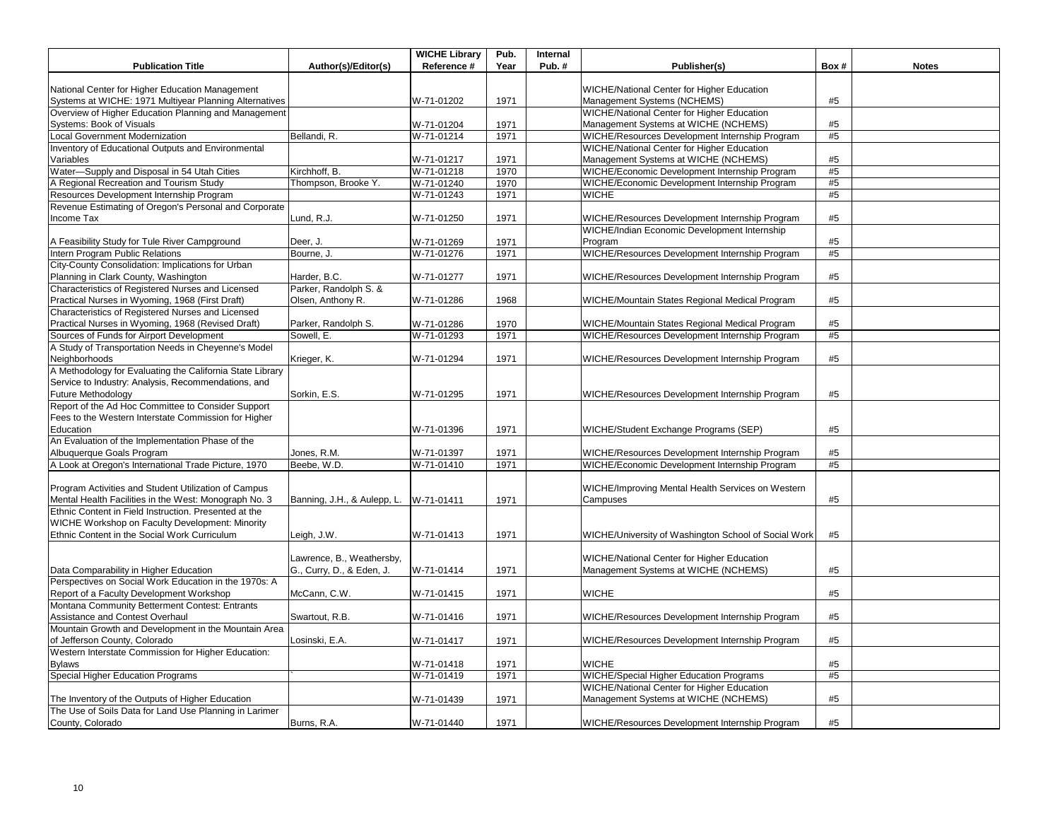| National Center for Higher Education Management<br>WICHE/National Center for Higher Education<br>Management Systems (NCHEMS)<br>Systems at WICHE: 1971 Multiyear Planning Alternatives<br>#5<br>W-71-01202<br>1971<br><b>WICHE/National Center for Higher Education</b><br>Overview of Higher Education Planning and Management<br>Systems: Book of Visuals<br>1971<br>Management Systems at WICHE (NCHEMS)<br>W-71-01204<br>#5<br><b>Local Government Modernization</b><br>Bellandi, R.<br>W-71-01214<br>1971<br>WICHE/Resources Development Internship Program<br>#5<br>Inventory of Educational Outputs and Environmental<br>WICHE/National Center for Higher Education<br>1971<br>Management Systems at WICHE (NCHEMS)<br>Variables<br>W-71-01217<br>#5<br>Water-Supply and Disposal in 54 Utah Cities<br>Kirchhoff, B.<br>1970<br>WICHE/Economic Development Internship Program<br>#5<br>W-71-01218<br>A Regional Recreation and Tourism Study<br>W-71-01240<br>1970<br>WICHE/Economic Development Internship Program<br>Thompson, Brooke Y.<br>#5<br>W-71-01243<br>1971<br><b>WICHE</b><br>#5<br>Resources Development Internship Program<br>Revenue Estimating of Oregon's Personal and Corporate<br>Lund, R.J.<br>W-71-01250<br>1971<br>WICHE/Resources Development Internship Program<br>#5<br>Income Tax<br>WICHE/Indian Economic Development Internship<br>A Feasibility Study for Tule River Campground<br>1971<br>Program<br>#5<br>Deer, J.<br>W-71-01269<br>Intern Program Public Relations<br>W-71-01276<br>1971<br>WICHE/Resources Development Internship Program<br>#5<br>Bourne, J.<br>City-County Consolidation: Implications for Urban<br>Planning in Clark County, Washington<br>Harder, B.C.<br>1971<br>WICHE/Resources Development Internship Program<br>#5<br>W-71-01277<br>Characteristics of Registered Nurses and Licensed<br>Parker, Randolph S. &<br>Practical Nurses in Wyoming, 1968 (First Draft)<br>Olsen, Anthony R.<br>W-71-01286<br>1968<br>WICHE/Mountain States Regional Medical Program<br>#5<br>Characteristics of Registered Nurses and Licensed<br>Practical Nurses in Wyoming, 1968 (Revised Draft)<br>W-71-01286<br>1970<br>WICHE/Mountain States Regional Medical Program<br>#5<br>Parker, Randolph S.<br>WICHE/Resources Development Internship Program<br>Sources of Funds for Airport Development<br>Sowell, E.<br>W-71-01293<br>1971<br>#5<br>A Study of Transportation Needs in Cheyenne's Model<br>Neighborhoods<br>W-71-01294<br>1971<br>WICHE/Resources Development Internship Program<br>#5<br>Krieger, K.<br>A Methodology for Evaluating the California State Library<br>Service to Industry: Analysis, Recommendations, and<br>Future Methodology<br>1971<br>#5<br>Sorkin, E.S.<br>W-71-01295<br>WICHE/Resources Development Internship Program<br>Report of the Ad Hoc Committee to Consider Support<br>Fees to the Western Interstate Commission for Higher<br>WICHE/Student Exchange Programs (SEP)<br>#5<br>Education<br>W-71-01396<br>1971<br>An Evaluation of the Implementation Phase of the<br>Albuquerque Goals Program<br>1971<br>WICHE/Resources Development Internship Program<br>Jones, R.M.<br>W-71-01397<br>#5<br>A Look at Oregon's International Trade Picture, 1970<br>Beebe, W.D.<br>W-71-01410<br>1971<br>WICHE/Economic Development Internship Program<br>#5<br>Program Activities and Student Utilization of Campus<br>WICHE/Improving Mental Health Services on Western<br>Mental Health Facilities in the West: Monograph No. 3<br>Banning, J.H., & Aulepp, L.<br>Campuses<br>#5<br>W-71-01411<br>1971<br>Ethnic Content in Field Instruction. Presented at the<br>WICHE Workshop on Faculty Development: Minority<br>Ethnic Content in the Social Work Curriculum<br>Leigh, J.W.<br>WICHE/University of Washington School of Social Work<br>W-71-01413<br>1971<br>#5<br>Lawrence, B., Weathersby,<br>WICHE/National Center for Higher Education<br>Management Systems at WICHE (NCHEMS)<br>G., Curry, D., & Eden, J.<br>#5<br>Data Comparability in Higher Education<br>1971<br>W-71-01414<br>Perspectives on Social Work Education in the 1970s: A<br><b>WICHE</b><br>Report of a Faculty Development Workshop<br>McCann, C.W.<br>W-71-01415<br>1971<br>#5<br>Montana Community Betterment Contest: Entrants<br>Assistance and Contest Overhaul<br>Swartout, R.B.<br>W-71-01416<br>1971<br>WICHE/Resources Development Internship Program<br>#5<br>Mountain Growth and Development in the Mountain Area<br>of Jefferson County, Colorado<br>1971<br>#5<br>Losinski, E.A.<br>W-71-01417<br>WICHE/Resources Development Internship Program<br>Western Interstate Commission for Higher Education:<br><b>WICHE</b><br>#5<br><b>Bylaws</b><br>W-71-01418<br>1971<br>W-71-01419<br>1971<br>WICHE/Special Higher Education Programs<br>#5<br>Special Higher Education Programs<br><b>WICHE/National Center for Higher Education</b><br>Management Systems at WICHE (NCHEMS)<br>The Inventory of the Outputs of Higher Education<br>W-71-01439<br>1971<br>#5<br>The Use of Soils Data for Land Use Planning in Larimer<br>County, Colorado<br>Burns, R.A.<br>W-71-01440<br>1971<br>#5<br>WICHE/Resources Development Internship Program |                          |                     | <b>WICHE Library</b> | Pub. | Internal |              |      |              |
|---------------------------------------------------------------------------------------------------------------------------------------------------------------------------------------------------------------------------------------------------------------------------------------------------------------------------------------------------------------------------------------------------------------------------------------------------------------------------------------------------------------------------------------------------------------------------------------------------------------------------------------------------------------------------------------------------------------------------------------------------------------------------------------------------------------------------------------------------------------------------------------------------------------------------------------------------------------------------------------------------------------------------------------------------------------------------------------------------------------------------------------------------------------------------------------------------------------------------------------------------------------------------------------------------------------------------------------------------------------------------------------------------------------------------------------------------------------------------------------------------------------------------------------------------------------------------------------------------------------------------------------------------------------------------------------------------------------------------------------------------------------------------------------------------------------------------------------------------------------------------------------------------------------------------------------------------------------------------------------------------------------------------------------------------------------------------------------------------------------------------------------------------------------------------------------------------------------------------------------------------------------------------------------------------------------------------------------------------------------------------------------------------------------------------------------------------------------------------------------------------------------------------------------------------------------------------------------------------------------------------------------------------------------------------------------------------------------------------------------------------------------------------------------------------------------------------------------------------------------------------------------------------------------------------------------------------------------------------------------------------------------------------------------------------------------------------------------------------------------------------------------------------------------------------------------------------------------------------------------------------------------------------------------------------------------------------------------------------------------------------------------------------------------------------------------------------------------------------------------------------------------------------------------------------------------------------------------------------------------------------------------------------------------------------------------------------------------------------------------------------------------------------------------------------------------------------------------------------------------------------------------------------------------------------------------------------------------------------------------------------------------------------------------------------------------------------------------------------------------------------------------------------------------------------------------------------------------------------------------------------------------------------------------------------------------------------------------------------------------------------------------------------------------------------------------------------------------------------------------------------------------------------------------------------------------------------------------------------------------------------------------------------------------------------------------------------------------------------------------------------------------------------------------------------------------------------------------------------------------------------------------------------------------------------------------------------------------------------------------------------------------------------------------------------------------------------------------------------------------------------------------------------------------------------------------------------------------------|--------------------------|---------------------|----------------------|------|----------|--------------|------|--------------|
|                                                                                                                                                                                                                                                                                                                                                                                                                                                                                                                                                                                                                                                                                                                                                                                                                                                                                                                                                                                                                                                                                                                                                                                                                                                                                                                                                                                                                                                                                                                                                                                                                                                                                                                                                                                                                                                                                                                                                                                                                                                                                                                                                                                                                                                                                                                                                                                                                                                                                                                                                                                                                                                                                                                                                                                                                                                                                                                                                                                                                                                                                                                                                                                                                                                                                                                                                                                                                                                                                                                                                                                                                                                                                                                                                                                                                                                                                                                                                                                                                                                                                                                                                                                                                                                                                                                                                                                                                                                                                                                                                                                                                                                                                                                                                                                                                                                                                                                                                                                                                                                                                                                                                                                                                     | <b>Publication Title</b> | Author(s)/Editor(s) | Reference #          | Year | Pub.#    | Publisher(s) | Box# | <b>Notes</b> |
|                                                                                                                                                                                                                                                                                                                                                                                                                                                                                                                                                                                                                                                                                                                                                                                                                                                                                                                                                                                                                                                                                                                                                                                                                                                                                                                                                                                                                                                                                                                                                                                                                                                                                                                                                                                                                                                                                                                                                                                                                                                                                                                                                                                                                                                                                                                                                                                                                                                                                                                                                                                                                                                                                                                                                                                                                                                                                                                                                                                                                                                                                                                                                                                                                                                                                                                                                                                                                                                                                                                                                                                                                                                                                                                                                                                                                                                                                                                                                                                                                                                                                                                                                                                                                                                                                                                                                                                                                                                                                                                                                                                                                                                                                                                                                                                                                                                                                                                                                                                                                                                                                                                                                                                                                     |                          |                     |                      |      |          |              |      |              |
|                                                                                                                                                                                                                                                                                                                                                                                                                                                                                                                                                                                                                                                                                                                                                                                                                                                                                                                                                                                                                                                                                                                                                                                                                                                                                                                                                                                                                                                                                                                                                                                                                                                                                                                                                                                                                                                                                                                                                                                                                                                                                                                                                                                                                                                                                                                                                                                                                                                                                                                                                                                                                                                                                                                                                                                                                                                                                                                                                                                                                                                                                                                                                                                                                                                                                                                                                                                                                                                                                                                                                                                                                                                                                                                                                                                                                                                                                                                                                                                                                                                                                                                                                                                                                                                                                                                                                                                                                                                                                                                                                                                                                                                                                                                                                                                                                                                                                                                                                                                                                                                                                                                                                                                                                     |                          |                     |                      |      |          |              |      |              |
|                                                                                                                                                                                                                                                                                                                                                                                                                                                                                                                                                                                                                                                                                                                                                                                                                                                                                                                                                                                                                                                                                                                                                                                                                                                                                                                                                                                                                                                                                                                                                                                                                                                                                                                                                                                                                                                                                                                                                                                                                                                                                                                                                                                                                                                                                                                                                                                                                                                                                                                                                                                                                                                                                                                                                                                                                                                                                                                                                                                                                                                                                                                                                                                                                                                                                                                                                                                                                                                                                                                                                                                                                                                                                                                                                                                                                                                                                                                                                                                                                                                                                                                                                                                                                                                                                                                                                                                                                                                                                                                                                                                                                                                                                                                                                                                                                                                                                                                                                                                                                                                                                                                                                                                                                     |                          |                     |                      |      |          |              |      |              |
|                                                                                                                                                                                                                                                                                                                                                                                                                                                                                                                                                                                                                                                                                                                                                                                                                                                                                                                                                                                                                                                                                                                                                                                                                                                                                                                                                                                                                                                                                                                                                                                                                                                                                                                                                                                                                                                                                                                                                                                                                                                                                                                                                                                                                                                                                                                                                                                                                                                                                                                                                                                                                                                                                                                                                                                                                                                                                                                                                                                                                                                                                                                                                                                                                                                                                                                                                                                                                                                                                                                                                                                                                                                                                                                                                                                                                                                                                                                                                                                                                                                                                                                                                                                                                                                                                                                                                                                                                                                                                                                                                                                                                                                                                                                                                                                                                                                                                                                                                                                                                                                                                                                                                                                                                     |                          |                     |                      |      |          |              |      |              |
|                                                                                                                                                                                                                                                                                                                                                                                                                                                                                                                                                                                                                                                                                                                                                                                                                                                                                                                                                                                                                                                                                                                                                                                                                                                                                                                                                                                                                                                                                                                                                                                                                                                                                                                                                                                                                                                                                                                                                                                                                                                                                                                                                                                                                                                                                                                                                                                                                                                                                                                                                                                                                                                                                                                                                                                                                                                                                                                                                                                                                                                                                                                                                                                                                                                                                                                                                                                                                                                                                                                                                                                                                                                                                                                                                                                                                                                                                                                                                                                                                                                                                                                                                                                                                                                                                                                                                                                                                                                                                                                                                                                                                                                                                                                                                                                                                                                                                                                                                                                                                                                                                                                                                                                                                     |                          |                     |                      |      |          |              |      |              |
|                                                                                                                                                                                                                                                                                                                                                                                                                                                                                                                                                                                                                                                                                                                                                                                                                                                                                                                                                                                                                                                                                                                                                                                                                                                                                                                                                                                                                                                                                                                                                                                                                                                                                                                                                                                                                                                                                                                                                                                                                                                                                                                                                                                                                                                                                                                                                                                                                                                                                                                                                                                                                                                                                                                                                                                                                                                                                                                                                                                                                                                                                                                                                                                                                                                                                                                                                                                                                                                                                                                                                                                                                                                                                                                                                                                                                                                                                                                                                                                                                                                                                                                                                                                                                                                                                                                                                                                                                                                                                                                                                                                                                                                                                                                                                                                                                                                                                                                                                                                                                                                                                                                                                                                                                     |                          |                     |                      |      |          |              |      |              |
|                                                                                                                                                                                                                                                                                                                                                                                                                                                                                                                                                                                                                                                                                                                                                                                                                                                                                                                                                                                                                                                                                                                                                                                                                                                                                                                                                                                                                                                                                                                                                                                                                                                                                                                                                                                                                                                                                                                                                                                                                                                                                                                                                                                                                                                                                                                                                                                                                                                                                                                                                                                                                                                                                                                                                                                                                                                                                                                                                                                                                                                                                                                                                                                                                                                                                                                                                                                                                                                                                                                                                                                                                                                                                                                                                                                                                                                                                                                                                                                                                                                                                                                                                                                                                                                                                                                                                                                                                                                                                                                                                                                                                                                                                                                                                                                                                                                                                                                                                                                                                                                                                                                                                                                                                     |                          |                     |                      |      |          |              |      |              |
|                                                                                                                                                                                                                                                                                                                                                                                                                                                                                                                                                                                                                                                                                                                                                                                                                                                                                                                                                                                                                                                                                                                                                                                                                                                                                                                                                                                                                                                                                                                                                                                                                                                                                                                                                                                                                                                                                                                                                                                                                                                                                                                                                                                                                                                                                                                                                                                                                                                                                                                                                                                                                                                                                                                                                                                                                                                                                                                                                                                                                                                                                                                                                                                                                                                                                                                                                                                                                                                                                                                                                                                                                                                                                                                                                                                                                                                                                                                                                                                                                                                                                                                                                                                                                                                                                                                                                                                                                                                                                                                                                                                                                                                                                                                                                                                                                                                                                                                                                                                                                                                                                                                                                                                                                     |                          |                     |                      |      |          |              |      |              |
|                                                                                                                                                                                                                                                                                                                                                                                                                                                                                                                                                                                                                                                                                                                                                                                                                                                                                                                                                                                                                                                                                                                                                                                                                                                                                                                                                                                                                                                                                                                                                                                                                                                                                                                                                                                                                                                                                                                                                                                                                                                                                                                                                                                                                                                                                                                                                                                                                                                                                                                                                                                                                                                                                                                                                                                                                                                                                                                                                                                                                                                                                                                                                                                                                                                                                                                                                                                                                                                                                                                                                                                                                                                                                                                                                                                                                                                                                                                                                                                                                                                                                                                                                                                                                                                                                                                                                                                                                                                                                                                                                                                                                                                                                                                                                                                                                                                                                                                                                                                                                                                                                                                                                                                                                     |                          |                     |                      |      |          |              |      |              |
|                                                                                                                                                                                                                                                                                                                                                                                                                                                                                                                                                                                                                                                                                                                                                                                                                                                                                                                                                                                                                                                                                                                                                                                                                                                                                                                                                                                                                                                                                                                                                                                                                                                                                                                                                                                                                                                                                                                                                                                                                                                                                                                                                                                                                                                                                                                                                                                                                                                                                                                                                                                                                                                                                                                                                                                                                                                                                                                                                                                                                                                                                                                                                                                                                                                                                                                                                                                                                                                                                                                                                                                                                                                                                                                                                                                                                                                                                                                                                                                                                                                                                                                                                                                                                                                                                                                                                                                                                                                                                                                                                                                                                                                                                                                                                                                                                                                                                                                                                                                                                                                                                                                                                                                                                     |                          |                     |                      |      |          |              |      |              |
|                                                                                                                                                                                                                                                                                                                                                                                                                                                                                                                                                                                                                                                                                                                                                                                                                                                                                                                                                                                                                                                                                                                                                                                                                                                                                                                                                                                                                                                                                                                                                                                                                                                                                                                                                                                                                                                                                                                                                                                                                                                                                                                                                                                                                                                                                                                                                                                                                                                                                                                                                                                                                                                                                                                                                                                                                                                                                                                                                                                                                                                                                                                                                                                                                                                                                                                                                                                                                                                                                                                                                                                                                                                                                                                                                                                                                                                                                                                                                                                                                                                                                                                                                                                                                                                                                                                                                                                                                                                                                                                                                                                                                                                                                                                                                                                                                                                                                                                                                                                                                                                                                                                                                                                                                     |                          |                     |                      |      |          |              |      |              |
|                                                                                                                                                                                                                                                                                                                                                                                                                                                                                                                                                                                                                                                                                                                                                                                                                                                                                                                                                                                                                                                                                                                                                                                                                                                                                                                                                                                                                                                                                                                                                                                                                                                                                                                                                                                                                                                                                                                                                                                                                                                                                                                                                                                                                                                                                                                                                                                                                                                                                                                                                                                                                                                                                                                                                                                                                                                                                                                                                                                                                                                                                                                                                                                                                                                                                                                                                                                                                                                                                                                                                                                                                                                                                                                                                                                                                                                                                                                                                                                                                                                                                                                                                                                                                                                                                                                                                                                                                                                                                                                                                                                                                                                                                                                                                                                                                                                                                                                                                                                                                                                                                                                                                                                                                     |                          |                     |                      |      |          |              |      |              |
|                                                                                                                                                                                                                                                                                                                                                                                                                                                                                                                                                                                                                                                                                                                                                                                                                                                                                                                                                                                                                                                                                                                                                                                                                                                                                                                                                                                                                                                                                                                                                                                                                                                                                                                                                                                                                                                                                                                                                                                                                                                                                                                                                                                                                                                                                                                                                                                                                                                                                                                                                                                                                                                                                                                                                                                                                                                                                                                                                                                                                                                                                                                                                                                                                                                                                                                                                                                                                                                                                                                                                                                                                                                                                                                                                                                                                                                                                                                                                                                                                                                                                                                                                                                                                                                                                                                                                                                                                                                                                                                                                                                                                                                                                                                                                                                                                                                                                                                                                                                                                                                                                                                                                                                                                     |                          |                     |                      |      |          |              |      |              |
|                                                                                                                                                                                                                                                                                                                                                                                                                                                                                                                                                                                                                                                                                                                                                                                                                                                                                                                                                                                                                                                                                                                                                                                                                                                                                                                                                                                                                                                                                                                                                                                                                                                                                                                                                                                                                                                                                                                                                                                                                                                                                                                                                                                                                                                                                                                                                                                                                                                                                                                                                                                                                                                                                                                                                                                                                                                                                                                                                                                                                                                                                                                                                                                                                                                                                                                                                                                                                                                                                                                                                                                                                                                                                                                                                                                                                                                                                                                                                                                                                                                                                                                                                                                                                                                                                                                                                                                                                                                                                                                                                                                                                                                                                                                                                                                                                                                                                                                                                                                                                                                                                                                                                                                                                     |                          |                     |                      |      |          |              |      |              |
|                                                                                                                                                                                                                                                                                                                                                                                                                                                                                                                                                                                                                                                                                                                                                                                                                                                                                                                                                                                                                                                                                                                                                                                                                                                                                                                                                                                                                                                                                                                                                                                                                                                                                                                                                                                                                                                                                                                                                                                                                                                                                                                                                                                                                                                                                                                                                                                                                                                                                                                                                                                                                                                                                                                                                                                                                                                                                                                                                                                                                                                                                                                                                                                                                                                                                                                                                                                                                                                                                                                                                                                                                                                                                                                                                                                                                                                                                                                                                                                                                                                                                                                                                                                                                                                                                                                                                                                                                                                                                                                                                                                                                                                                                                                                                                                                                                                                                                                                                                                                                                                                                                                                                                                                                     |                          |                     |                      |      |          |              |      |              |
|                                                                                                                                                                                                                                                                                                                                                                                                                                                                                                                                                                                                                                                                                                                                                                                                                                                                                                                                                                                                                                                                                                                                                                                                                                                                                                                                                                                                                                                                                                                                                                                                                                                                                                                                                                                                                                                                                                                                                                                                                                                                                                                                                                                                                                                                                                                                                                                                                                                                                                                                                                                                                                                                                                                                                                                                                                                                                                                                                                                                                                                                                                                                                                                                                                                                                                                                                                                                                                                                                                                                                                                                                                                                                                                                                                                                                                                                                                                                                                                                                                                                                                                                                                                                                                                                                                                                                                                                                                                                                                                                                                                                                                                                                                                                                                                                                                                                                                                                                                                                                                                                                                                                                                                                                     |                          |                     |                      |      |          |              |      |              |
|                                                                                                                                                                                                                                                                                                                                                                                                                                                                                                                                                                                                                                                                                                                                                                                                                                                                                                                                                                                                                                                                                                                                                                                                                                                                                                                                                                                                                                                                                                                                                                                                                                                                                                                                                                                                                                                                                                                                                                                                                                                                                                                                                                                                                                                                                                                                                                                                                                                                                                                                                                                                                                                                                                                                                                                                                                                                                                                                                                                                                                                                                                                                                                                                                                                                                                                                                                                                                                                                                                                                                                                                                                                                                                                                                                                                                                                                                                                                                                                                                                                                                                                                                                                                                                                                                                                                                                                                                                                                                                                                                                                                                                                                                                                                                                                                                                                                                                                                                                                                                                                                                                                                                                                                                     |                          |                     |                      |      |          |              |      |              |
|                                                                                                                                                                                                                                                                                                                                                                                                                                                                                                                                                                                                                                                                                                                                                                                                                                                                                                                                                                                                                                                                                                                                                                                                                                                                                                                                                                                                                                                                                                                                                                                                                                                                                                                                                                                                                                                                                                                                                                                                                                                                                                                                                                                                                                                                                                                                                                                                                                                                                                                                                                                                                                                                                                                                                                                                                                                                                                                                                                                                                                                                                                                                                                                                                                                                                                                                                                                                                                                                                                                                                                                                                                                                                                                                                                                                                                                                                                                                                                                                                                                                                                                                                                                                                                                                                                                                                                                                                                                                                                                                                                                                                                                                                                                                                                                                                                                                                                                                                                                                                                                                                                                                                                                                                     |                          |                     |                      |      |          |              |      |              |
|                                                                                                                                                                                                                                                                                                                                                                                                                                                                                                                                                                                                                                                                                                                                                                                                                                                                                                                                                                                                                                                                                                                                                                                                                                                                                                                                                                                                                                                                                                                                                                                                                                                                                                                                                                                                                                                                                                                                                                                                                                                                                                                                                                                                                                                                                                                                                                                                                                                                                                                                                                                                                                                                                                                                                                                                                                                                                                                                                                                                                                                                                                                                                                                                                                                                                                                                                                                                                                                                                                                                                                                                                                                                                                                                                                                                                                                                                                                                                                                                                                                                                                                                                                                                                                                                                                                                                                                                                                                                                                                                                                                                                                                                                                                                                                                                                                                                                                                                                                                                                                                                                                                                                                                                                     |                          |                     |                      |      |          |              |      |              |
|                                                                                                                                                                                                                                                                                                                                                                                                                                                                                                                                                                                                                                                                                                                                                                                                                                                                                                                                                                                                                                                                                                                                                                                                                                                                                                                                                                                                                                                                                                                                                                                                                                                                                                                                                                                                                                                                                                                                                                                                                                                                                                                                                                                                                                                                                                                                                                                                                                                                                                                                                                                                                                                                                                                                                                                                                                                                                                                                                                                                                                                                                                                                                                                                                                                                                                                                                                                                                                                                                                                                                                                                                                                                                                                                                                                                                                                                                                                                                                                                                                                                                                                                                                                                                                                                                                                                                                                                                                                                                                                                                                                                                                                                                                                                                                                                                                                                                                                                                                                                                                                                                                                                                                                                                     |                          |                     |                      |      |          |              |      |              |
|                                                                                                                                                                                                                                                                                                                                                                                                                                                                                                                                                                                                                                                                                                                                                                                                                                                                                                                                                                                                                                                                                                                                                                                                                                                                                                                                                                                                                                                                                                                                                                                                                                                                                                                                                                                                                                                                                                                                                                                                                                                                                                                                                                                                                                                                                                                                                                                                                                                                                                                                                                                                                                                                                                                                                                                                                                                                                                                                                                                                                                                                                                                                                                                                                                                                                                                                                                                                                                                                                                                                                                                                                                                                                                                                                                                                                                                                                                                                                                                                                                                                                                                                                                                                                                                                                                                                                                                                                                                                                                                                                                                                                                                                                                                                                                                                                                                                                                                                                                                                                                                                                                                                                                                                                     |                          |                     |                      |      |          |              |      |              |
|                                                                                                                                                                                                                                                                                                                                                                                                                                                                                                                                                                                                                                                                                                                                                                                                                                                                                                                                                                                                                                                                                                                                                                                                                                                                                                                                                                                                                                                                                                                                                                                                                                                                                                                                                                                                                                                                                                                                                                                                                                                                                                                                                                                                                                                                                                                                                                                                                                                                                                                                                                                                                                                                                                                                                                                                                                                                                                                                                                                                                                                                                                                                                                                                                                                                                                                                                                                                                                                                                                                                                                                                                                                                                                                                                                                                                                                                                                                                                                                                                                                                                                                                                                                                                                                                                                                                                                                                                                                                                                                                                                                                                                                                                                                                                                                                                                                                                                                                                                                                                                                                                                                                                                                                                     |                          |                     |                      |      |          |              |      |              |
|                                                                                                                                                                                                                                                                                                                                                                                                                                                                                                                                                                                                                                                                                                                                                                                                                                                                                                                                                                                                                                                                                                                                                                                                                                                                                                                                                                                                                                                                                                                                                                                                                                                                                                                                                                                                                                                                                                                                                                                                                                                                                                                                                                                                                                                                                                                                                                                                                                                                                                                                                                                                                                                                                                                                                                                                                                                                                                                                                                                                                                                                                                                                                                                                                                                                                                                                                                                                                                                                                                                                                                                                                                                                                                                                                                                                                                                                                                                                                                                                                                                                                                                                                                                                                                                                                                                                                                                                                                                                                                                                                                                                                                                                                                                                                                                                                                                                                                                                                                                                                                                                                                                                                                                                                     |                          |                     |                      |      |          |              |      |              |
|                                                                                                                                                                                                                                                                                                                                                                                                                                                                                                                                                                                                                                                                                                                                                                                                                                                                                                                                                                                                                                                                                                                                                                                                                                                                                                                                                                                                                                                                                                                                                                                                                                                                                                                                                                                                                                                                                                                                                                                                                                                                                                                                                                                                                                                                                                                                                                                                                                                                                                                                                                                                                                                                                                                                                                                                                                                                                                                                                                                                                                                                                                                                                                                                                                                                                                                                                                                                                                                                                                                                                                                                                                                                                                                                                                                                                                                                                                                                                                                                                                                                                                                                                                                                                                                                                                                                                                                                                                                                                                                                                                                                                                                                                                                                                                                                                                                                                                                                                                                                                                                                                                                                                                                                                     |                          |                     |                      |      |          |              |      |              |
|                                                                                                                                                                                                                                                                                                                                                                                                                                                                                                                                                                                                                                                                                                                                                                                                                                                                                                                                                                                                                                                                                                                                                                                                                                                                                                                                                                                                                                                                                                                                                                                                                                                                                                                                                                                                                                                                                                                                                                                                                                                                                                                                                                                                                                                                                                                                                                                                                                                                                                                                                                                                                                                                                                                                                                                                                                                                                                                                                                                                                                                                                                                                                                                                                                                                                                                                                                                                                                                                                                                                                                                                                                                                                                                                                                                                                                                                                                                                                                                                                                                                                                                                                                                                                                                                                                                                                                                                                                                                                                                                                                                                                                                                                                                                                                                                                                                                                                                                                                                                                                                                                                                                                                                                                     |                          |                     |                      |      |          |              |      |              |
|                                                                                                                                                                                                                                                                                                                                                                                                                                                                                                                                                                                                                                                                                                                                                                                                                                                                                                                                                                                                                                                                                                                                                                                                                                                                                                                                                                                                                                                                                                                                                                                                                                                                                                                                                                                                                                                                                                                                                                                                                                                                                                                                                                                                                                                                                                                                                                                                                                                                                                                                                                                                                                                                                                                                                                                                                                                                                                                                                                                                                                                                                                                                                                                                                                                                                                                                                                                                                                                                                                                                                                                                                                                                                                                                                                                                                                                                                                                                                                                                                                                                                                                                                                                                                                                                                                                                                                                                                                                                                                                                                                                                                                                                                                                                                                                                                                                                                                                                                                                                                                                                                                                                                                                                                     |                          |                     |                      |      |          |              |      |              |
|                                                                                                                                                                                                                                                                                                                                                                                                                                                                                                                                                                                                                                                                                                                                                                                                                                                                                                                                                                                                                                                                                                                                                                                                                                                                                                                                                                                                                                                                                                                                                                                                                                                                                                                                                                                                                                                                                                                                                                                                                                                                                                                                                                                                                                                                                                                                                                                                                                                                                                                                                                                                                                                                                                                                                                                                                                                                                                                                                                                                                                                                                                                                                                                                                                                                                                                                                                                                                                                                                                                                                                                                                                                                                                                                                                                                                                                                                                                                                                                                                                                                                                                                                                                                                                                                                                                                                                                                                                                                                                                                                                                                                                                                                                                                                                                                                                                                                                                                                                                                                                                                                                                                                                                                                     |                          |                     |                      |      |          |              |      |              |
|                                                                                                                                                                                                                                                                                                                                                                                                                                                                                                                                                                                                                                                                                                                                                                                                                                                                                                                                                                                                                                                                                                                                                                                                                                                                                                                                                                                                                                                                                                                                                                                                                                                                                                                                                                                                                                                                                                                                                                                                                                                                                                                                                                                                                                                                                                                                                                                                                                                                                                                                                                                                                                                                                                                                                                                                                                                                                                                                                                                                                                                                                                                                                                                                                                                                                                                                                                                                                                                                                                                                                                                                                                                                                                                                                                                                                                                                                                                                                                                                                                                                                                                                                                                                                                                                                                                                                                                                                                                                                                                                                                                                                                                                                                                                                                                                                                                                                                                                                                                                                                                                                                                                                                                                                     |                          |                     |                      |      |          |              |      |              |
|                                                                                                                                                                                                                                                                                                                                                                                                                                                                                                                                                                                                                                                                                                                                                                                                                                                                                                                                                                                                                                                                                                                                                                                                                                                                                                                                                                                                                                                                                                                                                                                                                                                                                                                                                                                                                                                                                                                                                                                                                                                                                                                                                                                                                                                                                                                                                                                                                                                                                                                                                                                                                                                                                                                                                                                                                                                                                                                                                                                                                                                                                                                                                                                                                                                                                                                                                                                                                                                                                                                                                                                                                                                                                                                                                                                                                                                                                                                                                                                                                                                                                                                                                                                                                                                                                                                                                                                                                                                                                                                                                                                                                                                                                                                                                                                                                                                                                                                                                                                                                                                                                                                                                                                                                     |                          |                     |                      |      |          |              |      |              |
|                                                                                                                                                                                                                                                                                                                                                                                                                                                                                                                                                                                                                                                                                                                                                                                                                                                                                                                                                                                                                                                                                                                                                                                                                                                                                                                                                                                                                                                                                                                                                                                                                                                                                                                                                                                                                                                                                                                                                                                                                                                                                                                                                                                                                                                                                                                                                                                                                                                                                                                                                                                                                                                                                                                                                                                                                                                                                                                                                                                                                                                                                                                                                                                                                                                                                                                                                                                                                                                                                                                                                                                                                                                                                                                                                                                                                                                                                                                                                                                                                                                                                                                                                                                                                                                                                                                                                                                                                                                                                                                                                                                                                                                                                                                                                                                                                                                                                                                                                                                                                                                                                                                                                                                                                     |                          |                     |                      |      |          |              |      |              |
|                                                                                                                                                                                                                                                                                                                                                                                                                                                                                                                                                                                                                                                                                                                                                                                                                                                                                                                                                                                                                                                                                                                                                                                                                                                                                                                                                                                                                                                                                                                                                                                                                                                                                                                                                                                                                                                                                                                                                                                                                                                                                                                                                                                                                                                                                                                                                                                                                                                                                                                                                                                                                                                                                                                                                                                                                                                                                                                                                                                                                                                                                                                                                                                                                                                                                                                                                                                                                                                                                                                                                                                                                                                                                                                                                                                                                                                                                                                                                                                                                                                                                                                                                                                                                                                                                                                                                                                                                                                                                                                                                                                                                                                                                                                                                                                                                                                                                                                                                                                                                                                                                                                                                                                                                     |                          |                     |                      |      |          |              |      |              |
|                                                                                                                                                                                                                                                                                                                                                                                                                                                                                                                                                                                                                                                                                                                                                                                                                                                                                                                                                                                                                                                                                                                                                                                                                                                                                                                                                                                                                                                                                                                                                                                                                                                                                                                                                                                                                                                                                                                                                                                                                                                                                                                                                                                                                                                                                                                                                                                                                                                                                                                                                                                                                                                                                                                                                                                                                                                                                                                                                                                                                                                                                                                                                                                                                                                                                                                                                                                                                                                                                                                                                                                                                                                                                                                                                                                                                                                                                                                                                                                                                                                                                                                                                                                                                                                                                                                                                                                                                                                                                                                                                                                                                                                                                                                                                                                                                                                                                                                                                                                                                                                                                                                                                                                                                     |                          |                     |                      |      |          |              |      |              |
|                                                                                                                                                                                                                                                                                                                                                                                                                                                                                                                                                                                                                                                                                                                                                                                                                                                                                                                                                                                                                                                                                                                                                                                                                                                                                                                                                                                                                                                                                                                                                                                                                                                                                                                                                                                                                                                                                                                                                                                                                                                                                                                                                                                                                                                                                                                                                                                                                                                                                                                                                                                                                                                                                                                                                                                                                                                                                                                                                                                                                                                                                                                                                                                                                                                                                                                                                                                                                                                                                                                                                                                                                                                                                                                                                                                                                                                                                                                                                                                                                                                                                                                                                                                                                                                                                                                                                                                                                                                                                                                                                                                                                                                                                                                                                                                                                                                                                                                                                                                                                                                                                                                                                                                                                     |                          |                     |                      |      |          |              |      |              |
|                                                                                                                                                                                                                                                                                                                                                                                                                                                                                                                                                                                                                                                                                                                                                                                                                                                                                                                                                                                                                                                                                                                                                                                                                                                                                                                                                                                                                                                                                                                                                                                                                                                                                                                                                                                                                                                                                                                                                                                                                                                                                                                                                                                                                                                                                                                                                                                                                                                                                                                                                                                                                                                                                                                                                                                                                                                                                                                                                                                                                                                                                                                                                                                                                                                                                                                                                                                                                                                                                                                                                                                                                                                                                                                                                                                                                                                                                                                                                                                                                                                                                                                                                                                                                                                                                                                                                                                                                                                                                                                                                                                                                                                                                                                                                                                                                                                                                                                                                                                                                                                                                                                                                                                                                     |                          |                     |                      |      |          |              |      |              |
|                                                                                                                                                                                                                                                                                                                                                                                                                                                                                                                                                                                                                                                                                                                                                                                                                                                                                                                                                                                                                                                                                                                                                                                                                                                                                                                                                                                                                                                                                                                                                                                                                                                                                                                                                                                                                                                                                                                                                                                                                                                                                                                                                                                                                                                                                                                                                                                                                                                                                                                                                                                                                                                                                                                                                                                                                                                                                                                                                                                                                                                                                                                                                                                                                                                                                                                                                                                                                                                                                                                                                                                                                                                                                                                                                                                                                                                                                                                                                                                                                                                                                                                                                                                                                                                                                                                                                                                                                                                                                                                                                                                                                                                                                                                                                                                                                                                                                                                                                                                                                                                                                                                                                                                                                     |                          |                     |                      |      |          |              |      |              |
|                                                                                                                                                                                                                                                                                                                                                                                                                                                                                                                                                                                                                                                                                                                                                                                                                                                                                                                                                                                                                                                                                                                                                                                                                                                                                                                                                                                                                                                                                                                                                                                                                                                                                                                                                                                                                                                                                                                                                                                                                                                                                                                                                                                                                                                                                                                                                                                                                                                                                                                                                                                                                                                                                                                                                                                                                                                                                                                                                                                                                                                                                                                                                                                                                                                                                                                                                                                                                                                                                                                                                                                                                                                                                                                                                                                                                                                                                                                                                                                                                                                                                                                                                                                                                                                                                                                                                                                                                                                                                                                                                                                                                                                                                                                                                                                                                                                                                                                                                                                                                                                                                                                                                                                                                     |                          |                     |                      |      |          |              |      |              |
|                                                                                                                                                                                                                                                                                                                                                                                                                                                                                                                                                                                                                                                                                                                                                                                                                                                                                                                                                                                                                                                                                                                                                                                                                                                                                                                                                                                                                                                                                                                                                                                                                                                                                                                                                                                                                                                                                                                                                                                                                                                                                                                                                                                                                                                                                                                                                                                                                                                                                                                                                                                                                                                                                                                                                                                                                                                                                                                                                                                                                                                                                                                                                                                                                                                                                                                                                                                                                                                                                                                                                                                                                                                                                                                                                                                                                                                                                                                                                                                                                                                                                                                                                                                                                                                                                                                                                                                                                                                                                                                                                                                                                                                                                                                                                                                                                                                                                                                                                                                                                                                                                                                                                                                                                     |                          |                     |                      |      |          |              |      |              |
|                                                                                                                                                                                                                                                                                                                                                                                                                                                                                                                                                                                                                                                                                                                                                                                                                                                                                                                                                                                                                                                                                                                                                                                                                                                                                                                                                                                                                                                                                                                                                                                                                                                                                                                                                                                                                                                                                                                                                                                                                                                                                                                                                                                                                                                                                                                                                                                                                                                                                                                                                                                                                                                                                                                                                                                                                                                                                                                                                                                                                                                                                                                                                                                                                                                                                                                                                                                                                                                                                                                                                                                                                                                                                                                                                                                                                                                                                                                                                                                                                                                                                                                                                                                                                                                                                                                                                                                                                                                                                                                                                                                                                                                                                                                                                                                                                                                                                                                                                                                                                                                                                                                                                                                                                     |                          |                     |                      |      |          |              |      |              |
|                                                                                                                                                                                                                                                                                                                                                                                                                                                                                                                                                                                                                                                                                                                                                                                                                                                                                                                                                                                                                                                                                                                                                                                                                                                                                                                                                                                                                                                                                                                                                                                                                                                                                                                                                                                                                                                                                                                                                                                                                                                                                                                                                                                                                                                                                                                                                                                                                                                                                                                                                                                                                                                                                                                                                                                                                                                                                                                                                                                                                                                                                                                                                                                                                                                                                                                                                                                                                                                                                                                                                                                                                                                                                                                                                                                                                                                                                                                                                                                                                                                                                                                                                                                                                                                                                                                                                                                                                                                                                                                                                                                                                                                                                                                                                                                                                                                                                                                                                                                                                                                                                                                                                                                                                     |                          |                     |                      |      |          |              |      |              |
|                                                                                                                                                                                                                                                                                                                                                                                                                                                                                                                                                                                                                                                                                                                                                                                                                                                                                                                                                                                                                                                                                                                                                                                                                                                                                                                                                                                                                                                                                                                                                                                                                                                                                                                                                                                                                                                                                                                                                                                                                                                                                                                                                                                                                                                                                                                                                                                                                                                                                                                                                                                                                                                                                                                                                                                                                                                                                                                                                                                                                                                                                                                                                                                                                                                                                                                                                                                                                                                                                                                                                                                                                                                                                                                                                                                                                                                                                                                                                                                                                                                                                                                                                                                                                                                                                                                                                                                                                                                                                                                                                                                                                                                                                                                                                                                                                                                                                                                                                                                                                                                                                                                                                                                                                     |                          |                     |                      |      |          |              |      |              |
|                                                                                                                                                                                                                                                                                                                                                                                                                                                                                                                                                                                                                                                                                                                                                                                                                                                                                                                                                                                                                                                                                                                                                                                                                                                                                                                                                                                                                                                                                                                                                                                                                                                                                                                                                                                                                                                                                                                                                                                                                                                                                                                                                                                                                                                                                                                                                                                                                                                                                                                                                                                                                                                                                                                                                                                                                                                                                                                                                                                                                                                                                                                                                                                                                                                                                                                                                                                                                                                                                                                                                                                                                                                                                                                                                                                                                                                                                                                                                                                                                                                                                                                                                                                                                                                                                                                                                                                                                                                                                                                                                                                                                                                                                                                                                                                                                                                                                                                                                                                                                                                                                                                                                                                                                     |                          |                     |                      |      |          |              |      |              |
|                                                                                                                                                                                                                                                                                                                                                                                                                                                                                                                                                                                                                                                                                                                                                                                                                                                                                                                                                                                                                                                                                                                                                                                                                                                                                                                                                                                                                                                                                                                                                                                                                                                                                                                                                                                                                                                                                                                                                                                                                                                                                                                                                                                                                                                                                                                                                                                                                                                                                                                                                                                                                                                                                                                                                                                                                                                                                                                                                                                                                                                                                                                                                                                                                                                                                                                                                                                                                                                                                                                                                                                                                                                                                                                                                                                                                                                                                                                                                                                                                                                                                                                                                                                                                                                                                                                                                                                                                                                                                                                                                                                                                                                                                                                                                                                                                                                                                                                                                                                                                                                                                                                                                                                                                     |                          |                     |                      |      |          |              |      |              |
|                                                                                                                                                                                                                                                                                                                                                                                                                                                                                                                                                                                                                                                                                                                                                                                                                                                                                                                                                                                                                                                                                                                                                                                                                                                                                                                                                                                                                                                                                                                                                                                                                                                                                                                                                                                                                                                                                                                                                                                                                                                                                                                                                                                                                                                                                                                                                                                                                                                                                                                                                                                                                                                                                                                                                                                                                                                                                                                                                                                                                                                                                                                                                                                                                                                                                                                                                                                                                                                                                                                                                                                                                                                                                                                                                                                                                                                                                                                                                                                                                                                                                                                                                                                                                                                                                                                                                                                                                                                                                                                                                                                                                                                                                                                                                                                                                                                                                                                                                                                                                                                                                                                                                                                                                     |                          |                     |                      |      |          |              |      |              |
|                                                                                                                                                                                                                                                                                                                                                                                                                                                                                                                                                                                                                                                                                                                                                                                                                                                                                                                                                                                                                                                                                                                                                                                                                                                                                                                                                                                                                                                                                                                                                                                                                                                                                                                                                                                                                                                                                                                                                                                                                                                                                                                                                                                                                                                                                                                                                                                                                                                                                                                                                                                                                                                                                                                                                                                                                                                                                                                                                                                                                                                                                                                                                                                                                                                                                                                                                                                                                                                                                                                                                                                                                                                                                                                                                                                                                                                                                                                                                                                                                                                                                                                                                                                                                                                                                                                                                                                                                                                                                                                                                                                                                                                                                                                                                                                                                                                                                                                                                                                                                                                                                                                                                                                                                     |                          |                     |                      |      |          |              |      |              |
|                                                                                                                                                                                                                                                                                                                                                                                                                                                                                                                                                                                                                                                                                                                                                                                                                                                                                                                                                                                                                                                                                                                                                                                                                                                                                                                                                                                                                                                                                                                                                                                                                                                                                                                                                                                                                                                                                                                                                                                                                                                                                                                                                                                                                                                                                                                                                                                                                                                                                                                                                                                                                                                                                                                                                                                                                                                                                                                                                                                                                                                                                                                                                                                                                                                                                                                                                                                                                                                                                                                                                                                                                                                                                                                                                                                                                                                                                                                                                                                                                                                                                                                                                                                                                                                                                                                                                                                                                                                                                                                                                                                                                                                                                                                                                                                                                                                                                                                                                                                                                                                                                                                                                                                                                     |                          |                     |                      |      |          |              |      |              |
|                                                                                                                                                                                                                                                                                                                                                                                                                                                                                                                                                                                                                                                                                                                                                                                                                                                                                                                                                                                                                                                                                                                                                                                                                                                                                                                                                                                                                                                                                                                                                                                                                                                                                                                                                                                                                                                                                                                                                                                                                                                                                                                                                                                                                                                                                                                                                                                                                                                                                                                                                                                                                                                                                                                                                                                                                                                                                                                                                                                                                                                                                                                                                                                                                                                                                                                                                                                                                                                                                                                                                                                                                                                                                                                                                                                                                                                                                                                                                                                                                                                                                                                                                                                                                                                                                                                                                                                                                                                                                                                                                                                                                                                                                                                                                                                                                                                                                                                                                                                                                                                                                                                                                                                                                     |                          |                     |                      |      |          |              |      |              |
|                                                                                                                                                                                                                                                                                                                                                                                                                                                                                                                                                                                                                                                                                                                                                                                                                                                                                                                                                                                                                                                                                                                                                                                                                                                                                                                                                                                                                                                                                                                                                                                                                                                                                                                                                                                                                                                                                                                                                                                                                                                                                                                                                                                                                                                                                                                                                                                                                                                                                                                                                                                                                                                                                                                                                                                                                                                                                                                                                                                                                                                                                                                                                                                                                                                                                                                                                                                                                                                                                                                                                                                                                                                                                                                                                                                                                                                                                                                                                                                                                                                                                                                                                                                                                                                                                                                                                                                                                                                                                                                                                                                                                                                                                                                                                                                                                                                                                                                                                                                                                                                                                                                                                                                                                     |                          |                     |                      |      |          |              |      |              |
|                                                                                                                                                                                                                                                                                                                                                                                                                                                                                                                                                                                                                                                                                                                                                                                                                                                                                                                                                                                                                                                                                                                                                                                                                                                                                                                                                                                                                                                                                                                                                                                                                                                                                                                                                                                                                                                                                                                                                                                                                                                                                                                                                                                                                                                                                                                                                                                                                                                                                                                                                                                                                                                                                                                                                                                                                                                                                                                                                                                                                                                                                                                                                                                                                                                                                                                                                                                                                                                                                                                                                                                                                                                                                                                                                                                                                                                                                                                                                                                                                                                                                                                                                                                                                                                                                                                                                                                                                                                                                                                                                                                                                                                                                                                                                                                                                                                                                                                                                                                                                                                                                                                                                                                                                     |                          |                     |                      |      |          |              |      |              |
|                                                                                                                                                                                                                                                                                                                                                                                                                                                                                                                                                                                                                                                                                                                                                                                                                                                                                                                                                                                                                                                                                                                                                                                                                                                                                                                                                                                                                                                                                                                                                                                                                                                                                                                                                                                                                                                                                                                                                                                                                                                                                                                                                                                                                                                                                                                                                                                                                                                                                                                                                                                                                                                                                                                                                                                                                                                                                                                                                                                                                                                                                                                                                                                                                                                                                                                                                                                                                                                                                                                                                                                                                                                                                                                                                                                                                                                                                                                                                                                                                                                                                                                                                                                                                                                                                                                                                                                                                                                                                                                                                                                                                                                                                                                                                                                                                                                                                                                                                                                                                                                                                                                                                                                                                     |                          |                     |                      |      |          |              |      |              |
|                                                                                                                                                                                                                                                                                                                                                                                                                                                                                                                                                                                                                                                                                                                                                                                                                                                                                                                                                                                                                                                                                                                                                                                                                                                                                                                                                                                                                                                                                                                                                                                                                                                                                                                                                                                                                                                                                                                                                                                                                                                                                                                                                                                                                                                                                                                                                                                                                                                                                                                                                                                                                                                                                                                                                                                                                                                                                                                                                                                                                                                                                                                                                                                                                                                                                                                                                                                                                                                                                                                                                                                                                                                                                                                                                                                                                                                                                                                                                                                                                                                                                                                                                                                                                                                                                                                                                                                                                                                                                                                                                                                                                                                                                                                                                                                                                                                                                                                                                                                                                                                                                                                                                                                                                     |                          |                     |                      |      |          |              |      |              |
|                                                                                                                                                                                                                                                                                                                                                                                                                                                                                                                                                                                                                                                                                                                                                                                                                                                                                                                                                                                                                                                                                                                                                                                                                                                                                                                                                                                                                                                                                                                                                                                                                                                                                                                                                                                                                                                                                                                                                                                                                                                                                                                                                                                                                                                                                                                                                                                                                                                                                                                                                                                                                                                                                                                                                                                                                                                                                                                                                                                                                                                                                                                                                                                                                                                                                                                                                                                                                                                                                                                                                                                                                                                                                                                                                                                                                                                                                                                                                                                                                                                                                                                                                                                                                                                                                                                                                                                                                                                                                                                                                                                                                                                                                                                                                                                                                                                                                                                                                                                                                                                                                                                                                                                                                     |                          |                     |                      |      |          |              |      |              |
|                                                                                                                                                                                                                                                                                                                                                                                                                                                                                                                                                                                                                                                                                                                                                                                                                                                                                                                                                                                                                                                                                                                                                                                                                                                                                                                                                                                                                                                                                                                                                                                                                                                                                                                                                                                                                                                                                                                                                                                                                                                                                                                                                                                                                                                                                                                                                                                                                                                                                                                                                                                                                                                                                                                                                                                                                                                                                                                                                                                                                                                                                                                                                                                                                                                                                                                                                                                                                                                                                                                                                                                                                                                                                                                                                                                                                                                                                                                                                                                                                                                                                                                                                                                                                                                                                                                                                                                                                                                                                                                                                                                                                                                                                                                                                                                                                                                                                                                                                                                                                                                                                                                                                                                                                     |                          |                     |                      |      |          |              |      |              |
|                                                                                                                                                                                                                                                                                                                                                                                                                                                                                                                                                                                                                                                                                                                                                                                                                                                                                                                                                                                                                                                                                                                                                                                                                                                                                                                                                                                                                                                                                                                                                                                                                                                                                                                                                                                                                                                                                                                                                                                                                                                                                                                                                                                                                                                                                                                                                                                                                                                                                                                                                                                                                                                                                                                                                                                                                                                                                                                                                                                                                                                                                                                                                                                                                                                                                                                                                                                                                                                                                                                                                                                                                                                                                                                                                                                                                                                                                                                                                                                                                                                                                                                                                                                                                                                                                                                                                                                                                                                                                                                                                                                                                                                                                                                                                                                                                                                                                                                                                                                                                                                                                                                                                                                                                     |                          |                     |                      |      |          |              |      |              |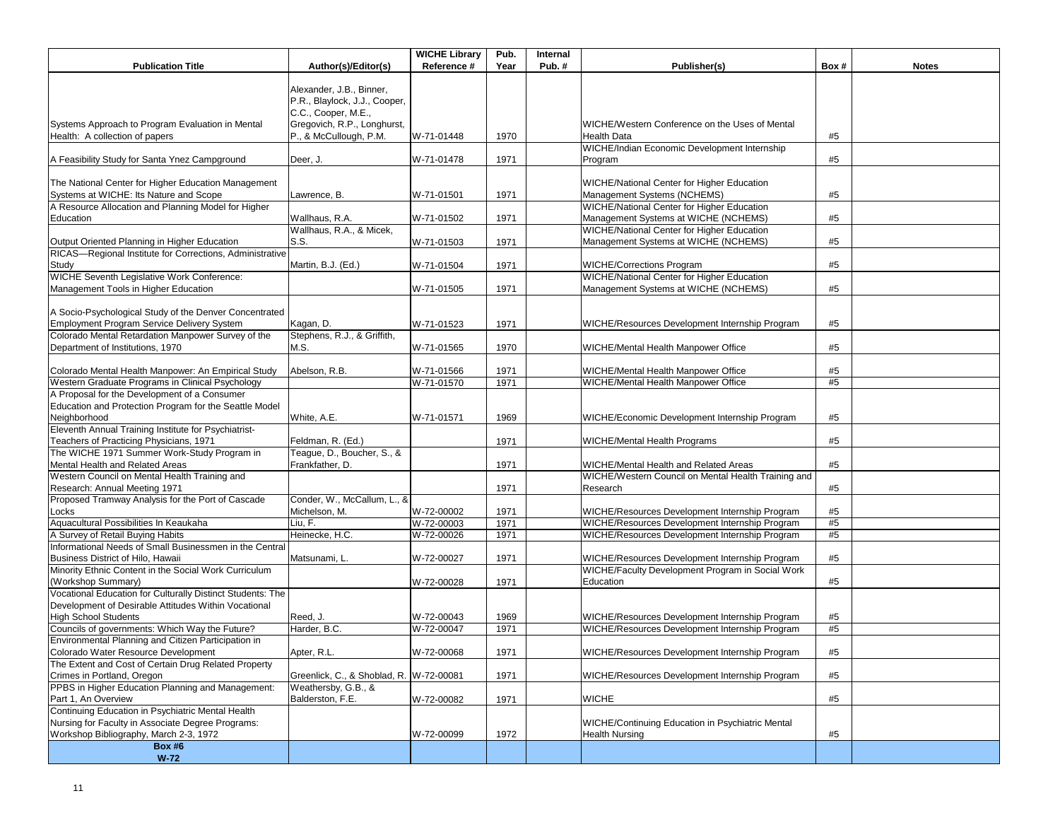|                                                                                                                    |                                                                                  | <b>WICHE Library</b> | Pub. | Internal |                                                                                                  |          |              |
|--------------------------------------------------------------------------------------------------------------------|----------------------------------------------------------------------------------|----------------------|------|----------|--------------------------------------------------------------------------------------------------|----------|--------------|
| <b>Publication Title</b>                                                                                           | Author(s)/Editor(s)                                                              | Reference #          | Year | Pub.#    | Publisher(s)                                                                                     | Box#     | <b>Notes</b> |
|                                                                                                                    | Alexander, J.B., Binner,<br>P.R., Blaylock, J.J., Cooper,<br>C.C., Cooper, M.E., |                      |      |          |                                                                                                  |          |              |
| Systems Approach to Program Evaluation in Mental<br>Health: A collection of papers                                 | Gregovich, R.P., Longhurst,<br>P., & McCullough, P.M.                            | W-71-01448           | 1970 |          | WICHE/Western Conference on the Uses of Mental<br><b>Health Data</b>                             | #5       |              |
| A Feasibility Study for Santa Ynez Campground                                                                      | Deer, J.                                                                         | W-71-01478           | 1971 |          | WICHE/Indian Economic Development Internship<br>Program                                          | #5       |              |
| The National Center for Higher Education Management<br>Systems at WICHE: Its Nature and Scope                      | Lawrence, B.                                                                     | W-71-01501           | 1971 |          | WICHE/National Center for Higher Education<br>Management Systems (NCHEMS)                        | #5       |              |
| A Resource Allocation and Planning Model for Higher<br>Education                                                   | Wallhaus, R.A.                                                                   | W-71-01502           | 1971 |          | <b>WICHE/National Center for Higher Education</b><br>Management Systems at WICHE (NCHEMS)        | #5       |              |
| Output Oriented Planning in Higher Education                                                                       | Wallhaus, R.A., & Micek,<br>S.S.                                                 | W-71-01503           | 1971 |          | <b>WICHE/National Center for Higher Education</b><br>Management Systems at WICHE (NCHEMS)        | #5       |              |
| RICAS-Regional Institute for Corrections, Administrative                                                           |                                                                                  |                      |      |          |                                                                                                  |          |              |
| Study<br>WICHE Seventh Legislative Work Conference:                                                                | Martin, B.J. (Ed.)                                                               | W-71-01504           | 1971 |          | <b>WICHE/Corrections Program</b><br>WICHE/National Center for Higher Education                   | #5       |              |
| Management Tools in Higher Education                                                                               |                                                                                  | W-71-01505           | 1971 |          | Management Systems at WICHE (NCHEMS)                                                             | #5       |              |
| A Socio-Psychological Study of the Denver Concentrated<br>Employment Program Service Delivery System               | Kagan, D.                                                                        | W-71-01523           | 1971 |          | WICHE/Resources Development Internship Program                                                   | #5       |              |
| Colorado Mental Retardation Manpower Survey of the                                                                 | Stephens, R.J., & Griffith,                                                      |                      |      |          |                                                                                                  |          |              |
| Department of Institutions, 1970                                                                                   | M.S.                                                                             | W-71-01565           | 1970 |          | WICHE/Mental Health Manpower Office                                                              | #5       |              |
| Colorado Mental Health Manpower: An Empirical Study                                                                | Abelson, R.B.                                                                    | W-71-01566           | 1971 |          | WICHE/Mental Health Manpower Office                                                              | #5       |              |
| Western Graduate Programs in Clinical Psychology                                                                   |                                                                                  | W-71-01570           | 1971 |          | WICHE/Mental Health Manpower Office                                                              | #5       |              |
| A Proposal for the Development of a Consumer<br>Education and Protection Program for the Seattle Model             |                                                                                  |                      |      |          |                                                                                                  |          |              |
| Neighborhood                                                                                                       | White, A.E.                                                                      | W-71-01571           | 1969 |          | WICHE/Economic Development Internship Program                                                    | #5       |              |
| Eleventh Annual Training Institute for Psychiatrist-<br>Teachers of Practicing Physicians, 1971                    | Feldman, R. (Ed.)                                                                |                      | 1971 |          | WICHE/Mental Health Programs                                                                     | #5       |              |
| The WICHE 1971 Summer Work-Study Program in<br>Mental Health and Related Areas                                     | Teague, D., Boucher, S., &<br>Frankfather, D.                                    |                      | 1971 |          | WICHE/Mental Health and Related Areas                                                            | #5       |              |
| Western Council on Mental Health Training and<br>Research: Annual Meeting 1971                                     |                                                                                  |                      | 1971 |          | WICHE/Western Council on Mental Health Training and<br>Research                                  | #5       |              |
| Proposed Tramway Analysis for the Port of Cascade<br>Locks                                                         | Conder, W., McCallum, L., &<br>Michelson, M.                                     | W-72-00002           | 1971 |          | WICHE/Resources Development Internship Program                                                   | #5       |              |
| Aquacultural Possibilities In Keaukaha                                                                             | Liu, F.                                                                          | W-72-00003           | 1971 |          | WICHE/Resources Development Internship Program                                                   | #5       |              |
| A Survey of Retail Buying Habits                                                                                   | Heinecke, H.C.                                                                   | W-72-00026           | 1971 |          | WICHE/Resources Development Internship Program                                                   | #5       |              |
| Informational Needs of Small Businessmen in the Central<br>Business District of Hilo, Hawaii                       | Matsunami, L.                                                                    | W-72-00027           | 1971 |          | WICHE/Resources Development Internship Program                                                   | #5       |              |
| Minority Ethnic Content in the Social Work Curriculum<br>(Workshop Summary)                                        |                                                                                  | W-72-00028           | 1971 |          | WICHE/Faculty Development Program in Social Work<br>Education                                    | #5       |              |
| Vocational Education for Culturally Distinct Students: The<br>Development of Desirable Attitudes Within Vocational |                                                                                  |                      |      |          |                                                                                                  |          |              |
| <b>High School Students</b><br>Councils of governments: Which Way the Future?                                      | Reed, J.                                                                         | W-72-00043           | 1969 |          | WICHE/Resources Development Internship Program<br>WICHE/Resources Development Internship Program | #5<br>#5 |              |
| Environmental Planning and Citizen Participation in                                                                | Harder, B.C.                                                                     | W-72-00047           | 1971 |          |                                                                                                  |          |              |
| Colorado Water Resource Development                                                                                | Apter, R.L.                                                                      | W-72-00068           | 1971 |          | WICHE/Resources Development Internship Program                                                   | #5       |              |
| The Extent and Cost of Certain Drug Related Property<br>Crimes in Portland, Oregon                                 | Greenlick, C., & Shoblad, R. W-72-00081                                          |                      | 1971 |          | WICHE/Resources Development Internship Program                                                   | #5       |              |
| PPBS in Higher Education Planning and Management:<br>Part 1, An Overview                                           | Weathersby, G.B., &<br>Balderston, F.E.                                          | W-72-00082           | 1971 |          | <b>WICHE</b>                                                                                     | #5       |              |
| Continuing Education in Psychiatric Mental Health                                                                  |                                                                                  |                      |      |          |                                                                                                  |          |              |
| Nursing for Faculty in Associate Degree Programs:<br>Workshop Bibliography, March 2-3, 1972                        |                                                                                  | W-72-00099           | 1972 |          | WICHE/Continuing Education in Psychiatric Mental<br><b>Health Nursing</b>                        | #5       |              |
| <b>Box #6</b>                                                                                                      |                                                                                  |                      |      |          |                                                                                                  |          |              |
| $W-72$                                                                                                             |                                                                                  |                      |      |          |                                                                                                  |          |              |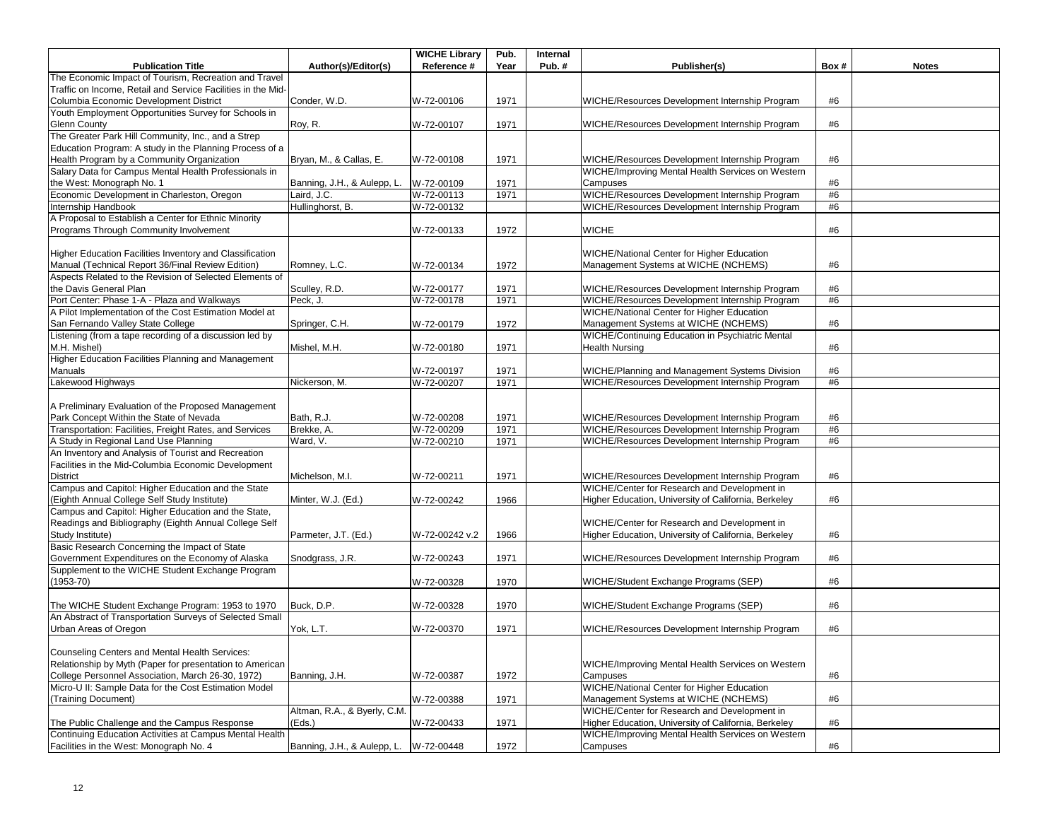|                                                              |                              | <b>WICHE Library</b> | Pub. | Internal |                                                       |      |              |
|--------------------------------------------------------------|------------------------------|----------------------|------|----------|-------------------------------------------------------|------|--------------|
| <b>Publication Title</b>                                     | Author(s)/Editor(s)          | Reference #          | Year | Pub.#    | Publisher(s)                                          | Box# | <b>Notes</b> |
| The Economic Impact of Tourism, Recreation and Travel        |                              |                      |      |          |                                                       |      |              |
| Traffic on Income, Retail and Service Facilities in the Mid- |                              |                      |      |          |                                                       |      |              |
| Columbia Economic Development District                       | Conder, W.D.                 | W-72-00106           | 1971 |          | WICHE/Resources Development Internship Program        | #6   |              |
| Youth Employment Opportunities Survey for Schools in         |                              |                      |      |          |                                                       |      |              |
| <b>Glenn County</b>                                          | Roy, R.                      | W-72-00107           | 1971 |          | WICHE/Resources Development Internship Program        | #6   |              |
| The Greater Park Hill Community, Inc., and a Strep           |                              |                      |      |          |                                                       |      |              |
| Education Program: A study in the Planning Process of a      |                              |                      |      |          |                                                       |      |              |
| Health Program by a Community Organization                   | Bryan, M., & Callas, E.      | W-72-00108           | 1971 |          | WICHE/Resources Development Internship Program        | #6   |              |
| Salary Data for Campus Mental Health Professionals in        |                              |                      |      |          | WICHE/Improving Mental Health Services on Western     |      |              |
| the West: Monograph No. 1                                    | Banning, J.H., & Aulepp, L.  | W-72-00109           | 1971 |          | Campuses                                              | #6   |              |
| Economic Development in Charleston, Oregon                   | Laird. J.C.                  | W-72-00113           | 1971 |          | WICHE/Resources Development Internship Program        | #6   |              |
| Internship Handbook                                          | Hullinghorst, B.             | W-72-00132           |      |          | WICHE/Resources Development Internship Program        | #6   |              |
| A Proposal to Establish a Center for Ethnic Minority         |                              |                      |      |          |                                                       |      |              |
| Programs Through Community Involvement                       |                              | W-72-00133           | 1972 |          | <b>WICHE</b>                                          | #6   |              |
|                                                              |                              |                      |      |          |                                                       |      |              |
| Higher Education Facilities Inventory and Classification     |                              |                      |      |          | <b>WICHE/National Center for Higher Education</b>     |      |              |
| Manual (Technical Report 36/Final Review Edition)            | Romney, L.C.                 | W-72-00134           | 1972 |          | Management Systems at WICHE (NCHEMS)                  | #6   |              |
| Aspects Related to the Revision of Selected Elements of      |                              |                      |      |          |                                                       |      |              |
| the Davis General Plan                                       | Sculley, R.D.                | W-72-00177           | 1971 |          | WICHE/Resources Development Internship Program        | #6   |              |
| Port Center: Phase 1-A - Plaza and Walkways                  | Peck, J.                     | W-72-00178           | 1971 |          | WICHE/Resources Development Internship Program        | #6   |              |
| A Pilot Implementation of the Cost Estimation Model at       |                              |                      |      |          | <b>WICHE/National Center for Higher Education</b>     |      |              |
| San Fernando Valley State College                            | Springer, C.H.               | W-72-00179           | 1972 |          | Management Systems at WICHE (NCHEMS)                  | #6   |              |
| Listening (from a tape recording of a discussion led by      |                              |                      |      |          | WICHE/Continuing Education in Psychiatric Mental      |      |              |
| M.H. Mishel)                                                 | Mishel. M.H.                 |                      | 1971 |          | <b>Health Nursing</b>                                 | #6   |              |
| Higher Education Facilities Planning and Management          |                              | W-72-00180           |      |          |                                                       |      |              |
|                                                              |                              |                      |      |          |                                                       |      |              |
| Manuals                                                      |                              | W-72-00197           | 1971 |          | <b>WICHE/Planning and Management Systems Division</b> | #6   |              |
| Lakewood Highways                                            | Nickerson, M.                | W-72-00207           | 1971 |          | WICHE/Resources Development Internship Program        | #6   |              |
|                                                              |                              |                      |      |          |                                                       |      |              |
| A Preliminary Evaluation of the Proposed Management          |                              |                      |      |          |                                                       |      |              |
| Park Concept Within the State of Nevada                      | Bath, R.J.                   | W-72-00208           | 1971 |          | WICHE/Resources Development Internship Program        | #6   |              |
| Transportation: Facilities, Freight Rates, and Services      | Brekke, A.                   | W-72-00209           | 1971 |          | WICHE/Resources Development Internship Program        | #6   |              |
| A Study in Regional Land Use Planning                        | Ward, V.                     | W-72-00210           | 1971 |          | WICHE/Resources Development Internship Program        | #6   |              |
| An Inventory and Analysis of Tourist and Recreation          |                              |                      |      |          |                                                       |      |              |
| Facilities in the Mid-Columbia Economic Development          |                              |                      |      |          |                                                       |      |              |
| District                                                     | Michelson, M.I.              | W-72-00211           | 1971 |          | WICHE/Resources Development Internship Program        | #6   |              |
| Campus and Capitol: Higher Education and the State           |                              |                      |      |          | WICHE/Center for Research and Development in          |      |              |
| (Eighth Annual College Self Study Institute)                 | Minter, W.J. (Ed.)           | W-72-00242           | 1966 |          | Higher Education, University of California, Berkeley  | #6   |              |
| Campus and Capitol: Higher Education and the State,          |                              |                      |      |          |                                                       |      |              |
| Readings and Bibliography (Eighth Annual College Self        |                              |                      |      |          | WICHE/Center for Research and Development in          |      |              |
| Study Institute)                                             | Parmeter, J.T. (Ed.)         | W-72-00242 v.2       | 1966 |          | Higher Education, University of California, Berkeley  | #6   |              |
| Basic Research Concerning the Impact of State                |                              |                      |      |          |                                                       |      |              |
| Government Expenditures on the Economy of Alaska             | Snodgrass, J.R.              | W-72-00243           | 1971 |          | WICHE/Resources Development Internship Program        | #6   |              |
| Supplement to the WICHE Student Exchange Program             |                              |                      |      |          |                                                       |      |              |
| $(1953 - 70)$                                                |                              | W-72-00328           | 1970 |          | WICHE/Student Exchange Programs (SEP)                 | #6   |              |
|                                                              |                              |                      |      |          |                                                       |      |              |
| The WICHE Student Exchange Program: 1953 to 1970             | Buck, D.P.                   | W-72-00328           | 1970 |          | WICHE/Student Exchange Programs (SEP)                 | #6   |              |
| An Abstract of Transportation Surveys of Selected Small      |                              |                      |      |          |                                                       |      |              |
| Urban Areas of Oregon                                        | Yok, L.T.                    | W-72-00370           | 1971 |          | WICHE/Resources Development Internship Program        | #6   |              |
|                                                              |                              |                      |      |          |                                                       |      |              |
| Counseling Centers and Mental Health Services:               |                              |                      |      |          |                                                       |      |              |
| Relationship by Myth (Paper for presentation to American     |                              |                      |      |          | WICHE/Improving Mental Health Services on Western     |      |              |
| College Personnel Association, March 26-30, 1972)            | Banning, J.H.                | W-72-00387           | 1972 |          | Campuses                                              | #6   |              |
| Micro-U II: Sample Data for the Cost Estimation Model        |                              |                      |      |          | <b>WICHE/National Center for Higher Education</b>     |      |              |
| (Training Document)                                          |                              | W-72-00388           | 1971 |          | Management Systems at WICHE (NCHEMS)                  | #6   |              |
|                                                              | Altman, R.A., & Byerly, C.M. |                      |      |          | WICHE/Center for Research and Development in          |      |              |
| The Public Challenge and the Campus Response                 | (Eds.)                       | W-72-00433           | 1971 |          | Higher Education, University of California, Berkeley  | #6   |              |
| Continuing Education Activities at Campus Mental Health      |                              |                      |      |          | WICHE/Improving Mental Health Services on Western     |      |              |
| Facilities in the West: Monograph No. 4                      | Banning, J.H., & Aulepp, L.  | W-72-00448           | 1972 |          | Campuses                                              | #6   |              |
|                                                              |                              |                      |      |          |                                                       |      |              |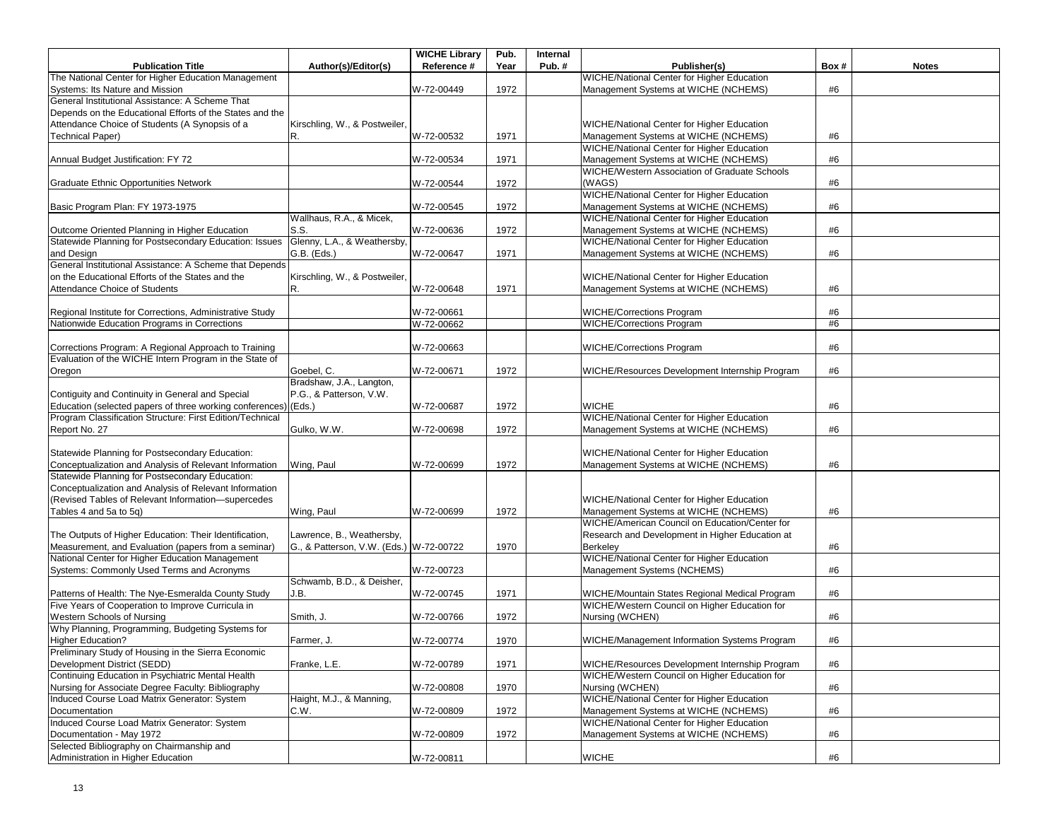|                                                                                                        |                                         | <b>WICHE Library</b> | Pub. | Internal |                                                        |      |              |
|--------------------------------------------------------------------------------------------------------|-----------------------------------------|----------------------|------|----------|--------------------------------------------------------|------|--------------|
| <b>Publication Title</b>                                                                               | Author(s)/Editor(s)                     | Reference #          | Year | Pub.#    | Publisher(s)                                           | Box# | <b>Notes</b> |
| The National Center for Higher Education Management                                                    |                                         |                      |      |          | WICHE/National Center for Higher Education             |      |              |
| Systems: Its Nature and Mission                                                                        |                                         | W-72-00449           | 1972 |          | Management Systems at WICHE (NCHEMS)                   | #6   |              |
| General Institutional Assistance: A Scheme That                                                        |                                         |                      |      |          |                                                        |      |              |
| Depends on the Educational Efforts of the States and the                                               |                                         |                      |      |          |                                                        |      |              |
| Attendance Choice of Students (A Synopsis of a                                                         | Kirschling, W., & Postweiler,           |                      |      |          | WICHE/National Center for Higher Education             |      |              |
| <b>Technical Paper)</b>                                                                                | R.                                      | W-72-00532           | 1971 |          | Management Systems at WICHE (NCHEMS)                   | #6   |              |
|                                                                                                        |                                         |                      |      |          | <b>WICHE/National Center for Higher Education</b>      |      |              |
| Annual Budget Justification: FY 72                                                                     |                                         | W-72-00534           | 1971 |          | Management Systems at WICHE (NCHEMS)                   | #6   |              |
|                                                                                                        |                                         |                      |      |          | WICHE/Western Association of Graduate Schools          |      |              |
| <b>Graduate Ethnic Opportunities Network</b>                                                           |                                         | W-72-00544           | 1972 |          | (WAGS)                                                 | #6   |              |
|                                                                                                        |                                         |                      |      |          | WICHE/National Center for Higher Education             |      |              |
| Basic Program Plan: FY 1973-1975                                                                       |                                         | W-72-00545           | 1972 |          | Management Systems at WICHE (NCHEMS)                   | #6   |              |
|                                                                                                        | Wallhaus, R.A., & Micek,                |                      |      |          | <b>WICHE/National Center for Higher Education</b>      |      |              |
| Outcome Oriented Planning in Higher Education                                                          | S.S.                                    | W-72-00636           | 1972 |          | Management Systems at WICHE (NCHEMS)                   | #6   |              |
| Statewide Planning for Postsecondary Education: Issues                                                 | Glenny, L.A., & Weathersby,             |                      |      |          | <b>WICHE/National Center for Higher Education</b>      |      |              |
| and Design                                                                                             | G.B. (Eds.)                             | W-72-00647           | 1971 |          | Management Systems at WICHE (NCHEMS)                   | #6   |              |
| General Institutional Assistance: A Scheme that Depends                                                |                                         |                      |      |          |                                                        |      |              |
| on the Educational Efforts of the States and the                                                       | Kirschling, W., & Postweiler,           |                      |      |          | WICHE/National Center for Higher Education             |      |              |
| Attendance Choice of Students                                                                          | R.                                      | W-72-00648           | 1971 |          | Management Systems at WICHE (NCHEMS)                   | #6   |              |
|                                                                                                        |                                         |                      |      |          |                                                        |      |              |
| Regional Institute for Corrections, Administrative Study                                               |                                         | W-72-00661           |      |          | <b>WICHE/Corrections Program</b>                       | #6   |              |
| Nationwide Education Programs in Corrections                                                           |                                         | W-72-00662           |      |          | <b>WICHE/Corrections Program</b>                       | #6   |              |
|                                                                                                        |                                         |                      |      |          |                                                        |      |              |
| Corrections Program: A Regional Approach to Training                                                   |                                         | W-72-00663           |      |          | <b>WICHE/Corrections Program</b>                       | #6   |              |
| Evaluation of the WICHE Intern Program in the State of                                                 |                                         |                      |      |          |                                                        |      |              |
| Oregon                                                                                                 | Goebel, C.                              | W-72-00671           | 1972 |          | WICHE/Resources Development Internship Program         | #6   |              |
|                                                                                                        | Bradshaw, J.A., Langton,                |                      |      |          |                                                        |      |              |
| Contiquity and Continuity in General and Special                                                       | P.G., & Patterson, V.W.                 |                      |      |          |                                                        |      |              |
| Education (selected papers of three working conferences)                                               | (Eds.)                                  | W-72-00687           | 1972 |          | <b>WICHE</b>                                           | #6   |              |
| Program Classification Structure: First Edition/Technical                                              |                                         |                      |      |          | WICHE/National Center for Higher Education             |      |              |
| Report No. 27                                                                                          | Gulko, W.W.                             | W-72-00698           | 1972 |          | Management Systems at WICHE (NCHEMS)                   | #6   |              |
|                                                                                                        |                                         |                      |      |          |                                                        |      |              |
| Statewide Planning for Postsecondary Education:                                                        |                                         |                      |      |          | WICHE/National Center for Higher Education             |      |              |
| Conceptualization and Analysis of Relevant Information                                                 | Wing, Paul                              | W-72-00699           | 1972 |          | Management Systems at WICHE (NCHEMS)                   | #6   |              |
| Statewide Planning for Postsecondary Education:                                                        |                                         |                      |      |          |                                                        |      |              |
| Conceptualization and Analysis of Relevant Information                                                 |                                         |                      |      |          |                                                        |      |              |
| (Revised Tables of Relevant Information-supercedes                                                     |                                         |                      |      |          | WICHE/National Center for Higher Education             |      |              |
| Tables 4 and 5a to 5q)                                                                                 | Wing, Paul                              | W-72-00699           | 1972 |          | Management Systems at WICHE (NCHEMS)                   | #6   |              |
|                                                                                                        |                                         |                      |      |          | WICHE/American Council on Education/Center for         |      |              |
| The Outputs of Higher Education: Their Identification,                                                 | Lawrence, B., Weathersby,               |                      |      |          | Research and Development in Higher Education at        |      |              |
|                                                                                                        |                                         |                      |      |          |                                                        |      |              |
| Measurement, and Evaluation (papers from a seminar)<br>National Center for Higher Education Management | G., & Patterson, V.W. (Eds.) W-72-00722 |                      | 1970 |          | Berkeley<br>WICHE/National Center for Higher Education | #6   |              |
| Systems: Commonly Used Terms and Acronyms                                                              |                                         |                      |      |          | Management Systems (NCHEMS)                            |      |              |
|                                                                                                        |                                         | W-72-00723           |      |          |                                                        | #6   |              |
|                                                                                                        | Schwamb, B.D., & Deisher,               |                      |      |          |                                                        |      |              |
| Patterns of Health: The Nye-Esmeralda County Study                                                     | J.B.                                    | W-72-00745           | 1971 |          | WICHE/Mountain States Regional Medical Program         | #6   |              |
| Five Years of Cooperation to Improve Curricula in                                                      |                                         |                      |      |          | WICHE/Western Council on Higher Education for          |      |              |
| Western Schools of Nursing                                                                             | Smith, J                                | W-72-00766           | 1972 |          | Nursing (WCHEN)                                        | #6   |              |
| Why Planning, Programming, Budgeting Systems for                                                       |                                         |                      |      |          |                                                        |      |              |
| <b>Higher Education?</b>                                                                               | Farmer, J.                              | W-72-00774           | 1970 |          | WICHE/Management Information Systems Program           | #6   |              |
| Preliminary Study of Housing in the Sierra Economic                                                    |                                         |                      |      |          |                                                        |      |              |
| Development District (SEDD)                                                                            | Franke, L.E.                            | W-72-00789           | 1971 |          | WICHE/Resources Development Internship Program         | #6   |              |
| Continuing Education in Psychiatric Mental Health                                                      |                                         |                      |      |          | WICHE/Western Council on Higher Education for          |      |              |
| Nursing for Associate Degree Faculty: Bibliography                                                     |                                         | W-72-00808           | 1970 |          | Nursing (WCHEN)                                        | #6   |              |
| Induced Course Load Matrix Generator: System                                                           | Haight, M.J., & Manning,                |                      |      |          | <b>WICHE/National Center for Higher Education</b>      |      |              |
| Documentation                                                                                          | C.W.                                    | W-72-00809           | 1972 |          | Management Systems at WICHE (NCHEMS)                   | #6   |              |
| Induced Course Load Matrix Generator: System                                                           |                                         |                      |      |          | WICHE/National Center for Higher Education             |      |              |
| Documentation - May 1972                                                                               |                                         | W-72-00809           | 1972 |          | Management Systems at WICHE (NCHEMS)                   | #6   |              |
| Selected Bibliography on Chairmanship and                                                              |                                         |                      |      |          |                                                        |      |              |
| Administration in Higher Education                                                                     |                                         | W-72-00811           |      |          | <b>WICHE</b>                                           | #6   |              |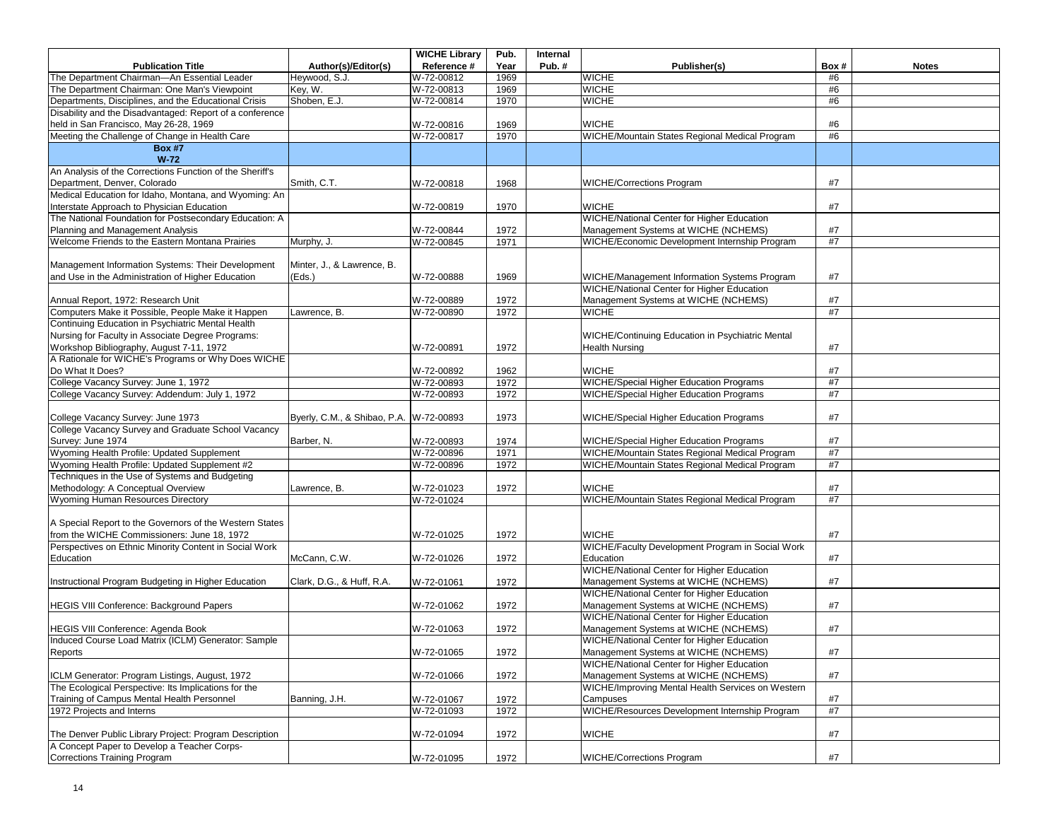|                                                                                             |                                         | <b>WICHE Library</b>     | Pub.         | Internal |                                                                                                  |          |              |
|---------------------------------------------------------------------------------------------|-----------------------------------------|--------------------------|--------------|----------|--------------------------------------------------------------------------------------------------|----------|--------------|
| <b>Publication Title</b>                                                                    | Author(s)/Editor(s)                     | Reference #              | Year         | Pub.#    | Publisher(s)                                                                                     | Box#     | <b>Notes</b> |
| The Department Chairman-An Essential Leader                                                 | Heywood, S.J.                           | W-72-00812               | 1969         |          | <b>WICHE</b>                                                                                     | #6       |              |
| The Department Chairman: One Man's Viewpoint                                                | Key, W.                                 | W-72-00813               | 1969         |          | <b>WICHE</b>                                                                                     | #6       |              |
| Departments, Disciplines, and the Educational Crisis                                        | Shoben, E.J.                            | W-72-00814               | 1970         |          | <b>WICHE</b>                                                                                     | #6       |              |
| Disability and the Disadvantaged: Report of a conference                                    |                                         |                          |              |          |                                                                                                  |          |              |
| held in San Francisco, May 26-28, 1969                                                      |                                         | W-72-00816               | 1969         |          | <b>WICHE</b>                                                                                     | #6       |              |
| Meeting the Challenge of Change in Health Care                                              |                                         | W-72-00817               | 1970         |          | WICHE/Mountain States Regional Medical Program                                                   | #6       |              |
| <b>Box #7</b>                                                                               |                                         |                          |              |          |                                                                                                  |          |              |
| $W-72$                                                                                      |                                         |                          |              |          |                                                                                                  |          |              |
| An Analysis of the Corrections Function of the Sheriff's                                    |                                         |                          |              |          |                                                                                                  |          |              |
| Department, Denver, Colorado                                                                | Smith, C.T.                             | W-72-00818               | 1968         |          | <b>WICHE/Corrections Program</b>                                                                 | #7       |              |
| Medical Education for Idaho, Montana, and Wyoming: An                                       |                                         |                          |              |          |                                                                                                  |          |              |
| Interstate Approach to Physician Education                                                  |                                         | W-72-00819               | 1970         |          | <b>WICHE</b>                                                                                     | #7       |              |
| The National Foundation for Postsecondary Education: A                                      |                                         |                          |              |          | WICHE/National Center for Higher Education                                                       |          |              |
| Planning and Management Analysis                                                            |                                         | W-72-00844               | 1972         |          | Management Systems at WICHE (NCHEMS)                                                             | #7       |              |
| Welcome Friends to the Eastern Montana Prairies                                             | Murphy, J.                              | W-72-00845               | 1971         |          | WICHE/Economic Development Internship Program                                                    | #7       |              |
|                                                                                             |                                         |                          |              |          |                                                                                                  |          |              |
| Management Information Systems: Their Development                                           | Minter, J., & Lawrence, B.              |                          |              |          |                                                                                                  |          |              |
| and Use in the Administration of Higher Education                                           | (Eds.)                                  | W-72-00888               | 1969         |          | WICHE/Management Information Systems Program                                                     | #7       |              |
|                                                                                             |                                         |                          |              |          | WICHE/National Center for Higher Education                                                       |          |              |
| Annual Report, 1972: Research Unit                                                          |                                         | W-72-00889               | 1972         |          | Management Systems at WICHE (NCHEMS)                                                             | #7       |              |
| Computers Make it Possible, People Make it Happen                                           | Lawrence, B.                            | W-72-00890               | 1972         |          | <b>WICHE</b>                                                                                     | #7       |              |
| Continuing Education in Psychiatric Mental Health                                           |                                         |                          |              |          |                                                                                                  |          |              |
| Nursing for Faculty in Associate Degree Programs:                                           |                                         |                          |              |          | WICHE/Continuing Education in Psychiatric Mental                                                 |          |              |
| Workshop Bibliography, August 7-11, 1972                                                    |                                         | W-72-00891               | 1972         |          | <b>Health Nursing</b>                                                                            | #7       |              |
| A Rationale for WICHE's Programs or Why Does WICHE                                          |                                         |                          |              |          |                                                                                                  |          |              |
| Do What It Does?                                                                            |                                         | W-72-00892               | 1962         |          | <b>WICHE</b>                                                                                     | $\#7$    |              |
| College Vacancy Survey: June 1, 1972                                                        |                                         | W-72-00893               | 1972         |          | WICHE/Special Higher Education Programs                                                          | #7       |              |
| College Vacancy Survey: Addendum: July 1, 1972                                              |                                         | W-72-00893               | 1972         |          | <b>WICHE/Special Higher Education Programs</b>                                                   | #7       |              |
|                                                                                             |                                         |                          |              |          |                                                                                                  |          |              |
|                                                                                             | Byerly, C.M., & Shibao, P.A. W-72-00893 |                          | 1973         |          |                                                                                                  | #7       |              |
| College Vacancy Survey: June 1973<br>College Vacancy Survey and Graduate School Vacancy     |                                         |                          |              |          | WICHE/Special Higher Education Programs                                                          |          |              |
| Survey: June 1974                                                                           | Barber, N.                              |                          |              |          |                                                                                                  | #7       |              |
|                                                                                             |                                         | W-72-00893<br>W-72-00896 | 1974<br>1971 |          | <b>WICHE/Special Higher Education Programs</b><br>WICHE/Mountain States Regional Medical Program | #7       |              |
| Wyoming Health Profile: Updated Supplement<br>Wyoming Health Profile: Updated Supplement #2 |                                         | W-72-00896               | 1972         |          | WICHE/Mountain States Regional Medical Program                                                   | #7       |              |
| Techniques in the Use of Systems and Budgeting                                              |                                         |                          |              |          |                                                                                                  |          |              |
|                                                                                             |                                         |                          |              |          | <b>WICHE</b>                                                                                     |          |              |
| Methodology: A Conceptual Overview<br><b>Wyoming Human Resources Directory</b>              | Lawrence, B.                            | W-72-01023               | 1972         |          | WICHE/Mountain States Regional Medical Program                                                   | #7<br>#7 |              |
|                                                                                             |                                         | W-72-01024               |              |          |                                                                                                  |          |              |
|                                                                                             |                                         |                          |              |          |                                                                                                  |          |              |
| A Special Report to the Governors of the Western States                                     |                                         |                          |              |          |                                                                                                  |          |              |
| from the WICHE Commissioners: June 18, 1972                                                 |                                         | W-72-01025               | 1972         |          | <b>WICHE</b>                                                                                     | #7       |              |
| Perspectives on Ethnic Minority Content in Social Work                                      |                                         |                          |              |          | WICHE/Faculty Development Program in Social Work                                                 |          |              |
| Education                                                                                   | McCann, C.W.                            | W-72-01026               | 1972         |          | Education                                                                                        | #7       |              |
|                                                                                             |                                         |                          |              |          | <b>WICHE/National Center for Higher Education</b>                                                |          |              |
| Instructional Program Budgeting in Higher Education                                         | Clark, D.G., & Huff, R.A.               | W-72-01061               | 1972         |          | Management Systems at WICHE (NCHEMS)                                                             | #7       |              |
|                                                                                             |                                         |                          |              |          | WICHE/National Center for Higher Education                                                       |          |              |
| HEGIS VIII Conference: Background Papers                                                    |                                         | W-72-01062               | 1972         |          | Management Systems at WICHE (NCHEMS)                                                             | #7       |              |
|                                                                                             |                                         |                          |              |          | WICHE/National Center for Higher Education                                                       |          |              |
| <b>HEGIS VIII Conference: Agenda Book</b>                                                   |                                         | W-72-01063               | 1972         |          | Management Systems at WICHE (NCHEMS)                                                             | #7       |              |
| Induced Course Load Matrix (ICLM) Generator: Sample                                         |                                         |                          |              |          | WICHE/National Center for Higher Education                                                       |          |              |
| Reports                                                                                     |                                         | W-72-01065               | 1972         |          | Management Systems at WICHE (NCHEMS)                                                             | #7       |              |
|                                                                                             |                                         |                          |              |          | WICHE/National Center for Higher Education                                                       |          |              |
| ICLM Generator: Program Listings, August, 1972                                              |                                         | W-72-01066               | 1972         |          | Management Systems at WICHE (NCHEMS)                                                             | #7       |              |
| The Ecological Perspective: Its Implications for the                                        |                                         |                          |              |          | WICHE/Improving Mental Health Services on Western                                                |          |              |
| Training of Campus Mental Health Personnel                                                  | Banning, J.H.                           | W-72-01067               | 1972         |          | Campuses                                                                                         | #7       |              |
| 1972 Projects and Interns                                                                   |                                         | W-72-01093               | 1972         |          | WICHE/Resources Development Internship Program                                                   | #7       |              |
|                                                                                             |                                         |                          |              |          |                                                                                                  |          |              |
| The Denver Public Library Project: Program Description                                      |                                         | W-72-01094               | 1972         |          | <b>WICHE</b>                                                                                     | #7       |              |
| A Concept Paper to Develop a Teacher Corps-                                                 |                                         |                          |              |          |                                                                                                  |          |              |
| <b>Corrections Training Program</b>                                                         |                                         | W-72-01095               | 1972         |          | <b>WICHE/Corrections Program</b>                                                                 | #7       |              |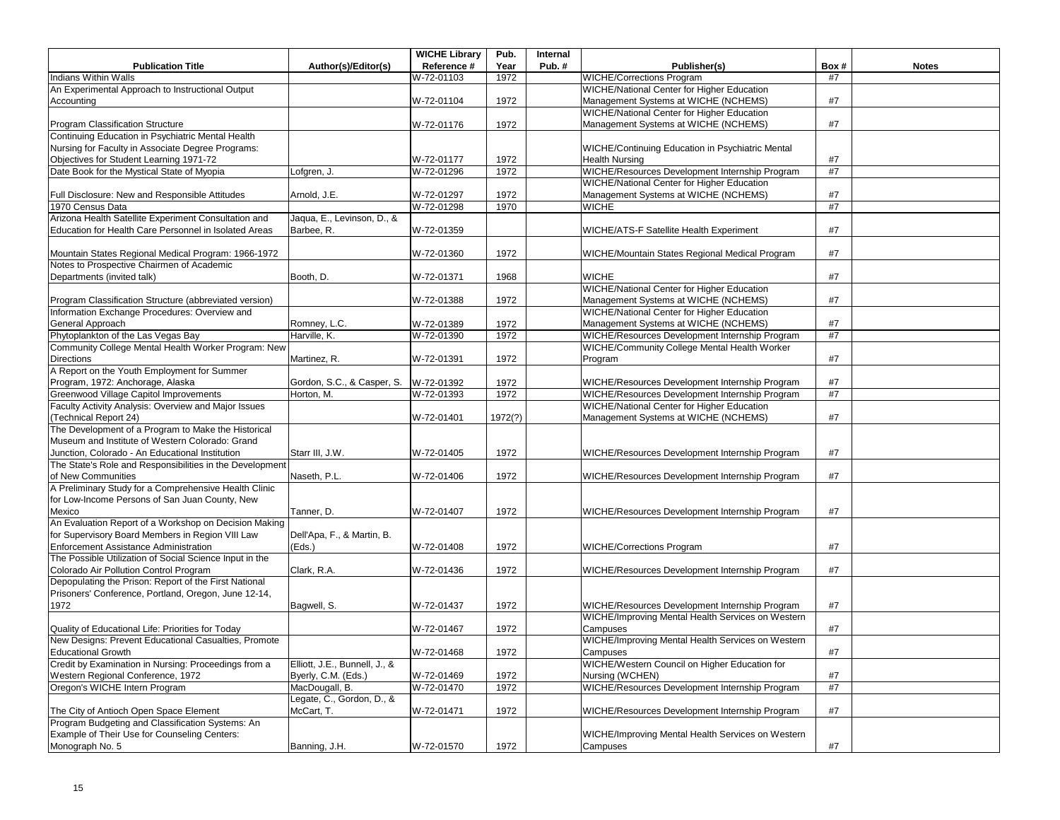|                                                          |                               | <b>WICHE Library</b> | Pub.         | Internal |                                                                                                  |      |              |
|----------------------------------------------------------|-------------------------------|----------------------|--------------|----------|--------------------------------------------------------------------------------------------------|------|--------------|
| <b>Publication Title</b>                                 | Author(s)/Editor(s)           | Reference #          | Year         | Pub.#    | Publisher(s)                                                                                     | Box# | <b>Notes</b> |
| Indians Within Walls                                     |                               | W-72-01103           | 1972         |          | <b>WICHE/Corrections Program</b>                                                                 | #7   |              |
| An Experimental Approach to Instructional Output         |                               |                      |              |          | WICHE/National Center for Higher Education                                                       |      |              |
| Accounting                                               |                               | W-72-01104           | 1972         |          | Management Systems at WICHE (NCHEMS)                                                             | #7   |              |
|                                                          |                               |                      |              |          | <b>WICHE/National Center for Higher Education</b>                                                |      |              |
| Program Classification Structure                         |                               | W-72-01176           | 1972         |          | Management Systems at WICHE (NCHEMS)                                                             | #7   |              |
| Continuing Education in Psychiatric Mental Health        |                               |                      |              |          |                                                                                                  |      |              |
| Nursing for Faculty in Associate Degree Programs:        |                               |                      |              |          | WICHE/Continuing Education in Psychiatric Mental                                                 |      |              |
| Objectives for Student Learning 1971-72                  |                               | W-72-01177           | 1972         |          | <b>Health Nursing</b>                                                                            | #7   |              |
| Date Book for the Mystical State of Myopia               | Lofgren, J.                   | W-72-01296           | 1972         |          | WICHE/Resources Development Internship Program                                                   | #7   |              |
|                                                          |                               |                      |              |          | WICHE/National Center for Higher Education                                                       |      |              |
| Full Disclosure: New and Responsible Attitudes           | Arnold, J.E.                  | W-72-01297           | 1972         |          | Management Systems at WICHE (NCHEMS)                                                             | #7   |              |
| 1970 Census Data                                         |                               | W-72-01298           | 1970         |          | <b>WICHE</b>                                                                                     | #7   |              |
| Arizona Health Satellite Experiment Consultation and     | Jaqua, E., Levinson, D., &    |                      |              |          |                                                                                                  |      |              |
| Education for Health Care Personnel in Isolated Areas    | Barbee, R.                    | W-72-01359           |              |          | WICHE/ATS-F Satellite Health Experiment                                                          | #7   |              |
|                                                          |                               |                      |              |          |                                                                                                  |      |              |
| Mountain States Regional Medical Program: 1966-1972      |                               | W-72-01360           | 1972         |          | WICHE/Mountain States Regional Medical Program                                                   | #7   |              |
| Notes to Prospective Chairmen of Academic                |                               |                      |              |          |                                                                                                  |      |              |
| Departments (invited talk)                               | Booth, D.                     | W-72-01371           | 1968         |          | <b>WICHE</b>                                                                                     | #7   |              |
|                                                          |                               |                      |              |          | WICHE/National Center for Higher Education                                                       |      |              |
| Program Classification Structure (abbreviated version)   |                               | W-72-01388           | 1972         |          | Management Systems at WICHE (NCHEMS)                                                             | #7   |              |
| Information Exchange Procedures: Overview and            |                               |                      |              |          | <b>WICHE/National Center for Higher Education</b>                                                |      |              |
| General Approach                                         | Romney, L.C.                  | W-72-01389           | 1972         |          | Management Systems at WICHE (NCHEMS)                                                             | #7   |              |
| Phytoplankton of the Las Vegas Bay                       | Harville, K.                  | W-72-01390           | 1972         |          | WICHE/Resources Development Internship Program                                                   | #7   |              |
| Community College Mental Health Worker Program: New      |                               |                      |              |          | WICHE/Community College Mental Health Worker                                                     |      |              |
| <b>Directions</b>                                        | Martinez, R.                  | W-72-01391           | 1972         |          | Program                                                                                          | #7   |              |
| A Report on the Youth Employment for Summer              |                               |                      |              |          |                                                                                                  |      |              |
| Program, 1972: Anchorage, Alaska                         |                               |                      |              |          |                                                                                                  | #7   |              |
| Greenwood Village Capitol Improvements                   | Gordon, S.C., & Casper, S.    | W-72-01392           | 1972<br>1972 |          | WICHE/Resources Development Internship Program<br>WICHE/Resources Development Internship Program | #7   |              |
| Faculty Activity Analysis: Overview and Major Issues     | Horton, M.                    | W-72-01393           |              |          | <b>WICHE/National Center for Higher Education</b>                                                |      |              |
|                                                          |                               |                      |              |          |                                                                                                  |      |              |
| (Technical Report 24)                                    |                               | W-72-01401           | 1972(?)      |          | Management Systems at WICHE (NCHEMS)                                                             | #7   |              |
| The Development of a Program to Make the Historical      |                               |                      |              |          |                                                                                                  |      |              |
| Museum and Institute of Western Colorado: Grand          |                               |                      |              |          |                                                                                                  |      |              |
| Junction, Colorado - An Educational Institution          | Starr III, J.W.               | W-72-01405           | 1972         |          | WICHE/Resources Development Internship Program                                                   | #7   |              |
| The State's Role and Responsibilities in the Development |                               |                      |              |          |                                                                                                  |      |              |
| of New Communities                                       | Naseth, P.L.                  | W-72-01406           | 1972         |          | WICHE/Resources Development Internship Program                                                   | #7   |              |
| A Preliminary Study for a Comprehensive Health Clinic    |                               |                      |              |          |                                                                                                  |      |              |
| for Low-Income Persons of San Juan County, New           |                               |                      |              |          |                                                                                                  |      |              |
| Mexico                                                   | Tanner, D.                    | W-72-01407           | 1972         |          | WICHE/Resources Development Internship Program                                                   | #7   |              |
| An Evaluation Report of a Workshop on Decision Making    |                               |                      |              |          |                                                                                                  |      |              |
| for Supervisory Board Members in Region VIII Law         | Dell'Apa, F., & Martin, B.    |                      |              |          |                                                                                                  |      |              |
| Enforcement Assistance Administration                    | (Eds.)                        | W-72-01408           | 1972         |          | <b>WICHE/Corrections Program</b>                                                                 | #7   |              |
| The Possible Utilization of Social Science Input in the  |                               |                      |              |          |                                                                                                  |      |              |
| Colorado Air Pollution Control Program                   | Clark, R.A.                   | W-72-01436           | 1972         |          | WICHE/Resources Development Internship Program                                                   | #7   |              |
| Depopulating the Prison: Report of the First National    |                               |                      |              |          |                                                                                                  |      |              |
| Prisoners' Conference, Portland, Oregon, June 12-14,     |                               |                      |              |          |                                                                                                  |      |              |
| 1972                                                     | Bagwell, S.                   | W-72-01437           | 1972         |          | WICHE/Resources Development Internship Program                                                   | #7   |              |
|                                                          |                               |                      |              |          | WICHE/Improving Mental Health Services on Western                                                |      |              |
| Quality of Educational Life: Priorities for Today        |                               | W-72-01467           | 1972         |          | Campuses                                                                                         | #7   |              |
| New Designs: Prevent Educational Casualties, Promote     |                               |                      |              |          | WICHE/Improving Mental Health Services on Western                                                |      |              |
| <b>Educational Growth</b>                                |                               | W-72-01468           | 1972         |          | Campuses                                                                                         | #7   |              |
| Credit by Examination in Nursing: Proceedings from a     | Elliott, J.E., Bunnell, J., & |                      |              |          | WICHE/Western Council on Higher Education for                                                    |      |              |
| Western Regional Conference, 1972                        | Byerly, C.M. (Eds.)           | W-72-01469           | 1972         |          | Nursing (WCHEN)                                                                                  | #7   |              |
| Oregon's WICHE Intern Program                            | MacDougall, B.                | W-72-01470           | 1972         |          | WICHE/Resources Development Internship Program                                                   | #7   |              |
|                                                          | Legate, C., Gordon, D., &     |                      |              |          |                                                                                                  |      |              |
| The City of Antioch Open Space Element                   | McCart, T.                    | W-72-01471           | 1972         |          | WICHE/Resources Development Internship Program                                                   | #7   |              |
| Program Budgeting and Classification Systems: An         |                               |                      |              |          |                                                                                                  |      |              |
| Example of Their Use for Counseling Centers:             |                               |                      |              |          | WICHE/Improving Mental Health Services on Western                                                |      |              |
| Monograph No. 5                                          | Banning, J.H.                 | W-72-01570           | 1972         |          | Campuses                                                                                         | #7   |              |
|                                                          |                               |                      |              |          |                                                                                                  |      |              |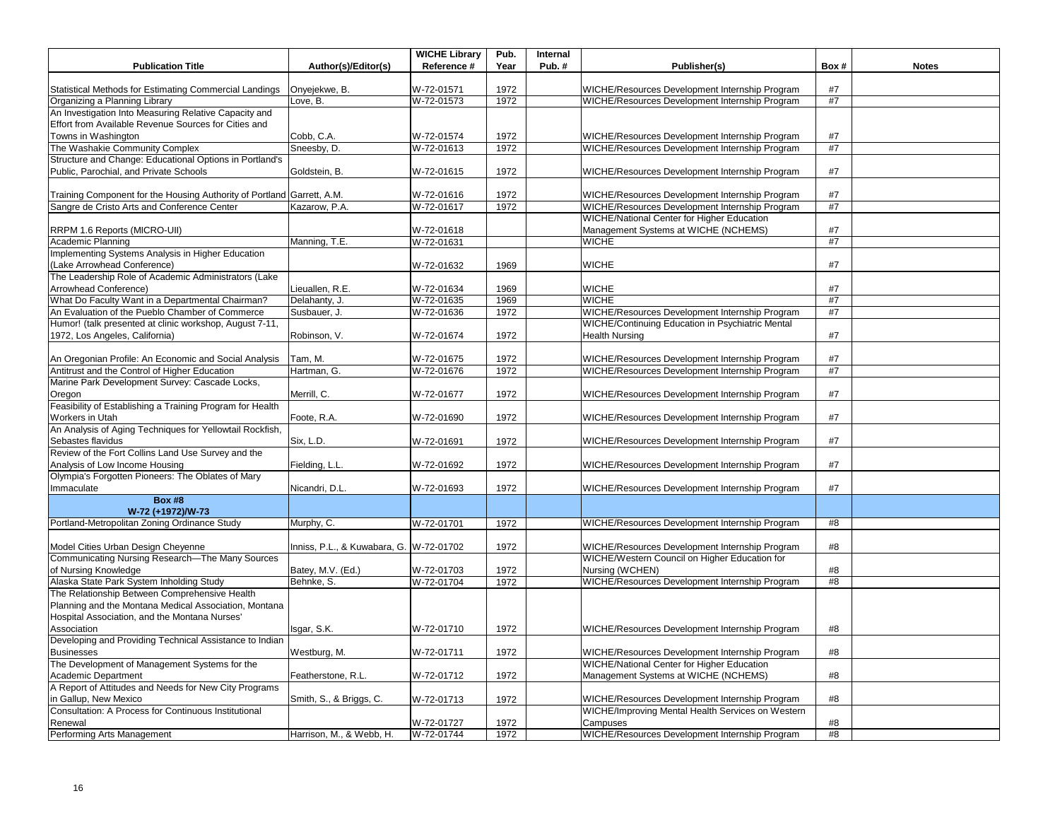|                                                                                           |                                         | <b>WICHE Library</b>     | Pub.         | Internal |                                                                                                  |          |              |
|-------------------------------------------------------------------------------------------|-----------------------------------------|--------------------------|--------------|----------|--------------------------------------------------------------------------------------------------|----------|--------------|
| <b>Publication Title</b>                                                                  | Author(s)/Editor(s)                     | Reference #              | Year         | Pub.#    | Publisher(s)                                                                                     | Box#     | <b>Notes</b> |
|                                                                                           |                                         |                          |              |          |                                                                                                  | #7       |              |
| Statistical Methods for Estimating Commercial Landings<br>Organizing a Planning Library   | Onyejekwe, B.<br>Love, B.               | W-72-01571<br>W-72-01573 | 1972<br>1972 |          | WICHE/Resources Development Internship Program<br>WICHE/Resources Development Internship Program | #7       |              |
| An Investigation Into Measuring Relative Capacity and                                     |                                         |                          |              |          |                                                                                                  |          |              |
| Effort from Available Revenue Sources for Cities and                                      |                                         |                          |              |          |                                                                                                  |          |              |
| Towns in Washington                                                                       | Cobb, C.A.                              | W-72-01574               | 1972         |          | WICHE/Resources Development Internship Program                                                   | #7       |              |
| The Washakie Community Complex                                                            | Sneesby, D.                             | W-72-01613               | 1972         |          | WICHE/Resources Development Internship Program                                                   | #7       |              |
| Structure and Change: Educational Options in Portland's                                   |                                         |                          |              |          |                                                                                                  |          |              |
| Public, Parochial, and Private Schools                                                    | Goldstein, B.                           | W-72-01615               | 1972         |          | WICHE/Resources Development Internship Program                                                   | #7       |              |
|                                                                                           |                                         |                          |              |          |                                                                                                  |          |              |
| Training Component for the Housing Authority of Portland Garrett, A.M.                    |                                         | W-72-01616               | 1972         |          | WICHE/Resources Development Internship Program                                                   | #7       |              |
| Sangre de Cristo Arts and Conference Center                                               | Kazarow, P.A.                           | W-72-01617               | 1972         |          | WICHE/Resources Development Internship Program                                                   | #7       |              |
|                                                                                           |                                         |                          |              |          | WICHE/National Center for Higher Education                                                       |          |              |
| RRPM 1.6 Reports (MICRO-UII)                                                              |                                         | W-72-01618               |              |          | Management Systems at WICHE (NCHEMS)                                                             | #7       |              |
| <b>Academic Planning</b>                                                                  | Manning, T.E.                           | W-72-01631               |              |          | <b>WICHE</b>                                                                                     | #7       |              |
| Implementing Systems Analysis in Higher Education                                         |                                         |                          |              |          |                                                                                                  |          |              |
| (Lake Arrowhead Conference)                                                               |                                         | W-72-01632               | 1969         |          | <b>WICHE</b>                                                                                     | #7       |              |
| The Leadership Role of Academic Administrators (Lake                                      |                                         |                          |              |          |                                                                                                  |          |              |
| Arrowhead Conference)                                                                     | Lieuallen, R.E.                         | W-72-01634               | 1969         |          | <b>WICHE</b>                                                                                     | #7       |              |
| What Do Faculty Want in a Departmental Chairman?                                          | Delahanty, J.                           | W-72-01635               | 1969         |          | <b>WICHE</b>                                                                                     | $\#7$    |              |
| An Evaluation of the Pueblo Chamber of Commerce                                           | Susbauer, J.                            | W-72-01636               | 1972         |          | WICHE/Resources Development Internship Program                                                   | #7       |              |
| Humor! (talk presented at clinic workshop, August 7-11,                                   |                                         |                          |              |          | WICHE/Continuing Education in Psychiatric Mental                                                 |          |              |
| 1972, Los Angeles, California)                                                            | Robinson, V.                            | W-72-01674               | 1972         |          | <b>Health Nursing</b>                                                                            | #7       |              |
|                                                                                           |                                         |                          |              |          |                                                                                                  |          |              |
| An Oregonian Profile: An Economic and Social Analysis                                     | Tam, M.                                 | W-72-01675               | 1972         |          | WICHE/Resources Development Internship Program                                                   | $\#7$    |              |
| Antitrust and the Control of Higher Education                                             | Hartman, G.                             | W-72-01676               | 1972         |          | WICHE/Resources Development Internship Program                                                   | #7       |              |
| Marine Park Development Survey: Cascade Locks,                                            |                                         |                          |              |          |                                                                                                  |          |              |
| Oregon                                                                                    | Merrill, C.                             | W-72-01677               | 1972         |          | WICHE/Resources Development Internship Program                                                   | #7       |              |
| Feasibility of Establishing a Training Program for Health                                 |                                         |                          |              |          |                                                                                                  |          |              |
| <b>Workers in Utah</b>                                                                    | Foote, R.A.                             | W-72-01690               | 1972         |          | WICHE/Resources Development Internship Program                                                   | #7       |              |
| An Analysis of Aging Techniques for Yellowtail Rockfish,                                  |                                         |                          |              |          |                                                                                                  |          |              |
| Sebastes flavidus                                                                         | Six, L.D.                               | W-72-01691               | 1972         |          | WICHE/Resources Development Internship Program                                                   | #7       |              |
| Review of the Fort Collins Land Use Survey and the                                        |                                         |                          |              |          |                                                                                                  |          |              |
| Analysis of Low Income Housing                                                            | Fielding, L.L.                          | W-72-01692               | 1972         |          | WICHE/Resources Development Internship Program                                                   | #7       |              |
| Olympia's Forgotten Pioneers: The Oblates of Mary                                         |                                         |                          |              |          |                                                                                                  |          |              |
| Immaculate                                                                                | Nicandri, D.L.                          | W-72-01693               | 1972         |          | WICHE/Resources Development Internship Program                                                   | #7       |              |
| <b>Box #8</b>                                                                             |                                         |                          |              |          |                                                                                                  |          |              |
| W-72 (+1972)/W-73                                                                         |                                         |                          |              |          |                                                                                                  |          |              |
| Portland-Metropolitan Zoning Ordinance Study                                              | Murphy, C.                              | W-72-01701               | 1972         |          | WICHE/Resources Development Internship Program                                                   | #8       |              |
|                                                                                           |                                         |                          |              |          |                                                                                                  |          |              |
| Model Cities Urban Design Cheyenne                                                        | Inniss, P.L., & Kuwabara, G. W-72-01702 |                          | 1972         |          | WICHE/Resources Development Internship Program                                                   | #8       |              |
| Communicating Nursing Research-The Many Sources                                           |                                         |                          |              |          | WICHE/Western Council on Higher Education for                                                    |          |              |
| of Nursing Knowledge                                                                      | Batey, M.V. (Ed.)<br>Behnke, S.         | W-72-01703               | 1972<br>1972 |          | Nursing (WCHEN)                                                                                  | #8<br>#8 |              |
| Alaska State Park System Inholding Study<br>The Relationship Between Comprehensive Health |                                         | W-72-01704               |              |          | WICHE/Resources Development Internship Program                                                   |          |              |
| Planning and the Montana Medical Association, Montana                                     |                                         |                          |              |          |                                                                                                  |          |              |
| Hospital Association, and the Montana Nurses'                                             |                                         |                          |              |          |                                                                                                  |          |              |
| Association                                                                               | Isgar, S.K.                             | W-72-01710               | 1972         |          | WICHE/Resources Development Internship Program                                                   | #8       |              |
| Developing and Providing Technical Assistance to Indian                                   |                                         |                          |              |          |                                                                                                  |          |              |
| <b>Businesses</b>                                                                         | Westburg, M.                            | W-72-01711               | 1972         |          | WICHE/Resources Development Internship Program                                                   | #8       |              |
| The Development of Management Systems for the                                             |                                         |                          |              |          | <b>WICHE/National Center for Higher Education</b>                                                |          |              |
| Academic Department                                                                       | Featherstone, R.L.                      | W-72-01712               | 1972         |          | Management Systems at WICHE (NCHEMS)                                                             | #8       |              |
| A Report of Attitudes and Needs for New City Programs                                     |                                         |                          |              |          |                                                                                                  |          |              |
| in Gallup, New Mexico                                                                     | Smith, S., & Briggs, C.                 | W-72-01713               | 1972         |          | WICHE/Resources Development Internship Program                                                   | #8       |              |
| Consultation: A Process for Continuous Institutional                                      |                                         |                          |              |          | WICHE/Improving Mental Health Services on Western                                                |          |              |
| Renewal                                                                                   |                                         | W-72-01727               | 1972         |          | Campuses                                                                                         | #8       |              |
| Performing Arts Management                                                                | Harrison, M., & Webb, H.                | W-72-01744               | 1972         |          | WICHE/Resources Development Internship Program                                                   | #8       |              |
|                                                                                           |                                         |                          |              |          |                                                                                                  |          |              |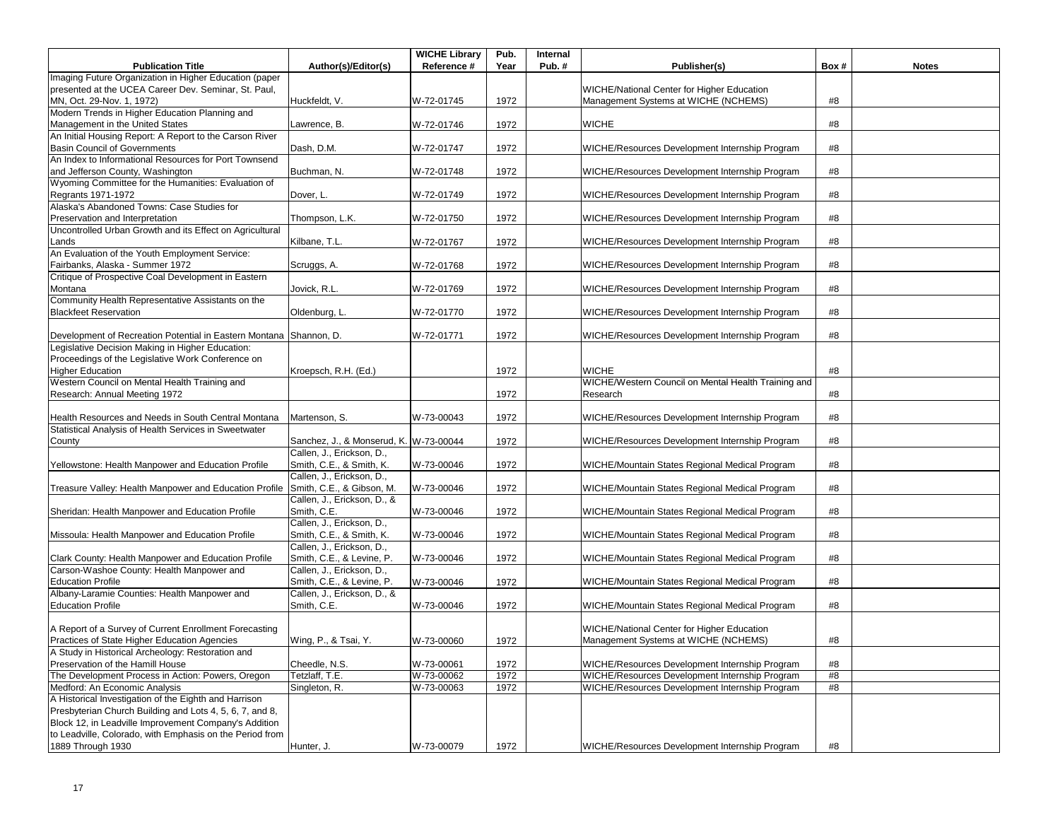| Imaging Future Organization in Higher Education (paper<br>WICHE/National Center for Higher Education<br>presented at the UCEA Career Dev. Seminar, St. Paul,<br>W-72-01745<br>1972<br>#8<br>MN, Oct. 29-Nov. 1, 1972)<br>Huckfeldt, V.<br>Management Systems at WICHE (NCHEMS)<br>Modern Trends in Higher Education Planning and<br>W-72-01746<br>1972<br><b>WICHE</b><br>#8<br>Management in the United States<br>Lawrence, B.<br>An Initial Housing Report: A Report to the Carson River<br>Basin Council of Governments<br>Dash, D.M.<br>WICHE/Resources Development Internship Program<br>W-72-01747<br>1972<br>#8<br>An Index to Informational Resources for Port Townsend<br>W-72-01748<br>1972<br>WICHE/Resources Development Internship Program<br>and Jefferson County, Washington<br>Buchman, N.<br>#8<br>Wyoming Committee for the Humanities: Evaluation of<br>Regrants 1971-1972<br>W-72-01749<br>1972<br>WICHE/Resources Development Internship Program<br>#8<br>Dover, L.<br>Alaska's Abandoned Towns: Case Studies for<br>Preservation and Interpretation<br>1972<br>WICHE/Resources Development Internship Program<br>Thompson, L.K.<br>W-72-01750<br>#8<br>Uncontrolled Urban Growth and its Effect on Agricultural<br>WICHE/Resources Development Internship Program<br>Kilbane, T.L.<br>1972<br>#8<br>Lands<br>W-72-01767<br>An Evaluation of the Youth Employment Service:<br>Fairbanks, Alaska - Summer 1972<br>1972<br>#8<br>W-72-01768<br>WICHE/Resources Development Internship Program<br>Scruggs, A.<br>Critique of Prospective Coal Development in Eastern<br>Jovick, R.L.<br>1972<br>WICHE/Resources Development Internship Program<br>Montana<br>W-72-01769<br>#8<br>Community Health Representative Assistants on the<br><b>Blackfeet Reservation</b><br>WICHE/Resources Development Internship Program<br>Oldenburg, L.<br>1972<br>#8<br>W-72-01770<br>WICHE/Resources Development Internship Program<br>#8<br>Development of Recreation Potential in Eastern Montana Shannon, D.<br>W-72-01771<br>1972<br>Legislative Decision Making in Higher Education:<br>Proceedings of the Legislative Work Conference on<br><b>Higher Education</b><br><b>WICHE</b><br>Kroepsch, R.H. (Ed.)<br>1972<br>#8<br>Western Council on Mental Health Training and<br>WICHE/Western Council on Mental Health Training and<br>1972<br>#8<br>Research: Annual Meeting 1972<br>Research<br>Health Resources and Needs in South Central Montana<br>Martenson, S.<br>W-73-00043<br>1972<br>WICHE/Resources Development Internship Program<br>#8<br>Statistical Analysis of Health Services in Sweetwater<br>Sanchez, J., & Monserud, K. W-73-00044<br>1972<br>WICHE/Resources Development Internship Program<br>#8<br>County<br>Callen, J., Erickson, D.,<br>Smith, C.E., & Smith, K.<br>W-73-00046<br>1972<br>#8<br>Yellowstone: Health Manpower and Education Profile<br>WICHE/Mountain States Regional Medical Program<br>Callen, J., Erickson, D.,<br>Smith, C.E., & Gibson, M.<br>W-73-00046<br>1972<br>WICHE/Mountain States Regional Medical Program<br>#8<br>Treasure Valley: Health Manpower and Education Profile<br>Callen, J., Erickson, D., &<br>Sheridan: Health Manpower and Education Profile<br>Smith, C.E.<br>W-73-00046<br>1972<br>WICHE/Mountain States Regional Medical Program<br>#8<br>Callen, J., Erickson, D.,<br>Smith, C.E., & Smith, K.<br>#8<br>Missoula: Health Manpower and Education Profile<br>1972<br>WICHE/Mountain States Regional Medical Program<br>W-73-00046<br>Callen, J., Erickson, D.,<br>Smith, C.E., & Levine, P.<br>W-73-00046<br>1972<br>WICHE/Mountain States Regional Medical Program<br>#8<br>Clark County: Health Manpower and Education Profile<br>Carson-Washoe County: Health Manpower and<br>Callen, J., Erickson, D.,<br><b>Education Profile</b><br>Smith, C.E., & Levine, P.<br>W-73-00046<br>1972<br>WICHE/Mountain States Regional Medical Program<br>#8<br>Albany-Laramie Counties: Health Manpower and<br>Callen, J., Erickson, D., &<br><b>Education Profile</b><br>Smith, C.E.<br>WICHE/Mountain States Regional Medical Program<br>1972<br>#8<br>W-73-00046<br>A Report of a Survey of Current Enrollment Forecasting<br>WICHE/National Center for Higher Education<br>Practices of State Higher Education Agencies<br>Wing, P., & Tsai, Y.<br>W-73-00060<br>1972<br>Management Systems at WICHE (NCHEMS)<br>#8<br>A Study in Historical Archeology: Restoration and<br>#8<br>Cheedle, N.S.<br>W-73-00061<br>1972<br>WICHE/Resources Development Internship Program<br>WICHE/Resources Development Internship Program<br>Tetzlaff, T.E.<br>W-73-00062<br>1972<br>#8<br>#8<br>Singleton, R.<br>W-73-00063<br>1972<br>WICHE/Resources Development Internship Program |                                                          |                     | <b>WICHE Library</b> | Pub. | Internal |                                                |      |              |
|------------------------------------------------------------------------------------------------------------------------------------------------------------------------------------------------------------------------------------------------------------------------------------------------------------------------------------------------------------------------------------------------------------------------------------------------------------------------------------------------------------------------------------------------------------------------------------------------------------------------------------------------------------------------------------------------------------------------------------------------------------------------------------------------------------------------------------------------------------------------------------------------------------------------------------------------------------------------------------------------------------------------------------------------------------------------------------------------------------------------------------------------------------------------------------------------------------------------------------------------------------------------------------------------------------------------------------------------------------------------------------------------------------------------------------------------------------------------------------------------------------------------------------------------------------------------------------------------------------------------------------------------------------------------------------------------------------------------------------------------------------------------------------------------------------------------------------------------------------------------------------------------------------------------------------------------------------------------------------------------------------------------------------------------------------------------------------------------------------------------------------------------------------------------------------------------------------------------------------------------------------------------------------------------------------------------------------------------------------------------------------------------------------------------------------------------------------------------------------------------------------------------------------------------------------------------------------------------------------------------------------------------------------------------------------------------------------------------------------------------------------------------------------------------------------------------------------------------------------------------------------------------------------------------------------------------------------------------------------------------------------------------------------------------------------------------------------------------------------------------------------------------------------------------------------------------------------------------------------------------------------------------------------------------------------------------------------------------------------------------------------------------------------------------------------------------------------------------------------------------------------------------------------------------------------------------------------------------------------------------------------------------------------------------------------------------------------------------------------------------------------------------------------------------------------------------------------------------------------------------------------------------------------------------------------------------------------------------------------------------------------------------------------------------------------------------------------------------------------------------------------------------------------------------------------------------------------------------------------------------------------------------------------------------------------------------------------------------------------------------------------------------------------------------------------------------------------------------------------------------------------------------------------------------------------------------------------------------------------------------------------------------------------------------------------------------------------------------------------------------|----------------------------------------------------------|---------------------|----------------------|------|----------|------------------------------------------------|------|--------------|
|                                                                                                                                                                                                                                                                                                                                                                                                                                                                                                                                                                                                                                                                                                                                                                                                                                                                                                                                                                                                                                                                                                                                                                                                                                                                                                                                                                                                                                                                                                                                                                                                                                                                                                                                                                                                                                                                                                                                                                                                                                                                                                                                                                                                                                                                                                                                                                                                                                                                                                                                                                                                                                                                                                                                                                                                                                                                                                                                                                                                                                                                                                                                                                                                                                                                                                                                                                                                                                                                                                                                                                                                                                                                                                                                                                                                                                                                                                                                                                                                                                                                                                                                                                                                                                                                                                                                                                                                                                                                                                                                                                                                                                                                                                                                                | <b>Publication Title</b>                                 | Author(s)/Editor(s) | Reference #          | Year | Pub.#    | Publisher(s)                                   | Box# | <b>Notes</b> |
|                                                                                                                                                                                                                                                                                                                                                                                                                                                                                                                                                                                                                                                                                                                                                                                                                                                                                                                                                                                                                                                                                                                                                                                                                                                                                                                                                                                                                                                                                                                                                                                                                                                                                                                                                                                                                                                                                                                                                                                                                                                                                                                                                                                                                                                                                                                                                                                                                                                                                                                                                                                                                                                                                                                                                                                                                                                                                                                                                                                                                                                                                                                                                                                                                                                                                                                                                                                                                                                                                                                                                                                                                                                                                                                                                                                                                                                                                                                                                                                                                                                                                                                                                                                                                                                                                                                                                                                                                                                                                                                                                                                                                                                                                                                                                |                                                          |                     |                      |      |          |                                                |      |              |
|                                                                                                                                                                                                                                                                                                                                                                                                                                                                                                                                                                                                                                                                                                                                                                                                                                                                                                                                                                                                                                                                                                                                                                                                                                                                                                                                                                                                                                                                                                                                                                                                                                                                                                                                                                                                                                                                                                                                                                                                                                                                                                                                                                                                                                                                                                                                                                                                                                                                                                                                                                                                                                                                                                                                                                                                                                                                                                                                                                                                                                                                                                                                                                                                                                                                                                                                                                                                                                                                                                                                                                                                                                                                                                                                                                                                                                                                                                                                                                                                                                                                                                                                                                                                                                                                                                                                                                                                                                                                                                                                                                                                                                                                                                                                                |                                                          |                     |                      |      |          |                                                |      |              |
|                                                                                                                                                                                                                                                                                                                                                                                                                                                                                                                                                                                                                                                                                                                                                                                                                                                                                                                                                                                                                                                                                                                                                                                                                                                                                                                                                                                                                                                                                                                                                                                                                                                                                                                                                                                                                                                                                                                                                                                                                                                                                                                                                                                                                                                                                                                                                                                                                                                                                                                                                                                                                                                                                                                                                                                                                                                                                                                                                                                                                                                                                                                                                                                                                                                                                                                                                                                                                                                                                                                                                                                                                                                                                                                                                                                                                                                                                                                                                                                                                                                                                                                                                                                                                                                                                                                                                                                                                                                                                                                                                                                                                                                                                                                                                |                                                          |                     |                      |      |          |                                                |      |              |
|                                                                                                                                                                                                                                                                                                                                                                                                                                                                                                                                                                                                                                                                                                                                                                                                                                                                                                                                                                                                                                                                                                                                                                                                                                                                                                                                                                                                                                                                                                                                                                                                                                                                                                                                                                                                                                                                                                                                                                                                                                                                                                                                                                                                                                                                                                                                                                                                                                                                                                                                                                                                                                                                                                                                                                                                                                                                                                                                                                                                                                                                                                                                                                                                                                                                                                                                                                                                                                                                                                                                                                                                                                                                                                                                                                                                                                                                                                                                                                                                                                                                                                                                                                                                                                                                                                                                                                                                                                                                                                                                                                                                                                                                                                                                                |                                                          |                     |                      |      |          |                                                |      |              |
|                                                                                                                                                                                                                                                                                                                                                                                                                                                                                                                                                                                                                                                                                                                                                                                                                                                                                                                                                                                                                                                                                                                                                                                                                                                                                                                                                                                                                                                                                                                                                                                                                                                                                                                                                                                                                                                                                                                                                                                                                                                                                                                                                                                                                                                                                                                                                                                                                                                                                                                                                                                                                                                                                                                                                                                                                                                                                                                                                                                                                                                                                                                                                                                                                                                                                                                                                                                                                                                                                                                                                                                                                                                                                                                                                                                                                                                                                                                                                                                                                                                                                                                                                                                                                                                                                                                                                                                                                                                                                                                                                                                                                                                                                                                                                |                                                          |                     |                      |      |          |                                                |      |              |
|                                                                                                                                                                                                                                                                                                                                                                                                                                                                                                                                                                                                                                                                                                                                                                                                                                                                                                                                                                                                                                                                                                                                                                                                                                                                                                                                                                                                                                                                                                                                                                                                                                                                                                                                                                                                                                                                                                                                                                                                                                                                                                                                                                                                                                                                                                                                                                                                                                                                                                                                                                                                                                                                                                                                                                                                                                                                                                                                                                                                                                                                                                                                                                                                                                                                                                                                                                                                                                                                                                                                                                                                                                                                                                                                                                                                                                                                                                                                                                                                                                                                                                                                                                                                                                                                                                                                                                                                                                                                                                                                                                                                                                                                                                                                                |                                                          |                     |                      |      |          |                                                |      |              |
|                                                                                                                                                                                                                                                                                                                                                                                                                                                                                                                                                                                                                                                                                                                                                                                                                                                                                                                                                                                                                                                                                                                                                                                                                                                                                                                                                                                                                                                                                                                                                                                                                                                                                                                                                                                                                                                                                                                                                                                                                                                                                                                                                                                                                                                                                                                                                                                                                                                                                                                                                                                                                                                                                                                                                                                                                                                                                                                                                                                                                                                                                                                                                                                                                                                                                                                                                                                                                                                                                                                                                                                                                                                                                                                                                                                                                                                                                                                                                                                                                                                                                                                                                                                                                                                                                                                                                                                                                                                                                                                                                                                                                                                                                                                                                |                                                          |                     |                      |      |          |                                                |      |              |
|                                                                                                                                                                                                                                                                                                                                                                                                                                                                                                                                                                                                                                                                                                                                                                                                                                                                                                                                                                                                                                                                                                                                                                                                                                                                                                                                                                                                                                                                                                                                                                                                                                                                                                                                                                                                                                                                                                                                                                                                                                                                                                                                                                                                                                                                                                                                                                                                                                                                                                                                                                                                                                                                                                                                                                                                                                                                                                                                                                                                                                                                                                                                                                                                                                                                                                                                                                                                                                                                                                                                                                                                                                                                                                                                                                                                                                                                                                                                                                                                                                                                                                                                                                                                                                                                                                                                                                                                                                                                                                                                                                                                                                                                                                                                                |                                                          |                     |                      |      |          |                                                |      |              |
|                                                                                                                                                                                                                                                                                                                                                                                                                                                                                                                                                                                                                                                                                                                                                                                                                                                                                                                                                                                                                                                                                                                                                                                                                                                                                                                                                                                                                                                                                                                                                                                                                                                                                                                                                                                                                                                                                                                                                                                                                                                                                                                                                                                                                                                                                                                                                                                                                                                                                                                                                                                                                                                                                                                                                                                                                                                                                                                                                                                                                                                                                                                                                                                                                                                                                                                                                                                                                                                                                                                                                                                                                                                                                                                                                                                                                                                                                                                                                                                                                                                                                                                                                                                                                                                                                                                                                                                                                                                                                                                                                                                                                                                                                                                                                |                                                          |                     |                      |      |          |                                                |      |              |
|                                                                                                                                                                                                                                                                                                                                                                                                                                                                                                                                                                                                                                                                                                                                                                                                                                                                                                                                                                                                                                                                                                                                                                                                                                                                                                                                                                                                                                                                                                                                                                                                                                                                                                                                                                                                                                                                                                                                                                                                                                                                                                                                                                                                                                                                                                                                                                                                                                                                                                                                                                                                                                                                                                                                                                                                                                                                                                                                                                                                                                                                                                                                                                                                                                                                                                                                                                                                                                                                                                                                                                                                                                                                                                                                                                                                                                                                                                                                                                                                                                                                                                                                                                                                                                                                                                                                                                                                                                                                                                                                                                                                                                                                                                                                                |                                                          |                     |                      |      |          |                                                |      |              |
|                                                                                                                                                                                                                                                                                                                                                                                                                                                                                                                                                                                                                                                                                                                                                                                                                                                                                                                                                                                                                                                                                                                                                                                                                                                                                                                                                                                                                                                                                                                                                                                                                                                                                                                                                                                                                                                                                                                                                                                                                                                                                                                                                                                                                                                                                                                                                                                                                                                                                                                                                                                                                                                                                                                                                                                                                                                                                                                                                                                                                                                                                                                                                                                                                                                                                                                                                                                                                                                                                                                                                                                                                                                                                                                                                                                                                                                                                                                                                                                                                                                                                                                                                                                                                                                                                                                                                                                                                                                                                                                                                                                                                                                                                                                                                |                                                          |                     |                      |      |          |                                                |      |              |
|                                                                                                                                                                                                                                                                                                                                                                                                                                                                                                                                                                                                                                                                                                                                                                                                                                                                                                                                                                                                                                                                                                                                                                                                                                                                                                                                                                                                                                                                                                                                                                                                                                                                                                                                                                                                                                                                                                                                                                                                                                                                                                                                                                                                                                                                                                                                                                                                                                                                                                                                                                                                                                                                                                                                                                                                                                                                                                                                                                                                                                                                                                                                                                                                                                                                                                                                                                                                                                                                                                                                                                                                                                                                                                                                                                                                                                                                                                                                                                                                                                                                                                                                                                                                                                                                                                                                                                                                                                                                                                                                                                                                                                                                                                                                                |                                                          |                     |                      |      |          |                                                |      |              |
|                                                                                                                                                                                                                                                                                                                                                                                                                                                                                                                                                                                                                                                                                                                                                                                                                                                                                                                                                                                                                                                                                                                                                                                                                                                                                                                                                                                                                                                                                                                                                                                                                                                                                                                                                                                                                                                                                                                                                                                                                                                                                                                                                                                                                                                                                                                                                                                                                                                                                                                                                                                                                                                                                                                                                                                                                                                                                                                                                                                                                                                                                                                                                                                                                                                                                                                                                                                                                                                                                                                                                                                                                                                                                                                                                                                                                                                                                                                                                                                                                                                                                                                                                                                                                                                                                                                                                                                                                                                                                                                                                                                                                                                                                                                                                |                                                          |                     |                      |      |          |                                                |      |              |
|                                                                                                                                                                                                                                                                                                                                                                                                                                                                                                                                                                                                                                                                                                                                                                                                                                                                                                                                                                                                                                                                                                                                                                                                                                                                                                                                                                                                                                                                                                                                                                                                                                                                                                                                                                                                                                                                                                                                                                                                                                                                                                                                                                                                                                                                                                                                                                                                                                                                                                                                                                                                                                                                                                                                                                                                                                                                                                                                                                                                                                                                                                                                                                                                                                                                                                                                                                                                                                                                                                                                                                                                                                                                                                                                                                                                                                                                                                                                                                                                                                                                                                                                                                                                                                                                                                                                                                                                                                                                                                                                                                                                                                                                                                                                                |                                                          |                     |                      |      |          |                                                |      |              |
|                                                                                                                                                                                                                                                                                                                                                                                                                                                                                                                                                                                                                                                                                                                                                                                                                                                                                                                                                                                                                                                                                                                                                                                                                                                                                                                                                                                                                                                                                                                                                                                                                                                                                                                                                                                                                                                                                                                                                                                                                                                                                                                                                                                                                                                                                                                                                                                                                                                                                                                                                                                                                                                                                                                                                                                                                                                                                                                                                                                                                                                                                                                                                                                                                                                                                                                                                                                                                                                                                                                                                                                                                                                                                                                                                                                                                                                                                                                                                                                                                                                                                                                                                                                                                                                                                                                                                                                                                                                                                                                                                                                                                                                                                                                                                |                                                          |                     |                      |      |          |                                                |      |              |
|                                                                                                                                                                                                                                                                                                                                                                                                                                                                                                                                                                                                                                                                                                                                                                                                                                                                                                                                                                                                                                                                                                                                                                                                                                                                                                                                                                                                                                                                                                                                                                                                                                                                                                                                                                                                                                                                                                                                                                                                                                                                                                                                                                                                                                                                                                                                                                                                                                                                                                                                                                                                                                                                                                                                                                                                                                                                                                                                                                                                                                                                                                                                                                                                                                                                                                                                                                                                                                                                                                                                                                                                                                                                                                                                                                                                                                                                                                                                                                                                                                                                                                                                                                                                                                                                                                                                                                                                                                                                                                                                                                                                                                                                                                                                                |                                                          |                     |                      |      |          |                                                |      |              |
|                                                                                                                                                                                                                                                                                                                                                                                                                                                                                                                                                                                                                                                                                                                                                                                                                                                                                                                                                                                                                                                                                                                                                                                                                                                                                                                                                                                                                                                                                                                                                                                                                                                                                                                                                                                                                                                                                                                                                                                                                                                                                                                                                                                                                                                                                                                                                                                                                                                                                                                                                                                                                                                                                                                                                                                                                                                                                                                                                                                                                                                                                                                                                                                                                                                                                                                                                                                                                                                                                                                                                                                                                                                                                                                                                                                                                                                                                                                                                                                                                                                                                                                                                                                                                                                                                                                                                                                                                                                                                                                                                                                                                                                                                                                                                |                                                          |                     |                      |      |          |                                                |      |              |
|                                                                                                                                                                                                                                                                                                                                                                                                                                                                                                                                                                                                                                                                                                                                                                                                                                                                                                                                                                                                                                                                                                                                                                                                                                                                                                                                                                                                                                                                                                                                                                                                                                                                                                                                                                                                                                                                                                                                                                                                                                                                                                                                                                                                                                                                                                                                                                                                                                                                                                                                                                                                                                                                                                                                                                                                                                                                                                                                                                                                                                                                                                                                                                                                                                                                                                                                                                                                                                                                                                                                                                                                                                                                                                                                                                                                                                                                                                                                                                                                                                                                                                                                                                                                                                                                                                                                                                                                                                                                                                                                                                                                                                                                                                                                                |                                                          |                     |                      |      |          |                                                |      |              |
|                                                                                                                                                                                                                                                                                                                                                                                                                                                                                                                                                                                                                                                                                                                                                                                                                                                                                                                                                                                                                                                                                                                                                                                                                                                                                                                                                                                                                                                                                                                                                                                                                                                                                                                                                                                                                                                                                                                                                                                                                                                                                                                                                                                                                                                                                                                                                                                                                                                                                                                                                                                                                                                                                                                                                                                                                                                                                                                                                                                                                                                                                                                                                                                                                                                                                                                                                                                                                                                                                                                                                                                                                                                                                                                                                                                                                                                                                                                                                                                                                                                                                                                                                                                                                                                                                                                                                                                                                                                                                                                                                                                                                                                                                                                                                |                                                          |                     |                      |      |          |                                                |      |              |
|                                                                                                                                                                                                                                                                                                                                                                                                                                                                                                                                                                                                                                                                                                                                                                                                                                                                                                                                                                                                                                                                                                                                                                                                                                                                                                                                                                                                                                                                                                                                                                                                                                                                                                                                                                                                                                                                                                                                                                                                                                                                                                                                                                                                                                                                                                                                                                                                                                                                                                                                                                                                                                                                                                                                                                                                                                                                                                                                                                                                                                                                                                                                                                                                                                                                                                                                                                                                                                                                                                                                                                                                                                                                                                                                                                                                                                                                                                                                                                                                                                                                                                                                                                                                                                                                                                                                                                                                                                                                                                                                                                                                                                                                                                                                                |                                                          |                     |                      |      |          |                                                |      |              |
|                                                                                                                                                                                                                                                                                                                                                                                                                                                                                                                                                                                                                                                                                                                                                                                                                                                                                                                                                                                                                                                                                                                                                                                                                                                                                                                                                                                                                                                                                                                                                                                                                                                                                                                                                                                                                                                                                                                                                                                                                                                                                                                                                                                                                                                                                                                                                                                                                                                                                                                                                                                                                                                                                                                                                                                                                                                                                                                                                                                                                                                                                                                                                                                                                                                                                                                                                                                                                                                                                                                                                                                                                                                                                                                                                                                                                                                                                                                                                                                                                                                                                                                                                                                                                                                                                                                                                                                                                                                                                                                                                                                                                                                                                                                                                |                                                          |                     |                      |      |          |                                                |      |              |
|                                                                                                                                                                                                                                                                                                                                                                                                                                                                                                                                                                                                                                                                                                                                                                                                                                                                                                                                                                                                                                                                                                                                                                                                                                                                                                                                                                                                                                                                                                                                                                                                                                                                                                                                                                                                                                                                                                                                                                                                                                                                                                                                                                                                                                                                                                                                                                                                                                                                                                                                                                                                                                                                                                                                                                                                                                                                                                                                                                                                                                                                                                                                                                                                                                                                                                                                                                                                                                                                                                                                                                                                                                                                                                                                                                                                                                                                                                                                                                                                                                                                                                                                                                                                                                                                                                                                                                                                                                                                                                                                                                                                                                                                                                                                                |                                                          |                     |                      |      |          |                                                |      |              |
|                                                                                                                                                                                                                                                                                                                                                                                                                                                                                                                                                                                                                                                                                                                                                                                                                                                                                                                                                                                                                                                                                                                                                                                                                                                                                                                                                                                                                                                                                                                                                                                                                                                                                                                                                                                                                                                                                                                                                                                                                                                                                                                                                                                                                                                                                                                                                                                                                                                                                                                                                                                                                                                                                                                                                                                                                                                                                                                                                                                                                                                                                                                                                                                                                                                                                                                                                                                                                                                                                                                                                                                                                                                                                                                                                                                                                                                                                                                                                                                                                                                                                                                                                                                                                                                                                                                                                                                                                                                                                                                                                                                                                                                                                                                                                |                                                          |                     |                      |      |          |                                                |      |              |
|                                                                                                                                                                                                                                                                                                                                                                                                                                                                                                                                                                                                                                                                                                                                                                                                                                                                                                                                                                                                                                                                                                                                                                                                                                                                                                                                                                                                                                                                                                                                                                                                                                                                                                                                                                                                                                                                                                                                                                                                                                                                                                                                                                                                                                                                                                                                                                                                                                                                                                                                                                                                                                                                                                                                                                                                                                                                                                                                                                                                                                                                                                                                                                                                                                                                                                                                                                                                                                                                                                                                                                                                                                                                                                                                                                                                                                                                                                                                                                                                                                                                                                                                                                                                                                                                                                                                                                                                                                                                                                                                                                                                                                                                                                                                                |                                                          |                     |                      |      |          |                                                |      |              |
|                                                                                                                                                                                                                                                                                                                                                                                                                                                                                                                                                                                                                                                                                                                                                                                                                                                                                                                                                                                                                                                                                                                                                                                                                                                                                                                                                                                                                                                                                                                                                                                                                                                                                                                                                                                                                                                                                                                                                                                                                                                                                                                                                                                                                                                                                                                                                                                                                                                                                                                                                                                                                                                                                                                                                                                                                                                                                                                                                                                                                                                                                                                                                                                                                                                                                                                                                                                                                                                                                                                                                                                                                                                                                                                                                                                                                                                                                                                                                                                                                                                                                                                                                                                                                                                                                                                                                                                                                                                                                                                                                                                                                                                                                                                                                |                                                          |                     |                      |      |          |                                                |      |              |
|                                                                                                                                                                                                                                                                                                                                                                                                                                                                                                                                                                                                                                                                                                                                                                                                                                                                                                                                                                                                                                                                                                                                                                                                                                                                                                                                                                                                                                                                                                                                                                                                                                                                                                                                                                                                                                                                                                                                                                                                                                                                                                                                                                                                                                                                                                                                                                                                                                                                                                                                                                                                                                                                                                                                                                                                                                                                                                                                                                                                                                                                                                                                                                                                                                                                                                                                                                                                                                                                                                                                                                                                                                                                                                                                                                                                                                                                                                                                                                                                                                                                                                                                                                                                                                                                                                                                                                                                                                                                                                                                                                                                                                                                                                                                                |                                                          |                     |                      |      |          |                                                |      |              |
|                                                                                                                                                                                                                                                                                                                                                                                                                                                                                                                                                                                                                                                                                                                                                                                                                                                                                                                                                                                                                                                                                                                                                                                                                                                                                                                                                                                                                                                                                                                                                                                                                                                                                                                                                                                                                                                                                                                                                                                                                                                                                                                                                                                                                                                                                                                                                                                                                                                                                                                                                                                                                                                                                                                                                                                                                                                                                                                                                                                                                                                                                                                                                                                                                                                                                                                                                                                                                                                                                                                                                                                                                                                                                                                                                                                                                                                                                                                                                                                                                                                                                                                                                                                                                                                                                                                                                                                                                                                                                                                                                                                                                                                                                                                                                |                                                          |                     |                      |      |          |                                                |      |              |
|                                                                                                                                                                                                                                                                                                                                                                                                                                                                                                                                                                                                                                                                                                                                                                                                                                                                                                                                                                                                                                                                                                                                                                                                                                                                                                                                                                                                                                                                                                                                                                                                                                                                                                                                                                                                                                                                                                                                                                                                                                                                                                                                                                                                                                                                                                                                                                                                                                                                                                                                                                                                                                                                                                                                                                                                                                                                                                                                                                                                                                                                                                                                                                                                                                                                                                                                                                                                                                                                                                                                                                                                                                                                                                                                                                                                                                                                                                                                                                                                                                                                                                                                                                                                                                                                                                                                                                                                                                                                                                                                                                                                                                                                                                                                                |                                                          |                     |                      |      |          |                                                |      |              |
|                                                                                                                                                                                                                                                                                                                                                                                                                                                                                                                                                                                                                                                                                                                                                                                                                                                                                                                                                                                                                                                                                                                                                                                                                                                                                                                                                                                                                                                                                                                                                                                                                                                                                                                                                                                                                                                                                                                                                                                                                                                                                                                                                                                                                                                                                                                                                                                                                                                                                                                                                                                                                                                                                                                                                                                                                                                                                                                                                                                                                                                                                                                                                                                                                                                                                                                                                                                                                                                                                                                                                                                                                                                                                                                                                                                                                                                                                                                                                                                                                                                                                                                                                                                                                                                                                                                                                                                                                                                                                                                                                                                                                                                                                                                                                |                                                          |                     |                      |      |          |                                                |      |              |
|                                                                                                                                                                                                                                                                                                                                                                                                                                                                                                                                                                                                                                                                                                                                                                                                                                                                                                                                                                                                                                                                                                                                                                                                                                                                                                                                                                                                                                                                                                                                                                                                                                                                                                                                                                                                                                                                                                                                                                                                                                                                                                                                                                                                                                                                                                                                                                                                                                                                                                                                                                                                                                                                                                                                                                                                                                                                                                                                                                                                                                                                                                                                                                                                                                                                                                                                                                                                                                                                                                                                                                                                                                                                                                                                                                                                                                                                                                                                                                                                                                                                                                                                                                                                                                                                                                                                                                                                                                                                                                                                                                                                                                                                                                                                                |                                                          |                     |                      |      |          |                                                |      |              |
|                                                                                                                                                                                                                                                                                                                                                                                                                                                                                                                                                                                                                                                                                                                                                                                                                                                                                                                                                                                                                                                                                                                                                                                                                                                                                                                                                                                                                                                                                                                                                                                                                                                                                                                                                                                                                                                                                                                                                                                                                                                                                                                                                                                                                                                                                                                                                                                                                                                                                                                                                                                                                                                                                                                                                                                                                                                                                                                                                                                                                                                                                                                                                                                                                                                                                                                                                                                                                                                                                                                                                                                                                                                                                                                                                                                                                                                                                                                                                                                                                                                                                                                                                                                                                                                                                                                                                                                                                                                                                                                                                                                                                                                                                                                                                |                                                          |                     |                      |      |          |                                                |      |              |
|                                                                                                                                                                                                                                                                                                                                                                                                                                                                                                                                                                                                                                                                                                                                                                                                                                                                                                                                                                                                                                                                                                                                                                                                                                                                                                                                                                                                                                                                                                                                                                                                                                                                                                                                                                                                                                                                                                                                                                                                                                                                                                                                                                                                                                                                                                                                                                                                                                                                                                                                                                                                                                                                                                                                                                                                                                                                                                                                                                                                                                                                                                                                                                                                                                                                                                                                                                                                                                                                                                                                                                                                                                                                                                                                                                                                                                                                                                                                                                                                                                                                                                                                                                                                                                                                                                                                                                                                                                                                                                                                                                                                                                                                                                                                                |                                                          |                     |                      |      |          |                                                |      |              |
|                                                                                                                                                                                                                                                                                                                                                                                                                                                                                                                                                                                                                                                                                                                                                                                                                                                                                                                                                                                                                                                                                                                                                                                                                                                                                                                                                                                                                                                                                                                                                                                                                                                                                                                                                                                                                                                                                                                                                                                                                                                                                                                                                                                                                                                                                                                                                                                                                                                                                                                                                                                                                                                                                                                                                                                                                                                                                                                                                                                                                                                                                                                                                                                                                                                                                                                                                                                                                                                                                                                                                                                                                                                                                                                                                                                                                                                                                                                                                                                                                                                                                                                                                                                                                                                                                                                                                                                                                                                                                                                                                                                                                                                                                                                                                |                                                          |                     |                      |      |          |                                                |      |              |
|                                                                                                                                                                                                                                                                                                                                                                                                                                                                                                                                                                                                                                                                                                                                                                                                                                                                                                                                                                                                                                                                                                                                                                                                                                                                                                                                                                                                                                                                                                                                                                                                                                                                                                                                                                                                                                                                                                                                                                                                                                                                                                                                                                                                                                                                                                                                                                                                                                                                                                                                                                                                                                                                                                                                                                                                                                                                                                                                                                                                                                                                                                                                                                                                                                                                                                                                                                                                                                                                                                                                                                                                                                                                                                                                                                                                                                                                                                                                                                                                                                                                                                                                                                                                                                                                                                                                                                                                                                                                                                                                                                                                                                                                                                                                                |                                                          |                     |                      |      |          |                                                |      |              |
|                                                                                                                                                                                                                                                                                                                                                                                                                                                                                                                                                                                                                                                                                                                                                                                                                                                                                                                                                                                                                                                                                                                                                                                                                                                                                                                                                                                                                                                                                                                                                                                                                                                                                                                                                                                                                                                                                                                                                                                                                                                                                                                                                                                                                                                                                                                                                                                                                                                                                                                                                                                                                                                                                                                                                                                                                                                                                                                                                                                                                                                                                                                                                                                                                                                                                                                                                                                                                                                                                                                                                                                                                                                                                                                                                                                                                                                                                                                                                                                                                                                                                                                                                                                                                                                                                                                                                                                                                                                                                                                                                                                                                                                                                                                                                |                                                          |                     |                      |      |          |                                                |      |              |
|                                                                                                                                                                                                                                                                                                                                                                                                                                                                                                                                                                                                                                                                                                                                                                                                                                                                                                                                                                                                                                                                                                                                                                                                                                                                                                                                                                                                                                                                                                                                                                                                                                                                                                                                                                                                                                                                                                                                                                                                                                                                                                                                                                                                                                                                                                                                                                                                                                                                                                                                                                                                                                                                                                                                                                                                                                                                                                                                                                                                                                                                                                                                                                                                                                                                                                                                                                                                                                                                                                                                                                                                                                                                                                                                                                                                                                                                                                                                                                                                                                                                                                                                                                                                                                                                                                                                                                                                                                                                                                                                                                                                                                                                                                                                                |                                                          |                     |                      |      |          |                                                |      |              |
|                                                                                                                                                                                                                                                                                                                                                                                                                                                                                                                                                                                                                                                                                                                                                                                                                                                                                                                                                                                                                                                                                                                                                                                                                                                                                                                                                                                                                                                                                                                                                                                                                                                                                                                                                                                                                                                                                                                                                                                                                                                                                                                                                                                                                                                                                                                                                                                                                                                                                                                                                                                                                                                                                                                                                                                                                                                                                                                                                                                                                                                                                                                                                                                                                                                                                                                                                                                                                                                                                                                                                                                                                                                                                                                                                                                                                                                                                                                                                                                                                                                                                                                                                                                                                                                                                                                                                                                                                                                                                                                                                                                                                                                                                                                                                |                                                          |                     |                      |      |          |                                                |      |              |
|                                                                                                                                                                                                                                                                                                                                                                                                                                                                                                                                                                                                                                                                                                                                                                                                                                                                                                                                                                                                                                                                                                                                                                                                                                                                                                                                                                                                                                                                                                                                                                                                                                                                                                                                                                                                                                                                                                                                                                                                                                                                                                                                                                                                                                                                                                                                                                                                                                                                                                                                                                                                                                                                                                                                                                                                                                                                                                                                                                                                                                                                                                                                                                                                                                                                                                                                                                                                                                                                                                                                                                                                                                                                                                                                                                                                                                                                                                                                                                                                                                                                                                                                                                                                                                                                                                                                                                                                                                                                                                                                                                                                                                                                                                                                                |                                                          |                     |                      |      |          |                                                |      |              |
|                                                                                                                                                                                                                                                                                                                                                                                                                                                                                                                                                                                                                                                                                                                                                                                                                                                                                                                                                                                                                                                                                                                                                                                                                                                                                                                                                                                                                                                                                                                                                                                                                                                                                                                                                                                                                                                                                                                                                                                                                                                                                                                                                                                                                                                                                                                                                                                                                                                                                                                                                                                                                                                                                                                                                                                                                                                                                                                                                                                                                                                                                                                                                                                                                                                                                                                                                                                                                                                                                                                                                                                                                                                                                                                                                                                                                                                                                                                                                                                                                                                                                                                                                                                                                                                                                                                                                                                                                                                                                                                                                                                                                                                                                                                                                |                                                          |                     |                      |      |          |                                                |      |              |
|                                                                                                                                                                                                                                                                                                                                                                                                                                                                                                                                                                                                                                                                                                                                                                                                                                                                                                                                                                                                                                                                                                                                                                                                                                                                                                                                                                                                                                                                                                                                                                                                                                                                                                                                                                                                                                                                                                                                                                                                                                                                                                                                                                                                                                                                                                                                                                                                                                                                                                                                                                                                                                                                                                                                                                                                                                                                                                                                                                                                                                                                                                                                                                                                                                                                                                                                                                                                                                                                                                                                                                                                                                                                                                                                                                                                                                                                                                                                                                                                                                                                                                                                                                                                                                                                                                                                                                                                                                                                                                                                                                                                                                                                                                                                                |                                                          |                     |                      |      |          |                                                |      |              |
|                                                                                                                                                                                                                                                                                                                                                                                                                                                                                                                                                                                                                                                                                                                                                                                                                                                                                                                                                                                                                                                                                                                                                                                                                                                                                                                                                                                                                                                                                                                                                                                                                                                                                                                                                                                                                                                                                                                                                                                                                                                                                                                                                                                                                                                                                                                                                                                                                                                                                                                                                                                                                                                                                                                                                                                                                                                                                                                                                                                                                                                                                                                                                                                                                                                                                                                                                                                                                                                                                                                                                                                                                                                                                                                                                                                                                                                                                                                                                                                                                                                                                                                                                                                                                                                                                                                                                                                                                                                                                                                                                                                                                                                                                                                                                |                                                          |                     |                      |      |          |                                                |      |              |
|                                                                                                                                                                                                                                                                                                                                                                                                                                                                                                                                                                                                                                                                                                                                                                                                                                                                                                                                                                                                                                                                                                                                                                                                                                                                                                                                                                                                                                                                                                                                                                                                                                                                                                                                                                                                                                                                                                                                                                                                                                                                                                                                                                                                                                                                                                                                                                                                                                                                                                                                                                                                                                                                                                                                                                                                                                                                                                                                                                                                                                                                                                                                                                                                                                                                                                                                                                                                                                                                                                                                                                                                                                                                                                                                                                                                                                                                                                                                                                                                                                                                                                                                                                                                                                                                                                                                                                                                                                                                                                                                                                                                                                                                                                                                                |                                                          |                     |                      |      |          |                                                |      |              |
|                                                                                                                                                                                                                                                                                                                                                                                                                                                                                                                                                                                                                                                                                                                                                                                                                                                                                                                                                                                                                                                                                                                                                                                                                                                                                                                                                                                                                                                                                                                                                                                                                                                                                                                                                                                                                                                                                                                                                                                                                                                                                                                                                                                                                                                                                                                                                                                                                                                                                                                                                                                                                                                                                                                                                                                                                                                                                                                                                                                                                                                                                                                                                                                                                                                                                                                                                                                                                                                                                                                                                                                                                                                                                                                                                                                                                                                                                                                                                                                                                                                                                                                                                                                                                                                                                                                                                                                                                                                                                                                                                                                                                                                                                                                                                |                                                          |                     |                      |      |          |                                                |      |              |
|                                                                                                                                                                                                                                                                                                                                                                                                                                                                                                                                                                                                                                                                                                                                                                                                                                                                                                                                                                                                                                                                                                                                                                                                                                                                                                                                                                                                                                                                                                                                                                                                                                                                                                                                                                                                                                                                                                                                                                                                                                                                                                                                                                                                                                                                                                                                                                                                                                                                                                                                                                                                                                                                                                                                                                                                                                                                                                                                                                                                                                                                                                                                                                                                                                                                                                                                                                                                                                                                                                                                                                                                                                                                                                                                                                                                                                                                                                                                                                                                                                                                                                                                                                                                                                                                                                                                                                                                                                                                                                                                                                                                                                                                                                                                                |                                                          |                     |                      |      |          |                                                |      |              |
|                                                                                                                                                                                                                                                                                                                                                                                                                                                                                                                                                                                                                                                                                                                                                                                                                                                                                                                                                                                                                                                                                                                                                                                                                                                                                                                                                                                                                                                                                                                                                                                                                                                                                                                                                                                                                                                                                                                                                                                                                                                                                                                                                                                                                                                                                                                                                                                                                                                                                                                                                                                                                                                                                                                                                                                                                                                                                                                                                                                                                                                                                                                                                                                                                                                                                                                                                                                                                                                                                                                                                                                                                                                                                                                                                                                                                                                                                                                                                                                                                                                                                                                                                                                                                                                                                                                                                                                                                                                                                                                                                                                                                                                                                                                                                |                                                          |                     |                      |      |          |                                                |      |              |
|                                                                                                                                                                                                                                                                                                                                                                                                                                                                                                                                                                                                                                                                                                                                                                                                                                                                                                                                                                                                                                                                                                                                                                                                                                                                                                                                                                                                                                                                                                                                                                                                                                                                                                                                                                                                                                                                                                                                                                                                                                                                                                                                                                                                                                                                                                                                                                                                                                                                                                                                                                                                                                                                                                                                                                                                                                                                                                                                                                                                                                                                                                                                                                                                                                                                                                                                                                                                                                                                                                                                                                                                                                                                                                                                                                                                                                                                                                                                                                                                                                                                                                                                                                                                                                                                                                                                                                                                                                                                                                                                                                                                                                                                                                                                                |                                                          |                     |                      |      |          |                                                |      |              |
|                                                                                                                                                                                                                                                                                                                                                                                                                                                                                                                                                                                                                                                                                                                                                                                                                                                                                                                                                                                                                                                                                                                                                                                                                                                                                                                                                                                                                                                                                                                                                                                                                                                                                                                                                                                                                                                                                                                                                                                                                                                                                                                                                                                                                                                                                                                                                                                                                                                                                                                                                                                                                                                                                                                                                                                                                                                                                                                                                                                                                                                                                                                                                                                                                                                                                                                                                                                                                                                                                                                                                                                                                                                                                                                                                                                                                                                                                                                                                                                                                                                                                                                                                                                                                                                                                                                                                                                                                                                                                                                                                                                                                                                                                                                                                |                                                          |                     |                      |      |          |                                                |      |              |
|                                                                                                                                                                                                                                                                                                                                                                                                                                                                                                                                                                                                                                                                                                                                                                                                                                                                                                                                                                                                                                                                                                                                                                                                                                                                                                                                                                                                                                                                                                                                                                                                                                                                                                                                                                                                                                                                                                                                                                                                                                                                                                                                                                                                                                                                                                                                                                                                                                                                                                                                                                                                                                                                                                                                                                                                                                                                                                                                                                                                                                                                                                                                                                                                                                                                                                                                                                                                                                                                                                                                                                                                                                                                                                                                                                                                                                                                                                                                                                                                                                                                                                                                                                                                                                                                                                                                                                                                                                                                                                                                                                                                                                                                                                                                                |                                                          |                     |                      |      |          |                                                |      |              |
|                                                                                                                                                                                                                                                                                                                                                                                                                                                                                                                                                                                                                                                                                                                                                                                                                                                                                                                                                                                                                                                                                                                                                                                                                                                                                                                                                                                                                                                                                                                                                                                                                                                                                                                                                                                                                                                                                                                                                                                                                                                                                                                                                                                                                                                                                                                                                                                                                                                                                                                                                                                                                                                                                                                                                                                                                                                                                                                                                                                                                                                                                                                                                                                                                                                                                                                                                                                                                                                                                                                                                                                                                                                                                                                                                                                                                                                                                                                                                                                                                                                                                                                                                                                                                                                                                                                                                                                                                                                                                                                                                                                                                                                                                                                                                |                                                          |                     |                      |      |          |                                                |      |              |
|                                                                                                                                                                                                                                                                                                                                                                                                                                                                                                                                                                                                                                                                                                                                                                                                                                                                                                                                                                                                                                                                                                                                                                                                                                                                                                                                                                                                                                                                                                                                                                                                                                                                                                                                                                                                                                                                                                                                                                                                                                                                                                                                                                                                                                                                                                                                                                                                                                                                                                                                                                                                                                                                                                                                                                                                                                                                                                                                                                                                                                                                                                                                                                                                                                                                                                                                                                                                                                                                                                                                                                                                                                                                                                                                                                                                                                                                                                                                                                                                                                                                                                                                                                                                                                                                                                                                                                                                                                                                                                                                                                                                                                                                                                                                                | Preservation of the Hamill House                         |                     |                      |      |          |                                                |      |              |
|                                                                                                                                                                                                                                                                                                                                                                                                                                                                                                                                                                                                                                                                                                                                                                                                                                                                                                                                                                                                                                                                                                                                                                                                                                                                                                                                                                                                                                                                                                                                                                                                                                                                                                                                                                                                                                                                                                                                                                                                                                                                                                                                                                                                                                                                                                                                                                                                                                                                                                                                                                                                                                                                                                                                                                                                                                                                                                                                                                                                                                                                                                                                                                                                                                                                                                                                                                                                                                                                                                                                                                                                                                                                                                                                                                                                                                                                                                                                                                                                                                                                                                                                                                                                                                                                                                                                                                                                                                                                                                                                                                                                                                                                                                                                                | The Development Process in Action: Powers, Oregon        |                     |                      |      |          |                                                |      |              |
|                                                                                                                                                                                                                                                                                                                                                                                                                                                                                                                                                                                                                                                                                                                                                                                                                                                                                                                                                                                                                                                                                                                                                                                                                                                                                                                                                                                                                                                                                                                                                                                                                                                                                                                                                                                                                                                                                                                                                                                                                                                                                                                                                                                                                                                                                                                                                                                                                                                                                                                                                                                                                                                                                                                                                                                                                                                                                                                                                                                                                                                                                                                                                                                                                                                                                                                                                                                                                                                                                                                                                                                                                                                                                                                                                                                                                                                                                                                                                                                                                                                                                                                                                                                                                                                                                                                                                                                                                                                                                                                                                                                                                                                                                                                                                | Medford: An Economic Analysis                            |                     |                      |      |          |                                                |      |              |
|                                                                                                                                                                                                                                                                                                                                                                                                                                                                                                                                                                                                                                                                                                                                                                                                                                                                                                                                                                                                                                                                                                                                                                                                                                                                                                                                                                                                                                                                                                                                                                                                                                                                                                                                                                                                                                                                                                                                                                                                                                                                                                                                                                                                                                                                                                                                                                                                                                                                                                                                                                                                                                                                                                                                                                                                                                                                                                                                                                                                                                                                                                                                                                                                                                                                                                                                                                                                                                                                                                                                                                                                                                                                                                                                                                                                                                                                                                                                                                                                                                                                                                                                                                                                                                                                                                                                                                                                                                                                                                                                                                                                                                                                                                                                                | A Historical Investigation of the Eighth and Harrison    |                     |                      |      |          |                                                |      |              |
|                                                                                                                                                                                                                                                                                                                                                                                                                                                                                                                                                                                                                                                                                                                                                                                                                                                                                                                                                                                                                                                                                                                                                                                                                                                                                                                                                                                                                                                                                                                                                                                                                                                                                                                                                                                                                                                                                                                                                                                                                                                                                                                                                                                                                                                                                                                                                                                                                                                                                                                                                                                                                                                                                                                                                                                                                                                                                                                                                                                                                                                                                                                                                                                                                                                                                                                                                                                                                                                                                                                                                                                                                                                                                                                                                                                                                                                                                                                                                                                                                                                                                                                                                                                                                                                                                                                                                                                                                                                                                                                                                                                                                                                                                                                                                | Presbyterian Church Building and Lots 4, 5, 6, 7, and 8, |                     |                      |      |          |                                                |      |              |
|                                                                                                                                                                                                                                                                                                                                                                                                                                                                                                                                                                                                                                                                                                                                                                                                                                                                                                                                                                                                                                                                                                                                                                                                                                                                                                                                                                                                                                                                                                                                                                                                                                                                                                                                                                                                                                                                                                                                                                                                                                                                                                                                                                                                                                                                                                                                                                                                                                                                                                                                                                                                                                                                                                                                                                                                                                                                                                                                                                                                                                                                                                                                                                                                                                                                                                                                                                                                                                                                                                                                                                                                                                                                                                                                                                                                                                                                                                                                                                                                                                                                                                                                                                                                                                                                                                                                                                                                                                                                                                                                                                                                                                                                                                                                                | Block 12, in Leadville Improvement Company's Addition    |                     |                      |      |          |                                                |      |              |
|                                                                                                                                                                                                                                                                                                                                                                                                                                                                                                                                                                                                                                                                                                                                                                                                                                                                                                                                                                                                                                                                                                                                                                                                                                                                                                                                                                                                                                                                                                                                                                                                                                                                                                                                                                                                                                                                                                                                                                                                                                                                                                                                                                                                                                                                                                                                                                                                                                                                                                                                                                                                                                                                                                                                                                                                                                                                                                                                                                                                                                                                                                                                                                                                                                                                                                                                                                                                                                                                                                                                                                                                                                                                                                                                                                                                                                                                                                                                                                                                                                                                                                                                                                                                                                                                                                                                                                                                                                                                                                                                                                                                                                                                                                                                                | to Leadville, Colorado, with Emphasis on the Period from |                     |                      |      |          |                                                |      |              |
|                                                                                                                                                                                                                                                                                                                                                                                                                                                                                                                                                                                                                                                                                                                                                                                                                                                                                                                                                                                                                                                                                                                                                                                                                                                                                                                                                                                                                                                                                                                                                                                                                                                                                                                                                                                                                                                                                                                                                                                                                                                                                                                                                                                                                                                                                                                                                                                                                                                                                                                                                                                                                                                                                                                                                                                                                                                                                                                                                                                                                                                                                                                                                                                                                                                                                                                                                                                                                                                                                                                                                                                                                                                                                                                                                                                                                                                                                                                                                                                                                                                                                                                                                                                                                                                                                                                                                                                                                                                                                                                                                                                                                                                                                                                                                | 1889 Through 1930                                        | Hunter, J.          | W-73-00079           | 1972 |          | WICHE/Resources Development Internship Program | #8   |              |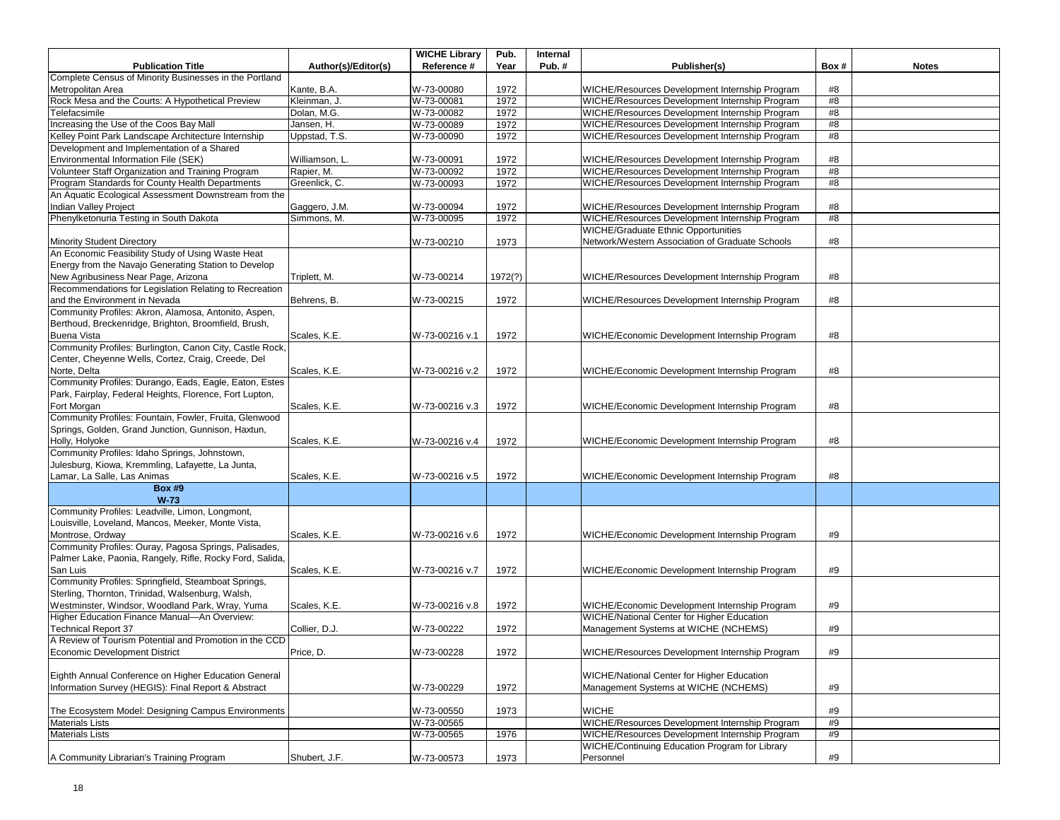|                                                          |                     | <b>WICHE Library</b> | Pub.    | Internal |                                                 |      |              |
|----------------------------------------------------------|---------------------|----------------------|---------|----------|-------------------------------------------------|------|--------------|
| <b>Publication Title</b>                                 | Author(s)/Editor(s) | Reference #          | Year    | Pub.#    | Publisher(s)                                    | Box# | <b>Notes</b> |
| Complete Census of Minority Businesses in the Portland   |                     |                      |         |          |                                                 |      |              |
| Metropolitan Area                                        | Kante, B.A.         | W-73-00080           | 1972    |          | WICHE/Resources Development Internship Program  | #8   |              |
| Rock Mesa and the Courts: A Hypothetical Preview         | Kleinman, J.        | W-73-00081           | 1972    |          | WICHE/Resources Development Internship Program  | #8   |              |
| Telefacsimile                                            | Dolan, M.G.         | W-73-00082           | 1972    |          | WICHE/Resources Development Internship Program  | #8   |              |
| Increasing the Use of the Coos Bay Mall                  | Jansen, H.          | W-73-00089           | 1972    |          | WICHE/Resources Development Internship Program  | #8   |              |
| Kelley Point Park Landscape Architecture Internship      | Uppstad, T.S.       | W-73-00090           | 1972    |          | WICHE/Resources Development Internship Program  | #8   |              |
| Development and Implementation of a Shared               |                     |                      |         |          |                                                 |      |              |
| Environmental Information File (SEK)                     | Williamson, L.      | W-73-00091           | 1972    |          | WICHE/Resources Development Internship Program  | #8   |              |
| Volunteer Staff Organization and Training Program        | Rapier, M.          | W-73-00092           | 1972    |          | WICHE/Resources Development Internship Program  | #8   |              |
| Program Standards for County Health Departments          | Greenlick, C.       | W-73-00093           | 1972    |          | WICHE/Resources Development Internship Program  | #8   |              |
| An Aquatic Ecological Assessment Downstream from the     |                     |                      |         |          |                                                 |      |              |
| Indian Valley Project                                    | Gaggero, J.M.       | W-73-00094           | 1972    |          | WICHE/Resources Development Internship Program  | #8   |              |
| Phenylketonuria Testing in South Dakota                  | Simmons, M.         | W-73-00095           | 1972    |          | WICHE/Resources Development Internship Program  | #8   |              |
|                                                          |                     |                      |         |          | <b>WICHE/Graduate Ethnic Opportunities</b>      |      |              |
| <b>Minority Student Directory</b>                        |                     | W-73-00210           | 1973    |          | Network/Western Association of Graduate Schools | #8   |              |
| An Economic Feasibility Study of Using Waste Heat        |                     |                      |         |          |                                                 |      |              |
| Energy from the Navajo Generating Station to Develop     |                     |                      |         |          |                                                 |      |              |
| New Agribusiness Near Page, Arizona                      | Triplett, M.        | W-73-00214           | 1972(?) |          | WICHE/Resources Development Internship Program  | #8   |              |
| Recommendations for Legislation Relating to Recreation   |                     |                      |         |          |                                                 |      |              |
| and the Environment in Nevada                            | Behrens, B.         | W-73-00215           | 1972    |          | WICHE/Resources Development Internship Program  | #8   |              |
| Community Profiles: Akron, Alamosa, Antonito, Aspen,     |                     |                      |         |          |                                                 |      |              |
| Berthoud, Breckenridge, Brighton, Broomfield, Brush,     |                     |                      |         |          |                                                 |      |              |
| Buena Vista                                              | Scales, K.E.        | W-73-00216 v.1       | 1972    |          | WICHE/Economic Development Internship Program   | #8   |              |
| Community Profiles: Burlington, Canon City, Castle Rock, |                     |                      |         |          |                                                 |      |              |
| Center, Cheyenne Wells, Cortez, Craig, Creede, Del       |                     |                      |         |          |                                                 |      |              |
| Norte, Delta                                             | Scales, K.E.        | W-73-00216 v.2       | 1972    |          | WICHE/Economic Development Internship Program   | #8   |              |
| Community Profiles: Durango, Eads, Eagle, Eaton, Estes   |                     |                      |         |          |                                                 |      |              |
| Park, Fairplay, Federal Heights, Florence, Fort Lupton,  |                     |                      |         |          |                                                 |      |              |
| Fort Morgan                                              | Scales, K.E.        | W-73-00216 v.3       | 1972    |          | WICHE/Economic Development Internship Program   | #8   |              |
| Community Profiles: Fountain, Fowler, Fruita, Glenwood   |                     |                      |         |          |                                                 |      |              |
| Springs, Golden, Grand Junction, Gunnison, Haxtun,       |                     |                      |         |          |                                                 |      |              |
| Holly, Holyoke                                           | Scales, K.E.        | W-73-00216 v.4       | 1972    |          | WICHE/Economic Development Internship Program   | #8   |              |
| Community Profiles: Idaho Springs, Johnstown,            |                     |                      |         |          |                                                 |      |              |
| Julesburg, Kiowa, Kremmling, Lafayette, La Junta,        |                     |                      |         |          |                                                 |      |              |
| Lamar, La Salle, Las Animas                              | Scales, K.E.        | W-73-00216 v.5       | 1972    |          | WICHE/Economic Development Internship Program   | #8   |              |
| <b>Box #9</b>                                            |                     |                      |         |          |                                                 |      |              |
| $W-73$                                                   |                     |                      |         |          |                                                 |      |              |
| Community Profiles: Leadville, Limon, Longmont,          |                     |                      |         |          |                                                 |      |              |
| Louisville, Loveland, Mancos, Meeker, Monte Vista,       |                     |                      |         |          |                                                 |      |              |
| Montrose, Ordway                                         | Scales, K.E.        | W-73-00216 v.6       | 1972    |          | WICHE/Economic Development Internship Program   | #9   |              |
| Community Profiles: Ouray, Pagosa Springs, Palisades,    |                     |                      |         |          |                                                 |      |              |
| Palmer Lake, Paonia, Rangely, Rifle, Rocky Ford, Salida, |                     |                      |         |          |                                                 |      |              |
| San Luis                                                 | Scales, K.E.        | W-73-00216 v.7       | 1972    |          | WICHE/Economic Development Internship Program   | #9   |              |
| Community Profiles: Springfield, Steamboat Springs,      |                     |                      |         |          |                                                 |      |              |
| Sterling, Thornton, Trinidad, Walsenburg, Walsh,         |                     |                      |         |          |                                                 |      |              |
| Westminster, Windsor, Woodland Park, Wray, Yuma          | Scales, K.E.        | W-73-00216 v.8       | 1972    |          | WICHE/Economic Development Internship Program   | #9   |              |
| Higher Education Finance Manual-An Overview:             |                     |                      |         |          | WICHE/National Center for Higher Education      |      |              |
| <b>Technical Report 37</b>                               | Collier, D.J.       | W-73-00222           | 1972    |          | Management Systems at WICHE (NCHEMS)            | #9   |              |
| A Review of Tourism Potential and Promotion in the CCD   |                     |                      |         |          |                                                 |      |              |
| Economic Development District                            | Price, D.           | W-73-00228           | 1972    |          | WICHE/Resources Development Internship Program  | #9   |              |
|                                                          |                     |                      |         |          |                                                 |      |              |
| Eighth Annual Conference on Higher Education General     |                     |                      |         |          | WICHE/National Center for Higher Education      |      |              |
| Information Survey (HEGIS): Final Report & Abstract      |                     | W-73-00229           | 1972    |          | Management Systems at WICHE (NCHEMS)            | #9   |              |
|                                                          |                     |                      |         |          |                                                 |      |              |
| The Ecosystem Model: Designing Campus Environments       |                     | W-73-00550           | 1973    |          | <b>WICHE</b>                                    | #9   |              |
| <b>Materials Lists</b>                                   |                     | W-73-00565           |         |          | WICHE/Resources Development Internship Program  | #9   |              |
| <b>Materials Lists</b>                                   |                     | W-73-00565           | 1976    |          | WICHE/Resources Development Internship Program  | #9   |              |
|                                                          |                     |                      |         |          | WICHE/Continuing Education Program for Library  |      |              |
| A Community Librarian's Training Program                 | Shubert, J.F.       | W-73-00573           | 1973    |          | Personnel                                       | #9   |              |
|                                                          |                     |                      |         |          |                                                 |      |              |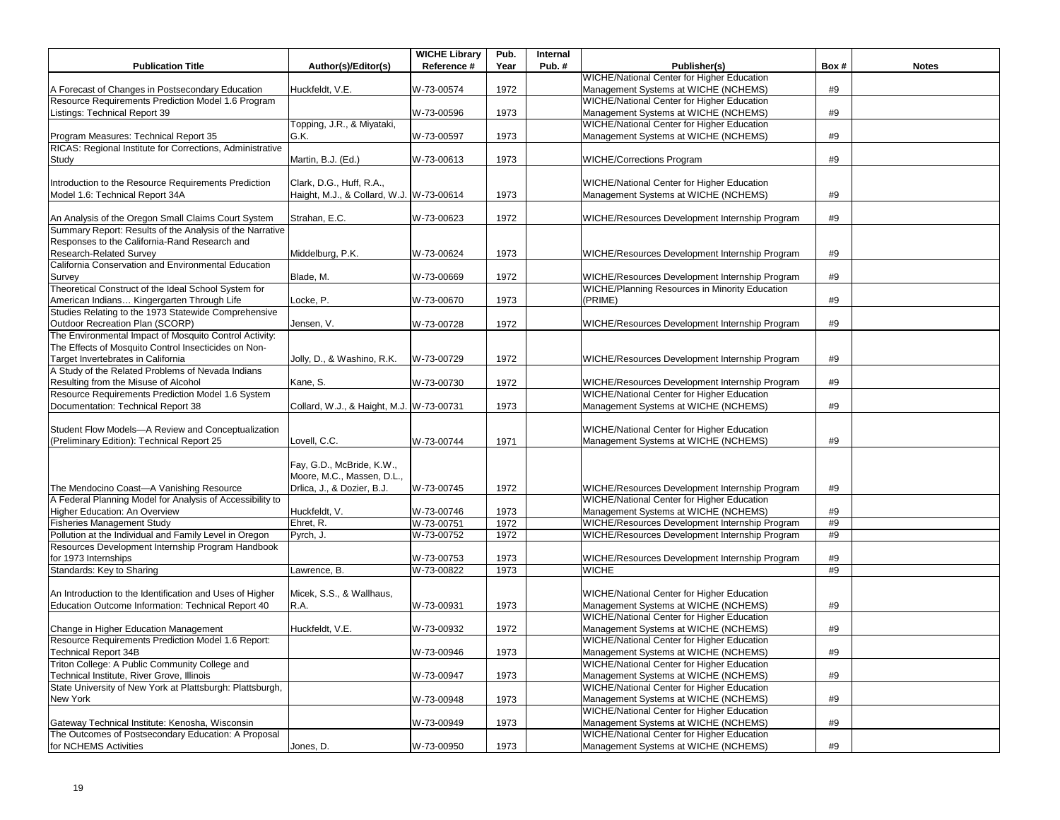|                                                                                                             |                                          | <b>WICHE Library</b> | Pub. | Internal |                                                   |      |              |
|-------------------------------------------------------------------------------------------------------------|------------------------------------------|----------------------|------|----------|---------------------------------------------------|------|--------------|
| <b>Publication Title</b>                                                                                    | Author(s)/Editor(s)                      | Reference #          | Year | Pub. $#$ | Publisher(s)                                      | Box# | <b>Notes</b> |
|                                                                                                             |                                          |                      |      |          | <b>WICHE/National Center for Higher Education</b> |      |              |
| A Forecast of Changes in Postsecondary Education                                                            | Huckfeldt, V.E.                          | W-73-00574           | 1972 |          | Management Systems at WICHE (NCHEMS)              | #9   |              |
| Resource Requirements Prediction Model 1.6 Program                                                          |                                          |                      |      |          | WICHE/National Center for Higher Education        |      |              |
| Listings: Technical Report 39                                                                               |                                          | W-73-00596           | 1973 |          | Management Systems at WICHE (NCHEMS)              | #9   |              |
|                                                                                                             | Topping, J.R., & Miyataki,               |                      |      |          | <b>WICHE/National Center for Higher Education</b> |      |              |
| Program Measures: Technical Report 35                                                                       | G.K.                                     | W-73-00597           | 1973 |          | Management Systems at WICHE (NCHEMS)              | #9   |              |
| RICAS: Regional Institute for Corrections, Administrative                                                   |                                          |                      |      |          |                                                   |      |              |
| Study                                                                                                       | Martin, B.J. (Ed.)                       | W-73-00613           | 1973 |          | <b>WICHE/Corrections Program</b>                  | #9   |              |
|                                                                                                             |                                          |                      |      |          |                                                   |      |              |
| Introduction to the Resource Requirements Prediction                                                        | Clark, D.G., Huff, R.A.,                 |                      |      |          | WICHE/National Center for Higher Education        |      |              |
| Model 1.6: Technical Report 34A                                                                             | Haight, M.J., & Collard, W.J. W-73-00614 |                      | 1973 |          | Management Systems at WICHE (NCHEMS)              | #9   |              |
|                                                                                                             |                                          |                      |      |          |                                                   |      |              |
| An Analysis of the Oregon Small Claims Court System                                                         | Strahan, E.C.                            | W-73-00623           | 1972 |          | WICHE/Resources Development Internship Program    | #9   |              |
| Summary Report: Results of the Analysis of the Narrative                                                    |                                          |                      |      |          |                                                   |      |              |
| Responses to the California-Rand Research and                                                               |                                          |                      |      |          |                                                   |      |              |
| Research-Related Survey                                                                                     | Middelburg, P.K.                         | W-73-00624           | 1973 |          | WICHE/Resources Development Internship Program    | #9   |              |
| California Conservation and Environmental Education                                                         |                                          |                      |      |          |                                                   |      |              |
| Survey                                                                                                      | Blade, M.                                | W-73-00669           | 1972 |          | WICHE/Resources Development Internship Program    | #9   |              |
| Theoretical Construct of the Ideal School System for                                                        |                                          |                      |      |          | WICHE/Planning Resources in Minority Education    |      |              |
| American Indians Kingergarten Through Life                                                                  | Locke, P.                                | W-73-00670           | 1973 |          | (PRIME)                                           | #9   |              |
| Studies Relating to the 1973 Statewide Comprehensive                                                        |                                          |                      |      |          |                                                   |      |              |
| Outdoor Recreation Plan (SCORP)                                                                             | Jensen, V.                               | W-73-00728           | 1972 |          | WICHE/Resources Development Internship Program    | #9   |              |
| The Environmental Impact of Mosquito Control Activity:                                                      |                                          |                      |      |          |                                                   |      |              |
| The Effects of Mosquito Control Insecticides on Non-                                                        |                                          |                      |      |          |                                                   |      |              |
| Target Invertebrates in California                                                                          | Jolly, D., & Washino, R.K.               | W-73-00729           | 1972 |          | WICHE/Resources Development Internship Program    | #9   |              |
| A Study of the Related Problems of Nevada Indians                                                           |                                          |                      |      |          |                                                   |      |              |
| Resulting from the Misuse of Alcohol                                                                        | Kane, S.                                 | W-73-00730           | 1972 |          | WICHE/Resources Development Internship Program    | #9   |              |
| Resource Requirements Prediction Model 1.6 System                                                           |                                          |                      |      |          | WICHE/National Center for Higher Education        |      |              |
| Documentation: Technical Report 38                                                                          | Collard, W.J., & Haight, M.J. W-73-00731 |                      | 1973 |          | Management Systems at WICHE (NCHEMS)              | #9   |              |
|                                                                                                             |                                          |                      |      |          |                                                   |      |              |
| Student Flow Models-A Review and Conceptualization                                                          |                                          |                      |      |          | WICHE/National Center for Higher Education        |      |              |
| (Preliminary Edition): Technical Report 25                                                                  | Lovell, C.C.                             | W-73-00744           | 1971 |          | Management Systems at WICHE (NCHEMS)              | #9   |              |
|                                                                                                             |                                          |                      |      |          |                                                   |      |              |
|                                                                                                             | Fay, G.D., McBride, K.W.,                |                      |      |          |                                                   |      |              |
|                                                                                                             | Moore, M.C., Massen, D.L.,               |                      |      |          |                                                   |      |              |
| The Mendocino Coast-A Vanishing Resource                                                                    | Drlica, J., & Dozier, B.J.               | W-73-00745           | 1972 |          | WICHE/Resources Development Internship Program    | #9   |              |
| A Federal Planning Model for Analysis of Accessibility to                                                   |                                          |                      |      |          | WICHE/National Center for Higher Education        |      |              |
| Higher Education: An Overview                                                                               | Huckfeldt, V.                            | W-73-00746           | 1973 |          | Management Systems at WICHE (NCHEMS)              | #9   |              |
| <b>Fisheries Management Study</b>                                                                           | Ehret, R.                                | W-73-00751           | 1972 |          | WICHE/Resources Development Internship Program    | #9   |              |
| Pollution at the Individual and Family Level in Oregon<br>Resources Development Internship Program Handbook | Pyrch, J.                                | W-73-00752           | 1972 |          | WICHE/Resources Development Internship Program    | #9   |              |
| for 1973 Internships                                                                                        |                                          | W-73-00753           | 1973 |          | WICHE/Resources Development Internship Program    | #9   |              |
| Standards: Key to Sharing                                                                                   | Lawrence, B.                             | W-73-00822           | 1973 |          | <b>WICHE</b>                                      | #9   |              |
|                                                                                                             |                                          |                      |      |          |                                                   |      |              |
| An Introduction to the Identification and Uses of Higher                                                    | Micek, S.S., & Wallhaus,                 |                      |      |          | WICHE/National Center for Higher Education        |      |              |
| Education Outcome Information: Technical Report 40                                                          | R.A.                                     | W-73-00931           | 1973 |          | Management Systems at WICHE (NCHEMS)              | #9   |              |
|                                                                                                             |                                          |                      |      |          | WICHE/National Center for Higher Education        |      |              |
| Change in Higher Education Management                                                                       | Huckfeldt, V.E.                          | W-73-00932           | 1972 |          | Management Systems at WICHE (NCHEMS)              | #9   |              |
| Resource Requirements Prediction Model 1.6 Report:                                                          |                                          |                      |      |          | WICHE/National Center for Higher Education        |      |              |
| <b>Technical Report 34B</b>                                                                                 |                                          | W-73-00946           | 1973 |          | Management Systems at WICHE (NCHEMS)              | #9   |              |
| Triton College: A Public Community College and                                                              |                                          |                      |      |          | WICHE/National Center for Higher Education        |      |              |
| Technical Institute, River Grove, Illinois                                                                  |                                          | W-73-00947           | 1973 |          | Management Systems at WICHE (NCHEMS)              | #9   |              |
| State University of New York at Plattsburgh: Plattsburgh,                                                   |                                          |                      |      |          | <b>WICHE/National Center for Higher Education</b> |      |              |
| New York                                                                                                    |                                          | W-73-00948           | 1973 |          | Management Systems at WICHE (NCHEMS)              | #9   |              |
|                                                                                                             |                                          |                      |      |          | <b>WICHE/National Center for Higher Education</b> |      |              |
| Gateway Technical Institute: Kenosha, Wisconsin                                                             |                                          | W-73-00949           | 1973 |          | Management Systems at WICHE (NCHEMS)              | #9   |              |
| The Outcomes of Postsecondary Education: A Proposal                                                         |                                          |                      |      |          | <b>WICHE/National Center for Higher Education</b> |      |              |
| for NCHEMS Activities                                                                                       | Jones, D.                                | W-73-00950           | 1973 |          | Management Systems at WICHE (NCHEMS)              | #9   |              |
|                                                                                                             |                                          |                      |      |          |                                                   |      |              |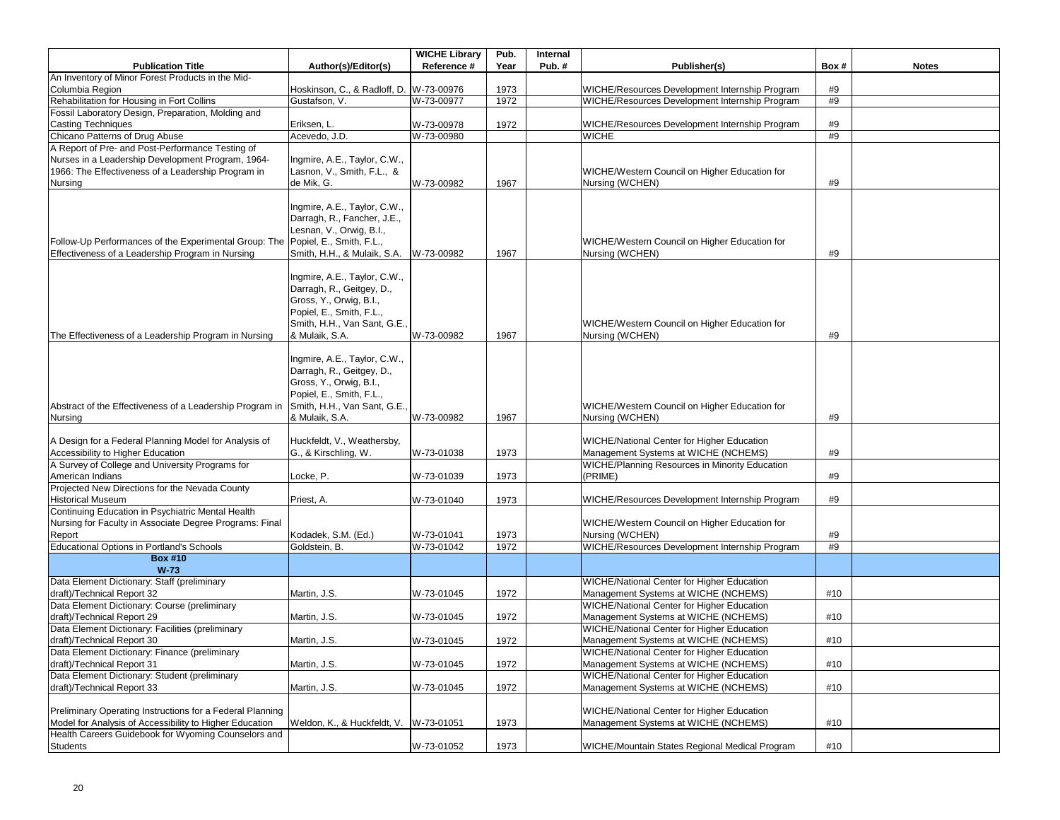|                                                                                                                                    |                                                                                                                                                                    | <b>WICHE Library</b> | Pub. | Internal |                                                                                    |      |              |
|------------------------------------------------------------------------------------------------------------------------------------|--------------------------------------------------------------------------------------------------------------------------------------------------------------------|----------------------|------|----------|------------------------------------------------------------------------------------|------|--------------|
| <b>Publication Title</b>                                                                                                           | Author(s)/Editor(s)                                                                                                                                                | Reference #          | Year | Pub.#    | Publisher(s)                                                                       | Box# | <b>Notes</b> |
| An Inventory of Minor Forest Products in the Mid-                                                                                  |                                                                                                                                                                    |                      |      |          |                                                                                    |      |              |
| Columbia Region                                                                                                                    | Hoskinson, C., & Radloff, D. W-73-00976                                                                                                                            |                      | 1973 |          | WICHE/Resources Development Internship Program                                     | #9   |              |
| Rehabilitation for Housing in Fort Collins                                                                                         | Gustafson, V.                                                                                                                                                      | W-73-00977           | 1972 |          | WICHE/Resources Development Internship Program                                     | #9   |              |
| Fossil Laboratory Design, Preparation, Molding and                                                                                 |                                                                                                                                                                    |                      |      |          |                                                                                    |      |              |
| <b>Casting Techniques</b>                                                                                                          | Eriksen, L.                                                                                                                                                        | W-73-00978           | 1972 |          | WICHE/Resources Development Internship Program                                     | #9   |              |
| Chicano Patterns of Drug Abuse                                                                                                     | Acevedo, J.D.                                                                                                                                                      | W-73-00980           |      |          | <b>WICHE</b>                                                                       | #9   |              |
| A Report of Pre- and Post-Performance Testing of                                                                                   |                                                                                                                                                                    |                      |      |          |                                                                                    |      |              |
| Nurses in a Leadership Development Program, 1964-                                                                                  | Ingmire, A.E., Taylor, C.W.,                                                                                                                                       |                      |      |          |                                                                                    |      |              |
| 1966: The Effectiveness of a Leadership Program in                                                                                 | Lasnon, V., Smith, F.L., &                                                                                                                                         |                      |      |          | WICHE/Western Council on Higher Education for                                      |      |              |
| Nursing                                                                                                                            | de Mik, G.                                                                                                                                                         | W-73-00982           | 1967 |          | Nursing (WCHEN)                                                                    | #9   |              |
| Follow-Up Performances of the Experimental Group: The Popiel, E., Smith, F.L.,<br>Effectiveness of a Leadership Program in Nursing | Ingmire, A.E., Taylor, C.W.,<br>Darragh, R., Fancher, J.E.,<br>Lesnan, V., Orwig, B.I.,<br>Smith, H.H., & Mulaik, S.A.                                             | W-73-00982           | 1967 |          | WICHE/Western Council on Higher Education for<br>Nursing (WCHEN)                   | #9   |              |
| The Effectiveness of a Leadership Program in Nursing                                                                               | Ingmire, A.E., Taylor, C.W.,<br>Darragh, R., Geitgey, D.,<br>Gross, Y., Orwig, B.I.,<br>Popiel, E., Smith, F.L.,<br>Smith, H.H., Van Sant, G.E.,<br>& Mulaik, S.A. | W-73-00982           | 1967 |          | WICHE/Western Council on Higher Education for<br>Nursing (WCHEN)                   | #9   |              |
| Abstract of the Effectiveness of a Leadership Program in                                                                           | Ingmire, A.E., Taylor, C.W.,<br>Darragh, R., Geitgey, D.,<br>Gross, Y., Orwig, B.I.,<br>Popiel, E., Smith, F.L.,<br>Smith, H.H., Van Sant, G.E.,                   |                      |      |          | WICHE/Western Council on Higher Education for                                      |      |              |
| Nursing                                                                                                                            | & Mulaik, S.A.                                                                                                                                                     | W-73-00982           | 1967 |          | Nursing (WCHEN)                                                                    | #9   |              |
| A Design for a Federal Planning Model for Analysis of                                                                              | Huckfeldt, V., Weathersby,                                                                                                                                         |                      |      |          | WICHE/National Center for Higher Education                                         |      |              |
| Accessibility to Higher Education                                                                                                  | G., & Kirschling, W.                                                                                                                                               | W-73-01038           | 1973 |          | Management Systems at WICHE (NCHEMS)                                               | #9   |              |
| A Survey of College and University Programs for                                                                                    |                                                                                                                                                                    |                      |      |          | <b>WICHE/Planning Resources in Minority Education</b>                              |      |              |
| American Indians                                                                                                                   | Locke, P.                                                                                                                                                          | W-73-01039           | 1973 |          | (PRIME)                                                                            | #9   |              |
| Projected New Directions for the Nevada County                                                                                     |                                                                                                                                                                    |                      |      |          |                                                                                    |      |              |
| <b>Historical Museum</b>                                                                                                           | Priest, A.                                                                                                                                                         | W-73-01040           | 1973 |          | WICHE/Resources Development Internship Program                                     | #9   |              |
| Continuing Education in Psychiatric Mental Health                                                                                  |                                                                                                                                                                    |                      |      |          |                                                                                    |      |              |
| Nursing for Faculty in Associate Degree Programs: Final                                                                            |                                                                                                                                                                    |                      |      |          | WICHE/Western Council on Higher Education for                                      |      |              |
| Report                                                                                                                             | Kodadek, S.M. (Ed.)                                                                                                                                                | W-73-01041           | 1973 |          | Nursing (WCHEN)                                                                    | #9   |              |
| Educational Options in Portland's Schools                                                                                          | Goldstein, B.                                                                                                                                                      | W-73-01042           | 1972 |          | WICHE/Resources Development Internship Program                                     | #9   |              |
| <b>Box #10</b>                                                                                                                     |                                                                                                                                                                    |                      |      |          |                                                                                    |      |              |
| $W-73$                                                                                                                             |                                                                                                                                                                    |                      |      |          |                                                                                    |      |              |
| Data Element Dictionary: Staff (preliminary                                                                                        |                                                                                                                                                                    |                      |      |          | WICHE/National Center for Higher Education                                         |      |              |
| draft)/Technical Report 32                                                                                                         | Martin, J.S.                                                                                                                                                       | W-73-01045           | 1972 |          | Management Systems at WICHE (NCHEMS)                                               | #10  |              |
| Data Element Dictionary: Course (preliminary                                                                                       |                                                                                                                                                                    |                      |      |          | <b>WICHE/National Center for Higher Education</b>                                  |      |              |
| draft)/Technical Report 29                                                                                                         | Martin, J.S.                                                                                                                                                       | W-73-01045           | 1972 |          | Management Systems at WICHE (NCHEMS)                                               | #10  |              |
| Data Element Dictionary: Facilities (preliminary                                                                                   |                                                                                                                                                                    |                      |      |          | <b>WICHE/National Center for Higher Education</b>                                  |      |              |
| draft)/Technical Report 30                                                                                                         | Martin, J.S.                                                                                                                                                       | W-73-01045           | 1972 |          | Management Systems at WICHE (NCHEMS)                                               | #10  |              |
| Data Element Dictionary: Finance (preliminary                                                                                      |                                                                                                                                                                    |                      |      |          | WICHE/National Center for Higher Education                                         | #10  |              |
| draft)/Technical Report 31<br>Data Element Dictionary: Student (preliminary                                                        | Martin, J.S.                                                                                                                                                       | W-73-01045           | 1972 |          | Management Systems at WICHE (NCHEMS)<br>WICHE/National Center for Higher Education |      |              |
| draft)/Technical Report 33                                                                                                         | Martin, J.S.                                                                                                                                                       | W-73-01045           | 1972 |          | Management Systems at WICHE (NCHEMS)                                               | #10  |              |
|                                                                                                                                    |                                                                                                                                                                    |                      |      |          |                                                                                    |      |              |
| Preliminary Operating Instructions for a Federal Planning                                                                          |                                                                                                                                                                    |                      |      |          | WICHE/National Center for Higher Education                                         |      |              |
| Model for Analysis of Accessibility to Higher Education                                                                            | Weldon, K., & Huckfeldt, V.                                                                                                                                        | W-73-01051           | 1973 |          | Management Systems at WICHE (NCHEMS)                                               | #10  |              |
| Health Careers Guidebook for Wyoming Counselors and                                                                                |                                                                                                                                                                    |                      |      |          |                                                                                    |      |              |
| Students                                                                                                                           |                                                                                                                                                                    | W-73-01052           | 1973 |          | WICHE/Mountain States Regional Medical Program                                     | #10  |              |
|                                                                                                                                    |                                                                                                                                                                    |                      |      |          |                                                                                    |      |              |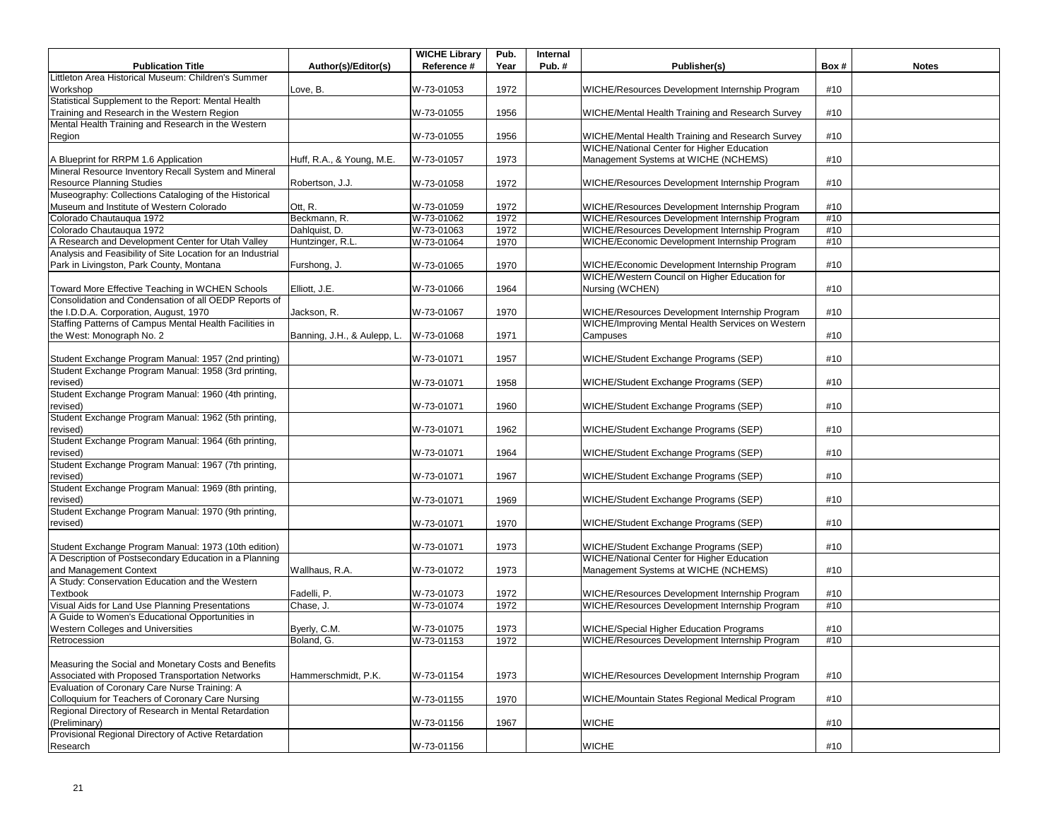|                                                                                                   |                             | <b>WICHE Library</b> | Pub. | Internal |                                                   |      |              |
|---------------------------------------------------------------------------------------------------|-----------------------------|----------------------|------|----------|---------------------------------------------------|------|--------------|
| <b>Publication Title</b>                                                                          | Author(s)/Editor(s)         | Reference #          | Year | Pub.#    | Publisher(s)                                      | Box# | <b>Notes</b> |
| Littleton Area Historical Museum: Children's Summer                                               |                             |                      |      |          |                                                   |      |              |
| Workshop                                                                                          | Love, B.                    | W-73-01053           | 1972 |          | WICHE/Resources Development Internship Program    | #10  |              |
| Statistical Supplement to the Report: Mental Health                                               |                             |                      |      |          |                                                   |      |              |
| Training and Research in the Western Region                                                       |                             | W-73-01055           | 1956 |          | WICHE/Mental Health Training and Research Survey  | #10  |              |
| Mental Health Training and Research in the Western                                                |                             |                      |      |          |                                                   |      |              |
| Region                                                                                            |                             | W-73-01055           | 1956 |          | WICHE/Mental Health Training and Research Survey  | #10  |              |
|                                                                                                   |                             |                      |      |          | WICHE/National Center for Higher Education        |      |              |
| A Blueprint for RRPM 1.6 Application                                                              | Huff, R.A., & Young, M.E.   | W-73-01057           | 1973 |          | Management Systems at WICHE (NCHEMS)              | #10  |              |
| Mineral Resource Inventory Recall System and Mineral                                              |                             |                      |      |          |                                                   |      |              |
| <b>Resource Planning Studies</b>                                                                  | Robertson, J.J.             | W-73-01058           | 1972 |          | WICHE/Resources Development Internship Program    | #10  |              |
| Museography: Collections Cataloging of the Historical                                             |                             |                      |      |          |                                                   |      |              |
| Museum and Institute of Western Colorado                                                          | Ott, R.                     | W-73-01059           | 1972 |          | WICHE/Resources Development Internship Program    | #10  |              |
| Colorado Chautaugua 1972                                                                          | Beckmann, R.                | W-73-01062           | 1972 |          | WICHE/Resources Development Internship Program    | #10  |              |
| Colorado Chautaugua 1972                                                                          | Dahlquist, D.               | W-73-01063           | 1972 |          | WICHE/Resources Development Internship Program    | #10  |              |
| A Research and Development Center for Utah Valley                                                 | Huntzinger, R.L.            | W-73-01064           | 1970 |          | WICHE/Economic Development Internship Program     | #10  |              |
| Analysis and Feasibility of Site Location for an Industrial                                       |                             |                      |      |          |                                                   |      |              |
| Park in Livingston, Park County, Montana                                                          | Furshong, J.                | W-73-01065           | 1970 |          | WICHE/Economic Development Internship Program     | #10  |              |
|                                                                                                   |                             |                      |      |          | WICHE/Western Council on Higher Education for     |      |              |
|                                                                                                   |                             |                      |      |          |                                                   |      |              |
| Toward More Effective Teaching in WCHEN Schools                                                   | Elliott, J.E.               | W-73-01066           | 1964 |          | Nursing (WCHEN)                                   | #10  |              |
| Consolidation and Condensation of all OEDP Reports of                                             |                             |                      |      |          |                                                   |      |              |
| the I.D.D.A. Corporation, August, 1970                                                            | Jackson, R.                 | W-73-01067           | 1970 |          | WICHE/Resources Development Internship Program    | #10  |              |
| Staffing Patterns of Campus Mental Health Facilities in                                           |                             |                      |      |          | WICHE/Improving Mental Health Services on Western |      |              |
| the West: Monograph No. 2                                                                         | Banning, J.H., & Aulepp, L. | W-73-01068           | 1971 |          | Campuses                                          | #10  |              |
|                                                                                                   |                             |                      |      |          |                                                   |      |              |
| Student Exchange Program Manual: 1957 (2nd printing)                                              |                             | W-73-01071           | 1957 |          | WICHE/Student Exchange Programs (SEP)             | #10  |              |
| Student Exchange Program Manual: 1958 (3rd printing,                                              |                             |                      |      |          |                                                   |      |              |
| revised)                                                                                          |                             | W-73-01071           | 1958 |          | WICHE/Student Exchange Programs (SEP)             | #10  |              |
| Student Exchange Program Manual: 1960 (4th printing,                                              |                             |                      |      |          |                                                   |      |              |
| revised)                                                                                          |                             | W-73-01071           | 1960 |          | WICHE/Student Exchange Programs (SEP)             | #10  |              |
| Student Exchange Program Manual: 1962 (5th printing,                                              |                             |                      |      |          |                                                   |      |              |
| revised)                                                                                          |                             | W-73-01071           | 1962 |          | WICHE/Student Exchange Programs (SEP)             | #10  |              |
| Student Exchange Program Manual: 1964 (6th printing,                                              |                             |                      |      |          |                                                   |      |              |
| revised)                                                                                          |                             | W-73-01071           | 1964 |          | WICHE/Student Exchange Programs (SEP)             | #10  |              |
| Student Exchange Program Manual: 1967 (7th printing,                                              |                             |                      |      |          |                                                   |      |              |
| revised)                                                                                          |                             | W-73-01071           | 1967 |          | WICHE/Student Exchange Programs (SEP)             | #10  |              |
| Student Exchange Program Manual: 1969 (8th printing,                                              |                             |                      |      |          |                                                   |      |              |
| revised)                                                                                          |                             | W-73-01071           | 1969 |          | WICHE/Student Exchange Programs (SEP)             | #10  |              |
| Student Exchange Program Manual: 1970 (9th printing,                                              |                             |                      |      |          |                                                   |      |              |
| revised)                                                                                          |                             | W-73-01071           | 1970 |          | WICHE/Student Exchange Programs (SEP)             | #10  |              |
|                                                                                                   |                             |                      |      |          |                                                   |      |              |
| Student Exchange Program Manual: 1973 (10th edition)                                              |                             | W-73-01071           | 1973 |          | WICHE/Student Exchange Programs (SEP)             | #10  |              |
| A Description of Postsecondary Education in a Planning                                            |                             |                      |      |          | WICHE/National Center for Higher Education        |      |              |
| and Management Context                                                                            | Wallhaus, R.A.              | W-73-01072           | 1973 |          | Management Systems at WICHE (NCHEMS)              | #10  |              |
| A Study: Conservation Education and the Western                                                   |                             |                      |      |          |                                                   |      |              |
| Textbook                                                                                          | Fadelli, P.                 | W-73-01073           | 1972 |          | WICHE/Resources Development Internship Program    | #10  |              |
| Visual Aids for Land Use Planning Presentations                                                   | Chase, J.                   | W-73-01074           | 1972 |          | WICHE/Resources Development Internship Program    | #10  |              |
| A Guide to Women's Educational Opportunities in                                                   |                             |                      |      |          |                                                   |      |              |
| Western Colleges and Universities                                                                 | Byerly, C.M.                | W-73-01075           | 1973 |          | WICHE/Special Higher Education Programs           | #10  |              |
| Retrocession                                                                                      | Boland, G.                  | W-73-01153           | 1972 |          | WICHE/Resources Development Internship Program    | #10  |              |
|                                                                                                   |                             |                      |      |          |                                                   |      |              |
| Measuring the Social and Monetary Costs and Benefits                                              |                             |                      |      |          |                                                   |      |              |
|                                                                                                   |                             |                      |      |          |                                                   |      |              |
| Associated with Proposed Transportation Networks<br>Evaluation of Coronary Care Nurse Training: A | Hammerschmidt, P.K.         | W-73-01154           | 1973 |          | WICHE/Resources Development Internship Program    | #10  |              |
|                                                                                                   |                             |                      |      |          |                                                   |      |              |
| Colloquium for Teachers of Coronary Care Nursing                                                  |                             | W-73-01155           | 1970 |          | WICHE/Mountain States Regional Medical Program    | #10  |              |
| Regional Directory of Research in Mental Retardation                                              |                             |                      |      |          |                                                   |      |              |
| (Preliminary)                                                                                     |                             | W-73-01156           | 1967 |          | <b>WICHE</b>                                      | #10  |              |
| Provisional Regional Directory of Active Retardation                                              |                             |                      |      |          |                                                   |      |              |
| Research                                                                                          |                             | W-73-01156           |      |          | <b>WICHE</b>                                      | #10  |              |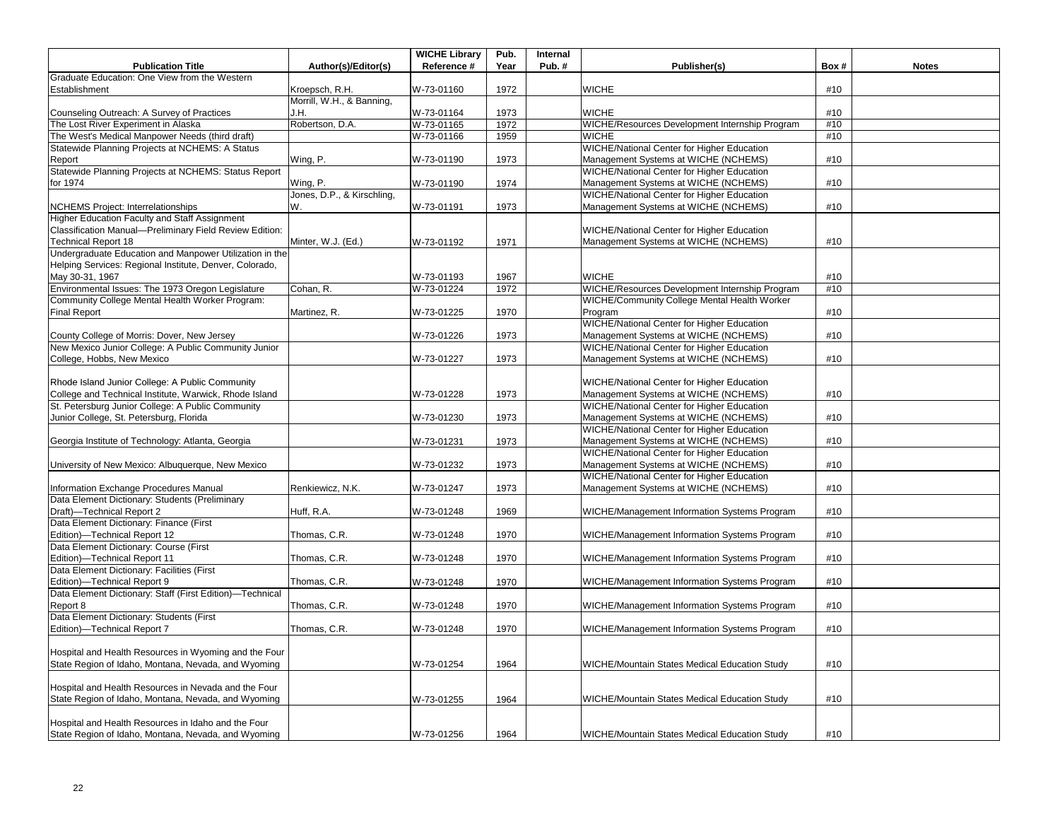|                                                          |                            | <b>WICHE Library</b> | Pub. | Internal |                                                   |      |              |
|----------------------------------------------------------|----------------------------|----------------------|------|----------|---------------------------------------------------|------|--------------|
| <b>Publication Title</b>                                 | Author(s)/Editor(s)        | Reference #          | Year | Pub.#    | Publisher(s)                                      | Box# | <b>Notes</b> |
| Graduate Education: One View from the Western            |                            |                      |      |          |                                                   |      |              |
| Establishment                                            | Kroepsch, R.H.             | W-73-01160           | 1972 |          | <b>WICHE</b>                                      | #10  |              |
|                                                          | Morrill, W.H., & Banning,  |                      |      |          |                                                   |      |              |
| Counseling Outreach: A Survey of Practices               | J.H.                       | W-73-01164           | 1973 |          | <b>WICHE</b>                                      | #10  |              |
| The Lost River Experiment in Alaska                      | Robertson, D.A.            | W-73-01165           | 1972 |          | WICHE/Resources Development Internship Program    | #10  |              |
| The West's Medical Manpower Needs (third draft)          |                            | W-73-01166           | 1959 |          | <b>WICHE</b>                                      | #10  |              |
| Statewide Planning Projects at NCHEMS: A Status          |                            |                      |      |          | <b>WICHE/National Center for Higher Education</b> |      |              |
| Report                                                   | Wing, P.                   | W-73-01190           | 1973 |          | Management Systems at WICHE (NCHEMS)              | #10  |              |
| Statewide Planning Projects at NCHEMS: Status Report     |                            |                      |      |          | WICHE/National Center for Higher Education        |      |              |
| for 1974                                                 | Wing, P.                   | W-73-01190           | 1974 |          | Management Systems at WICHE (NCHEMS)              | #10  |              |
|                                                          | Jones, D.P., & Kirschling, |                      |      |          | WICHE/National Center for Higher Education        |      |              |
| <b>NCHEMS Project: Interrelationships</b>                | W.                         | W-73-01191           | 1973 |          | Management Systems at WICHE (NCHEMS)              | #10  |              |
| Higher Education Faculty and Staff Assignment            |                            |                      |      |          |                                                   |      |              |
| Classification Manual-Preliminary Field Review Edition:  |                            |                      |      |          | WICHE/National Center for Higher Education        |      |              |
| <b>Technical Report 18</b>                               | Minter, W.J. (Ed.)         | W-73-01192           | 1971 |          | Management Systems at WICHE (NCHEMS)              | #10  |              |
| Undergraduate Education and Manpower Utilization in the  |                            |                      |      |          |                                                   |      |              |
| Helping Services: Regional Institute, Denver, Colorado,  |                            |                      |      |          |                                                   |      |              |
| May 30-31, 1967                                          |                            | W-73-01193           | 1967 |          | <b>WICHE</b>                                      | #10  |              |
| Environmental Issues: The 1973 Oregon Legislature        | Cohan, R.                  | W-73-01224           | 1972 |          | WICHE/Resources Development Internship Program    | #10  |              |
| Community College Mental Health Worker Program:          |                            |                      |      |          | WICHE/Community College Mental Health Worker      |      |              |
| <b>Final Report</b>                                      | Martinez, R.               | W-73-01225           | 1970 |          | Program                                           | #10  |              |
|                                                          |                            |                      |      |          | <b>WICHE/National Center for Higher Education</b> |      |              |
| County College of Morris: Dover, New Jersey              |                            | W-73-01226           | 1973 |          | Management Systems at WICHE (NCHEMS)              | #10  |              |
| New Mexico Junior College: A Public Community Junior     |                            |                      |      |          | WICHE/National Center for Higher Education        |      |              |
| College, Hobbs, New Mexico                               |                            | W-73-01227           | 1973 |          | Management Systems at WICHE (NCHEMS)              | #10  |              |
|                                                          |                            |                      |      |          |                                                   |      |              |
| Rhode Island Junior College: A Public Community          |                            |                      |      |          | WICHE/National Center for Higher Education        |      |              |
| College and Technical Institute, Warwick, Rhode Island   |                            | W-73-01228           | 1973 |          | Management Systems at WICHE (NCHEMS)              | #10  |              |
| St. Petersburg Junior College: A Public Community        |                            |                      |      |          | WICHE/National Center for Higher Education        |      |              |
| Junior College, St. Petersburg, Florida                  |                            | W-73-01230           | 1973 |          | Management Systems at WICHE (NCHEMS)              | #10  |              |
|                                                          |                            |                      |      |          | WICHE/National Center for Higher Education        |      |              |
| Georgia Institute of Technology: Atlanta, Georgia        |                            | W-73-01231           | 1973 |          | Management Systems at WICHE (NCHEMS)              | #10  |              |
|                                                          |                            |                      |      |          | <b>WICHE/National Center for Higher Education</b> |      |              |
| University of New Mexico: Albuquerque, New Mexico        |                            | W-73-01232           | 1973 |          | Management Systems at WICHE (NCHEMS)              | #10  |              |
|                                                          |                            |                      |      |          | WICHE/National Center for Higher Education        |      |              |
| Information Exchange Procedures Manual                   | Renkiewicz, N.K.           | W-73-01247           | 1973 |          | Management Systems at WICHE (NCHEMS)              | #10  |              |
| Data Element Dictionary: Students (Preliminary           |                            |                      |      |          |                                                   |      |              |
| Draft)-Technical Report 2                                | Huff, R.A.                 | W-73-01248           | 1969 |          | WICHE/Management Information Systems Program      | #10  |              |
| Data Element Dictionary: Finance (First                  |                            |                      |      |          |                                                   |      |              |
| Edition)-Technical Report 12                             | Thomas, C.R.               | W-73-01248           | 1970 |          | WICHE/Management Information Systems Program      | #10  |              |
| Data Element Dictionary: Course (First                   |                            |                      |      |          |                                                   |      |              |
| Edition)-Technical Report 11                             | Thomas, C.R.               | W-73-01248           | 1970 |          | WICHE/Management Information Systems Program      | #10  |              |
| Data Element Dictionary: Facilities (First               |                            |                      |      |          |                                                   |      |              |
| Edition)-Technical Report 9                              | Thomas, C.R.               | W-73-01248           | 1970 |          | WICHE/Management Information Systems Program      | #10  |              |
| Data Element Dictionary: Staff (First Edition)-Technical |                            |                      |      |          |                                                   |      |              |
| Report 8                                                 | Thomas, C.R.               | W-73-01248           | 1970 |          | WICHE/Management Information Systems Program      | #10  |              |
| Data Element Dictionary: Students (First                 |                            |                      |      |          |                                                   |      |              |
| Edition)-Technical Report 7                              | Thomas, C.R.               | W-73-01248           | 1970 |          | WICHE/Management Information Systems Program      | #10  |              |
|                                                          |                            |                      |      |          |                                                   |      |              |
| Hospital and Health Resources in Wyoming and the Four    |                            |                      |      |          |                                                   |      |              |
| State Region of Idaho, Montana, Nevada, and Wyoming      |                            | W-73-01254           | 1964 |          | WICHE/Mountain States Medical Education Study     | #10  |              |
|                                                          |                            |                      |      |          |                                                   |      |              |
| Hospital and Health Resources in Nevada and the Four     |                            |                      |      |          |                                                   |      |              |
| State Region of Idaho, Montana, Nevada, and Wyoming      |                            | W-73-01255           | 1964 |          | WICHE/Mountain States Medical Education Study     | #10  |              |
|                                                          |                            |                      |      |          |                                                   |      |              |
| Hospital and Health Resources in Idaho and the Four      |                            |                      |      |          |                                                   |      |              |
| State Region of Idaho, Montana, Nevada, and Wyoming      |                            | W-73-01256           | 1964 |          | WICHE/Mountain States Medical Education Study     | #10  |              |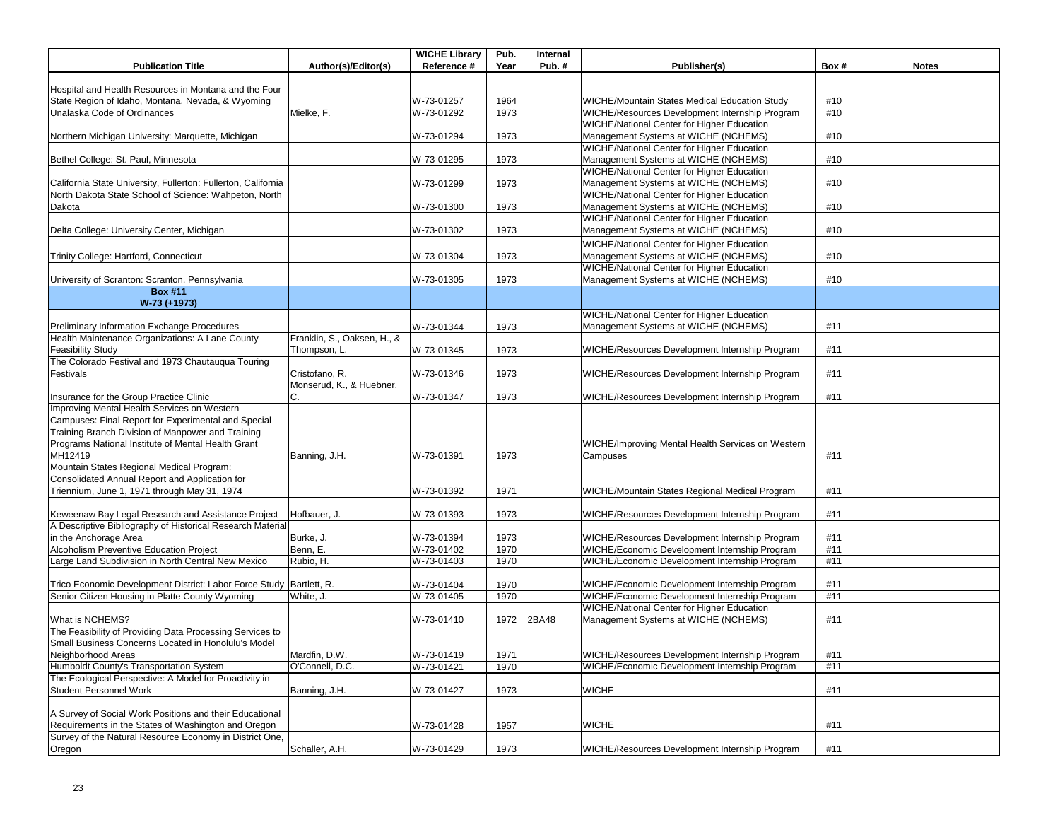| <b>Publication Title</b>                                            | Author(s)/Editor(s)         | <b>WICHE Library</b><br>Reference # | Pub.<br>Year | Internal<br>Pub. $#$ | Publisher(s)                                      | Box# | <b>Notes</b> |
|---------------------------------------------------------------------|-----------------------------|-------------------------------------|--------------|----------------------|---------------------------------------------------|------|--------------|
|                                                                     |                             |                                     |              |                      |                                                   |      |              |
| Hospital and Health Resources in Montana and the Four               |                             |                                     |              |                      |                                                   |      |              |
| State Region of Idaho, Montana, Nevada, & Wyoming                   |                             | W-73-01257                          | 1964         |                      | WICHE/Mountain States Medical Education Study     | #10  |              |
| Unalaska Code of Ordinances                                         | Mielke, F.                  | W-73-01292                          | 1973         |                      | WICHE/Resources Development Internship Program    | #10  |              |
|                                                                     |                             |                                     |              |                      | WICHE/National Center for Higher Education        |      |              |
| Northern Michigan University: Marquette, Michigan                   |                             | W-73-01294                          | 1973         |                      | Management Systems at WICHE (NCHEMS)              | #10  |              |
|                                                                     |                             |                                     |              |                      | <b>WICHE/National Center for Higher Education</b> |      |              |
| Bethel College: St. Paul, Minnesota                                 |                             | W-73-01295                          | 1973         |                      | Management Systems at WICHE (NCHEMS)              | #10  |              |
|                                                                     |                             |                                     |              |                      | WICHE/National Center for Higher Education        |      |              |
| California State University, Fullerton: Fullerton, California       |                             | W-73-01299                          | 1973         |                      | Management Systems at WICHE (NCHEMS)              | #10  |              |
| North Dakota State School of Science: Wahpeton, North               |                             |                                     |              |                      | <b>WICHE/National Center for Higher Education</b> |      |              |
| Dakota                                                              |                             | W-73-01300                          | 1973         |                      | Management Systems at WICHE (NCHEMS)              | #10  |              |
|                                                                     |                             |                                     |              |                      | <b>WICHE/National Center for Higher Education</b> |      |              |
| Delta College: University Center, Michigan                          |                             | W-73-01302                          | 1973         |                      | Management Systems at WICHE (NCHEMS)              | #10  |              |
|                                                                     |                             |                                     |              |                      | WICHE/National Center for Higher Education        |      |              |
| Trinity College: Hartford, Connecticut                              |                             | W-73-01304                          | 1973         |                      | Management Systems at WICHE (NCHEMS)              | #10  |              |
|                                                                     |                             |                                     |              |                      | <b>WICHE/National Center for Higher Education</b> |      |              |
| University of Scranton: Scranton, Pennsylvania                      |                             | W-73-01305                          | 1973         |                      | Management Systems at WICHE (NCHEMS)              | #10  |              |
| <b>Box #11</b>                                                      |                             |                                     |              |                      |                                                   |      |              |
| W-73 (+1973)                                                        |                             |                                     |              |                      |                                                   |      |              |
|                                                                     |                             |                                     |              |                      | <b>WICHE/National Center for Higher Education</b> |      |              |
| Preliminary Information Exchange Procedures                         |                             | W-73-01344                          | 1973         |                      | Management Systems at WICHE (NCHEMS)              | #11  |              |
| Health Maintenance Organizations: A Lane County                     | Franklin, S., Oaksen, H., & |                                     |              |                      |                                                   |      |              |
| <b>Feasibility Study</b>                                            | Thompson, L.                | W-73-01345                          | 1973         |                      | WICHE/Resources Development Internship Program    | #11  |              |
| The Colorado Festival and 1973 Chautauqua Touring                   |                             |                                     |              |                      |                                                   |      |              |
| Festivals                                                           | Cristofano, R.              | W-73-01346                          | 1973         |                      | WICHE/Resources Development Internship Program    | #11  |              |
|                                                                     | Monserud, K., & Huebner,    |                                     |              |                      |                                                   |      |              |
| Insurance for the Group Practice Clinic                             | С.                          | W-73-01347                          | 1973         |                      | WICHE/Resources Development Internship Program    | #11  |              |
| Improving Mental Health Services on Western                         |                             |                                     |              |                      |                                                   |      |              |
| Campuses: Final Report for Experimental and Special                 |                             |                                     |              |                      |                                                   |      |              |
| Training Branch Division of Manpower and Training                   |                             |                                     |              |                      |                                                   |      |              |
| Programs National Institute of Mental Health Grant                  |                             |                                     |              |                      | WICHE/Improving Mental Health Services on Western |      |              |
| MH12419                                                             | Banning, J.H.               | W-73-01391                          | 1973         |                      | Campuses                                          | #11  |              |
| Mountain States Regional Medical Program:                           |                             |                                     |              |                      |                                                   |      |              |
| Consolidated Annual Report and Application for                      |                             |                                     |              |                      |                                                   |      |              |
| Triennium, June 1, 1971 through May 31, 1974                        |                             | W-73-01392                          | 1971         |                      | WICHE/Mountain States Regional Medical Program    | #11  |              |
|                                                                     |                             |                                     |              |                      |                                                   |      |              |
| Keweenaw Bay Legal Research and Assistance Project                  | Hofbauer, J.                | W-73-01393                          | 1973         |                      | WICHE/Resources Development Internship Program    | #11  |              |
| A Descriptive Bibliography of Historical Research Material          |                             |                                     |              |                      |                                                   |      |              |
| in the Anchorage Area                                               | Burke, J.                   | W-73-01394                          | 1973         |                      | WICHE/Resources Development Internship Program    | #11  |              |
| Alcoholism Preventive Education Project                             | Benn, E.                    | W-73-01402                          | 1970         |                      | WICHE/Economic Development Internship Program     | #11  |              |
| Large Land Subdivision in North Central New Mexico                  | Rubio, H.                   | W-73-01403                          | 1970         |                      | WICHE/Economic Development Internship Program     | #11  |              |
|                                                                     |                             |                                     |              |                      |                                                   |      |              |
| Trico Economic Development District: Labor Force Study Bartlett, R. |                             | W-73-01404                          | 1970         |                      | WICHE/Economic Development Internship Program     | #11  |              |
| Senior Citizen Housing in Platte County Wyoming                     | White, J.                   | W-73-01405                          | 1970         |                      | WICHE/Economic Development Internship Program     | #11  |              |
|                                                                     |                             |                                     |              |                      | <b>WICHE/National Center for Higher Education</b> |      |              |
| What is NCHEMS?                                                     |                             | W-73-01410                          | 1972         | 2BA48                | Management Systems at WICHE (NCHEMS)              | #11  |              |
| The Feasibility of Providing Data Processing Services to            |                             |                                     |              |                      |                                                   |      |              |
| Small Business Concerns Located in Honolulu's Model                 |                             |                                     |              |                      |                                                   |      |              |
| Neighborhood Areas                                                  | Mardfin, D.W.               | W-73-01419                          | 1971         |                      | WICHE/Resources Development Internship Program    | #11  |              |
| Humboldt County's Transportation System                             | O'Connell, D.C.             | W-73-01421                          | 1970         |                      | WICHE/Economic Development Internship Program     | #11  |              |
| The Ecological Perspective: A Model for Proactivity in              |                             |                                     |              |                      |                                                   |      |              |
| <b>Student Personnel Work</b>                                       | Banning, J.H.               | W-73-01427                          | 1973         |                      | <b>WICHE</b>                                      | #11  |              |
|                                                                     |                             |                                     |              |                      |                                                   |      |              |
| A Survey of Social Work Positions and their Educational             |                             |                                     |              |                      |                                                   |      |              |
| Requirements in the States of Washington and Oregon                 |                             | W-73-01428                          | 1957         |                      | <b>WICHE</b>                                      | #11  |              |
| Survey of the Natural Resource Economy in District One,             |                             |                                     |              |                      |                                                   |      |              |
| Oregon                                                              | Schaller, A.H.              | W-73-01429                          | 1973         |                      | WICHE/Resources Development Internship Program    | #11  |              |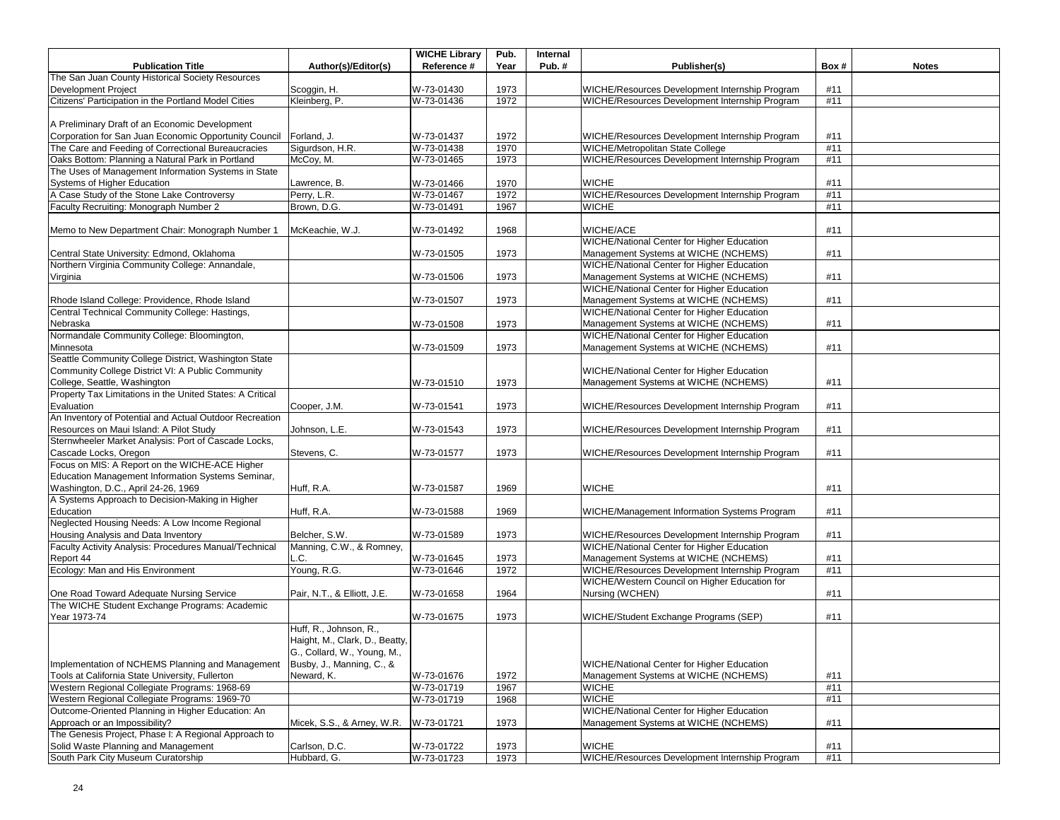|                                                                   |                                | <b>WICHE Library</b> | Pub. | Internal |                                                   |      |              |
|-------------------------------------------------------------------|--------------------------------|----------------------|------|----------|---------------------------------------------------|------|--------------|
| <b>Publication Title</b>                                          | Author(s)/Editor(s)            | Reference #          | Year | Pub.#    | Publisher(s)                                      | Box# | <b>Notes</b> |
| The San Juan County Historical Society Resources                  |                                |                      |      |          |                                                   |      |              |
| <b>Development Project</b>                                        | Scoggin, H.                    | W-73-01430           | 1973 |          | WICHE/Resources Development Internship Program    | #11  |              |
| Citizens' Participation in the Portland Model Cities              | Kleinberg, P.                  | W-73-01436           | 1972 |          | WICHE/Resources Development Internship Program    | #11  |              |
|                                                                   |                                |                      |      |          |                                                   |      |              |
| A Preliminary Draft of an Economic Development                    |                                |                      |      |          |                                                   |      |              |
| Corporation for San Juan Economic Opportunity Council Forland, J. |                                | W-73-01437           | 1972 |          | WICHE/Resources Development Internship Program    | #11  |              |
| The Care and Feeding of Correctional Bureaucracies                | Sigurdson, H.R.                | W-73-01438           | 1970 |          | WICHE/Metropolitan State College                  | #11  |              |
| Oaks Bottom: Planning a Natural Park in Portland                  | McCoy, M.                      | W-73-01465           | 1973 |          | WICHE/Resources Development Internship Program    | #11  |              |
| The Uses of Management Information Systems in State               |                                |                      |      |          |                                                   |      |              |
| Systems of Higher Education                                       | Lawrence, B.                   | W-73-01466           | 1970 |          | <b>WICHE</b>                                      | #11  |              |
| A Case Study of the Stone Lake Controversy                        | Perry, L.R.                    | W-73-01467           | 1972 |          | WICHE/Resources Development Internship Program    | #11  |              |
| Faculty Recruiting: Monograph Number 2                            | Brown, D.G.                    | W-73-01491           | 1967 |          | <b>WICHE</b>                                      | #11  |              |
|                                                                   |                                |                      |      |          |                                                   |      |              |
| Memo to New Department Chair: Monograph Number 1                  | McKeachie, W.J.                | W-73-01492           | 1968 |          | WICHE/ACE                                         | #11  |              |
|                                                                   |                                |                      |      |          | <b>WICHE/National Center for Higher Education</b> |      |              |
| Central State University: Edmond, Oklahoma                        |                                | W-73-01505           | 1973 |          | Management Systems at WICHE (NCHEMS)              | #11  |              |
| Northern Virginia Community College: Annandale,                   |                                |                      |      |          | WICHE/National Center for Higher Education        |      |              |
| Virginia                                                          |                                | W-73-01506           | 1973 |          | Management Systems at WICHE (NCHEMS)              | #11  |              |
|                                                                   |                                |                      |      |          | WICHE/National Center for Higher Education        |      |              |
| Rhode Island College: Providence, Rhode Island                    |                                | W-73-01507           | 1973 |          | Management Systems at WICHE (NCHEMS)              | #11  |              |
| Central Technical Community College: Hastings,                    |                                |                      |      |          | <b>WICHE/National Center for Higher Education</b> |      |              |
| Nebraska                                                          |                                | W-73-01508           | 1973 |          | Management Systems at WICHE (NCHEMS)              | #11  |              |
| Normandale Community College: Bloomington,                        |                                |                      |      |          | <b>WICHE/National Center for Higher Education</b> |      |              |
| Minnesota                                                         |                                | W-73-01509           | 1973 |          | Management Systems at WICHE (NCHEMS)              | #11  |              |
| Seattle Community College District, Washington State              |                                |                      |      |          |                                                   |      |              |
| Community College District VI: A Public Community                 |                                |                      |      |          | WICHE/National Center for Higher Education        |      |              |
| College, Seattle, Washington                                      |                                | W-73-01510           | 1973 |          | Management Systems at WICHE (NCHEMS)              | #11  |              |
| Property Tax Limitations in the United States: A Critical         |                                |                      |      |          |                                                   |      |              |
| Evaluation                                                        | Cooper, J.M.                   | W-73-01541           | 1973 |          | WICHE/Resources Development Internship Program    | #11  |              |
| An Inventory of Potential and Actual Outdoor Recreation           |                                |                      |      |          |                                                   |      |              |
| Resources on Maui Island: A Pilot Study                           | Johnson, L.E.                  | W-73-01543           | 1973 |          | WICHE/Resources Development Internship Program    | #11  |              |
| Sternwheeler Market Analysis: Port of Cascade Locks,              |                                |                      |      |          |                                                   |      |              |
| Cascade Locks, Oregon                                             | Stevens, C.                    | W-73-01577           | 1973 |          | WICHE/Resources Development Internship Program    | #11  |              |
| Focus on MIS: A Report on the WICHE-ACE Higher                    |                                |                      |      |          |                                                   |      |              |
| Education Management Information Systems Seminar,                 |                                |                      |      |          |                                                   |      |              |
| Washington, D.C., April 24-26, 1969                               | Huff, R.A.                     | W-73-01587           | 1969 |          | <b>WICHE</b>                                      | #11  |              |
| A Systems Approach to Decision-Making in Higher                   |                                |                      |      |          |                                                   |      |              |
| Education                                                         | Huff, R.A.                     | W-73-01588           | 1969 |          | WICHE/Management Information Systems Program      | #11  |              |
| Neglected Housing Needs: A Low Income Regional                    |                                |                      |      |          |                                                   |      |              |
| Housing Analysis and Data Inventory                               | Belcher, S.W.                  | W-73-01589           | 1973 |          | WICHE/Resources Development Internship Program    | #11  |              |
| Faculty Activity Analysis: Procedures Manual/Technical            | Manning, C.W., & Romney,       |                      |      |          | WICHE/National Center for Higher Education        |      |              |
| Report 44                                                         | .C.                            | W-73-01645           | 1973 |          | Management Systems at WICHE (NCHEMS)              | #11  |              |
| Ecology: Man and His Environment                                  | Young, R.G.                    | W-73-01646           | 1972 |          | WICHE/Resources Development Internship Program    | #11  |              |
|                                                                   |                                |                      |      |          | WICHE/Western Council on Higher Education for     |      |              |
| One Road Toward Adequate Nursing Service                          | Pair, N.T., & Elliott, J.E.    | W-73-01658           | 1964 |          | Nursing (WCHEN)                                   | #11  |              |
| The WICHE Student Exchange Programs: Academic                     |                                |                      |      |          |                                                   |      |              |
| Year 1973-74                                                      |                                | W-73-01675           | 1973 |          | WICHE/Student Exchange Programs (SEP)             | #11  |              |
|                                                                   | Huff, R., Johnson, R.,         |                      |      |          |                                                   |      |              |
|                                                                   | Haight, M., Clark, D., Beatty, |                      |      |          |                                                   |      |              |
|                                                                   | G., Collard, W., Young, M.,    |                      |      |          |                                                   |      |              |
| Implementation of NCHEMS Planning and Management                  | Busby, J., Manning, C., &      |                      |      |          | WICHE/National Center for Higher Education        |      |              |
| Tools at California State University, Fullerton                   | Neward, K.                     | W-73-01676           | 1972 |          | Management Systems at WICHE (NCHEMS)              | #11  |              |
| Western Regional Collegiate Programs: 1968-69                     |                                | W-73-01719           | 1967 |          | <b>WICHE</b>                                      | #11  |              |
| Western Regional Collegiate Programs: 1969-70                     |                                | W-73-01719           | 1968 |          | <b>WICHE</b>                                      | #11  |              |
| Outcome-Oriented Planning in Higher Education: An                 |                                |                      |      |          | WICHE/National Center for Higher Education        |      |              |
| Approach or an Impossibility?                                     | Micek, S.S., & Arney, W.R.     | W-73-01721           | 1973 |          | Management Systems at WICHE (NCHEMS)              | #11  |              |
| The Genesis Project, Phase I: A Regional Approach to              |                                |                      |      |          |                                                   |      |              |
| Solid Waste Planning and Management                               | Carlson, D.C.                  | W-73-01722           | 1973 |          | <b>WICHE</b>                                      | #11  |              |
| South Park City Museum Curatorship                                | Hubbard, G.                    | W-73-01723           | 1973 |          | WICHE/Resources Development Internship Program    | #11  |              |
|                                                                   |                                |                      |      |          |                                                   |      |              |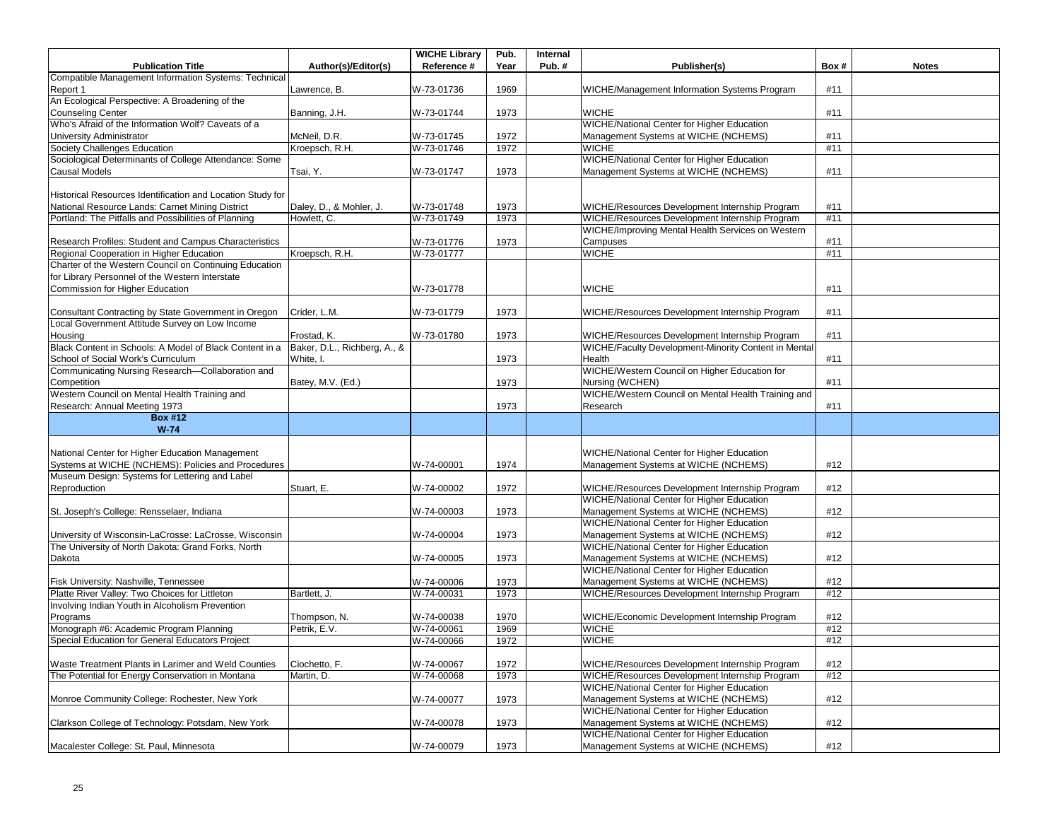|                                                            |                              | <b>WICHE Library</b> | Pub. | Internal |                                                                                           |      |              |
|------------------------------------------------------------|------------------------------|----------------------|------|----------|-------------------------------------------------------------------------------------------|------|--------------|
| <b>Publication Title</b>                                   | Author(s)/Editor(s)          | Reference #          | Year | Pub.#    | Publisher(s)                                                                              | Box# | <b>Notes</b> |
| Compatible Management Information Systems: Technical       |                              |                      |      |          |                                                                                           |      |              |
| Report 1                                                   | Lawrence, B.                 | W-73-01736           | 1969 |          | WICHE/Management Information Systems Program                                              | #11  |              |
| An Ecological Perspective: A Broadening of the             |                              |                      |      |          |                                                                                           |      |              |
| <b>Counseling Center</b>                                   | Banning, J.H.                | W-73-01744           | 1973 |          | <b>WICHE</b>                                                                              | #11  |              |
| Who's Afraid of the Information Wolf? Caveats of a         |                              |                      |      |          | WICHE/National Center for Higher Education                                                |      |              |
| University Administrator                                   | McNeil, D.R.                 | W-73-01745           | 1972 |          | Management Systems at WICHE (NCHEMS)                                                      | #11  |              |
| Society Challenges Education                               | Kroepsch, R.H.               | W-73-01746           | 1972 |          | <b>WICHE</b>                                                                              | #11  |              |
| Sociological Determinants of College Attendance: Some      |                              |                      |      |          | WICHE/National Center for Higher Education                                                |      |              |
| Causal Models                                              | Tsai, Y.                     | W-73-01747           | 1973 |          | Management Systems at WICHE (NCHEMS)                                                      | #11  |              |
|                                                            |                              |                      |      |          |                                                                                           |      |              |
| Historical Resources Identification and Location Study for |                              |                      |      |          |                                                                                           |      |              |
| National Resource Lands: Carnet Mining District            | Daley, D., & Mohler, J.      | W-73-01748           | 1973 |          | WICHE/Resources Development Internship Program                                            | #11  |              |
| Portland: The Pitfalls and Possibilities of Planning       | Howlett, C.                  | W-73-01749           | 1973 |          | WICHE/Resources Development Internship Program                                            | #11  |              |
|                                                            |                              |                      |      |          | WICHE/Improving Mental Health Services on Western                                         |      |              |
| Research Profiles: Student and Campus Characteristics      |                              | W-73-01776           | 1973 |          | Campuses                                                                                  | #11  |              |
| Regional Cooperation in Higher Education                   | Kroepsch, R.H.               | W-73-01777           |      |          | <b>WICHE</b>                                                                              | #11  |              |
| Charter of the Western Council on Continuing Education     |                              |                      |      |          |                                                                                           |      |              |
| for Library Personnel of the Western Interstate            |                              |                      |      |          |                                                                                           |      |              |
| Commission for Higher Education                            |                              | W-73-01778           |      |          | <b>WICHE</b>                                                                              | #11  |              |
|                                                            |                              |                      |      |          |                                                                                           |      |              |
|                                                            |                              |                      |      |          |                                                                                           |      |              |
| Consultant Contracting by State Government in Oregon       | Crider, L.M.                 | W-73-01779           | 1973 |          | WICHE/Resources Development Internship Program                                            | #11  |              |
| Local Government Attitude Survey on Low Income             |                              |                      |      |          |                                                                                           |      |              |
| Housing                                                    | Frostad, K.                  | W-73-01780           | 1973 |          | WICHE/Resources Development Internship Program                                            | #11  |              |
| Black Content in Schools: A Model of Black Content in a    | Baker, D.L., Richberg, A., & |                      |      |          | WICHE/Faculty Development-Minority Content in Mental                                      |      |              |
| School of Social Work's Curriculum                         | White, I.                    |                      | 1973 |          | Health                                                                                    | #11  |              |
| Communicating Nursing Research-Collaboration and           |                              |                      |      |          | WICHE/Western Council on Higher Education for                                             |      |              |
| Competition                                                | Batey, M.V. (Ed.)            |                      | 1973 |          | Nursing (WCHEN)                                                                           | #11  |              |
| Western Council on Mental Health Training and              |                              |                      |      |          | WICHE/Western Council on Mental Health Training and                                       |      |              |
| Research: Annual Meeting 1973                              |                              |                      | 1973 |          | Research                                                                                  | #11  |              |
| <b>Box #12</b>                                             |                              |                      |      |          |                                                                                           |      |              |
| $W-74$                                                     |                              |                      |      |          |                                                                                           |      |              |
|                                                            |                              |                      |      |          |                                                                                           |      |              |
| National Center for Higher Education Management            |                              |                      |      |          | WICHE/National Center for Higher Education                                                |      |              |
| Systems at WICHE (NCHEMS): Policies and Procedures         |                              | W-74-00001           | 1974 |          | Management Systems at WICHE (NCHEMS)                                                      | #12  |              |
| Museum Design: Systems for Lettering and Label             |                              |                      |      |          |                                                                                           |      |              |
| Reproduction                                               | Stuart, E.                   | W-74-00002           | 1972 |          | WICHE/Resources Development Internship Program                                            | #12  |              |
|                                                            |                              |                      |      |          | <b>WICHE/National Center for Higher Education</b>                                         |      |              |
| St. Joseph's College: Rensselaer, Indiana                  |                              | W-74-00003           | 1973 |          | Management Systems at WICHE (NCHEMS)                                                      | #12  |              |
|                                                            |                              |                      |      |          | <b>WICHE/National Center for Higher Education</b>                                         |      |              |
| University of Wisconsin-LaCrosse: LaCrosse, Wisconsin      |                              | W-74-00004           | 1973 |          | Management Systems at WICHE (NCHEMS)                                                      | #12  |              |
| The University of North Dakota: Grand Forks, North         |                              |                      |      |          | WICHE/National Center for Higher Education                                                |      |              |
| Dakota                                                     |                              | W-74-00005           | 1973 |          | Management Systems at WICHE (NCHEMS)                                                      | #12  |              |
|                                                            |                              |                      |      |          | <b>WICHE/National Center for Higher Education</b>                                         |      |              |
| Fisk University: Nashville, Tennessee                      |                              | W-74-00006           | 1973 |          | Management Systems at WICHE (NCHEMS)                                                      | #12  |              |
| Platte River Valley: Two Choices for Littleton             | Bartlett, J.                 | W-74-00031           | 1973 |          | WICHE/Resources Development Internship Program                                            | #12  |              |
| Involving Indian Youth in Alcoholism Prevention            |                              |                      |      |          |                                                                                           |      |              |
| Programs                                                   | Thompson, N.                 | W-74-00038           | 1970 |          | WICHE/Economic Development Internship Program                                             | #12  |              |
| Monograph #6: Academic Program Planning                    | Petrik, E.V.                 | W-74-00061           | 1969 |          | <b>WICHE</b>                                                                              | #12  |              |
| Special Education for General Educators Project            |                              | W-74-00066           | 1972 |          | <b>WICHE</b>                                                                              | #12  |              |
|                                                            |                              |                      |      |          |                                                                                           |      |              |
| Waste Treatment Plants in Larimer and Weld Counties        | Ciochetto, F.                | W-74-00067           | 1972 |          | WICHE/Resources Development Internship Program                                            | #12  |              |
| The Potential for Energy Conservation in Montana           | Martin, D.                   |                      |      |          | WICHE/Resources Development Internship Program                                            | #12  |              |
|                                                            |                              | W-74-00068           | 1973 |          | WICHE/National Center for Higher Education                                                |      |              |
|                                                            |                              |                      |      |          |                                                                                           |      |              |
| Monroe Community College: Rochester, New York              |                              | W-74-00077           | 1973 |          | Management Systems at WICHE (NCHEMS)<br><b>WICHE/National Center for Higher Education</b> | #12  |              |
|                                                            |                              |                      |      |          |                                                                                           |      |              |
| Clarkson College of Technology: Potsdam, New York          |                              | W-74-00078           | 1973 |          | Management Systems at WICHE (NCHEMS)                                                      | #12  |              |
|                                                            |                              |                      |      |          | WICHE/National Center for Higher Education                                                |      |              |
| Macalester College: St. Paul, Minnesota                    |                              | W-74-00079           | 1973 |          | Management Systems at WICHE (NCHEMS)                                                      | #12  |              |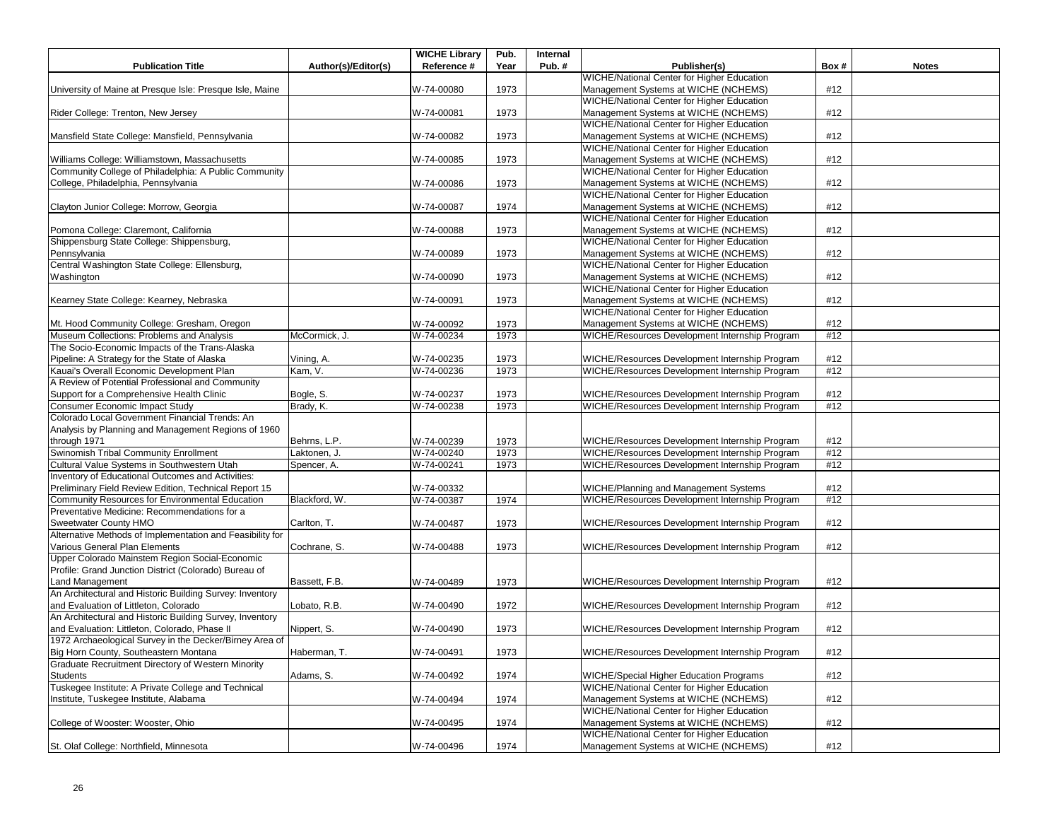| <b>Publication Title</b>                                  | Author(s)/Editor(s) | <b>WICHE Library</b><br>Reference # | Pub.<br>Year | Internal<br>Pub.# | Publisher(s)                                                                                     | Box# | <b>Notes</b> |
|-----------------------------------------------------------|---------------------|-------------------------------------|--------------|-------------------|--------------------------------------------------------------------------------------------------|------|--------------|
|                                                           |                     |                                     |              |                   | <b>WICHE/National Center for Higher Education</b>                                                |      |              |
| University of Maine at Presque Isle: Presque Isle, Maine  |                     | W-74-00080                          | 1973         |                   | Management Systems at WICHE (NCHEMS)                                                             | #12  |              |
|                                                           |                     |                                     |              |                   | WICHE/National Center for Higher Education                                                       |      |              |
| Rider College: Trenton, New Jersey                        |                     | W-74-00081                          | 1973         |                   | Management Systems at WICHE (NCHEMS)                                                             | #12  |              |
|                                                           |                     |                                     |              |                   | WICHE/National Center for Higher Education                                                       |      |              |
| Mansfield State College: Mansfield, Pennsylvania          |                     | W-74-00082                          | 1973         |                   | Management Systems at WICHE (NCHEMS)                                                             | #12  |              |
|                                                           |                     |                                     |              |                   | WICHE/National Center for Higher Education                                                       |      |              |
| Williams College: Williamstown, Massachusetts             |                     | W-74-00085                          | 1973         |                   | Management Systems at WICHE (NCHEMS)                                                             | #12  |              |
| Community College of Philadelphia: A Public Community     |                     |                                     |              |                   | <b>WICHE/National Center for Higher Education</b>                                                |      |              |
| College, Philadelphia, Pennsylvania                       |                     | W-74-00086                          | 1973         |                   | Management Systems at WICHE (NCHEMS)                                                             | #12  |              |
|                                                           |                     |                                     |              |                   | <b>WICHE/National Center for Higher Education</b>                                                |      |              |
| Clayton Junior College: Morrow, Georgia                   |                     | W-74-00087                          | 1974         |                   | Management Systems at WICHE (NCHEMS)                                                             | #12  |              |
|                                                           |                     |                                     |              |                   | WICHE/National Center for Higher Education                                                       |      |              |
| Pomona College: Claremont, California                     |                     | W-74-00088                          | 1973         |                   | Management Systems at WICHE (NCHEMS)                                                             | #12  |              |
| Shippensburg State College: Shippensburg,                 |                     |                                     |              |                   | WICHE/National Center for Higher Education                                                       |      |              |
| Pennsylvania                                              |                     | W-74-00089                          | 1973         |                   | Management Systems at WICHE (NCHEMS)                                                             | #12  |              |
| Central Washington State College: Ellensburg,             |                     |                                     |              |                   | <b>WICHE/National Center for Higher Education</b>                                                |      |              |
| Washington                                                |                     | W-74-00090                          | 1973         |                   | Management Systems at WICHE (NCHEMS)                                                             | #12  |              |
|                                                           |                     |                                     |              |                   | WICHE/National Center for Higher Education                                                       |      |              |
| Kearney State College: Kearney, Nebraska                  |                     | W-74-00091                          | 1973         |                   | Management Systems at WICHE (NCHEMS)                                                             | #12  |              |
|                                                           |                     |                                     |              |                   | WICHE/National Center for Higher Education                                                       |      |              |
| Mt. Hood Community College: Gresham, Oregon               |                     | W-74-00092                          | 1973         |                   | Management Systems at WICHE (NCHEMS)                                                             | #12  |              |
| Museum Collections: Problems and Analysis                 | McCormick, J.       | W-74-00234                          | 1973         |                   | WICHE/Resources Development Internship Program                                                   | #12  |              |
| The Socio-Economic Impacts of the Trans-Alaska            |                     |                                     |              |                   |                                                                                                  |      |              |
| Pipeline: A Strategy for the State of Alaska              | Vining, A.          | W-74-00235                          | 1973         |                   | WICHE/Resources Development Internship Program                                                   | #12  |              |
| Kauai's Overall Economic Development Plan                 | Kam, V.             | W-74-00236                          | 1973         |                   | WICHE/Resources Development Internship Program                                                   | #12  |              |
| A Review of Potential Professional and Community          |                     |                                     |              |                   |                                                                                                  |      |              |
| Support for a Comprehensive Health Clinic                 | Bogle, S.           | W-74-00237                          | 1973         |                   | WICHE/Resources Development Internship Program                                                   | #12  |              |
| Consumer Economic Impact Study                            | Brady, K.           | W-74-00238                          | 1973         |                   | WICHE/Resources Development Internship Program                                                   | #12  |              |
| Colorado Local Government Financial Trends: An            |                     |                                     |              |                   |                                                                                                  |      |              |
| Analysis by Planning and Management Regions of 1960       |                     |                                     |              |                   |                                                                                                  |      |              |
| through 1971                                              | Behrns, L.P.        | W-74-00239                          |              |                   | WICHE/Resources Development Internship Program                                                   | #12  |              |
| Swinomish Tribal Community Enrollment                     | Laktonen, J.        | W-74-00240                          | 1973<br>1973 |                   |                                                                                                  | #12  |              |
| Cultural Value Systems in Southwestern Utah               | Spencer, A.         | W-74-00241                          | 1973         |                   | WICHE/Resources Development Internship Program<br>WICHE/Resources Development Internship Program | #12  |              |
| Inventory of Educational Outcomes and Activities:         |                     |                                     |              |                   |                                                                                                  |      |              |
| Preliminary Field Review Edition, Technical Report 15     |                     | W-74-00332                          |              |                   |                                                                                                  | #12  |              |
| Community Resources for Environmental Education           | Blackford, W.       | W-74-00387                          | 1974         |                   | WICHE/Planning and Management Systems<br>WICHE/Resources Development Internship Program          | #12  |              |
| Preventative Medicine: Recommendations for a              |                     |                                     |              |                   |                                                                                                  |      |              |
| Sweetwater County HMO                                     | Carlton, T.         | W-74-00487                          | 1973         |                   | WICHE/Resources Development Internship Program                                                   | #12  |              |
| Alternative Methods of Implementation and Feasibility for |                     |                                     |              |                   |                                                                                                  |      |              |
| Various General Plan Elements                             | Cochrane, S.        | W-74-00488                          | 1973         |                   | WICHE/Resources Development Internship Program                                                   | #12  |              |
| Upper Colorado Mainstem Region Social-Economic            |                     |                                     |              |                   |                                                                                                  |      |              |
| Profile: Grand Junction District (Colorado) Bureau of     |                     |                                     |              |                   |                                                                                                  |      |              |
| Land Management                                           | Bassett, F.B.       | W-74-00489                          | 1973         |                   | WICHE/Resources Development Internship Program                                                   | #12  |              |
| An Architectural and Historic Building Survey: Inventory  |                     |                                     |              |                   |                                                                                                  |      |              |
| and Evaluation of Littleton, Colorado                     | Lobato, R.B.        | W-74-00490                          | 1972         |                   | WICHE/Resources Development Internship Program                                                   | #12  |              |
| An Architectural and Historic Building Survey, Inventory  |                     |                                     |              |                   |                                                                                                  |      |              |
| and Evaluation: Littleton, Colorado, Phase II             | Nippert, S.         | W-74-00490                          | 1973         |                   | WICHE/Resources Development Internship Program                                                   | #12  |              |
| 1972 Archaeological Survey in the Decker/Birney Area of   |                     |                                     |              |                   |                                                                                                  |      |              |
| Big Horn County, Southeastern Montana                     | Haberman, T.        | W-74-00491                          | 1973         |                   | WICHE/Resources Development Internship Program                                                   | #12  |              |
| Graduate Recruitment Directory of Western Minority        |                     |                                     |              |                   |                                                                                                  |      |              |
| Students                                                  | Adams, S.           | W-74-00492                          | 1974         |                   | WICHE/Special Higher Education Programs                                                          | #12  |              |
| Tuskegee Institute: A Private College and Technical       |                     |                                     |              |                   | WICHE/National Center for Higher Education                                                       |      |              |
| Institute, Tuskegee Institute, Alabama                    |                     | W-74-00494                          | 1974         |                   | Management Systems at WICHE (NCHEMS)                                                             | #12  |              |
|                                                           |                     |                                     |              |                   | <b>WICHE/National Center for Higher Education</b>                                                |      |              |
| College of Wooster: Wooster, Ohio                         |                     | W-74-00495                          | 1974         |                   | Management Systems at WICHE (NCHEMS)                                                             | #12  |              |
|                                                           |                     |                                     |              |                   | WICHE/National Center for Higher Education                                                       |      |              |
| St. Olaf College: Northfield, Minnesota                   |                     | W-74-00496                          | 1974         |                   | Management Systems at WICHE (NCHEMS)                                                             | #12  |              |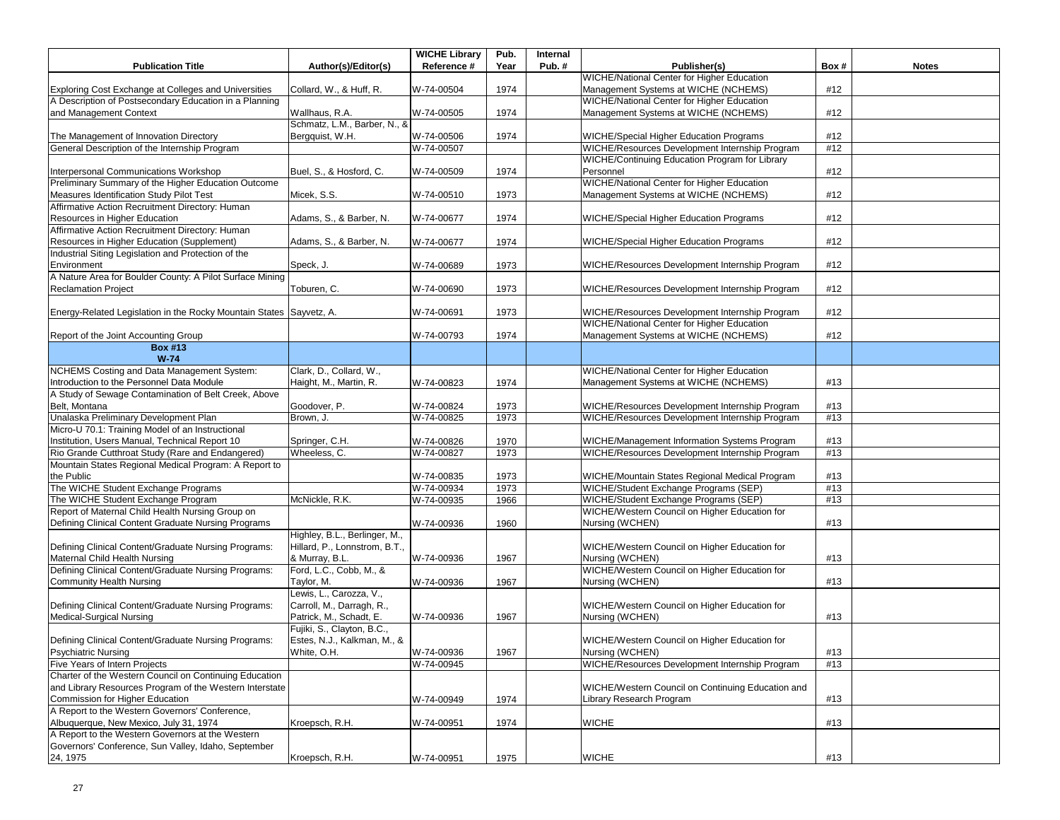| <b>WICHE/National Center for Higher Education</b><br>Exploring Cost Exchange at Colleges and Universities<br>W-74-00504<br>1974<br>Management Systems at WICHE (NCHEMS)<br>#12<br>Collard, W., & Huff, R.<br>A Description of Postsecondary Education in a Planning<br>WICHE/National Center for Higher Education<br>and Management Context<br>Management Systems at WICHE (NCHEMS)<br>#12<br>Wallhaus, R.A.<br>W-74-00505<br>1974<br>Schmatz, L.M., Barber, N., &<br>Bergquist, W.H.<br>W-74-00506<br>1974<br><b>WICHE/Special Higher Education Programs</b><br>#12<br>The Management of Innovation Directory<br>General Description of the Internship Program<br>WICHE/Resources Development Internship Program<br>W-74-00507<br>#12<br>WICHE/Continuing Education Program for Library<br>Interpersonal Communications Workshop<br>Buel, S., & Hosford, C.<br>1974<br>Personnel<br>W-74-00509<br>#12<br>Preliminary Summary of the Higher Education Outcome<br><b>WICHE/National Center for Higher Education</b><br>Management Systems at WICHE (NCHEMS)<br>Measures Identification Study Pilot Test<br>Micek, S.S.<br>W-74-00510<br>1973<br>#12<br>Affirmative Action Recruitment Directory: Human<br>Resources in Higher Education<br>W-74-00677<br>1974<br>#12<br>Adams, S., & Barber, N.<br>WICHE/Special Higher Education Programs<br>Affirmative Action Recruitment Directory: Human<br>Resources in Higher Education (Supplement)<br>#12<br>Adams, S., & Barber, N.<br>W-74-00677<br>1974<br>WICHE/Special Higher Education Programs<br>Industrial Siting Legislation and Protection of the<br>1973<br>WICHE/Resources Development Internship Program<br>#12<br>Environment<br>Speck, J.<br>W-74-00689<br>A Nature Area for Boulder County: A Pilot Surface Mining<br><b>Reclamation Project</b><br>Toburen, C.<br>W-74-00690<br>1973<br>WICHE/Resources Development Internship Program<br>#12<br>#12<br>Energy-Related Legislation in the Rocky Mountain States Sayvetz, A.<br>W-74-00691<br>1973<br>WICHE/Resources Development Internship Program<br>WICHE/National Center for Higher Education<br>Management Systems at WICHE (NCHEMS)<br>#12<br>Report of the Joint Accounting Group<br>1974<br>W-74-00793<br><b>Box #13</b><br>$W-74$<br>NCHEMS Costing and Data Management System:<br>Clark, D., Collard, W.,<br><b>WICHE/National Center for Higher Education</b><br>Introduction to the Personnel Data Module<br>Haight, M., Martin, R.<br>W-74-00823<br>1974<br>Management Systems at WICHE (NCHEMS)<br>#13<br>A Study of Sewage Contamination of Belt Creek, Above<br>Belt, Montana<br>WICHE/Resources Development Internship Program<br>#13<br>Goodover, P.<br>W-74-00824<br>1973<br>Unalaska Preliminary Development Plan<br>W-74-00825<br>1973<br>WICHE/Resources Development Internship Program<br>#13<br>Brown, J.<br>Micro-U 70.1: Training Model of an Instructional<br>Institution, Users Manual, Technical Report 10<br>#13<br>Springer, C.H.<br>W-74-00826<br>1970<br>WICHE/Management Information Systems Program<br>Rio Grande Cutthroat Study (Rare and Endangered)<br>W-74-00827<br>WICHE/Resources Development Internship Program<br>Wheeless, C.<br>1973<br>#13<br>Mountain States Regional Medical Program: A Report to<br>the Public<br>W-74-00835<br>1973<br>WICHE/Mountain States Regional Medical Program<br>#13<br>WICHE/Student Exchange Programs (SEP)<br>The WICHE Student Exchange Programs<br>W-74-00934<br>1973<br>#13<br>The WICHE Student Exchange Program<br>McNickle, R.K.<br>WICHE/Student Exchange Programs (SEP)<br>W-74-00935<br>#13<br>1966<br>Report of Maternal Child Health Nursing Group on<br>WICHE/Western Council on Higher Education for<br>Nursing (WCHEN)<br>Defining Clinical Content Graduate Nursing Programs<br>W-74-00936<br>1960<br>#13<br>Highley, B.L., Berlinger, M.,<br>Hillard, P., Lonnstrom, B.T.,<br>Defining Clinical Content/Graduate Nursing Programs:<br>WICHE/Western Council on Higher Education for<br>Maternal Child Health Nursing<br>& Murray, B.L.<br>W-74-00936<br>Nursing (WCHEN)<br>#13<br>1967<br>Defining Clinical Content/Graduate Nursing Programs:<br>WICHE/Western Council on Higher Education for<br>Ford, L.C., Cobb, M., &<br><b>Community Health Nursing</b><br>Taylor, M.<br>W-74-00936<br>1967<br>Nursing (WCHEN)<br>#13<br>Lewis, L., Carozza, V.,<br>Carroll, M., Darragh, R.,<br>Defining Clinical Content/Graduate Nursing Programs:<br>WICHE/Western Council on Higher Education for<br>Patrick, M., Schadt, E.<br>Medical-Surgical Nursing<br>W-74-00936<br>1967<br>Nursing (WCHEN)<br>#13<br>Fujiki, S., Clayton, B.C.,<br>Estes, N.J., Kalkman, M., &<br>Defining Clinical Content/Graduate Nursing Programs:<br>WICHE/Western Council on Higher Education for<br><b>Psychiatric Nursing</b><br>White, O.H.<br>W-74-00936<br>1967<br>Nursing (WCHEN)<br>#13<br>Five Years of Intern Projects<br>W-74-00945<br>WICHE/Resources Development Internship Program<br>#13<br>Charter of the Western Council on Continuing Education<br>and Library Resources Program of the Western Interstate<br>WICHE/Western Council on Continuing Education and<br>#13<br>Commission for Higher Education<br>1974<br>Library Research Program<br>W-74-00949<br>A Report to the Western Governors' Conference.<br>Albuquerque, New Mexico, July 31, 1974<br>Kroepsch, R.H.<br>W-74-00951<br>1974<br><b>WICHE</b><br>#13<br>A Report to the Western Governors at the Western<br>Governors' Conference, Sun Valley, Idaho, September<br>W-74-00951<br>1975<br><b>WICHE</b><br>#13<br>24, 1975<br>Kroepsch, R.H. |                          |                     | <b>WICHE Library</b> | Pub. | Internal |              |      |              |
|---------------------------------------------------------------------------------------------------------------------------------------------------------------------------------------------------------------------------------------------------------------------------------------------------------------------------------------------------------------------------------------------------------------------------------------------------------------------------------------------------------------------------------------------------------------------------------------------------------------------------------------------------------------------------------------------------------------------------------------------------------------------------------------------------------------------------------------------------------------------------------------------------------------------------------------------------------------------------------------------------------------------------------------------------------------------------------------------------------------------------------------------------------------------------------------------------------------------------------------------------------------------------------------------------------------------------------------------------------------------------------------------------------------------------------------------------------------------------------------------------------------------------------------------------------------------------------------------------------------------------------------------------------------------------------------------------------------------------------------------------------------------------------------------------------------------------------------------------------------------------------------------------------------------------------------------------------------------------------------------------------------------------------------------------------------------------------------------------------------------------------------------------------------------------------------------------------------------------------------------------------------------------------------------------------------------------------------------------------------------------------------------------------------------------------------------------------------------------------------------------------------------------------------------------------------------------------------------------------------------------------------------------------------------------------------------------------------------------------------------------------------------------------------------------------------------------------------------------------------------------------------------------------------------------------------------------------------------------------------------------------------------------------------------------------------------------------------------------------------------------------------------------------------------------------------------------------------------------------------------------------------------------------------------------------------------------------------------------------------------------------------------------------------------------------------------------------------------------------------------------------------------------------------------------------------------------------------------------------------------------------------------------------------------------------------------------------------------------------------------------------------------------------------------------------------------------------------------------------------------------------------------------------------------------------------------------------------------------------------------------------------------------------------------------------------------------------------------------------------------------------------------------------------------------------------------------------------------------------------------------------------------------------------------------------------------------------------------------------------------------------------------------------------------------------------------------------------------------------------------------------------------------------------------------------------------------------------------------------------------------------------------------------------------------------------------------------------------------------------------------------------------------------------------------------------------------------------------------------------------------------------------------------------------------------------------------------------------------------------------------------------------------------------------------------------------------------------------------------------------------------------------------------------------------------------------------------------------------------------------------------------------------------------------------------------------------------------------------------------------------------------------------------------------------------------------------------------------------------------------------------------------------------------------------------------------------------------------------------------|--------------------------|---------------------|----------------------|------|----------|--------------|------|--------------|
|                                                                                                                                                                                                                                                                                                                                                                                                                                                                                                                                                                                                                                                                                                                                                                                                                                                                                                                                                                                                                                                                                                                                                                                                                                                                                                                                                                                                                                                                                                                                                                                                                                                                                                                                                                                                                                                                                                                                                                                                                                                                                                                                                                                                                                                                                                                                                                                                                                                                                                                                                                                                                                                                                                                                                                                                                                                                                                                                                                                                                                                                                                                                                                                                                                                                                                                                                                                                                                                                                                                                                                                                                                                                                                                                                                                                                                                                                                                                                                                                                                                                                                                                                                                                                                                                                                                                                                                                                                                                                                                                                                                                                                                                                                                                                                                                                                                                                                                                                                                                                                                                                                                                                                                                                                                                                                                                                                                                                                                                                                                                                                                                               | <b>Publication Title</b> | Author(s)/Editor(s) | Reference #          | Year | Pub. $#$ | Publisher(s) | Box# | <b>Notes</b> |
|                                                                                                                                                                                                                                                                                                                                                                                                                                                                                                                                                                                                                                                                                                                                                                                                                                                                                                                                                                                                                                                                                                                                                                                                                                                                                                                                                                                                                                                                                                                                                                                                                                                                                                                                                                                                                                                                                                                                                                                                                                                                                                                                                                                                                                                                                                                                                                                                                                                                                                                                                                                                                                                                                                                                                                                                                                                                                                                                                                                                                                                                                                                                                                                                                                                                                                                                                                                                                                                                                                                                                                                                                                                                                                                                                                                                                                                                                                                                                                                                                                                                                                                                                                                                                                                                                                                                                                                                                                                                                                                                                                                                                                                                                                                                                                                                                                                                                                                                                                                                                                                                                                                                                                                                                                                                                                                                                                                                                                                                                                                                                                                                               |                          |                     |                      |      |          |              |      |              |
|                                                                                                                                                                                                                                                                                                                                                                                                                                                                                                                                                                                                                                                                                                                                                                                                                                                                                                                                                                                                                                                                                                                                                                                                                                                                                                                                                                                                                                                                                                                                                                                                                                                                                                                                                                                                                                                                                                                                                                                                                                                                                                                                                                                                                                                                                                                                                                                                                                                                                                                                                                                                                                                                                                                                                                                                                                                                                                                                                                                                                                                                                                                                                                                                                                                                                                                                                                                                                                                                                                                                                                                                                                                                                                                                                                                                                                                                                                                                                                                                                                                                                                                                                                                                                                                                                                                                                                                                                                                                                                                                                                                                                                                                                                                                                                                                                                                                                                                                                                                                                                                                                                                                                                                                                                                                                                                                                                                                                                                                                                                                                                                                               |                          |                     |                      |      |          |              |      |              |
|                                                                                                                                                                                                                                                                                                                                                                                                                                                                                                                                                                                                                                                                                                                                                                                                                                                                                                                                                                                                                                                                                                                                                                                                                                                                                                                                                                                                                                                                                                                                                                                                                                                                                                                                                                                                                                                                                                                                                                                                                                                                                                                                                                                                                                                                                                                                                                                                                                                                                                                                                                                                                                                                                                                                                                                                                                                                                                                                                                                                                                                                                                                                                                                                                                                                                                                                                                                                                                                                                                                                                                                                                                                                                                                                                                                                                                                                                                                                                                                                                                                                                                                                                                                                                                                                                                                                                                                                                                                                                                                                                                                                                                                                                                                                                                                                                                                                                                                                                                                                                                                                                                                                                                                                                                                                                                                                                                                                                                                                                                                                                                                                               |                          |                     |                      |      |          |              |      |              |
|                                                                                                                                                                                                                                                                                                                                                                                                                                                                                                                                                                                                                                                                                                                                                                                                                                                                                                                                                                                                                                                                                                                                                                                                                                                                                                                                                                                                                                                                                                                                                                                                                                                                                                                                                                                                                                                                                                                                                                                                                                                                                                                                                                                                                                                                                                                                                                                                                                                                                                                                                                                                                                                                                                                                                                                                                                                                                                                                                                                                                                                                                                                                                                                                                                                                                                                                                                                                                                                                                                                                                                                                                                                                                                                                                                                                                                                                                                                                                                                                                                                                                                                                                                                                                                                                                                                                                                                                                                                                                                                                                                                                                                                                                                                                                                                                                                                                                                                                                                                                                                                                                                                                                                                                                                                                                                                                                                                                                                                                                                                                                                                                               |                          |                     |                      |      |          |              |      |              |
|                                                                                                                                                                                                                                                                                                                                                                                                                                                                                                                                                                                                                                                                                                                                                                                                                                                                                                                                                                                                                                                                                                                                                                                                                                                                                                                                                                                                                                                                                                                                                                                                                                                                                                                                                                                                                                                                                                                                                                                                                                                                                                                                                                                                                                                                                                                                                                                                                                                                                                                                                                                                                                                                                                                                                                                                                                                                                                                                                                                                                                                                                                                                                                                                                                                                                                                                                                                                                                                                                                                                                                                                                                                                                                                                                                                                                                                                                                                                                                                                                                                                                                                                                                                                                                                                                                                                                                                                                                                                                                                                                                                                                                                                                                                                                                                                                                                                                                                                                                                                                                                                                                                                                                                                                                                                                                                                                                                                                                                                                                                                                                                                               |                          |                     |                      |      |          |              |      |              |
|                                                                                                                                                                                                                                                                                                                                                                                                                                                                                                                                                                                                                                                                                                                                                                                                                                                                                                                                                                                                                                                                                                                                                                                                                                                                                                                                                                                                                                                                                                                                                                                                                                                                                                                                                                                                                                                                                                                                                                                                                                                                                                                                                                                                                                                                                                                                                                                                                                                                                                                                                                                                                                                                                                                                                                                                                                                                                                                                                                                                                                                                                                                                                                                                                                                                                                                                                                                                                                                                                                                                                                                                                                                                                                                                                                                                                                                                                                                                                                                                                                                                                                                                                                                                                                                                                                                                                                                                                                                                                                                                                                                                                                                                                                                                                                                                                                                                                                                                                                                                                                                                                                                                                                                                                                                                                                                                                                                                                                                                                                                                                                                                               |                          |                     |                      |      |          |              |      |              |
|                                                                                                                                                                                                                                                                                                                                                                                                                                                                                                                                                                                                                                                                                                                                                                                                                                                                                                                                                                                                                                                                                                                                                                                                                                                                                                                                                                                                                                                                                                                                                                                                                                                                                                                                                                                                                                                                                                                                                                                                                                                                                                                                                                                                                                                                                                                                                                                                                                                                                                                                                                                                                                                                                                                                                                                                                                                                                                                                                                                                                                                                                                                                                                                                                                                                                                                                                                                                                                                                                                                                                                                                                                                                                                                                                                                                                                                                                                                                                                                                                                                                                                                                                                                                                                                                                                                                                                                                                                                                                                                                                                                                                                                                                                                                                                                                                                                                                                                                                                                                                                                                                                                                                                                                                                                                                                                                                                                                                                                                                                                                                                                                               |                          |                     |                      |      |          |              |      |              |
|                                                                                                                                                                                                                                                                                                                                                                                                                                                                                                                                                                                                                                                                                                                                                                                                                                                                                                                                                                                                                                                                                                                                                                                                                                                                                                                                                                                                                                                                                                                                                                                                                                                                                                                                                                                                                                                                                                                                                                                                                                                                                                                                                                                                                                                                                                                                                                                                                                                                                                                                                                                                                                                                                                                                                                                                                                                                                                                                                                                                                                                                                                                                                                                                                                                                                                                                                                                                                                                                                                                                                                                                                                                                                                                                                                                                                                                                                                                                                                                                                                                                                                                                                                                                                                                                                                                                                                                                                                                                                                                                                                                                                                                                                                                                                                                                                                                                                                                                                                                                                                                                                                                                                                                                                                                                                                                                                                                                                                                                                                                                                                                                               |                          |                     |                      |      |          |              |      |              |
|                                                                                                                                                                                                                                                                                                                                                                                                                                                                                                                                                                                                                                                                                                                                                                                                                                                                                                                                                                                                                                                                                                                                                                                                                                                                                                                                                                                                                                                                                                                                                                                                                                                                                                                                                                                                                                                                                                                                                                                                                                                                                                                                                                                                                                                                                                                                                                                                                                                                                                                                                                                                                                                                                                                                                                                                                                                                                                                                                                                                                                                                                                                                                                                                                                                                                                                                                                                                                                                                                                                                                                                                                                                                                                                                                                                                                                                                                                                                                                                                                                                                                                                                                                                                                                                                                                                                                                                                                                                                                                                                                                                                                                                                                                                                                                                                                                                                                                                                                                                                                                                                                                                                                                                                                                                                                                                                                                                                                                                                                                                                                                                                               |                          |                     |                      |      |          |              |      |              |
|                                                                                                                                                                                                                                                                                                                                                                                                                                                                                                                                                                                                                                                                                                                                                                                                                                                                                                                                                                                                                                                                                                                                                                                                                                                                                                                                                                                                                                                                                                                                                                                                                                                                                                                                                                                                                                                                                                                                                                                                                                                                                                                                                                                                                                                                                                                                                                                                                                                                                                                                                                                                                                                                                                                                                                                                                                                                                                                                                                                                                                                                                                                                                                                                                                                                                                                                                                                                                                                                                                                                                                                                                                                                                                                                                                                                                                                                                                                                                                                                                                                                                                                                                                                                                                                                                                                                                                                                                                                                                                                                                                                                                                                                                                                                                                                                                                                                                                                                                                                                                                                                                                                                                                                                                                                                                                                                                                                                                                                                                                                                                                                                               |                          |                     |                      |      |          |              |      |              |
|                                                                                                                                                                                                                                                                                                                                                                                                                                                                                                                                                                                                                                                                                                                                                                                                                                                                                                                                                                                                                                                                                                                                                                                                                                                                                                                                                                                                                                                                                                                                                                                                                                                                                                                                                                                                                                                                                                                                                                                                                                                                                                                                                                                                                                                                                                                                                                                                                                                                                                                                                                                                                                                                                                                                                                                                                                                                                                                                                                                                                                                                                                                                                                                                                                                                                                                                                                                                                                                                                                                                                                                                                                                                                                                                                                                                                                                                                                                                                                                                                                                                                                                                                                                                                                                                                                                                                                                                                                                                                                                                                                                                                                                                                                                                                                                                                                                                                                                                                                                                                                                                                                                                                                                                                                                                                                                                                                                                                                                                                                                                                                                                               |                          |                     |                      |      |          |              |      |              |
|                                                                                                                                                                                                                                                                                                                                                                                                                                                                                                                                                                                                                                                                                                                                                                                                                                                                                                                                                                                                                                                                                                                                                                                                                                                                                                                                                                                                                                                                                                                                                                                                                                                                                                                                                                                                                                                                                                                                                                                                                                                                                                                                                                                                                                                                                                                                                                                                                                                                                                                                                                                                                                                                                                                                                                                                                                                                                                                                                                                                                                                                                                                                                                                                                                                                                                                                                                                                                                                                                                                                                                                                                                                                                                                                                                                                                                                                                                                                                                                                                                                                                                                                                                                                                                                                                                                                                                                                                                                                                                                                                                                                                                                                                                                                                                                                                                                                                                                                                                                                                                                                                                                                                                                                                                                                                                                                                                                                                                                                                                                                                                                                               |                          |                     |                      |      |          |              |      |              |
|                                                                                                                                                                                                                                                                                                                                                                                                                                                                                                                                                                                                                                                                                                                                                                                                                                                                                                                                                                                                                                                                                                                                                                                                                                                                                                                                                                                                                                                                                                                                                                                                                                                                                                                                                                                                                                                                                                                                                                                                                                                                                                                                                                                                                                                                                                                                                                                                                                                                                                                                                                                                                                                                                                                                                                                                                                                                                                                                                                                                                                                                                                                                                                                                                                                                                                                                                                                                                                                                                                                                                                                                                                                                                                                                                                                                                                                                                                                                                                                                                                                                                                                                                                                                                                                                                                                                                                                                                                                                                                                                                                                                                                                                                                                                                                                                                                                                                                                                                                                                                                                                                                                                                                                                                                                                                                                                                                                                                                                                                                                                                                                                               |                          |                     |                      |      |          |              |      |              |
|                                                                                                                                                                                                                                                                                                                                                                                                                                                                                                                                                                                                                                                                                                                                                                                                                                                                                                                                                                                                                                                                                                                                                                                                                                                                                                                                                                                                                                                                                                                                                                                                                                                                                                                                                                                                                                                                                                                                                                                                                                                                                                                                                                                                                                                                                                                                                                                                                                                                                                                                                                                                                                                                                                                                                                                                                                                                                                                                                                                                                                                                                                                                                                                                                                                                                                                                                                                                                                                                                                                                                                                                                                                                                                                                                                                                                                                                                                                                                                                                                                                                                                                                                                                                                                                                                                                                                                                                                                                                                                                                                                                                                                                                                                                                                                                                                                                                                                                                                                                                                                                                                                                                                                                                                                                                                                                                                                                                                                                                                                                                                                                                               |                          |                     |                      |      |          |              |      |              |
|                                                                                                                                                                                                                                                                                                                                                                                                                                                                                                                                                                                                                                                                                                                                                                                                                                                                                                                                                                                                                                                                                                                                                                                                                                                                                                                                                                                                                                                                                                                                                                                                                                                                                                                                                                                                                                                                                                                                                                                                                                                                                                                                                                                                                                                                                                                                                                                                                                                                                                                                                                                                                                                                                                                                                                                                                                                                                                                                                                                                                                                                                                                                                                                                                                                                                                                                                                                                                                                                                                                                                                                                                                                                                                                                                                                                                                                                                                                                                                                                                                                                                                                                                                                                                                                                                                                                                                                                                                                                                                                                                                                                                                                                                                                                                                                                                                                                                                                                                                                                                                                                                                                                                                                                                                                                                                                                                                                                                                                                                                                                                                                                               |                          |                     |                      |      |          |              |      |              |
|                                                                                                                                                                                                                                                                                                                                                                                                                                                                                                                                                                                                                                                                                                                                                                                                                                                                                                                                                                                                                                                                                                                                                                                                                                                                                                                                                                                                                                                                                                                                                                                                                                                                                                                                                                                                                                                                                                                                                                                                                                                                                                                                                                                                                                                                                                                                                                                                                                                                                                                                                                                                                                                                                                                                                                                                                                                                                                                                                                                                                                                                                                                                                                                                                                                                                                                                                                                                                                                                                                                                                                                                                                                                                                                                                                                                                                                                                                                                                                                                                                                                                                                                                                                                                                                                                                                                                                                                                                                                                                                                                                                                                                                                                                                                                                                                                                                                                                                                                                                                                                                                                                                                                                                                                                                                                                                                                                                                                                                                                                                                                                                                               |                          |                     |                      |      |          |              |      |              |
|                                                                                                                                                                                                                                                                                                                                                                                                                                                                                                                                                                                                                                                                                                                                                                                                                                                                                                                                                                                                                                                                                                                                                                                                                                                                                                                                                                                                                                                                                                                                                                                                                                                                                                                                                                                                                                                                                                                                                                                                                                                                                                                                                                                                                                                                                                                                                                                                                                                                                                                                                                                                                                                                                                                                                                                                                                                                                                                                                                                                                                                                                                                                                                                                                                                                                                                                                                                                                                                                                                                                                                                                                                                                                                                                                                                                                                                                                                                                                                                                                                                                                                                                                                                                                                                                                                                                                                                                                                                                                                                                                                                                                                                                                                                                                                                                                                                                                                                                                                                                                                                                                                                                                                                                                                                                                                                                                                                                                                                                                                                                                                                                               |                          |                     |                      |      |          |              |      |              |
|                                                                                                                                                                                                                                                                                                                                                                                                                                                                                                                                                                                                                                                                                                                                                                                                                                                                                                                                                                                                                                                                                                                                                                                                                                                                                                                                                                                                                                                                                                                                                                                                                                                                                                                                                                                                                                                                                                                                                                                                                                                                                                                                                                                                                                                                                                                                                                                                                                                                                                                                                                                                                                                                                                                                                                                                                                                                                                                                                                                                                                                                                                                                                                                                                                                                                                                                                                                                                                                                                                                                                                                                                                                                                                                                                                                                                                                                                                                                                                                                                                                                                                                                                                                                                                                                                                                                                                                                                                                                                                                                                                                                                                                                                                                                                                                                                                                                                                                                                                                                                                                                                                                                                                                                                                                                                                                                                                                                                                                                                                                                                                                                               |                          |                     |                      |      |          |              |      |              |
|                                                                                                                                                                                                                                                                                                                                                                                                                                                                                                                                                                                                                                                                                                                                                                                                                                                                                                                                                                                                                                                                                                                                                                                                                                                                                                                                                                                                                                                                                                                                                                                                                                                                                                                                                                                                                                                                                                                                                                                                                                                                                                                                                                                                                                                                                                                                                                                                                                                                                                                                                                                                                                                                                                                                                                                                                                                                                                                                                                                                                                                                                                                                                                                                                                                                                                                                                                                                                                                                                                                                                                                                                                                                                                                                                                                                                                                                                                                                                                                                                                                                                                                                                                                                                                                                                                                                                                                                                                                                                                                                                                                                                                                                                                                                                                                                                                                                                                                                                                                                                                                                                                                                                                                                                                                                                                                                                                                                                                                                                                                                                                                                               |                          |                     |                      |      |          |              |      |              |
|                                                                                                                                                                                                                                                                                                                                                                                                                                                                                                                                                                                                                                                                                                                                                                                                                                                                                                                                                                                                                                                                                                                                                                                                                                                                                                                                                                                                                                                                                                                                                                                                                                                                                                                                                                                                                                                                                                                                                                                                                                                                                                                                                                                                                                                                                                                                                                                                                                                                                                                                                                                                                                                                                                                                                                                                                                                                                                                                                                                                                                                                                                                                                                                                                                                                                                                                                                                                                                                                                                                                                                                                                                                                                                                                                                                                                                                                                                                                                                                                                                                                                                                                                                                                                                                                                                                                                                                                                                                                                                                                                                                                                                                                                                                                                                                                                                                                                                                                                                                                                                                                                                                                                                                                                                                                                                                                                                                                                                                                                                                                                                                                               |                          |                     |                      |      |          |              |      |              |
|                                                                                                                                                                                                                                                                                                                                                                                                                                                                                                                                                                                                                                                                                                                                                                                                                                                                                                                                                                                                                                                                                                                                                                                                                                                                                                                                                                                                                                                                                                                                                                                                                                                                                                                                                                                                                                                                                                                                                                                                                                                                                                                                                                                                                                                                                                                                                                                                                                                                                                                                                                                                                                                                                                                                                                                                                                                                                                                                                                                                                                                                                                                                                                                                                                                                                                                                                                                                                                                                                                                                                                                                                                                                                                                                                                                                                                                                                                                                                                                                                                                                                                                                                                                                                                                                                                                                                                                                                                                                                                                                                                                                                                                                                                                                                                                                                                                                                                                                                                                                                                                                                                                                                                                                                                                                                                                                                                                                                                                                                                                                                                                                               |                          |                     |                      |      |          |              |      |              |
|                                                                                                                                                                                                                                                                                                                                                                                                                                                                                                                                                                                                                                                                                                                                                                                                                                                                                                                                                                                                                                                                                                                                                                                                                                                                                                                                                                                                                                                                                                                                                                                                                                                                                                                                                                                                                                                                                                                                                                                                                                                                                                                                                                                                                                                                                                                                                                                                                                                                                                                                                                                                                                                                                                                                                                                                                                                                                                                                                                                                                                                                                                                                                                                                                                                                                                                                                                                                                                                                                                                                                                                                                                                                                                                                                                                                                                                                                                                                                                                                                                                                                                                                                                                                                                                                                                                                                                                                                                                                                                                                                                                                                                                                                                                                                                                                                                                                                                                                                                                                                                                                                                                                                                                                                                                                                                                                                                                                                                                                                                                                                                                                               |                          |                     |                      |      |          |              |      |              |
|                                                                                                                                                                                                                                                                                                                                                                                                                                                                                                                                                                                                                                                                                                                                                                                                                                                                                                                                                                                                                                                                                                                                                                                                                                                                                                                                                                                                                                                                                                                                                                                                                                                                                                                                                                                                                                                                                                                                                                                                                                                                                                                                                                                                                                                                                                                                                                                                                                                                                                                                                                                                                                                                                                                                                                                                                                                                                                                                                                                                                                                                                                                                                                                                                                                                                                                                                                                                                                                                                                                                                                                                                                                                                                                                                                                                                                                                                                                                                                                                                                                                                                                                                                                                                                                                                                                                                                                                                                                                                                                                                                                                                                                                                                                                                                                                                                                                                                                                                                                                                                                                                                                                                                                                                                                                                                                                                                                                                                                                                                                                                                                                               |                          |                     |                      |      |          |              |      |              |
|                                                                                                                                                                                                                                                                                                                                                                                                                                                                                                                                                                                                                                                                                                                                                                                                                                                                                                                                                                                                                                                                                                                                                                                                                                                                                                                                                                                                                                                                                                                                                                                                                                                                                                                                                                                                                                                                                                                                                                                                                                                                                                                                                                                                                                                                                                                                                                                                                                                                                                                                                                                                                                                                                                                                                                                                                                                                                                                                                                                                                                                                                                                                                                                                                                                                                                                                                                                                                                                                                                                                                                                                                                                                                                                                                                                                                                                                                                                                                                                                                                                                                                                                                                                                                                                                                                                                                                                                                                                                                                                                                                                                                                                                                                                                                                                                                                                                                                                                                                                                                                                                                                                                                                                                                                                                                                                                                                                                                                                                                                                                                                                                               |                          |                     |                      |      |          |              |      |              |
|                                                                                                                                                                                                                                                                                                                                                                                                                                                                                                                                                                                                                                                                                                                                                                                                                                                                                                                                                                                                                                                                                                                                                                                                                                                                                                                                                                                                                                                                                                                                                                                                                                                                                                                                                                                                                                                                                                                                                                                                                                                                                                                                                                                                                                                                                                                                                                                                                                                                                                                                                                                                                                                                                                                                                                                                                                                                                                                                                                                                                                                                                                                                                                                                                                                                                                                                                                                                                                                                                                                                                                                                                                                                                                                                                                                                                                                                                                                                                                                                                                                                                                                                                                                                                                                                                                                                                                                                                                                                                                                                                                                                                                                                                                                                                                                                                                                                                                                                                                                                                                                                                                                                                                                                                                                                                                                                                                                                                                                                                                                                                                                                               |                          |                     |                      |      |          |              |      |              |
|                                                                                                                                                                                                                                                                                                                                                                                                                                                                                                                                                                                                                                                                                                                                                                                                                                                                                                                                                                                                                                                                                                                                                                                                                                                                                                                                                                                                                                                                                                                                                                                                                                                                                                                                                                                                                                                                                                                                                                                                                                                                                                                                                                                                                                                                                                                                                                                                                                                                                                                                                                                                                                                                                                                                                                                                                                                                                                                                                                                                                                                                                                                                                                                                                                                                                                                                                                                                                                                                                                                                                                                                                                                                                                                                                                                                                                                                                                                                                                                                                                                                                                                                                                                                                                                                                                                                                                                                                                                                                                                                                                                                                                                                                                                                                                                                                                                                                                                                                                                                                                                                                                                                                                                                                                                                                                                                                                                                                                                                                                                                                                                                               |                          |                     |                      |      |          |              |      |              |
|                                                                                                                                                                                                                                                                                                                                                                                                                                                                                                                                                                                                                                                                                                                                                                                                                                                                                                                                                                                                                                                                                                                                                                                                                                                                                                                                                                                                                                                                                                                                                                                                                                                                                                                                                                                                                                                                                                                                                                                                                                                                                                                                                                                                                                                                                                                                                                                                                                                                                                                                                                                                                                                                                                                                                                                                                                                                                                                                                                                                                                                                                                                                                                                                                                                                                                                                                                                                                                                                                                                                                                                                                                                                                                                                                                                                                                                                                                                                                                                                                                                                                                                                                                                                                                                                                                                                                                                                                                                                                                                                                                                                                                                                                                                                                                                                                                                                                                                                                                                                                                                                                                                                                                                                                                                                                                                                                                                                                                                                                                                                                                                                               |                          |                     |                      |      |          |              |      |              |
|                                                                                                                                                                                                                                                                                                                                                                                                                                                                                                                                                                                                                                                                                                                                                                                                                                                                                                                                                                                                                                                                                                                                                                                                                                                                                                                                                                                                                                                                                                                                                                                                                                                                                                                                                                                                                                                                                                                                                                                                                                                                                                                                                                                                                                                                                                                                                                                                                                                                                                                                                                                                                                                                                                                                                                                                                                                                                                                                                                                                                                                                                                                                                                                                                                                                                                                                                                                                                                                                                                                                                                                                                                                                                                                                                                                                                                                                                                                                                                                                                                                                                                                                                                                                                                                                                                                                                                                                                                                                                                                                                                                                                                                                                                                                                                                                                                                                                                                                                                                                                                                                                                                                                                                                                                                                                                                                                                                                                                                                                                                                                                                                               |                          |                     |                      |      |          |              |      |              |
|                                                                                                                                                                                                                                                                                                                                                                                                                                                                                                                                                                                                                                                                                                                                                                                                                                                                                                                                                                                                                                                                                                                                                                                                                                                                                                                                                                                                                                                                                                                                                                                                                                                                                                                                                                                                                                                                                                                                                                                                                                                                                                                                                                                                                                                                                                                                                                                                                                                                                                                                                                                                                                                                                                                                                                                                                                                                                                                                                                                                                                                                                                                                                                                                                                                                                                                                                                                                                                                                                                                                                                                                                                                                                                                                                                                                                                                                                                                                                                                                                                                                                                                                                                                                                                                                                                                                                                                                                                                                                                                                                                                                                                                                                                                                                                                                                                                                                                                                                                                                                                                                                                                                                                                                                                                                                                                                                                                                                                                                                                                                                                                                               |                          |                     |                      |      |          |              |      |              |
|                                                                                                                                                                                                                                                                                                                                                                                                                                                                                                                                                                                                                                                                                                                                                                                                                                                                                                                                                                                                                                                                                                                                                                                                                                                                                                                                                                                                                                                                                                                                                                                                                                                                                                                                                                                                                                                                                                                                                                                                                                                                                                                                                                                                                                                                                                                                                                                                                                                                                                                                                                                                                                                                                                                                                                                                                                                                                                                                                                                                                                                                                                                                                                                                                                                                                                                                                                                                                                                                                                                                                                                                                                                                                                                                                                                                                                                                                                                                                                                                                                                                                                                                                                                                                                                                                                                                                                                                                                                                                                                                                                                                                                                                                                                                                                                                                                                                                                                                                                                                                                                                                                                                                                                                                                                                                                                                                                                                                                                                                                                                                                                                               |                          |                     |                      |      |          |              |      |              |
|                                                                                                                                                                                                                                                                                                                                                                                                                                                                                                                                                                                                                                                                                                                                                                                                                                                                                                                                                                                                                                                                                                                                                                                                                                                                                                                                                                                                                                                                                                                                                                                                                                                                                                                                                                                                                                                                                                                                                                                                                                                                                                                                                                                                                                                                                                                                                                                                                                                                                                                                                                                                                                                                                                                                                                                                                                                                                                                                                                                                                                                                                                                                                                                                                                                                                                                                                                                                                                                                                                                                                                                                                                                                                                                                                                                                                                                                                                                                                                                                                                                                                                                                                                                                                                                                                                                                                                                                                                                                                                                                                                                                                                                                                                                                                                                                                                                                                                                                                                                                                                                                                                                                                                                                                                                                                                                                                                                                                                                                                                                                                                                                               |                          |                     |                      |      |          |              |      |              |
|                                                                                                                                                                                                                                                                                                                                                                                                                                                                                                                                                                                                                                                                                                                                                                                                                                                                                                                                                                                                                                                                                                                                                                                                                                                                                                                                                                                                                                                                                                                                                                                                                                                                                                                                                                                                                                                                                                                                                                                                                                                                                                                                                                                                                                                                                                                                                                                                                                                                                                                                                                                                                                                                                                                                                                                                                                                                                                                                                                                                                                                                                                                                                                                                                                                                                                                                                                                                                                                                                                                                                                                                                                                                                                                                                                                                                                                                                                                                                                                                                                                                                                                                                                                                                                                                                                                                                                                                                                                                                                                                                                                                                                                                                                                                                                                                                                                                                                                                                                                                                                                                                                                                                                                                                                                                                                                                                                                                                                                                                                                                                                                                               |                          |                     |                      |      |          |              |      |              |
|                                                                                                                                                                                                                                                                                                                                                                                                                                                                                                                                                                                                                                                                                                                                                                                                                                                                                                                                                                                                                                                                                                                                                                                                                                                                                                                                                                                                                                                                                                                                                                                                                                                                                                                                                                                                                                                                                                                                                                                                                                                                                                                                                                                                                                                                                                                                                                                                                                                                                                                                                                                                                                                                                                                                                                                                                                                                                                                                                                                                                                                                                                                                                                                                                                                                                                                                                                                                                                                                                                                                                                                                                                                                                                                                                                                                                                                                                                                                                                                                                                                                                                                                                                                                                                                                                                                                                                                                                                                                                                                                                                                                                                                                                                                                                                                                                                                                                                                                                                                                                                                                                                                                                                                                                                                                                                                                                                                                                                                                                                                                                                                                               |                          |                     |                      |      |          |              |      |              |
|                                                                                                                                                                                                                                                                                                                                                                                                                                                                                                                                                                                                                                                                                                                                                                                                                                                                                                                                                                                                                                                                                                                                                                                                                                                                                                                                                                                                                                                                                                                                                                                                                                                                                                                                                                                                                                                                                                                                                                                                                                                                                                                                                                                                                                                                                                                                                                                                                                                                                                                                                                                                                                                                                                                                                                                                                                                                                                                                                                                                                                                                                                                                                                                                                                                                                                                                                                                                                                                                                                                                                                                                                                                                                                                                                                                                                                                                                                                                                                                                                                                                                                                                                                                                                                                                                                                                                                                                                                                                                                                                                                                                                                                                                                                                                                                                                                                                                                                                                                                                                                                                                                                                                                                                                                                                                                                                                                                                                                                                                                                                                                                                               |                          |                     |                      |      |          |              |      |              |
|                                                                                                                                                                                                                                                                                                                                                                                                                                                                                                                                                                                                                                                                                                                                                                                                                                                                                                                                                                                                                                                                                                                                                                                                                                                                                                                                                                                                                                                                                                                                                                                                                                                                                                                                                                                                                                                                                                                                                                                                                                                                                                                                                                                                                                                                                                                                                                                                                                                                                                                                                                                                                                                                                                                                                                                                                                                                                                                                                                                                                                                                                                                                                                                                                                                                                                                                                                                                                                                                                                                                                                                                                                                                                                                                                                                                                                                                                                                                                                                                                                                                                                                                                                                                                                                                                                                                                                                                                                                                                                                                                                                                                                                                                                                                                                                                                                                                                                                                                                                                                                                                                                                                                                                                                                                                                                                                                                                                                                                                                                                                                                                                               |                          |                     |                      |      |          |              |      |              |
|                                                                                                                                                                                                                                                                                                                                                                                                                                                                                                                                                                                                                                                                                                                                                                                                                                                                                                                                                                                                                                                                                                                                                                                                                                                                                                                                                                                                                                                                                                                                                                                                                                                                                                                                                                                                                                                                                                                                                                                                                                                                                                                                                                                                                                                                                                                                                                                                                                                                                                                                                                                                                                                                                                                                                                                                                                                                                                                                                                                                                                                                                                                                                                                                                                                                                                                                                                                                                                                                                                                                                                                                                                                                                                                                                                                                                                                                                                                                                                                                                                                                                                                                                                                                                                                                                                                                                                                                                                                                                                                                                                                                                                                                                                                                                                                                                                                                                                                                                                                                                                                                                                                                                                                                                                                                                                                                                                                                                                                                                                                                                                                                               |                          |                     |                      |      |          |              |      |              |
|                                                                                                                                                                                                                                                                                                                                                                                                                                                                                                                                                                                                                                                                                                                                                                                                                                                                                                                                                                                                                                                                                                                                                                                                                                                                                                                                                                                                                                                                                                                                                                                                                                                                                                                                                                                                                                                                                                                                                                                                                                                                                                                                                                                                                                                                                                                                                                                                                                                                                                                                                                                                                                                                                                                                                                                                                                                                                                                                                                                                                                                                                                                                                                                                                                                                                                                                                                                                                                                                                                                                                                                                                                                                                                                                                                                                                                                                                                                                                                                                                                                                                                                                                                                                                                                                                                                                                                                                                                                                                                                                                                                                                                                                                                                                                                                                                                                                                                                                                                                                                                                                                                                                                                                                                                                                                                                                                                                                                                                                                                                                                                                                               |                          |                     |                      |      |          |              |      |              |
|                                                                                                                                                                                                                                                                                                                                                                                                                                                                                                                                                                                                                                                                                                                                                                                                                                                                                                                                                                                                                                                                                                                                                                                                                                                                                                                                                                                                                                                                                                                                                                                                                                                                                                                                                                                                                                                                                                                                                                                                                                                                                                                                                                                                                                                                                                                                                                                                                                                                                                                                                                                                                                                                                                                                                                                                                                                                                                                                                                                                                                                                                                                                                                                                                                                                                                                                                                                                                                                                                                                                                                                                                                                                                                                                                                                                                                                                                                                                                                                                                                                                                                                                                                                                                                                                                                                                                                                                                                                                                                                                                                                                                                                                                                                                                                                                                                                                                                                                                                                                                                                                                                                                                                                                                                                                                                                                                                                                                                                                                                                                                                                                               |                          |                     |                      |      |          |              |      |              |
|                                                                                                                                                                                                                                                                                                                                                                                                                                                                                                                                                                                                                                                                                                                                                                                                                                                                                                                                                                                                                                                                                                                                                                                                                                                                                                                                                                                                                                                                                                                                                                                                                                                                                                                                                                                                                                                                                                                                                                                                                                                                                                                                                                                                                                                                                                                                                                                                                                                                                                                                                                                                                                                                                                                                                                                                                                                                                                                                                                                                                                                                                                                                                                                                                                                                                                                                                                                                                                                                                                                                                                                                                                                                                                                                                                                                                                                                                                                                                                                                                                                                                                                                                                                                                                                                                                                                                                                                                                                                                                                                                                                                                                                                                                                                                                                                                                                                                                                                                                                                                                                                                                                                                                                                                                                                                                                                                                                                                                                                                                                                                                                                               |                          |                     |                      |      |          |              |      |              |
|                                                                                                                                                                                                                                                                                                                                                                                                                                                                                                                                                                                                                                                                                                                                                                                                                                                                                                                                                                                                                                                                                                                                                                                                                                                                                                                                                                                                                                                                                                                                                                                                                                                                                                                                                                                                                                                                                                                                                                                                                                                                                                                                                                                                                                                                                                                                                                                                                                                                                                                                                                                                                                                                                                                                                                                                                                                                                                                                                                                                                                                                                                                                                                                                                                                                                                                                                                                                                                                                                                                                                                                                                                                                                                                                                                                                                                                                                                                                                                                                                                                                                                                                                                                                                                                                                                                                                                                                                                                                                                                                                                                                                                                                                                                                                                                                                                                                                                                                                                                                                                                                                                                                                                                                                                                                                                                                                                                                                                                                                                                                                                                                               |                          |                     |                      |      |          |              |      |              |
|                                                                                                                                                                                                                                                                                                                                                                                                                                                                                                                                                                                                                                                                                                                                                                                                                                                                                                                                                                                                                                                                                                                                                                                                                                                                                                                                                                                                                                                                                                                                                                                                                                                                                                                                                                                                                                                                                                                                                                                                                                                                                                                                                                                                                                                                                                                                                                                                                                                                                                                                                                                                                                                                                                                                                                                                                                                                                                                                                                                                                                                                                                                                                                                                                                                                                                                                                                                                                                                                                                                                                                                                                                                                                                                                                                                                                                                                                                                                                                                                                                                                                                                                                                                                                                                                                                                                                                                                                                                                                                                                                                                                                                                                                                                                                                                                                                                                                                                                                                                                                                                                                                                                                                                                                                                                                                                                                                                                                                                                                                                                                                                                               |                          |                     |                      |      |          |              |      |              |
|                                                                                                                                                                                                                                                                                                                                                                                                                                                                                                                                                                                                                                                                                                                                                                                                                                                                                                                                                                                                                                                                                                                                                                                                                                                                                                                                                                                                                                                                                                                                                                                                                                                                                                                                                                                                                                                                                                                                                                                                                                                                                                                                                                                                                                                                                                                                                                                                                                                                                                                                                                                                                                                                                                                                                                                                                                                                                                                                                                                                                                                                                                                                                                                                                                                                                                                                                                                                                                                                                                                                                                                                                                                                                                                                                                                                                                                                                                                                                                                                                                                                                                                                                                                                                                                                                                                                                                                                                                                                                                                                                                                                                                                                                                                                                                                                                                                                                                                                                                                                                                                                                                                                                                                                                                                                                                                                                                                                                                                                                                                                                                                                               |                          |                     |                      |      |          |              |      |              |
|                                                                                                                                                                                                                                                                                                                                                                                                                                                                                                                                                                                                                                                                                                                                                                                                                                                                                                                                                                                                                                                                                                                                                                                                                                                                                                                                                                                                                                                                                                                                                                                                                                                                                                                                                                                                                                                                                                                                                                                                                                                                                                                                                                                                                                                                                                                                                                                                                                                                                                                                                                                                                                                                                                                                                                                                                                                                                                                                                                                                                                                                                                                                                                                                                                                                                                                                                                                                                                                                                                                                                                                                                                                                                                                                                                                                                                                                                                                                                                                                                                                                                                                                                                                                                                                                                                                                                                                                                                                                                                                                                                                                                                                                                                                                                                                                                                                                                                                                                                                                                                                                                                                                                                                                                                                                                                                                                                                                                                                                                                                                                                                                               |                          |                     |                      |      |          |              |      |              |
|                                                                                                                                                                                                                                                                                                                                                                                                                                                                                                                                                                                                                                                                                                                                                                                                                                                                                                                                                                                                                                                                                                                                                                                                                                                                                                                                                                                                                                                                                                                                                                                                                                                                                                                                                                                                                                                                                                                                                                                                                                                                                                                                                                                                                                                                                                                                                                                                                                                                                                                                                                                                                                                                                                                                                                                                                                                                                                                                                                                                                                                                                                                                                                                                                                                                                                                                                                                                                                                                                                                                                                                                                                                                                                                                                                                                                                                                                                                                                                                                                                                                                                                                                                                                                                                                                                                                                                                                                                                                                                                                                                                                                                                                                                                                                                                                                                                                                                                                                                                                                                                                                                                                                                                                                                                                                                                                                                                                                                                                                                                                                                                                               |                          |                     |                      |      |          |              |      |              |
|                                                                                                                                                                                                                                                                                                                                                                                                                                                                                                                                                                                                                                                                                                                                                                                                                                                                                                                                                                                                                                                                                                                                                                                                                                                                                                                                                                                                                                                                                                                                                                                                                                                                                                                                                                                                                                                                                                                                                                                                                                                                                                                                                                                                                                                                                                                                                                                                                                                                                                                                                                                                                                                                                                                                                                                                                                                                                                                                                                                                                                                                                                                                                                                                                                                                                                                                                                                                                                                                                                                                                                                                                                                                                                                                                                                                                                                                                                                                                                                                                                                                                                                                                                                                                                                                                                                                                                                                                                                                                                                                                                                                                                                                                                                                                                                                                                                                                                                                                                                                                                                                                                                                                                                                                                                                                                                                                                                                                                                                                                                                                                                                               |                          |                     |                      |      |          |              |      |              |
|                                                                                                                                                                                                                                                                                                                                                                                                                                                                                                                                                                                                                                                                                                                                                                                                                                                                                                                                                                                                                                                                                                                                                                                                                                                                                                                                                                                                                                                                                                                                                                                                                                                                                                                                                                                                                                                                                                                                                                                                                                                                                                                                                                                                                                                                                                                                                                                                                                                                                                                                                                                                                                                                                                                                                                                                                                                                                                                                                                                                                                                                                                                                                                                                                                                                                                                                                                                                                                                                                                                                                                                                                                                                                                                                                                                                                                                                                                                                                                                                                                                                                                                                                                                                                                                                                                                                                                                                                                                                                                                                                                                                                                                                                                                                                                                                                                                                                                                                                                                                                                                                                                                                                                                                                                                                                                                                                                                                                                                                                                                                                                                                               |                          |                     |                      |      |          |              |      |              |
|                                                                                                                                                                                                                                                                                                                                                                                                                                                                                                                                                                                                                                                                                                                                                                                                                                                                                                                                                                                                                                                                                                                                                                                                                                                                                                                                                                                                                                                                                                                                                                                                                                                                                                                                                                                                                                                                                                                                                                                                                                                                                                                                                                                                                                                                                                                                                                                                                                                                                                                                                                                                                                                                                                                                                                                                                                                                                                                                                                                                                                                                                                                                                                                                                                                                                                                                                                                                                                                                                                                                                                                                                                                                                                                                                                                                                                                                                                                                                                                                                                                                                                                                                                                                                                                                                                                                                                                                                                                                                                                                                                                                                                                                                                                                                                                                                                                                                                                                                                                                                                                                                                                                                                                                                                                                                                                                                                                                                                                                                                                                                                                                               |                          |                     |                      |      |          |              |      |              |
|                                                                                                                                                                                                                                                                                                                                                                                                                                                                                                                                                                                                                                                                                                                                                                                                                                                                                                                                                                                                                                                                                                                                                                                                                                                                                                                                                                                                                                                                                                                                                                                                                                                                                                                                                                                                                                                                                                                                                                                                                                                                                                                                                                                                                                                                                                                                                                                                                                                                                                                                                                                                                                                                                                                                                                                                                                                                                                                                                                                                                                                                                                                                                                                                                                                                                                                                                                                                                                                                                                                                                                                                                                                                                                                                                                                                                                                                                                                                                                                                                                                                                                                                                                                                                                                                                                                                                                                                                                                                                                                                                                                                                                                                                                                                                                                                                                                                                                                                                                                                                                                                                                                                                                                                                                                                                                                                                                                                                                                                                                                                                                                                               |                          |                     |                      |      |          |              |      |              |
|                                                                                                                                                                                                                                                                                                                                                                                                                                                                                                                                                                                                                                                                                                                                                                                                                                                                                                                                                                                                                                                                                                                                                                                                                                                                                                                                                                                                                                                                                                                                                                                                                                                                                                                                                                                                                                                                                                                                                                                                                                                                                                                                                                                                                                                                                                                                                                                                                                                                                                                                                                                                                                                                                                                                                                                                                                                                                                                                                                                                                                                                                                                                                                                                                                                                                                                                                                                                                                                                                                                                                                                                                                                                                                                                                                                                                                                                                                                                                                                                                                                                                                                                                                                                                                                                                                                                                                                                                                                                                                                                                                                                                                                                                                                                                                                                                                                                                                                                                                                                                                                                                                                                                                                                                                                                                                                                                                                                                                                                                                                                                                                                               |                          |                     |                      |      |          |              |      |              |
|                                                                                                                                                                                                                                                                                                                                                                                                                                                                                                                                                                                                                                                                                                                                                                                                                                                                                                                                                                                                                                                                                                                                                                                                                                                                                                                                                                                                                                                                                                                                                                                                                                                                                                                                                                                                                                                                                                                                                                                                                                                                                                                                                                                                                                                                                                                                                                                                                                                                                                                                                                                                                                                                                                                                                                                                                                                                                                                                                                                                                                                                                                                                                                                                                                                                                                                                                                                                                                                                                                                                                                                                                                                                                                                                                                                                                                                                                                                                                                                                                                                                                                                                                                                                                                                                                                                                                                                                                                                                                                                                                                                                                                                                                                                                                                                                                                                                                                                                                                                                                                                                                                                                                                                                                                                                                                                                                                                                                                                                                                                                                                                                               |                          |                     |                      |      |          |              |      |              |
|                                                                                                                                                                                                                                                                                                                                                                                                                                                                                                                                                                                                                                                                                                                                                                                                                                                                                                                                                                                                                                                                                                                                                                                                                                                                                                                                                                                                                                                                                                                                                                                                                                                                                                                                                                                                                                                                                                                                                                                                                                                                                                                                                                                                                                                                                                                                                                                                                                                                                                                                                                                                                                                                                                                                                                                                                                                                                                                                                                                                                                                                                                                                                                                                                                                                                                                                                                                                                                                                                                                                                                                                                                                                                                                                                                                                                                                                                                                                                                                                                                                                                                                                                                                                                                                                                                                                                                                                                                                                                                                                                                                                                                                                                                                                                                                                                                                                                                                                                                                                                                                                                                                                                                                                                                                                                                                                                                                                                                                                                                                                                                                                               |                          |                     |                      |      |          |              |      |              |
|                                                                                                                                                                                                                                                                                                                                                                                                                                                                                                                                                                                                                                                                                                                                                                                                                                                                                                                                                                                                                                                                                                                                                                                                                                                                                                                                                                                                                                                                                                                                                                                                                                                                                                                                                                                                                                                                                                                                                                                                                                                                                                                                                                                                                                                                                                                                                                                                                                                                                                                                                                                                                                                                                                                                                                                                                                                                                                                                                                                                                                                                                                                                                                                                                                                                                                                                                                                                                                                                                                                                                                                                                                                                                                                                                                                                                                                                                                                                                                                                                                                                                                                                                                                                                                                                                                                                                                                                                                                                                                                                                                                                                                                                                                                                                                                                                                                                                                                                                                                                                                                                                                                                                                                                                                                                                                                                                                                                                                                                                                                                                                                                               |                          |                     |                      |      |          |              |      |              |
|                                                                                                                                                                                                                                                                                                                                                                                                                                                                                                                                                                                                                                                                                                                                                                                                                                                                                                                                                                                                                                                                                                                                                                                                                                                                                                                                                                                                                                                                                                                                                                                                                                                                                                                                                                                                                                                                                                                                                                                                                                                                                                                                                                                                                                                                                                                                                                                                                                                                                                                                                                                                                                                                                                                                                                                                                                                                                                                                                                                                                                                                                                                                                                                                                                                                                                                                                                                                                                                                                                                                                                                                                                                                                                                                                                                                                                                                                                                                                                                                                                                                                                                                                                                                                                                                                                                                                                                                                                                                                                                                                                                                                                                                                                                                                                                                                                                                                                                                                                                                                                                                                                                                                                                                                                                                                                                                                                                                                                                                                                                                                                                                               |                          |                     |                      |      |          |              |      |              |
|                                                                                                                                                                                                                                                                                                                                                                                                                                                                                                                                                                                                                                                                                                                                                                                                                                                                                                                                                                                                                                                                                                                                                                                                                                                                                                                                                                                                                                                                                                                                                                                                                                                                                                                                                                                                                                                                                                                                                                                                                                                                                                                                                                                                                                                                                                                                                                                                                                                                                                                                                                                                                                                                                                                                                                                                                                                                                                                                                                                                                                                                                                                                                                                                                                                                                                                                                                                                                                                                                                                                                                                                                                                                                                                                                                                                                                                                                                                                                                                                                                                                                                                                                                                                                                                                                                                                                                                                                                                                                                                                                                                                                                                                                                                                                                                                                                                                                                                                                                                                                                                                                                                                                                                                                                                                                                                                                                                                                                                                                                                                                                                                               |                          |                     |                      |      |          |              |      |              |
|                                                                                                                                                                                                                                                                                                                                                                                                                                                                                                                                                                                                                                                                                                                                                                                                                                                                                                                                                                                                                                                                                                                                                                                                                                                                                                                                                                                                                                                                                                                                                                                                                                                                                                                                                                                                                                                                                                                                                                                                                                                                                                                                                                                                                                                                                                                                                                                                                                                                                                                                                                                                                                                                                                                                                                                                                                                                                                                                                                                                                                                                                                                                                                                                                                                                                                                                                                                                                                                                                                                                                                                                                                                                                                                                                                                                                                                                                                                                                                                                                                                                                                                                                                                                                                                                                                                                                                                                                                                                                                                                                                                                                                                                                                                                                                                                                                                                                                                                                                                                                                                                                                                                                                                                                                                                                                                                                                                                                                                                                                                                                                                                               |                          |                     |                      |      |          |              |      |              |
|                                                                                                                                                                                                                                                                                                                                                                                                                                                                                                                                                                                                                                                                                                                                                                                                                                                                                                                                                                                                                                                                                                                                                                                                                                                                                                                                                                                                                                                                                                                                                                                                                                                                                                                                                                                                                                                                                                                                                                                                                                                                                                                                                                                                                                                                                                                                                                                                                                                                                                                                                                                                                                                                                                                                                                                                                                                                                                                                                                                                                                                                                                                                                                                                                                                                                                                                                                                                                                                                                                                                                                                                                                                                                                                                                                                                                                                                                                                                                                                                                                                                                                                                                                                                                                                                                                                                                                                                                                                                                                                                                                                                                                                                                                                                                                                                                                                                                                                                                                                                                                                                                                                                                                                                                                                                                                                                                                                                                                                                                                                                                                                                               |                          |                     |                      |      |          |              |      |              |
|                                                                                                                                                                                                                                                                                                                                                                                                                                                                                                                                                                                                                                                                                                                                                                                                                                                                                                                                                                                                                                                                                                                                                                                                                                                                                                                                                                                                                                                                                                                                                                                                                                                                                                                                                                                                                                                                                                                                                                                                                                                                                                                                                                                                                                                                                                                                                                                                                                                                                                                                                                                                                                                                                                                                                                                                                                                                                                                                                                                                                                                                                                                                                                                                                                                                                                                                                                                                                                                                                                                                                                                                                                                                                                                                                                                                                                                                                                                                                                                                                                                                                                                                                                                                                                                                                                                                                                                                                                                                                                                                                                                                                                                                                                                                                                                                                                                                                                                                                                                                                                                                                                                                                                                                                                                                                                                                                                                                                                                                                                                                                                                                               |                          |                     |                      |      |          |              |      |              |
|                                                                                                                                                                                                                                                                                                                                                                                                                                                                                                                                                                                                                                                                                                                                                                                                                                                                                                                                                                                                                                                                                                                                                                                                                                                                                                                                                                                                                                                                                                                                                                                                                                                                                                                                                                                                                                                                                                                                                                                                                                                                                                                                                                                                                                                                                                                                                                                                                                                                                                                                                                                                                                                                                                                                                                                                                                                                                                                                                                                                                                                                                                                                                                                                                                                                                                                                                                                                                                                                                                                                                                                                                                                                                                                                                                                                                                                                                                                                                                                                                                                                                                                                                                                                                                                                                                                                                                                                                                                                                                                                                                                                                                                                                                                                                                                                                                                                                                                                                                                                                                                                                                                                                                                                                                                                                                                                                                                                                                                                                                                                                                                                               |                          |                     |                      |      |          |              |      |              |
|                                                                                                                                                                                                                                                                                                                                                                                                                                                                                                                                                                                                                                                                                                                                                                                                                                                                                                                                                                                                                                                                                                                                                                                                                                                                                                                                                                                                                                                                                                                                                                                                                                                                                                                                                                                                                                                                                                                                                                                                                                                                                                                                                                                                                                                                                                                                                                                                                                                                                                                                                                                                                                                                                                                                                                                                                                                                                                                                                                                                                                                                                                                                                                                                                                                                                                                                                                                                                                                                                                                                                                                                                                                                                                                                                                                                                                                                                                                                                                                                                                                                                                                                                                                                                                                                                                                                                                                                                                                                                                                                                                                                                                                                                                                                                                                                                                                                                                                                                                                                                                                                                                                                                                                                                                                                                                                                                                                                                                                                                                                                                                                                               |                          |                     |                      |      |          |              |      |              |
|                                                                                                                                                                                                                                                                                                                                                                                                                                                                                                                                                                                                                                                                                                                                                                                                                                                                                                                                                                                                                                                                                                                                                                                                                                                                                                                                                                                                                                                                                                                                                                                                                                                                                                                                                                                                                                                                                                                                                                                                                                                                                                                                                                                                                                                                                                                                                                                                                                                                                                                                                                                                                                                                                                                                                                                                                                                                                                                                                                                                                                                                                                                                                                                                                                                                                                                                                                                                                                                                                                                                                                                                                                                                                                                                                                                                                                                                                                                                                                                                                                                                                                                                                                                                                                                                                                                                                                                                                                                                                                                                                                                                                                                                                                                                                                                                                                                                                                                                                                                                                                                                                                                                                                                                                                                                                                                                                                                                                                                                                                                                                                                                               |                          |                     |                      |      |          |              |      |              |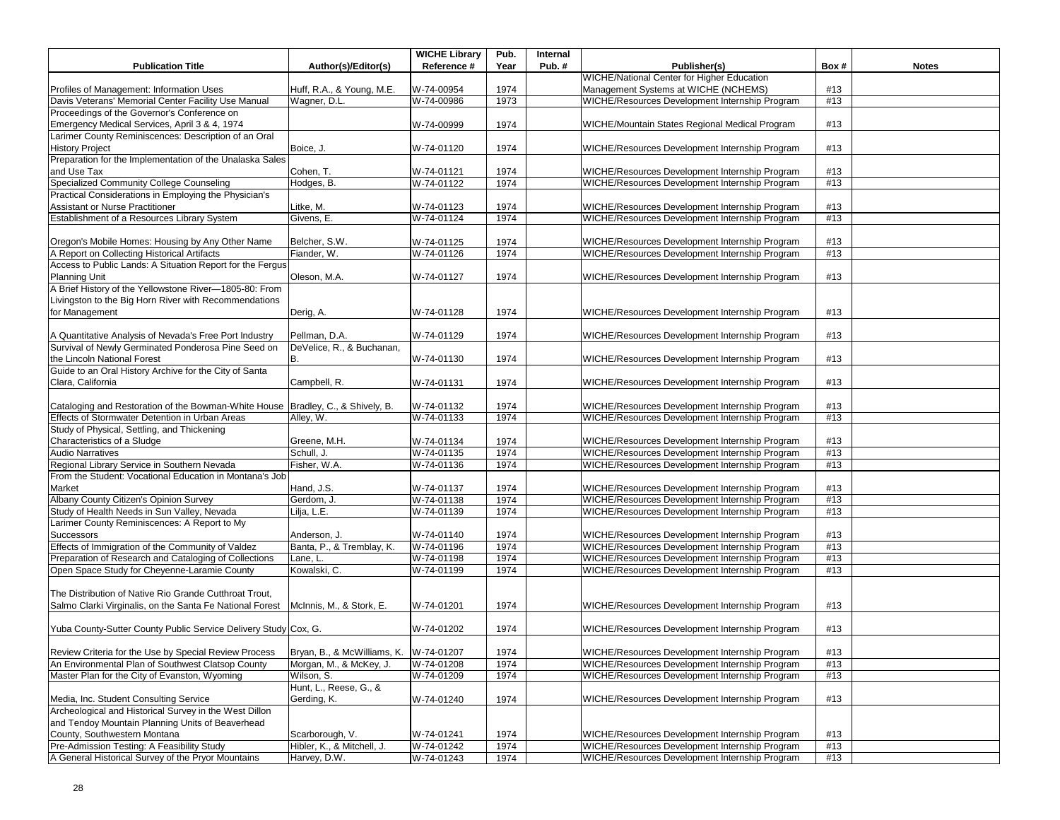|                                                                                   |                                        | <b>WICHE Library</b>     | Pub.         | Internal |                                                                                                  |      |              |
|-----------------------------------------------------------------------------------|----------------------------------------|--------------------------|--------------|----------|--------------------------------------------------------------------------------------------------|------|--------------|
| <b>Publication Title</b>                                                          | Author(s)/Editor(s)                    | Reference #              | Year         | Pub.#    | Publisher(s)                                                                                     | Box# | <b>Notes</b> |
|                                                                                   |                                        |                          |              |          | <b>WICHE/National Center for Higher Education</b>                                                |      |              |
| Profiles of Management: Information Uses                                          | Huff, R.A., & Young, M.E.              | W-74-00954               | 1974         |          | Management Systems at WICHE (NCHEMS)                                                             | #13  |              |
| Davis Veterans' Memorial Center Facility Use Manual                               | Wagner, D.L                            | W-74-00986               | 1973         |          | WICHE/Resources Development Internship Program                                                   | #13  |              |
| Proceedings of the Governor's Conference on                                       |                                        |                          |              |          |                                                                                                  |      |              |
| Emergency Medical Services, April 3 & 4, 1974                                     |                                        | W-74-00999               | 1974         |          | WICHE/Mountain States Regional Medical Program                                                   | #13  |              |
| Larimer County Reminiscences: Description of an Oral                              |                                        |                          |              |          |                                                                                                  |      |              |
| <b>History Project</b>                                                            | Boice, J.                              | W-74-01120               | 1974         |          | WICHE/Resources Development Internship Program                                                   | #13  |              |
| Preparation for the Implementation of the Unalaska Sales                          |                                        |                          |              |          |                                                                                                  |      |              |
| and Use Tax                                                                       | Cohen, T.                              | W-74-01121               | 1974         |          | WICHE/Resources Development Internship Program                                                   | #13  |              |
| Specialized Community College Counseling                                          | Hodges, B.                             | W-74-01122               | 1974         |          | WICHE/Resources Development Internship Program                                                   | #13  |              |
| Practical Considerations in Employing the Physician's                             |                                        |                          |              |          |                                                                                                  | #13  |              |
| Assistant or Nurse Practitioner<br>Establishment of a Resources Library System    | Litke, M.<br>Givens, E.                | W-74-01123<br>W-74-01124 | 1974<br>1974 |          | WICHE/Resources Development Internship Program<br>WICHE/Resources Development Internship Program |      |              |
|                                                                                   |                                        |                          |              |          |                                                                                                  | #13  |              |
| Oregon's Mobile Homes: Housing by Any Other Name                                  | Belcher, S.W.                          |                          | 1974         |          | WICHE/Resources Development Internship Program                                                   | #13  |              |
| A Report on Collecting Historical Artifacts                                       | Fiander, W.                            | W-74-01125<br>W-74-01126 | 1974         |          | WICHE/Resources Development Internship Program                                                   | #13  |              |
| Access to Public Lands: A Situation Report for the Fergus                         |                                        |                          |              |          |                                                                                                  |      |              |
| <b>Planning Unit</b>                                                              | Oleson, M.A.                           | W-74-01127               | 1974         |          | WICHE/Resources Development Internship Program                                                   | #13  |              |
| A Brief History of the Yellowstone River-1805-80: From                            |                                        |                          |              |          |                                                                                                  |      |              |
| Livingston to the Big Horn River with Recommendations                             |                                        |                          |              |          |                                                                                                  |      |              |
| for Management                                                                    | Derig, A.                              | W-74-01128               | 1974         |          | WICHE/Resources Development Internship Program                                                   | #13  |              |
|                                                                                   |                                        |                          |              |          |                                                                                                  |      |              |
| A Quantitative Analysis of Nevada's Free Port Industry                            | Pellman, D.A.                          | W-74-01129               | 1974         |          | WICHE/Resources Development Internship Program                                                   | #13  |              |
| Survival of Newly Germinated Ponderosa Pine Seed on                               | DeVelice, R., & Buchanan,              |                          |              |          |                                                                                                  |      |              |
| the Lincoln National Forest                                                       |                                        | W-74-01130               | 1974         |          | WICHE/Resources Development Internship Program                                                   | #13  |              |
| Guide to an Oral History Archive for the City of Santa                            |                                        |                          |              |          |                                                                                                  |      |              |
| Clara, California                                                                 | Campbell, R.                           | W-74-01131               | 1974         |          | WICHE/Resources Development Internship Program                                                   | #13  |              |
|                                                                                   |                                        |                          |              |          |                                                                                                  |      |              |
| Cataloging and Restoration of the Bowman-White House   Bradley, C., & Shively, B. |                                        | W-74-01132               | 1974         |          | WICHE/Resources Development Internship Program                                                   | #13  |              |
| Effects of Stormwater Detention in Urban Areas                                    | Alley, W.                              | W-74-01133               | 1974         |          | WICHE/Resources Development Internship Program                                                   | #13  |              |
| Study of Physical, Settling, and Thickening                                       |                                        |                          |              |          |                                                                                                  |      |              |
| Characteristics of a Sludge                                                       | Greene, M.H.                           | W-74-01134               | 1974         |          | WICHE/Resources Development Internship Program                                                   | #13  |              |
| <b>Audio Narratives</b>                                                           | Schull, J.                             | W-74-01135               | 1974         |          | WICHE/Resources Development Internship Program                                                   | #13  |              |
| Regional Library Service in Southern Nevada                                       | Fisher, W.A.                           | W-74-01136               | 1974         |          | WICHE/Resources Development Internship Program                                                   | #13  |              |
| From the Student: Vocational Education in Montana's Job                           |                                        |                          |              |          |                                                                                                  |      |              |
| Market                                                                            | Hand, J.S.                             | W-74-01137               | 1974         |          | WICHE/Resources Development Internship Program                                                   | #13  |              |
| Albany County Citizen's Opinion Survey                                            | Gerdom, J.                             | W-74-01138               | 1974         |          | WICHE/Resources Development Internship Program                                                   | #13  |              |
| Study of Health Needs in Sun Valley, Nevada                                       | Lilja, L.E.                            | W-74-01139               | 1974         |          | WICHE/Resources Development Internship Program                                                   | #13  |              |
| Larimer County Reminiscences: A Report to My                                      |                                        |                          |              |          |                                                                                                  |      |              |
| <b>Successors</b>                                                                 | Anderson, J.                           | W-74-01140               | 1974         |          | WICHE/Resources Development Internship Program                                                   | #13  |              |
| Effects of Immigration of the Community of Valdez                                 | Banta, P., & Tremblay, K.              | W-74-01196               | 1974         |          | WICHE/Resources Development Internship Program                                                   | #13  |              |
| Preparation of Research and Cataloging of Collections                             | Lane, L.                               | W-74-01198               | 1974         |          | WICHE/Resources Development Internship Program                                                   | #13  |              |
| Open Space Study for Cheyenne-Laramie County                                      | Kowalski, C.                           | W-74-01199               | 1974         |          | WICHE/Resources Development Internship Program                                                   | #13  |              |
|                                                                                   |                                        |                          |              |          |                                                                                                  |      |              |
| The Distribution of Native Rio Grande Cutthroat Trout,                            |                                        |                          |              |          |                                                                                                  |      |              |
| Salmo Clarki Virginalis, on the Santa Fe National Forest                          | McInnis, M., & Stork, E.               | W-74-01201               | 1974         |          | WICHE/Resources Development Internship Program                                                   | #13  |              |
|                                                                                   |                                        |                          |              |          |                                                                                                  |      |              |
| Yuba County-Sutter County Public Service Delivery Study Cox, G.                   |                                        | W-74-01202               | 1974         |          | WICHE/Resources Development Internship Program                                                   | #13  |              |
|                                                                                   |                                        |                          |              |          |                                                                                                  |      |              |
| Review Criteria for the Use by Special Review Process                             | Bryan, B., & McWilliams, K. W-74-01207 |                          | 1974         |          | WICHE/Resources Development Internship Program                                                   | #13  |              |
| An Environmental Plan of Southwest Clatsop County                                 | Morgan, M., & McKey, J.                | W-74-01208               | 1974         |          | WICHE/Resources Development Internship Program                                                   | #13  |              |
| Master Plan for the City of Evanston, Wyoming                                     | Wilson, S.                             | W-74-01209               | 1974         |          | WICHE/Resources Development Internship Program                                                   | #13  |              |
|                                                                                   | Hunt, L., Reese, G., &                 |                          |              |          |                                                                                                  |      |              |
| Media, Inc. Student Consulting Service                                            | Gerding, K.                            | W-74-01240               | 1974         |          | WICHE/Resources Development Internship Program                                                   | #13  |              |
| Archeological and Historical Survey in the West Dillon                            |                                        |                          |              |          |                                                                                                  |      |              |
| and Tendoy Mountain Planning Units of Beaverhead                                  |                                        |                          |              |          |                                                                                                  |      |              |
| County, Southwestern Montana                                                      | Scarborough, V.                        | W-74-01241               | 1974         |          | WICHE/Resources Development Internship Program                                                   | #13  |              |
| Pre-Admission Testing: A Feasibility Study                                        | Hibler, K., & Mitchell, J.             | W-74-01242               | 1974         |          | WICHE/Resources Development Internship Program                                                   | #13  |              |
| A General Historical Survey of the Pryor Mountains                                | Harvey, D.W.                           | W-74-01243               | 1974         |          | WICHE/Resources Development Internship Program                                                   | #13  |              |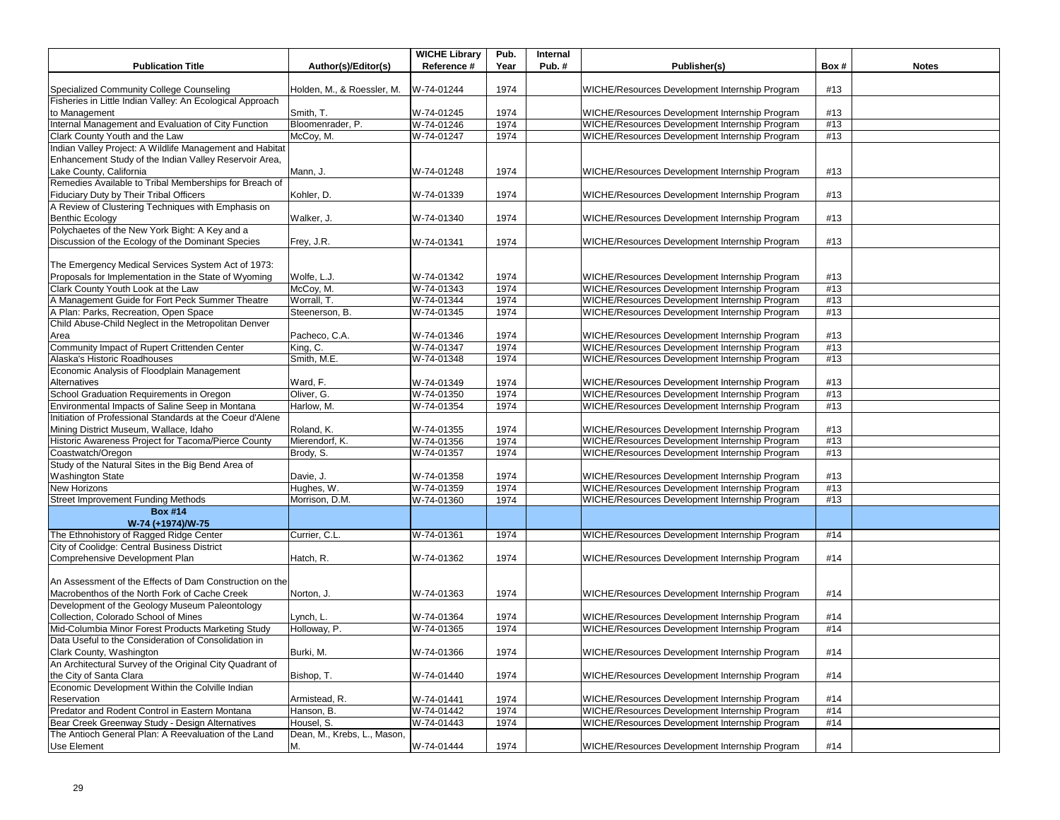| <b>Publication Title</b>                                                              | Author(s)/Editor(s)         | <b>WICHE Library</b><br>Reference # | Pub.<br>Year | Internal<br>Pub.# | Publisher(s)                                                                                     | Box#       | <b>Notes</b> |
|---------------------------------------------------------------------------------------|-----------------------------|-------------------------------------|--------------|-------------------|--------------------------------------------------------------------------------------------------|------------|--------------|
|                                                                                       |                             |                                     |              |                   |                                                                                                  |            |              |
| Specialized Community College Counseling                                              | Holden, M., & Roessler, M.  | W-74-01244                          | 1974         |                   | WICHE/Resources Development Internship Program                                                   | #13        |              |
| Fisheries in Little Indian Valley: An Ecological Approach                             |                             |                                     |              |                   |                                                                                                  |            |              |
| to Management                                                                         | Smith, T.                   | W-74-01245                          | 1974         |                   | WICHE/Resources Development Internship Program                                                   | #13        |              |
| Internal Management and Evaluation of City Function                                   | Bloomenrader, P.            | W-74-01246                          | 1974         |                   | WICHE/Resources Development Internship Program                                                   | #13        |              |
| Clark County Youth and the Law                                                        | McCoy, M.                   | W-74-01247                          | 1974         |                   | WICHE/Resources Development Internship Program                                                   | #13        |              |
| Indian Valley Project: A Wildlife Management and Habitat                              |                             |                                     |              |                   |                                                                                                  |            |              |
| Enhancement Study of the Indian Valley Reservoir Area,                                |                             |                                     |              |                   |                                                                                                  |            |              |
| Lake County, California                                                               | Mann, J.                    | W-74-01248                          | 1974         |                   | WICHE/Resources Development Internship Program                                                   | #13        |              |
| Remedies Available to Tribal Memberships for Breach of                                |                             |                                     |              |                   |                                                                                                  |            |              |
| Fiduciary Duty by Their Tribal Officers                                               | Kohler, D.                  | W-74-01339                          | 1974         |                   | WICHE/Resources Development Internship Program                                                   | #13        |              |
| A Review of Clustering Techniques with Emphasis on                                    |                             |                                     |              |                   |                                                                                                  |            |              |
| <b>Benthic Ecology</b>                                                                | Walker, J.                  | W-74-01340                          | 1974         |                   | WICHE/Resources Development Internship Program                                                   | #13        |              |
| Polychaetes of the New York Bight: A Key and a                                        |                             |                                     |              |                   |                                                                                                  |            |              |
| Discussion of the Ecology of the Dominant Species                                     | Frey, J.R.                  | W-74-01341                          | 1974         |                   | WICHE/Resources Development Internship Program                                                   | #13        |              |
|                                                                                       |                             |                                     |              |                   |                                                                                                  |            |              |
| The Emergency Medical Services System Act of 1973:                                    |                             |                                     |              |                   |                                                                                                  |            |              |
| Proposals for Implementation in the State of Wyoming                                  | Wolfe, L.J.                 | W-74-01342                          | 1974         |                   | WICHE/Resources Development Internship Program<br>WICHE/Resources Development Internship Program | #13<br>#13 |              |
| Clark County Youth Look at the Law<br>A Management Guide for Fort Peck Summer Theatre | McCoy, M.<br>Worrall, T.    | W-74-01343<br>W-74-01344            | 1974<br>1974 |                   | WICHE/Resources Development Internship Program                                                   | #13        |              |
| A Plan: Parks, Recreation, Open Space                                                 | Steenerson, B.              | W-74-01345                          | 1974         |                   | WICHE/Resources Development Internship Program                                                   | #13        |              |
| Child Abuse-Child Neglect in the Metropolitan Denver                                  |                             |                                     |              |                   |                                                                                                  |            |              |
| Area                                                                                  | Pacheco, C.A.               | W-74-01346                          | 1974         |                   | WICHE/Resources Development Internship Program                                                   | #13        |              |
| Community Impact of Rupert Crittenden Center                                          | King, C.                    | W-74-01347                          | 1974         |                   | WICHE/Resources Development Internship Program                                                   | #13        |              |
| Alaska's Historic Roadhouses                                                          | Smith, M.E.                 | W-74-01348                          | 1974         |                   | WICHE/Resources Development Internship Program                                                   | #13        |              |
| Economic Analysis of Floodplain Management                                            |                             |                                     |              |                   |                                                                                                  |            |              |
| Alternatives                                                                          | Ward, F.                    | W-74-01349                          | 1974         |                   | WICHE/Resources Development Internship Program                                                   | #13        |              |
| School Graduation Requirements in Oregon                                              | Oliver, G.                  | W-74-01350                          | 1974         |                   | WICHE/Resources Development Internship Program                                                   | #13        |              |
| Environmental Impacts of Saline Seep in Montana                                       | Harlow, M.                  | W-74-01354                          | 1974         |                   | WICHE/Resources Development Internship Program                                                   | #13        |              |
| Initiation of Professional Standards at the Coeur d'Alene                             |                             |                                     |              |                   |                                                                                                  |            |              |
| Mining District Museum, Wallace, Idaho                                                | Roland, K.                  | W-74-01355                          | 1974         |                   | WICHE/Resources Development Internship Program                                                   | #13        |              |
| Historic Awareness Project for Tacoma/Pierce County                                   | Mierendorf, K.              | W-74-01356                          | 1974         |                   | WICHE/Resources Development Internship Program                                                   | #13        |              |
| Coastwatch/Oregon                                                                     | Brody, S.                   | W-74-01357                          | 1974         |                   | WICHE/Resources Development Internship Program                                                   | #13        |              |
| Study of the Natural Sites in the Big Bend Area of                                    |                             |                                     |              |                   |                                                                                                  |            |              |
| <b>Washington State</b>                                                               | Davie, J.                   | W-74-01358                          | 1974         |                   | WICHE/Resources Development Internship Program                                                   | #13        |              |
| <b>New Horizons</b>                                                                   | Hughes, W.                  | W-74-01359                          | 1974         |                   | WICHE/Resources Development Internship Program                                                   | #13        |              |
| <b>Street Improvement Funding Methods</b>                                             | Morrison, D.M.              | W-74-01360                          | 1974         |                   | WICHE/Resources Development Internship Program                                                   | #13        |              |
| <b>Box #14</b>                                                                        |                             |                                     |              |                   |                                                                                                  |            |              |
| W-74 (+1974)/W-75                                                                     |                             |                                     |              |                   |                                                                                                  |            |              |
| The Ethnohistory of Ragged Ridge Center                                               | Currier, C.L.               | W-74-01361                          | 1974         |                   | WICHE/Resources Development Internship Program                                                   | #14        |              |
| City of Coolidge: Central Business District                                           |                             |                                     |              |                   |                                                                                                  |            |              |
| Comprehensive Development Plan                                                        | Hatch, R.                   | W-74-01362                          | 1974         |                   | WICHE/Resources Development Internship Program                                                   | #14        |              |
|                                                                                       |                             |                                     |              |                   |                                                                                                  |            |              |
| An Assessment of the Effects of Dam Construction on the                               |                             |                                     |              |                   |                                                                                                  |            |              |
| Macrobenthos of the North Fork of Cache Creek                                         | Norton, J.                  | W-74-01363                          | 1974         |                   | WICHE/Resources Development Internship Program                                                   | #14        |              |
| Development of the Geology Museum Paleontology                                        |                             |                                     |              |                   |                                                                                                  |            |              |
| Collection, Colorado School of Mines                                                  | Lynch, L                    | W-74-01364                          | 1974         |                   | WICHE/Resources Development Internship Program                                                   | #14        |              |
| Mid-Columbia Minor Forest Products Marketing Study                                    | Holloway, P.                | W-74-01365                          | 1974         |                   | WICHE/Resources Development Internship Program                                                   | #14        |              |
| Data Useful to the Consideration of Consolidation in                                  |                             |                                     |              |                   |                                                                                                  |            |              |
| Clark County, Washington                                                              | Burki, M.                   | W-74-01366                          | 1974         |                   | WICHE/Resources Development Internship Program                                                   | #14        |              |
| An Architectural Survey of the Original City Quadrant of                              |                             |                                     |              |                   |                                                                                                  |            |              |
| the City of Santa Clara                                                               | Bishop, T.                  | W-74-01440                          | 1974         |                   | WICHE/Resources Development Internship Program                                                   | #14        |              |
| Economic Development Within the Colville Indian                                       | Armistead, R.               |                                     |              |                   |                                                                                                  |            |              |
| Reservation<br>Predator and Rodent Control in Eastern Montana                         | Hanson, B.                  | W-74-01441<br>W-74-01442            | 1974<br>1974 |                   | WICHE/Resources Development Internship Program<br>WICHE/Resources Development Internship Program | #14<br>#14 |              |
| Bear Creek Greenway Study - Design Alternatives                                       | Housel, S.                  | W-74-01443                          | 1974         |                   | WICHE/Resources Development Internship Program                                                   | #14        |              |
| The Antioch General Plan: A Reevaluation of the Land                                  | Dean, M., Krebs, L., Mason, |                                     |              |                   |                                                                                                  |            |              |
| Use Element                                                                           | M.                          | W-74-01444                          | 1974         |                   | WICHE/Resources Development Internship Program                                                   | #14        |              |
|                                                                                       |                             |                                     |              |                   |                                                                                                  |            |              |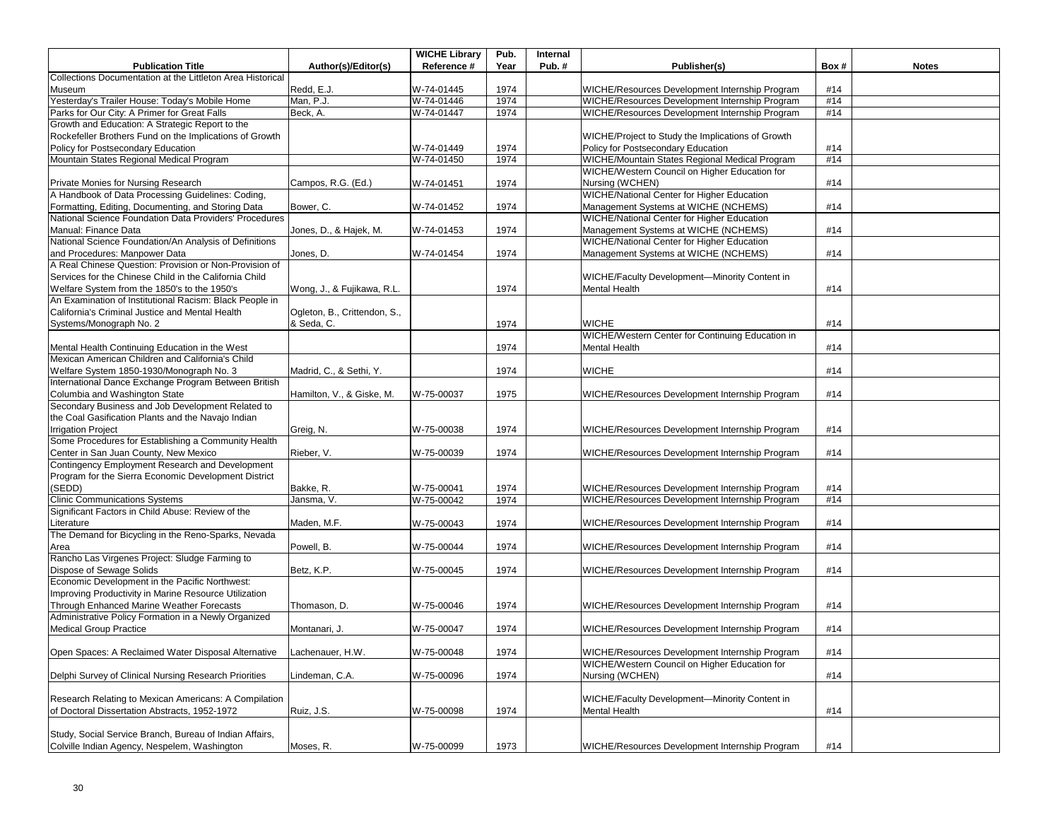|                                                            |                              | <b>WICHE Library</b> | Pub. | Internal |                                                   |      |              |
|------------------------------------------------------------|------------------------------|----------------------|------|----------|---------------------------------------------------|------|--------------|
| <b>Publication Title</b>                                   | Author(s)/Editor(s)          | Reference #          | Year | Pub. $#$ | Publisher(s)                                      | Box# | <b>Notes</b> |
| Collections Documentation at the Littleton Area Historical |                              |                      |      |          |                                                   |      |              |
| Museum                                                     | Redd, E.J.                   | W-74-01445           | 1974 |          | WICHE/Resources Development Internship Program    | #14  |              |
| Yesterday's Trailer House: Today's Mobile Home             | Man. P.J.                    | W-74-01446           | 1974 |          | WICHE/Resources Development Internship Program    | #14  |              |
| Parks for Our City: A Primer for Great Falls               | Beck, A.                     | W-74-01447           | 1974 |          | WICHE/Resources Development Internship Program    | #14  |              |
| Growth and Education: A Strategic Report to the            |                              |                      |      |          |                                                   |      |              |
| Rockefeller Brothers Fund on the Implications of Growth    |                              |                      |      |          | WICHE/Project to Study the Implications of Growth |      |              |
| Policy for Postsecondary Education                         |                              | W-74-01449           | 1974 |          | Policy for Postsecondary Education                | #14  |              |
| Mountain States Regional Medical Program                   |                              | W-74-01450           | 1974 |          | WICHE/Mountain States Regional Medical Program    | #14  |              |
|                                                            |                              |                      |      |          | WICHE/Western Council on Higher Education for     |      |              |
| Private Monies for Nursing Research                        | Campos, R.G. (Ed.)           | W-74-01451           | 1974 |          | Nursing (WCHEN)                                   | #14  |              |
| A Handbook of Data Processing Guidelines: Coding,          |                              |                      |      |          | WICHE/National Center for Higher Education        |      |              |
| Formatting, Editing, Documenting, and Storing Data         | Bower, C.                    | W-74-01452           | 1974 |          | Management Systems at WICHE (NCHEMS)              | #14  |              |
| National Science Foundation Data Providers' Procedures     |                              |                      |      |          | WICHE/National Center for Higher Education        |      |              |
| Manual: Finance Data                                       | Jones, D., & Hajek, M.       | W-74-01453           | 1974 |          | Management Systems at WICHE (NCHEMS)              | #14  |              |
| National Science Foundation/An Analysis of Definitions     |                              |                      |      |          | <b>WICHE/National Center for Higher Education</b> |      |              |
| and Procedures: Manpower Data                              |                              | W-74-01454           | 1974 |          | Management Systems at WICHE (NCHEMS)              | #14  |              |
| A Real Chinese Question: Provision or Non-Provision of     | Jones, D.                    |                      |      |          |                                                   |      |              |
|                                                            |                              |                      |      |          |                                                   |      |              |
| Services for the Chinese Child in the California Child     |                              |                      |      |          | WICHE/Faculty Development-Minority Content in     |      |              |
| Welfare System from the 1850's to the 1950's               | Wong, J., & Fujikawa, R.L.   |                      | 1974 |          | Mental Health                                     | #14  |              |
| An Examination of Institutional Racism: Black People in    |                              |                      |      |          |                                                   |      |              |
| California's Criminal Justice and Mental Health            | Ogleton, B., Crittendon, S., |                      |      |          |                                                   |      |              |
| Systems/Monograph No. 2                                    | & Seda, C.                   |                      | 1974 |          | <b>WICHE</b>                                      | #14  |              |
|                                                            |                              |                      |      |          | WICHE/Western Center for Continuing Education in  |      |              |
| Mental Health Continuing Education in the West             |                              |                      | 1974 |          | <b>Mental Health</b>                              | #14  |              |
| Mexican American Children and California's Child           |                              |                      |      |          |                                                   |      |              |
| Welfare System 1850-1930/Monograph No. 3                   | Madrid, C., & Sethi, Y.      |                      | 1974 |          | <b>WICHE</b>                                      | #14  |              |
| International Dance Exchange Program Between British       |                              |                      |      |          |                                                   |      |              |
| Columbia and Washington State                              | Hamilton, V., & Giske, M.    | W-75-00037           | 1975 |          | WICHE/Resources Development Internship Program    | #14  |              |
| Secondary Business and Job Development Related to          |                              |                      |      |          |                                                   |      |              |
| the Coal Gasification Plants and the Navajo Indian         |                              |                      |      |          |                                                   |      |              |
| <b>Irrigation Project</b>                                  | Greig, N.                    | W-75-00038           | 1974 |          | WICHE/Resources Development Internship Program    | #14  |              |
| Some Procedures for Establishing a Community Health        |                              |                      |      |          |                                                   |      |              |
| Center in San Juan County, New Mexico                      | Rieber, V.                   | W-75-00039           | 1974 |          | WICHE/Resources Development Internship Program    | #14  |              |
| Contingency Employment Research and Development            |                              |                      |      |          |                                                   |      |              |
| Program for the Sierra Economic Development District       |                              |                      |      |          |                                                   |      |              |
| (SEDD)                                                     | Bakke, R.                    | W-75-00041           | 1974 |          | WICHE/Resources Development Internship Program    | #14  |              |
| <b>Clinic Communications Systems</b>                       |                              |                      |      |          | WICHE/Resources Development Internship Program    | #14  |              |
|                                                            | Jansma, V.                   | W-75-00042           | 1974 |          |                                                   |      |              |
| Significant Factors in Child Abuse: Review of the          |                              |                      |      |          |                                                   |      |              |
| Literature                                                 | Maden, M.F.                  | W-75-00043           | 1974 |          | WICHE/Resources Development Internship Program    | #14  |              |
| The Demand for Bicycling in the Reno-Sparks, Nevada        |                              |                      |      |          |                                                   |      |              |
| Area                                                       | Powell, B.                   | W-75-00044           | 1974 |          | WICHE/Resources Development Internship Program    | #14  |              |
| Rancho Las Virgenes Project: Sludge Farming to             |                              |                      |      |          |                                                   |      |              |
| Dispose of Sewage Solids                                   | Betz, K.P.                   | W-75-00045           | 1974 |          | WICHE/Resources Development Internship Program    | #14  |              |
| Economic Development in the Pacific Northwest:             |                              |                      |      |          |                                                   |      |              |
| Improving Productivity in Marine Resource Utilization      |                              |                      |      |          |                                                   |      |              |
| Through Enhanced Marine Weather Forecasts                  | Thomason, D.                 | W-75-00046           | 1974 |          | WICHE/Resources Development Internship Program    | #14  |              |
| Administrative Policy Formation in a Newly Organized       |                              |                      |      |          |                                                   |      |              |
| <b>Medical Group Practice</b>                              | Montanari, J.                | W-75-00047           | 1974 |          | WICHE/Resources Development Internship Program    | #14  |              |
|                                                            |                              |                      |      |          |                                                   |      |              |
| Open Spaces: A Reclaimed Water Disposal Alternative        | Lachenauer, H.W.             | W-75-00048           | 1974 |          | WICHE/Resources Development Internship Program    | #14  |              |
|                                                            |                              |                      |      |          | WICHE/Western Council on Higher Education for     |      |              |
| Delphi Survey of Clinical Nursing Research Priorities      | Lindeman, C.A.               | W-75-00096           | 1974 |          | Nursing (WCHEN)                                   | #14  |              |
|                                                            |                              |                      |      |          |                                                   |      |              |
| Research Relating to Mexican Americans: A Compilation      |                              |                      |      |          | WICHE/Faculty Development-Minority Content in     |      |              |
|                                                            |                              |                      |      |          |                                                   |      |              |
| of Doctoral Dissertation Abstracts, 1952-1972              | Ruiz, J.S.                   | W-75-00098           | 1974 |          | Mental Health                                     | #14  |              |
|                                                            |                              |                      |      |          |                                                   |      |              |
| Study, Social Service Branch, Bureau of Indian Affairs,    |                              |                      |      |          |                                                   |      |              |
| Colville Indian Agency, Nespelem, Washington               | Moses, R.                    | W-75-00099           | 1973 |          | WICHE/Resources Development Internship Program    | #14  |              |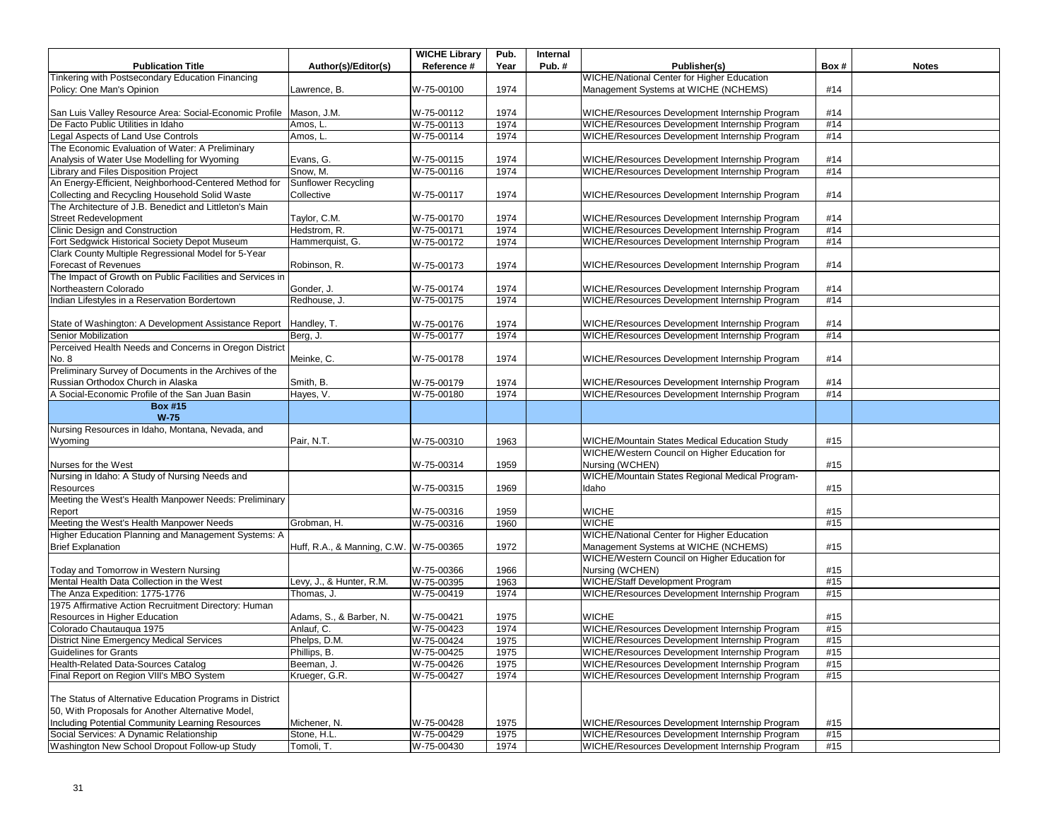|                                                           |                                        | <b>WICHE Library</b> | Pub. | Internal |                                                   |      |              |
|-----------------------------------------------------------|----------------------------------------|----------------------|------|----------|---------------------------------------------------|------|--------------|
| <b>Publication Title</b>                                  | Author(s)/Editor(s)                    | Reference #          | Year | Pub.#    | Publisher(s)                                      | Box# | <b>Notes</b> |
| Tinkering with Postsecondary Education Financing          |                                        |                      |      |          | <b>WICHE/National Center for Higher Education</b> |      |              |
| Policy: One Man's Opinion                                 | Lawrence, B.                           | W-75-00100           | 1974 |          | Management Systems at WICHE (NCHEMS)              | #14  |              |
|                                                           |                                        |                      |      |          |                                                   |      |              |
| San Luis Valley Resource Area: Social-Economic Profile    | Mason, J.M.                            | W-75-00112           | 1974 |          | WICHE/Resources Development Internship Program    | #14  |              |
| De Facto Public Utilities in Idaho                        | Amos, L                                | W-75-00113           | 1974 |          | WICHE/Resources Development Internship Program    | #14  |              |
| Legal Aspects of Land Use Controls                        | Amos, L.                               | W-75-00114           | 1974 |          | WICHE/Resources Development Internship Program    | #14  |              |
| The Economic Evaluation of Water: A Preliminary           |                                        |                      |      |          |                                                   |      |              |
| Analysis of Water Use Modelling for Wyoming               | Evans, G.                              | W-75-00115           | 1974 |          | WICHE/Resources Development Internship Program    | #14  |              |
| Library and Files Disposition Project                     | Snow, M.                               | W-75-00116           | 1974 |          | WICHE/Resources Development Internship Program    | #14  |              |
| An Energy-Efficient, Neighborhood-Centered Method for     | <b>Sunflower Recycling</b>             |                      |      |          |                                                   |      |              |
| Collecting and Recycling Household Solid Waste            | Collective                             | W-75-00117           | 1974 |          | WICHE/Resources Development Internship Program    | #14  |              |
| The Architecture of J.B. Benedict and Littleton's Main    |                                        |                      |      |          |                                                   |      |              |
| <b>Street Redevelopment</b>                               | Taylor, C.M.                           | W-75-00170           | 1974 |          | WICHE/Resources Development Internship Program    | #14  |              |
| Clinic Design and Construction                            | Hedstrom, R.                           | W-75-00171           | 1974 |          | WICHE/Resources Development Internship Program    | #14  |              |
| Fort Sedgwick Historical Society Depot Museum             | Hammerquist, G.                        | W-75-00172           | 1974 |          | WICHE/Resources Development Internship Program    | #14  |              |
| Clark County Multiple Regressional Model for 5-Year       |                                        |                      |      |          |                                                   |      |              |
| Forecast of Revenues                                      | Robinson, R.                           | W-75-00173           | 1974 |          | WICHE/Resources Development Internship Program    | #14  |              |
| The Impact of Growth on Public Facilities and Services in |                                        |                      |      |          |                                                   |      |              |
| Northeastern Colorado                                     | Gonder, J.                             | W-75-00174           | 1974 |          | WICHE/Resources Development Internship Program    | #14  |              |
| Indian Lifestyles in a Reservation Bordertown             | Redhouse, J.                           | W-75-00175           | 1974 |          | WICHE/Resources Development Internship Program    | #14  |              |
|                                                           |                                        |                      |      |          |                                                   |      |              |
| State of Washington: A Development Assistance Report      | Handley, T.                            | W-75-00176           | 1974 |          | WICHE/Resources Development Internship Program    | #14  |              |
| <b>Senior Mobilization</b>                                | Berg, J.                               | W-75-00177           | 1974 |          | WICHE/Resources Development Internship Program    | #14  |              |
| Perceived Health Needs and Concerns in Oregon District    |                                        |                      |      |          |                                                   |      |              |
| No. 8                                                     | Meinke, C.                             | W-75-00178           | 1974 |          | WICHE/Resources Development Internship Program    | #14  |              |
| Preliminary Survey of Documents in the Archives of the    |                                        |                      |      |          |                                                   |      |              |
| Russian Orthodox Church in Alaska                         | Smith, B.                              | W-75-00179           | 1974 |          | WICHE/Resources Development Internship Program    | #14  |              |
| A Social-Economic Profile of the San Juan Basin           | Hayes, V.                              | W-75-00180           | 1974 |          | WICHE/Resources Development Internship Program    | #14  |              |
| <b>Box #15</b>                                            |                                        |                      |      |          |                                                   |      |              |
| $W-75$                                                    |                                        |                      |      |          |                                                   |      |              |
| Nursing Resources in Idaho, Montana, Nevada, and          |                                        |                      |      |          |                                                   |      |              |
| Wyoming                                                   | Pair, N.T.                             | W-75-00310           | 1963 |          | WICHE/Mountain States Medical Education Study     | #15  |              |
|                                                           |                                        |                      |      |          | WICHE/Western Council on Higher Education for     |      |              |
| Nurses for the West                                       |                                        | W-75-00314           | 1959 |          | Nursing (WCHEN)                                   | #15  |              |
| Nursing in Idaho: A Study of Nursing Needs and            |                                        |                      |      |          | WICHE/Mountain States Regional Medical Program-   |      |              |
| Resources                                                 |                                        | W-75-00315           | 1969 |          | Idaho                                             | #15  |              |
| Meeting the West's Health Manpower Needs: Preliminary     |                                        |                      |      |          |                                                   |      |              |
| Report                                                    |                                        | W-75-00316           | 1959 |          | <b>WICHE</b>                                      | #15  |              |
| Meeting the West's Health Manpower Needs                  | Grobman, H.                            | W-75-00316           | 1960 |          | <b>WICHE</b>                                      | #15  |              |
| Higher Education Planning and Management Systems: A       |                                        |                      |      |          | <b>WICHE/National Center for Higher Education</b> |      |              |
| <b>Brief Explanation</b>                                  | Huff, R.A., & Manning, C.W. W-75-00365 |                      | 1972 |          | Management Systems at WICHE (NCHEMS)              | #15  |              |
|                                                           |                                        |                      |      |          | WICHE/Western Council on Higher Education for     |      |              |
| Today and Tomorrow in Western Nursing                     |                                        | W-75-00366           | 1966 |          | Nursing (WCHEN)                                   | #15  |              |
| Mental Health Data Collection in the West                 | Levy, J., & Hunter, R.M.               | W-75-00395           | 1963 |          | WICHE/Staff Development Program                   | #15  |              |
| The Anza Expedition: 1775-1776                            | Thomas, J.                             | W-75-00419           | 1974 |          | WICHE/Resources Development Internship Program    | #15  |              |
| 1975 Affirmative Action Recruitment Directory: Human      |                                        |                      |      |          |                                                   |      |              |
| Resources in Higher Education                             | Adams, S., & Barber, N.                | W-75-00421           | 1975 |          | <b>WICHE</b>                                      | #15  |              |
| Colorado Chautauqua 1975                                  | Anlauf. C.                             | W-75-00423           | 1974 |          | WICHE/Resources Development Internship Program    | #15  |              |
| District Nine Emergency Medical Services                  | Phelps, D.M.                           | W-75-00424           | 1975 |          | WICHE/Resources Development Internship Program    | #15  |              |
| Guidelines for Grants                                     | Phillips, B.                           | W-75-00425           | 1975 |          | WICHE/Resources Development Internship Program    | #15  |              |
| Health-Related Data-Sources Catalog                       | Beeman, J.                             | W-75-00426           | 1975 |          | WICHE/Resources Development Internship Program    | #15  |              |
| Final Report on Region VIII's MBO System                  | Krueger, G.R.                          | W-75-00427           | 1974 |          | WICHE/Resources Development Internship Program    | #15  |              |
|                                                           |                                        |                      |      |          |                                                   |      |              |
| The Status of Alternative Education Programs in District  |                                        |                      |      |          |                                                   |      |              |
| 50, With Proposals for Another Alternative Model,         |                                        |                      |      |          |                                                   |      |              |
| Including Potential Community Learning Resources          | Michener, N.                           | W-75-00428           | 1975 |          | WICHE/Resources Development Internship Program    | #15  |              |
| Social Services: A Dynamic Relationship                   | Stone, H.L.                            | W-75-00429           | 1975 |          | WICHE/Resources Development Internship Program    | #15  |              |
| Washington New School Dropout Follow-up Study             | Tomoli, T.                             | W-75-00430           | 1974 |          | WICHE/Resources Development Internship Program    | #15  |              |
|                                                           |                                        |                      |      |          |                                                   |      |              |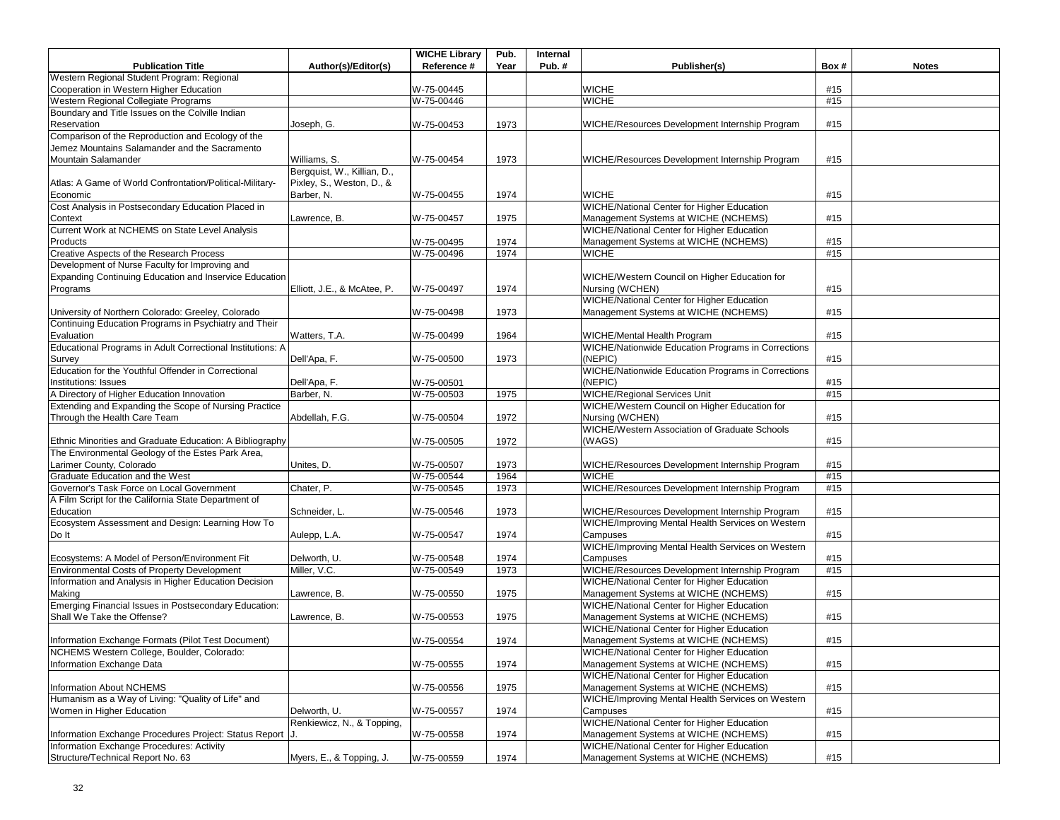|                                                            |                             | <b>WICHE Library</b> | Pub. | Internal |                                                                  |      |              |
|------------------------------------------------------------|-----------------------------|----------------------|------|----------|------------------------------------------------------------------|------|--------------|
| <b>Publication Title</b>                                   | Author(s)/Editor(s)         | Reference #          | Year | Pub.#    | Publisher(s)                                                     | Box# | <b>Notes</b> |
| Western Regional Student Program: Regional                 |                             |                      |      |          |                                                                  |      |              |
| Cooperation in Western Higher Education                    |                             | W-75-00445           |      |          | <b>WICHE</b>                                                     | #15  |              |
| Western Regional Collegiate Programs                       |                             | W-75-00446           |      |          | <b>WICHE</b>                                                     | #15  |              |
| Boundary and Title Issues on the Colville Indian           |                             |                      |      |          |                                                                  |      |              |
| Reservation                                                | Joseph, G.                  | W-75-00453           | 1973 |          | WICHE/Resources Development Internship Program                   | #15  |              |
| Comparison of the Reproduction and Ecology of the          |                             |                      |      |          |                                                                  |      |              |
| Jemez Mountains Salamander and the Sacramento              |                             |                      |      |          |                                                                  |      |              |
|                                                            |                             |                      |      |          |                                                                  |      |              |
| Mountain Salamander                                        | Williams, S.                | W-75-00454           | 1973 |          | WICHE/Resources Development Internship Program                   | #15  |              |
|                                                            | Bergquist, W., Killian, D., |                      |      |          |                                                                  |      |              |
| Atlas: A Game of World Confrontation/Political-Military-   | Pixley, S., Weston, D., &   |                      |      |          |                                                                  |      |              |
| Economic                                                   | Barber, N.                  | W-75-00455           | 1974 |          | <b>WICHE</b>                                                     | #15  |              |
| Cost Analysis in Postsecondary Education Placed in         |                             |                      |      |          | WICHE/National Center for Higher Education                       |      |              |
| Context                                                    | Lawrence, B.                | W-75-00457           | 1975 |          | Management Systems at WICHE (NCHEMS)                             | #15  |              |
| Current Work at NCHEMS on State Level Analysis             |                             |                      |      |          | WICHE/National Center for Higher Education                       |      |              |
| Products                                                   |                             | W-75-00495           | 1974 |          | Management Systems at WICHE (NCHEMS)                             | #15  |              |
| Creative Aspects of the Research Process                   |                             | W-75-00496           | 1974 |          | <b>WICHE</b>                                                     | #15  |              |
| Development of Nurse Faculty for Improving and             |                             |                      |      |          |                                                                  |      |              |
| Expanding Continuing Education and Inservice Education     |                             |                      |      |          | WICHE/Western Council on Higher Education for                    |      |              |
| Programs                                                   | Elliott, J.E., & McAtee, P. | W-75-00497           | 1974 |          | Nursing (WCHEN)                                                  | #15  |              |
|                                                            |                             |                      |      |          | WICHE/National Center for Higher Education                       |      |              |
| University of Northern Colorado: Greeley, Colorado         |                             | W-75-00498           | 1973 |          | Management Systems at WICHE (NCHEMS)                             | #15  |              |
| Continuing Education Programs in Psychiatry and Their      |                             |                      |      |          |                                                                  |      |              |
| Evaluation                                                 | Watters, T.A.               | W-75-00499           | 1964 |          | WICHE/Mental Health Program                                      | #15  |              |
| Educational Programs in Adult Correctional Institutions: A |                             |                      |      |          | WICHE/Nationwide Education Programs in Corrections               |      |              |
| Survey                                                     | Dell'Apa, F.                | W-75-00500           | 1973 |          | (NEPIC)                                                          | #15  |              |
| Education for the Youthful Offender in Correctional        |                             |                      |      |          | <b>WICHE/Nationwide Education Programs in Corrections</b>        |      |              |
| Institutions: Issues                                       | Dell'Apa, F.                | W-75-00501           |      |          | (NEPIC)                                                          | #15  |              |
| A Directory of Higher Education Innovation                 | Barber, N.                  | W-75-00503           | 1975 |          | WICHE/Regional Services Unit                                     | #15  |              |
| Extending and Expanding the Scope of Nursing Practice      |                             |                      |      |          | WICHE/Western Council on Higher Education for                    |      |              |
|                                                            |                             |                      |      |          |                                                                  |      |              |
| Through the Health Care Team                               | Abdellah, F.G.              | W-75-00504           | 1972 |          | Nursing (WCHEN)<br>WICHE/Western Association of Graduate Schools | #15  |              |
|                                                            |                             |                      |      |          |                                                                  |      |              |
| Ethnic Minorities and Graduate Education: A Bibliography   |                             | W-75-00505           | 1972 |          | (WAGS)                                                           | #15  |              |
| The Environmental Geology of the Estes Park Area,          |                             |                      |      |          |                                                                  |      |              |
| Larimer County, Colorado                                   | Unites, D.                  | W-75-00507           | 1973 |          | WICHE/Resources Development Internship Program                   | #15  |              |
| Graduate Education and the West                            |                             | W-75-00544           | 1964 |          | <b>WICHE</b>                                                     | #15  |              |
| Governor's Task Force on Local Government                  | Chater, P.                  | W-75-00545           | 1973 |          | WICHE/Resources Development Internship Program                   | #15  |              |
| A Film Script for the California State Department of       |                             |                      |      |          |                                                                  |      |              |
| Education                                                  | Schneider, L                | W-75-00546           | 1973 |          | WICHE/Resources Development Internship Program                   | #15  |              |
| Ecosystem Assessment and Design: Learning How To           |                             |                      |      |          | WICHE/Improving Mental Health Services on Western                |      |              |
| Do It                                                      | Aulepp, L.A.                | W-75-00547           | 1974 |          | Campuses                                                         | #15  |              |
|                                                            |                             |                      |      |          | WICHE/Improving Mental Health Services on Western                |      |              |
| Ecosystems: A Model of Person/Environment Fit              | Delworth, U.                | W-75-00548           | 1974 |          | Campuses                                                         | #15  |              |
| <b>Environmental Costs of Property Development</b>         | Miller, V.C.                | W-75-00549           | 1973 |          | WICHE/Resources Development Internship Program                   | #15  |              |
| Information and Analysis in Higher Education Decision      |                             |                      |      |          | <b>WICHE/National Center for Higher Education</b>                |      |              |
| Making                                                     | Lawrence, B.                | W-75-00550           | 1975 |          | Management Systems at WICHE (NCHEMS)                             | #15  |              |
| Emerging Financial Issues in Postsecondary Education:      |                             |                      |      |          | <b>WICHE/National Center for Higher Education</b>                |      |              |
| Shall We Take the Offense?                                 | Lawrence, B.                | W-75-00553           | 1975 |          | Management Systems at WICHE (NCHEMS)                             | #15  |              |
|                                                            |                             |                      |      |          | <b>WICHE/National Center for Higher Education</b>                |      |              |
| Information Exchange Formats (Pilot Test Document)         |                             | W-75-00554           | 1974 |          | Management Systems at WICHE (NCHEMS)                             | #15  |              |
| NCHEMS Western College, Boulder, Colorado:                 |                             |                      |      |          | WICHE/National Center for Higher Education                       |      |              |
| Information Exchange Data                                  |                             | W-75-00555           | 1974 |          | Management Systems at WICHE (NCHEMS)                             | #15  |              |
|                                                            |                             |                      |      |          | WICHE/National Center for Higher Education                       |      |              |
| Information About NCHEMS                                   |                             | W-75-00556           | 1975 |          | Management Systems at WICHE (NCHEMS)                             | #15  |              |
| Humanism as a Way of Living: "Quality of Life" and         |                             |                      |      |          | WICHE/Improving Mental Health Services on Western                |      |              |
|                                                            |                             |                      |      |          |                                                                  |      |              |
| Women in Higher Education                                  | Delworth, U.                | W-75-00557           | 1974 |          | Campuses                                                         | #15  |              |
|                                                            | Renkiewicz, N., & Topping,  |                      |      |          | <b>WICHE/National Center for Higher Education</b>                |      |              |
| Information Exchange Procedures Project: Status Report J.  |                             | W-75-00558           | 1974 |          | Management Systems at WICHE (NCHEMS)                             | #15  |              |
| Information Exchange Procedures: Activity                  |                             |                      |      |          | <b>WICHE/National Center for Higher Education</b>                |      |              |
| Structure/Technical Report No. 63                          | Myers, E., & Topping, J.    | W-75-00559           | 1974 |          | Management Systems at WICHE (NCHEMS)                             | #15  |              |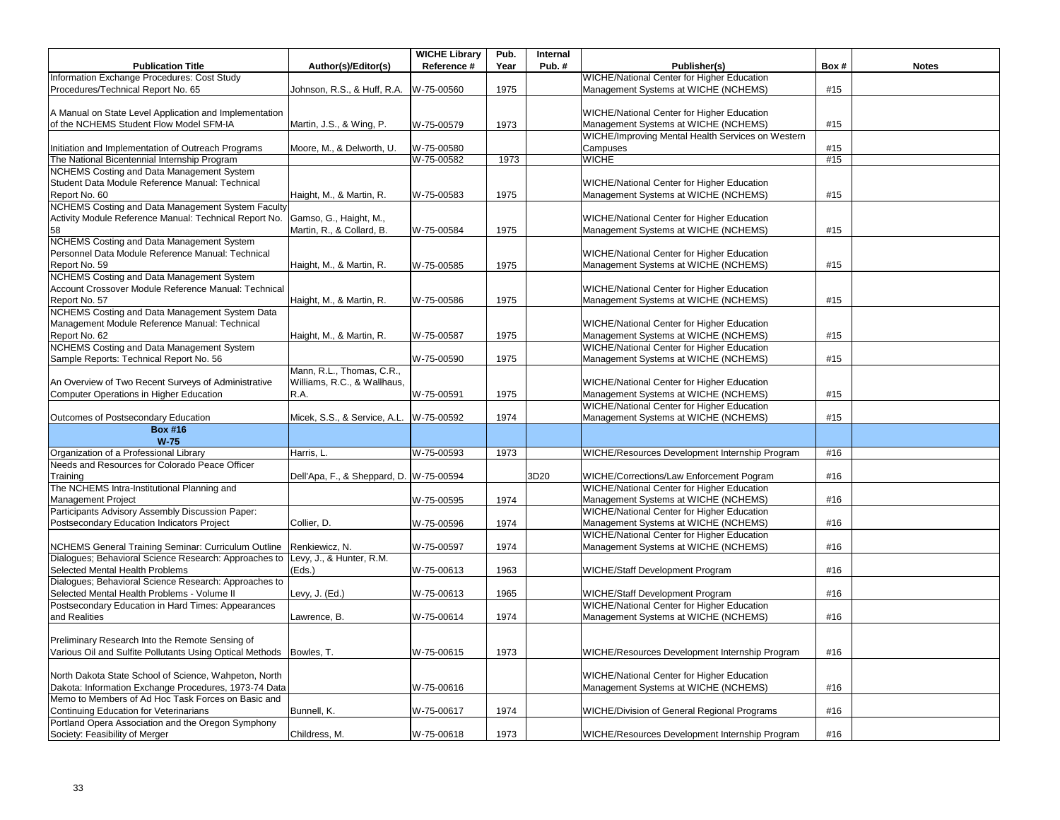|                                                                       |                              | <b>WICHE Library</b> | Pub. | Internal |                                                   |      |              |
|-----------------------------------------------------------------------|------------------------------|----------------------|------|----------|---------------------------------------------------|------|--------------|
| <b>Publication Title</b>                                              | Author(s)/Editor(s)          | Reference #          | Year | Pub.#    | Publisher(s)                                      | Box# | <b>Notes</b> |
| Information Exchange Procedures: Cost Study                           |                              |                      |      |          | <b>WICHE/National Center for Higher Education</b> |      |              |
| Procedures/Technical Report No. 65                                    | Johnson, R.S., & Huff, R.A.  | W-75-00560           | 1975 |          | Management Systems at WICHE (NCHEMS)              | #15  |              |
|                                                                       |                              |                      |      |          |                                                   |      |              |
| A Manual on State Level Application and Implementation                |                              |                      |      |          | WICHE/National Center for Higher Education        |      |              |
| of the NCHEMS Student Flow Model SFM-IA                               | Martin, J.S., & Wing, P.     | W-75-00579           | 1973 |          | Management Systems at WICHE (NCHEMS)              | #15  |              |
|                                                                       |                              |                      |      |          | WICHE/Improving Mental Health Services on Western |      |              |
| Initiation and Implementation of Outreach Programs                    | Moore, M., & Delworth, U.    | W-75-00580           |      |          | Campuses                                          | #15  |              |
| The National Bicentennial Internship Program                          |                              | W-75-00582           | 1973 |          | WICHE                                             | #15  |              |
| NCHEMS Costing and Data Management System                             |                              |                      |      |          |                                                   |      |              |
| Student Data Module Reference Manual: Technical                       |                              |                      |      |          | <b>WICHE/National Center for Higher Education</b> |      |              |
| Report No. 60                                                         | Haight, M., & Martin, R.     | W-75-00583           | 1975 |          | Management Systems at WICHE (NCHEMS)              | #15  |              |
| NCHEMS Costing and Data Management System Faculty                     |                              |                      |      |          |                                                   |      |              |
| Activity Module Reference Manual: Technical Report No.                | Gamso, G., Haight, M.,       |                      |      |          | WICHE/National Center for Higher Education        |      |              |
| 58                                                                    | Martin, R., & Collard, B.    | W-75-00584           | 1975 |          | Management Systems at WICHE (NCHEMS)              | #15  |              |
| NCHEMS Costing and Data Management System                             |                              |                      |      |          |                                                   |      |              |
| Personnel Data Module Reference Manual: Technical                     |                              |                      |      |          | WICHE/National Center for Higher Education        |      |              |
| Report No. 59                                                         |                              | W-75-00585           | 1975 |          | Management Systems at WICHE (NCHEMS)              | #15  |              |
| NCHEMS Costing and Data Management System                             | Haight, M., & Martin, R.     |                      |      |          |                                                   |      |              |
|                                                                       |                              |                      |      |          |                                                   |      |              |
| Account Crossover Module Reference Manual: Technical                  |                              |                      |      |          | WICHE/National Center for Higher Education        |      |              |
| Report No. 57                                                         | Haight, M., & Martin, R.     | W-75-00586           | 1975 |          | Management Systems at WICHE (NCHEMS)              | #15  |              |
| NCHEMS Costing and Data Management System Data                        |                              |                      |      |          |                                                   |      |              |
| Management Module Reference Manual: Technical                         |                              |                      |      |          | WICHE/National Center for Higher Education        |      |              |
| Report No. 62                                                         | Haight, M., & Martin, R.     | W-75-00587           | 1975 |          | Management Systems at WICHE (NCHEMS)              | #15  |              |
| NCHEMS Costing and Data Management System                             |                              |                      |      |          | WICHE/National Center for Higher Education        |      |              |
| Sample Reports: Technical Report No. 56                               |                              | W-75-00590           | 1975 |          | Management Systems at WICHE (NCHEMS)              | #15  |              |
|                                                                       | Mann, R.L., Thomas, C.R.,    |                      |      |          |                                                   |      |              |
| An Overview of Two Recent Surveys of Administrative                   | Williams, R.C., & Wallhaus,  |                      |      |          | WICHE/National Center for Higher Education        |      |              |
| <b>Computer Operations in Higher Education</b>                        | R.A.                         | W-75-00591           | 1975 |          | Management Systems at WICHE (NCHEMS)              | #15  |              |
|                                                                       |                              |                      |      |          | WICHE/National Center for Higher Education        |      |              |
| Outcomes of Postsecondary Education                                   | Micek, S.S., & Service, A.L. | W-75-00592           | 1974 |          | Management Systems at WICHE (NCHEMS)              | #15  |              |
| <b>Box #16</b>                                                        |                              |                      |      |          |                                                   |      |              |
| $W-75$                                                                |                              |                      |      |          |                                                   |      |              |
| Organization of a Professional Library                                | Harris, L                    | W-75-00593           | 1973 |          | WICHE/Resources Development Internship Program    | #16  |              |
| Needs and Resources for Colorado Peace Officer                        |                              |                      |      |          |                                                   |      |              |
| Training                                                              | Dell'Apa, F., & Sheppard, D. | W-75-00594           |      | 3D20     | WICHE/Corrections/Law Enforcement Pogram          | #16  |              |
| The NCHEMS Intra-Institutional Planning and                           |                              |                      |      |          | WICHE/National Center for Higher Education        |      |              |
| Management Project                                                    |                              | W-75-00595           |      |          | Management Systems at WICHE (NCHEMS)              | #16  |              |
| Participants Advisory Assembly Discussion Paper:                      |                              |                      | 1974 |          | WICHE/National Center for Higher Education        |      |              |
|                                                                       |                              |                      |      |          |                                                   |      |              |
| Postsecondary Education Indicators Project                            | Collier, D.                  | W-75-00596           | 1974 |          | Management Systems at WICHE (NCHEMS)              | #16  |              |
|                                                                       |                              |                      |      |          | WICHE/National Center for Higher Education        |      |              |
| NCHEMS General Training Seminar: Curriculum Outline                   | Renkiewicz, N.               | W-75-00597           | 1974 |          | Management Systems at WICHE (NCHEMS)              | #16  |              |
| Dialogues; Behavioral Science Research: Approaches to                 | Levy, J., & Hunter, R.M.     |                      |      |          |                                                   |      |              |
| Selected Mental Health Problems                                       | (Eds.)                       | W-75-00613           | 1963 |          | WICHE/Staff Development Program                   | #16  |              |
| Dialogues; Behavioral Science Research: Approaches to                 |                              |                      |      |          |                                                   |      |              |
| Selected Mental Health Problems - Volume II                           | Levy, J. (Ed.)               | W-75-00613           | 1965 |          | <b>WICHE/Staff Development Program</b>            | #16  |              |
| Postsecondary Education in Hard Times: Appearances                    |                              |                      |      |          | WICHE/National Center for Higher Education        |      |              |
| and Realities                                                         | Lawrence, B.                 | W-75-00614           | 1974 |          | Management Systems at WICHE (NCHEMS)              | #16  |              |
|                                                                       |                              |                      |      |          |                                                   |      |              |
| Preliminary Research Into the Remote Sensing of                       |                              |                      |      |          |                                                   |      |              |
| Various Oil and Sulfite Pollutants Using Optical Methods   Bowles, T. |                              | W-75-00615           | 1973 |          | WICHE/Resources Development Internship Program    | #16  |              |
|                                                                       |                              |                      |      |          |                                                   |      |              |
| North Dakota State School of Science, Wahpeton, North                 |                              |                      |      |          | WICHE/National Center for Higher Education        |      |              |
| Dakota: Information Exchange Procedures, 1973-74 Data                 |                              | W-75-00616           |      |          | Management Systems at WICHE (NCHEMS)              | #16  |              |
| Memo to Members of Ad Hoc Task Forces on Basic and                    |                              |                      |      |          |                                                   |      |              |
| Continuing Education for Veterinarians                                | Bunnell, K.                  | W-75-00617           | 1974 |          | WICHE/Division of General Regional Programs       | #16  |              |
| Portland Opera Association and the Oregon Symphony                    |                              |                      |      |          |                                                   |      |              |
|                                                                       |                              |                      |      |          |                                                   | #16  |              |
| Society: Feasibility of Merger                                        | Childress, M.                | W-75-00618           | 1973 |          | WICHE/Resources Development Internship Program    |      |              |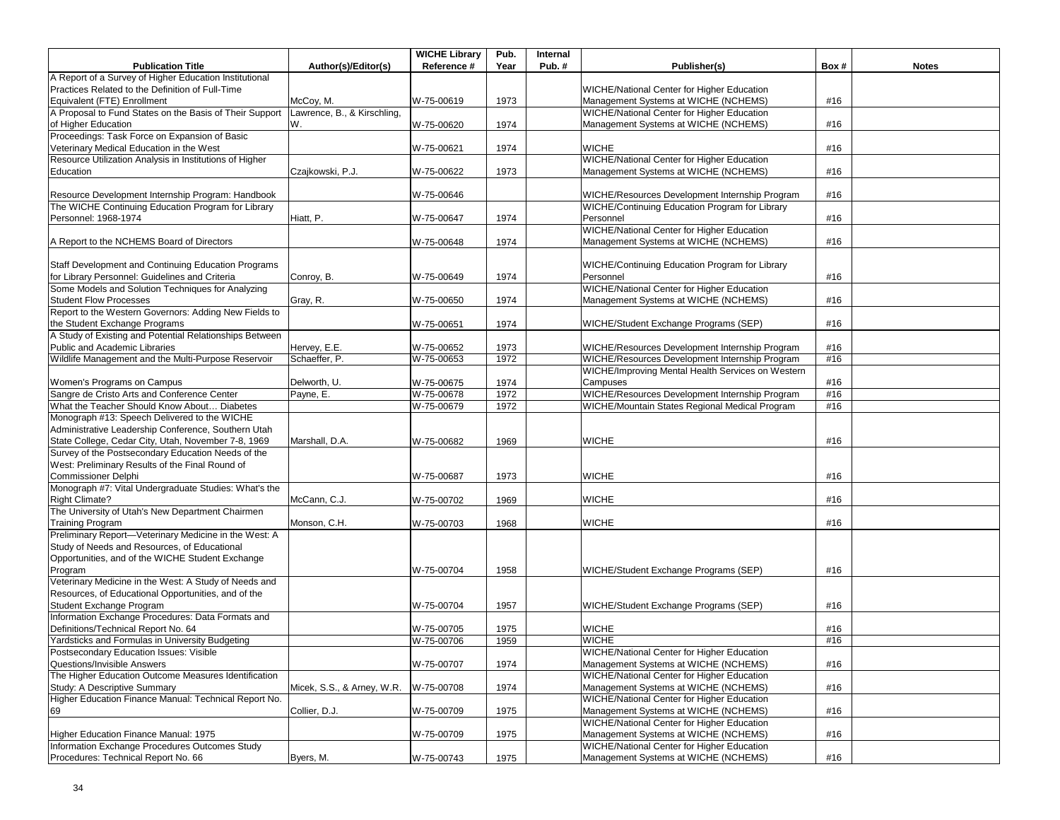|                                                         |                             | <b>WICHE Library</b> | Pub. | Internal |                                                   |      |              |
|---------------------------------------------------------|-----------------------------|----------------------|------|----------|---------------------------------------------------|------|--------------|
| <b>Publication Title</b>                                | Author(s)/Editor(s)         | Reference #          | Year | Pub. $#$ | Publisher(s)                                      | Box# | <b>Notes</b> |
| A Report of a Survey of Higher Education Institutional  |                             |                      |      |          |                                                   |      |              |
| Practices Related to the Definition of Full-Time        |                             |                      |      |          | WICHE/National Center for Higher Education        |      |              |
| Equivalent (FTE) Enrollment                             | McCoy, M.                   | W-75-00619           | 1973 |          | Management Systems at WICHE (NCHEMS)              | #16  |              |
| A Proposal to Fund States on the Basis of Their Support | Lawrence, B., & Kirschling, |                      |      |          | WICHE/National Center for Higher Education        |      |              |
| of Higher Education                                     | W.                          | W-75-00620           | 1974 |          | Management Systems at WICHE (NCHEMS)              | #16  |              |
| Proceedings: Task Force on Expansion of Basic           |                             |                      |      |          |                                                   |      |              |
| Veterinary Medical Education in the West                |                             | W-75-00621           | 1974 |          | <b>WICHE</b>                                      | #16  |              |
| Resource Utilization Analysis in Institutions of Higher |                             |                      |      |          | <b>WICHE/National Center for Higher Education</b> |      |              |
| Education                                               | Czajkowski, P.J.            | W-75-00622           | 1973 |          | Management Systems at WICHE (NCHEMS)              | #16  |              |
|                                                         |                             |                      |      |          |                                                   |      |              |
|                                                         |                             |                      |      |          |                                                   |      |              |
| Resource Development Internship Program: Handbook       |                             | W-75-00646           |      |          | WICHE/Resources Development Internship Program    | #16  |              |
| The WICHE Continuing Education Program for Library      |                             |                      |      |          | WICHE/Continuing Education Program for Library    |      |              |
| Personnel: 1968-1974                                    | Hiatt, P.                   | W-75-00647           | 1974 |          | Personnel                                         | #16  |              |
|                                                         |                             |                      |      |          | <b>WICHE/National Center for Higher Education</b> |      |              |
| A Report to the NCHEMS Board of Directors               |                             | W-75-00648           | 1974 |          | Management Systems at WICHE (NCHEMS)              | #16  |              |
|                                                         |                             |                      |      |          |                                                   |      |              |
| Staff Development and Continuing Education Programs     |                             |                      |      |          | WICHE/Continuing Education Program for Library    |      |              |
| for Library Personnel: Guidelines and Criteria          | Conroy, B.                  | W-75-00649           | 1974 |          | Personnel                                         | #16  |              |
| Some Models and Solution Techniques for Analyzing       |                             |                      |      |          | WICHE/National Center for Higher Education        |      |              |
| <b>Student Flow Processes</b>                           | Gray, R.                    | W-75-00650           | 1974 |          | Management Systems at WICHE (NCHEMS)              | #16  |              |
| Report to the Western Governors: Adding New Fields to   |                             |                      |      |          |                                                   |      |              |
| the Student Exchange Programs                           |                             | W-75-00651           | 1974 |          | WICHE/Student Exchange Programs (SEP)             | #16  |              |
| A Study of Existing and Potential Relationships Between |                             |                      |      |          |                                                   |      |              |
| Public and Academic Libraries                           | Hervey, E.E.                | W-75-00652           | 1973 |          | WICHE/Resources Development Internship Program    | #16  |              |
| Wildlife Management and the Multi-Purpose Reservoir     | Schaeffer, P.               | W-75-00653           | 1972 |          | WICHE/Resources Development Internship Program    | #16  |              |
|                                                         |                             |                      |      |          |                                                   |      |              |
|                                                         |                             |                      |      |          | WICHE/Improving Mental Health Services on Western |      |              |
| Women's Programs on Campus                              | Delworth, U.                | W-75-00675           | 1974 |          | Campuses                                          | #16  |              |
| Sangre de Cristo Arts and Conference Center             | Payne, E.                   | W-75-00678           | 1972 |          | WICHE/Resources Development Internship Program    | #16  |              |
| What the Teacher Should Know About Diabetes             |                             | W-75-00679           | 1972 |          | WICHE/Mountain States Regional Medical Program    | #16  |              |
| Monograph #13: Speech Delivered to the WICHE            |                             |                      |      |          |                                                   |      |              |
| Administrative Leadership Conference, Southern Utah     |                             |                      |      |          |                                                   |      |              |
| State College, Cedar City, Utah, November 7-8, 1969     | Marshall, D.A.              | W-75-00682           | 1969 |          | <b>WICHE</b>                                      | #16  |              |
| Survey of the Postsecondary Education Needs of the      |                             |                      |      |          |                                                   |      |              |
| West: Preliminary Results of the Final Round of         |                             |                      |      |          |                                                   |      |              |
| Commissioner Delphi                                     |                             | W-75-00687           | 1973 |          | <b>WICHE</b>                                      | #16  |              |
| Monograph #7: Vital Undergraduate Studies: What's the   |                             |                      |      |          |                                                   |      |              |
| <b>Right Climate?</b>                                   | McCann, C.J.                | W-75-00702           | 1969 |          | <b>WICHE</b>                                      | #16  |              |
| The University of Utah's New Department Chairmen        |                             |                      |      |          |                                                   |      |              |
| <b>Training Program</b>                                 | Monson, C.H.                | W-75-00703           | 1968 |          | <b>WICHE</b>                                      | #16  |              |
| Preliminary Report-Veterinary Medicine in the West: A   |                             |                      |      |          |                                                   |      |              |
| Study of Needs and Resources, of Educational            |                             |                      |      |          |                                                   |      |              |
| Opportunities, and of the WICHE Student Exchange        |                             |                      |      |          |                                                   |      |              |
| Program                                                 |                             | W-75-00704           | 1958 |          | WICHE/Student Exchange Programs (SEP)             | #16  |              |
| Veterinary Medicine in the West: A Study of Needs and   |                             |                      |      |          |                                                   |      |              |
| Resources, of Educational Opportunities, and of the     |                             |                      |      |          |                                                   |      |              |
|                                                         |                             |                      |      |          |                                                   |      |              |
| Student Exchange Program                                |                             | W-75-00704           | 1957 |          | WICHE/Student Exchange Programs (SEP)             | #16  |              |
| Information Exchange Procedures: Data Formats and       |                             |                      |      |          |                                                   |      |              |
| Definitions/Technical Report No. 64                     |                             | W-75-00705           | 1975 |          | <b>WICHE</b>                                      | #16  |              |
| Yardsticks and Formulas in University Budgeting         |                             | W-75-00706           | 1959 |          | <b>WICHE</b>                                      | #16  |              |
| Postsecondary Education Issues: Visible                 |                             |                      |      |          | WICHE/National Center for Higher Education        |      |              |
| Questions/Invisible Answers                             |                             | W-75-00707           | 1974 |          | Management Systems at WICHE (NCHEMS)              | #16  |              |
| The Higher Education Outcome Measures Identification    |                             |                      |      |          | WICHE/National Center for Higher Education        |      |              |
| Study: A Descriptive Summary                            | Micek, S.S., & Arney, W.R.  | W-75-00708           | 1974 |          | Management Systems at WICHE (NCHEMS)              | #16  |              |
| Higher Education Finance Manual: Technical Report No.   |                             |                      |      |          | <b>WICHE/National Center for Higher Education</b> |      |              |
| 69                                                      | Collier, D.J.               | W-75-00709           | 1975 |          | Management Systems at WICHE (NCHEMS)              | #16  |              |
|                                                         |                             |                      |      |          | WICHE/National Center for Higher Education        |      |              |
| Higher Education Finance Manual: 1975                   |                             | W-75-00709           | 1975 |          | Management Systems at WICHE (NCHEMS)              | #16  |              |
| Information Exchange Procedures Outcomes Study          |                             |                      |      |          | <b>WICHE/National Center for Higher Education</b> |      |              |
| Procedures: Technical Report No. 66                     | Byers, M.                   | W-75-00743           | 1975 |          | Management Systems at WICHE (NCHEMS)              | #16  |              |
|                                                         |                             |                      |      |          |                                                   |      |              |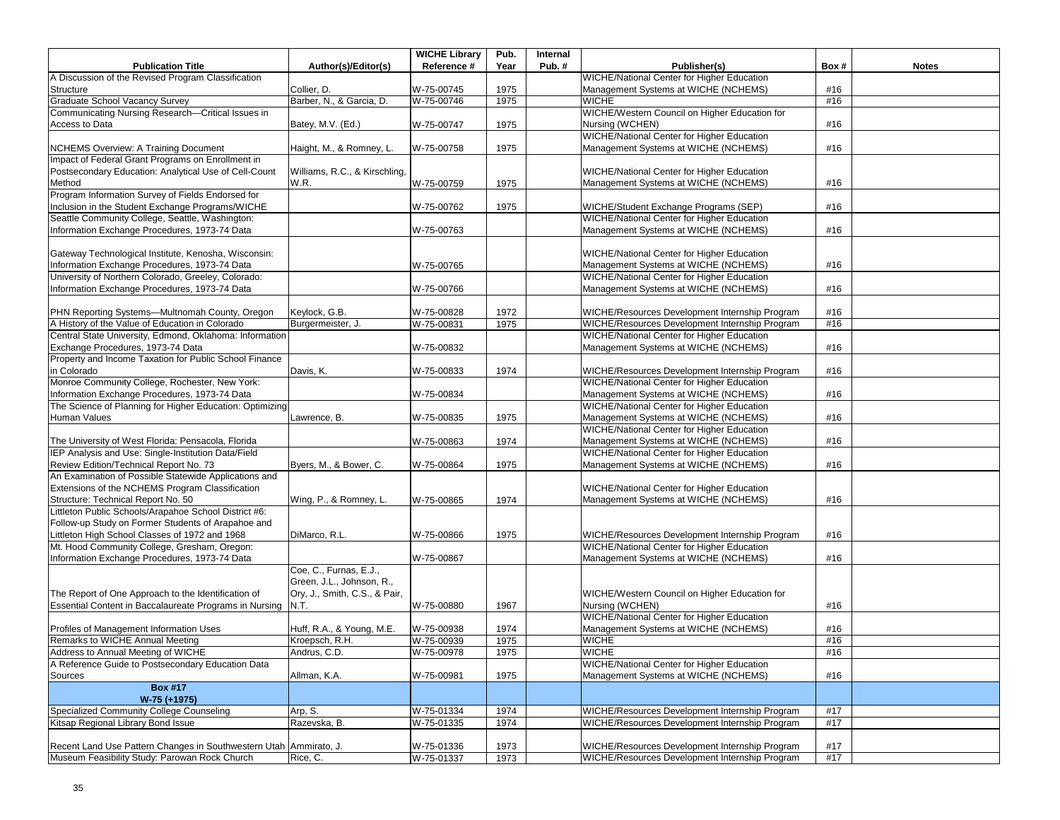|                                                                   |                               | <b>WICHE Library</b> | Pub. | Internal |                                                   |      |              |
|-------------------------------------------------------------------|-------------------------------|----------------------|------|----------|---------------------------------------------------|------|--------------|
| <b>Publication Title</b>                                          | Author(s)/Editor(s)           | Reference #          | Year | Pub.#    | Publisher(s)                                      | Box# | <b>Notes</b> |
| A Discussion of the Revised Program Classification                |                               |                      |      |          | WICHE/National Center for Higher Education        |      |              |
| Structure                                                         | Collier, D.                   | W-75-00745           | 1975 |          | Management Systems at WICHE (NCHEMS)              | #16  |              |
| <b>Graduate School Vacancy Survey</b>                             | Barber, N., & Garcia, D.      | W-75-00746           | 1975 |          | <b>WICHE</b>                                      | #16  |              |
| Communicating Nursing Research-Critical Issues in                 |                               |                      |      |          | WICHE/Western Council on Higher Education for     |      |              |
| Access to Data                                                    | Batey, M.V. (Ed.)             | W-75-00747           | 1975 |          | Nursing (WCHEN)                                   | #16  |              |
|                                                                   |                               |                      |      |          | WICHE/National Center for Higher Education        |      |              |
| NCHEMS Overview: A Training Document                              | Haight, M., & Romney, L.      | W-75-00758           | 1975 |          | Management Systems at WICHE (NCHEMS)              | #16  |              |
| Impact of Federal Grant Programs on Enrollment in                 |                               |                      |      |          |                                                   |      |              |
| Postsecondary Education: Analytical Use of Cell-Count             | Williams, R.C., & Kirschling, |                      |      |          | WICHE/National Center for Higher Education        |      |              |
| Method                                                            | W.R.                          | W-75-00759           | 1975 |          | Management Systems at WICHE (NCHEMS)              | #16  |              |
| Program Information Survey of Fields Endorsed for                 |                               |                      |      |          |                                                   |      |              |
| Inclusion in the Student Exchange Programs/WICHE                  |                               | W-75-00762           | 1975 |          | WICHE/Student Exchange Programs (SEP)             | #16  |              |
| Seattle Community College, Seattle, Washington:                   |                               |                      |      |          | WICHE/National Center for Higher Education        |      |              |
| Information Exchange Procedures, 1973-74 Data                     |                               | W-75-00763           |      |          | Management Systems at WICHE (NCHEMS)              | #16  |              |
|                                                                   |                               |                      |      |          |                                                   |      |              |
| Gateway Technological Institute, Kenosha, Wisconsin:              |                               |                      |      |          | WICHE/National Center for Higher Education        |      |              |
| Information Exchange Procedures, 1973-74 Data                     |                               | W-75-00765           |      |          | Management Systems at WICHE (NCHEMS)              | #16  |              |
| University of Northern Colorado, Greeley, Colorado:               |                               |                      |      |          | WICHE/National Center for Higher Education        |      |              |
| Information Exchange Procedures, 1973-74 Data                     |                               | W-75-00766           |      |          | Management Systems at WICHE (NCHEMS)              | #16  |              |
|                                                                   |                               |                      |      |          |                                                   |      |              |
|                                                                   | Keylock, G.B.                 |                      |      |          |                                                   | #16  |              |
| PHN Reporting Systems-Multnomah County, Oregon                    |                               | W-75-00828           | 1972 |          | WICHE/Resources Development Internship Program    |      |              |
| A History of the Value of Education in Colorado                   | Burgermeister, J.             | W-75-00831           | 1975 |          | WICHE/Resources Development Internship Program    | #16  |              |
| Central State University, Edmond, Oklahoma: Information           |                               |                      |      |          | <b>WICHE/National Center for Higher Education</b> |      |              |
| Exchange Procedures, 1973-74 Data                                 |                               | W-75-00832           |      |          | Management Systems at WICHE (NCHEMS)              | #16  |              |
| Property and Income Taxation for Public School Finance            |                               |                      |      |          |                                                   |      |              |
| in Colorado                                                       | Davis, K.                     | W-75-00833           | 1974 |          | WICHE/Resources Development Internship Program    | #16  |              |
| Monroe Community College, Rochester, New York:                    |                               |                      |      |          | <b>WICHE/National Center for Higher Education</b> |      |              |
| Information Exchange Procedures, 1973-74 Data                     |                               | W-75-00834           |      |          | Management Systems at WICHE (NCHEMS)              | #16  |              |
| The Science of Planning for Higher Education: Optimizing          |                               |                      |      |          | WICHE/National Center for Higher Education        |      |              |
| Human Values                                                      | Lawrence, B.                  | W-75-00835           | 1975 |          | Management Systems at WICHE (NCHEMS)              | #16  |              |
|                                                                   |                               |                      |      |          | <b>WICHE/National Center for Higher Education</b> |      |              |
| The University of West Florida: Pensacola, Florida                |                               | W-75-00863           | 1974 |          | Management Systems at WICHE (NCHEMS)              | #16  |              |
| IEP Analysis and Use: Single-Institution Data/Field               |                               |                      |      |          | <b>WICHE/National Center for Higher Education</b> |      |              |
| Review Edition/Technical Report No. 73                            | Byers, M., & Bower, C.        | W-75-00864           | 1975 |          | Management Systems at WICHE (NCHEMS)              | #16  |              |
| An Examination of Possible Statewide Applications and             |                               |                      |      |          |                                                   |      |              |
| Extensions of the NCHEMS Program Classification                   |                               |                      |      |          | WICHE/National Center for Higher Education        |      |              |
| Structure: Technical Report No. 50                                | Wing, P., & Romney, L.        | W-75-00865           | 1974 |          | Management Systems at WICHE (NCHEMS)              | #16  |              |
| Littleton Public Schools/Arapahoe School District #6:             |                               |                      |      |          |                                                   |      |              |
| Follow-up Study on Former Students of Arapahoe and                |                               |                      |      |          |                                                   |      |              |
| Littleton High School Classes of 1972 and 1968                    | DiMarco, R.L.                 | W-75-00866           | 1975 |          | WICHE/Resources Development Internship Program    | #16  |              |
| Mt. Hood Community College, Gresham, Oregon:                      |                               |                      |      |          | <b>WICHE/National Center for Higher Education</b> |      |              |
| Information Exchange Procedures, 1973-74 Data                     |                               | W-75-00867           |      |          | Management Systems at WICHE (NCHEMS)              | #16  |              |
|                                                                   | Coe, C., Furnas, E.J.,        |                      |      |          |                                                   |      |              |
|                                                                   | Green, J.L., Johnson, R.,     |                      |      |          |                                                   |      |              |
| The Report of One Approach to the Identification of               | Ory, J., Smith, C.S., & Pair, |                      |      |          | WICHE/Western Council on Higher Education for     |      |              |
| Essential Content in Baccalaureate Programs in Nursing N.T.       |                               | W-75-00880           | 1967 |          | Nursing (WCHEN)                                   | #16  |              |
|                                                                   |                               |                      |      |          | <b>WICHE/National Center for Higher Education</b> |      |              |
| Profiles of Management Information Uses                           | Huff, R.A., & Young, M.E.     | W-75-00938           | 1974 |          | Management Systems at WICHE (NCHEMS)              | #16  |              |
| Remarks to WICHE Annual Meeting                                   | Kroepsch, R.H.                | W-75-00939           | 1975 |          | <b>WICHE</b>                                      | #16  |              |
| Address to Annual Meeting of WICHE                                | Andrus, C.D.                  | W-75-00978           | 1975 |          | <b>WICHE</b>                                      | #16  |              |
| A Reference Guide to Postsecondary Education Data                 |                               |                      |      |          | WICHE/National Center for Higher Education        |      |              |
| Sources                                                           | Allman, K.A.                  | W-75-00981           | 1975 |          | Management Systems at WICHE (NCHEMS)              | #16  |              |
| <b>Box #17</b>                                                    |                               |                      |      |          |                                                   |      |              |
| W-75 (+1975)                                                      |                               |                      |      |          |                                                   |      |              |
| Specialized Community College Counseling                          | Arp, S.                       | W-75-01334           | 1974 |          | WICHE/Resources Development Internship Program    | #17  |              |
| Kitsap Regional Library Bond Issue                                | Razevska, B.                  | W-75-01335           | 1974 |          | WICHE/Resources Development Internship Program    | #17  |              |
|                                                                   |                               |                      |      |          |                                                   |      |              |
| Recent Land Use Pattern Changes in Southwestern Utah Ammirato, J. |                               | W-75-01336           | 1973 |          | WICHE/Resources Development Internship Program    | #17  |              |
| Museum Feasibility Study: Parowan Rock Church                     | Rice, C.                      | W-75-01337           | 1973 |          | WICHE/Resources Development Internship Program    | #17  |              |
|                                                                   |                               |                      |      |          |                                                   |      |              |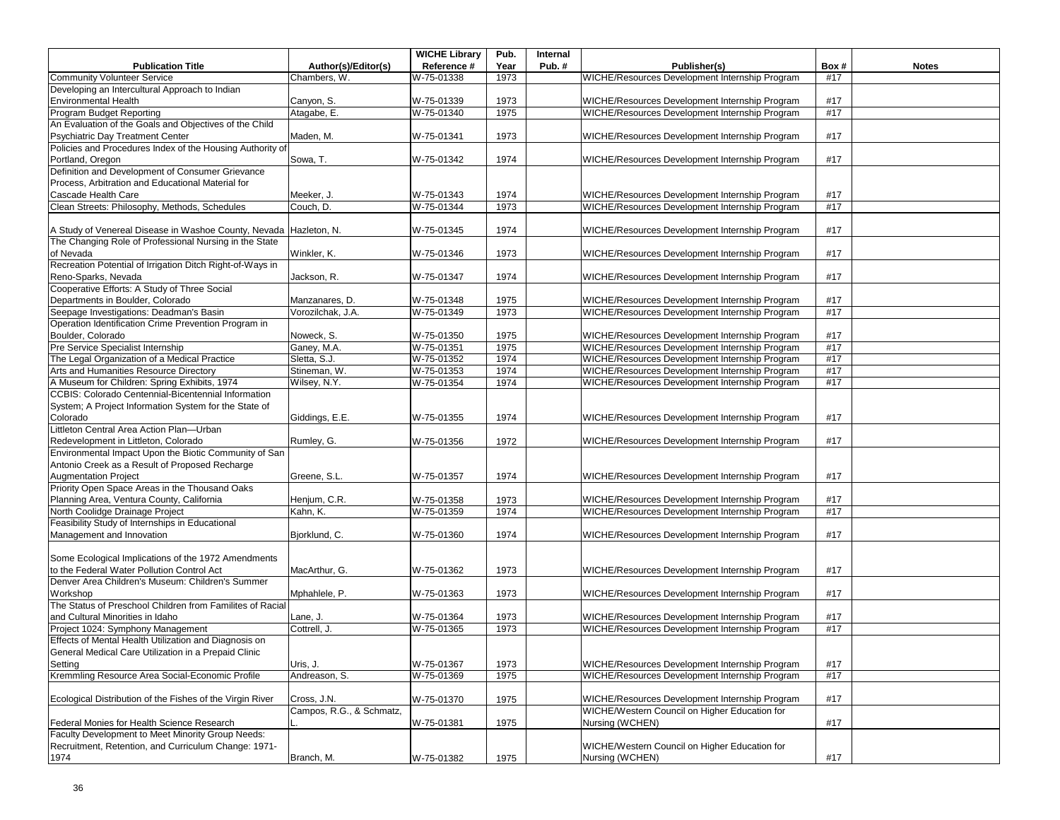|                                                                   |                          | <b>WICHE Library</b> | Pub. | Internal |                                                |      |              |
|-------------------------------------------------------------------|--------------------------|----------------------|------|----------|------------------------------------------------|------|--------------|
| <b>Publication Title</b>                                          | Author(s)/Editor(s)      | Reference #          | Year | Pub.#    | Publisher(s)                                   | Box# | <b>Notes</b> |
| <b>Community Volunteer Service</b>                                | Chambers, W.             | W-75-01338           | 1973 |          | WICHE/Resources Development Internship Program | #17  |              |
| Developing an Intercultural Approach to Indian                    |                          |                      |      |          |                                                |      |              |
| <b>Environmental Health</b>                                       | Canyon, S.               | W-75-01339           | 1973 |          | WICHE/Resources Development Internship Program | #17  |              |
| <b>Program Budget Reporting</b>                                   | Atagabe, E.              | W-75-01340           | 1975 |          | WICHE/Resources Development Internship Program | #17  |              |
| An Evaluation of the Goals and Objectives of the Child            |                          |                      |      |          |                                                |      |              |
| Psychiatric Day Treatment Center                                  | Maden, M.                | W-75-01341           | 1973 |          | WICHE/Resources Development Internship Program | #17  |              |
| Policies and Procedures Index of the Housing Authority of         |                          |                      |      |          |                                                |      |              |
| Portland, Oregon                                                  | Sowa, T.                 | W-75-01342           | 1974 |          | WICHE/Resources Development Internship Program | #17  |              |
| Definition and Development of Consumer Grievance                  |                          |                      |      |          |                                                |      |              |
| Process, Arbitration and Educational Material for                 |                          |                      |      |          |                                                |      |              |
| Cascade Health Care                                               | Meeker, J.               | W-75-01343           | 1974 |          | WICHE/Resources Development Internship Program | #17  |              |
| Clean Streets: Philosophy, Methods, Schedules                     | Couch. D.                | W-75-01344           | 1973 |          | WICHE/Resources Development Internship Program | #17  |              |
|                                                                   |                          |                      |      |          |                                                |      |              |
| A Study of Venereal Disease in Washoe County, Nevada Hazleton, N. |                          | W-75-01345           | 1974 |          | WICHE/Resources Development Internship Program | #17  |              |
| The Changing Role of Professional Nursing in the State            |                          |                      |      |          |                                                |      |              |
| of Nevada                                                         | Winkler, K.              | W-75-01346           | 1973 |          | WICHE/Resources Development Internship Program | #17  |              |
| Recreation Potential of Irrigation Ditch Right-of-Ways in         |                          |                      |      |          |                                                |      |              |
| Reno-Sparks, Nevada                                               | Jackson, R.              | W-75-01347           | 1974 |          | WICHE/Resources Development Internship Program | #17  |              |
| Cooperative Efforts: A Study of Three Social                      |                          |                      |      |          |                                                |      |              |
| Departments in Boulder, Colorado                                  | Manzanares, D.           | W-75-01348           | 1975 |          | WICHE/Resources Development Internship Program | #17  |              |
| Seepage Investigations: Deadman's Basin                           | Vorozilchak, J.A.        | W-75-01349           | 1973 |          | WICHE/Resources Development Internship Program | #17  |              |
| Operation Identification Crime Prevention Program in              |                          |                      |      |          |                                                |      |              |
| Boulder, Colorado                                                 | Noweck, S.               | W-75-01350           | 1975 |          | WICHE/Resources Development Internship Program | #17  |              |
| Pre Service Specialist Internship                                 | Ganey, M.A.              | W-75-01351           | 1975 |          | WICHE/Resources Development Internship Program | #17  |              |
| The Legal Organization of a Medical Practice                      | Sletta, S.J.             | W-75-01352           | 1974 |          | WICHE/Resources Development Internship Program | #17  |              |
| Arts and Humanities Resource Directory                            | Stineman, W.             | W-75-01353           | 1974 |          | WICHE/Resources Development Internship Program | #17  |              |
| A Museum for Children: Spring Exhibits, 1974                      | Wilsey, N.Y.             | W-75-01354           | 1974 |          | WICHE/Resources Development Internship Program | #17  |              |
| CCBIS: Colorado Centennial-Bicentennial Information               |                          |                      |      |          |                                                |      |              |
| System; A Project Information System for the State of             |                          |                      |      |          |                                                |      |              |
| Colorado                                                          | Giddings, E.E.           | W-75-01355           | 1974 |          | WICHE/Resources Development Internship Program | #17  |              |
| Littleton Central Area Action Plan-Urban                          |                          |                      |      |          |                                                |      |              |
| Redevelopment in Littleton, Colorado                              | Rumley, G.               | W-75-01356           | 1972 |          | WICHE/Resources Development Internship Program | #17  |              |
| Environmental Impact Upon the Biotic Community of San             |                          |                      |      |          |                                                |      |              |
| Antonio Creek as a Result of Proposed Recharge                    |                          |                      |      |          |                                                |      |              |
| <b>Augmentation Project</b>                                       | Greene, S.L.             | W-75-01357           | 1974 |          | WICHE/Resources Development Internship Program | #17  |              |
| Priority Open Space Areas in the Thousand Oaks                    |                          |                      |      |          |                                                |      |              |
| Planning Area, Ventura County, California                         | Henjum, C.R.             | W-75-01358           | 1973 |          | WICHE/Resources Development Internship Program | #17  |              |
| North Coolidge Drainage Project                                   | Kahn, K.                 | W-75-01359           | 1974 |          | WICHE/Resources Development Internship Program | #17  |              |
| Feasibility Study of Internships in Educational                   |                          |                      |      |          |                                                |      |              |
| Management and Innovation                                         | Bjorklund, C.            | W-75-01360           | 1974 |          | WICHE/Resources Development Internship Program | #17  |              |
|                                                                   |                          |                      |      |          |                                                |      |              |
| Some Ecological Implications of the 1972 Amendments               |                          |                      |      |          |                                                |      |              |
| to the Federal Water Pollution Control Act                        | MacArthur, G.            | W-75-01362           | 1973 |          | WICHE/Resources Development Internship Program | #17  |              |
| Denver Area Children's Museum: Children's Summer                  |                          |                      |      |          |                                                |      |              |
| Workshop                                                          | Mphahlele, P.            | W-75-01363           | 1973 |          | WICHE/Resources Development Internship Program | #17  |              |
| The Status of Preschool Children from Familites of Racial         |                          |                      |      |          |                                                |      |              |
| and Cultural Minorities in Idaho                                  | Lane, J.                 | W-75-01364           | 1973 |          | WICHE/Resources Development Internship Program | #17  |              |
| Project 1024: Symphony Management                                 | Cottrell, J.             | W-75-01365           | 1973 |          | WICHE/Resources Development Internship Program | #17  |              |
| Effects of Mental Health Utilization and Diagnosis on             |                          |                      |      |          |                                                |      |              |
| General Medical Care Utilization in a Prepaid Clinic              |                          |                      |      |          |                                                |      |              |
| Setting                                                           | Uris, J.                 | W-75-01367           | 1973 |          | WICHE/Resources Development Internship Program | #17  |              |
| Kremmling Resource Area Social-Economic Profile                   | Andreason, S.            | W-75-01369           | 1975 |          | WICHE/Resources Development Internship Program | #17  |              |
|                                                                   |                          |                      |      |          |                                                |      |              |
| Ecological Distribution of the Fishes of the Virgin River         | Cross, J.N.              | W-75-01370           | 1975 |          | WICHE/Resources Development Internship Program | #17  |              |
|                                                                   | Campos, R.G., & Schmatz, |                      |      |          | WICHE/Western Council on Higher Education for  |      |              |
| Federal Monies for Health Science Research                        |                          | W-75-01381           | 1975 |          | Nursing (WCHEN)                                | #17  |              |
| Faculty Development to Meet Minority Group Needs:                 |                          |                      |      |          |                                                |      |              |
| Recruitment, Retention, and Curriculum Change: 1971-              |                          |                      |      |          | WICHE/Western Council on Higher Education for  |      |              |
| 1974                                                              | Branch, M.               | W-75-01382           | 1975 |          | Nursing (WCHEN)                                | #17  |              |
|                                                                   |                          |                      |      |          |                                                |      |              |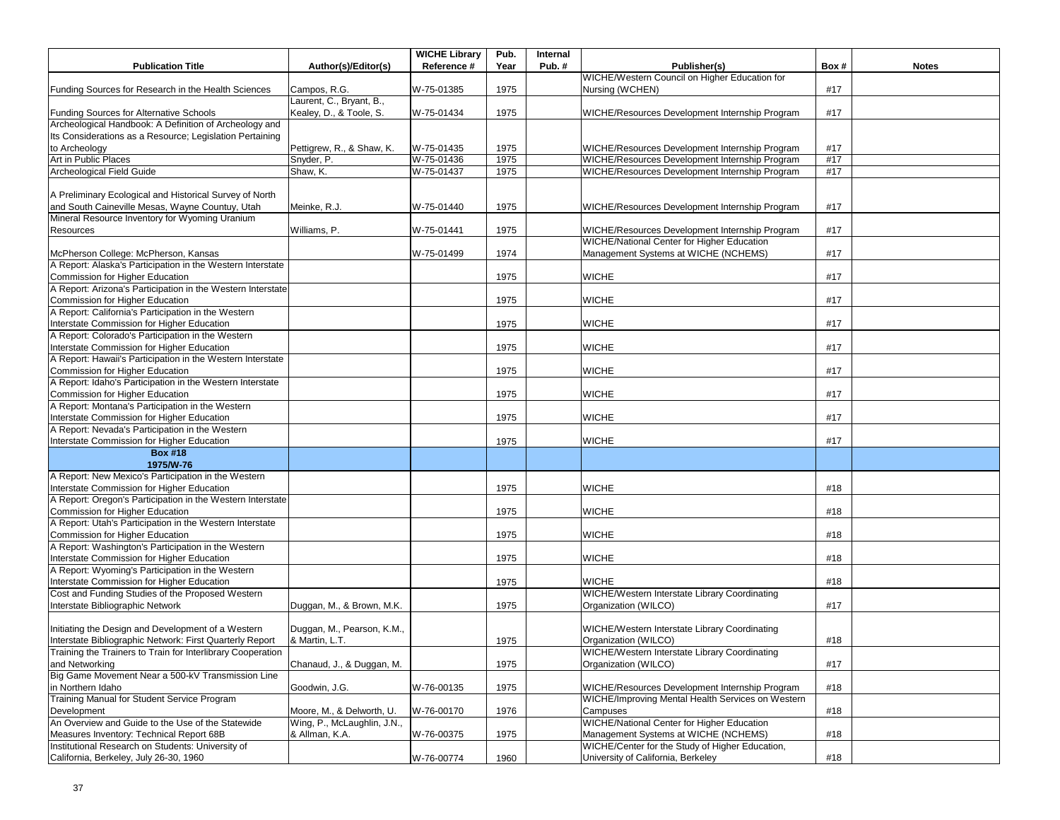|                                                                                               |                             | <b>WICHE Library</b>     | Pub.         | Internal |                                                                                                     |            |              |
|-----------------------------------------------------------------------------------------------|-----------------------------|--------------------------|--------------|----------|-----------------------------------------------------------------------------------------------------|------------|--------------|
| <b>Publication Title</b>                                                                      | Author(s)/Editor(s)         | Reference #              | Year         | Pub.#    | Publisher(s)                                                                                        | Box#       | <b>Notes</b> |
|                                                                                               |                             |                          |              |          | WICHE/Western Council on Higher Education for                                                       |            |              |
| Funding Sources for Research in the Health Sciences                                           | Campos, R.G.                | W-75-01385               | 1975         |          | Nursing (WCHEN)                                                                                     | #17        |              |
|                                                                                               | Laurent, C., Bryant, B.,    |                          |              |          |                                                                                                     |            |              |
| <b>Funding Sources for Alternative Schools</b>                                                | Kealey, D., & Toole, S.     | W-75-01434               | 1975         |          | WICHE/Resources Development Internship Program                                                      | #17        |              |
| Archeological Handbook: A Definition of Archeology and                                        |                             |                          |              |          |                                                                                                     |            |              |
| Its Considerations as a Resource; Legislation Pertaining                                      |                             |                          |              |          |                                                                                                     |            |              |
| to Archeology<br>Art in Public Places                                                         | Pettigrew, R., & Shaw, K.   | W-75-01435<br>W-75-01436 | 1975<br>1975 |          | WICHE/Resources Development Internship Program<br>WICHE/Resources Development Internship Program    | #17<br>#17 |              |
| Archeological Field Guide                                                                     | Snyder, P.<br>Shaw, K.      | W-75-01437               | 1975         |          | WICHE/Resources Development Internship Program                                                      | #17        |              |
|                                                                                               |                             |                          |              |          |                                                                                                     |            |              |
| A Preliminary Ecological and Historical Survey of North                                       |                             |                          |              |          |                                                                                                     |            |              |
| and South Caineville Mesas, Wayne Countuy, Utah                                               | Meinke, R.J.                | W-75-01440               | 1975         |          | WICHE/Resources Development Internship Program                                                      | #17        |              |
| Mineral Resource Inventory for Wyoming Uranium                                                |                             |                          |              |          |                                                                                                     |            |              |
| Resources                                                                                     | Williams, P.                | W-75-01441               | 1975         |          | WICHE/Resources Development Internship Program                                                      | #17        |              |
|                                                                                               |                             |                          |              |          | WICHE/National Center for Higher Education                                                          |            |              |
| McPherson College: McPherson, Kansas                                                          |                             | W-75-01499               | 1974         |          | Management Systems at WICHE (NCHEMS)                                                                | #17        |              |
| A Report: Alaska's Participation in the Western Interstate                                    |                             |                          |              |          |                                                                                                     |            |              |
| Commission for Higher Education                                                               |                             |                          | 1975         |          | <b>WICHE</b>                                                                                        | #17        |              |
| A Report: Arizona's Participation in the Western Interstate                                   |                             |                          |              |          |                                                                                                     |            |              |
| Commission for Higher Education                                                               |                             |                          | 1975         |          | <b>WICHE</b>                                                                                        | #17        |              |
| A Report: California's Participation in the Western                                           |                             |                          |              |          |                                                                                                     |            |              |
| Interstate Commission for Higher Education                                                    |                             |                          | 1975         |          | <b>WICHE</b>                                                                                        | #17        |              |
| A Report: Colorado's Participation in the Western                                             |                             |                          |              |          |                                                                                                     |            |              |
| Interstate Commission for Higher Education                                                    |                             |                          | 1975         |          | <b>WICHE</b>                                                                                        | #17        |              |
| A Report: Hawaii's Participation in the Western Interstate                                    |                             |                          |              |          |                                                                                                     |            |              |
| Commission for Higher Education                                                               |                             |                          | 1975         |          | <b>WICHE</b>                                                                                        | #17        |              |
| A Report: Idaho's Participation in the Western Interstate                                     |                             |                          |              |          |                                                                                                     |            |              |
| Commission for Higher Education                                                               |                             |                          | 1975         |          | <b>WICHE</b>                                                                                        | #17        |              |
| A Report: Montana's Participation in the Western                                              |                             |                          |              |          |                                                                                                     |            |              |
| Interstate Commission for Higher Education                                                    |                             |                          | 1975         |          | <b>WICHE</b>                                                                                        | #17        |              |
| A Report: Nevada's Participation in the Western                                               |                             |                          |              |          |                                                                                                     |            |              |
| Interstate Commission for Higher Education                                                    |                             |                          | 1975         |          | <b>WICHE</b>                                                                                        | #17        |              |
| <b>Box #18</b>                                                                                |                             |                          |              |          |                                                                                                     |            |              |
| 1975/W-76                                                                                     |                             |                          |              |          |                                                                                                     |            |              |
| A Report: New Mexico's Participation in the Western                                           |                             |                          |              |          |                                                                                                     |            |              |
| Interstate Commission for Higher Education                                                    |                             |                          | 1975         |          | <b>WICHE</b>                                                                                        | #18        |              |
| A Report: Oregon's Participation in the Western Interstate                                    |                             |                          |              |          |                                                                                                     |            |              |
| Commission for Higher Education                                                               |                             |                          | 1975         |          | <b>WICHE</b>                                                                                        | #18        |              |
| A Report: Utah's Participation in the Western Interstate                                      |                             |                          |              |          |                                                                                                     |            |              |
| Commission for Higher Education                                                               |                             |                          | 1975         |          | <b>WICHE</b>                                                                                        | #18        |              |
| A Report: Washington's Participation in the Western                                           |                             |                          |              |          |                                                                                                     |            |              |
| Interstate Commission for Higher Education                                                    |                             |                          | 1975         |          | <b>WICHE</b>                                                                                        | #18        |              |
| A Report: Wyoming's Participation in the Western                                              |                             |                          |              |          |                                                                                                     |            |              |
| Interstate Commission for Higher Education                                                    |                             |                          | 1975         |          | <b>WICHE</b>                                                                                        | #18        |              |
| Cost and Funding Studies of the Proposed Western                                              |                             |                          |              |          | WICHE/Western Interstate Library Coordinating                                                       |            |              |
| Interstate Bibliographic Network                                                              | Duggan, M., & Brown, M.K.   |                          | 1975         |          | Organization (WILCO)                                                                                | #17        |              |
|                                                                                               |                             |                          |              |          |                                                                                                     |            |              |
| Initiating the Design and Development of a Western                                            | Duggan, M., Pearson, K.M.,  |                          |              |          | WICHE/Western Interstate Library Coordinating                                                       |            |              |
| Interstate Bibliographic Network: First Quarterly Report                                      | & Martin, L.T.              |                          | 1975         |          | Organization (WILCO)                                                                                | #18        |              |
| Training the Trainers to Train for Interlibrary Cooperation                                   |                             |                          |              |          | WICHE/Western Interstate Library Coordinating                                                       |            |              |
| and Networking                                                                                | Chanaud, J., & Duggan, M.   |                          | 1975         |          | Organization (WILCO)                                                                                | #17        |              |
| Big Game Movement Near a 500-kV Transmission Line                                             |                             |                          |              |          |                                                                                                     |            |              |
| in Northern Idaho                                                                             | Goodwin, J.G.               | W-76-00135               | 1975         |          | WICHE/Resources Development Internship Program<br>WICHE/Improving Mental Health Services on Western | #18        |              |
| Training Manual for Student Service Program                                                   |                             |                          |              |          |                                                                                                     |            |              |
| Development                                                                                   | Moore, M., & Delworth, U.   | W-76-00170               | 1976         |          | Campuses                                                                                            | #18        |              |
| An Overview and Guide to the Use of the Statewide                                             | Wing, P., McLaughlin, J.N., |                          |              |          | WICHE/National Center for Higher Education                                                          |            |              |
| Measures Inventory: Technical Report 68B<br>Institutional Research on Students: University of | & Allman, K.A.              | W-76-00375               | 1975         |          | Management Systems at WICHE (NCHEMS)<br>WICHE/Center for the Study of Higher Education,             | #18        |              |
|                                                                                               |                             |                          |              |          |                                                                                                     |            |              |
| California, Berkeley, July 26-30, 1960                                                        |                             | W-76-00774               | 1960         |          | University of California, Berkeley                                                                  | #18        |              |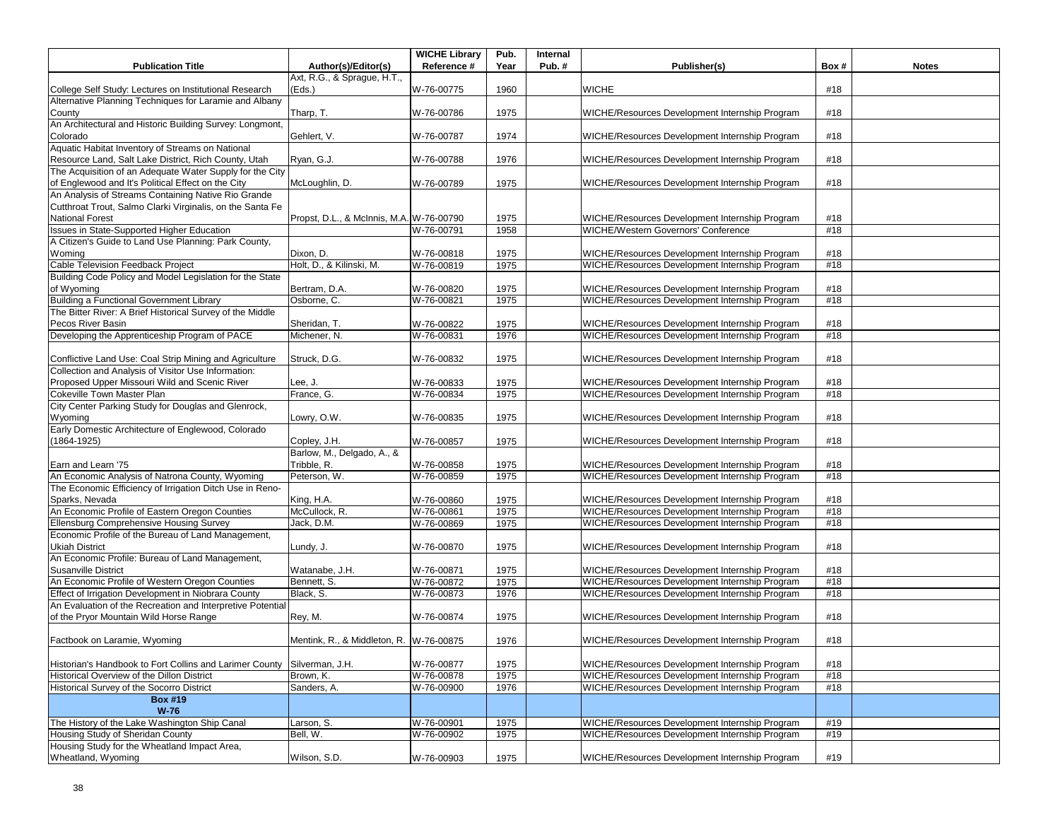| <b>Publication Title</b>                                                | Author(s)/Editor(s)                      | <b>WICHE Library</b><br>Reference # | Pub.<br>Year | Internal<br>Pub.# | Publisher(s)                                   | Box# | <b>Notes</b> |
|-------------------------------------------------------------------------|------------------------------------------|-------------------------------------|--------------|-------------------|------------------------------------------------|------|--------------|
|                                                                         | Axt, R.G., & Sprague, H.T.,              |                                     |              |                   |                                                |      |              |
|                                                                         |                                          |                                     |              |                   |                                                |      |              |
| College Self Study: Lectures on Institutional Research                  | (Eds.)                                   | W-76-00775                          | 1960         |                   | <b>WICHE</b>                                   | #18  |              |
| Alternative Planning Techniques for Laramie and Albany                  |                                          |                                     |              |                   |                                                |      |              |
| County                                                                  | Tharp, T.                                | W-76-00786                          | 1975         |                   | WICHE/Resources Development Internship Program | #18  |              |
| An Architectural and Historic Building Survey: Longmont,                |                                          |                                     |              |                   |                                                |      |              |
| Colorado                                                                | Gehlert, V.                              | W-76-00787                          | 1974         |                   | WICHE/Resources Development Internship Program | #18  |              |
| Aquatic Habitat Inventory of Streams on National                        |                                          |                                     |              |                   |                                                |      |              |
| Resource Land, Salt Lake District, Rich County, Utah                    | Ryan, G.J.                               | W-76-00788                          | 1976         |                   | WICHE/Resources Development Internship Program | #18  |              |
| The Acquisition of an Adequate Water Supply for the City                |                                          |                                     |              |                   |                                                |      |              |
| of Englewood and It's Political Effect on the City                      | McLoughlin, D.                           | W-76-00789                          | 1975         |                   | WICHE/Resources Development Internship Program | #18  |              |
| An Analysis of Streams Containing Native Rio Grande                     |                                          |                                     |              |                   |                                                |      |              |
| Cutthroat Trout, Salmo Clarki Virginalis, on the Santa Fe               |                                          |                                     |              |                   |                                                |      |              |
| <b>National Forest</b>                                                  | Propst, D.L., & McInnis, M.A. W-76-00790 |                                     | 1975         |                   | WICHE/Resources Development Internship Program | #18  |              |
| Issues in State-Supported Higher Education                              |                                          | W-76-00791                          | 1958         |                   | <b>WICHE/Western Governors' Conference</b>     | #18  |              |
| A Citizen's Guide to Land Use Planning: Park County,                    |                                          |                                     |              |                   |                                                |      |              |
| Woming                                                                  | Dixon, D.                                | W-76-00818                          | 1975         |                   | WICHE/Resources Development Internship Program | #18  |              |
| Cable Television Feedback Project                                       | Holt, D., & Kilinski, M.                 | W-76-00819                          | 1975         |                   | WICHE/Resources Development Internship Program | #18  |              |
| Building Code Policy and Model Legislation for the State                |                                          |                                     |              |                   |                                                |      |              |
| of Wyoming                                                              | Bertram, D.A.                            | W-76-00820                          | 1975         |                   | WICHE/Resources Development Internship Program | #18  |              |
| Building a Functional Government Library                                | Osborne, C.                              | W-76-00821                          | 1975         |                   | WICHE/Resources Development Internship Program | #18  |              |
| The Bitter River: A Brief Historical Survey of the Middle               |                                          |                                     |              |                   |                                                |      |              |
| Pecos River Basin                                                       | Sheridan, T.                             | W-76-00822                          | 1975         |                   | WICHE/Resources Development Internship Program | #18  |              |
| Developing the Apprenticeship Program of PACE                           | Michener, N.                             | W-76-00831                          | 1976         |                   | WICHE/Resources Development Internship Program | #18  |              |
|                                                                         |                                          |                                     |              |                   |                                                |      |              |
| Conflictive Land Use: Coal Strip Mining and Agriculture                 | Struck, D.G.                             | W-76-00832                          | 1975         |                   | WICHE/Resources Development Internship Program | #18  |              |
| Collection and Analysis of Visitor Use Information:                     |                                          |                                     |              |                   |                                                |      |              |
| Proposed Upper Missouri Wild and Scenic River                           | Lee, J.                                  | W-76-00833                          | 1975         |                   | WICHE/Resources Development Internship Program | #18  |              |
| Cokeville Town Master Plan                                              | France, G.                               | W-76-00834                          | 1975         |                   | WICHE/Resources Development Internship Program | #18  |              |
| City Center Parking Study for Douglas and Glenrock,                     |                                          |                                     |              |                   |                                                |      |              |
| Wyoming                                                                 | Lowry, O.W.                              | W-76-00835                          | 1975         |                   | WICHE/Resources Development Internship Program | #18  |              |
| Early Domestic Architecture of Englewood, Colorado                      |                                          |                                     |              |                   |                                                |      |              |
| $(1864 - 1925)$                                                         | Copley, J.H.                             | W-76-00857                          | 1975         |                   | WICHE/Resources Development Internship Program | #18  |              |
|                                                                         | Barlow, M., Delgado, A., &               |                                     |              |                   |                                                |      |              |
| Earn and Learn '75                                                      | Tribble, R.                              | W-76-00858                          | 1975         |                   | WICHE/Resources Development Internship Program | #18  |              |
| An Economic Analysis of Natrona County, Wyoming                         | Peterson, W.                             | W-76-00859                          | 1975         |                   | WICHE/Resources Development Internship Program | #18  |              |
| The Economic Efficiency of Irrigation Ditch Use in Reno-                |                                          |                                     |              |                   |                                                |      |              |
| Sparks, Nevada                                                          | King, H.A.                               | W-76-00860                          | 1975         |                   | WICHE/Resources Development Internship Program | #18  |              |
| An Economic Profile of Eastern Oregon Counties                          | McCullock, R.                            | W-76-00861                          | 1975         |                   | WICHE/Resources Development Internship Program | #18  |              |
| Ellensburg Comprehensive Housing Survey                                 | Jack, D.M.                               | W-76-00869                          | 1975         |                   | WICHE/Resources Development Internship Program | #18  |              |
| Economic Profile of the Bureau of Land Management,                      |                                          |                                     |              |                   |                                                |      |              |
| <b>Ukiah District</b>                                                   | Lundy, J.                                | W-76-00870                          | 1975         |                   | WICHE/Resources Development Internship Program | #18  |              |
| An Economic Profile: Bureau of Land Management,                         |                                          |                                     |              |                   |                                                |      |              |
| Susanville District                                                     | Watanabe, J.H.                           | W-76-00871                          | 1975         |                   | WICHE/Resources Development Internship Program | #18  |              |
| An Economic Profile of Western Oregon Counties                          | Bennett, S.                              | W-76-00872                          | 1975         |                   | WICHE/Resources Development Internship Program | #18  |              |
| Effect of Irrigation Development in Niobrara County                     | Black, S.                                | W-76-00873                          | 1976         |                   | WICHE/Resources Development Internship Program | #18  |              |
| An Evaluation of the Recreation and Interpretive Potential              |                                          |                                     |              |                   |                                                |      |              |
| of the Pryor Mountain Wild Horse Range                                  | Rey, M.                                  | W-76-00874                          | 1975         |                   | WICHE/Resources Development Internship Program | #18  |              |
|                                                                         |                                          |                                     |              |                   |                                                |      |              |
| Factbook on Laramie, Wyoming                                            | Mentink, R., & Middleton, R. W-76-00875  |                                     | 1976         |                   | WICHE/Resources Development Internship Program | #18  |              |
|                                                                         |                                          |                                     |              |                   |                                                |      |              |
| Historian's Handbook to Fort Collins and Larimer County Silverman, J.H. |                                          | W-76-00877                          | 1975         |                   | WICHE/Resources Development Internship Program | #18  |              |
| Historical Overview of the Dillon District                              | Brown, K.                                | W-76-00878                          | 1975         |                   | WICHE/Resources Development Internship Program | #18  |              |
| Historical Survey of the Socorro District                               | Sanders, A.                              | W-76-00900                          | 1976         |                   | WICHE/Resources Development Internship Program | #18  |              |
| <b>Box #19</b>                                                          |                                          |                                     |              |                   |                                                |      |              |
| $W-76$                                                                  |                                          |                                     |              |                   |                                                |      |              |
| The History of the Lake Washington Ship Canal                           | Larson, S.                               | W-76-00901                          | 1975         |                   | WICHE/Resources Development Internship Program | #19  |              |
| Housing Study of Sheridan County                                        | Bell, W.                                 | W-76-00902                          | 1975         |                   | WICHE/Resources Development Internship Program | #19  |              |
| Housing Study for the Wheatland Impact Area,                            |                                          |                                     |              |                   |                                                |      |              |
| Wheatland, Wyoming                                                      | Wilson, S.D.                             | W-76-00903                          | 1975         |                   | WICHE/Resources Development Internship Program | #19  |              |
|                                                                         |                                          |                                     |              |                   |                                                |      |              |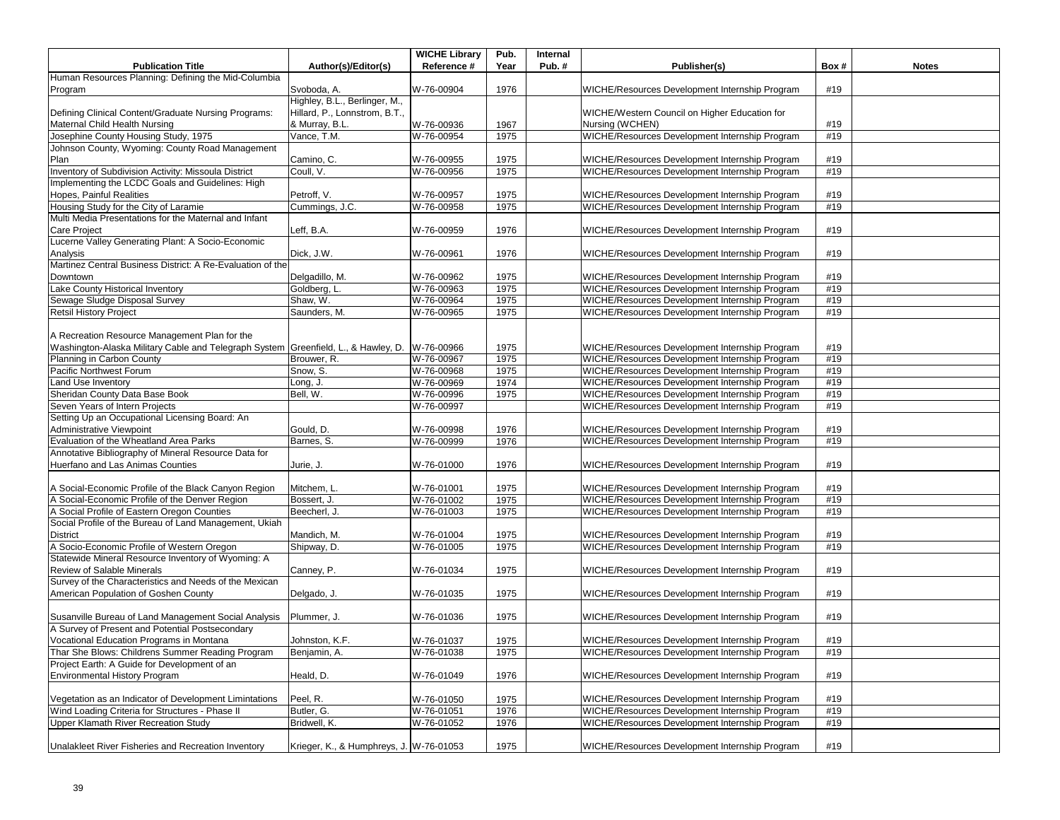| <b>Publication Title</b>                                                                                  |                                         | <b>WICHE Library</b><br>Reference # | Pub.<br>Year | Internal<br>Pub.# | Publisher(s)                                                                                     | Box# | <b>Notes</b> |
|-----------------------------------------------------------------------------------------------------------|-----------------------------------------|-------------------------------------|--------------|-------------------|--------------------------------------------------------------------------------------------------|------|--------------|
|                                                                                                           | Author(s)/Editor(s)                     |                                     |              |                   |                                                                                                  |      |              |
| Human Resources Planning: Defining the Mid-Columbia                                                       |                                         |                                     |              |                   |                                                                                                  |      |              |
| Program                                                                                                   | Svoboda, A.                             | W-76-00904                          | 1976         |                   | WICHE/Resources Development Internship Program                                                   | #19  |              |
|                                                                                                           | Highley, B.L., Berlinger, M.,           |                                     |              |                   |                                                                                                  |      |              |
| Defining Clinical Content/Graduate Nursing Programs:                                                      | Hillard, P., Lonnstrom, B.T.,           |                                     |              |                   | WICHE/Western Council on Higher Education for                                                    |      |              |
| Maternal Child Health Nursing                                                                             | & Murray, B.L.                          | W-76-00936                          | 1967         |                   | Nursing (WCHEN)                                                                                  | #19  |              |
| Josephine County Housing Study, 1975                                                                      | Vance, T.M.                             | W-76-00954                          | 1975         |                   | WICHE/Resources Development Internship Program                                                   | #19  |              |
| Johnson County, Wyoming: County Road Management                                                           |                                         |                                     |              |                   |                                                                                                  |      |              |
| Plan                                                                                                      | Camino, C.                              | W-76-00955                          | 1975         |                   | WICHE/Resources Development Internship Program                                                   | #19  |              |
| Inventory of Subdivision Activity: Missoula District                                                      | Coull, V.                               | W-76-00956                          | 1975         |                   | WICHE/Resources Development Internship Program                                                   | #19  |              |
| Implementing the LCDC Goals and Guidelines: High                                                          |                                         |                                     |              |                   |                                                                                                  |      |              |
| Hopes, Painful Realities                                                                                  | Petroff, V.                             | W-76-00957                          | 1975         |                   | WICHE/Resources Development Internship Program                                                   | #19  |              |
| Housing Study for the City of Laramie                                                                     | Cummings, J.C.                          | W-76-00958                          | 1975         |                   | WICHE/Resources Development Internship Program                                                   | #19  |              |
| Multi Media Presentations for the Maternal and Infant                                                     |                                         |                                     |              |                   |                                                                                                  |      |              |
| <b>Care Project</b>                                                                                       | Leff, B.A.                              | W-76-00959                          | 1976         |                   | WICHE/Resources Development Internship Program                                                   | #19  |              |
| Lucerne Valley Generating Plant: A Socio-Economic                                                         |                                         |                                     |              |                   |                                                                                                  |      |              |
| Analysis                                                                                                  | Dick, J.W.                              | W-76-00961                          | 1976         |                   | WICHE/Resources Development Internship Program                                                   | #19  |              |
| Martinez Central Business District: A Re-Evaluation of the                                                |                                         |                                     |              |                   |                                                                                                  |      |              |
| Downtown                                                                                                  | Delgadillo, M.                          | W-76-00962                          | 1975         |                   | WICHE/Resources Development Internship Program                                                   | #19  |              |
|                                                                                                           |                                         |                                     |              |                   |                                                                                                  |      |              |
| Lake County Historical Inventory                                                                          | Goldberg, L                             | W-76-00963                          | 1975         |                   | WICHE/Resources Development Internship Program                                                   | #19  |              |
| Sewage Sludge Disposal Survey                                                                             | Shaw, W.                                | W-76-00964                          | 1975         |                   | WICHE/Resources Development Internship Program                                                   | #19  |              |
| <b>Retsil History Project</b>                                                                             | Saunders, M.                            | W-76-00965                          | 1975         |                   | WICHE/Resources Development Internship Program                                                   | #19  |              |
|                                                                                                           |                                         |                                     |              |                   |                                                                                                  |      |              |
| A Recreation Resource Management Plan for the                                                             |                                         |                                     |              |                   |                                                                                                  |      |              |
| Washington-Alaska Military Cable and Telegraph System Greenfield, L., & Hawley, D.                        |                                         | W-76-00966                          | 1975         |                   | WICHE/Resources Development Internship Program                                                   | #19  |              |
| Planning in Carbon County                                                                                 | Brouwer, R.                             | W-76-00967                          | 1975         |                   | WICHE/Resources Development Internship Program                                                   | #19  |              |
| Pacific Northwest Forum                                                                                   | Snow, S.                                | W-76-00968                          | 1975         |                   | WICHE/Resources Development Internship Program                                                   | #19  |              |
| Land Use Inventory                                                                                        | Long, J.                                | W-76-00969                          | 1974         |                   | WICHE/Resources Development Internship Program                                                   | #19  |              |
| Sheridan County Data Base Book                                                                            | Bell, W.                                | W-76-00996                          | 1975         |                   | WICHE/Resources Development Internship Program                                                   | #19  |              |
| Seven Years of Intern Projects                                                                            |                                         | W-76-00997                          |              |                   | WICHE/Resources Development Internship Program                                                   | #19  |              |
| Setting Up an Occupational Licensing Board: An                                                            |                                         |                                     |              |                   |                                                                                                  |      |              |
| <b>Administrative Viewpoint</b>                                                                           | Gould, D.                               | W-76-00998                          | 1976         |                   | WICHE/Resources Development Internship Program                                                   | #19  |              |
| Evaluation of the Wheatland Area Parks                                                                    | Barnes, S.                              | W-76-00999                          | 1976         |                   | WICHE/Resources Development Internship Program                                                   | #19  |              |
| Annotative Bibliography of Mineral Resource Data for                                                      |                                         |                                     |              |                   |                                                                                                  |      |              |
| Huerfano and Las Animas Counties                                                                          | Jurie, J.                               | W-76-01000                          | 1976         |                   | WICHE/Resources Development Internship Program                                                   | #19  |              |
|                                                                                                           |                                         |                                     |              |                   |                                                                                                  |      |              |
|                                                                                                           | Mitchem, L                              | W-76-01001                          | 1975         |                   |                                                                                                  | #19  |              |
| A Social-Economic Profile of the Black Canyon Region<br>A Social-Economic Profile of the Denver Region    |                                         |                                     |              |                   | WICHE/Resources Development Internship Program<br>WICHE/Resources Development Internship Program | #19  |              |
|                                                                                                           | Bossert, J.                             | W-76-01002                          | 1975         |                   |                                                                                                  |      |              |
| A Social Profile of Eastern Oregon Counties                                                               | Beecherl, J.                            | W-76-01003                          | 1975         |                   | WICHE/Resources Development Internship Program                                                   | #19  |              |
| Social Profile of the Bureau of Land Management, Ukiah                                                    |                                         |                                     |              |                   |                                                                                                  |      |              |
| <b>District</b>                                                                                           | Mandich, M.                             | W-76-01004                          | 1975         |                   | WICHE/Resources Development Internship Program                                                   | #19  |              |
| A Socio-Economic Profile of Western Oregon                                                                | Shipway, D.                             | W-76-01005                          | 1975         |                   | WICHE/Resources Development Internship Program                                                   | #19  |              |
| Statewide Mineral Resource Inventory of Wyoming: A                                                        |                                         |                                     |              |                   |                                                                                                  |      |              |
| Review of Salable Minerals                                                                                | Canney, P.                              | W-76-01034                          | 1975         |                   | WICHE/Resources Development Internship Program                                                   | #19  |              |
| Survey of the Characteristics and Needs of the Mexican                                                    |                                         |                                     |              |                   |                                                                                                  |      |              |
| American Population of Goshen County                                                                      | Delgado, J.                             | W-76-01035                          | 1975         |                   | WICHE/Resources Development Internship Program                                                   | #19  |              |
|                                                                                                           |                                         |                                     |              |                   |                                                                                                  |      |              |
| Susanville Bureau of Land Management Social Analysis                                                      | Plummer, J.                             | W-76-01036                          | 1975         |                   | WICHE/Resources Development Internship Program                                                   | #19  |              |
| A Survey of Present and Potential Postsecondary                                                           |                                         |                                     |              |                   |                                                                                                  |      |              |
| Vocational Education Programs in Montana                                                                  | Johnston, K.F.                          | W-76-01037                          | 1975         |                   | WICHE/Resources Development Internship Program                                                   | #19  |              |
| Thar She Blows: Childrens Summer Reading Program                                                          | Benjamin, A.                            | W-76-01038                          | 1975         |                   | WICHE/Resources Development Internship Program                                                   | #19  |              |
| Project Earth: A Guide for Development of an                                                              |                                         |                                     |              |                   |                                                                                                  |      |              |
| Environmental History Program                                                                             | Heald, D.                               | W-76-01049                          | 1976         |                   | WICHE/Resources Development Internship Program                                                   | #19  |              |
|                                                                                                           |                                         |                                     |              |                   |                                                                                                  |      |              |
|                                                                                                           | Peel, R.                                |                                     |              |                   | WICHE/Resources Development Internship Program                                                   | #19  |              |
| Vegetation as an Indicator of Development Limintations<br>Wind Loading Criteria for Structures - Phase II | Butler, G.                              | W-76-01050                          | 1975<br>1976 |                   | WICHE/Resources Development Internship Program                                                   | #19  |              |
|                                                                                                           |                                         | W-76-01051                          |              |                   |                                                                                                  |      |              |
| Upper Klamath River Recreation Study                                                                      | Bridwell, K.                            | W-76-01052                          | 1976         |                   | WICHE/Resources Development Internship Program                                                   | #19  |              |
|                                                                                                           |                                         |                                     |              |                   |                                                                                                  |      |              |
| Unalakleet River Fisheries and Recreation Inventory                                                       | Krieger, K., & Humphreys, J. W-76-01053 |                                     | 1975         |                   | WICHE/Resources Development Internship Program                                                   | #19  |              |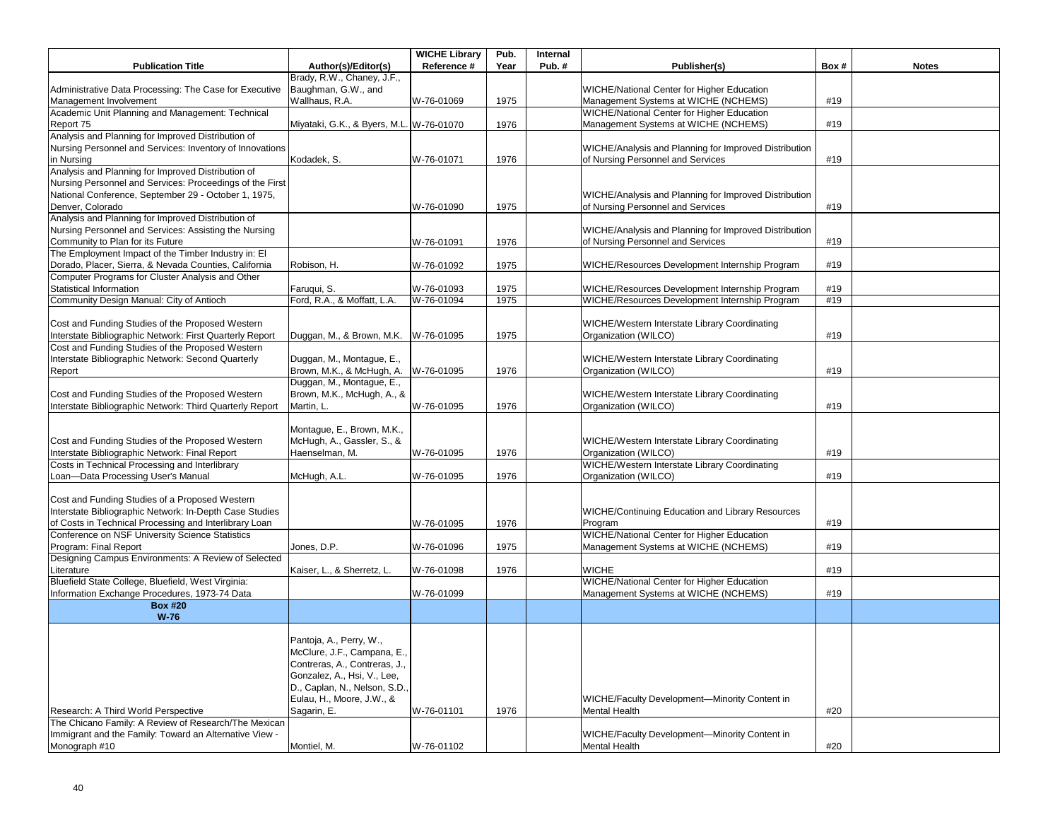| <b>Publication Title</b>                                               | Author(s)/Editor(s)                      | <b>WICHE Library</b><br>Reference # | Pub.<br>Year | Internal<br>Pub. $#$ | Publisher(s)                                                                       | Box# | <b>Notes</b> |
|------------------------------------------------------------------------|------------------------------------------|-------------------------------------|--------------|----------------------|------------------------------------------------------------------------------------|------|--------------|
|                                                                        | Brady, R.W., Chaney, J.F.,               |                                     |              |                      |                                                                                    |      |              |
| Administrative Data Processing: The Case for Executive                 | Baughman, G.W., and                      |                                     |              |                      | <b>WICHE/National Center for Higher Education</b>                                  |      |              |
| Management Involvement                                                 | Wallhaus, R.A.                           | W-76-01069                          | 1975         |                      | Management Systems at WICHE (NCHEMS)                                               | #19  |              |
| Academic Unit Planning and Management: Technical                       |                                          |                                     |              |                      | WICHE/National Center for Higher Education                                         |      |              |
| Report 75                                                              | Miyataki, G.K., & Byers, M.L. W-76-01070 |                                     | 1976         |                      | Management Systems at WICHE (NCHEMS)                                               | #19  |              |
| Analysis and Planning for Improved Distribution of                     |                                          |                                     |              |                      |                                                                                    |      |              |
| Nursing Personnel and Services: Inventory of Innovations               |                                          |                                     |              |                      | WICHE/Analysis and Planning for Improved Distribution                              |      |              |
| in Nursing                                                             | Kodadek, S.                              | W-76-01071                          | 1976         |                      | of Nursing Personnel and Services                                                  | #19  |              |
| Analysis and Planning for Improved Distribution of                     |                                          |                                     |              |                      |                                                                                    |      |              |
| Nursing Personnel and Services: Proceedings of the First               |                                          |                                     |              |                      |                                                                                    |      |              |
| National Conference, September 29 - October 1, 1975,                   |                                          |                                     |              |                      | WICHE/Analysis and Planning for Improved Distribution                              |      |              |
| Denver, Colorado<br>Analysis and Planning for Improved Distribution of |                                          | W-76-01090                          | 1975         |                      | of Nursing Personnel and Services                                                  | #19  |              |
| Nursing Personnel and Services: Assisting the Nursing                  |                                          |                                     |              |                      | WICHE/Analysis and Planning for Improved Distribution                              |      |              |
| Community to Plan for its Future                                       |                                          | W-76-01091                          | 1976         |                      | of Nursing Personnel and Services                                                  | #19  |              |
| The Employment Impact of the Timber Industry in: El                    |                                          |                                     |              |                      |                                                                                    |      |              |
| Dorado, Placer, Sierra, & Nevada Counties, California                  | Robison, H.                              | W-76-01092                          | 1975         |                      | WICHE/Resources Development Internship Program                                     | #19  |              |
| Computer Programs for Cluster Analysis and Other                       |                                          |                                     |              |                      |                                                                                    |      |              |
| Statistical Information                                                | Faruqui, S.                              | W-76-01093                          | 1975         |                      | WICHE/Resources Development Internship Program                                     | #19  |              |
| Community Design Manual: City of Antioch                               | Ford, R.A., & Moffatt, L.A.              | W-76-01094                          | 1975         |                      | WICHE/Resources Development Internship Program                                     | #19  |              |
|                                                                        |                                          |                                     |              |                      |                                                                                    |      |              |
| Cost and Funding Studies of the Proposed Western                       |                                          |                                     |              |                      | WICHE/Western Interstate Library Coordinating                                      |      |              |
| Interstate Bibliographic Network: First Quarterly Report               | Duggan, M., & Brown, M.K.                | W-76-01095                          | 1975         |                      | Organization (WILCO)                                                               | #19  |              |
| Cost and Funding Studies of the Proposed Western                       |                                          |                                     |              |                      |                                                                                    |      |              |
| Interstate Bibliographic Network: Second Quarterly                     | Duggan, M., Montague, E.,                |                                     |              |                      | WICHE/Western Interstate Library Coordinating                                      |      |              |
| Report                                                                 | Brown, M.K., & McHugh, A.                | W-76-01095                          | 1976         |                      | Organization (WILCO)                                                               | #19  |              |
|                                                                        | Duggan, M., Montague, E.,                |                                     |              |                      |                                                                                    |      |              |
| Cost and Funding Studies of the Proposed Western                       | Brown, M.K., McHugh, A., &               |                                     |              |                      | WICHE/Western Interstate Library Coordinating                                      |      |              |
| Interstate Bibliographic Network: Third Quarterly Report               | Martin, L.                               | W-76-01095                          | 1976         |                      | Organization (WILCO)                                                               | #19  |              |
|                                                                        | Montaque, E., Brown, M.K.,               |                                     |              |                      |                                                                                    |      |              |
| Cost and Funding Studies of the Proposed Western                       | McHugh, A., Gassler, S., &               |                                     |              |                      | WICHE/Western Interstate Library Coordinating                                      |      |              |
| Interstate Bibliographic Network: Final Report                         | Haenselman, M.                           | W-76-01095                          | 1976         |                      | Organization (WILCO)                                                               | #19  |              |
| Costs in Technical Processing and Interlibrary                         |                                          |                                     |              |                      | WICHE/Western Interstate Library Coordinating                                      |      |              |
| Loan-Data Processing User's Manual                                     | McHugh, A.L.                             | W-76-01095                          | 1976         |                      | Organization (WILCO)                                                               | #19  |              |
|                                                                        |                                          |                                     |              |                      |                                                                                    |      |              |
| Cost and Funding Studies of a Proposed Western                         |                                          |                                     |              |                      |                                                                                    |      |              |
| Interstate Bibliographic Network: In-Depth Case Studies                |                                          |                                     |              |                      | <b>WICHE/Continuing Education and Library Resources</b>                            |      |              |
| of Costs in Technical Processing and Interlibrary Loan                 |                                          | W-76-01095                          | 1976         |                      | Program                                                                            | #19  |              |
| Conference on NSF University Science Statistics                        |                                          |                                     |              |                      | WICHE/National Center for Higher Education                                         |      |              |
| Program: Final Report                                                  | Jones, D.P.                              | W-76-01096                          | 1975         |                      | Management Systems at WICHE (NCHEMS)                                               | #19  |              |
| Designing Campus Environments: A Review of Selected                    |                                          |                                     |              |                      |                                                                                    |      |              |
| Literature<br>Bluefield State College, Bluefield, West Virginia:       | Kaiser, L., & Sherretz, L.               | W-76-01098                          | 1976         |                      | <b>WICHE</b>                                                                       | #19  |              |
| Information Exchange Procedures, 1973-74 Data                          |                                          | W-76-01099                          |              |                      | WICHE/National Center for Higher Education<br>Management Systems at WICHE (NCHEMS) | #19  |              |
| <b>Box #20</b>                                                         |                                          |                                     |              |                      |                                                                                    |      |              |
| $W-76$                                                                 |                                          |                                     |              |                      |                                                                                    |      |              |
|                                                                        |                                          |                                     |              |                      |                                                                                    |      |              |
|                                                                        | Pantoja, A., Perry, W.,                  |                                     |              |                      |                                                                                    |      |              |
|                                                                        | McClure, J.F., Campana, E.,              |                                     |              |                      |                                                                                    |      |              |
|                                                                        | Contreras, A., Contreras, J.,            |                                     |              |                      |                                                                                    |      |              |
|                                                                        | Gonzalez, A., Hsi, V., Lee,              |                                     |              |                      |                                                                                    |      |              |
|                                                                        | D., Caplan, N., Nelson, S.D.,            |                                     |              |                      |                                                                                    |      |              |
|                                                                        | Eulau, H., Moore, J.W., &                |                                     |              |                      | WICHE/Faculty Development-Minority Content in                                      |      |              |
| Research: A Third World Perspective                                    | Sagarin, E.                              | W-76-01101                          | 1976         |                      | <b>Mental Health</b>                                                               | #20  |              |
| The Chicano Family: A Review of Research/The Mexican                   |                                          |                                     |              |                      |                                                                                    |      |              |
| Immigrant and the Family: Toward an Alternative View -                 |                                          |                                     |              |                      | WICHE/Faculty Development-Minority Content in                                      |      |              |
| Monograph #10                                                          | Montiel, M.                              | W-76-01102                          |              |                      | <b>Mental Health</b>                                                               | #20  |              |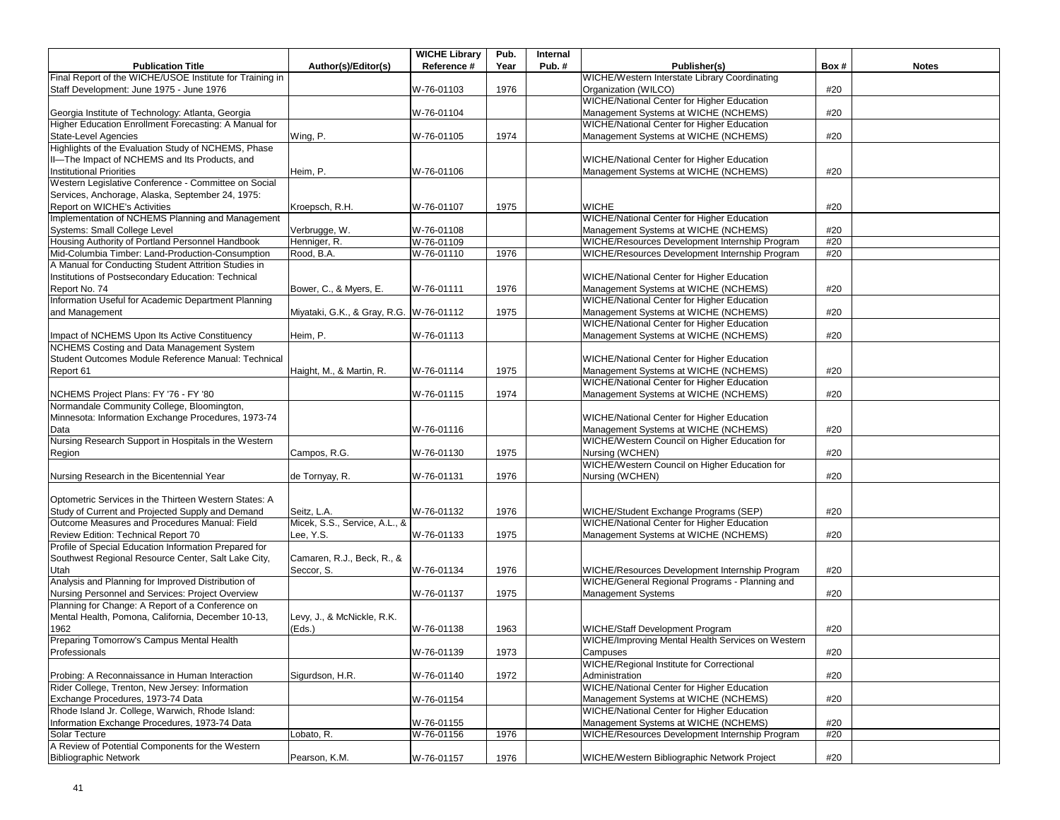|                                                          |                                         | <b>WICHE Library</b> | Pub. | Internal |                                                   |      |              |
|----------------------------------------------------------|-----------------------------------------|----------------------|------|----------|---------------------------------------------------|------|--------------|
| <b>Publication Title</b>                                 | Author(s)/Editor(s)                     | Reference #          | Year | Pub.#    | Publisher(s)                                      | Box# | <b>Notes</b> |
| Final Report of the WICHE/USOE Institute for Training in |                                         |                      |      |          | WICHE/Western Interstate Library Coordinating     |      |              |
| Staff Development: June 1975 - June 1976                 |                                         | W-76-01103           | 1976 |          | Organization (WILCO)                              | #20  |              |
|                                                          |                                         |                      |      |          | WICHE/National Center for Higher Education        |      |              |
| Georgia Institute of Technology: Atlanta, Georgia        |                                         | W-76-01104           |      |          | Management Systems at WICHE (NCHEMS)              | #20  |              |
| Higher Education Enrollment Forecasting: A Manual for    |                                         |                      |      |          | WICHE/National Center for Higher Education        |      |              |
| <b>State-Level Agencies</b>                              | Wing, P.                                | W-76-01105           | 1974 |          | Management Systems at WICHE (NCHEMS)              | #20  |              |
| Highlights of the Evaluation Study of NCHEMS, Phase      |                                         |                      |      |          |                                                   |      |              |
| II-The Impact of NCHEMS and Its Products, and            |                                         |                      |      |          | WICHE/National Center for Higher Education        |      |              |
| <b>Institutional Priorities</b>                          | Heim, P.                                | W-76-01106           |      |          | Management Systems at WICHE (NCHEMS)              | #20  |              |
| Western Legislative Conference - Committee on Social     |                                         |                      |      |          |                                                   |      |              |
| Services, Anchorage, Alaska, September 24, 1975:         |                                         |                      |      |          |                                                   |      |              |
| Report on WICHE's Activities                             | Kroepsch, R.H.                          | W-76-01107           | 1975 |          | <b>WICHE</b>                                      | #20  |              |
| Implementation of NCHEMS Planning and Management         |                                         |                      |      |          | WICHE/National Center for Higher Education        |      |              |
| Systems: Small College Level                             |                                         | W-76-01108           |      |          | Management Systems at WICHE (NCHEMS)              | #20  |              |
| Housing Authority of Portland Personnel Handbook         | Verbrugge, W.                           |                      |      |          |                                                   | #20  |              |
|                                                          | Henniger, R.                            | W-76-01109           |      |          | WICHE/Resources Development Internship Program    |      |              |
| Mid-Columbia Timber: Land-Production-Consumption         | Rood, B.A.                              | W-76-01110           | 1976 |          | WICHE/Resources Development Internship Program    | #20  |              |
| A Manual for Conducting Student Attrition Studies in     |                                         |                      |      |          |                                                   |      |              |
| Institutions of Postsecondary Education: Technical       |                                         |                      |      |          | WICHE/National Center for Higher Education        |      |              |
| Report No. 74                                            | Bower, C., & Myers, E.                  | W-76-01111           | 1976 |          | Management Systems at WICHE (NCHEMS)              | #20  |              |
| Information Useful for Academic Department Planning      |                                         |                      |      |          | WICHE/National Center for Higher Education        |      |              |
| and Management                                           | Miyataki, G.K., & Gray, R.G. W-76-01112 |                      | 1975 |          | Management Systems at WICHE (NCHEMS)              | #20  |              |
|                                                          |                                         |                      |      |          | WICHE/National Center for Higher Education        |      |              |
| Impact of NCHEMS Upon Its Active Constituency            | Heim, P.                                | W-76-01113           |      |          | Management Systems at WICHE (NCHEMS)              | #20  |              |
| NCHEMS Costing and Data Management System                |                                         |                      |      |          |                                                   |      |              |
| Student Outcomes Module Reference Manual: Technical      |                                         |                      |      |          | WICHE/National Center for Higher Education        |      |              |
| Report 61                                                | Haight, M., & Martin, R.                | W-76-01114           | 1975 |          | Management Systems at WICHE (NCHEMS)              | #20  |              |
|                                                          |                                         |                      |      |          | WICHE/National Center for Higher Education        |      |              |
| NCHEMS Project Plans: FY '76 - FY '80                    |                                         | W-76-01115           | 1974 |          | Management Systems at WICHE (NCHEMS)              | #20  |              |
| Normandale Community College, Bloomington,               |                                         |                      |      |          |                                                   |      |              |
| Minnesota: Information Exchange Procedures, 1973-74      |                                         |                      |      |          | WICHE/National Center for Higher Education        |      |              |
|                                                          |                                         |                      |      |          |                                                   |      |              |
| Data                                                     |                                         | W-76-01116           |      |          | Management Systems at WICHE (NCHEMS)              | #20  |              |
| Nursing Research Support in Hospitals in the Western     |                                         |                      |      |          | WICHE/Western Council on Higher Education for     |      |              |
| Region                                                   | Campos, R.G.                            | W-76-01130           | 1975 |          | Nursing (WCHEN)                                   | #20  |              |
|                                                          |                                         |                      |      |          | WICHE/Western Council on Higher Education for     |      |              |
| Nursing Research in the Bicentennial Year                | de Tornyay, R.                          | W-76-01131           | 1976 |          | Nursing (WCHEN)                                   | #20  |              |
|                                                          |                                         |                      |      |          |                                                   |      |              |
| Optometric Services in the Thirteen Western States: A    |                                         |                      |      |          |                                                   |      |              |
| Study of Current and Projected Supply and Demand         | Seitz, L.A.                             | W-76-01132           | 1976 |          | WICHE/Student Exchange Programs (SEP)             | #20  |              |
| Outcome Measures and Procedures Manual: Field            | Micek, S.S., Service, A.L., &           |                      |      |          | WICHE/National Center for Higher Education        |      |              |
| Review Edition: Technical Report 70                      | Lee, Y.S.                               | W-76-01133           | 1975 |          | Management Systems at WICHE (NCHEMS)              | #20  |              |
| Profile of Special Education Information Prepared for    |                                         |                      |      |          |                                                   |      |              |
| Southwest Regional Resource Center, Salt Lake City,      | Camaren, R.J., Beck, R., &              |                      |      |          |                                                   |      |              |
| Utah                                                     | Seccor, S.                              | W-76-01134           | 1976 |          | WICHE/Resources Development Internship Program    | #20  |              |
| Analysis and Planning for Improved Distribution of       |                                         |                      |      |          | WICHE/General Regional Programs - Planning and    |      |              |
| Nursing Personnel and Services: Project Overview         |                                         | W-76-01137           | 1975 |          | <b>Management Systems</b>                         | #20  |              |
| Planning for Change: A Report of a Conference on         |                                         |                      |      |          |                                                   |      |              |
| Mental Health, Pomona, California, December 10-13,       | Levy, J., & McNickle, R.K.              |                      |      |          |                                                   |      |              |
| 1962                                                     | (Eds.)                                  |                      |      |          | <b>WICHE/Staff Development Program</b>            | #20  |              |
|                                                          |                                         | W-76-01138           | 1963 |          |                                                   |      |              |
| Preparing Tomorrow's Campus Mental Health                |                                         |                      |      |          | WICHE/Improving Mental Health Services on Western |      |              |
| Professionals                                            |                                         | W-76-01139           | 1973 |          | Campuses                                          | #20  |              |
|                                                          |                                         |                      |      |          | WICHE/Regional Institute for Correctional         |      |              |
| Probing: A Reconnaissance in Human Interaction           | Sigurdson, H.R.                         | W-76-01140           | 1972 |          | Administration                                    | #20  |              |
| Rider College, Trenton, New Jersey: Information          |                                         |                      |      |          | WICHE/National Center for Higher Education        |      |              |
| Exchange Procedures, 1973-74 Data                        |                                         | W-76-01154           |      |          | Management Systems at WICHE (NCHEMS)              | #20  |              |
| Rhode Island Jr. College, Warwich, Rhode Island:         |                                         |                      |      |          | WICHE/National Center for Higher Education        |      |              |
| Information Exchange Procedures, 1973-74 Data            |                                         | W-76-01155           |      |          | Management Systems at WICHE (NCHEMS)              | #20  |              |
| Solar Tecture                                            | Lobato, R.                              | W-76-01156           | 1976 |          | WICHE/Resources Development Internship Program    | #20  |              |
| A Review of Potential Components for the Western         |                                         |                      |      |          |                                                   |      |              |
| <b>Bibliographic Network</b>                             | Pearson, K.M.                           | W-76-01157           | 1976 |          | WICHE/Western Bibliographic Network Project       | #20  |              |
|                                                          |                                         |                      |      |          |                                                   |      |              |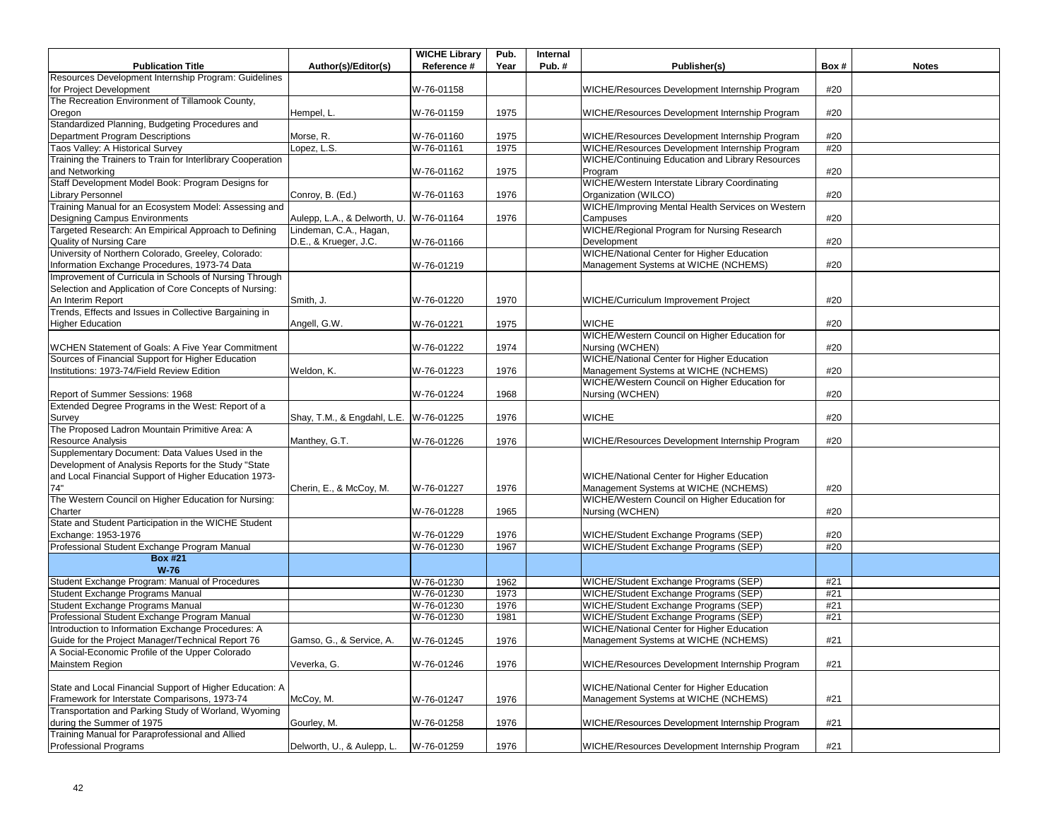|                                                             |                                        | <b>WICHE Library</b> | Pub. | Internal |                                                   |      |              |
|-------------------------------------------------------------|----------------------------------------|----------------------|------|----------|---------------------------------------------------|------|--------------|
| <b>Publication Title</b>                                    | Author(s)/Editor(s)                    | Reference #          | Year | Pub.#    | Publisher(s)                                      | Box# | <b>Notes</b> |
| Resources Development Internship Program: Guidelines        |                                        |                      |      |          |                                                   |      |              |
| for Project Development                                     |                                        | W-76-01158           |      |          | WICHE/Resources Development Internship Program    | #20  |              |
| The Recreation Environment of Tillamook County,             |                                        |                      |      |          |                                                   |      |              |
| Oregon                                                      | Hempel, L.                             | W-76-01159           | 1975 |          | WICHE/Resources Development Internship Program    | #20  |              |
| Standardized Planning, Budgeting Procedures and             |                                        |                      |      |          |                                                   |      |              |
| Department Program Descriptions                             | Morse, R.                              | W-76-01160           | 1975 |          | WICHE/Resources Development Internship Program    | #20  |              |
| Taos Valley: A Historical Survey                            | Lopez, L.S.                            | W-76-01161           | 1975 |          | WICHE/Resources Development Internship Program    | #20  |              |
| Training the Trainers to Train for Interlibrary Cooperation |                                        |                      |      |          | WICHE/Continuing Education and Library Resources  |      |              |
| and Networking                                              |                                        | W-76-01162           | 1975 |          | Program                                           | #20  |              |
| Staff Development Model Book: Program Designs for           |                                        |                      |      |          | WICHE/Western Interstate Library Coordinating     |      |              |
| <b>Library Personnel</b>                                    | Conroy, B. (Ed.)                       | W-76-01163           | 1976 |          | Organization (WILCO)                              | #20  |              |
| Training Manual for an Ecosystem Model: Assessing and       |                                        |                      |      |          | WICHE/Improving Mental Health Services on Western |      |              |
| Designing Campus Environments                               | Aulepp, L.A., & Delworth, U.           | W-76-01164           | 1976 |          | Campuses                                          | #20  |              |
| Targeted Research: An Empirical Approach to Defining        | Lindeman, C.A., Hagan,                 |                      |      |          | WICHE/Regional Program for Nursing Research       |      |              |
| Quality of Nursing Care                                     | D.E., & Krueger, J.C.                  | W-76-01166           |      |          | Development                                       | #20  |              |
| University of Northern Colorado, Greeley, Colorado:         |                                        |                      |      |          | WICHE/National Center for Higher Education        |      |              |
| Information Exchange Procedures, 1973-74 Data               |                                        | W-76-01219           |      |          | Management Systems at WICHE (NCHEMS)              | #20  |              |
| Improvement of Curricula in Schools of Nursing Through      |                                        |                      |      |          |                                                   |      |              |
| Selection and Application of Core Concepts of Nursing:      |                                        |                      |      |          |                                                   |      |              |
| An Interim Report                                           | Smith, J.                              | W-76-01220           | 1970 |          | WICHE/Curriculum Improvement Project              | #20  |              |
| Trends, Effects and Issues in Collective Bargaining in      |                                        |                      |      |          |                                                   |      |              |
| <b>Higher Education</b>                                     | Angell, G.W.                           | W-76-01221           | 1975 |          | <b>WICHE</b>                                      | #20  |              |
|                                                             |                                        |                      |      |          | WICHE/Western Council on Higher Education for     |      |              |
| <b>WCHEN Statement of Goals: A Five Year Commitment</b>     |                                        | W-76-01222           | 1974 |          | Nursing (WCHEN)                                   | #20  |              |
| Sources of Financial Support for Higher Education           |                                        |                      |      |          | WICHE/National Center for Higher Education        |      |              |
| Institutions: 1973-74/Field Review Edition                  | Weldon, K.                             | W-76-01223           | 1976 |          | Management Systems at WICHE (NCHEMS)              | #20  |              |
|                                                             |                                        |                      |      |          | WICHE/Western Council on Higher Education for     |      |              |
| Report of Summer Sessions: 1968                             |                                        | W-76-01224           | 1968 |          | Nursing (WCHEN)                                   | #20  |              |
| Extended Degree Programs in the West: Report of a           |                                        |                      |      |          |                                                   |      |              |
| Survey                                                      | Shay, T.M., & Engdahl, L.E. W-76-01225 |                      | 1976 |          | <b>WICHE</b>                                      | #20  |              |
| The Proposed Ladron Mountain Primitive Area: A              |                                        |                      |      |          |                                                   |      |              |
| Resource Analysis                                           | Manthey, G.T.                          | W-76-01226           | 1976 |          | WICHE/Resources Development Internship Program    | #20  |              |
| Supplementary Document: Data Values Used in the             |                                        |                      |      |          |                                                   |      |              |
| Development of Analysis Reports for the Study "State        |                                        |                      |      |          |                                                   |      |              |
| and Local Financial Support of Higher Education 1973-       |                                        |                      |      |          | WICHE/National Center for Higher Education        |      |              |
| 74"                                                         | Cherin, E., & McCoy, M.                | W-76-01227           | 1976 |          | Management Systems at WICHE (NCHEMS)              | #20  |              |
| The Western Council on Higher Education for Nursing:        |                                        |                      |      |          | WICHE/Western Council on Higher Education for     |      |              |
| Charter                                                     |                                        | W-76-01228           | 1965 |          | Nursing (WCHEN)                                   | #20  |              |
| State and Student Participation in the WICHE Student        |                                        |                      |      |          |                                                   |      |              |
| Exchange: 1953-1976                                         |                                        | W-76-01229           | 1976 |          | WICHE/Student Exchange Programs (SEP)             | #20  |              |
| Professional Student Exchange Program Manual                |                                        | W-76-01230           | 1967 |          | WICHE/Student Exchange Programs (SEP)             | #20  |              |
| <b>Box #21</b>                                              |                                        |                      |      |          |                                                   |      |              |
| $W-76$                                                      |                                        |                      |      |          |                                                   |      |              |
| Student Exchange Program: Manual of Procedures              |                                        | W-76-01230           | 1962 |          | WICHE/Student Exchange Programs (SEP)             | #21  |              |
| Student Exchange Programs Manual                            |                                        | W-76-01230           | 1973 |          | WICHE/Student Exchange Programs (SEP)             | #21  |              |
| Student Exchange Programs Manual                            |                                        | W-76-01230           | 1976 |          | WICHE/Student Exchange Programs (SEP)             | #21  |              |
| Professional Student Exchange Program Manual                |                                        | W-76-01230           | 1981 |          | WICHE/Student Exchange Programs (SEP)             | #21  |              |
| Introduction to Information Exchange Procedures: A          |                                        |                      |      |          | WICHE/National Center for Higher Education        |      |              |
| Guide for the Project Manager/Technical Report 76           | Gamso, G., & Service, A.               | W-76-01245           | 1976 |          | Management Systems at WICHE (NCHEMS)              | #21  |              |
| A Social-Economic Profile of the Upper Colorado             |                                        |                      |      |          |                                                   |      |              |
| <b>Mainstem Region</b>                                      | Veverka, G.                            | W-76-01246           | 1976 |          | WICHE/Resources Development Internship Program    | #21  |              |
|                                                             |                                        |                      |      |          |                                                   |      |              |
| State and Local Financial Support of Higher Education: A    |                                        |                      |      |          | WICHE/National Center for Higher Education        |      |              |
| Framework for Interstate Comparisons, 1973-74               | McCoy, M.                              | W-76-01247           | 1976 |          | Management Systems at WICHE (NCHEMS)              | #21  |              |
| Transportation and Parking Study of Worland, Wyoming        |                                        |                      |      |          |                                                   |      |              |
| during the Summer of 1975                                   | Gourley, M.                            | W-76-01258           | 1976 |          | WICHE/Resources Development Internship Program    | #21  |              |
| Training Manual for Paraprofessional and Allied             |                                        |                      |      |          |                                                   |      |              |
| <b>Professional Programs</b>                                | Delworth, U., & Aulepp, L.             | W-76-01259           | 1976 |          | WICHE/Resources Development Internship Program    | #21  |              |
|                                                             |                                        |                      |      |          |                                                   |      |              |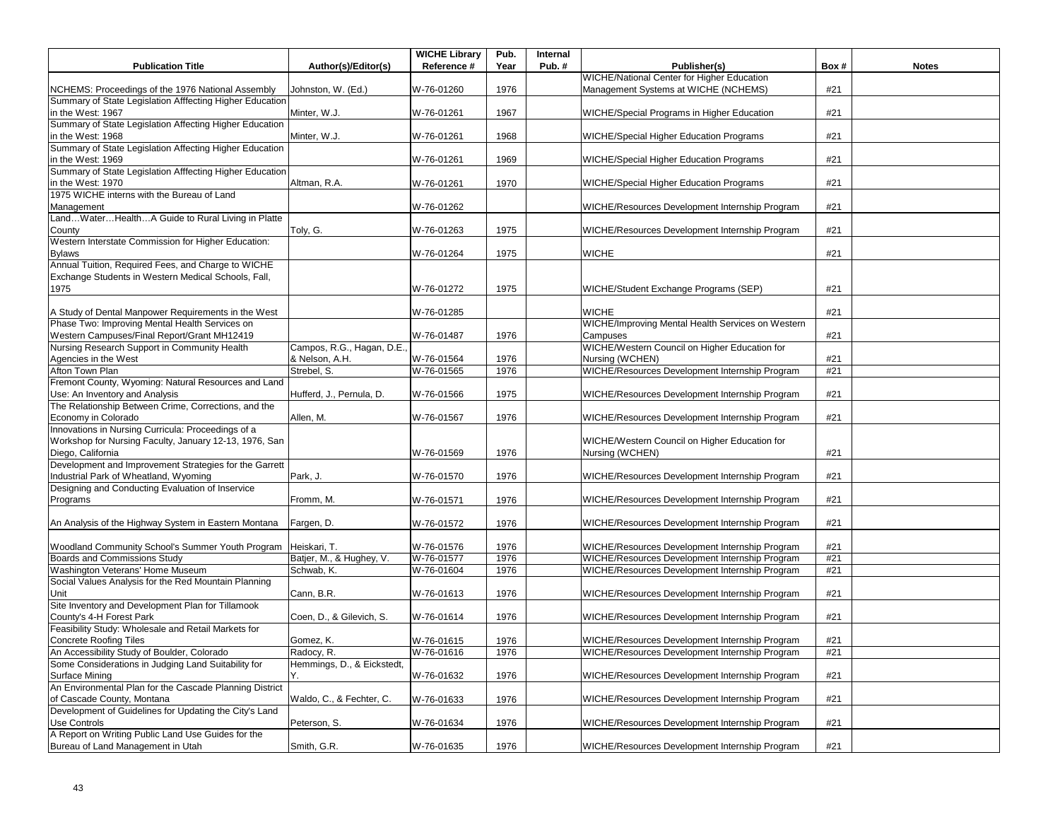|                                                                              |                            | <b>WICHE Library</b> | Pub. | Internal |                                                   |      |              |
|------------------------------------------------------------------------------|----------------------------|----------------------|------|----------|---------------------------------------------------|------|--------------|
| <b>Publication Title</b>                                                     | Author(s)/Editor(s)        | Reference #          | Year | Pub. $#$ | Publisher(s)                                      | Box# | <b>Notes</b> |
|                                                                              |                            |                      |      |          | <b>WICHE/National Center for Higher Education</b> |      |              |
| NCHEMS: Proceedings of the 1976 National Assembly                            | Johnston, W. (Ed.)         | W-76-01260           | 1976 |          | Management Systems at WICHE (NCHEMS)              | #21  |              |
| Summary of State Legislation Afffecting Higher Education                     |                            |                      |      |          |                                                   |      |              |
| in the West: 1967                                                            | Minter, W.J.               | W-76-01261           | 1967 |          | WICHE/Special Programs in Higher Education        | #21  |              |
| Summary of State Legislation Affecting Higher Education<br>in the West: 1968 | Minter. W.J.               |                      |      |          |                                                   |      |              |
| Summary of State Legislation Affecting Higher Education                      |                            | W-76-01261           | 1968 |          | WICHE/Special Higher Education Programs           | #21  |              |
|                                                                              |                            |                      |      |          |                                                   |      |              |
| in the West: 1969                                                            |                            | W-76-01261           | 1969 |          | WICHE/Special Higher Education Programs           | #21  |              |
| Summary of State Legislation Afffecting Higher Education                     |                            |                      |      |          |                                                   |      |              |
| in the West: 1970<br>1975 WICHE interns with the Bureau of Land              | Altman, R.A.               | W-76-01261           | 1970 |          | WICHE/Special Higher Education Programs           | #21  |              |
|                                                                              |                            |                      |      |          |                                                   | #21  |              |
| Management<br>LandWaterHealthA Guide to Rural Living in Platte               |                            | W-76-01262           |      |          | WICHE/Resources Development Internship Program    |      |              |
|                                                                              |                            |                      |      |          | WICHE/Resources Development Internship Program    |      |              |
| County<br>Western Interstate Commission for Higher Education:                | Toly, G.                   | W-76-01263           | 1975 |          |                                                   | #21  |              |
|                                                                              |                            |                      |      |          |                                                   |      |              |
| <b>Bylaws</b>                                                                |                            | W-76-01264           | 1975 |          | <b>WICHE</b>                                      | #21  |              |
| Annual Tuition, Required Fees, and Charge to WICHE                           |                            |                      |      |          |                                                   |      |              |
| Exchange Students in Western Medical Schools, Fall,                          |                            |                      |      |          |                                                   |      |              |
| 1975                                                                         |                            | W-76-01272           | 1975 |          | WICHE/Student Exchange Programs (SEP)             | #21  |              |
|                                                                              |                            |                      |      |          | <b>WICHE</b>                                      |      |              |
| A Study of Dental Manpower Requirements in the West                          |                            | W-76-01285           |      |          | WICHE/Improving Mental Health Services on Western | #21  |              |
| Phase Two: Improving Mental Health Services on                               |                            |                      |      |          |                                                   |      |              |
| Western Campuses/Final Report/Grant MH12419                                  |                            | W-76-01487           | 1976 |          | Campuses                                          | #21  |              |
| Nursing Research Support in Community Health                                 | Campos, R.G., Hagan, D.E.  |                      |      |          | WICHE/Western Council on Higher Education for     |      |              |
| Agencies in the West                                                         | & Nelson, A.H.             | W-76-01564           | 1976 |          | Nursing (WCHEN)                                   | #21  |              |
| Afton Town Plan                                                              | Strebel, S.                | W-76-01565           | 1976 |          | WICHE/Resources Development Internship Program    | #21  |              |
| Fremont County, Wyoming: Natural Resources and Land                          |                            |                      |      |          |                                                   |      |              |
| Use: An Inventory and Analysis                                               | Hufferd, J., Pernula, D.   | W-76-01566           | 1975 |          | WICHE/Resources Development Internship Program    | #21  |              |
| The Relationship Between Crime, Corrections, and the                         |                            |                      |      |          |                                                   |      |              |
| Economy in Colorado                                                          | Allen, M.                  | W-76-01567           | 1976 |          | WICHE/Resources Development Internship Program    | #21  |              |
| Innovations in Nursing Curricula: Proceedings of a                           |                            |                      |      |          |                                                   |      |              |
| Workshop for Nursing Faculty, January 12-13, 1976, San                       |                            |                      |      |          | WICHE/Western Council on Higher Education for     |      |              |
| Diego, California                                                            |                            | W-76-01569           | 1976 |          | Nursing (WCHEN)                                   | #21  |              |
| Development and Improvement Strategies for the Garrett                       |                            |                      |      |          |                                                   |      |              |
| Industrial Park of Wheatland, Wyoming                                        | Park, J.                   | W-76-01570           | 1976 |          | WICHE/Resources Development Internship Program    | #21  |              |
| Designing and Conducting Evaluation of Inservice                             |                            |                      |      |          |                                                   |      |              |
| Programs                                                                     | Fromm, M.                  | W-76-01571           | 1976 |          | WICHE/Resources Development Internship Program    | #21  |              |
|                                                                              |                            |                      |      |          |                                                   |      |              |
| An Analysis of the Highway System in Eastern Montana                         | Fargen, D.                 | W-76-01572           | 1976 |          | WICHE/Resources Development Internship Program    | #21  |              |
|                                                                              |                            |                      |      |          |                                                   |      |              |
| Woodland Community School's Summer Youth Program                             | Heiskari, T.               | W-76-01576           | 1976 |          | WICHE/Resources Development Internship Program    | #21  |              |
| Boards and Commissions Study                                                 | Batjer, M., & Hughey, V.   | W-76-01577           | 1976 |          | WICHE/Resources Development Internship Program    | #21  |              |
| Washington Veterans' Home Museum                                             | Schwab, K.                 | W-76-01604           | 1976 |          | WICHE/Resources Development Internship Program    | #21  |              |
| Social Values Analysis for the Red Mountain Planning                         |                            |                      |      |          |                                                   |      |              |
| Unit                                                                         | Cann, B.R.                 | W-76-01613           | 1976 |          | WICHE/Resources Development Internship Program    | #21  |              |
| Site Inventory and Development Plan for Tillamook                            |                            |                      |      |          |                                                   |      |              |
| County's 4-H Forest Park                                                     | Coen, D., & Gilevich, S.   | W-76-01614           | 1976 |          | WICHE/Resources Development Internship Program    | #21  |              |
| Feasibility Study: Wholesale and Retail Markets for                          |                            |                      |      |          |                                                   |      |              |
| <b>Concrete Roofing Tiles</b>                                                | Gomez, K.                  | W-76-01615           | 1976 |          | WICHE/Resources Development Internship Program    | #21  |              |
| An Accessibility Study of Boulder, Colorado                                  | Radocy, R.                 | W-76-01616           | 1976 |          | WICHE/Resources Development Internship Program    | #21  |              |
| Some Considerations in Judging Land Suitability for                          | Hemmings, D., & Eickstedt, |                      |      |          |                                                   |      |              |
| Surface Mining                                                               | Υ.                         | W-76-01632           | 1976 |          | WICHE/Resources Development Internship Program    | #21  |              |
| An Environmental Plan for the Cascade Planning District                      |                            |                      |      |          |                                                   |      |              |
| of Cascade County, Montana                                                   | Waldo, C., & Fechter, C.   | W-76-01633           | 1976 |          | WICHE/Resources Development Internship Program    | #21  |              |
| Development of Guidelines for Updating the City's Land                       |                            |                      |      |          |                                                   |      |              |
| Use Controls                                                                 | Peterson, S.               | W-76-01634           | 1976 |          | WICHE/Resources Development Internship Program    | #21  |              |
| A Report on Writing Public Land Use Guides for the                           |                            |                      |      |          |                                                   |      |              |
| Bureau of Land Management in Utah                                            | Smith, G.R.                | W-76-01635           | 1976 |          | WICHE/Resources Development Internship Program    | #21  |              |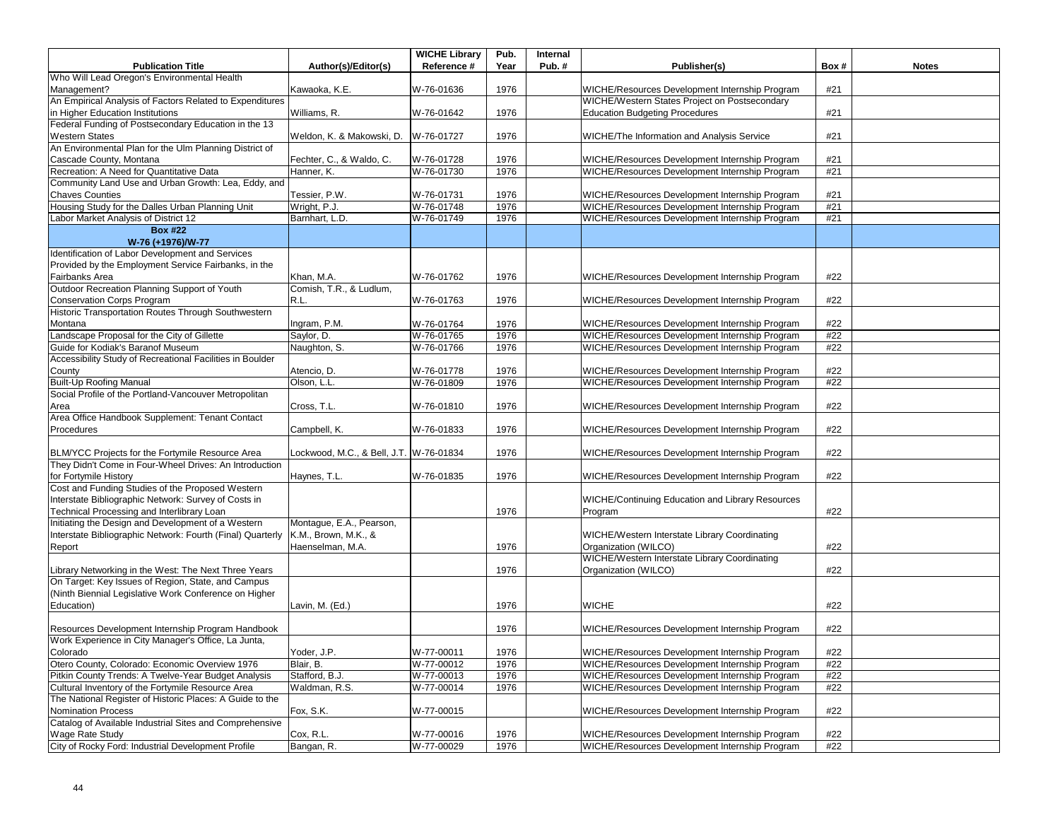|                                                            |                              | <b>WICHE Library</b>     | Pub.         | Internal |                                                                                                  |            |              |
|------------------------------------------------------------|------------------------------|--------------------------|--------------|----------|--------------------------------------------------------------------------------------------------|------------|--------------|
| <b>Publication Title</b>                                   | Author(s)/Editor(s)          | Reference #              | Year         | Pub.#    | Publisher(s)                                                                                     | Box#       | <b>Notes</b> |
| Who Will Lead Oregon's Environmental Health                |                              |                          |              |          |                                                                                                  |            |              |
| Management?                                                | Kawaoka, K.E.                | W-76-01636               | 1976         |          | WICHE/Resources Development Internship Program                                                   | #21        |              |
| An Empirical Analysis of Factors Related to Expenditures   |                              |                          |              |          | WICHE/Western States Project on Postsecondary                                                    |            |              |
| in Higher Education Institutions                           | Williams, R.                 | W-76-01642               | 1976         |          | <b>Education Budgeting Procedures</b>                                                            | #21        |              |
| Federal Funding of Postsecondary Education in the 13       |                              |                          |              |          |                                                                                                  |            |              |
| <b>Western States</b>                                      | Weldon, K. & Makowski, D.    | W-76-01727               | 1976         |          | WICHE/The Information and Analysis Service                                                       | #21        |              |
| An Environmental Plan for the Ulm Planning District of     |                              |                          |              |          |                                                                                                  |            |              |
| Cascade County, Montana                                    | Fechter, C., & Waldo, C.     | W-76-01728               | 1976         |          | WICHE/Resources Development Internship Program                                                   | #21        |              |
| Recreation: A Need for Quantitative Data                   | Hanner, K.                   | W-76-01730               | 1976         |          | WICHE/Resources Development Internship Program                                                   | #21        |              |
| Community Land Use and Urban Growth: Lea, Eddy, and        |                              |                          |              |          |                                                                                                  |            |              |
| <b>Chaves Counties</b>                                     | Tessier, P.W.                | W-76-01731               | 1976         |          | WICHE/Resources Development Internship Program                                                   | #21        |              |
| Housing Study for the Dalles Urban Planning Unit           | Wright, P.J.                 | W-76-01748               | 1976         |          | WICHE/Resources Development Internship Program                                                   | #21        |              |
| Labor Market Analysis of District 12                       | Barnhart, L.D.               | W-76-01749               | 1976         |          | WICHE/Resources Development Internship Program                                                   | #21        |              |
| <b>Box #22</b>                                             |                              |                          |              |          |                                                                                                  |            |              |
| W-76 (+1976)/W-77                                          |                              |                          |              |          |                                                                                                  |            |              |
| Identification of Labor Development and Services           |                              |                          |              |          |                                                                                                  |            |              |
| Provided by the Employment Service Fairbanks, in the       |                              |                          |              |          |                                                                                                  |            |              |
| Fairbanks Area                                             | Khan, M.A.                   | W-76-01762               | 1976         |          | WICHE/Resources Development Internship Program                                                   | #22        |              |
| Outdoor Recreation Planning Support of Youth               | Comish, T.R., & Ludlum,      |                          |              |          |                                                                                                  |            |              |
| <b>Conservation Corps Program</b>                          | R.L.                         | W-76-01763               | 1976         |          | WICHE/Resources Development Internship Program                                                   | #22        |              |
| Historic Transportation Routes Through Southwestern        |                              |                          |              |          |                                                                                                  |            |              |
| Montana<br>Landscape Proposal for the City of Gillette     | Ingram, P.M.                 | W-76-01764               | 1976         |          | WICHE/Resources Development Internship Program<br>WICHE/Resources Development Internship Program | #22<br>#22 |              |
| Guide for Kodiak's Baranof Museum                          | Saylor, D.                   | W-76-01765               | 1976         |          |                                                                                                  |            |              |
| Accessibility Study of Recreational Facilities in Boulder  | Naughton, S.                 | W-76-01766               | 1976         |          | WICHE/Resources Development Internship Program                                                   | #22        |              |
|                                                            |                              |                          |              |          | WICHE/Resources Development Internship Program                                                   | #22        |              |
| County<br><b>Built-Up Roofing Manual</b>                   | Atencio, D.<br>Olson, L.L.   | W-76-01778<br>W-76-01809 | 1976<br>1976 |          | WICHE/Resources Development Internship Program                                                   | #22        |              |
| Social Profile of the Portland-Vancouver Metropolitan      |                              |                          |              |          |                                                                                                  |            |              |
| Area                                                       | Cross, T.L.                  | W-76-01810               | 1976         |          | WICHE/Resources Development Internship Program                                                   | #22        |              |
| Area Office Handbook Supplement: Tenant Contact            |                              |                          |              |          |                                                                                                  |            |              |
| Procedures                                                 | Campbell, K.                 | W-76-01833               | 1976         |          | WICHE/Resources Development Internship Program                                                   | #22        |              |
|                                                            |                              |                          |              |          |                                                                                                  |            |              |
| BLM/YCC Projects for the Fortymile Resource Area           | Lockwood, M.C., & Bell, J.T. | W-76-01834               | 1976         |          | WICHE/Resources Development Internship Program                                                   | #22        |              |
| They Didn't Come in Four-Wheel Drives: An Introduction     |                              |                          |              |          |                                                                                                  |            |              |
| for Fortymile History                                      | Haynes, T.L.                 | W-76-01835               | 1976         |          | WICHE/Resources Development Internship Program                                                   | #22        |              |
| Cost and Funding Studies of the Proposed Western           |                              |                          |              |          |                                                                                                  |            |              |
| Interstate Bibliographic Network: Survey of Costs in       |                              |                          |              |          | WICHE/Continuing Education and Library Resources                                                 |            |              |
| Technical Processing and Interlibrary Loan                 |                              |                          | 1976         |          | Program                                                                                          | #22        |              |
| Initiating the Design and Development of a Western         | Montague, E.A., Pearson,     |                          |              |          |                                                                                                  |            |              |
| Interstate Bibliographic Network: Fourth (Final) Quarterly | K.M., Brown, M.K., &         |                          |              |          | WICHE/Western Interstate Library Coordinating                                                    |            |              |
| Report                                                     | Haenselman, M.A.             |                          | 1976         |          | Organization (WILCO)                                                                             | #22        |              |
|                                                            |                              |                          |              |          | WICHE/Western Interstate Library Coordinating                                                    |            |              |
| Library Networking in the West: The Next Three Years       |                              |                          | 1976         |          | Organization (WILCO)                                                                             | #22        |              |
| On Target: Key Issues of Region, State, and Campus         |                              |                          |              |          |                                                                                                  |            |              |
| (Ninth Biennial Legislative Work Conference on Higher      |                              |                          |              |          |                                                                                                  |            |              |
| Education)                                                 | Lavin, M. (Ed.)              |                          | 1976         |          | <b>WICHE</b>                                                                                     | #22        |              |
|                                                            |                              |                          |              |          |                                                                                                  |            |              |
| Resources Development Internship Program Handbook          |                              |                          | 1976         |          | WICHE/Resources Development Internship Program                                                   | #22        |              |
| Work Experience in City Manager's Office, La Junta,        |                              |                          |              |          |                                                                                                  |            |              |
| Colorado                                                   | Yoder, J.P.                  | W-77-00011               | 1976         |          | WICHE/Resources Development Internship Program                                                   | #22        |              |
| Otero County, Colorado: Economic Overview 1976             | Blair, B.                    | W-77-00012               | 1976         |          | WICHE/Resources Development Internship Program                                                   | #22        |              |
| Pitkin County Trends: A Twelve-Year Budget Analysis        | Stafford, B.J.               | W-77-00013               | 1976         |          | WICHE/Resources Development Internship Program                                                   | #22        |              |
| Cultural Inventory of the Fortymile Resource Area          | Waldman, R.S.                | W-77-00014               | 1976         |          | WICHE/Resources Development Internship Program                                                   | #22        |              |
| The National Register of Historic Places: A Guide to the   |                              |                          |              |          |                                                                                                  |            |              |
| <b>Nomination Process</b>                                  | Fox, S.K.                    | W-77-00015               |              |          | WICHE/Resources Development Internship Program                                                   | #22        |              |
| Catalog of Available Industrial Sites and Comprehensive    |                              |                          |              |          |                                                                                                  |            |              |
| Wage Rate Study                                            | Cox, R.L.                    | W-77-00016               | 1976         |          | WICHE/Resources Development Internship Program                                                   | #22        |              |
| City of Rocky Ford: Industrial Development Profile         | Bangan, R.                   | W-77-00029               | 1976         |          | WICHE/Resources Development Internship Program                                                   | #22        |              |
|                                                            |                              |                          |              |          |                                                                                                  |            |              |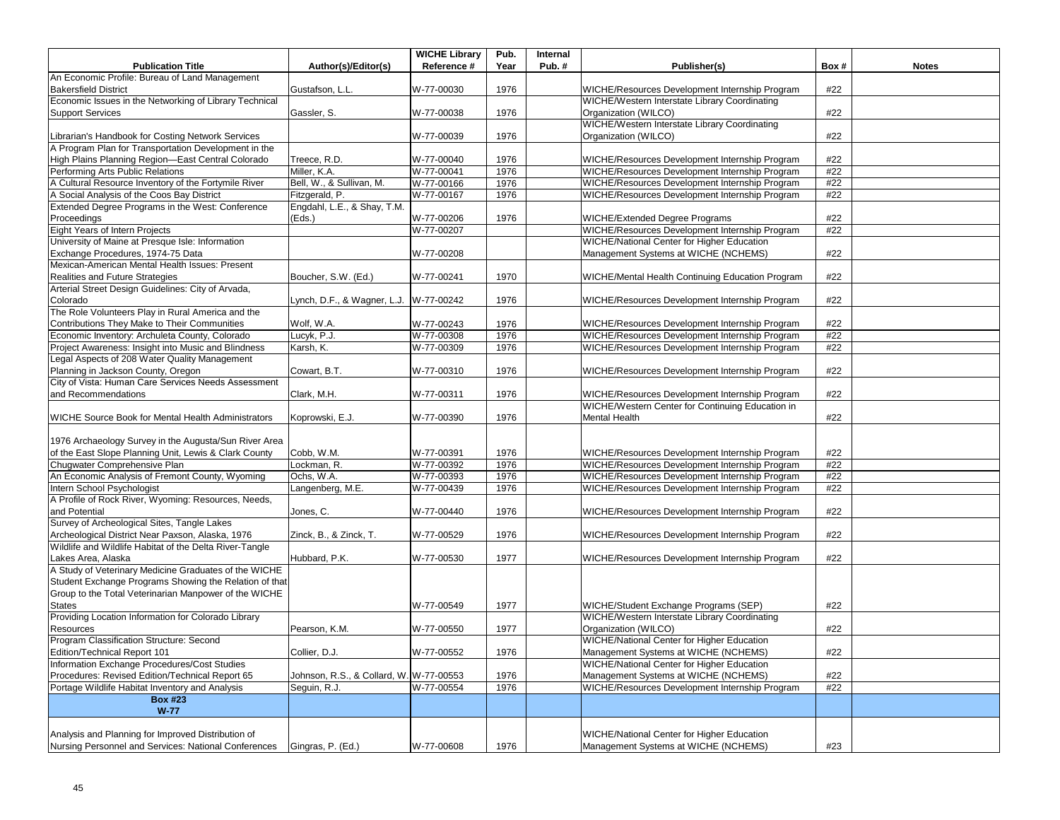|                                                         |                                         | <b>WICHE Library</b> | Pub. | Internal |                                                   |      |              |
|---------------------------------------------------------|-----------------------------------------|----------------------|------|----------|---------------------------------------------------|------|--------------|
| <b>Publication Title</b>                                | Author(s)/Editor(s)                     | Reference #          | Year | Pub.#    | Publisher(s)                                      | Box# | <b>Notes</b> |
| An Economic Profile: Bureau of Land Management          |                                         |                      |      |          |                                                   |      |              |
| <b>Bakersfield District</b>                             | Gustafson, L.L.                         | W-77-00030           | 1976 |          | WICHE/Resources Development Internship Program    | #22  |              |
| Economic Issues in the Networking of Library Technical  |                                         |                      |      |          | WICHE/Western Interstate Library Coordinating     |      |              |
| <b>Support Services</b>                                 | Gassler, S.                             | W-77-00038           | 1976 |          | Organization (WILCO)                              | #22  |              |
|                                                         |                                         |                      |      |          | WICHE/Western Interstate Library Coordinating     |      |              |
| Librarian's Handbook for Costing Network Services       |                                         | W-77-00039           | 1976 |          | Organization (WILCO)                              | #22  |              |
| A Program Plan for Transportation Development in the    |                                         |                      |      |          |                                                   |      |              |
| High Plains Planning Region-East Central Colorado       | Treece, R.D.                            | W-77-00040           | 1976 |          | WICHE/Resources Development Internship Program    | #22  |              |
| Performing Arts Public Relations                        | Miller, K.A.                            | W-77-00041           | 1976 |          | WICHE/Resources Development Internship Program    | #22  |              |
| A Cultural Resource Inventory of the Fortymile River    | Bell, W., & Sullivan, M.                | W-77-00166           | 1976 |          | WICHE/Resources Development Internship Program    | #22  |              |
| A Social Analysis of the Coos Bay District              | Fitzgerald, P.                          | W-77-00167           | 1976 |          | WICHE/Resources Development Internship Program    | #22  |              |
| Extended Degree Programs in the West: Conference        | Engdahl, L.E., & Shay, T.M.             |                      |      |          |                                                   |      |              |
| Proceedings                                             | (Eds.)                                  | W-77-00206           | 1976 |          | <b>WICHE/Extended Degree Programs</b>             | #22  |              |
| Eight Years of Intern Projects                          |                                         | W-77-00207           |      |          | WICHE/Resources Development Internship Program    | #22  |              |
| University of Maine at Presque Isle: Information        |                                         |                      |      |          | <b>WICHE/National Center for Higher Education</b> |      |              |
| Exchange Procedures, 1974-75 Data                       |                                         | W-77-00208           |      |          | Management Systems at WICHE (NCHEMS)              | #22  |              |
| Mexican-American Mental Health Issues: Present          |                                         |                      |      |          |                                                   |      |              |
| Realities and Future Strategies                         | Boucher, S.W. (Ed.)                     | W-77-00241           | 1970 |          | WICHE/Mental Health Continuing Education Program  | #22  |              |
| Arterial Street Design Guidelines: City of Arvada,      |                                         |                      |      |          |                                                   |      |              |
| Colorado                                                | Lynch, D.F., & Wagner, L.J.             | W-77-00242           | 1976 |          | WICHE/Resources Development Internship Program    | #22  |              |
| The Role Volunteers Play in Rural America and the       |                                         |                      |      |          |                                                   |      |              |
| Contributions They Make to Their Communities            | Wolf, W.A.                              | W-77-00243           | 1976 |          | WICHE/Resources Development Internship Program    | #22  |              |
| Economic Inventory: Archuleta County, Colorado          | Lucyk, P.J.                             | W-77-00308           | 1976 |          | WICHE/Resources Development Internship Program    | #22  |              |
| Project Awareness: Insight into Music and Blindness     | Karsh, K.                               | W-77-00309           | 1976 |          | WICHE/Resources Development Internship Program    | #22  |              |
| Legal Aspects of 208 Water Quality Management           |                                         |                      |      |          |                                                   |      |              |
| Planning in Jackson County, Oregon                      | Cowart, B.T.                            | W-77-00310           | 1976 |          | WICHE/Resources Development Internship Program    | #22  |              |
| City of Vista: Human Care Services Needs Assessment     |                                         |                      |      |          |                                                   |      |              |
| and Recommendations                                     | Clark, M.H.                             | W-77-00311           | 1976 |          | WICHE/Resources Development Internship Program    | #22  |              |
|                                                         |                                         |                      |      |          | WICHE/Western Center for Continuing Education in  |      |              |
| WICHE Source Book for Mental Health Administrators      | Koprowski, E.J.                         | W-77-00390           | 1976 |          | Mental Health                                     | #22  |              |
|                                                         |                                         |                      |      |          |                                                   |      |              |
| 1976 Archaeology Survey in the Augusta/Sun River Area   |                                         |                      |      |          |                                                   |      |              |
| of the East Slope Planning Unit, Lewis & Clark County   | Cobb, W.M.                              | W-77-00391           | 1976 |          | WICHE/Resources Development Internship Program    | #22  |              |
| Chugwater Comprehensive Plan                            | Lockman, R.                             | W-77-00392           | 1976 |          | WICHE/Resources Development Internship Program    | #22  |              |
| An Economic Analysis of Fremont County, Wyoming         | Ochs, W.A.                              | W-77-00393           | 1976 |          | WICHE/Resources Development Internship Program    | #22  |              |
| Intern School Psychologist                              | Langenberg, M.E.                        | W-77-00439           | 1976 |          | WICHE/Resources Development Internship Program    | #22  |              |
| A Profile of Rock River, Wyoming: Resources, Needs,     |                                         |                      |      |          |                                                   |      |              |
| and Potential                                           | Jones, C.                               | W-77-00440           | 1976 |          | WICHE/Resources Development Internship Program    | #22  |              |
| Survey of Archeological Sites, Tangle Lakes             |                                         |                      |      |          |                                                   |      |              |
| Archeological District Near Paxson, Alaska, 1976        | Zinck, B., & Zinck, T.                  | W-77-00529           | 1976 |          | WICHE/Resources Development Internship Program    | #22  |              |
| Wildlife and Wildlife Habitat of the Delta River-Tangle |                                         |                      |      |          |                                                   |      |              |
| Lakes Area, Alaska                                      | Hubbard, P.K.                           | W-77-00530           | 1977 |          | WICHE/Resources Development Internship Program    | #22  |              |
| A Study of Veterinary Medicine Graduates of the WICHE   |                                         |                      |      |          |                                                   |      |              |
| Student Exchange Programs Showing the Relation of that  |                                         |                      |      |          |                                                   |      |              |
| Group to the Total Veterinarian Manpower of the WICHE   |                                         |                      |      |          |                                                   |      |              |
| <b>States</b>                                           |                                         | W-77-00549           | 1977 |          | WICHE/Student Exchange Programs (SEP)             | #22  |              |
| Providing Location Information for Colorado Library     |                                         |                      |      |          | WICHE/Western Interstate Library Coordinating     |      |              |
| Resources                                               | Pearson, K.M.                           | W-77-00550           | 1977 |          | Organization (WILCO)                              | #22  |              |
| Program Classification Structure: Second                |                                         |                      |      |          | WICHE/National Center for Higher Education        |      |              |
| Edition/Technical Report 101                            | Collier, D.J.                           | W-77-00552           | 1976 |          | Management Systems at WICHE (NCHEMS)              | #22  |              |
| Information Exchange Procedures/Cost Studies            |                                         |                      |      |          | WICHE/National Center for Higher Education        |      |              |
| Procedures: Revised Edition/Technical Report 65         | Johnson, R.S., & Collard, W. W-77-00553 |                      | 1976 |          | Management Systems at WICHE (NCHEMS)              | #22  |              |
| Portage Wildlife Habitat Inventory and Analysis         | Sequin, R.J.                            | W-77-00554           | 1976 |          | WICHE/Resources Development Internship Program    | #22  |              |
| <b>Box #23</b>                                          |                                         |                      |      |          |                                                   |      |              |
| $W-77$                                                  |                                         |                      |      |          |                                                   |      |              |
|                                                         |                                         |                      |      |          |                                                   |      |              |
| Analysis and Planning for Improved Distribution of      |                                         |                      |      |          | WICHE/National Center for Higher Education        |      |              |
| Nursing Personnel and Services: National Conferences    | Gingras, P. (Ed.)                       | W-77-00608           | 1976 |          | Management Systems at WICHE (NCHEMS)              | #23  |              |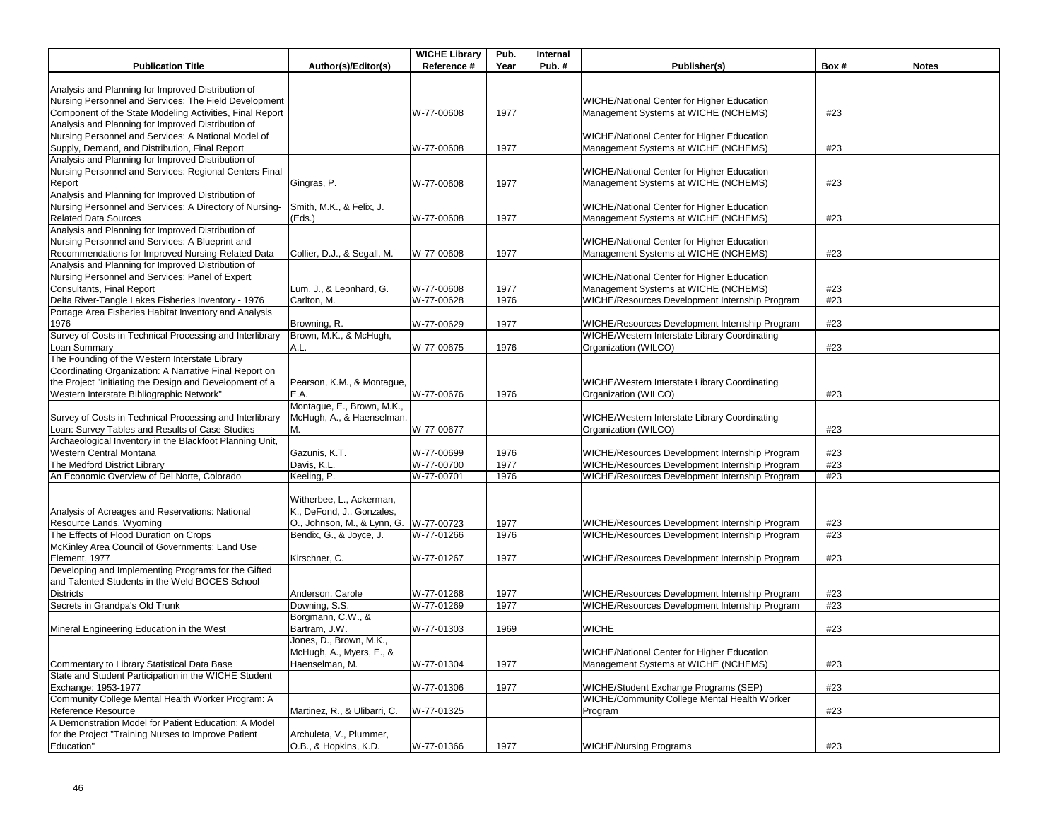|                                                                                                             |                                    | <b>WICHE Library</b> | Pub. | Internal |                                                                                    |      |              |
|-------------------------------------------------------------------------------------------------------------|------------------------------------|----------------------|------|----------|------------------------------------------------------------------------------------|------|--------------|
| <b>Publication Title</b>                                                                                    | Author(s)/Editor(s)                | Reference #          | Year | Pub.#    | Publisher(s)                                                                       | Box# | <b>Notes</b> |
| Analysis and Planning for Improved Distribution of                                                          |                                    |                      |      |          |                                                                                    |      |              |
| Nursing Personnel and Services: The Field Development                                                       |                                    |                      |      |          | WICHE/National Center for Higher Education                                         |      |              |
| Component of the State Modeling Activities, Final Report                                                    |                                    | W-77-00608           | 1977 |          | Management Systems at WICHE (NCHEMS)                                               | #23  |              |
| Analysis and Planning for Improved Distribution of                                                          |                                    |                      |      |          |                                                                                    |      |              |
| Nursing Personnel and Services: A National Model of                                                         |                                    |                      |      |          | WICHE/National Center for Higher Education                                         |      |              |
| Supply, Demand, and Distribution, Final Report                                                              |                                    | W-77-00608           | 1977 |          | Management Systems at WICHE (NCHEMS)                                               | #23  |              |
| Analysis and Planning for Improved Distribution of                                                          |                                    |                      |      |          |                                                                                    |      |              |
| Nursing Personnel and Services: Regional Centers Final                                                      |                                    |                      |      |          | WICHE/National Center for Higher Education                                         |      |              |
| Report                                                                                                      | Gingras, P.                        | W-77-00608           | 1977 |          | Management Systems at WICHE (NCHEMS)                                               | #23  |              |
| Analysis and Planning for Improved Distribution of                                                          |                                    |                      |      |          |                                                                                    |      |              |
| Nursing Personnel and Services: A Directory of Nursing-                                                     | Smith, M.K., & Felix, J.           |                      |      |          | WICHE/National Center for Higher Education                                         |      |              |
| <b>Related Data Sources</b>                                                                                 | (Eds.)                             | W-77-00608           | 1977 |          | Management Systems at WICHE (NCHEMS)                                               | #23  |              |
| Analysis and Planning for Improved Distribution of                                                          |                                    |                      |      |          |                                                                                    |      |              |
| Nursing Personnel and Services: A Blueprint and<br>Recommendations for Improved Nursing-Related Data        | Collier, D.J., & Segall, M.        | W-77-00608           | 1977 |          | WICHE/National Center for Higher Education<br>Management Systems at WICHE (NCHEMS) | #23  |              |
| Analysis and Planning for Improved Distribution of                                                          |                                    |                      |      |          |                                                                                    |      |              |
| Nursing Personnel and Services: Panel of Expert                                                             |                                    |                      |      |          | WICHE/National Center for Higher Education                                         |      |              |
| Consultants, Final Report                                                                                   | Lum, J., & Leonhard, G.            | W-77-00608           | 1977 |          | Management Systems at WICHE (NCHEMS)                                               | #23  |              |
| Delta River-Tangle Lakes Fisheries Inventory - 1976                                                         | Carlton, M.                        | W-77-00628           | 1976 |          | WICHE/Resources Development Internship Program                                     | #23  |              |
| Portage Area Fisheries Habitat Inventory and Analysis                                                       |                                    |                      |      |          |                                                                                    |      |              |
| 1976                                                                                                        | Browning, R.                       | W-77-00629           | 1977 |          | WICHE/Resources Development Internship Program                                     | #23  |              |
| Survey of Costs in Technical Processing and Interlibrary                                                    | Brown, M.K., & McHugh,             |                      |      |          | WICHE/Western Interstate Library Coordinating                                      |      |              |
| Loan Summary                                                                                                | A.L.                               | W-77-00675           | 1976 |          | Organization (WILCO)                                                               | #23  |              |
| The Founding of the Western Interstate Library                                                              |                                    |                      |      |          |                                                                                    |      |              |
| Coordinating Organization: A Narrative Final Report on                                                      |                                    |                      |      |          |                                                                                    |      |              |
| the Project "Initiating the Design and Development of a                                                     | Pearson, K.M., & Montague,         |                      |      |          | WICHE/Western Interstate Library Coordinating                                      |      |              |
| Western Interstate Bibliographic Network"                                                                   | E.A.                               | W-77-00676           | 1976 |          | Organization (WILCO)                                                               | #23  |              |
|                                                                                                             | Montague, E., Brown, M.K.,         |                      |      |          |                                                                                    |      |              |
| Survey of Costs in Technical Processing and Interlibrary                                                    | McHugh, A., & Haenselman,          |                      |      |          | WICHE/Western Interstate Library Coordinating                                      |      |              |
| Loan: Survey Tables and Results of Case Studies<br>Archaeological Inventory in the Blackfoot Planning Unit, | М.                                 | W-77-00677           |      |          | Organization (WILCO)                                                               | #23  |              |
| Western Central Montana                                                                                     | Gazunis, K.T.                      | W-77-00699           | 1976 |          | WICHE/Resources Development Internship Program                                     | #23  |              |
| The Medford District Library                                                                                | Davis, K.L.                        | W-77-00700           | 1977 |          | WICHE/Resources Development Internship Program                                     | #23  |              |
| An Economic Overview of Del Norte, Colorado                                                                 | Keeling, P.                        | W-77-00701           | 1976 |          | WICHE/Resources Development Internship Program                                     | #23  |              |
|                                                                                                             |                                    |                      |      |          |                                                                                    |      |              |
|                                                                                                             | Witherbee, L., Ackerman,           |                      |      |          |                                                                                    |      |              |
| Analysis of Acreages and Reservations: National                                                             | K., DeFond, J., Gonzales,          |                      |      |          |                                                                                    |      |              |
| Resource Lands, Wyoming                                                                                     | O., Johnson, M., & Lynn, G.        | W-77-00723           | 1977 |          | WICHE/Resources Development Internship Program                                     | #23  |              |
| The Effects of Flood Duration on Crops                                                                      | Bendix, G., & Joyce, J.            | W-77-01266           | 1976 |          | WICHE/Resources Development Internship Program                                     | #23  |              |
| McKinley Area Council of Governments: Land Use                                                              |                                    |                      |      |          |                                                                                    |      |              |
| Element, 1977                                                                                               | Kirschner, C.                      | W-77-01267           | 1977 |          | WICHE/Resources Development Internship Program                                     | #23  |              |
| Developing and Implementing Programs for the Gifted                                                         |                                    |                      |      |          |                                                                                    |      |              |
| and Talented Students in the Weld BOCES School                                                              |                                    |                      |      |          |                                                                                    |      |              |
| <b>Districts</b>                                                                                            | Anderson, Carole                   | W-77-01268           | 1977 |          | WICHE/Resources Development Internship Program                                     | #23  |              |
| Secrets in Grandpa's Old Trunk                                                                              | Downing, S.S.                      | W-77-01269           | 1977 |          | WICHE/Resources Development Internship Program                                     | #23  |              |
|                                                                                                             | Borgmann, C.W., &<br>Bartram, J.W. |                      |      |          | <b>WICHE</b>                                                                       |      |              |
| Mineral Engineering Education in the West                                                                   | Jones, D., Brown, M.K.,            | W-77-01303           | 1969 |          |                                                                                    | #23  |              |
|                                                                                                             | McHugh, A., Myers, E., &           |                      |      |          | WICHE/National Center for Higher Education                                         |      |              |
| Commentary to Library Statistical Data Base                                                                 | Haenselman, M.                     | W-77-01304           | 1977 |          | Management Systems at WICHE (NCHEMS)                                               | #23  |              |
| State and Student Participation in the WICHE Student                                                        |                                    |                      |      |          |                                                                                    |      |              |
| Exchange: 1953-1977                                                                                         |                                    | W-77-01306           | 1977 |          | WICHE/Student Exchange Programs (SEP)                                              | #23  |              |
| Community College Mental Health Worker Program: A                                                           |                                    |                      |      |          | <b>WICHE/Community College Mental Health Worker</b>                                |      |              |
| Reference Resource                                                                                          | Martinez, R., & Ulibarri, C.       | W-77-01325           |      |          | Program                                                                            | #23  |              |
| A Demonstration Model for Patient Education: A Model                                                        |                                    |                      |      |          |                                                                                    |      |              |
| for the Project "Training Nurses to Improve Patient                                                         | Archuleta, V., Plummer,            |                      |      |          |                                                                                    |      |              |
| Education"                                                                                                  | O.B., & Hopkins, K.D.              | W-77-01366           | 1977 |          | <b>WICHE/Nursing Programs</b>                                                      | #23  |              |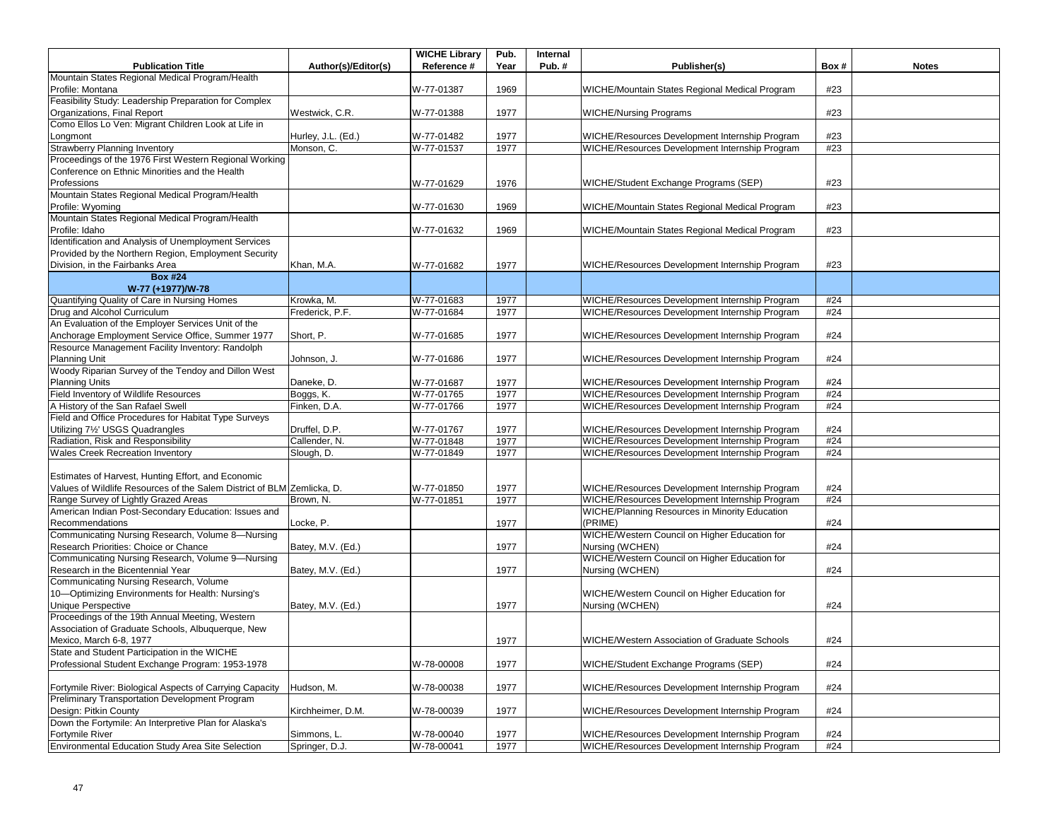|                                                                        |                     | <b>WICHE Library</b> | Pub. | Internal |                                                |      |              |
|------------------------------------------------------------------------|---------------------|----------------------|------|----------|------------------------------------------------|------|--------------|
| <b>Publication Title</b>                                               | Author(s)/Editor(s) | Reference #          | Year | Pub.#    | Publisher(s)                                   | Box# | <b>Notes</b> |
| Mountain States Regional Medical Program/Health                        |                     |                      |      |          |                                                |      |              |
| Profile: Montana                                                       |                     | W-77-01387           | 1969 |          | WICHE/Mountain States Regional Medical Program | #23  |              |
| Feasibility Study: Leadership Preparation for Complex                  |                     |                      |      |          |                                                |      |              |
| Organizations, Final Report                                            | Westwick, C.R.      | W-77-01388           | 1977 |          | <b>WICHE/Nursing Programs</b>                  | #23  |              |
| Como Ellos Lo Ven: Migrant Children Look at Life in                    |                     |                      |      |          |                                                |      |              |
| Longmont                                                               | Hurley, J.L. (Ed.)  | W-77-01482           | 1977 |          | WICHE/Resources Development Internship Program | #23  |              |
| <b>Strawberry Planning Inventory</b>                                   | Monson, C.          | W-77-01537           | 1977 |          | WICHE/Resources Development Internship Program | #23  |              |
| Proceedings of the 1976 First Western Regional Working                 |                     |                      |      |          |                                                |      |              |
| Conference on Ethnic Minorities and the Health                         |                     |                      |      |          |                                                |      |              |
| Professions                                                            |                     | W-77-01629           | 1976 |          | WICHE/Student Exchange Programs (SEP)          | #23  |              |
| Mountain States Regional Medical Program/Health                        |                     |                      |      |          |                                                |      |              |
| Profile: Wyoming                                                       |                     | W-77-01630           | 1969 |          | WICHE/Mountain States Regional Medical Program | #23  |              |
| Mountain States Regional Medical Program/Health                        |                     |                      |      |          |                                                |      |              |
| Profile: Idaho                                                         |                     | W-77-01632           | 1969 |          | WICHE/Mountain States Regional Medical Program | #23  |              |
| Identification and Analysis of Unemployment Services                   |                     |                      |      |          |                                                |      |              |
| Provided by the Northern Region, Employment Security                   |                     |                      |      |          |                                                |      |              |
| Division, in the Fairbanks Area                                        | Khan, M.A.          | W-77-01682           | 1977 |          | WICHE/Resources Development Internship Program | #23  |              |
| <b>Box #24</b>                                                         |                     |                      |      |          |                                                |      |              |
| W-77 (+1977)/W-78                                                      |                     |                      |      |          |                                                |      |              |
| Quantifying Quality of Care in Nursing Homes                           | Krowka, M.          | W-77-01683           | 1977 |          | WICHE/Resources Development Internship Program | #24  |              |
| Drug and Alcohol Curriculum                                            | Frederick, P.F.     | W-77-01684           | 1977 |          | WICHE/Resources Development Internship Program | #24  |              |
| An Evaluation of the Employer Services Unit of the                     |                     |                      |      |          |                                                |      |              |
| Anchorage Employment Service Office, Summer 1977                       | Short, P.           | W-77-01685           | 1977 |          | WICHE/Resources Development Internship Program | #24  |              |
| Resource Management Facility Inventory: Randolph                       |                     |                      |      |          |                                                |      |              |
| Planning Unit                                                          | Johnson, J.         | W-77-01686           | 1977 |          | WICHE/Resources Development Internship Program | #24  |              |
| Woody Riparian Survey of the Tendoy and Dillon West                    |                     |                      |      |          |                                                |      |              |
| <b>Planning Units</b>                                                  | Daneke, D.          | W-77-01687           | 1977 |          | WICHE/Resources Development Internship Program | #24  |              |
| Field Inventory of Wildlife Resources                                  | Boggs, K.           | W-77-01765           | 1977 |          | WICHE/Resources Development Internship Program | #24  |              |
| A History of the San Rafael Swell                                      | Finken, D.A.        | W-77-01766           | 1977 |          | WICHE/Resources Development Internship Program | #24  |              |
| Field and Office Procedures for Habitat Type Surveys                   |                     |                      |      |          |                                                |      |              |
| Utilizing 7 <sup>1/2</sup> USGS Quadrangles                            | Druffel, D.P.       | W-77-01767           | 1977 |          | WICHE/Resources Development Internship Program | #24  |              |
| Radiation, Risk and Responsibility                                     | Callender, N.       | W-77-01848           | 1977 |          | WICHE/Resources Development Internship Program | #24  |              |
| <b>Wales Creek Recreation Inventory</b>                                | Slough, D.          | W-77-01849           | 1977 |          | WICHE/Resources Development Internship Program | #24  |              |
|                                                                        |                     |                      |      |          |                                                |      |              |
| Estimates of Harvest, Hunting Effort, and Economic                     |                     |                      |      |          |                                                |      |              |
| Values of Wildlife Resources of the Salem District of BLM Zemlicka, D. |                     | W-77-01850           | 1977 |          | WICHE/Resources Development Internship Program | #24  |              |
| Range Survey of Lightly Grazed Areas                                   | Brown, N.           | W-77-01851           | 1977 |          | WICHE/Resources Development Internship Program | #24  |              |
| American Indian Post-Secondary Education: Issues and                   |                     |                      |      |          | WICHE/Planning Resources in Minority Education |      |              |
| Recommendations                                                        | Locke, P.           |                      | 1977 |          | (PRIME)                                        | #24  |              |
| Communicating Nursing Research, Volume 8-Nursing                       |                     |                      |      |          | WICHE/Western Council on Higher Education for  |      |              |
| Research Priorities: Choice or Chance                                  | Batey, M.V. (Ed.)   |                      | 1977 |          | Nursing (WCHEN)                                | #24  |              |
| Communicating Nursing Research, Volume 9-Nursing                       |                     |                      |      |          | WICHE/Western Council on Higher Education for  |      |              |
| Research in the Bicentennial Year                                      | Batey, M.V. (Ed.)   |                      | 1977 |          | Nursing (WCHEN)                                | #24  |              |
| Communicating Nursing Research, Volume                                 |                     |                      |      |          |                                                |      |              |
| 10-Optimizing Environments for Health: Nursing's                       |                     |                      |      |          | WICHE/Western Council on Higher Education for  |      |              |
| <b>Unique Perspective</b>                                              | Batey, M.V. (Ed.)   |                      | 1977 |          | Nursing (WCHEN)                                | #24  |              |
| Proceedings of the 19th Annual Meeting, Western                        |                     |                      |      |          |                                                |      |              |
| Association of Graduate Schools, Albuquerque, New                      |                     |                      |      |          |                                                |      |              |
| Mexico, March 6-8, 1977                                                |                     |                      | 1977 |          | WICHE/Western Association of Graduate Schools  | #24  |              |
| State and Student Participation in the WICHE                           |                     |                      |      |          |                                                |      |              |
| Professional Student Exchange Program: 1953-1978                       |                     | W-78-00008           | 1977 |          | WICHE/Student Exchange Programs (SEP)          | #24  |              |
|                                                                        |                     |                      |      |          |                                                |      |              |
| Fortymile River: Biological Aspects of Carrying Capacity               | Hudson, M.          | W-78-00038           | 1977 |          | WICHE/Resources Development Internship Program | #24  |              |
| Preliminary Transportation Development Program                         |                     |                      |      |          |                                                |      |              |
| Design: Pitkin County                                                  | Kirchheimer, D.M.   | W-78-00039           | 1977 |          | WICHE/Resources Development Internship Program | #24  |              |
| Down the Fortymile: An Interpretive Plan for Alaska's                  |                     |                      |      |          |                                                |      |              |
| Fortymile River                                                        | Simmons, L.         | W-78-00040           | 1977 |          | WICHE/Resources Development Internship Program | #24  |              |
| Environmental Education Study Area Site Selection                      | Springer, D.J.      | W-78-00041           | 1977 |          | WICHE/Resources Development Internship Program | #24  |              |
|                                                                        |                     |                      |      |          |                                                |      |              |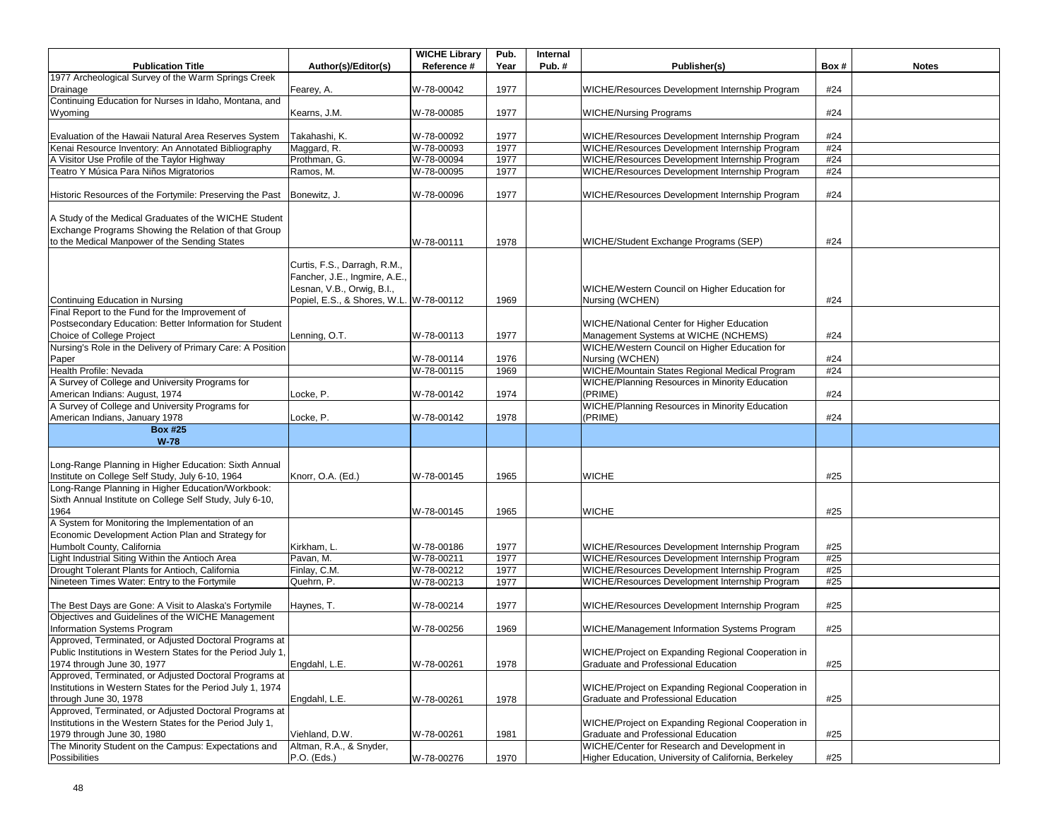| 1977 Archeological Survey of the Warm Springs Creek<br>W-78-00042<br>1977<br>WICHE/Resources Development Internship Program<br>#24<br>Drainage<br>Fearey, A.<br>Continuing Education for Nurses in Idaho, Montana, and<br>#24<br>Kearns, J.M.<br>W-78-00085<br>1977<br><b>WICHE/Nursing Programs</b><br>Wyoming<br>1977<br>Evaluation of the Hawaii Natural Area Reserves System<br>W-78-00092<br>#24<br>Takahashi, K.<br>WICHE/Resources Development Internship Program<br>WICHE/Resources Development Internship Program<br>Kenai Resource Inventory: An Annotated Bibliography<br>#24<br>Maggard, R.<br>W-78-00093<br>1977<br>W-78-00094<br>WICHE/Resources Development Internship Program<br>A Visitor Use Profile of the Taylor Highway<br>Prothman, G.<br>1977<br>#24<br>W-78-00095<br>Teatro Y Música Para Niños Migratorios<br>Ramos, M.<br>1977<br>WICHE/Resources Development Internship Program<br>#24<br>W-78-00096<br>1977<br>WICHE/Resources Development Internship Program<br>#24<br>Historic Resources of the Fortymile: Preserving the Past<br>Bonewitz, J.<br>A Study of the Medical Graduates of the WICHE Student<br>Exchange Programs Showing the Relation of that Group<br>to the Medical Manpower of the Sending States<br>W-78-00111<br>1978<br>WICHE/Student Exchange Programs (SEP)<br>#24<br>Curtis, F.S., Darragh, R.M.,<br>Fancher, J.E., Ingmire, A.E.,<br>Lesnan, V.B., Orwig, B.I.,<br>WICHE/Western Council on Higher Education for<br>Popiel, E.S., & Shores, W.L. W-78-00112<br>1969<br>Nursing (WCHEN)<br>#24<br>Continuing Education in Nursing<br>Final Report to the Fund for the Improvement of<br>Postsecondary Education: Better Information for Student<br><b>WICHE/National Center for Higher Education</b><br>Choice of College Project<br>Lenning, O.T.<br>Management Systems at WICHE (NCHEMS)<br>#24<br>W-78-00113<br>1977<br>Nursing's Role in the Delivery of Primary Care: A Position<br>WICHE/Western Council on Higher Education for<br>1976<br>Nursing (WCHEN)<br>W-78-00114<br>#24<br>Paper<br>WICHE/Mountain States Regional Medical Program<br>Health Profile: Nevada<br>W-78-00115<br>1969<br>#24<br>A Survey of College and University Programs for<br>WICHE/Planning Resources in Minority Education<br>American Indians: August, 1974<br>1974<br>(PRIME)<br>Locke, P.<br>W-78-00142<br>#24<br>A Survey of College and University Programs for<br>WICHE/Planning Resources in Minority Education<br>American Indians, January 1978<br>W-78-00142<br>1978<br>(PRIME)<br>#24<br>Locke, P.<br><b>Box #25</b><br>$W-78$<br>Long-Range Planning in Higher Education: Sixth Annual<br>Institute on College Self Study, July 6-10, 1964<br>Knorr, O.A. (Ed.)<br><b>WICHE</b><br>W-78-00145<br>1965<br>#25<br>Long-Range Planning in Higher Education/Workbook:<br>Sixth Annual Institute on College Self Study, July 6-10,<br><b>WICHE</b><br>1964<br>W-78-00145<br>1965<br>#25<br>A System for Monitoring the Implementation of an<br>Economic Development Action Plan and Strategy for<br>Humbolt County, California<br>1977<br>WICHE/Resources Development Internship Program<br>#25<br>Kirkham, L.<br>W-78-00186<br>Light Industrial Siting Within the Antioch Area<br>W-78-00211<br>1977<br>WICHE/Resources Development Internship Program<br>#25<br>Pavan, M.<br>Drought Tolerant Plants for Antioch, California<br>WICHE/Resources Development Internship Program<br>Finlay, C.M.<br>W-78-00212<br>#25<br>1977<br>Nineteen Times Water: Entry to the Fortymile<br>W-78-00213<br>WICHE/Resources Development Internship Program<br>#25<br>Quehrn, P.<br>1977<br>WICHE/Resources Development Internship Program<br>#25<br>The Best Days are Gone: A Visit to Alaska's Fortymile<br>Haynes, T.<br>W-78-00214<br>1977<br>Objectives and Guidelines of the WICHE Management<br>Information Systems Program<br>#25<br>W-78-00256<br>1969<br>WICHE/Management Information Systems Program<br>Approved, Terminated, or Adjusted Doctoral Programs at<br>Public Institutions in Western States for the Period July 1,<br>WICHE/Project on Expanding Regional Cooperation in<br>1978<br>Graduate and Professional Education<br>#25<br>1974 through June 30, 1977<br>Engdahl, L.E.<br>W-78-00261<br>Approved, Terminated, or Adjusted Doctoral Programs at<br>Institutions in Western States for the Period July 1, 1974<br>WICHE/Project on Expanding Regional Cooperation in<br>Graduate and Professional Education<br>#25<br>through June 30, 1978<br>Engdahl, L.E.<br>1978<br>W-78-00261<br>Approved, Terminated, or Adjusted Doctoral Programs at<br>Institutions in the Western States for the Period July 1,<br>WICHE/Project on Expanding Regional Cooperation in<br>1979 through June 30, 1980<br>Viehland, D.W.<br>Graduate and Professional Education<br>#25<br>W-78-00261<br>1981<br>The Minority Student on the Campus: Expectations and<br>Altman, R.A., & Snyder,<br>WICHE/Center for Research and Development in<br>1970<br>#25<br>P.O. (Eds.)<br>W-78-00276<br>Higher Education, University of California, Berkeley<br>Possibilities |                          |                     | <b>WICHE Library</b> | Pub. | Internal |              |      |              |
|--------------------------------------------------------------------------------------------------------------------------------------------------------------------------------------------------------------------------------------------------------------------------------------------------------------------------------------------------------------------------------------------------------------------------------------------------------------------------------------------------------------------------------------------------------------------------------------------------------------------------------------------------------------------------------------------------------------------------------------------------------------------------------------------------------------------------------------------------------------------------------------------------------------------------------------------------------------------------------------------------------------------------------------------------------------------------------------------------------------------------------------------------------------------------------------------------------------------------------------------------------------------------------------------------------------------------------------------------------------------------------------------------------------------------------------------------------------------------------------------------------------------------------------------------------------------------------------------------------------------------------------------------------------------------------------------------------------------------------------------------------------------------------------------------------------------------------------------------------------------------------------------------------------------------------------------------------------------------------------------------------------------------------------------------------------------------------------------------------------------------------------------------------------------------------------------------------------------------------------------------------------------------------------------------------------------------------------------------------------------------------------------------------------------------------------------------------------------------------------------------------------------------------------------------------------------------------------------------------------------------------------------------------------------------------------------------------------------------------------------------------------------------------------------------------------------------------------------------------------------------------------------------------------------------------------------------------------------------------------------------------------------------------------------------------------------------------------------------------------------------------------------------------------------------------------------------------------------------------------------------------------------------------------------------------------------------------------------------------------------------------------------------------------------------------------------------------------------------------------------------------------------------------------------------------------------------------------------------------------------------------------------------------------------------------------------------------------------------------------------------------------------------------------------------------------------------------------------------------------------------------------------------------------------------------------------------------------------------------------------------------------------------------------------------------------------------------------------------------------------------------------------------------------------------------------------------------------------------------------------------------------------------------------------------------------------------------------------------------------------------------------------------------------------------------------------------------------------------------------------------------------------------------------------------------------------------------------------------------------------------------------------------------------------------------------------------------------------------------------------------------------------------------------------------------------------------------------------------------------------------------------------------------------------------------------------------------------------------------------------------------------------------------------------------------------------------------------------------------|--------------------------|---------------------|----------------------|------|----------|--------------|------|--------------|
|                                                                                                                                                                                                                                                                                                                                                                                                                                                                                                                                                                                                                                                                                                                                                                                                                                                                                                                                                                                                                                                                                                                                                                                                                                                                                                                                                                                                                                                                                                                                                                                                                                                                                                                                                                                                                                                                                                                                                                                                                                                                                                                                                                                                                                                                                                                                                                                                                                                                                                                                                                                                                                                                                                                                                                                                                                                                                                                                                                                                                                                                                                                                                                                                                                                                                                                                                                                                                                                                                                                                                                                                                                                                                                                                                                                                                                                                                                                                                                                                                                                                                                                                                                                                                                                                                                                                                                                                                                                                                                                                                                                                                                                                                                                                                                                                                                                                                                                                                                                                                                                                                                        | <b>Publication Title</b> | Author(s)/Editor(s) | Reference #          | Year | Pub.#    | Publisher(s) | Box# | <b>Notes</b> |
|                                                                                                                                                                                                                                                                                                                                                                                                                                                                                                                                                                                                                                                                                                                                                                                                                                                                                                                                                                                                                                                                                                                                                                                                                                                                                                                                                                                                                                                                                                                                                                                                                                                                                                                                                                                                                                                                                                                                                                                                                                                                                                                                                                                                                                                                                                                                                                                                                                                                                                                                                                                                                                                                                                                                                                                                                                                                                                                                                                                                                                                                                                                                                                                                                                                                                                                                                                                                                                                                                                                                                                                                                                                                                                                                                                                                                                                                                                                                                                                                                                                                                                                                                                                                                                                                                                                                                                                                                                                                                                                                                                                                                                                                                                                                                                                                                                                                                                                                                                                                                                                                                                        |                          |                     |                      |      |          |              |      |              |
|                                                                                                                                                                                                                                                                                                                                                                                                                                                                                                                                                                                                                                                                                                                                                                                                                                                                                                                                                                                                                                                                                                                                                                                                                                                                                                                                                                                                                                                                                                                                                                                                                                                                                                                                                                                                                                                                                                                                                                                                                                                                                                                                                                                                                                                                                                                                                                                                                                                                                                                                                                                                                                                                                                                                                                                                                                                                                                                                                                                                                                                                                                                                                                                                                                                                                                                                                                                                                                                                                                                                                                                                                                                                                                                                                                                                                                                                                                                                                                                                                                                                                                                                                                                                                                                                                                                                                                                                                                                                                                                                                                                                                                                                                                                                                                                                                                                                                                                                                                                                                                                                                                        |                          |                     |                      |      |          |              |      |              |
|                                                                                                                                                                                                                                                                                                                                                                                                                                                                                                                                                                                                                                                                                                                                                                                                                                                                                                                                                                                                                                                                                                                                                                                                                                                                                                                                                                                                                                                                                                                                                                                                                                                                                                                                                                                                                                                                                                                                                                                                                                                                                                                                                                                                                                                                                                                                                                                                                                                                                                                                                                                                                                                                                                                                                                                                                                                                                                                                                                                                                                                                                                                                                                                                                                                                                                                                                                                                                                                                                                                                                                                                                                                                                                                                                                                                                                                                                                                                                                                                                                                                                                                                                                                                                                                                                                                                                                                                                                                                                                                                                                                                                                                                                                                                                                                                                                                                                                                                                                                                                                                                                                        |                          |                     |                      |      |          |              |      |              |
|                                                                                                                                                                                                                                                                                                                                                                                                                                                                                                                                                                                                                                                                                                                                                                                                                                                                                                                                                                                                                                                                                                                                                                                                                                                                                                                                                                                                                                                                                                                                                                                                                                                                                                                                                                                                                                                                                                                                                                                                                                                                                                                                                                                                                                                                                                                                                                                                                                                                                                                                                                                                                                                                                                                                                                                                                                                                                                                                                                                                                                                                                                                                                                                                                                                                                                                                                                                                                                                                                                                                                                                                                                                                                                                                                                                                                                                                                                                                                                                                                                                                                                                                                                                                                                                                                                                                                                                                                                                                                                                                                                                                                                                                                                                                                                                                                                                                                                                                                                                                                                                                                                        |                          |                     |                      |      |          |              |      |              |
|                                                                                                                                                                                                                                                                                                                                                                                                                                                                                                                                                                                                                                                                                                                                                                                                                                                                                                                                                                                                                                                                                                                                                                                                                                                                                                                                                                                                                                                                                                                                                                                                                                                                                                                                                                                                                                                                                                                                                                                                                                                                                                                                                                                                                                                                                                                                                                                                                                                                                                                                                                                                                                                                                                                                                                                                                                                                                                                                                                                                                                                                                                                                                                                                                                                                                                                                                                                                                                                                                                                                                                                                                                                                                                                                                                                                                                                                                                                                                                                                                                                                                                                                                                                                                                                                                                                                                                                                                                                                                                                                                                                                                                                                                                                                                                                                                                                                                                                                                                                                                                                                                                        |                          |                     |                      |      |          |              |      |              |
|                                                                                                                                                                                                                                                                                                                                                                                                                                                                                                                                                                                                                                                                                                                                                                                                                                                                                                                                                                                                                                                                                                                                                                                                                                                                                                                                                                                                                                                                                                                                                                                                                                                                                                                                                                                                                                                                                                                                                                                                                                                                                                                                                                                                                                                                                                                                                                                                                                                                                                                                                                                                                                                                                                                                                                                                                                                                                                                                                                                                                                                                                                                                                                                                                                                                                                                                                                                                                                                                                                                                                                                                                                                                                                                                                                                                                                                                                                                                                                                                                                                                                                                                                                                                                                                                                                                                                                                                                                                                                                                                                                                                                                                                                                                                                                                                                                                                                                                                                                                                                                                                                                        |                          |                     |                      |      |          |              |      |              |
|                                                                                                                                                                                                                                                                                                                                                                                                                                                                                                                                                                                                                                                                                                                                                                                                                                                                                                                                                                                                                                                                                                                                                                                                                                                                                                                                                                                                                                                                                                                                                                                                                                                                                                                                                                                                                                                                                                                                                                                                                                                                                                                                                                                                                                                                                                                                                                                                                                                                                                                                                                                                                                                                                                                                                                                                                                                                                                                                                                                                                                                                                                                                                                                                                                                                                                                                                                                                                                                                                                                                                                                                                                                                                                                                                                                                                                                                                                                                                                                                                                                                                                                                                                                                                                                                                                                                                                                                                                                                                                                                                                                                                                                                                                                                                                                                                                                                                                                                                                                                                                                                                                        |                          |                     |                      |      |          |              |      |              |
|                                                                                                                                                                                                                                                                                                                                                                                                                                                                                                                                                                                                                                                                                                                                                                                                                                                                                                                                                                                                                                                                                                                                                                                                                                                                                                                                                                                                                                                                                                                                                                                                                                                                                                                                                                                                                                                                                                                                                                                                                                                                                                                                                                                                                                                                                                                                                                                                                                                                                                                                                                                                                                                                                                                                                                                                                                                                                                                                                                                                                                                                                                                                                                                                                                                                                                                                                                                                                                                                                                                                                                                                                                                                                                                                                                                                                                                                                                                                                                                                                                                                                                                                                                                                                                                                                                                                                                                                                                                                                                                                                                                                                                                                                                                                                                                                                                                                                                                                                                                                                                                                                                        |                          |                     |                      |      |          |              |      |              |
|                                                                                                                                                                                                                                                                                                                                                                                                                                                                                                                                                                                                                                                                                                                                                                                                                                                                                                                                                                                                                                                                                                                                                                                                                                                                                                                                                                                                                                                                                                                                                                                                                                                                                                                                                                                                                                                                                                                                                                                                                                                                                                                                                                                                                                                                                                                                                                                                                                                                                                                                                                                                                                                                                                                                                                                                                                                                                                                                                                                                                                                                                                                                                                                                                                                                                                                                                                                                                                                                                                                                                                                                                                                                                                                                                                                                                                                                                                                                                                                                                                                                                                                                                                                                                                                                                                                                                                                                                                                                                                                                                                                                                                                                                                                                                                                                                                                                                                                                                                                                                                                                                                        |                          |                     |                      |      |          |              |      |              |
|                                                                                                                                                                                                                                                                                                                                                                                                                                                                                                                                                                                                                                                                                                                                                                                                                                                                                                                                                                                                                                                                                                                                                                                                                                                                                                                                                                                                                                                                                                                                                                                                                                                                                                                                                                                                                                                                                                                                                                                                                                                                                                                                                                                                                                                                                                                                                                                                                                                                                                                                                                                                                                                                                                                                                                                                                                                                                                                                                                                                                                                                                                                                                                                                                                                                                                                                                                                                                                                                                                                                                                                                                                                                                                                                                                                                                                                                                                                                                                                                                                                                                                                                                                                                                                                                                                                                                                                                                                                                                                                                                                                                                                                                                                                                                                                                                                                                                                                                                                                                                                                                                                        |                          |                     |                      |      |          |              |      |              |
|                                                                                                                                                                                                                                                                                                                                                                                                                                                                                                                                                                                                                                                                                                                                                                                                                                                                                                                                                                                                                                                                                                                                                                                                                                                                                                                                                                                                                                                                                                                                                                                                                                                                                                                                                                                                                                                                                                                                                                                                                                                                                                                                                                                                                                                                                                                                                                                                                                                                                                                                                                                                                                                                                                                                                                                                                                                                                                                                                                                                                                                                                                                                                                                                                                                                                                                                                                                                                                                                                                                                                                                                                                                                                                                                                                                                                                                                                                                                                                                                                                                                                                                                                                                                                                                                                                                                                                                                                                                                                                                                                                                                                                                                                                                                                                                                                                                                                                                                                                                                                                                                                                        |                          |                     |                      |      |          |              |      |              |
|                                                                                                                                                                                                                                                                                                                                                                                                                                                                                                                                                                                                                                                                                                                                                                                                                                                                                                                                                                                                                                                                                                                                                                                                                                                                                                                                                                                                                                                                                                                                                                                                                                                                                                                                                                                                                                                                                                                                                                                                                                                                                                                                                                                                                                                                                                                                                                                                                                                                                                                                                                                                                                                                                                                                                                                                                                                                                                                                                                                                                                                                                                                                                                                                                                                                                                                                                                                                                                                                                                                                                                                                                                                                                                                                                                                                                                                                                                                                                                                                                                                                                                                                                                                                                                                                                                                                                                                                                                                                                                                                                                                                                                                                                                                                                                                                                                                                                                                                                                                                                                                                                                        |                          |                     |                      |      |          |              |      |              |
|                                                                                                                                                                                                                                                                                                                                                                                                                                                                                                                                                                                                                                                                                                                                                                                                                                                                                                                                                                                                                                                                                                                                                                                                                                                                                                                                                                                                                                                                                                                                                                                                                                                                                                                                                                                                                                                                                                                                                                                                                                                                                                                                                                                                                                                                                                                                                                                                                                                                                                                                                                                                                                                                                                                                                                                                                                                                                                                                                                                                                                                                                                                                                                                                                                                                                                                                                                                                                                                                                                                                                                                                                                                                                                                                                                                                                                                                                                                                                                                                                                                                                                                                                                                                                                                                                                                                                                                                                                                                                                                                                                                                                                                                                                                                                                                                                                                                                                                                                                                                                                                                                                        |                          |                     |                      |      |          |              |      |              |
|                                                                                                                                                                                                                                                                                                                                                                                                                                                                                                                                                                                                                                                                                                                                                                                                                                                                                                                                                                                                                                                                                                                                                                                                                                                                                                                                                                                                                                                                                                                                                                                                                                                                                                                                                                                                                                                                                                                                                                                                                                                                                                                                                                                                                                                                                                                                                                                                                                                                                                                                                                                                                                                                                                                                                                                                                                                                                                                                                                                                                                                                                                                                                                                                                                                                                                                                                                                                                                                                                                                                                                                                                                                                                                                                                                                                                                                                                                                                                                                                                                                                                                                                                                                                                                                                                                                                                                                                                                                                                                                                                                                                                                                                                                                                                                                                                                                                                                                                                                                                                                                                                                        |                          |                     |                      |      |          |              |      |              |
|                                                                                                                                                                                                                                                                                                                                                                                                                                                                                                                                                                                                                                                                                                                                                                                                                                                                                                                                                                                                                                                                                                                                                                                                                                                                                                                                                                                                                                                                                                                                                                                                                                                                                                                                                                                                                                                                                                                                                                                                                                                                                                                                                                                                                                                                                                                                                                                                                                                                                                                                                                                                                                                                                                                                                                                                                                                                                                                                                                                                                                                                                                                                                                                                                                                                                                                                                                                                                                                                                                                                                                                                                                                                                                                                                                                                                                                                                                                                                                                                                                                                                                                                                                                                                                                                                                                                                                                                                                                                                                                                                                                                                                                                                                                                                                                                                                                                                                                                                                                                                                                                                                        |                          |                     |                      |      |          |              |      |              |
|                                                                                                                                                                                                                                                                                                                                                                                                                                                                                                                                                                                                                                                                                                                                                                                                                                                                                                                                                                                                                                                                                                                                                                                                                                                                                                                                                                                                                                                                                                                                                                                                                                                                                                                                                                                                                                                                                                                                                                                                                                                                                                                                                                                                                                                                                                                                                                                                                                                                                                                                                                                                                                                                                                                                                                                                                                                                                                                                                                                                                                                                                                                                                                                                                                                                                                                                                                                                                                                                                                                                                                                                                                                                                                                                                                                                                                                                                                                                                                                                                                                                                                                                                                                                                                                                                                                                                                                                                                                                                                                                                                                                                                                                                                                                                                                                                                                                                                                                                                                                                                                                                                        |                          |                     |                      |      |          |              |      |              |
|                                                                                                                                                                                                                                                                                                                                                                                                                                                                                                                                                                                                                                                                                                                                                                                                                                                                                                                                                                                                                                                                                                                                                                                                                                                                                                                                                                                                                                                                                                                                                                                                                                                                                                                                                                                                                                                                                                                                                                                                                                                                                                                                                                                                                                                                                                                                                                                                                                                                                                                                                                                                                                                                                                                                                                                                                                                                                                                                                                                                                                                                                                                                                                                                                                                                                                                                                                                                                                                                                                                                                                                                                                                                                                                                                                                                                                                                                                                                                                                                                                                                                                                                                                                                                                                                                                                                                                                                                                                                                                                                                                                                                                                                                                                                                                                                                                                                                                                                                                                                                                                                                                        |                          |                     |                      |      |          |              |      |              |
|                                                                                                                                                                                                                                                                                                                                                                                                                                                                                                                                                                                                                                                                                                                                                                                                                                                                                                                                                                                                                                                                                                                                                                                                                                                                                                                                                                                                                                                                                                                                                                                                                                                                                                                                                                                                                                                                                                                                                                                                                                                                                                                                                                                                                                                                                                                                                                                                                                                                                                                                                                                                                                                                                                                                                                                                                                                                                                                                                                                                                                                                                                                                                                                                                                                                                                                                                                                                                                                                                                                                                                                                                                                                                                                                                                                                                                                                                                                                                                                                                                                                                                                                                                                                                                                                                                                                                                                                                                                                                                                                                                                                                                                                                                                                                                                                                                                                                                                                                                                                                                                                                                        |                          |                     |                      |      |          |              |      |              |
|                                                                                                                                                                                                                                                                                                                                                                                                                                                                                                                                                                                                                                                                                                                                                                                                                                                                                                                                                                                                                                                                                                                                                                                                                                                                                                                                                                                                                                                                                                                                                                                                                                                                                                                                                                                                                                                                                                                                                                                                                                                                                                                                                                                                                                                                                                                                                                                                                                                                                                                                                                                                                                                                                                                                                                                                                                                                                                                                                                                                                                                                                                                                                                                                                                                                                                                                                                                                                                                                                                                                                                                                                                                                                                                                                                                                                                                                                                                                                                                                                                                                                                                                                                                                                                                                                                                                                                                                                                                                                                                                                                                                                                                                                                                                                                                                                                                                                                                                                                                                                                                                                                        |                          |                     |                      |      |          |              |      |              |
|                                                                                                                                                                                                                                                                                                                                                                                                                                                                                                                                                                                                                                                                                                                                                                                                                                                                                                                                                                                                                                                                                                                                                                                                                                                                                                                                                                                                                                                                                                                                                                                                                                                                                                                                                                                                                                                                                                                                                                                                                                                                                                                                                                                                                                                                                                                                                                                                                                                                                                                                                                                                                                                                                                                                                                                                                                                                                                                                                                                                                                                                                                                                                                                                                                                                                                                                                                                                                                                                                                                                                                                                                                                                                                                                                                                                                                                                                                                                                                                                                                                                                                                                                                                                                                                                                                                                                                                                                                                                                                                                                                                                                                                                                                                                                                                                                                                                                                                                                                                                                                                                                                        |                          |                     |                      |      |          |              |      |              |
|                                                                                                                                                                                                                                                                                                                                                                                                                                                                                                                                                                                                                                                                                                                                                                                                                                                                                                                                                                                                                                                                                                                                                                                                                                                                                                                                                                                                                                                                                                                                                                                                                                                                                                                                                                                                                                                                                                                                                                                                                                                                                                                                                                                                                                                                                                                                                                                                                                                                                                                                                                                                                                                                                                                                                                                                                                                                                                                                                                                                                                                                                                                                                                                                                                                                                                                                                                                                                                                                                                                                                                                                                                                                                                                                                                                                                                                                                                                                                                                                                                                                                                                                                                                                                                                                                                                                                                                                                                                                                                                                                                                                                                                                                                                                                                                                                                                                                                                                                                                                                                                                                                        |                          |                     |                      |      |          |              |      |              |
|                                                                                                                                                                                                                                                                                                                                                                                                                                                                                                                                                                                                                                                                                                                                                                                                                                                                                                                                                                                                                                                                                                                                                                                                                                                                                                                                                                                                                                                                                                                                                                                                                                                                                                                                                                                                                                                                                                                                                                                                                                                                                                                                                                                                                                                                                                                                                                                                                                                                                                                                                                                                                                                                                                                                                                                                                                                                                                                                                                                                                                                                                                                                                                                                                                                                                                                                                                                                                                                                                                                                                                                                                                                                                                                                                                                                                                                                                                                                                                                                                                                                                                                                                                                                                                                                                                                                                                                                                                                                                                                                                                                                                                                                                                                                                                                                                                                                                                                                                                                                                                                                                                        |                          |                     |                      |      |          |              |      |              |
|                                                                                                                                                                                                                                                                                                                                                                                                                                                                                                                                                                                                                                                                                                                                                                                                                                                                                                                                                                                                                                                                                                                                                                                                                                                                                                                                                                                                                                                                                                                                                                                                                                                                                                                                                                                                                                                                                                                                                                                                                                                                                                                                                                                                                                                                                                                                                                                                                                                                                                                                                                                                                                                                                                                                                                                                                                                                                                                                                                                                                                                                                                                                                                                                                                                                                                                                                                                                                                                                                                                                                                                                                                                                                                                                                                                                                                                                                                                                                                                                                                                                                                                                                                                                                                                                                                                                                                                                                                                                                                                                                                                                                                                                                                                                                                                                                                                                                                                                                                                                                                                                                                        |                          |                     |                      |      |          |              |      |              |
|                                                                                                                                                                                                                                                                                                                                                                                                                                                                                                                                                                                                                                                                                                                                                                                                                                                                                                                                                                                                                                                                                                                                                                                                                                                                                                                                                                                                                                                                                                                                                                                                                                                                                                                                                                                                                                                                                                                                                                                                                                                                                                                                                                                                                                                                                                                                                                                                                                                                                                                                                                                                                                                                                                                                                                                                                                                                                                                                                                                                                                                                                                                                                                                                                                                                                                                                                                                                                                                                                                                                                                                                                                                                                                                                                                                                                                                                                                                                                                                                                                                                                                                                                                                                                                                                                                                                                                                                                                                                                                                                                                                                                                                                                                                                                                                                                                                                                                                                                                                                                                                                                                        |                          |                     |                      |      |          |              |      |              |
|                                                                                                                                                                                                                                                                                                                                                                                                                                                                                                                                                                                                                                                                                                                                                                                                                                                                                                                                                                                                                                                                                                                                                                                                                                                                                                                                                                                                                                                                                                                                                                                                                                                                                                                                                                                                                                                                                                                                                                                                                                                                                                                                                                                                                                                                                                                                                                                                                                                                                                                                                                                                                                                                                                                                                                                                                                                                                                                                                                                                                                                                                                                                                                                                                                                                                                                                                                                                                                                                                                                                                                                                                                                                                                                                                                                                                                                                                                                                                                                                                                                                                                                                                                                                                                                                                                                                                                                                                                                                                                                                                                                                                                                                                                                                                                                                                                                                                                                                                                                                                                                                                                        |                          |                     |                      |      |          |              |      |              |
|                                                                                                                                                                                                                                                                                                                                                                                                                                                                                                                                                                                                                                                                                                                                                                                                                                                                                                                                                                                                                                                                                                                                                                                                                                                                                                                                                                                                                                                                                                                                                                                                                                                                                                                                                                                                                                                                                                                                                                                                                                                                                                                                                                                                                                                                                                                                                                                                                                                                                                                                                                                                                                                                                                                                                                                                                                                                                                                                                                                                                                                                                                                                                                                                                                                                                                                                                                                                                                                                                                                                                                                                                                                                                                                                                                                                                                                                                                                                                                                                                                                                                                                                                                                                                                                                                                                                                                                                                                                                                                                                                                                                                                                                                                                                                                                                                                                                                                                                                                                                                                                                                                        |                          |                     |                      |      |          |              |      |              |
|                                                                                                                                                                                                                                                                                                                                                                                                                                                                                                                                                                                                                                                                                                                                                                                                                                                                                                                                                                                                                                                                                                                                                                                                                                                                                                                                                                                                                                                                                                                                                                                                                                                                                                                                                                                                                                                                                                                                                                                                                                                                                                                                                                                                                                                                                                                                                                                                                                                                                                                                                                                                                                                                                                                                                                                                                                                                                                                                                                                                                                                                                                                                                                                                                                                                                                                                                                                                                                                                                                                                                                                                                                                                                                                                                                                                                                                                                                                                                                                                                                                                                                                                                                                                                                                                                                                                                                                                                                                                                                                                                                                                                                                                                                                                                                                                                                                                                                                                                                                                                                                                                                        |                          |                     |                      |      |          |              |      |              |
|                                                                                                                                                                                                                                                                                                                                                                                                                                                                                                                                                                                                                                                                                                                                                                                                                                                                                                                                                                                                                                                                                                                                                                                                                                                                                                                                                                                                                                                                                                                                                                                                                                                                                                                                                                                                                                                                                                                                                                                                                                                                                                                                                                                                                                                                                                                                                                                                                                                                                                                                                                                                                                                                                                                                                                                                                                                                                                                                                                                                                                                                                                                                                                                                                                                                                                                                                                                                                                                                                                                                                                                                                                                                                                                                                                                                                                                                                                                                                                                                                                                                                                                                                                                                                                                                                                                                                                                                                                                                                                                                                                                                                                                                                                                                                                                                                                                                                                                                                                                                                                                                                                        |                          |                     |                      |      |          |              |      |              |
|                                                                                                                                                                                                                                                                                                                                                                                                                                                                                                                                                                                                                                                                                                                                                                                                                                                                                                                                                                                                                                                                                                                                                                                                                                                                                                                                                                                                                                                                                                                                                                                                                                                                                                                                                                                                                                                                                                                                                                                                                                                                                                                                                                                                                                                                                                                                                                                                                                                                                                                                                                                                                                                                                                                                                                                                                                                                                                                                                                                                                                                                                                                                                                                                                                                                                                                                                                                                                                                                                                                                                                                                                                                                                                                                                                                                                                                                                                                                                                                                                                                                                                                                                                                                                                                                                                                                                                                                                                                                                                                                                                                                                                                                                                                                                                                                                                                                                                                                                                                                                                                                                                        |                          |                     |                      |      |          |              |      |              |
|                                                                                                                                                                                                                                                                                                                                                                                                                                                                                                                                                                                                                                                                                                                                                                                                                                                                                                                                                                                                                                                                                                                                                                                                                                                                                                                                                                                                                                                                                                                                                                                                                                                                                                                                                                                                                                                                                                                                                                                                                                                                                                                                                                                                                                                                                                                                                                                                                                                                                                                                                                                                                                                                                                                                                                                                                                                                                                                                                                                                                                                                                                                                                                                                                                                                                                                                                                                                                                                                                                                                                                                                                                                                                                                                                                                                                                                                                                                                                                                                                                                                                                                                                                                                                                                                                                                                                                                                                                                                                                                                                                                                                                                                                                                                                                                                                                                                                                                                                                                                                                                                                                        |                          |                     |                      |      |          |              |      |              |
|                                                                                                                                                                                                                                                                                                                                                                                                                                                                                                                                                                                                                                                                                                                                                                                                                                                                                                                                                                                                                                                                                                                                                                                                                                                                                                                                                                                                                                                                                                                                                                                                                                                                                                                                                                                                                                                                                                                                                                                                                                                                                                                                                                                                                                                                                                                                                                                                                                                                                                                                                                                                                                                                                                                                                                                                                                                                                                                                                                                                                                                                                                                                                                                                                                                                                                                                                                                                                                                                                                                                                                                                                                                                                                                                                                                                                                                                                                                                                                                                                                                                                                                                                                                                                                                                                                                                                                                                                                                                                                                                                                                                                                                                                                                                                                                                                                                                                                                                                                                                                                                                                                        |                          |                     |                      |      |          |              |      |              |
|                                                                                                                                                                                                                                                                                                                                                                                                                                                                                                                                                                                                                                                                                                                                                                                                                                                                                                                                                                                                                                                                                                                                                                                                                                                                                                                                                                                                                                                                                                                                                                                                                                                                                                                                                                                                                                                                                                                                                                                                                                                                                                                                                                                                                                                                                                                                                                                                                                                                                                                                                                                                                                                                                                                                                                                                                                                                                                                                                                                                                                                                                                                                                                                                                                                                                                                                                                                                                                                                                                                                                                                                                                                                                                                                                                                                                                                                                                                                                                                                                                                                                                                                                                                                                                                                                                                                                                                                                                                                                                                                                                                                                                                                                                                                                                                                                                                                                                                                                                                                                                                                                                        |                          |                     |                      |      |          |              |      |              |
|                                                                                                                                                                                                                                                                                                                                                                                                                                                                                                                                                                                                                                                                                                                                                                                                                                                                                                                                                                                                                                                                                                                                                                                                                                                                                                                                                                                                                                                                                                                                                                                                                                                                                                                                                                                                                                                                                                                                                                                                                                                                                                                                                                                                                                                                                                                                                                                                                                                                                                                                                                                                                                                                                                                                                                                                                                                                                                                                                                                                                                                                                                                                                                                                                                                                                                                                                                                                                                                                                                                                                                                                                                                                                                                                                                                                                                                                                                                                                                                                                                                                                                                                                                                                                                                                                                                                                                                                                                                                                                                                                                                                                                                                                                                                                                                                                                                                                                                                                                                                                                                                                                        |                          |                     |                      |      |          |              |      |              |
|                                                                                                                                                                                                                                                                                                                                                                                                                                                                                                                                                                                                                                                                                                                                                                                                                                                                                                                                                                                                                                                                                                                                                                                                                                                                                                                                                                                                                                                                                                                                                                                                                                                                                                                                                                                                                                                                                                                                                                                                                                                                                                                                                                                                                                                                                                                                                                                                                                                                                                                                                                                                                                                                                                                                                                                                                                                                                                                                                                                                                                                                                                                                                                                                                                                                                                                                                                                                                                                                                                                                                                                                                                                                                                                                                                                                                                                                                                                                                                                                                                                                                                                                                                                                                                                                                                                                                                                                                                                                                                                                                                                                                                                                                                                                                                                                                                                                                                                                                                                                                                                                                                        |                          |                     |                      |      |          |              |      |              |
|                                                                                                                                                                                                                                                                                                                                                                                                                                                                                                                                                                                                                                                                                                                                                                                                                                                                                                                                                                                                                                                                                                                                                                                                                                                                                                                                                                                                                                                                                                                                                                                                                                                                                                                                                                                                                                                                                                                                                                                                                                                                                                                                                                                                                                                                                                                                                                                                                                                                                                                                                                                                                                                                                                                                                                                                                                                                                                                                                                                                                                                                                                                                                                                                                                                                                                                                                                                                                                                                                                                                                                                                                                                                                                                                                                                                                                                                                                                                                                                                                                                                                                                                                                                                                                                                                                                                                                                                                                                                                                                                                                                                                                                                                                                                                                                                                                                                                                                                                                                                                                                                                                        |                          |                     |                      |      |          |              |      |              |
|                                                                                                                                                                                                                                                                                                                                                                                                                                                                                                                                                                                                                                                                                                                                                                                                                                                                                                                                                                                                                                                                                                                                                                                                                                                                                                                                                                                                                                                                                                                                                                                                                                                                                                                                                                                                                                                                                                                                                                                                                                                                                                                                                                                                                                                                                                                                                                                                                                                                                                                                                                                                                                                                                                                                                                                                                                                                                                                                                                                                                                                                                                                                                                                                                                                                                                                                                                                                                                                                                                                                                                                                                                                                                                                                                                                                                                                                                                                                                                                                                                                                                                                                                                                                                                                                                                                                                                                                                                                                                                                                                                                                                                                                                                                                                                                                                                                                                                                                                                                                                                                                                                        |                          |                     |                      |      |          |              |      |              |
|                                                                                                                                                                                                                                                                                                                                                                                                                                                                                                                                                                                                                                                                                                                                                                                                                                                                                                                                                                                                                                                                                                                                                                                                                                                                                                                                                                                                                                                                                                                                                                                                                                                                                                                                                                                                                                                                                                                                                                                                                                                                                                                                                                                                                                                                                                                                                                                                                                                                                                                                                                                                                                                                                                                                                                                                                                                                                                                                                                                                                                                                                                                                                                                                                                                                                                                                                                                                                                                                                                                                                                                                                                                                                                                                                                                                                                                                                                                                                                                                                                                                                                                                                                                                                                                                                                                                                                                                                                                                                                                                                                                                                                                                                                                                                                                                                                                                                                                                                                                                                                                                                                        |                          |                     |                      |      |          |              |      |              |
|                                                                                                                                                                                                                                                                                                                                                                                                                                                                                                                                                                                                                                                                                                                                                                                                                                                                                                                                                                                                                                                                                                                                                                                                                                                                                                                                                                                                                                                                                                                                                                                                                                                                                                                                                                                                                                                                                                                                                                                                                                                                                                                                                                                                                                                                                                                                                                                                                                                                                                                                                                                                                                                                                                                                                                                                                                                                                                                                                                                                                                                                                                                                                                                                                                                                                                                                                                                                                                                                                                                                                                                                                                                                                                                                                                                                                                                                                                                                                                                                                                                                                                                                                                                                                                                                                                                                                                                                                                                                                                                                                                                                                                                                                                                                                                                                                                                                                                                                                                                                                                                                                                        |                          |                     |                      |      |          |              |      |              |
|                                                                                                                                                                                                                                                                                                                                                                                                                                                                                                                                                                                                                                                                                                                                                                                                                                                                                                                                                                                                                                                                                                                                                                                                                                                                                                                                                                                                                                                                                                                                                                                                                                                                                                                                                                                                                                                                                                                                                                                                                                                                                                                                                                                                                                                                                                                                                                                                                                                                                                                                                                                                                                                                                                                                                                                                                                                                                                                                                                                                                                                                                                                                                                                                                                                                                                                                                                                                                                                                                                                                                                                                                                                                                                                                                                                                                                                                                                                                                                                                                                                                                                                                                                                                                                                                                                                                                                                                                                                                                                                                                                                                                                                                                                                                                                                                                                                                                                                                                                                                                                                                                                        |                          |                     |                      |      |          |              |      |              |
|                                                                                                                                                                                                                                                                                                                                                                                                                                                                                                                                                                                                                                                                                                                                                                                                                                                                                                                                                                                                                                                                                                                                                                                                                                                                                                                                                                                                                                                                                                                                                                                                                                                                                                                                                                                                                                                                                                                                                                                                                                                                                                                                                                                                                                                                                                                                                                                                                                                                                                                                                                                                                                                                                                                                                                                                                                                                                                                                                                                                                                                                                                                                                                                                                                                                                                                                                                                                                                                                                                                                                                                                                                                                                                                                                                                                                                                                                                                                                                                                                                                                                                                                                                                                                                                                                                                                                                                                                                                                                                                                                                                                                                                                                                                                                                                                                                                                                                                                                                                                                                                                                                        |                          |                     |                      |      |          |              |      |              |
|                                                                                                                                                                                                                                                                                                                                                                                                                                                                                                                                                                                                                                                                                                                                                                                                                                                                                                                                                                                                                                                                                                                                                                                                                                                                                                                                                                                                                                                                                                                                                                                                                                                                                                                                                                                                                                                                                                                                                                                                                                                                                                                                                                                                                                                                                                                                                                                                                                                                                                                                                                                                                                                                                                                                                                                                                                                                                                                                                                                                                                                                                                                                                                                                                                                                                                                                                                                                                                                                                                                                                                                                                                                                                                                                                                                                                                                                                                                                                                                                                                                                                                                                                                                                                                                                                                                                                                                                                                                                                                                                                                                                                                                                                                                                                                                                                                                                                                                                                                                                                                                                                                        |                          |                     |                      |      |          |              |      |              |
|                                                                                                                                                                                                                                                                                                                                                                                                                                                                                                                                                                                                                                                                                                                                                                                                                                                                                                                                                                                                                                                                                                                                                                                                                                                                                                                                                                                                                                                                                                                                                                                                                                                                                                                                                                                                                                                                                                                                                                                                                                                                                                                                                                                                                                                                                                                                                                                                                                                                                                                                                                                                                                                                                                                                                                                                                                                                                                                                                                                                                                                                                                                                                                                                                                                                                                                                                                                                                                                                                                                                                                                                                                                                                                                                                                                                                                                                                                                                                                                                                                                                                                                                                                                                                                                                                                                                                                                                                                                                                                                                                                                                                                                                                                                                                                                                                                                                                                                                                                                                                                                                                                        |                          |                     |                      |      |          |              |      |              |
|                                                                                                                                                                                                                                                                                                                                                                                                                                                                                                                                                                                                                                                                                                                                                                                                                                                                                                                                                                                                                                                                                                                                                                                                                                                                                                                                                                                                                                                                                                                                                                                                                                                                                                                                                                                                                                                                                                                                                                                                                                                                                                                                                                                                                                                                                                                                                                                                                                                                                                                                                                                                                                                                                                                                                                                                                                                                                                                                                                                                                                                                                                                                                                                                                                                                                                                                                                                                                                                                                                                                                                                                                                                                                                                                                                                                                                                                                                                                                                                                                                                                                                                                                                                                                                                                                                                                                                                                                                                                                                                                                                                                                                                                                                                                                                                                                                                                                                                                                                                                                                                                                                        |                          |                     |                      |      |          |              |      |              |
|                                                                                                                                                                                                                                                                                                                                                                                                                                                                                                                                                                                                                                                                                                                                                                                                                                                                                                                                                                                                                                                                                                                                                                                                                                                                                                                                                                                                                                                                                                                                                                                                                                                                                                                                                                                                                                                                                                                                                                                                                                                                                                                                                                                                                                                                                                                                                                                                                                                                                                                                                                                                                                                                                                                                                                                                                                                                                                                                                                                                                                                                                                                                                                                                                                                                                                                                                                                                                                                                                                                                                                                                                                                                                                                                                                                                                                                                                                                                                                                                                                                                                                                                                                                                                                                                                                                                                                                                                                                                                                                                                                                                                                                                                                                                                                                                                                                                                                                                                                                                                                                                                                        |                          |                     |                      |      |          |              |      |              |
|                                                                                                                                                                                                                                                                                                                                                                                                                                                                                                                                                                                                                                                                                                                                                                                                                                                                                                                                                                                                                                                                                                                                                                                                                                                                                                                                                                                                                                                                                                                                                                                                                                                                                                                                                                                                                                                                                                                                                                                                                                                                                                                                                                                                                                                                                                                                                                                                                                                                                                                                                                                                                                                                                                                                                                                                                                                                                                                                                                                                                                                                                                                                                                                                                                                                                                                                                                                                                                                                                                                                                                                                                                                                                                                                                                                                                                                                                                                                                                                                                                                                                                                                                                                                                                                                                                                                                                                                                                                                                                                                                                                                                                                                                                                                                                                                                                                                                                                                                                                                                                                                                                        |                          |                     |                      |      |          |              |      |              |
|                                                                                                                                                                                                                                                                                                                                                                                                                                                                                                                                                                                                                                                                                                                                                                                                                                                                                                                                                                                                                                                                                                                                                                                                                                                                                                                                                                                                                                                                                                                                                                                                                                                                                                                                                                                                                                                                                                                                                                                                                                                                                                                                                                                                                                                                                                                                                                                                                                                                                                                                                                                                                                                                                                                                                                                                                                                                                                                                                                                                                                                                                                                                                                                                                                                                                                                                                                                                                                                                                                                                                                                                                                                                                                                                                                                                                                                                                                                                                                                                                                                                                                                                                                                                                                                                                                                                                                                                                                                                                                                                                                                                                                                                                                                                                                                                                                                                                                                                                                                                                                                                                                        |                          |                     |                      |      |          |              |      |              |
|                                                                                                                                                                                                                                                                                                                                                                                                                                                                                                                                                                                                                                                                                                                                                                                                                                                                                                                                                                                                                                                                                                                                                                                                                                                                                                                                                                                                                                                                                                                                                                                                                                                                                                                                                                                                                                                                                                                                                                                                                                                                                                                                                                                                                                                                                                                                                                                                                                                                                                                                                                                                                                                                                                                                                                                                                                                                                                                                                                                                                                                                                                                                                                                                                                                                                                                                                                                                                                                                                                                                                                                                                                                                                                                                                                                                                                                                                                                                                                                                                                                                                                                                                                                                                                                                                                                                                                                                                                                                                                                                                                                                                                                                                                                                                                                                                                                                                                                                                                                                                                                                                                        |                          |                     |                      |      |          |              |      |              |
|                                                                                                                                                                                                                                                                                                                                                                                                                                                                                                                                                                                                                                                                                                                                                                                                                                                                                                                                                                                                                                                                                                                                                                                                                                                                                                                                                                                                                                                                                                                                                                                                                                                                                                                                                                                                                                                                                                                                                                                                                                                                                                                                                                                                                                                                                                                                                                                                                                                                                                                                                                                                                                                                                                                                                                                                                                                                                                                                                                                                                                                                                                                                                                                                                                                                                                                                                                                                                                                                                                                                                                                                                                                                                                                                                                                                                                                                                                                                                                                                                                                                                                                                                                                                                                                                                                                                                                                                                                                                                                                                                                                                                                                                                                                                                                                                                                                                                                                                                                                                                                                                                                        |                          |                     |                      |      |          |              |      |              |
|                                                                                                                                                                                                                                                                                                                                                                                                                                                                                                                                                                                                                                                                                                                                                                                                                                                                                                                                                                                                                                                                                                                                                                                                                                                                                                                                                                                                                                                                                                                                                                                                                                                                                                                                                                                                                                                                                                                                                                                                                                                                                                                                                                                                                                                                                                                                                                                                                                                                                                                                                                                                                                                                                                                                                                                                                                                                                                                                                                                                                                                                                                                                                                                                                                                                                                                                                                                                                                                                                                                                                                                                                                                                                                                                                                                                                                                                                                                                                                                                                                                                                                                                                                                                                                                                                                                                                                                                                                                                                                                                                                                                                                                                                                                                                                                                                                                                                                                                                                                                                                                                                                        |                          |                     |                      |      |          |              |      |              |
|                                                                                                                                                                                                                                                                                                                                                                                                                                                                                                                                                                                                                                                                                                                                                                                                                                                                                                                                                                                                                                                                                                                                                                                                                                                                                                                                                                                                                                                                                                                                                                                                                                                                                                                                                                                                                                                                                                                                                                                                                                                                                                                                                                                                                                                                                                                                                                                                                                                                                                                                                                                                                                                                                                                                                                                                                                                                                                                                                                                                                                                                                                                                                                                                                                                                                                                                                                                                                                                                                                                                                                                                                                                                                                                                                                                                                                                                                                                                                                                                                                                                                                                                                                                                                                                                                                                                                                                                                                                                                                                                                                                                                                                                                                                                                                                                                                                                                                                                                                                                                                                                                                        |                          |                     |                      |      |          |              |      |              |
|                                                                                                                                                                                                                                                                                                                                                                                                                                                                                                                                                                                                                                                                                                                                                                                                                                                                                                                                                                                                                                                                                                                                                                                                                                                                                                                                                                                                                                                                                                                                                                                                                                                                                                                                                                                                                                                                                                                                                                                                                                                                                                                                                                                                                                                                                                                                                                                                                                                                                                                                                                                                                                                                                                                                                                                                                                                                                                                                                                                                                                                                                                                                                                                                                                                                                                                                                                                                                                                                                                                                                                                                                                                                                                                                                                                                                                                                                                                                                                                                                                                                                                                                                                                                                                                                                                                                                                                                                                                                                                                                                                                                                                                                                                                                                                                                                                                                                                                                                                                                                                                                                                        |                          |                     |                      |      |          |              |      |              |
|                                                                                                                                                                                                                                                                                                                                                                                                                                                                                                                                                                                                                                                                                                                                                                                                                                                                                                                                                                                                                                                                                                                                                                                                                                                                                                                                                                                                                                                                                                                                                                                                                                                                                                                                                                                                                                                                                                                                                                                                                                                                                                                                                                                                                                                                                                                                                                                                                                                                                                                                                                                                                                                                                                                                                                                                                                                                                                                                                                                                                                                                                                                                                                                                                                                                                                                                                                                                                                                                                                                                                                                                                                                                                                                                                                                                                                                                                                                                                                                                                                                                                                                                                                                                                                                                                                                                                                                                                                                                                                                                                                                                                                                                                                                                                                                                                                                                                                                                                                                                                                                                                                        |                          |                     |                      |      |          |              |      |              |
|                                                                                                                                                                                                                                                                                                                                                                                                                                                                                                                                                                                                                                                                                                                                                                                                                                                                                                                                                                                                                                                                                                                                                                                                                                                                                                                                                                                                                                                                                                                                                                                                                                                                                                                                                                                                                                                                                                                                                                                                                                                                                                                                                                                                                                                                                                                                                                                                                                                                                                                                                                                                                                                                                                                                                                                                                                                                                                                                                                                                                                                                                                                                                                                                                                                                                                                                                                                                                                                                                                                                                                                                                                                                                                                                                                                                                                                                                                                                                                                                                                                                                                                                                                                                                                                                                                                                                                                                                                                                                                                                                                                                                                                                                                                                                                                                                                                                                                                                                                                                                                                                                                        |                          |                     |                      |      |          |              |      |              |
|                                                                                                                                                                                                                                                                                                                                                                                                                                                                                                                                                                                                                                                                                                                                                                                                                                                                                                                                                                                                                                                                                                                                                                                                                                                                                                                                                                                                                                                                                                                                                                                                                                                                                                                                                                                                                                                                                                                                                                                                                                                                                                                                                                                                                                                                                                                                                                                                                                                                                                                                                                                                                                                                                                                                                                                                                                                                                                                                                                                                                                                                                                                                                                                                                                                                                                                                                                                                                                                                                                                                                                                                                                                                                                                                                                                                                                                                                                                                                                                                                                                                                                                                                                                                                                                                                                                                                                                                                                                                                                                                                                                                                                                                                                                                                                                                                                                                                                                                                                                                                                                                                                        |                          |                     |                      |      |          |              |      |              |
|                                                                                                                                                                                                                                                                                                                                                                                                                                                                                                                                                                                                                                                                                                                                                                                                                                                                                                                                                                                                                                                                                                                                                                                                                                                                                                                                                                                                                                                                                                                                                                                                                                                                                                                                                                                                                                                                                                                                                                                                                                                                                                                                                                                                                                                                                                                                                                                                                                                                                                                                                                                                                                                                                                                                                                                                                                                                                                                                                                                                                                                                                                                                                                                                                                                                                                                                                                                                                                                                                                                                                                                                                                                                                                                                                                                                                                                                                                                                                                                                                                                                                                                                                                                                                                                                                                                                                                                                                                                                                                                                                                                                                                                                                                                                                                                                                                                                                                                                                                                                                                                                                                        |                          |                     |                      |      |          |              |      |              |
|                                                                                                                                                                                                                                                                                                                                                                                                                                                                                                                                                                                                                                                                                                                                                                                                                                                                                                                                                                                                                                                                                                                                                                                                                                                                                                                                                                                                                                                                                                                                                                                                                                                                                                                                                                                                                                                                                                                                                                                                                                                                                                                                                                                                                                                                                                                                                                                                                                                                                                                                                                                                                                                                                                                                                                                                                                                                                                                                                                                                                                                                                                                                                                                                                                                                                                                                                                                                                                                                                                                                                                                                                                                                                                                                                                                                                                                                                                                                                                                                                                                                                                                                                                                                                                                                                                                                                                                                                                                                                                                                                                                                                                                                                                                                                                                                                                                                                                                                                                                                                                                                                                        |                          |                     |                      |      |          |              |      |              |
|                                                                                                                                                                                                                                                                                                                                                                                                                                                                                                                                                                                                                                                                                                                                                                                                                                                                                                                                                                                                                                                                                                                                                                                                                                                                                                                                                                                                                                                                                                                                                                                                                                                                                                                                                                                                                                                                                                                                                                                                                                                                                                                                                                                                                                                                                                                                                                                                                                                                                                                                                                                                                                                                                                                                                                                                                                                                                                                                                                                                                                                                                                                                                                                                                                                                                                                                                                                                                                                                                                                                                                                                                                                                                                                                                                                                                                                                                                                                                                                                                                                                                                                                                                                                                                                                                                                                                                                                                                                                                                                                                                                                                                                                                                                                                                                                                                                                                                                                                                                                                                                                                                        |                          |                     |                      |      |          |              |      |              |
|                                                                                                                                                                                                                                                                                                                                                                                                                                                                                                                                                                                                                                                                                                                                                                                                                                                                                                                                                                                                                                                                                                                                                                                                                                                                                                                                                                                                                                                                                                                                                                                                                                                                                                                                                                                                                                                                                                                                                                                                                                                                                                                                                                                                                                                                                                                                                                                                                                                                                                                                                                                                                                                                                                                                                                                                                                                                                                                                                                                                                                                                                                                                                                                                                                                                                                                                                                                                                                                                                                                                                                                                                                                                                                                                                                                                                                                                                                                                                                                                                                                                                                                                                                                                                                                                                                                                                                                                                                                                                                                                                                                                                                                                                                                                                                                                                                                                                                                                                                                                                                                                                                        |                          |                     |                      |      |          |              |      |              |
|                                                                                                                                                                                                                                                                                                                                                                                                                                                                                                                                                                                                                                                                                                                                                                                                                                                                                                                                                                                                                                                                                                                                                                                                                                                                                                                                                                                                                                                                                                                                                                                                                                                                                                                                                                                                                                                                                                                                                                                                                                                                                                                                                                                                                                                                                                                                                                                                                                                                                                                                                                                                                                                                                                                                                                                                                                                                                                                                                                                                                                                                                                                                                                                                                                                                                                                                                                                                                                                                                                                                                                                                                                                                                                                                                                                                                                                                                                                                                                                                                                                                                                                                                                                                                                                                                                                                                                                                                                                                                                                                                                                                                                                                                                                                                                                                                                                                                                                                                                                                                                                                                                        |                          |                     |                      |      |          |              |      |              |
|                                                                                                                                                                                                                                                                                                                                                                                                                                                                                                                                                                                                                                                                                                                                                                                                                                                                                                                                                                                                                                                                                                                                                                                                                                                                                                                                                                                                                                                                                                                                                                                                                                                                                                                                                                                                                                                                                                                                                                                                                                                                                                                                                                                                                                                                                                                                                                                                                                                                                                                                                                                                                                                                                                                                                                                                                                                                                                                                                                                                                                                                                                                                                                                                                                                                                                                                                                                                                                                                                                                                                                                                                                                                                                                                                                                                                                                                                                                                                                                                                                                                                                                                                                                                                                                                                                                                                                                                                                                                                                                                                                                                                                                                                                                                                                                                                                                                                                                                                                                                                                                                                                        |                          |                     |                      |      |          |              |      |              |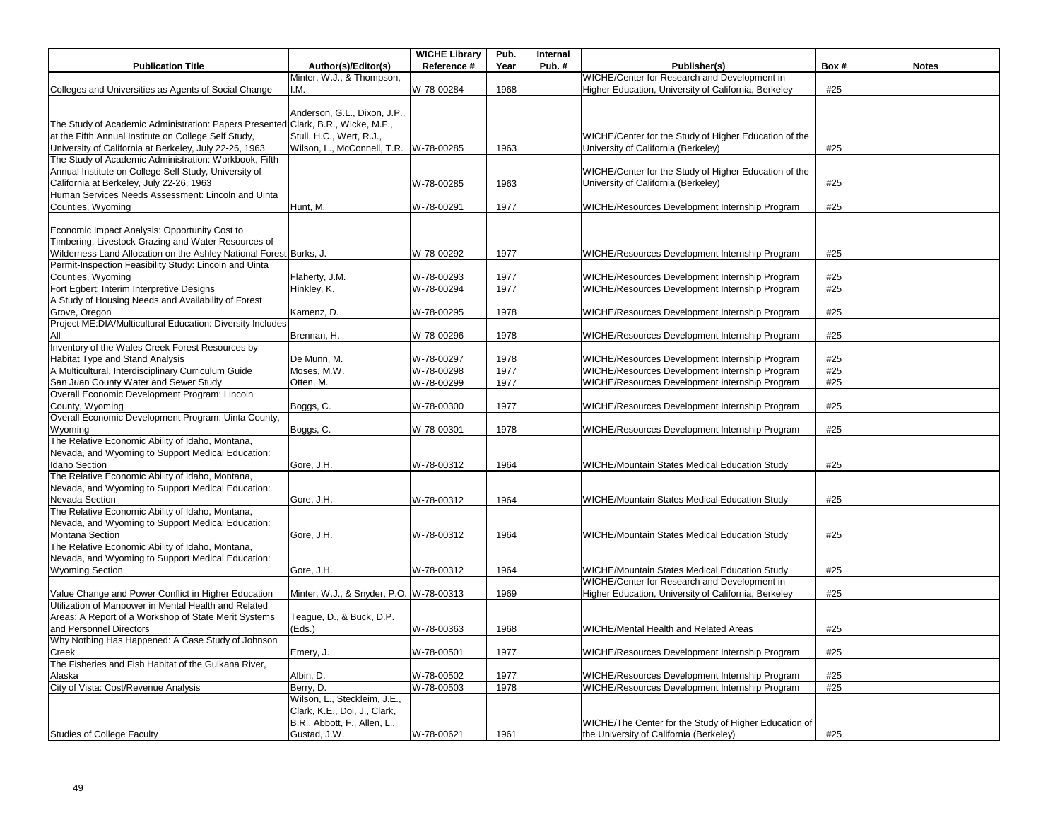|                                                                                  |                              | <b>WICHE Library</b> | Pub. | Internal |                                                       |      |              |
|----------------------------------------------------------------------------------|------------------------------|----------------------|------|----------|-------------------------------------------------------|------|--------------|
| <b>Publication Title</b>                                                         | Author(s)/Editor(s)          | Reference #          | Year | Pub.#    | Publisher(s)                                          | Box# | <b>Notes</b> |
|                                                                                  | Minter, W.J., & Thompson,    |                      |      |          | WICHE/Center for Research and Development in          |      |              |
| Colleges and Universities as Agents of Social Change                             | I.M.                         | W-78-00284           | 1968 |          | Higher Education, University of California, Berkeley  | #25  |              |
|                                                                                  |                              |                      |      |          |                                                       |      |              |
|                                                                                  | Anderson, G.L., Dixon, J.P., |                      |      |          |                                                       |      |              |
| The Study of Academic Administration: Papers Presented Clark, B.R., Wicke, M.F., |                              |                      |      |          |                                                       |      |              |
|                                                                                  |                              |                      |      |          |                                                       |      |              |
| at the Fifth Annual Institute on College Self Study,                             | Stull, H.C., Wert, R.J.,     |                      |      |          | WICHE/Center for the Study of Higher Education of the |      |              |
| University of California at Berkeley, July 22-26, 1963                           | Wilson, L., McConnell, T.R.  | W-78-00285           | 1963 |          | University of California (Berkeley)                   | #25  |              |
| The Study of Academic Administration: Workbook, Fifth                            |                              |                      |      |          |                                                       |      |              |
| Annual Institute on College Self Study, University of                            |                              |                      |      |          | WICHE/Center for the Study of Higher Education of the |      |              |
| California at Berkeley, July 22-26, 1963                                         |                              | W-78-00285           | 1963 |          | University of California (Berkeley)                   | #25  |              |
| Human Services Needs Assessment: Lincoln and Uinta                               |                              |                      |      |          |                                                       |      |              |
| Counties, Wyoming                                                                | Hunt, M.                     | W-78-00291           | 1977 |          | WICHE/Resources Development Internship Program        | #25  |              |
|                                                                                  |                              |                      |      |          |                                                       |      |              |
| Economic Impact Analysis: Opportunity Cost to                                    |                              |                      |      |          |                                                       |      |              |
| Timbering, Livestock Grazing and Water Resources of                              |                              |                      |      |          |                                                       |      |              |
| Wilderness Land Allocation on the Ashley National Forest Burks, J.               |                              | W-78-00292           | 1977 |          | WICHE/Resources Development Internship Program        | #25  |              |
| Permit-Inspection Feasibility Study: Lincoln and Uinta                           |                              |                      |      |          |                                                       |      |              |
| Counties, Wyoming                                                                | Flaherty, J.M.               | W-78-00293           | 1977 |          | WICHE/Resources Development Internship Program        | #25  |              |
| Fort Egbert: Interim Interpretive Designs                                        | Hinkley, K.                  | W-78-00294           | 1977 |          | WICHE/Resources Development Internship Program        | #25  |              |
| A Study of Housing Needs and Availability of Forest                              |                              |                      |      |          |                                                       |      |              |
| Grove, Oregon                                                                    | Kamenz, D.                   | W-78-00295           | 1978 |          | WICHE/Resources Development Internship Program        | #25  |              |
| Project ME:DIA/Multicultural Education: Diversity Includes                       |                              |                      |      |          |                                                       |      |              |
| All                                                                              | Brennan, H.                  | W-78-00296           | 1978 |          | WICHE/Resources Development Internship Program        | #25  |              |
| Inventory of the Wales Creek Forest Resources by                                 |                              |                      |      |          |                                                       |      |              |
| Habitat Type and Stand Analysis                                                  |                              | W-78-00297           | 1978 |          | WICHE/Resources Development Internship Program        | #25  |              |
| A Multicultural, Interdisciplinary Curriculum Guide                              | De Munn, M.<br>Moses, M.W.   | W-78-00298           | 1977 |          | WICHE/Resources Development Internship Program        | #25  |              |
|                                                                                  |                              |                      |      |          |                                                       |      |              |
| San Juan County Water and Sewer Study                                            | Otten, M.                    | W-78-00299           | 1977 |          | WICHE/Resources Development Internship Program        | #25  |              |
| Overall Economic Development Program: Lincoln                                    |                              |                      |      |          |                                                       |      |              |
| County, Wyoming                                                                  | Boggs, C.                    | W-78-00300           | 1977 |          | WICHE/Resources Development Internship Program        | #25  |              |
| Overall Economic Development Program: Uinta County,                              |                              |                      |      |          |                                                       |      |              |
| Wyoming                                                                          | Boggs, C.                    | W-78-00301           | 1978 |          | WICHE/Resources Development Internship Program        | #25  |              |
| The Relative Economic Ability of Idaho, Montana,                                 |                              |                      |      |          |                                                       |      |              |
| Nevada, and Wyoming to Support Medical Education:                                |                              |                      |      |          |                                                       |      |              |
| <b>Idaho Section</b>                                                             | Gore, J.H.                   | W-78-00312           | 1964 |          | WICHE/Mountain States Medical Education Study         | #25  |              |
| The Relative Economic Ability of Idaho, Montana,                                 |                              |                      |      |          |                                                       |      |              |
| Nevada, and Wyoming to Support Medical Education:                                |                              |                      |      |          |                                                       |      |              |
| Nevada Section                                                                   | Gore, J.H.                   | W-78-00312           | 1964 |          | WICHE/Mountain States Medical Education Study         | #25  |              |
| The Relative Economic Ability of Idaho, Montana,                                 |                              |                      |      |          |                                                       |      |              |
| Nevada, and Wyoming to Support Medical Education:                                |                              |                      |      |          |                                                       |      |              |
| Montana Section                                                                  | Gore, J.H.                   | W-78-00312           | 1964 |          | WICHE/Mountain States Medical Education Study         | #25  |              |
| The Relative Economic Ability of Idaho, Montana,                                 |                              |                      |      |          |                                                       |      |              |
| Nevada, and Wyoming to Support Medical Education:                                |                              |                      |      |          |                                                       |      |              |
| <b>Wyoming Section</b>                                                           | Gore, J.H.                   | W-78-00312           | 1964 |          | WICHE/Mountain States Medical Education Study         | #25  |              |
|                                                                                  |                              |                      |      |          | WICHE/Center for Research and Development in          |      |              |
| Value Change and Power Conflict in Higher Education                              | Minter, W.J., & Snyder, P.O. | W-78-00313           | 1969 |          | Higher Education, University of California, Berkeley  | #25  |              |
| Utilization of Manpower in Mental Health and Related                             |                              |                      |      |          |                                                       |      |              |
| Areas: A Report of a Workshop of State Merit Systems                             | Teague, D., & Buck, D.P.     |                      |      |          |                                                       |      |              |
| and Personnel Directors                                                          | (Eds.)                       | W-78-00363           | 1968 |          | WICHE/Mental Health and Related Areas                 | #25  |              |
| Why Nothing Has Happened: A Case Study of Johnson                                |                              |                      |      |          |                                                       |      |              |
| Creek                                                                            | Emery, J.                    | W-78-00501           | 1977 |          | WICHE/Resources Development Internship Program        | #25  |              |
| The Fisheries and Fish Habitat of the Gulkana River,                             |                              |                      |      |          |                                                       |      |              |
|                                                                                  |                              |                      |      |          |                                                       |      |              |
| Alaska                                                                           | Albin, D.                    | W-78-00502           | 1977 |          | WICHE/Resources Development Internship Program        | #25  |              |
| City of Vista: Cost/Revenue Analysis                                             | Berry, D.                    | W-78-00503           | 1978 |          | WICHE/Resources Development Internship Program        | #25  |              |
|                                                                                  | Wilson, L., Steckleim, J.E., |                      |      |          |                                                       |      |              |
|                                                                                  | Clark, K.E., Doi, J., Clark, |                      |      |          |                                                       |      |              |
|                                                                                  | B.R., Abbott, F., Allen, L., |                      |      |          | WICHE/The Center for the Study of Higher Education of |      |              |
| <b>Studies of College Faculty</b>                                                | Gustad, J.W.                 | W-78-00621           | 1961 |          | the University of California (Berkeley)               | #25  |              |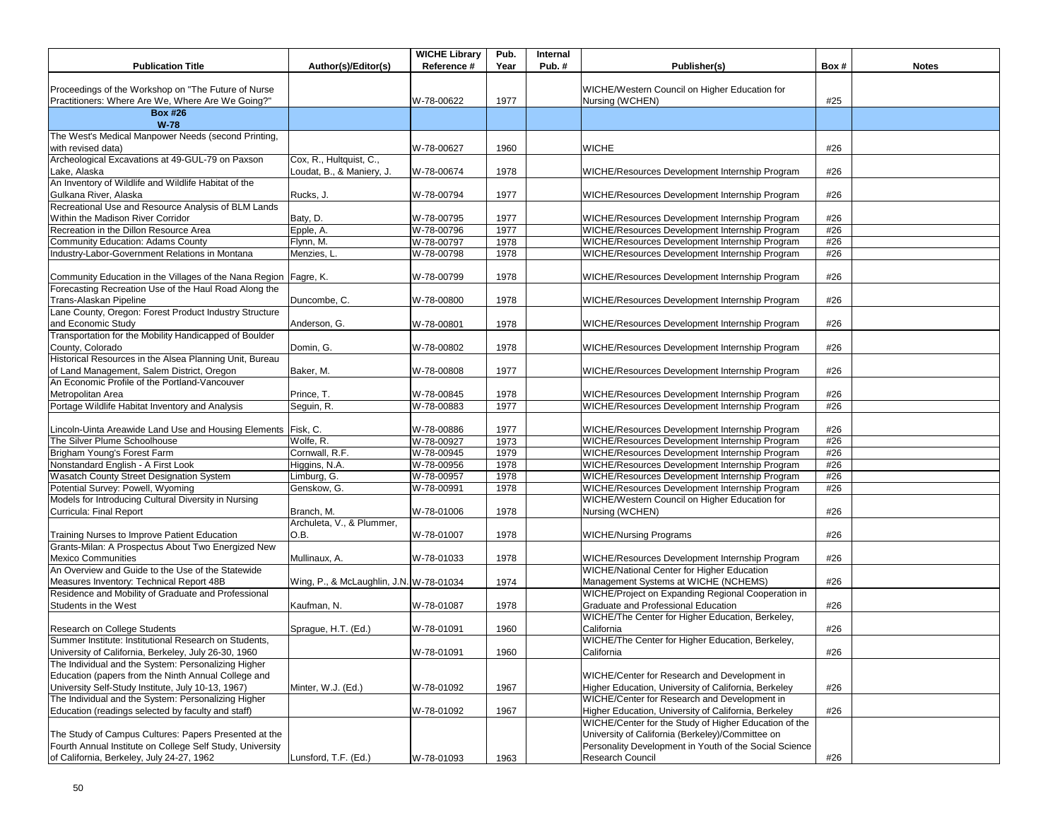| <b>Publication Title</b>                                                                                 | Author(s)/Editor(s)                                  | <b>WICHE Library</b><br>Reference # | Pub.<br>Year | Internal<br>Pub.# | Publisher(s)                                                                                              | Box# | <b>Notes</b> |
|----------------------------------------------------------------------------------------------------------|------------------------------------------------------|-------------------------------------|--------------|-------------------|-----------------------------------------------------------------------------------------------------------|------|--------------|
|                                                                                                          |                                                      |                                     |              |                   |                                                                                                           |      |              |
| Proceedings of the Workshop on "The Future of Nurse<br>Practitioners: Where Are We, Where Are We Going?" |                                                      | W-78-00622                          | 1977         |                   | WICHE/Western Council on Higher Education for<br>Nursing (WCHEN)                                          | #25  |              |
| <b>Box #26</b><br>$W-78$                                                                                 |                                                      |                                     |              |                   |                                                                                                           |      |              |
| The West's Medical Manpower Needs (second Printing,<br>with revised data)                                |                                                      | W-78-00627                          | 1960         |                   | <b>WICHE</b>                                                                                              | #26  |              |
| Archeological Excavations at 49-GUL-79 on Paxson<br>Lake, Alaska                                         | Cox, R., Hultquist, C.,<br>Loudat, B., & Maniery, J. | W-78-00674                          | 1978         |                   | WICHE/Resources Development Internship Program                                                            | #26  |              |
| An Inventory of Wildlife and Wildlife Habitat of the<br>Gulkana River, Alaska                            | Rucks, J.                                            | W-78-00794                          | 1977         |                   | WICHE/Resources Development Internship Program                                                            | #26  |              |
| Recreational Use and Resource Analysis of BLM Lands<br>Within the Madison River Corridor                 | Baty, D.                                             | W-78-00795                          | 1977         |                   | WICHE/Resources Development Internship Program                                                            | #26  |              |
| Recreation in the Dillon Resource Area                                                                   | Epple, A.                                            | W-78-00796                          | 1977         |                   | WICHE/Resources Development Internship Program                                                            | #26  |              |
|                                                                                                          |                                                      |                                     |              |                   | WICHE/Resources Development Internship Program                                                            | #26  |              |
| Community Education: Adams County                                                                        | Flynn, M.                                            | W-78-00797                          | 1978         |                   |                                                                                                           |      |              |
| Industry-Labor-Government Relations in Montana                                                           | Menzies, L                                           | W-78-00798                          | 1978         |                   | WICHE/Resources Development Internship Program                                                            | #26  |              |
| Community Education in the Villages of the Nana Region   Fagre, K.                                       |                                                      | W-78-00799                          | 1978         |                   | WICHE/Resources Development Internship Program                                                            | #26  |              |
| Forecasting Recreation Use of the Haul Road Along the<br>Trans-Alaskan Pipeline                          | Duncombe, C.                                         | W-78-00800                          | 1978         |                   | WICHE/Resources Development Internship Program                                                            | #26  |              |
| Lane County, Oregon: Forest Product Industry Structure<br>and Economic Study                             | Anderson, G.                                         | W-78-00801                          | 1978         |                   | WICHE/Resources Development Internship Program                                                            | #26  |              |
| Transportation for the Mobility Handicapped of Boulder<br>County, Colorado                               | Domin. G.                                            | W-78-00802                          | 1978         |                   | WICHE/Resources Development Internship Program                                                            | #26  |              |
| Historical Resources in the Alsea Planning Unit, Bureau<br>of Land Management, Salem District, Oregon    | Baker, M.                                            | W-78-00808                          | 1977         |                   | WICHE/Resources Development Internship Program                                                            | #26  |              |
| An Economic Profile of the Portland-Vancouver<br>Metropolitan Area                                       | Prince, T.                                           | W-78-00845                          | 1978         |                   | WICHE/Resources Development Internship Program                                                            | #26  |              |
| Portage Wildlife Habitat Inventory and Analysis                                                          | Seguin, R.                                           | W-78-00883                          | 1977         |                   | WICHE/Resources Development Internship Program                                                            | #26  |              |
|                                                                                                          |                                                      |                                     |              |                   |                                                                                                           |      |              |
| Lincoln-Uinta Areawide Land Use and Housing Elements Fisk, C.                                            |                                                      | W-78-00886                          | 1977         |                   | WICHE/Resources Development Internship Program                                                            | #26  |              |
| The Silver Plume Schoolhouse                                                                             | Wolfe, R.                                            | W-78-00927                          | 1973         |                   | WICHE/Resources Development Internship Program                                                            | #26  |              |
| Brigham Young's Forest Farm                                                                              | Cornwall, R.F.                                       | W-78-00945                          | 1979         |                   | WICHE/Resources Development Internship Program                                                            | #26  |              |
| Nonstandard English - A First Look                                                                       | Higgins, N.A.                                        | W-78-00956                          | 1978         |                   | WICHE/Resources Development Internship Program                                                            | #26  |              |
| Wasatch County Street Designation System                                                                 | Limburg, G.                                          | W-78-00957                          | 1978         |                   | WICHE/Resources Development Internship Program                                                            | #26  |              |
| Potential Survey: Powell, Wyoming                                                                        | Genskow, G.                                          | W-78-00991                          | 1978         |                   | WICHE/Resources Development Internship Program                                                            | #26  |              |
| Models for Introducing Cultural Diversity in Nursing                                                     |                                                      |                                     |              |                   | WICHE/Western Council on Higher Education for                                                             |      |              |
| Curricula: Final Report                                                                                  | Branch, M.                                           | W-78-01006                          | 1978         |                   | Nursing (WCHEN)                                                                                           | #26  |              |
|                                                                                                          | Archuleta, V., & Plummer,                            |                                     |              |                   |                                                                                                           |      |              |
| Training Nurses to Improve Patient Education<br>Grants-Milan: A Prospectus About Two Energized New       | O.B.                                                 | W-78-01007                          | 1978         |                   | <b>WICHE/Nursing Programs</b>                                                                             | #26  |              |
| <b>Mexico Communities</b><br>An Overview and Guide to the Use of the Statewide                           | Mullinaux, A.                                        | W-78-01033                          | 1978         |                   | WICHE/Resources Development Internship Program<br><b>WICHE/National Center for Higher Education</b>       | #26  |              |
| Measures Inventory: Technical Report 48B                                                                 | Wing, P., & McLaughlin, J.N. W-78-01034              |                                     | 1974         |                   | Management Systems at WICHE (NCHEMS)                                                                      | #26  |              |
| Residence and Mobility of Graduate and Professional<br>Students in the West                              | Kaufman, N.                                          | W-78-01087                          | 1978         |                   | WICHE/Project on Expanding Regional Cooperation in<br>Graduate and Professional Education                 | #26  |              |
| Research on College Students                                                                             | Sprague, H.T. (Ed.)                                  | W-78-01091                          | 1960         |                   | WICHE/The Center for Higher Education, Berkeley,<br>California                                            | #26  |              |
| Summer Institute: Institutional Research on Students,                                                    |                                                      |                                     |              |                   | WICHE/The Center for Higher Education, Berkeley,                                                          |      |              |
| University of California, Berkeley, July 26-30, 1960                                                     |                                                      | W-78-01091                          | 1960         |                   | California                                                                                                | #26  |              |
| The Individual and the System: Personalizing Higher                                                      |                                                      |                                     |              |                   |                                                                                                           |      |              |
| Education (papers from the Ninth Annual College and                                                      |                                                      |                                     |              |                   | WICHE/Center for Research and Development in                                                              |      |              |
| University Self-Study Institute, July 10-13, 1967)                                                       | Minter, W.J. (Ed.)                                   | W-78-01092                          | 1967         |                   | Higher Education, University of California, Berkeley                                                      | #26  |              |
| The Individual and the System: Personalizing Higher                                                      |                                                      |                                     |              |                   | WICHE/Center for Research and Development in                                                              |      |              |
| Education (readings selected by faculty and staff)                                                       |                                                      | W-78-01092                          | 1967         |                   | Higher Education, University of California, Berkeley                                                      | #26  |              |
| The Study of Campus Cultures: Papers Presented at the                                                    |                                                      |                                     |              |                   | WICHE/Center for the Study of Higher Education of the<br>University of California (Berkeley)/Committee on |      |              |
| Fourth Annual Institute on College Self Study, University                                                |                                                      |                                     |              |                   | Personality Development in Youth of the Social Science                                                    |      |              |
| of California, Berkeley, July 24-27, 1962                                                                | Lunsford, T.F. (Ed.)                                 | W-78-01093                          | 1963         |                   | Research Council                                                                                          | #26  |              |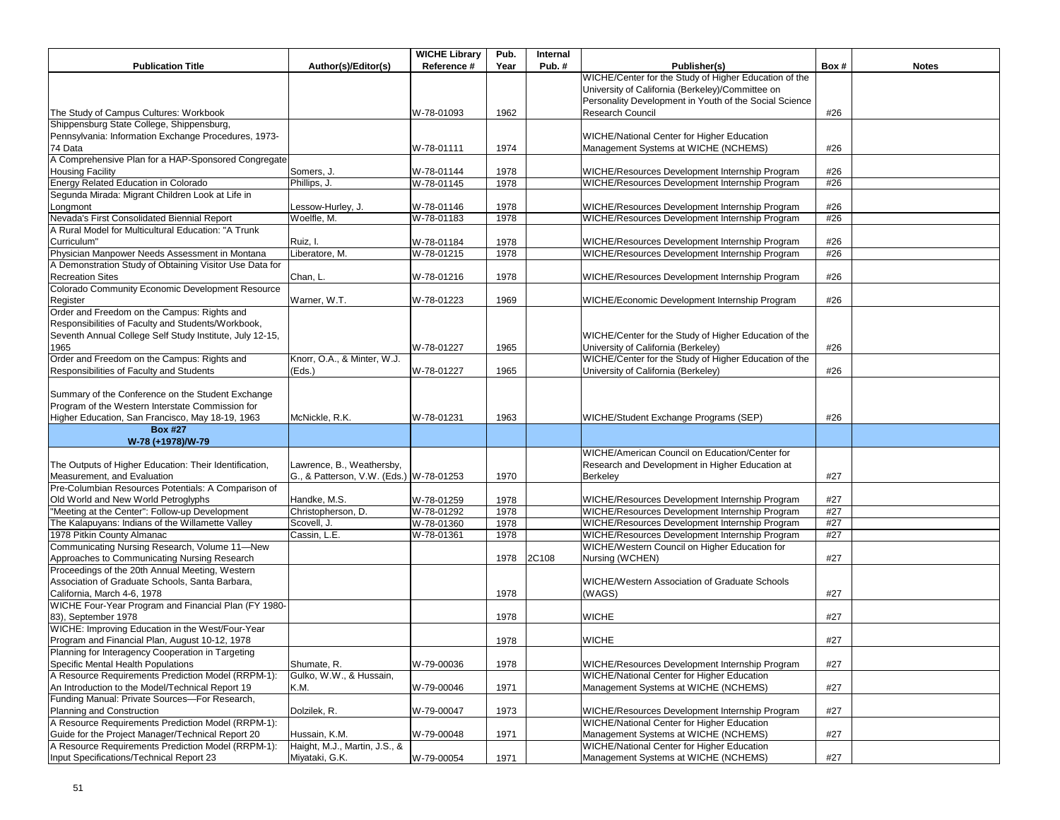| <b>Publication Title</b>                                                                           | Author(s)/Editor(s)                     | <b>WICHE Library</b><br>Reference # | Pub.<br>Year | Internal<br>Pub.# | Publisher(s)                                           | Box# | <b>Notes</b> |
|----------------------------------------------------------------------------------------------------|-----------------------------------------|-------------------------------------|--------------|-------------------|--------------------------------------------------------|------|--------------|
|                                                                                                    |                                         |                                     |              |                   | WICHE/Center for the Study of Higher Education of the  |      |              |
|                                                                                                    |                                         |                                     |              |                   | University of California (Berkeley)/Committee on       |      |              |
|                                                                                                    |                                         |                                     |              |                   | Personality Development in Youth of the Social Science |      |              |
| The Study of Campus Cultures: Workbook                                                             |                                         | W-78-01093                          | 1962         |                   | Research Council                                       | #26  |              |
| Shippensburg State College, Shippensburg,                                                          |                                         |                                     |              |                   |                                                        |      |              |
| Pennsylvania: Information Exchange Procedures, 1973-                                               |                                         |                                     |              |                   | WICHE/National Center for Higher Education             |      |              |
| 74 Data                                                                                            |                                         |                                     |              |                   |                                                        | #26  |              |
|                                                                                                    |                                         | W-78-01111                          | 1974         |                   | Management Systems at WICHE (NCHEMS)                   |      |              |
| A Comprehensive Plan for a HAP-Sponsored Congregate                                                |                                         |                                     |              |                   |                                                        |      |              |
| <b>Housing Facility</b><br>Energy Related Education in Colorado                                    | Somers, J.                              | W-78-01144                          | 1978         |                   | WICHE/Resources Development Internship Program         | #26  |              |
| Segunda Mirada: Migrant Children Look at Life in                                                   | Phillips, J.                            | W-78-01145                          | 1978         |                   | WICHE/Resources Development Internship Program         | #26  |              |
|                                                                                                    |                                         |                                     |              |                   |                                                        |      |              |
| Longmont                                                                                           | Lessow-Hurley, J.<br>Woelfle, M.        | W-78-01146                          | 1978         |                   | WICHE/Resources Development Internship Program         | #26  |              |
| Nevada's First Consolidated Biennial Report<br>A Rural Model for Multicultural Education: "A Trunk |                                         | W-78-01183                          | 1978         |                   | WICHE/Resources Development Internship Program         | #26  |              |
|                                                                                                    |                                         |                                     |              |                   |                                                        |      |              |
| Curriculum"                                                                                        | Ruiz, I.                                | W-78-01184                          | 1978         |                   | WICHE/Resources Development Internship Program         | #26  |              |
| Physician Manpower Needs Assessment in Montana                                                     | Liberatore, M.                          | W-78-01215                          | 1978         |                   | WICHE/Resources Development Internship Program         | #26  |              |
| A Demonstration Study of Obtaining Visitor Use Data for                                            |                                         |                                     |              |                   |                                                        |      |              |
| <b>Recreation Sites</b>                                                                            | Chan, L.                                | W-78-01216                          | 1978         |                   | WICHE/Resources Development Internship Program         | #26  |              |
| Colorado Community Economic Development Resource                                                   |                                         |                                     |              |                   |                                                        |      |              |
| Register                                                                                           | Warner, W.T.                            | W-78-01223                          | 1969         |                   | WICHE/Economic Development Internship Program          | #26  |              |
| Order and Freedom on the Campus: Rights and                                                        |                                         |                                     |              |                   |                                                        |      |              |
| Responsibilities of Faculty and Students/Workbook,                                                 |                                         |                                     |              |                   |                                                        |      |              |
| Seventh Annual College Self Study Institute, July 12-15,                                           |                                         |                                     |              |                   | WICHE/Center for the Study of Higher Education of the  |      |              |
| 1965                                                                                               |                                         | W-78-01227                          | 1965         |                   | University of California (Berkeley)                    | #26  |              |
| Order and Freedom on the Campus: Rights and                                                        | Knorr, O.A., & Minter, W.J.             |                                     |              |                   | WICHE/Center for the Study of Higher Education of the  |      |              |
| Responsibilities of Faculty and Students                                                           | (Eds.)                                  | W-78-01227                          | 1965         |                   | University of California (Berkeley)                    | #26  |              |
|                                                                                                    |                                         |                                     |              |                   |                                                        |      |              |
| Summary of the Conference on the Student Exchange                                                  |                                         |                                     |              |                   |                                                        |      |              |
| Program of the Western Interstate Commission for                                                   |                                         |                                     |              |                   |                                                        |      |              |
| Higher Education, San Francisco, May 18-19, 1963                                                   | McNickle, R.K.                          | W-78-01231                          | 1963         |                   | WICHE/Student Exchange Programs (SEP)                  | #26  |              |
| <b>Box #27</b>                                                                                     |                                         |                                     |              |                   |                                                        |      |              |
| W-78 (+1978)/W-79                                                                                  |                                         |                                     |              |                   |                                                        |      |              |
|                                                                                                    |                                         |                                     |              |                   | WICHE/American Council on Education/Center for         |      |              |
| The Outputs of Higher Education: Their Identification,                                             | Lawrence, B., Weathersby,               |                                     |              |                   | Research and Development in Higher Education at        |      |              |
| Measurement, and Evaluation                                                                        | G., & Patterson, V.W. (Eds.) W-78-01253 |                                     | 1970         |                   | <b>Berkeley</b>                                        | #27  |              |
| Pre-Columbian Resources Potentials: A Comparison of                                                |                                         |                                     |              |                   |                                                        |      |              |
| Old World and New World Petroglyphs                                                                | Handke, M.S.                            | W-78-01259                          | 1978         |                   | WICHE/Resources Development Internship Program         | #27  |              |
| "Meeting at the Center": Follow-up Development                                                     | Christopherson, D.                      | W-78-01292                          | 1978         |                   | WICHE/Resources Development Internship Program         | #27  |              |
| The Kalapuyans: Indians of the Willamette Valley                                                   | Scovell, J.                             | W-78-01360                          | 1978         |                   | WICHE/Resources Development Internship Program         | #27  |              |
| 1978 Pitkin County Almanac                                                                         | Cassin, L.E.                            | W-78-01361                          | 1978         |                   | WICHE/Resources Development Internship Program         | #27  |              |
| Communicating Nursing Research, Volume 11-New                                                      |                                         |                                     |              |                   | WICHE/Western Council on Higher Education for          |      |              |
| Approaches to Communicating Nursing Research                                                       |                                         |                                     | 1978         | 2C108             | Nursing (WCHEN)                                        | #27  |              |
| Proceedings of the 20th Annual Meeting, Western                                                    |                                         |                                     |              |                   |                                                        |      |              |
| Association of Graduate Schools, Santa Barbara,                                                    |                                         |                                     |              |                   | WICHE/Western Association of Graduate Schools          |      |              |
| California, March 4-6, 1978                                                                        |                                         |                                     | 1978         |                   | (WAGS)                                                 | #27  |              |
| WICHE Four-Year Program and Financial Plan (FY 1980-                                               |                                         |                                     |              |                   |                                                        |      |              |
| 83). September 1978                                                                                |                                         |                                     | 1978         |                   | <b>WICHE</b>                                           | #27  |              |
| WICHE: Improving Education in the West/Four-Year                                                   |                                         |                                     |              |                   |                                                        |      |              |
| Program and Financial Plan, August 10-12, 1978                                                     |                                         |                                     | 1978         |                   | <b>WICHE</b>                                           | #27  |              |
| Planning for Interagency Cooperation in Targeting                                                  |                                         |                                     |              |                   |                                                        |      |              |
| <b>Specific Mental Health Populations</b>                                                          | Shumate, R.                             | W-79-00036                          | 1978         |                   | WICHE/Resources Development Internship Program         | #27  |              |
| A Resource Requirements Prediction Model (RRPM-1):                                                 | Gulko, W.W., & Hussain,                 |                                     |              |                   | WICHE/National Center for Higher Education             |      |              |
| An Introduction to the Model/Technical Report 19                                                   | K.M.                                    | W-79-00046                          | 1971         |                   | Management Systems at WICHE (NCHEMS)                   | #27  |              |
| Funding Manual: Private Sources-For Research,                                                      |                                         |                                     |              |                   |                                                        |      |              |
| Planning and Construction                                                                          | Dolzilek, R.                            | W-79-00047                          | 1973         |                   | WICHE/Resources Development Internship Program         | #27  |              |
| A Resource Requirements Prediction Model (RRPM-1):                                                 |                                         |                                     |              |                   | <b>WICHE/National Center for Higher Education</b>      |      |              |
| Guide for the Project Manager/Technical Report 20                                                  | Hussain, K.M.                           | W-79-00048                          | 1971         |                   | Management Systems at WICHE (NCHEMS)                   | #27  |              |
| A Resource Requirements Prediction Model (RRPM-1):                                                 | Haight, M.J., Martin, J.S., &           |                                     |              |                   | <b>WICHE/National Center for Higher Education</b>      |      |              |
| Input Specifications/Technical Report 23                                                           | Miyataki, G.K.                          | W-79-00054                          | 1971         |                   | Management Systems at WICHE (NCHEMS)                   | #27  |              |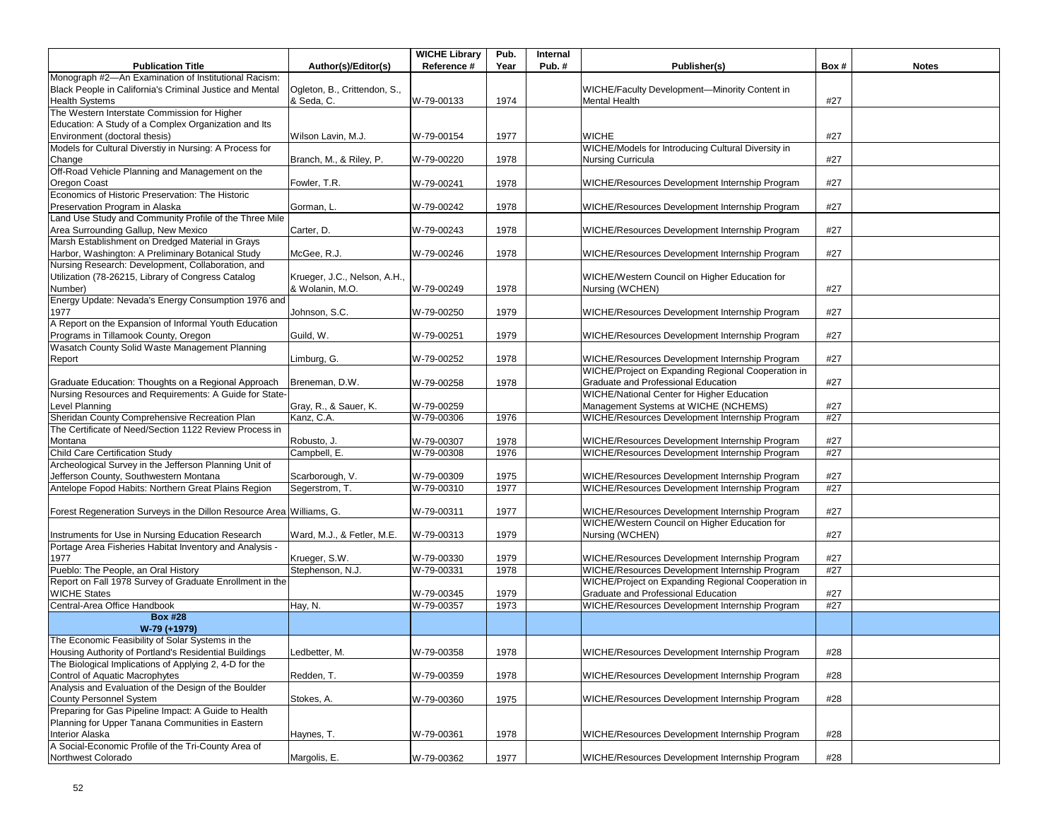|                                                                                                         |                              | <b>WICHE Library</b> | Pub. | Internal |                                                                                        |            |              |
|---------------------------------------------------------------------------------------------------------|------------------------------|----------------------|------|----------|----------------------------------------------------------------------------------------|------------|--------------|
| <b>Publication Title</b>                                                                                | Author(s)/Editor(s)          | Reference #          | Year | Pub.#    | Publisher(s)                                                                           | Box#       | <b>Notes</b> |
| Monograph #2-An Examination of Institutional Racism:                                                    |                              |                      |      |          |                                                                                        |            |              |
| Black People in California's Criminal Justice and Mental                                                | Ogleton, B., Crittendon, S., |                      |      |          | WICHE/Faculty Development-Minority Content in                                          |            |              |
| <b>Health Systems</b><br>The Western Interstate Commission for Higher                                   | & Seda, C.                   | W-79-00133           | 1974 |          | <b>Mental Health</b>                                                                   | #27        |              |
| Education: A Study of a Complex Organization and Its                                                    |                              |                      |      |          |                                                                                        |            |              |
| Environment (doctoral thesis)                                                                           | Wilson Lavin, M.J.           | W-79-00154           | 1977 |          | <b>WICHE</b>                                                                           | #27        |              |
| Models for Cultural Diverstiy in Nursing: A Process for                                                 |                              |                      |      |          | WICHE/Models for Introducing Cultural Diversity in                                     |            |              |
| Change                                                                                                  | Branch, M., & Riley, P.      | W-79-00220           | 1978 |          | Nursing Curricula                                                                      | #27        |              |
| Off-Road Vehicle Planning and Management on the                                                         |                              |                      |      |          |                                                                                        |            |              |
| Oregon Coast                                                                                            | Fowler, T.R.                 | W-79-00241           | 1978 |          | WICHE/Resources Development Internship Program                                         | #27        |              |
| Economics of Historic Preservation: The Historic                                                        |                              |                      |      |          |                                                                                        |            |              |
| Preservation Program in Alaska                                                                          | Gorman, L.                   | W-79-00242           | 1978 |          | WICHE/Resources Development Internship Program                                         | #27        |              |
| Land Use Study and Community Profile of the Three Mile                                                  |                              |                      |      |          |                                                                                        |            |              |
| Area Surrounding Gallup, New Mexico                                                                     | Carter, D.                   | W-79-00243           | 1978 |          | WICHE/Resources Development Internship Program                                         | #27        |              |
| Marsh Establishment on Dredged Material in Grays                                                        |                              |                      |      |          |                                                                                        |            |              |
| Harbor, Washington: A Preliminary Botanical Study                                                       | McGee, R.J.                  | W-79-00246           | 1978 |          | WICHE/Resources Development Internship Program                                         | #27        |              |
| Nursing Research: Development, Collaboration, and                                                       |                              |                      |      |          |                                                                                        |            |              |
| Utilization (78-26215, Library of Congress Catalog                                                      | Krueger, J.C., Nelson, A.H., |                      |      |          | WICHE/Western Council on Higher Education for                                          |            |              |
| Number)                                                                                                 | & Wolanin, M.O.              | W-79-00249           | 1978 |          | Nursing (WCHEN)                                                                        | #27        |              |
| Energy Update: Nevada's Energy Consumption 1976 and                                                     |                              |                      |      |          |                                                                                        |            |              |
| 1977                                                                                                    | Johnson, S.C.                | W-79-00250           | 1979 |          | WICHE/Resources Development Internship Program                                         | #27        |              |
| A Report on the Expansion of Informal Youth Education                                                   |                              |                      |      |          |                                                                                        |            |              |
| Programs in Tillamook County, Oregon                                                                    | Guild, W.                    | W-79-00251           | 1979 |          | WICHE/Resources Development Internship Program                                         | #27        |              |
| Wasatch County Solid Waste Management Planning                                                          |                              |                      |      |          |                                                                                        |            |              |
| Report                                                                                                  | Limburg, G.                  | W-79-00252           | 1978 |          | WICHE/Resources Development Internship Program                                         | #27        |              |
|                                                                                                         |                              |                      |      |          | WICHE/Project on Expanding Regional Cooperation in                                     |            |              |
| Graduate Education: Thoughts on a Regional Approach                                                     | Breneman, D.W.               | W-79-00258           | 1978 |          | Graduate and Professional Education                                                    | #27        |              |
| Nursing Resources and Requirements: A Guide for State-                                                  |                              |                      |      |          | WICHE/National Center for Higher Education                                             |            |              |
| <b>Level Planning</b>                                                                                   | Gray, R., & Sauer, K.        | W-79-00259           |      |          | Management Systems at WICHE (NCHEMS)<br>WICHE/Resources Development Internship Program | #27<br>#27 |              |
| Sheridan County Comprehensive Recreation Plan<br>The Certificate of Need/Section 1122 Review Process in | Kanz, C.A.                   | W-79-00306           | 1976 |          |                                                                                        |            |              |
| Montana                                                                                                 | Robusto, J.                  | W-79-00307           | 1978 |          | WICHE/Resources Development Internship Program                                         | #27        |              |
| <b>Child Care Certification Study</b>                                                                   | Campbell, E.                 | W-79-00308           | 1976 |          | WICHE/Resources Development Internship Program                                         | #27        |              |
| Archeological Survey in the Jefferson Planning Unit of                                                  |                              |                      |      |          |                                                                                        |            |              |
| Jefferson County, Southwestern Montana                                                                  | Scarborough, V.              | W-79-00309           | 1975 |          | WICHE/Resources Development Internship Program                                         | #27        |              |
| Antelope Fopod Habits: Northern Great Plains Region                                                     | Segerstrom, T.               | W-79-00310           | 1977 |          | WICHE/Resources Development Internship Program                                         | #27        |              |
|                                                                                                         |                              |                      |      |          |                                                                                        |            |              |
| Forest Regeneration Surveys in the Dillon Resource Area Williams, G.                                    |                              | W-79-00311           | 1977 |          | WICHE/Resources Development Internship Program                                         | #27        |              |
|                                                                                                         |                              |                      |      |          | WICHE/Western Council on Higher Education for                                          |            |              |
| Instruments for Use in Nursing Education Research                                                       | Ward, M.J., & Fetler, M.E.   | W-79-00313           | 1979 |          | Nursing (WCHEN)                                                                        | #27        |              |
| Portage Area Fisheries Habitat Inventory and Analysis -                                                 |                              |                      |      |          |                                                                                        |            |              |
| 1977                                                                                                    | Krueger, S.W.                | W-79-00330           | 1979 |          | WICHE/Resources Development Internship Program                                         | #27        |              |
| Pueblo: The People, an Oral History                                                                     | Stephenson, N.J.             | W-79-00331           | 1978 |          | WICHE/Resources Development Internship Program                                         | #27        |              |
| Report on Fall 1978 Survey of Graduate Enrollment in the                                                |                              |                      |      |          | WICHE/Project on Expanding Regional Cooperation in                                     |            |              |
| <b>WICHE States</b>                                                                                     |                              | W-79-00345           | 1979 |          | Graduate and Professional Education                                                    | #27        |              |
| Central-Area Office Handbook                                                                            | Hay, N.                      | W-79-00357           | 1973 |          | WICHE/Resources Development Internship Program                                         | #27        |              |
| <b>Box #28</b>                                                                                          |                              |                      |      |          |                                                                                        |            |              |
| W-79 (+1979)                                                                                            |                              |                      |      |          |                                                                                        |            |              |
| The Economic Feasibility of Solar Systems in the                                                        |                              |                      |      |          |                                                                                        |            |              |
| Housing Authority of Portland's Residential Buildings                                                   | Ledbetter, M.                | W-79-00358           | 1978 |          | WICHE/Resources Development Internship Program                                         | #28        |              |
| The Biological Implications of Applying 2, 4-D for the                                                  |                              |                      |      |          |                                                                                        |            |              |
| Control of Aquatic Macrophytes<br>Analysis and Evaluation of the Design of the Boulder                  | Redden, T.                   | W-79-00359           | 1978 |          | WICHE/Resources Development Internship Program                                         | #28        |              |
|                                                                                                         |                              |                      |      |          | WICHE/Resources Development Internship Program                                         |            |              |
| County Personnel System<br>Preparing for Gas Pipeline Impact: A Guide to Health                         | Stokes, A.                   | W-79-00360           | 1975 |          |                                                                                        | #28        |              |
| Planning for Upper Tanana Communities in Eastern                                                        |                              |                      |      |          |                                                                                        |            |              |
| Interior Alaska                                                                                         | Haynes, T.                   | W-79-00361           | 1978 |          | WICHE/Resources Development Internship Program                                         | #28        |              |
| A Social-Economic Profile of the Tri-County Area of                                                     |                              |                      |      |          |                                                                                        |            |              |
| Northwest Colorado                                                                                      | Margolis, E.                 | W-79-00362           | 1977 |          | WICHE/Resources Development Internship Program                                         | #28        |              |
|                                                                                                         |                              |                      |      |          |                                                                                        |            |              |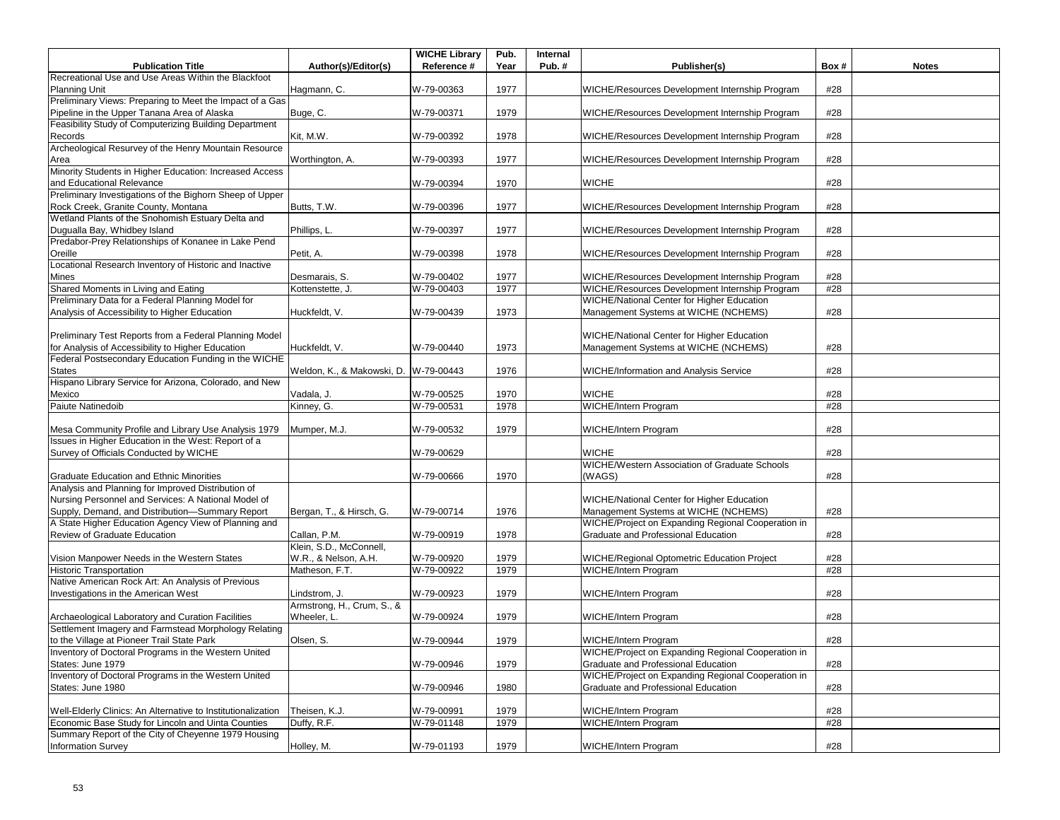|                                                                                                           |                            | <b>WICHE Library</b> | Pub. | Internal |                                                      |      |              |
|-----------------------------------------------------------------------------------------------------------|----------------------------|----------------------|------|----------|------------------------------------------------------|------|--------------|
| <b>Publication Title</b>                                                                                  | Author(s)/Editor(s)        | Reference #          | Year | Pub.#    | Publisher(s)                                         | Box# | <b>Notes</b> |
| Recreational Use and Use Areas Within the Blackfoot                                                       |                            |                      |      |          |                                                      |      |              |
| <b>Planning Unit</b>                                                                                      | Hagmann, C.                | W-79-00363           | 1977 |          | WICHE/Resources Development Internship Program       | #28  |              |
| Preliminary Views: Preparing to Meet the Impact of a Gas                                                  |                            |                      |      |          |                                                      |      |              |
| Pipeline in the Upper Tanana Area of Alaska                                                               | Buge, C.                   | W-79-00371           | 1979 |          | WICHE/Resources Development Internship Program       | #28  |              |
| Feasibility Study of Computerizing Building Department                                                    |                            |                      |      |          |                                                      |      |              |
| Records                                                                                                   | Kit, M.W.                  | W-79-00392           | 1978 |          | WICHE/Resources Development Internship Program       | #28  |              |
| Archeological Resurvey of the Henry Mountain Resource                                                     |                            |                      |      |          |                                                      |      |              |
| Area                                                                                                      | Worthington, A.            | W-79-00393           | 1977 |          | WICHE/Resources Development Internship Program       | #28  |              |
| Minority Students in Higher Education: Increased Access                                                   |                            |                      |      |          |                                                      |      |              |
| and Educational Relevance                                                                                 |                            | W-79-00394           | 1970 |          | <b>WICHE</b>                                         | #28  |              |
| Preliminary Investigations of the Bighorn Sheep of Upper                                                  |                            |                      |      |          |                                                      |      |              |
| Rock Creek, Granite County, Montana                                                                       | Butts, T.W.                | W-79-00396           | 1977 |          | WICHE/Resources Development Internship Program       | #28  |              |
| Wetland Plants of the Snohomish Estuary Delta and                                                         |                            |                      |      |          |                                                      |      |              |
| Dugualla Bay, Whidbey Island                                                                              | Phillips, L.               | W-79-00397           | 1977 |          | WICHE/Resources Development Internship Program       | #28  |              |
| Predabor-Prey Relationships of Konanee in Lake Pend                                                       |                            |                      |      |          |                                                      |      |              |
| Oreille                                                                                                   | Petit, A.                  | W-79-00398           | 1978 |          | WICHE/Resources Development Internship Program       | #28  |              |
| Locational Research Inventory of Historic and Inactive                                                    |                            |                      |      |          |                                                      |      |              |
| Mines                                                                                                     | Desmarais, S.              | W-79-00402           | 1977 |          | WICHE/Resources Development Internship Program       | #28  |              |
| Shared Moments in Living and Eating                                                                       | Kottenstette, J.           | W-79-00403           | 1977 |          | WICHE/Resources Development Internship Program       | #28  |              |
| Preliminary Data for a Federal Planning Model for                                                         |                            |                      |      |          | <b>WICHE/National Center for Higher Education</b>    |      |              |
| Analysis of Accessibility to Higher Education                                                             | Huckfeldt, V.              | W-79-00439           | 1973 |          | Management Systems at WICHE (NCHEMS)                 | #28  |              |
|                                                                                                           |                            |                      |      |          |                                                      |      |              |
| Preliminary Test Reports from a Federal Planning Model                                                    |                            |                      |      |          | WICHE/National Center for Higher Education           |      |              |
|                                                                                                           |                            |                      |      |          |                                                      | #28  |              |
| for Analysis of Accessibility to Higher Education<br>Federal Postsecondary Education Funding in the WICHE | Huckfeldt, V.              | W-79-00440           | 1973 |          | Management Systems at WICHE (NCHEMS)                 |      |              |
|                                                                                                           |                            |                      |      |          |                                                      |      |              |
| States                                                                                                    | Weldon, K., & Makowski, D. | W-79-00443           | 1976 |          | WICHE/Information and Analysis Service               | #28  |              |
| Hispano Library Service for Arizona, Colorado, and New                                                    |                            |                      |      |          |                                                      |      |              |
| Mexico                                                                                                    | Vadala, J.                 | W-79-00525           | 1970 |          | <b>WICHE</b>                                         | #28  |              |
| Paiute Natinedoib                                                                                         | Kinney, G.                 | W-79-00531           | 1978 |          | WICHE/Intern Program                                 | #28  |              |
|                                                                                                           |                            |                      |      |          |                                                      |      |              |
| Mesa Community Profile and Library Use Analysis 1979                                                      | Mumper, M.J.               | W-79-00532           | 1979 |          | WICHE/Intern Program                                 | #28  |              |
| Issues in Higher Education in the West: Report of a                                                       |                            |                      |      |          |                                                      |      |              |
| Survey of Officials Conducted by WICHE                                                                    |                            | W-79-00629           |      |          | <b>WICHE</b>                                         | #28  |              |
|                                                                                                           |                            |                      |      |          | <b>WICHE/Western Association of Graduate Schools</b> |      |              |
| <b>Graduate Education and Ethnic Minorities</b>                                                           |                            | W-79-00666           | 1970 |          | (WAGS)                                               | #28  |              |
| Analysis and Planning for Improved Distribution of                                                        |                            |                      |      |          |                                                      |      |              |
| Nursing Personnel and Services: A National Model of                                                       |                            |                      |      |          | WICHE/National Center for Higher Education           |      |              |
| Supply, Demand, and Distribution-Summary Report                                                           | Bergan, T., & Hirsch, G.   | W-79-00714           | 1976 |          | Management Systems at WICHE (NCHEMS)                 | #28  |              |
| A State Higher Education Agency View of Planning and                                                      |                            |                      |      |          | WICHE/Project on Expanding Regional Cooperation in   |      |              |
| Review of Graduate Education                                                                              | Callan, P.M.               | W-79-00919           | 1978 |          | Graduate and Professional Education                  | #28  |              |
|                                                                                                           | Klein, S.D., McConnell,    |                      |      |          |                                                      |      |              |
| Vision Manpower Needs in the Western States                                                               | W.R., & Nelson, A.H.       | W-79-00920           | 1979 |          | WICHE/Regional Optometric Education Project          | #28  |              |
| <b>Historic Transportation</b>                                                                            | Matheson, F.T.             | W-79-00922           | 1979 |          | WICHE/Intern Program                                 | #28  |              |
| Native American Rock Art: An Analysis of Previous                                                         |                            |                      |      |          |                                                      |      |              |
| Investigations in the American West                                                                       | Lindstrom, J.              | W-79-00923           | 1979 |          | WICHE/Intern Program                                 | #28  |              |
|                                                                                                           | Armstrong, H., Crum, S., & |                      |      |          |                                                      |      |              |
| Archaeological Laboratory and Curation Facilities                                                         | Wheeler, L.                | W-79-00924           | 1979 |          | WICHE/Intern Program                                 | #28  |              |
| Settlement Imagery and Farmstead Morphology Relating                                                      |                            |                      |      |          |                                                      |      |              |
| to the Village at Pioneer Trail State Park                                                                | Olsen, S.                  | W-79-00944           | 1979 |          | <b>WICHE/Intern Program</b>                          | #28  |              |
| Inventory of Doctoral Programs in the Western United                                                      |                            |                      |      |          | WICHE/Project on Expanding Regional Cooperation in   |      |              |
| States: June 1979                                                                                         |                            | W-79-00946           | 1979 |          | Graduate and Professional Education                  | #28  |              |
| Inventory of Doctoral Programs in the Western United                                                      |                            |                      |      |          | WICHE/Project on Expanding Regional Cooperation in   |      |              |
| States: June 1980                                                                                         |                            | W-79-00946           | 1980 |          | Graduate and Professional Education                  | #28  |              |
|                                                                                                           |                            |                      |      |          |                                                      |      |              |
| Well-Elderly Clinics: An Alternative to Institutionalization                                              | Theisen, K.J.              | W-79-00991           | 1979 |          | WICHE/Intern Program                                 | #28  |              |
| Economic Base Study for Lincoln and Uinta Counties                                                        | Duffy, R.F.                | W-79-01148           | 1979 |          | <b>WICHE/Intern Program</b>                          | #28  |              |
| Summary Report of the City of Cheyenne 1979 Housing                                                       |                            |                      |      |          |                                                      |      |              |
| <b>Information Survey</b>                                                                                 | Holley, M.                 | W-79-01193           | 1979 |          | WICHE/Intern Program                                 | #28  |              |
|                                                                                                           |                            |                      |      |          |                                                      |      |              |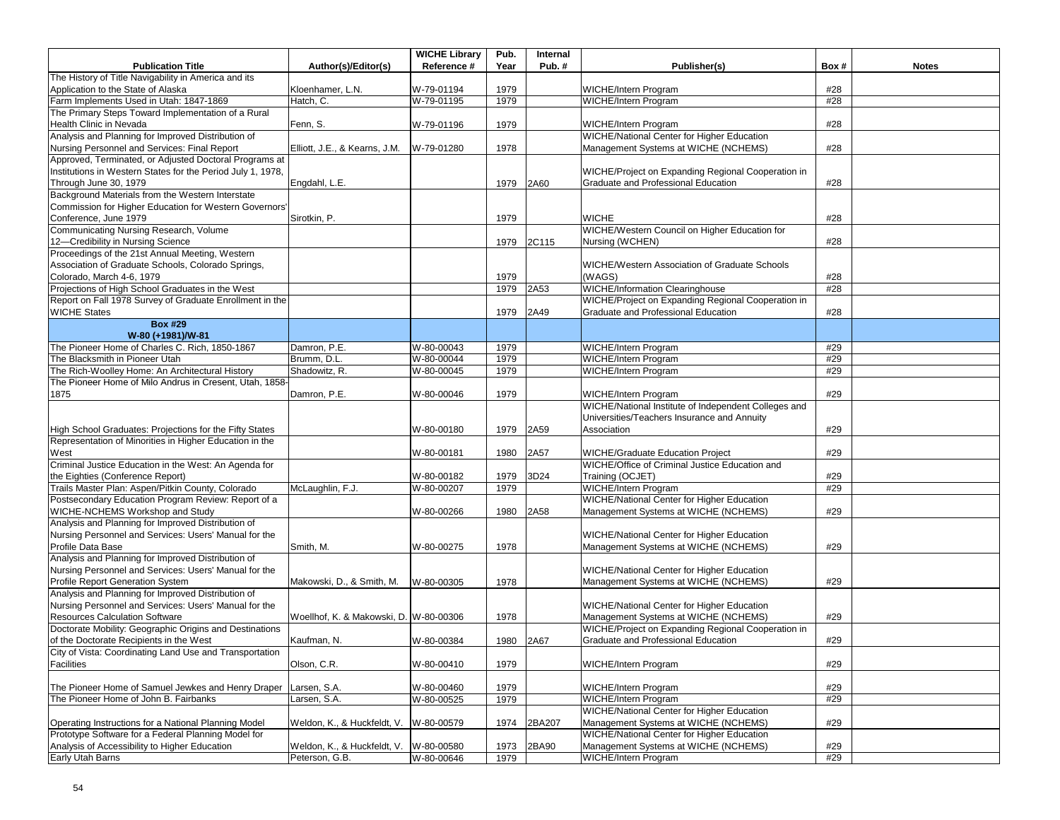|                                                                                                                    |                                        | <b>WICHE Library</b>     | Pub. | Internal |                                                                                    |            |              |
|--------------------------------------------------------------------------------------------------------------------|----------------------------------------|--------------------------|------|----------|------------------------------------------------------------------------------------|------------|--------------|
| <b>Publication Title</b>                                                                                           | Author(s)/Editor(s)                    | Reference #              | Year | Pub.#    | Publisher(s)                                                                       | Box#       | <b>Notes</b> |
| The History of Title Navigability in America and its                                                               |                                        |                          |      |          |                                                                                    |            |              |
| Application to the State of Alaska                                                                                 | Kloenhamer, L.N.                       | W-79-01194               | 1979 |          | WICHE/Intern Program                                                               | #28        |              |
| Farm Implements Used in Utah: 1847-1869                                                                            | Hatch, $\overline{C}$ .                | W-79-01195               | 1979 |          | <b>WICHE/Intern Program</b>                                                        | #28        |              |
| The Primary Steps Toward Implementation of a Rural                                                                 |                                        |                          |      |          |                                                                                    |            |              |
| Health Clinic in Nevada                                                                                            | Fenn, S.                               | W-79-01196               | 1979 |          | WICHE/Intern Program                                                               | #28        |              |
| Analysis and Planning for Improved Distribution of                                                                 |                                        |                          |      |          | WICHE/National Center for Higher Education                                         |            |              |
| Nursing Personnel and Services: Final Report                                                                       | Elliott, J.E., & Kearns, J.M.          | W-79-01280               | 1978 |          | Management Systems at WICHE (NCHEMS)                                               | #28        |              |
| Approved, Terminated, or Adjusted Doctoral Programs at                                                             |                                        |                          |      |          |                                                                                    |            |              |
| Institutions in Western States for the Period July 1, 1978,                                                        |                                        |                          |      |          | WICHE/Project on Expanding Regional Cooperation in                                 |            |              |
| Through June 30, 1979                                                                                              | Engdahl, L.E.                          |                          | 1979 | 2A60     | Graduate and Professional Education                                                | #28        |              |
| Background Materials from the Western Interstate                                                                   |                                        |                          |      |          |                                                                                    |            |              |
| Commission for Higher Education for Western Governors'                                                             |                                        |                          |      |          |                                                                                    |            |              |
| Conference, June 1979                                                                                              | Sirotkin, P.                           |                          | 1979 |          | <b>WICHE</b>                                                                       | #28        |              |
| Communicating Nursing Research, Volume                                                                             |                                        |                          |      |          | WICHE/Western Council on Higher Education for                                      |            |              |
| 12-Credibility in Nursing Science                                                                                  |                                        |                          | 1979 | 2C115    | Nursing (WCHEN)                                                                    | #28        |              |
| Proceedings of the 21st Annual Meeting, Western                                                                    |                                        |                          |      |          |                                                                                    |            |              |
| Association of Graduate Schools, Colorado Springs,                                                                 |                                        |                          |      |          | WICHE/Western Association of Graduate Schools                                      |            |              |
| Colorado, March 4-6, 1979                                                                                          |                                        |                          | 1979 |          | (WAGS)                                                                             | #28        |              |
| Projections of High School Graduates in the West                                                                   |                                        |                          | 1979 | 2A53     | WICHE/Information Clearinghouse                                                    | #28        |              |
| Report on Fall 1978 Survey of Graduate Enrollment in the                                                           |                                        |                          |      |          | WICHE/Project on Expanding Regional Cooperation in                                 |            |              |
| <b>WICHE States</b>                                                                                                |                                        |                          | 1979 | 2A49     | Graduate and Professional Education                                                | #28        |              |
| <b>Box #29</b>                                                                                                     |                                        |                          |      |          |                                                                                    |            |              |
| W-80 (+1981)/W-81                                                                                                  |                                        |                          |      |          |                                                                                    |            |              |
| The Pioneer Home of Charles C. Rich, 1850-1867                                                                     | Damron, P.E.                           | W-80-00043               | 1979 |          | <b>WICHE/Intern Program</b>                                                        | #29        |              |
| The Blacksmith in Pioneer Utah                                                                                     | Brumm, D.L.                            | W-80-00044               | 1979 |          | WICHE/Intern Program                                                               | #29        |              |
| The Rich-Woolley Home: An Architectural History                                                                    | Shadowitz, R.                          | W-80-00045               | 1979 |          | WICHE/Intern Program                                                               | #29        |              |
| The Pioneer Home of Milo Andrus in Cresent, Utah, 1858-                                                            |                                        |                          |      |          |                                                                                    |            |              |
| 1875                                                                                                               | Damron, P.E.                           | W-80-00046               | 1979 |          | WICHE/Intern Program                                                               | #29        |              |
|                                                                                                                    |                                        |                          |      |          | WICHE/National Institute of Independent Colleges and                               |            |              |
|                                                                                                                    |                                        |                          |      |          | Universities/Teachers Insurance and Annuity                                        |            |              |
|                                                                                                                    |                                        | W-80-00180               | 1979 | 2A59     | Association                                                                        | #29        |              |
| High School Graduates: Projections for the Fifty States<br>Representation of Minorities in Higher Education in the |                                        |                          |      |          |                                                                                    |            |              |
|                                                                                                                    |                                        | W-80-00181               | 1980 |          |                                                                                    | #29        |              |
| West<br>Criminal Justice Education in the West: An Agenda for                                                      |                                        |                          |      | 2A57     | WICHE/Graduate Education Project<br>WICHE/Office of Criminal Justice Education and |            |              |
|                                                                                                                    |                                        |                          |      |          |                                                                                    |            |              |
| the Eighties (Conference Report)<br>Trails Master Plan: Aspen/Pitkin County, Colorado                              | McLaughlin, F.J.                       | W-80-00182<br>W-80-00207 | 1979 | 3D24     | Training (OCJET)<br><b>WICHE/Intern Program</b>                                    | #29<br>#29 |              |
| Postsecondary Education Program Review: Report of a                                                                |                                        |                          | 1979 |          | WICHE/National Center for Higher Education                                         |            |              |
|                                                                                                                    |                                        |                          |      |          |                                                                                    |            |              |
| WICHE-NCHEMS Workshop and Study                                                                                    |                                        | W-80-00266               | 1980 | 2A58     | Management Systems at WICHE (NCHEMS)                                               | #29        |              |
| Analysis and Planning for Improved Distribution of                                                                 |                                        |                          |      |          |                                                                                    |            |              |
| Nursing Personnel and Services: Users' Manual for the                                                              |                                        |                          |      |          | WICHE/National Center for Higher Education                                         |            |              |
| Profile Data Base                                                                                                  | Smith, M.                              | W-80-00275               | 1978 |          | Management Systems at WICHE (NCHEMS)                                               | #29        |              |
| Analysis and Planning for Improved Distribution of                                                                 |                                        |                          |      |          |                                                                                    |            |              |
| Nursing Personnel and Services: Users' Manual for the                                                              |                                        |                          |      |          | <b>WICHE/National Center for Higher Education</b>                                  |            |              |
| Profile Report Generation System                                                                                   | Makowski, D., & Smith, M.              | W-80-00305               | 1978 |          | Management Systems at WICHE (NCHEMS)                                               | #29        |              |
| Analysis and Planning for Improved Distribution of                                                                 |                                        |                          |      |          |                                                                                    |            |              |
| Nursing Personnel and Services: Users' Manual for the                                                              |                                        |                          |      |          | WICHE/National Center for Higher Education                                         |            |              |
| <b>Resources Calculation Software</b>                                                                              | Woellhof, K. & Makowski, D. W-80-00306 |                          | 1978 |          | Management Systems at WICHE (NCHEMS)                                               | #29        |              |
| Doctorate Mobility: Geographic Origins and Destinations                                                            |                                        |                          |      |          | WICHE/Project on Expanding Regional Cooperation in                                 |            |              |
| of the Doctorate Recipients in the West                                                                            | Kaufman, N.                            | W-80-00384               | 1980 | 2A67     | Graduate and Professional Education                                                | #29        |              |
| City of Vista: Coordinating Land Use and Transportation                                                            |                                        |                          |      |          |                                                                                    |            |              |
| Facilities                                                                                                         | Olson, C.R.                            | W-80-00410               | 1979 |          | WICHE/Intern Program                                                               | #29        |              |
|                                                                                                                    |                                        |                          |      |          |                                                                                    |            |              |
| The Pioneer Home of Samuel Jewkes and Henry Draper                                                                 | Larsen, S.A.                           | W-80-00460               | 1979 |          | WICHE/Intern Program                                                               | #29        |              |
| The Pioneer Home of John B. Fairbanks                                                                              | Larsen, S.A.                           | W-80-00525               | 1979 |          | <b>WICHE/Intern Program</b>                                                        | #29        |              |
|                                                                                                                    |                                        |                          |      |          | WICHE/National Center for Higher Education                                         |            |              |
| Operating Instructions for a National Planning Model                                                               | Weldon, K., & Huckfeldt, V.            | W-80-00579               | 1974 | 2BA207   | Management Systems at WICHE (NCHEMS)                                               | #29        |              |
| Prototype Software for a Federal Planning Model for                                                                |                                        |                          |      |          | <b>WICHE/National Center for Higher Education</b>                                  |            |              |
| Analysis of Accessibility to Higher Education                                                                      | Weldon, K., & Huckfeldt, V.            | W-80-00580               | 1973 | 2BA90    | Management Systems at WICHE (NCHEMS)                                               | #29        |              |
| Early Utah Barns                                                                                                   | Peterson, G.B.                         | W-80-00646               | 1979 |          | <b>WICHE/Intern Program</b>                                                        | #29        |              |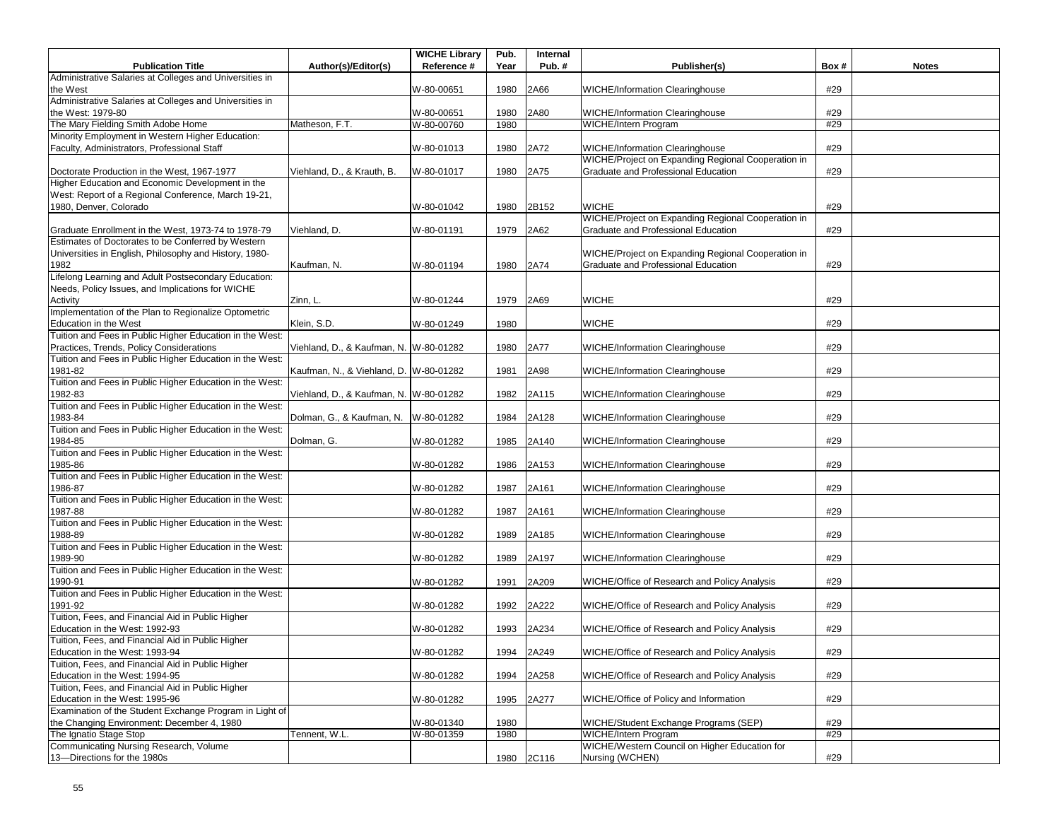| <b>Publication Title</b>                                                                                | Author(s)/Editor(s)                    | <b>WICHE Library</b><br>Reference # | Pub.<br>Year | Internal<br>Pub.# | Publisher(s)                                       | Box# | <b>Notes</b> |
|---------------------------------------------------------------------------------------------------------|----------------------------------------|-------------------------------------|--------------|-------------------|----------------------------------------------------|------|--------------|
| Administrative Salaries at Colleges and Universities in                                                 |                                        |                                     |              |                   |                                                    |      |              |
| the West                                                                                                |                                        | W-80-00651                          | 1980         | 2A66              | <b>WICHE/Information Clearinghouse</b>             | #29  |              |
| Administrative Salaries at Colleges and Universities in                                                 |                                        |                                     |              |                   |                                                    |      |              |
| the West: 1979-80                                                                                       |                                        | W-80-00651                          | 1980         | 2A80              | <b>WICHE/Information Clearinghouse</b>             | #29  |              |
| The Mary Fielding Smith Adobe Home                                                                      | Matheson, F.T.                         | W-80-00760                          | 1980         |                   | WICHE/Intern Program                               | #29  |              |
| Minority Employment in Western Higher Education:                                                        |                                        |                                     |              |                   |                                                    |      |              |
| Faculty, Administrators, Professional Staff                                                             |                                        | W-80-01013                          | 1980         | 2A72              | <b>WICHE/Information Clearinghouse</b>             | #29  |              |
|                                                                                                         |                                        |                                     |              |                   | WICHE/Project on Expanding Regional Cooperation in |      |              |
| Doctorate Production in the West, 1967-1977                                                             | Viehland, D., & Krauth, B.             | W-80-01017                          | 1980         | 2A75              | Graduate and Professional Education                | #29  |              |
| Higher Education and Economic Development in the<br>West: Report of a Regional Conference, March 19-21, |                                        |                                     |              |                   |                                                    |      |              |
| 1980, Denver, Colorado                                                                                  |                                        | W-80-01042                          | 1980         | 2B152             | <b>WICHE</b>                                       | #29  |              |
|                                                                                                         |                                        |                                     |              |                   | WICHE/Project on Expanding Regional Cooperation in |      |              |
| Graduate Enrollment in the West, 1973-74 to 1978-79                                                     | Viehland, D.                           | W-80-01191                          | 1979         | 2A62              | Graduate and Professional Education                | #29  |              |
| Estimates of Doctorates to be Conferred by Western                                                      |                                        |                                     |              |                   |                                                    |      |              |
| Universities in English, Philosophy and History, 1980-                                                  |                                        |                                     |              |                   | WICHE/Project on Expanding Regional Cooperation in |      |              |
| 1982                                                                                                    | Kaufman, N.                            | W-80-01194                          | 1980         | 2A74              | Graduate and Professional Education                | #29  |              |
| Lifelong Learning and Adult Postsecondary Education:                                                    |                                        |                                     |              |                   |                                                    |      |              |
| Needs, Policy Issues, and Implications for WICHE                                                        |                                        |                                     |              |                   |                                                    |      |              |
| Activity                                                                                                | Zinn, L.                               | W-80-01244                          | 1979         | 2A69              | <b>WICHE</b>                                       | #29  |              |
| Implementation of the Plan to Regionalize Optometric                                                    |                                        |                                     |              |                   |                                                    |      |              |
| <b>Education in the West</b>                                                                            | Klein, S.D.                            | W-80-01249                          | 1980         |                   | <b>WICHE</b>                                       | #29  |              |
| Tuition and Fees in Public Higher Education in the West:                                                |                                        |                                     |              |                   |                                                    |      |              |
| Practices, Trends, Policy Considerations                                                                | Viehland, D., & Kaufman, N. W-80-01282 |                                     | 1980         | 2A77              | <b>WICHE/Information Clearinghouse</b>             | #29  |              |
| Tuition and Fees in Public Higher Education in the West:                                                |                                        |                                     |              |                   |                                                    |      |              |
| 1981-82                                                                                                 | Kaufman, N., & Viehland, D. W-80-01282 |                                     | 1981         | 2A98              | WICHE/Information Clearinghouse                    | #29  |              |
| Tuition and Fees in Public Higher Education in the West:                                                |                                        |                                     |              |                   |                                                    |      |              |
| 1982-83                                                                                                 | Viehland, D., & Kaufman, N. W-80-01282 |                                     | 1982         | 2A115             | <b>WICHE/Information Clearinghouse</b>             | #29  |              |
| Tuition and Fees in Public Higher Education in the West:                                                |                                        |                                     |              |                   |                                                    |      |              |
| 1983-84                                                                                                 | Dolman, G., & Kaufman, N. W-80-01282   |                                     | 1984         | 2A128             | <b>WICHE/Information Clearinghouse</b>             | #29  |              |
| Tuition and Fees in Public Higher Education in the West:                                                |                                        |                                     |              |                   |                                                    |      |              |
| 1984-85                                                                                                 | Dolman, G.                             | W-80-01282                          | 1985         | 2A140             | <b>WICHE/Information Clearinghouse</b>             | #29  |              |
| Tuition and Fees in Public Higher Education in the West:                                                |                                        |                                     |              |                   |                                                    |      |              |
| 1985-86                                                                                                 |                                        | W-80-01282                          | 1986         | 2A153             | <b>WICHE/Information Clearinghouse</b>             | #29  |              |
| Tuition and Fees in Public Higher Education in the West:                                                |                                        |                                     |              |                   |                                                    |      |              |
| 1986-87                                                                                                 |                                        | W-80-01282                          | 1987         | 2A161             | <b>WICHE/Information Clearinghouse</b>             | #29  |              |
| Tuition and Fees in Public Higher Education in the West:                                                |                                        |                                     |              |                   |                                                    |      |              |
| 1987-88<br>Tuition and Fees in Public Higher Education in the West:                                     |                                        | W-80-01282                          | 1987         | 2A161             | <b>WICHE/Information Clearinghouse</b>             | #29  |              |
| 1988-89                                                                                                 |                                        | W-80-01282                          | 1989         | 2A185             | <b>WICHE/Information Clearinghouse</b>             | #29  |              |
| Tuition and Fees in Public Higher Education in the West:                                                |                                        |                                     |              |                   |                                                    |      |              |
| 1989-90                                                                                                 |                                        | W-80-01282                          | 1989         | 2A197             | <b>WICHE/Information Clearinghouse</b>             | #29  |              |
| Tuition and Fees in Public Higher Education in the West:                                                |                                        |                                     |              |                   |                                                    |      |              |
| 1990-91                                                                                                 |                                        | W-80-01282                          | 1991         | 2A209             | WICHE/Office of Research and Policy Analysis       | #29  |              |
| Tuition and Fees in Public Higher Education in the West:                                                |                                        |                                     |              |                   |                                                    |      |              |
| 1991-92                                                                                                 |                                        | W-80-01282                          | 1992         | 2A222             | WICHE/Office of Research and Policy Analysis       | #29  |              |
| Tuition, Fees, and Financial Aid in Public Higher                                                       |                                        |                                     |              |                   |                                                    |      |              |
| Education in the West: 1992-93                                                                          |                                        | W-80-01282                          | 1993         | 2A234             | WICHE/Office of Research and Policy Analysis       | #29  |              |
| Tuition, Fees, and Financial Aid in Public Higher                                                       |                                        |                                     |              |                   |                                                    |      |              |
| Education in the West: 1993-94                                                                          |                                        | W-80-01282                          | 1994         | 2A249             | WICHE/Office of Research and Policy Analysis       | #29  |              |
| Tuition, Fees, and Financial Aid in Public Higher                                                       |                                        |                                     |              |                   |                                                    |      |              |
| Education in the West: 1994-95                                                                          |                                        | W-80-01282                          | 1994         | 2A258             | WICHE/Office of Research and Policy Analysis       | #29  |              |
| Tuition, Fees, and Financial Aid in Public Higher                                                       |                                        |                                     |              |                   |                                                    |      |              |
| Education in the West: 1995-96                                                                          |                                        | W-80-01282                          | 1995         | 2A277             | WICHE/Office of Policy and Information             | #29  |              |
| Examination of the Student Exchange Program in Light of                                                 |                                        |                                     |              |                   |                                                    |      |              |
| the Changing Environment: December 4, 1980                                                              |                                        | W-80-01340                          | 1980         |                   | WICHE/Student Exchange Programs (SEP)              | #29  |              |
| The Ignatio Stage Stop                                                                                  | Tennent, W.L.                          | W-80-01359                          | 1980         |                   | WICHE/Intern Program                               | #29  |              |
| Communicating Nursing Research, Volume                                                                  |                                        |                                     |              |                   | WICHE/Western Council on Higher Education for      |      |              |
| 13-Directions for the 1980s                                                                             |                                        |                                     | 1980         | 2C116             | Nursing (WCHEN)                                    | #29  |              |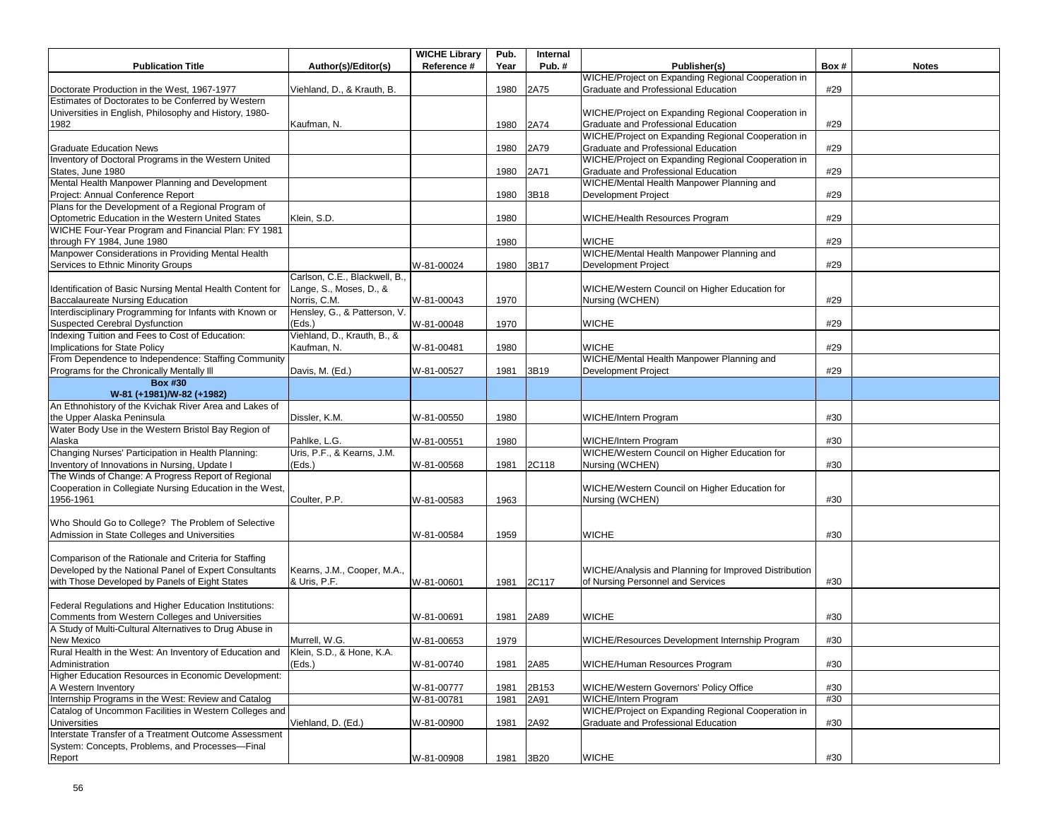|                                                              |                               | <b>WICHE Library</b> | Pub. | Internal |                                                       |      |              |
|--------------------------------------------------------------|-------------------------------|----------------------|------|----------|-------------------------------------------------------|------|--------------|
| <b>Publication Title</b>                                     | Author(s)/Editor(s)           | Reference #          | Year | Pub. $#$ | Publisher(s)                                          | Box# | <b>Notes</b> |
|                                                              |                               |                      |      |          | WICHE/Project on Expanding Regional Cooperation in    |      |              |
| Doctorate Production in the West, 1967-1977                  | Viehland, D., & Krauth, B.    |                      | 1980 | 2A75     | Graduate and Professional Education                   | #29  |              |
| Estimates of Doctorates to be Conferred by Western           |                               |                      |      |          |                                                       |      |              |
| Universities in English, Philosophy and History, 1980-       |                               |                      |      |          | WICHE/Project on Expanding Regional Cooperation in    |      |              |
| 1982                                                         | Kaufman, N.                   |                      | 1980 | 2A74     | Graduate and Professional Education                   | #29  |              |
|                                                              |                               |                      |      |          | WICHE/Project on Expanding Regional Cooperation in    |      |              |
| <b>Graduate Education News</b>                               |                               |                      | 1980 | 2A79     | Graduate and Professional Education                   | #29  |              |
| Inventory of Doctoral Programs in the Western United         |                               |                      |      |          | WICHE/Project on Expanding Regional Cooperation in    |      |              |
| States, June 1980                                            |                               |                      | 1980 | 2A71     | Graduate and Professional Education                   | #29  |              |
| Mental Health Manpower Planning and Development              |                               |                      |      |          | WICHE/Mental Health Manpower Planning and             |      |              |
| Project: Annual Conference Report                            |                               |                      | 1980 | 3B18     | Development Project                                   | #29  |              |
| Plans for the Development of a Regional Program of           |                               |                      |      |          |                                                       |      |              |
| Optometric Education in the Western United States            | Klein, S.D.                   |                      | 1980 |          | <b>WICHE/Health Resources Program</b>                 | #29  |              |
| WICHE Four-Year Program and Financial Plan: FY 1981          |                               |                      |      |          |                                                       |      |              |
| through FY 1984, June 1980                                   |                               |                      | 1980 |          | <b>WICHE</b>                                          | #29  |              |
| Manpower Considerations in Providing Mental Health           |                               |                      |      |          | WICHE/Mental Health Manpower Planning and             |      |              |
| Services to Ethnic Minority Groups                           |                               | W-81-00024           | 1980 | 3B17     | Development Project                                   | #29  |              |
|                                                              | Carlson, C.E., Blackwell, B., |                      |      |          |                                                       |      |              |
| Identification of Basic Nursing Mental Health Content for    | Lange, S., Moses, D., &       |                      |      |          | WICHE/Western Council on Higher Education for         |      |              |
| Baccalaureate Nursing Education                              | Norris, C.M.                  | W-81-00043           | 1970 |          | Nursing (WCHEN)                                       | #29  |              |
| Interdisciplinary Programming for Infants with Known or      | Hensley, G., & Patterson, V.  |                      |      |          |                                                       |      |              |
| <b>Suspected Cerebral Dysfunction</b>                        | (Eds.)                        | W-81-00048           | 1970 |          | <b>WICHE</b>                                          | #29  |              |
| Indexing Tuition and Fees to Cost of Education:              | Viehland, D., Krauth, B., &   |                      |      |          |                                                       |      |              |
| Implications for State Policy                                | Kaufman, N.                   | W-81-00481           | 1980 |          | <b>WICHE</b>                                          | #29  |              |
| From Dependence to Independence: Staffing Community          |                               |                      |      |          | WICHE/Mental Health Manpower Planning and             |      |              |
| Programs for the Chronically Mentally III                    | Davis, M. (Ed.)               | W-81-00527           | 1981 | 3B19     | Development Project                                   | #29  |              |
| <b>Box #30</b>                                               |                               |                      |      |          |                                                       |      |              |
| W-81 (+1981)/W-82 (+1982)                                    |                               |                      |      |          |                                                       |      |              |
| An Ethnohistory of the Kvichak River Area and Lakes of       |                               |                      |      |          |                                                       |      |              |
| the Upper Alaska Peninsula                                   | Dissler, K.M.                 | W-81-00550           | 1980 |          | WICHE/Intern Program                                  | #30  |              |
| Water Body Use in the Western Bristol Bay Region of          |                               |                      |      |          |                                                       |      |              |
|                                                              | Pahlke, L.G.                  |                      | 1980 |          | WICHE/Intern Program                                  | #30  |              |
| Alaska<br>Changing Nurses' Participation in Health Planning: | Uris, P.F., & Kearns, J.M.    | W-81-00551           |      |          | WICHE/Western Council on Higher Education for         |      |              |
|                                                              |                               |                      |      |          |                                                       |      |              |
| Inventory of Innovations in Nursing, Update I                | (Eds.)                        | W-81-00568           | 1981 | 2C118    | Nursing (WCHEN)                                       | #30  |              |
| The Winds of Change: A Progress Report of Regional           |                               |                      |      |          |                                                       |      |              |
| Cooperation in Collegiate Nursing Education in the West,     |                               |                      |      |          | WICHE/Western Council on Higher Education for         |      |              |
| 1956-1961                                                    | Coulter, P.P.                 | W-81-00583           | 1963 |          | Nursing (WCHEN)                                       | #30  |              |
|                                                              |                               |                      |      |          |                                                       |      |              |
| Who Should Go to College? The Problem of Selective           |                               |                      |      |          |                                                       |      |              |
| Admission in State Colleges and Universities                 |                               | W-81-00584           | 1959 |          | <b>WICHE</b>                                          | #30  |              |
|                                                              |                               |                      |      |          |                                                       |      |              |
| Comparison of the Rationale and Criteria for Staffing        |                               |                      |      |          |                                                       |      |              |
| Developed by the National Panel of Expert Consultants        | Kearns, J.M., Cooper, M.A.,   |                      |      |          | WICHE/Analysis and Planning for Improved Distribution |      |              |
| with Those Developed by Panels of Eight States               | & Uris, P.F.                  | W-81-00601           | 1981 | 2C117    | of Nursing Personnel and Services                     | #30  |              |
|                                                              |                               |                      |      |          |                                                       |      |              |
| Federal Regulations and Higher Education Institutions:       |                               |                      |      |          |                                                       |      |              |
| Comments from Western Colleges and Universities              |                               | W-81-00691           | 1981 | 2A89     | <b>WICHE</b>                                          | #30  |              |
| A Study of Multi-Cultural Alternatives to Drug Abuse in      |                               |                      |      |          |                                                       |      |              |
| New Mexico                                                   | Murrell, W.G.                 | W-81-00653           | 1979 |          | WICHE/Resources Development Internship Program        | #30  |              |
| Rural Health in the West: An Inventory of Education and      | Klein, S.D., & Hone, K.A.     |                      |      |          |                                                       |      |              |
| Administration                                               | (Eds.)                        | W-81-00740           | 1981 | 2A85     | WICHE/Human Resources Program                         | #30  |              |
| Higher Education Resources in Economic Development:          |                               |                      |      |          |                                                       |      |              |
| A Western Inventory                                          |                               | W-81-00777           | 1981 | 2B153    | <b>WICHE/Western Governors' Policy Office</b>         | #30  |              |
| Internship Programs in the West: Review and Catalog          |                               | W-81-00781           | 1981 | 2A91     | WICHE/Intern Program                                  | #30  |              |
| Catalog of Uncommon Facilities in Western Colleges and       |                               |                      |      |          | WICHE/Project on Expanding Regional Cooperation in    |      |              |
| <b>Universities</b>                                          | Viehland, D. (Ed.)            | W-81-00900           | 1981 | 2A92     | Graduate and Professional Education                   | #30  |              |
| Interstate Transfer of a Treatment Outcome Assessment        |                               |                      |      |          |                                                       |      |              |
| System: Concepts, Problems, and Processes-Final              |                               |                      |      |          |                                                       |      |              |
| Report                                                       |                               | W-81-00908           | 1981 | 3B20     | <b>WICHE</b>                                          | #30  |              |
|                                                              |                               |                      |      |          |                                                       |      |              |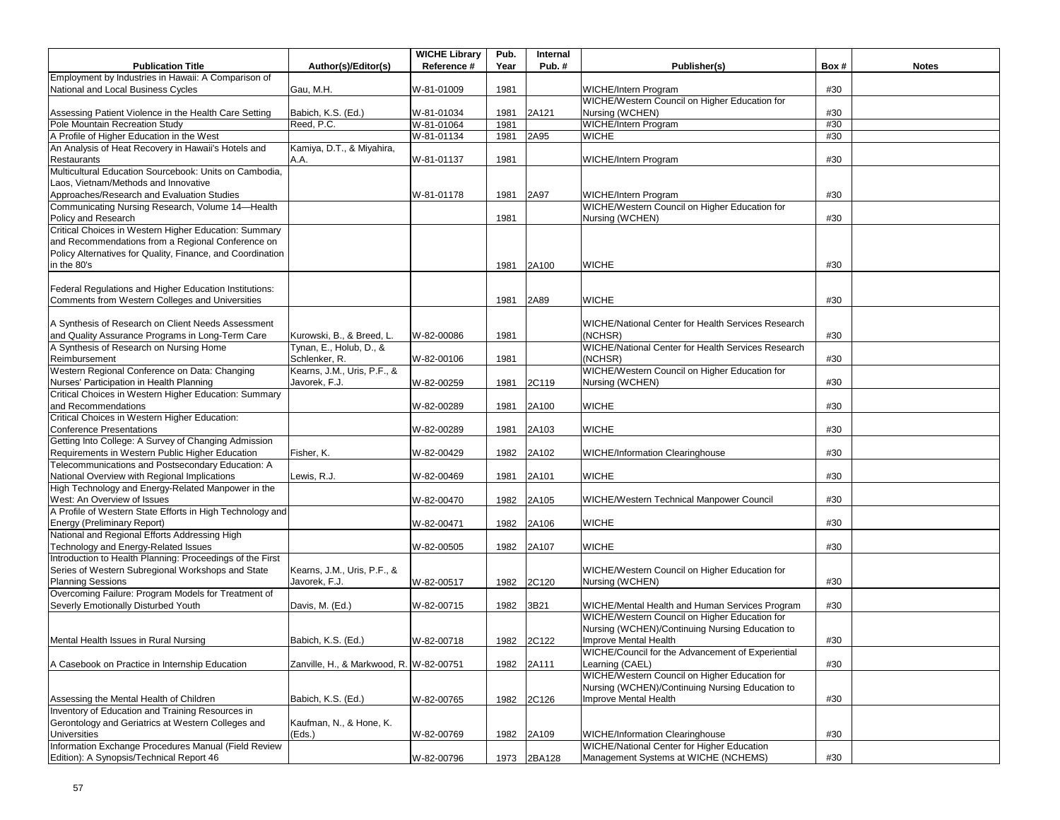| Employment by Industries in Hawaii: A Comparison of<br>National and Local Business Cycles<br>Gau, M.H.<br>W-81-01009<br>1981<br>#30<br>WICHE/Intern Program<br>WICHE/Western Council on Higher Education for<br>Assessing Patient Violence in the Health Care Setting<br>Babich, K.S. (Ed.)<br>Nursing (WCHEN)<br>#30<br>W-81-01034<br>1981<br>2A121<br><b>WICHE/Intern Program</b><br>Pole Mountain Recreation Study<br>Reed, P.C.<br>W-81-01064<br>#30<br>1981<br>A Profile of Higher Education in the West<br>W-81-01134<br>1981<br>2A95<br><b>WICHE</b><br>#30<br>An Analysis of Heat Recovery in Hawaii's Hotels and<br>Kamiya, D.T., & Miyahira,<br>A.A.<br>1981<br>Restaurants<br>W-81-01137<br>WICHE/Intern Program<br>#30<br>Multicultural Education Sourcebook: Units on Cambodia,<br>Laos, Vietnam/Methods and Innovative<br>Approaches/Research and Evaluation Studies<br>2A97<br><b>WICHE/Intern Program</b><br>W-81-01178<br>1981<br>#30<br>WICHE/Western Council on Higher Education for<br>Communicating Nursing Research, Volume 14-Health<br>Policy and Research<br>1981<br>Nursing (WCHEN)<br>#30<br>Critical Choices in Western Higher Education: Summary<br>and Recommendations from a Regional Conference on<br>Policy Alternatives for Quality, Finance, and Coordination<br><b>WICHE</b><br>in the 80's<br>1981<br>2A100<br>#30<br>Federal Regulations and Higher Education Institutions:<br>Comments from Western Colleges and Universities<br>1981<br>2A89<br><b>WICHE</b><br>#30<br>A Synthesis of Research on Client Needs Assessment<br>WICHE/National Center for Health Services Research<br>and Quality Assurance Programs in Long-Term Care<br>(NCHSR)<br>#30<br>Kurowski, B., & Breed, L.<br>W-82-00086<br>1981<br>A Synthesis of Research on Nursing Home<br>Tynan, E., Holub, D., &<br>WICHE/National Center for Health Services Research<br>Reimbursement<br>Schlenker, R.<br>W-82-00106<br>1981<br>(NCHSR)<br>#30<br>Western Regional Conference on Data: Changing<br>Kearns, J.M., Uris, P.F., &<br>WICHE/Western Council on Higher Education for<br>Nurses' Participation in Health Planning<br>Javorek, F.J.<br>W-82-00259<br>#30<br>1981<br>2C119<br>Nursing (WCHEN)<br>Critical Choices in Western Higher Education: Summary<br>and Recommendations<br><b>WICHE</b><br>#30<br>W-82-00289<br>1981<br>2A100<br>Critical Choices in Western Higher Education:<br><b>Conference Presentations</b><br>W-82-00289<br>2A103<br><b>WICHE</b><br>#30<br>1981<br>Getting Into College: A Survey of Changing Admission<br>Requirements in Western Public Higher Education<br>Fisher, K.<br>W-82-00429<br>1982<br>2A102<br><b>WICHE/Information Clearinghouse</b><br>#30<br>Telecommunications and Postsecondary Education: A<br>National Overview with Regional Implications<br>Lewis, R.J.<br>2A101<br><b>WICHE</b><br>W-82-00469<br>1981<br>#30<br>High Technology and Energy-Related Manpower in the<br>West: An Overview of Issues<br>WICHE/Western Technical Manpower Council<br>#30<br>W-82-00470<br>1982<br>2A105<br>A Profile of Western State Efforts in High Technology and<br>1982<br><b>WICHE</b><br>Energy (Preliminary Report)<br>W-82-00471<br>2A106<br>#30<br>National and Regional Efforts Addressing High<br>Technology and Energy-Related Issues<br><b>WICHE</b><br>W-82-00505<br>1982<br>2A107<br>#30<br>Introduction to Health Planning: Proceedings of the First<br>Series of Western Subregional Workshops and State<br>Kearns, J.M., Uris, P.F., &<br>WICHE/Western Council on Higher Education for<br><b>Planning Sessions</b><br>Javorek, F.J.<br>W-82-00517<br>1982<br>2C120<br>Nursing (WCHEN)<br>#30<br>Overcoming Failure: Program Models for Treatment of<br>Severly Emotionally Disturbed Youth<br>Davis, M. (Ed.)<br>W-82-00715<br>1982<br>WICHE/Mental Health and Human Services Program<br>#30<br>3B21<br>WICHE/Western Council on Higher Education for<br>Nursing (WCHEN)/Continuing Nursing Education to<br>Improve Mental Health<br>Babich, K.S. (Ed.)<br>W-82-00718<br>1982 2C122<br>#30<br>Mental Health Issues in Rural Nursing<br>WICHE/Council for the Advancement of Experiential<br>#30<br>A Casebook on Practice in Internship Education<br>Zanville, H., & Markwood, R. W-82-00751<br>1982<br>2A111<br>Learning (CAEL)<br>WICHE/Western Council on Higher Education for<br>Nursing (WCHEN)/Continuing Nursing Education to<br>Babich, K.S. (Ed.)<br>#30<br>Assessing the Mental Health of Children<br>W-82-00765<br>1982<br>2C126<br>Improve Mental Health<br>Inventory of Education and Training Resources in<br>Gerontology and Geriatrics at Western Colleges and<br>Kaufman, N., & Hone, K.<br>Universities<br>(Eds.)<br>#30<br>W-82-00769<br>2A109<br><b>WICHE/Information Clearinghouse</b><br>1982<br>Information Exchange Procedures Manual (Field Review<br>WICHE/National Center for Higher Education<br>Edition): A Synopsis/Technical Report 46<br>W-82-00796<br>1973<br>2BA128<br>Management Systems at WICHE (NCHEMS)<br>#30 |                          |                     | <b>WICHE Library</b> | Pub. | Internal |              |      |              |
|--------------------------------------------------------------------------------------------------------------------------------------------------------------------------------------------------------------------------------------------------------------------------------------------------------------------------------------------------------------------------------------------------------------------------------------------------------------------------------------------------------------------------------------------------------------------------------------------------------------------------------------------------------------------------------------------------------------------------------------------------------------------------------------------------------------------------------------------------------------------------------------------------------------------------------------------------------------------------------------------------------------------------------------------------------------------------------------------------------------------------------------------------------------------------------------------------------------------------------------------------------------------------------------------------------------------------------------------------------------------------------------------------------------------------------------------------------------------------------------------------------------------------------------------------------------------------------------------------------------------------------------------------------------------------------------------------------------------------------------------------------------------------------------------------------------------------------------------------------------------------------------------------------------------------------------------------------------------------------------------------------------------------------------------------------------------------------------------------------------------------------------------------------------------------------------------------------------------------------------------------------------------------------------------------------------------------------------------------------------------------------------------------------------------------------------------------------------------------------------------------------------------------------------------------------------------------------------------------------------------------------------------------------------------------------------------------------------------------------------------------------------------------------------------------------------------------------------------------------------------------------------------------------------------------------------------------------------------------------------------------------------------------------------------------------------------------------------------------------------------------------------------------------------------------------------------------------------------------------------------------------------------------------------------------------------------------------------------------------------------------------------------------------------------------------------------------------------------------------------------------------------------------------------------------------------------------------------------------------------------------------------------------------------------------------------------------------------------------------------------------------------------------------------------------------------------------------------------------------------------------------------------------------------------------------------------------------------------------------------------------------------------------------------------------------------------------------------------------------------------------------------------------------------------------------------------------------------------------------------------------------------------------------------------------------------------------------------------------------------------------------------------------------------------------------------------------------------------------------------------------------------------------------------------------------------------------------------------------------------------------------------------------------------------------------------------------------------------------------------------------------------------------------------------------------------------------------------------------------------------------------------------------------------------------------------------------------------------------------------------------------------------------|--------------------------|---------------------|----------------------|------|----------|--------------|------|--------------|
|                                                                                                                                                                                                                                                                                                                                                                                                                                                                                                                                                                                                                                                                                                                                                                                                                                                                                                                                                                                                                                                                                                                                                                                                                                                                                                                                                                                                                                                                                                                                                                                                                                                                                                                                                                                                                                                                                                                                                                                                                                                                                                                                                                                                                                                                                                                                                                                                                                                                                                                                                                                                                                                                                                                                                                                                                                                                                                                                                                                                                                                                                                                                                                                                                                                                                                                                                                                                                                                                                                                                                                                                                                                                                                                                                                                                                                                                                                                                                                                                                                                                                                                                                                                                                                                                                                                                                                                                                                                                                                                                                                                                                                                                                                                                                                                                                                                                                                                                                                                                                          | <b>Publication Title</b> | Author(s)/Editor(s) | Reference #          | Year | Pub.#    | Publisher(s) | Box# | <b>Notes</b> |
|                                                                                                                                                                                                                                                                                                                                                                                                                                                                                                                                                                                                                                                                                                                                                                                                                                                                                                                                                                                                                                                                                                                                                                                                                                                                                                                                                                                                                                                                                                                                                                                                                                                                                                                                                                                                                                                                                                                                                                                                                                                                                                                                                                                                                                                                                                                                                                                                                                                                                                                                                                                                                                                                                                                                                                                                                                                                                                                                                                                                                                                                                                                                                                                                                                                                                                                                                                                                                                                                                                                                                                                                                                                                                                                                                                                                                                                                                                                                                                                                                                                                                                                                                                                                                                                                                                                                                                                                                                                                                                                                                                                                                                                                                                                                                                                                                                                                                                                                                                                                                          |                          |                     |                      |      |          |              |      |              |
|                                                                                                                                                                                                                                                                                                                                                                                                                                                                                                                                                                                                                                                                                                                                                                                                                                                                                                                                                                                                                                                                                                                                                                                                                                                                                                                                                                                                                                                                                                                                                                                                                                                                                                                                                                                                                                                                                                                                                                                                                                                                                                                                                                                                                                                                                                                                                                                                                                                                                                                                                                                                                                                                                                                                                                                                                                                                                                                                                                                                                                                                                                                                                                                                                                                                                                                                                                                                                                                                                                                                                                                                                                                                                                                                                                                                                                                                                                                                                                                                                                                                                                                                                                                                                                                                                                                                                                                                                                                                                                                                                                                                                                                                                                                                                                                                                                                                                                                                                                                                                          |                          |                     |                      |      |          |              |      |              |
|                                                                                                                                                                                                                                                                                                                                                                                                                                                                                                                                                                                                                                                                                                                                                                                                                                                                                                                                                                                                                                                                                                                                                                                                                                                                                                                                                                                                                                                                                                                                                                                                                                                                                                                                                                                                                                                                                                                                                                                                                                                                                                                                                                                                                                                                                                                                                                                                                                                                                                                                                                                                                                                                                                                                                                                                                                                                                                                                                                                                                                                                                                                                                                                                                                                                                                                                                                                                                                                                                                                                                                                                                                                                                                                                                                                                                                                                                                                                                                                                                                                                                                                                                                                                                                                                                                                                                                                                                                                                                                                                                                                                                                                                                                                                                                                                                                                                                                                                                                                                                          |                          |                     |                      |      |          |              |      |              |
|                                                                                                                                                                                                                                                                                                                                                                                                                                                                                                                                                                                                                                                                                                                                                                                                                                                                                                                                                                                                                                                                                                                                                                                                                                                                                                                                                                                                                                                                                                                                                                                                                                                                                                                                                                                                                                                                                                                                                                                                                                                                                                                                                                                                                                                                                                                                                                                                                                                                                                                                                                                                                                                                                                                                                                                                                                                                                                                                                                                                                                                                                                                                                                                                                                                                                                                                                                                                                                                                                                                                                                                                                                                                                                                                                                                                                                                                                                                                                                                                                                                                                                                                                                                                                                                                                                                                                                                                                                                                                                                                                                                                                                                                                                                                                                                                                                                                                                                                                                                                                          |                          |                     |                      |      |          |              |      |              |
|                                                                                                                                                                                                                                                                                                                                                                                                                                                                                                                                                                                                                                                                                                                                                                                                                                                                                                                                                                                                                                                                                                                                                                                                                                                                                                                                                                                                                                                                                                                                                                                                                                                                                                                                                                                                                                                                                                                                                                                                                                                                                                                                                                                                                                                                                                                                                                                                                                                                                                                                                                                                                                                                                                                                                                                                                                                                                                                                                                                                                                                                                                                                                                                                                                                                                                                                                                                                                                                                                                                                                                                                                                                                                                                                                                                                                                                                                                                                                                                                                                                                                                                                                                                                                                                                                                                                                                                                                                                                                                                                                                                                                                                                                                                                                                                                                                                                                                                                                                                                                          |                          |                     |                      |      |          |              |      |              |
|                                                                                                                                                                                                                                                                                                                                                                                                                                                                                                                                                                                                                                                                                                                                                                                                                                                                                                                                                                                                                                                                                                                                                                                                                                                                                                                                                                                                                                                                                                                                                                                                                                                                                                                                                                                                                                                                                                                                                                                                                                                                                                                                                                                                                                                                                                                                                                                                                                                                                                                                                                                                                                                                                                                                                                                                                                                                                                                                                                                                                                                                                                                                                                                                                                                                                                                                                                                                                                                                                                                                                                                                                                                                                                                                                                                                                                                                                                                                                                                                                                                                                                                                                                                                                                                                                                                                                                                                                                                                                                                                                                                                                                                                                                                                                                                                                                                                                                                                                                                                                          |                          |                     |                      |      |          |              |      |              |
|                                                                                                                                                                                                                                                                                                                                                                                                                                                                                                                                                                                                                                                                                                                                                                                                                                                                                                                                                                                                                                                                                                                                                                                                                                                                                                                                                                                                                                                                                                                                                                                                                                                                                                                                                                                                                                                                                                                                                                                                                                                                                                                                                                                                                                                                                                                                                                                                                                                                                                                                                                                                                                                                                                                                                                                                                                                                                                                                                                                                                                                                                                                                                                                                                                                                                                                                                                                                                                                                                                                                                                                                                                                                                                                                                                                                                                                                                                                                                                                                                                                                                                                                                                                                                                                                                                                                                                                                                                                                                                                                                                                                                                                                                                                                                                                                                                                                                                                                                                                                                          |                          |                     |                      |      |          |              |      |              |
|                                                                                                                                                                                                                                                                                                                                                                                                                                                                                                                                                                                                                                                                                                                                                                                                                                                                                                                                                                                                                                                                                                                                                                                                                                                                                                                                                                                                                                                                                                                                                                                                                                                                                                                                                                                                                                                                                                                                                                                                                                                                                                                                                                                                                                                                                                                                                                                                                                                                                                                                                                                                                                                                                                                                                                                                                                                                                                                                                                                                                                                                                                                                                                                                                                                                                                                                                                                                                                                                                                                                                                                                                                                                                                                                                                                                                                                                                                                                                                                                                                                                                                                                                                                                                                                                                                                                                                                                                                                                                                                                                                                                                                                                                                                                                                                                                                                                                                                                                                                                                          |                          |                     |                      |      |          |              |      |              |
|                                                                                                                                                                                                                                                                                                                                                                                                                                                                                                                                                                                                                                                                                                                                                                                                                                                                                                                                                                                                                                                                                                                                                                                                                                                                                                                                                                                                                                                                                                                                                                                                                                                                                                                                                                                                                                                                                                                                                                                                                                                                                                                                                                                                                                                                                                                                                                                                                                                                                                                                                                                                                                                                                                                                                                                                                                                                                                                                                                                                                                                                                                                                                                                                                                                                                                                                                                                                                                                                                                                                                                                                                                                                                                                                                                                                                                                                                                                                                                                                                                                                                                                                                                                                                                                                                                                                                                                                                                                                                                                                                                                                                                                                                                                                                                                                                                                                                                                                                                                                                          |                          |                     |                      |      |          |              |      |              |
|                                                                                                                                                                                                                                                                                                                                                                                                                                                                                                                                                                                                                                                                                                                                                                                                                                                                                                                                                                                                                                                                                                                                                                                                                                                                                                                                                                                                                                                                                                                                                                                                                                                                                                                                                                                                                                                                                                                                                                                                                                                                                                                                                                                                                                                                                                                                                                                                                                                                                                                                                                                                                                                                                                                                                                                                                                                                                                                                                                                                                                                                                                                                                                                                                                                                                                                                                                                                                                                                                                                                                                                                                                                                                                                                                                                                                                                                                                                                                                                                                                                                                                                                                                                                                                                                                                                                                                                                                                                                                                                                                                                                                                                                                                                                                                                                                                                                                                                                                                                                                          |                          |                     |                      |      |          |              |      |              |
|                                                                                                                                                                                                                                                                                                                                                                                                                                                                                                                                                                                                                                                                                                                                                                                                                                                                                                                                                                                                                                                                                                                                                                                                                                                                                                                                                                                                                                                                                                                                                                                                                                                                                                                                                                                                                                                                                                                                                                                                                                                                                                                                                                                                                                                                                                                                                                                                                                                                                                                                                                                                                                                                                                                                                                                                                                                                                                                                                                                                                                                                                                                                                                                                                                                                                                                                                                                                                                                                                                                                                                                                                                                                                                                                                                                                                                                                                                                                                                                                                                                                                                                                                                                                                                                                                                                                                                                                                                                                                                                                                                                                                                                                                                                                                                                                                                                                                                                                                                                                                          |                          |                     |                      |      |          |              |      |              |
|                                                                                                                                                                                                                                                                                                                                                                                                                                                                                                                                                                                                                                                                                                                                                                                                                                                                                                                                                                                                                                                                                                                                                                                                                                                                                                                                                                                                                                                                                                                                                                                                                                                                                                                                                                                                                                                                                                                                                                                                                                                                                                                                                                                                                                                                                                                                                                                                                                                                                                                                                                                                                                                                                                                                                                                                                                                                                                                                                                                                                                                                                                                                                                                                                                                                                                                                                                                                                                                                                                                                                                                                                                                                                                                                                                                                                                                                                                                                                                                                                                                                                                                                                                                                                                                                                                                                                                                                                                                                                                                                                                                                                                                                                                                                                                                                                                                                                                                                                                                                                          |                          |                     |                      |      |          |              |      |              |
|                                                                                                                                                                                                                                                                                                                                                                                                                                                                                                                                                                                                                                                                                                                                                                                                                                                                                                                                                                                                                                                                                                                                                                                                                                                                                                                                                                                                                                                                                                                                                                                                                                                                                                                                                                                                                                                                                                                                                                                                                                                                                                                                                                                                                                                                                                                                                                                                                                                                                                                                                                                                                                                                                                                                                                                                                                                                                                                                                                                                                                                                                                                                                                                                                                                                                                                                                                                                                                                                                                                                                                                                                                                                                                                                                                                                                                                                                                                                                                                                                                                                                                                                                                                                                                                                                                                                                                                                                                                                                                                                                                                                                                                                                                                                                                                                                                                                                                                                                                                                                          |                          |                     |                      |      |          |              |      |              |
|                                                                                                                                                                                                                                                                                                                                                                                                                                                                                                                                                                                                                                                                                                                                                                                                                                                                                                                                                                                                                                                                                                                                                                                                                                                                                                                                                                                                                                                                                                                                                                                                                                                                                                                                                                                                                                                                                                                                                                                                                                                                                                                                                                                                                                                                                                                                                                                                                                                                                                                                                                                                                                                                                                                                                                                                                                                                                                                                                                                                                                                                                                                                                                                                                                                                                                                                                                                                                                                                                                                                                                                                                                                                                                                                                                                                                                                                                                                                                                                                                                                                                                                                                                                                                                                                                                                                                                                                                                                                                                                                                                                                                                                                                                                                                                                                                                                                                                                                                                                                                          |                          |                     |                      |      |          |              |      |              |
|                                                                                                                                                                                                                                                                                                                                                                                                                                                                                                                                                                                                                                                                                                                                                                                                                                                                                                                                                                                                                                                                                                                                                                                                                                                                                                                                                                                                                                                                                                                                                                                                                                                                                                                                                                                                                                                                                                                                                                                                                                                                                                                                                                                                                                                                                                                                                                                                                                                                                                                                                                                                                                                                                                                                                                                                                                                                                                                                                                                                                                                                                                                                                                                                                                                                                                                                                                                                                                                                                                                                                                                                                                                                                                                                                                                                                                                                                                                                                                                                                                                                                                                                                                                                                                                                                                                                                                                                                                                                                                                                                                                                                                                                                                                                                                                                                                                                                                                                                                                                                          |                          |                     |                      |      |          |              |      |              |
|                                                                                                                                                                                                                                                                                                                                                                                                                                                                                                                                                                                                                                                                                                                                                                                                                                                                                                                                                                                                                                                                                                                                                                                                                                                                                                                                                                                                                                                                                                                                                                                                                                                                                                                                                                                                                                                                                                                                                                                                                                                                                                                                                                                                                                                                                                                                                                                                                                                                                                                                                                                                                                                                                                                                                                                                                                                                                                                                                                                                                                                                                                                                                                                                                                                                                                                                                                                                                                                                                                                                                                                                                                                                                                                                                                                                                                                                                                                                                                                                                                                                                                                                                                                                                                                                                                                                                                                                                                                                                                                                                                                                                                                                                                                                                                                                                                                                                                                                                                                                                          |                          |                     |                      |      |          |              |      |              |
|                                                                                                                                                                                                                                                                                                                                                                                                                                                                                                                                                                                                                                                                                                                                                                                                                                                                                                                                                                                                                                                                                                                                                                                                                                                                                                                                                                                                                                                                                                                                                                                                                                                                                                                                                                                                                                                                                                                                                                                                                                                                                                                                                                                                                                                                                                                                                                                                                                                                                                                                                                                                                                                                                                                                                                                                                                                                                                                                                                                                                                                                                                                                                                                                                                                                                                                                                                                                                                                                                                                                                                                                                                                                                                                                                                                                                                                                                                                                                                                                                                                                                                                                                                                                                                                                                                                                                                                                                                                                                                                                                                                                                                                                                                                                                                                                                                                                                                                                                                                                                          |                          |                     |                      |      |          |              |      |              |
|                                                                                                                                                                                                                                                                                                                                                                                                                                                                                                                                                                                                                                                                                                                                                                                                                                                                                                                                                                                                                                                                                                                                                                                                                                                                                                                                                                                                                                                                                                                                                                                                                                                                                                                                                                                                                                                                                                                                                                                                                                                                                                                                                                                                                                                                                                                                                                                                                                                                                                                                                                                                                                                                                                                                                                                                                                                                                                                                                                                                                                                                                                                                                                                                                                                                                                                                                                                                                                                                                                                                                                                                                                                                                                                                                                                                                                                                                                                                                                                                                                                                                                                                                                                                                                                                                                                                                                                                                                                                                                                                                                                                                                                                                                                                                                                                                                                                                                                                                                                                                          |                          |                     |                      |      |          |              |      |              |
|                                                                                                                                                                                                                                                                                                                                                                                                                                                                                                                                                                                                                                                                                                                                                                                                                                                                                                                                                                                                                                                                                                                                                                                                                                                                                                                                                                                                                                                                                                                                                                                                                                                                                                                                                                                                                                                                                                                                                                                                                                                                                                                                                                                                                                                                                                                                                                                                                                                                                                                                                                                                                                                                                                                                                                                                                                                                                                                                                                                                                                                                                                                                                                                                                                                                                                                                                                                                                                                                                                                                                                                                                                                                                                                                                                                                                                                                                                                                                                                                                                                                                                                                                                                                                                                                                                                                                                                                                                                                                                                                                                                                                                                                                                                                                                                                                                                                                                                                                                                                                          |                          |                     |                      |      |          |              |      |              |
|                                                                                                                                                                                                                                                                                                                                                                                                                                                                                                                                                                                                                                                                                                                                                                                                                                                                                                                                                                                                                                                                                                                                                                                                                                                                                                                                                                                                                                                                                                                                                                                                                                                                                                                                                                                                                                                                                                                                                                                                                                                                                                                                                                                                                                                                                                                                                                                                                                                                                                                                                                                                                                                                                                                                                                                                                                                                                                                                                                                                                                                                                                                                                                                                                                                                                                                                                                                                                                                                                                                                                                                                                                                                                                                                                                                                                                                                                                                                                                                                                                                                                                                                                                                                                                                                                                                                                                                                                                                                                                                                                                                                                                                                                                                                                                                                                                                                                                                                                                                                                          |                          |                     |                      |      |          |              |      |              |
|                                                                                                                                                                                                                                                                                                                                                                                                                                                                                                                                                                                                                                                                                                                                                                                                                                                                                                                                                                                                                                                                                                                                                                                                                                                                                                                                                                                                                                                                                                                                                                                                                                                                                                                                                                                                                                                                                                                                                                                                                                                                                                                                                                                                                                                                                                                                                                                                                                                                                                                                                                                                                                                                                                                                                                                                                                                                                                                                                                                                                                                                                                                                                                                                                                                                                                                                                                                                                                                                                                                                                                                                                                                                                                                                                                                                                                                                                                                                                                                                                                                                                                                                                                                                                                                                                                                                                                                                                                                                                                                                                                                                                                                                                                                                                                                                                                                                                                                                                                                                                          |                          |                     |                      |      |          |              |      |              |
|                                                                                                                                                                                                                                                                                                                                                                                                                                                                                                                                                                                                                                                                                                                                                                                                                                                                                                                                                                                                                                                                                                                                                                                                                                                                                                                                                                                                                                                                                                                                                                                                                                                                                                                                                                                                                                                                                                                                                                                                                                                                                                                                                                                                                                                                                                                                                                                                                                                                                                                                                                                                                                                                                                                                                                                                                                                                                                                                                                                                                                                                                                                                                                                                                                                                                                                                                                                                                                                                                                                                                                                                                                                                                                                                                                                                                                                                                                                                                                                                                                                                                                                                                                                                                                                                                                                                                                                                                                                                                                                                                                                                                                                                                                                                                                                                                                                                                                                                                                                                                          |                          |                     |                      |      |          |              |      |              |
|                                                                                                                                                                                                                                                                                                                                                                                                                                                                                                                                                                                                                                                                                                                                                                                                                                                                                                                                                                                                                                                                                                                                                                                                                                                                                                                                                                                                                                                                                                                                                                                                                                                                                                                                                                                                                                                                                                                                                                                                                                                                                                                                                                                                                                                                                                                                                                                                                                                                                                                                                                                                                                                                                                                                                                                                                                                                                                                                                                                                                                                                                                                                                                                                                                                                                                                                                                                                                                                                                                                                                                                                                                                                                                                                                                                                                                                                                                                                                                                                                                                                                                                                                                                                                                                                                                                                                                                                                                                                                                                                                                                                                                                                                                                                                                                                                                                                                                                                                                                                                          |                          |                     |                      |      |          |              |      |              |
|                                                                                                                                                                                                                                                                                                                                                                                                                                                                                                                                                                                                                                                                                                                                                                                                                                                                                                                                                                                                                                                                                                                                                                                                                                                                                                                                                                                                                                                                                                                                                                                                                                                                                                                                                                                                                                                                                                                                                                                                                                                                                                                                                                                                                                                                                                                                                                                                                                                                                                                                                                                                                                                                                                                                                                                                                                                                                                                                                                                                                                                                                                                                                                                                                                                                                                                                                                                                                                                                                                                                                                                                                                                                                                                                                                                                                                                                                                                                                                                                                                                                                                                                                                                                                                                                                                                                                                                                                                                                                                                                                                                                                                                                                                                                                                                                                                                                                                                                                                                                                          |                          |                     |                      |      |          |              |      |              |
|                                                                                                                                                                                                                                                                                                                                                                                                                                                                                                                                                                                                                                                                                                                                                                                                                                                                                                                                                                                                                                                                                                                                                                                                                                                                                                                                                                                                                                                                                                                                                                                                                                                                                                                                                                                                                                                                                                                                                                                                                                                                                                                                                                                                                                                                                                                                                                                                                                                                                                                                                                                                                                                                                                                                                                                                                                                                                                                                                                                                                                                                                                                                                                                                                                                                                                                                                                                                                                                                                                                                                                                                                                                                                                                                                                                                                                                                                                                                                                                                                                                                                                                                                                                                                                                                                                                                                                                                                                                                                                                                                                                                                                                                                                                                                                                                                                                                                                                                                                                                                          |                          |                     |                      |      |          |              |      |              |
|                                                                                                                                                                                                                                                                                                                                                                                                                                                                                                                                                                                                                                                                                                                                                                                                                                                                                                                                                                                                                                                                                                                                                                                                                                                                                                                                                                                                                                                                                                                                                                                                                                                                                                                                                                                                                                                                                                                                                                                                                                                                                                                                                                                                                                                                                                                                                                                                                                                                                                                                                                                                                                                                                                                                                                                                                                                                                                                                                                                                                                                                                                                                                                                                                                                                                                                                                                                                                                                                                                                                                                                                                                                                                                                                                                                                                                                                                                                                                                                                                                                                                                                                                                                                                                                                                                                                                                                                                                                                                                                                                                                                                                                                                                                                                                                                                                                                                                                                                                                                                          |                          |                     |                      |      |          |              |      |              |
|                                                                                                                                                                                                                                                                                                                                                                                                                                                                                                                                                                                                                                                                                                                                                                                                                                                                                                                                                                                                                                                                                                                                                                                                                                                                                                                                                                                                                                                                                                                                                                                                                                                                                                                                                                                                                                                                                                                                                                                                                                                                                                                                                                                                                                                                                                                                                                                                                                                                                                                                                                                                                                                                                                                                                                                                                                                                                                                                                                                                                                                                                                                                                                                                                                                                                                                                                                                                                                                                                                                                                                                                                                                                                                                                                                                                                                                                                                                                                                                                                                                                                                                                                                                                                                                                                                                                                                                                                                                                                                                                                                                                                                                                                                                                                                                                                                                                                                                                                                                                                          |                          |                     |                      |      |          |              |      |              |
|                                                                                                                                                                                                                                                                                                                                                                                                                                                                                                                                                                                                                                                                                                                                                                                                                                                                                                                                                                                                                                                                                                                                                                                                                                                                                                                                                                                                                                                                                                                                                                                                                                                                                                                                                                                                                                                                                                                                                                                                                                                                                                                                                                                                                                                                                                                                                                                                                                                                                                                                                                                                                                                                                                                                                                                                                                                                                                                                                                                                                                                                                                                                                                                                                                                                                                                                                                                                                                                                                                                                                                                                                                                                                                                                                                                                                                                                                                                                                                                                                                                                                                                                                                                                                                                                                                                                                                                                                                                                                                                                                                                                                                                                                                                                                                                                                                                                                                                                                                                                                          |                          |                     |                      |      |          |              |      |              |
|                                                                                                                                                                                                                                                                                                                                                                                                                                                                                                                                                                                                                                                                                                                                                                                                                                                                                                                                                                                                                                                                                                                                                                                                                                                                                                                                                                                                                                                                                                                                                                                                                                                                                                                                                                                                                                                                                                                                                                                                                                                                                                                                                                                                                                                                                                                                                                                                                                                                                                                                                                                                                                                                                                                                                                                                                                                                                                                                                                                                                                                                                                                                                                                                                                                                                                                                                                                                                                                                                                                                                                                                                                                                                                                                                                                                                                                                                                                                                                                                                                                                                                                                                                                                                                                                                                                                                                                                                                                                                                                                                                                                                                                                                                                                                                                                                                                                                                                                                                                                                          |                          |                     |                      |      |          |              |      |              |
|                                                                                                                                                                                                                                                                                                                                                                                                                                                                                                                                                                                                                                                                                                                                                                                                                                                                                                                                                                                                                                                                                                                                                                                                                                                                                                                                                                                                                                                                                                                                                                                                                                                                                                                                                                                                                                                                                                                                                                                                                                                                                                                                                                                                                                                                                                                                                                                                                                                                                                                                                                                                                                                                                                                                                                                                                                                                                                                                                                                                                                                                                                                                                                                                                                                                                                                                                                                                                                                                                                                                                                                                                                                                                                                                                                                                                                                                                                                                                                                                                                                                                                                                                                                                                                                                                                                                                                                                                                                                                                                                                                                                                                                                                                                                                                                                                                                                                                                                                                                                                          |                          |                     |                      |      |          |              |      |              |
|                                                                                                                                                                                                                                                                                                                                                                                                                                                                                                                                                                                                                                                                                                                                                                                                                                                                                                                                                                                                                                                                                                                                                                                                                                                                                                                                                                                                                                                                                                                                                                                                                                                                                                                                                                                                                                                                                                                                                                                                                                                                                                                                                                                                                                                                                                                                                                                                                                                                                                                                                                                                                                                                                                                                                                                                                                                                                                                                                                                                                                                                                                                                                                                                                                                                                                                                                                                                                                                                                                                                                                                                                                                                                                                                                                                                                                                                                                                                                                                                                                                                                                                                                                                                                                                                                                                                                                                                                                                                                                                                                                                                                                                                                                                                                                                                                                                                                                                                                                                                                          |                          |                     |                      |      |          |              |      |              |
|                                                                                                                                                                                                                                                                                                                                                                                                                                                                                                                                                                                                                                                                                                                                                                                                                                                                                                                                                                                                                                                                                                                                                                                                                                                                                                                                                                                                                                                                                                                                                                                                                                                                                                                                                                                                                                                                                                                                                                                                                                                                                                                                                                                                                                                                                                                                                                                                                                                                                                                                                                                                                                                                                                                                                                                                                                                                                                                                                                                                                                                                                                                                                                                                                                                                                                                                                                                                                                                                                                                                                                                                                                                                                                                                                                                                                                                                                                                                                                                                                                                                                                                                                                                                                                                                                                                                                                                                                                                                                                                                                                                                                                                                                                                                                                                                                                                                                                                                                                                                                          |                          |                     |                      |      |          |              |      |              |
|                                                                                                                                                                                                                                                                                                                                                                                                                                                                                                                                                                                                                                                                                                                                                                                                                                                                                                                                                                                                                                                                                                                                                                                                                                                                                                                                                                                                                                                                                                                                                                                                                                                                                                                                                                                                                                                                                                                                                                                                                                                                                                                                                                                                                                                                                                                                                                                                                                                                                                                                                                                                                                                                                                                                                                                                                                                                                                                                                                                                                                                                                                                                                                                                                                                                                                                                                                                                                                                                                                                                                                                                                                                                                                                                                                                                                                                                                                                                                                                                                                                                                                                                                                                                                                                                                                                                                                                                                                                                                                                                                                                                                                                                                                                                                                                                                                                                                                                                                                                                                          |                          |                     |                      |      |          |              |      |              |
|                                                                                                                                                                                                                                                                                                                                                                                                                                                                                                                                                                                                                                                                                                                                                                                                                                                                                                                                                                                                                                                                                                                                                                                                                                                                                                                                                                                                                                                                                                                                                                                                                                                                                                                                                                                                                                                                                                                                                                                                                                                                                                                                                                                                                                                                                                                                                                                                                                                                                                                                                                                                                                                                                                                                                                                                                                                                                                                                                                                                                                                                                                                                                                                                                                                                                                                                                                                                                                                                                                                                                                                                                                                                                                                                                                                                                                                                                                                                                                                                                                                                                                                                                                                                                                                                                                                                                                                                                                                                                                                                                                                                                                                                                                                                                                                                                                                                                                                                                                                                                          |                          |                     |                      |      |          |              |      |              |
|                                                                                                                                                                                                                                                                                                                                                                                                                                                                                                                                                                                                                                                                                                                                                                                                                                                                                                                                                                                                                                                                                                                                                                                                                                                                                                                                                                                                                                                                                                                                                                                                                                                                                                                                                                                                                                                                                                                                                                                                                                                                                                                                                                                                                                                                                                                                                                                                                                                                                                                                                                                                                                                                                                                                                                                                                                                                                                                                                                                                                                                                                                                                                                                                                                                                                                                                                                                                                                                                                                                                                                                                                                                                                                                                                                                                                                                                                                                                                                                                                                                                                                                                                                                                                                                                                                                                                                                                                                                                                                                                                                                                                                                                                                                                                                                                                                                                                                                                                                                                                          |                          |                     |                      |      |          |              |      |              |
|                                                                                                                                                                                                                                                                                                                                                                                                                                                                                                                                                                                                                                                                                                                                                                                                                                                                                                                                                                                                                                                                                                                                                                                                                                                                                                                                                                                                                                                                                                                                                                                                                                                                                                                                                                                                                                                                                                                                                                                                                                                                                                                                                                                                                                                                                                                                                                                                                                                                                                                                                                                                                                                                                                                                                                                                                                                                                                                                                                                                                                                                                                                                                                                                                                                                                                                                                                                                                                                                                                                                                                                                                                                                                                                                                                                                                                                                                                                                                                                                                                                                                                                                                                                                                                                                                                                                                                                                                                                                                                                                                                                                                                                                                                                                                                                                                                                                                                                                                                                                                          |                          |                     |                      |      |          |              |      |              |
|                                                                                                                                                                                                                                                                                                                                                                                                                                                                                                                                                                                                                                                                                                                                                                                                                                                                                                                                                                                                                                                                                                                                                                                                                                                                                                                                                                                                                                                                                                                                                                                                                                                                                                                                                                                                                                                                                                                                                                                                                                                                                                                                                                                                                                                                                                                                                                                                                                                                                                                                                                                                                                                                                                                                                                                                                                                                                                                                                                                                                                                                                                                                                                                                                                                                                                                                                                                                                                                                                                                                                                                                                                                                                                                                                                                                                                                                                                                                                                                                                                                                                                                                                                                                                                                                                                                                                                                                                                                                                                                                                                                                                                                                                                                                                                                                                                                                                                                                                                                                                          |                          |                     |                      |      |          |              |      |              |
|                                                                                                                                                                                                                                                                                                                                                                                                                                                                                                                                                                                                                                                                                                                                                                                                                                                                                                                                                                                                                                                                                                                                                                                                                                                                                                                                                                                                                                                                                                                                                                                                                                                                                                                                                                                                                                                                                                                                                                                                                                                                                                                                                                                                                                                                                                                                                                                                                                                                                                                                                                                                                                                                                                                                                                                                                                                                                                                                                                                                                                                                                                                                                                                                                                                                                                                                                                                                                                                                                                                                                                                                                                                                                                                                                                                                                                                                                                                                                                                                                                                                                                                                                                                                                                                                                                                                                                                                                                                                                                                                                                                                                                                                                                                                                                                                                                                                                                                                                                                                                          |                          |                     |                      |      |          |              |      |              |
|                                                                                                                                                                                                                                                                                                                                                                                                                                                                                                                                                                                                                                                                                                                                                                                                                                                                                                                                                                                                                                                                                                                                                                                                                                                                                                                                                                                                                                                                                                                                                                                                                                                                                                                                                                                                                                                                                                                                                                                                                                                                                                                                                                                                                                                                                                                                                                                                                                                                                                                                                                                                                                                                                                                                                                                                                                                                                                                                                                                                                                                                                                                                                                                                                                                                                                                                                                                                                                                                                                                                                                                                                                                                                                                                                                                                                                                                                                                                                                                                                                                                                                                                                                                                                                                                                                                                                                                                                                                                                                                                                                                                                                                                                                                                                                                                                                                                                                                                                                                                                          |                          |                     |                      |      |          |              |      |              |
|                                                                                                                                                                                                                                                                                                                                                                                                                                                                                                                                                                                                                                                                                                                                                                                                                                                                                                                                                                                                                                                                                                                                                                                                                                                                                                                                                                                                                                                                                                                                                                                                                                                                                                                                                                                                                                                                                                                                                                                                                                                                                                                                                                                                                                                                                                                                                                                                                                                                                                                                                                                                                                                                                                                                                                                                                                                                                                                                                                                                                                                                                                                                                                                                                                                                                                                                                                                                                                                                                                                                                                                                                                                                                                                                                                                                                                                                                                                                                                                                                                                                                                                                                                                                                                                                                                                                                                                                                                                                                                                                                                                                                                                                                                                                                                                                                                                                                                                                                                                                                          |                          |                     |                      |      |          |              |      |              |
|                                                                                                                                                                                                                                                                                                                                                                                                                                                                                                                                                                                                                                                                                                                                                                                                                                                                                                                                                                                                                                                                                                                                                                                                                                                                                                                                                                                                                                                                                                                                                                                                                                                                                                                                                                                                                                                                                                                                                                                                                                                                                                                                                                                                                                                                                                                                                                                                                                                                                                                                                                                                                                                                                                                                                                                                                                                                                                                                                                                                                                                                                                                                                                                                                                                                                                                                                                                                                                                                                                                                                                                                                                                                                                                                                                                                                                                                                                                                                                                                                                                                                                                                                                                                                                                                                                                                                                                                                                                                                                                                                                                                                                                                                                                                                                                                                                                                                                                                                                                                                          |                          |                     |                      |      |          |              |      |              |
|                                                                                                                                                                                                                                                                                                                                                                                                                                                                                                                                                                                                                                                                                                                                                                                                                                                                                                                                                                                                                                                                                                                                                                                                                                                                                                                                                                                                                                                                                                                                                                                                                                                                                                                                                                                                                                                                                                                                                                                                                                                                                                                                                                                                                                                                                                                                                                                                                                                                                                                                                                                                                                                                                                                                                                                                                                                                                                                                                                                                                                                                                                                                                                                                                                                                                                                                                                                                                                                                                                                                                                                                                                                                                                                                                                                                                                                                                                                                                                                                                                                                                                                                                                                                                                                                                                                                                                                                                                                                                                                                                                                                                                                                                                                                                                                                                                                                                                                                                                                                                          |                          |                     |                      |      |          |              |      |              |
|                                                                                                                                                                                                                                                                                                                                                                                                                                                                                                                                                                                                                                                                                                                                                                                                                                                                                                                                                                                                                                                                                                                                                                                                                                                                                                                                                                                                                                                                                                                                                                                                                                                                                                                                                                                                                                                                                                                                                                                                                                                                                                                                                                                                                                                                                                                                                                                                                                                                                                                                                                                                                                                                                                                                                                                                                                                                                                                                                                                                                                                                                                                                                                                                                                                                                                                                                                                                                                                                                                                                                                                                                                                                                                                                                                                                                                                                                                                                                                                                                                                                                                                                                                                                                                                                                                                                                                                                                                                                                                                                                                                                                                                                                                                                                                                                                                                                                                                                                                                                                          |                          |                     |                      |      |          |              |      |              |
|                                                                                                                                                                                                                                                                                                                                                                                                                                                                                                                                                                                                                                                                                                                                                                                                                                                                                                                                                                                                                                                                                                                                                                                                                                                                                                                                                                                                                                                                                                                                                                                                                                                                                                                                                                                                                                                                                                                                                                                                                                                                                                                                                                                                                                                                                                                                                                                                                                                                                                                                                                                                                                                                                                                                                                                                                                                                                                                                                                                                                                                                                                                                                                                                                                                                                                                                                                                                                                                                                                                                                                                                                                                                                                                                                                                                                                                                                                                                                                                                                                                                                                                                                                                                                                                                                                                                                                                                                                                                                                                                                                                                                                                                                                                                                                                                                                                                                                                                                                                                                          |                          |                     |                      |      |          |              |      |              |
|                                                                                                                                                                                                                                                                                                                                                                                                                                                                                                                                                                                                                                                                                                                                                                                                                                                                                                                                                                                                                                                                                                                                                                                                                                                                                                                                                                                                                                                                                                                                                                                                                                                                                                                                                                                                                                                                                                                                                                                                                                                                                                                                                                                                                                                                                                                                                                                                                                                                                                                                                                                                                                                                                                                                                                                                                                                                                                                                                                                                                                                                                                                                                                                                                                                                                                                                                                                                                                                                                                                                                                                                                                                                                                                                                                                                                                                                                                                                                                                                                                                                                                                                                                                                                                                                                                                                                                                                                                                                                                                                                                                                                                                                                                                                                                                                                                                                                                                                                                                                                          |                          |                     |                      |      |          |              |      |              |
|                                                                                                                                                                                                                                                                                                                                                                                                                                                                                                                                                                                                                                                                                                                                                                                                                                                                                                                                                                                                                                                                                                                                                                                                                                                                                                                                                                                                                                                                                                                                                                                                                                                                                                                                                                                                                                                                                                                                                                                                                                                                                                                                                                                                                                                                                                                                                                                                                                                                                                                                                                                                                                                                                                                                                                                                                                                                                                                                                                                                                                                                                                                                                                                                                                                                                                                                                                                                                                                                                                                                                                                                                                                                                                                                                                                                                                                                                                                                                                                                                                                                                                                                                                                                                                                                                                                                                                                                                                                                                                                                                                                                                                                                                                                                                                                                                                                                                                                                                                                                                          |                          |                     |                      |      |          |              |      |              |
|                                                                                                                                                                                                                                                                                                                                                                                                                                                                                                                                                                                                                                                                                                                                                                                                                                                                                                                                                                                                                                                                                                                                                                                                                                                                                                                                                                                                                                                                                                                                                                                                                                                                                                                                                                                                                                                                                                                                                                                                                                                                                                                                                                                                                                                                                                                                                                                                                                                                                                                                                                                                                                                                                                                                                                                                                                                                                                                                                                                                                                                                                                                                                                                                                                                                                                                                                                                                                                                                                                                                                                                                                                                                                                                                                                                                                                                                                                                                                                                                                                                                                                                                                                                                                                                                                                                                                                                                                                                                                                                                                                                                                                                                                                                                                                                                                                                                                                                                                                                                                          |                          |                     |                      |      |          |              |      |              |
|                                                                                                                                                                                                                                                                                                                                                                                                                                                                                                                                                                                                                                                                                                                                                                                                                                                                                                                                                                                                                                                                                                                                                                                                                                                                                                                                                                                                                                                                                                                                                                                                                                                                                                                                                                                                                                                                                                                                                                                                                                                                                                                                                                                                                                                                                                                                                                                                                                                                                                                                                                                                                                                                                                                                                                                                                                                                                                                                                                                                                                                                                                                                                                                                                                                                                                                                                                                                                                                                                                                                                                                                                                                                                                                                                                                                                                                                                                                                                                                                                                                                                                                                                                                                                                                                                                                                                                                                                                                                                                                                                                                                                                                                                                                                                                                                                                                                                                                                                                                                                          |                          |                     |                      |      |          |              |      |              |
|                                                                                                                                                                                                                                                                                                                                                                                                                                                                                                                                                                                                                                                                                                                                                                                                                                                                                                                                                                                                                                                                                                                                                                                                                                                                                                                                                                                                                                                                                                                                                                                                                                                                                                                                                                                                                                                                                                                                                                                                                                                                                                                                                                                                                                                                                                                                                                                                                                                                                                                                                                                                                                                                                                                                                                                                                                                                                                                                                                                                                                                                                                                                                                                                                                                                                                                                                                                                                                                                                                                                                                                                                                                                                                                                                                                                                                                                                                                                                                                                                                                                                                                                                                                                                                                                                                                                                                                                                                                                                                                                                                                                                                                                                                                                                                                                                                                                                                                                                                                                                          |                          |                     |                      |      |          |              |      |              |
|                                                                                                                                                                                                                                                                                                                                                                                                                                                                                                                                                                                                                                                                                                                                                                                                                                                                                                                                                                                                                                                                                                                                                                                                                                                                                                                                                                                                                                                                                                                                                                                                                                                                                                                                                                                                                                                                                                                                                                                                                                                                                                                                                                                                                                                                                                                                                                                                                                                                                                                                                                                                                                                                                                                                                                                                                                                                                                                                                                                                                                                                                                                                                                                                                                                                                                                                                                                                                                                                                                                                                                                                                                                                                                                                                                                                                                                                                                                                                                                                                                                                                                                                                                                                                                                                                                                                                                                                                                                                                                                                                                                                                                                                                                                                                                                                                                                                                                                                                                                                                          |                          |                     |                      |      |          |              |      |              |
|                                                                                                                                                                                                                                                                                                                                                                                                                                                                                                                                                                                                                                                                                                                                                                                                                                                                                                                                                                                                                                                                                                                                                                                                                                                                                                                                                                                                                                                                                                                                                                                                                                                                                                                                                                                                                                                                                                                                                                                                                                                                                                                                                                                                                                                                                                                                                                                                                                                                                                                                                                                                                                                                                                                                                                                                                                                                                                                                                                                                                                                                                                                                                                                                                                                                                                                                                                                                                                                                                                                                                                                                                                                                                                                                                                                                                                                                                                                                                                                                                                                                                                                                                                                                                                                                                                                                                                                                                                                                                                                                                                                                                                                                                                                                                                                                                                                                                                                                                                                                                          |                          |                     |                      |      |          |              |      |              |
|                                                                                                                                                                                                                                                                                                                                                                                                                                                                                                                                                                                                                                                                                                                                                                                                                                                                                                                                                                                                                                                                                                                                                                                                                                                                                                                                                                                                                                                                                                                                                                                                                                                                                                                                                                                                                                                                                                                                                                                                                                                                                                                                                                                                                                                                                                                                                                                                                                                                                                                                                                                                                                                                                                                                                                                                                                                                                                                                                                                                                                                                                                                                                                                                                                                                                                                                                                                                                                                                                                                                                                                                                                                                                                                                                                                                                                                                                                                                                                                                                                                                                                                                                                                                                                                                                                                                                                                                                                                                                                                                                                                                                                                                                                                                                                                                                                                                                                                                                                                                                          |                          |                     |                      |      |          |              |      |              |
|                                                                                                                                                                                                                                                                                                                                                                                                                                                                                                                                                                                                                                                                                                                                                                                                                                                                                                                                                                                                                                                                                                                                                                                                                                                                                                                                                                                                                                                                                                                                                                                                                                                                                                                                                                                                                                                                                                                                                                                                                                                                                                                                                                                                                                                                                                                                                                                                                                                                                                                                                                                                                                                                                                                                                                                                                                                                                                                                                                                                                                                                                                                                                                                                                                                                                                                                                                                                                                                                                                                                                                                                                                                                                                                                                                                                                                                                                                                                                                                                                                                                                                                                                                                                                                                                                                                                                                                                                                                                                                                                                                                                                                                                                                                                                                                                                                                                                                                                                                                                                          |                          |                     |                      |      |          |              |      |              |
|                                                                                                                                                                                                                                                                                                                                                                                                                                                                                                                                                                                                                                                                                                                                                                                                                                                                                                                                                                                                                                                                                                                                                                                                                                                                                                                                                                                                                                                                                                                                                                                                                                                                                                                                                                                                                                                                                                                                                                                                                                                                                                                                                                                                                                                                                                                                                                                                                                                                                                                                                                                                                                                                                                                                                                                                                                                                                                                                                                                                                                                                                                                                                                                                                                                                                                                                                                                                                                                                                                                                                                                                                                                                                                                                                                                                                                                                                                                                                                                                                                                                                                                                                                                                                                                                                                                                                                                                                                                                                                                                                                                                                                                                                                                                                                                                                                                                                                                                                                                                                          |                          |                     |                      |      |          |              |      |              |
|                                                                                                                                                                                                                                                                                                                                                                                                                                                                                                                                                                                                                                                                                                                                                                                                                                                                                                                                                                                                                                                                                                                                                                                                                                                                                                                                                                                                                                                                                                                                                                                                                                                                                                                                                                                                                                                                                                                                                                                                                                                                                                                                                                                                                                                                                                                                                                                                                                                                                                                                                                                                                                                                                                                                                                                                                                                                                                                                                                                                                                                                                                                                                                                                                                                                                                                                                                                                                                                                                                                                                                                                                                                                                                                                                                                                                                                                                                                                                                                                                                                                                                                                                                                                                                                                                                                                                                                                                                                                                                                                                                                                                                                                                                                                                                                                                                                                                                                                                                                                                          |                          |                     |                      |      |          |              |      |              |
|                                                                                                                                                                                                                                                                                                                                                                                                                                                                                                                                                                                                                                                                                                                                                                                                                                                                                                                                                                                                                                                                                                                                                                                                                                                                                                                                                                                                                                                                                                                                                                                                                                                                                                                                                                                                                                                                                                                                                                                                                                                                                                                                                                                                                                                                                                                                                                                                                                                                                                                                                                                                                                                                                                                                                                                                                                                                                                                                                                                                                                                                                                                                                                                                                                                                                                                                                                                                                                                                                                                                                                                                                                                                                                                                                                                                                                                                                                                                                                                                                                                                                                                                                                                                                                                                                                                                                                                                                                                                                                                                                                                                                                                                                                                                                                                                                                                                                                                                                                                                                          |                          |                     |                      |      |          |              |      |              |
|                                                                                                                                                                                                                                                                                                                                                                                                                                                                                                                                                                                                                                                                                                                                                                                                                                                                                                                                                                                                                                                                                                                                                                                                                                                                                                                                                                                                                                                                                                                                                                                                                                                                                                                                                                                                                                                                                                                                                                                                                                                                                                                                                                                                                                                                                                                                                                                                                                                                                                                                                                                                                                                                                                                                                                                                                                                                                                                                                                                                                                                                                                                                                                                                                                                                                                                                                                                                                                                                                                                                                                                                                                                                                                                                                                                                                                                                                                                                                                                                                                                                                                                                                                                                                                                                                                                                                                                                                                                                                                                                                                                                                                                                                                                                                                                                                                                                                                                                                                                                                          |                          |                     |                      |      |          |              |      |              |
|                                                                                                                                                                                                                                                                                                                                                                                                                                                                                                                                                                                                                                                                                                                                                                                                                                                                                                                                                                                                                                                                                                                                                                                                                                                                                                                                                                                                                                                                                                                                                                                                                                                                                                                                                                                                                                                                                                                                                                                                                                                                                                                                                                                                                                                                                                                                                                                                                                                                                                                                                                                                                                                                                                                                                                                                                                                                                                                                                                                                                                                                                                                                                                                                                                                                                                                                                                                                                                                                                                                                                                                                                                                                                                                                                                                                                                                                                                                                                                                                                                                                                                                                                                                                                                                                                                                                                                                                                                                                                                                                                                                                                                                                                                                                                                                                                                                                                                                                                                                                                          |                          |                     |                      |      |          |              |      |              |
|                                                                                                                                                                                                                                                                                                                                                                                                                                                                                                                                                                                                                                                                                                                                                                                                                                                                                                                                                                                                                                                                                                                                                                                                                                                                                                                                                                                                                                                                                                                                                                                                                                                                                                                                                                                                                                                                                                                                                                                                                                                                                                                                                                                                                                                                                                                                                                                                                                                                                                                                                                                                                                                                                                                                                                                                                                                                                                                                                                                                                                                                                                                                                                                                                                                                                                                                                                                                                                                                                                                                                                                                                                                                                                                                                                                                                                                                                                                                                                                                                                                                                                                                                                                                                                                                                                                                                                                                                                                                                                                                                                                                                                                                                                                                                                                                                                                                                                                                                                                                                          |                          |                     |                      |      |          |              |      |              |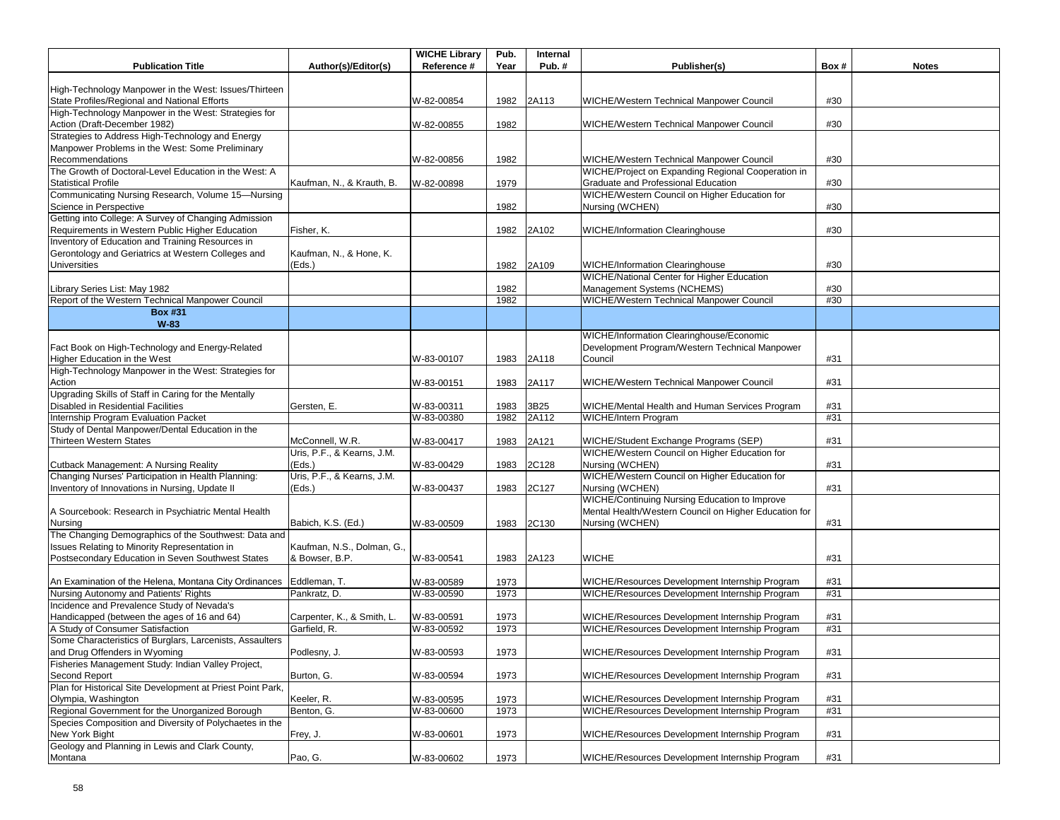|                                                                                                    |                                              | <b>WICHE Library</b> | Pub. | Internal |                                                       |      |              |
|----------------------------------------------------------------------------------------------------|----------------------------------------------|----------------------|------|----------|-------------------------------------------------------|------|--------------|
| <b>Publication Title</b>                                                                           | Author(s)/Editor(s)                          | Reference #          | Year | Pub.#    | Publisher(s)                                          | Box# | <b>Notes</b> |
| High-Technology Manpower in the West: Issues/Thirteen                                              |                                              |                      |      |          |                                                       |      |              |
| State Profiles/Regional and National Efforts                                                       |                                              | W-82-00854           | 1982 | 2A113    | <b>WICHE/Western Technical Manpower Council</b>       | #30  |              |
| High-Technology Manpower in the West: Strategies for                                               |                                              |                      |      |          |                                                       |      |              |
| Action (Draft-December 1982)                                                                       |                                              | W-82-00855           | 1982 |          | WICHE/Western Technical Manpower Council              | #30  |              |
| Strategies to Address High-Technology and Energy                                                   |                                              |                      |      |          |                                                       |      |              |
| Manpower Problems in the West: Some Preliminary                                                    |                                              |                      |      |          |                                                       |      |              |
| Recommendations                                                                                    |                                              | W-82-00856           | 1982 |          | WICHE/Western Technical Manpower Council              | #30  |              |
| The Growth of Doctoral-Level Education in the West: A                                              |                                              |                      |      |          | WICHE/Project on Expanding Regional Cooperation in    |      |              |
| <b>Statistical Profile</b>                                                                         | Kaufman, N., & Krauth, B.                    | W-82-00898           | 1979 |          | Graduate and Professional Education                   | #30  |              |
| Communicating Nursing Research, Volume 15-Nursing                                                  |                                              |                      |      |          | WICHE/Western Council on Higher Education for         |      |              |
| Science in Perspective                                                                             |                                              |                      | 1982 |          | Nursing (WCHEN)                                       | #30  |              |
| Getting into College: A Survey of Changing Admission                                               |                                              |                      |      |          |                                                       |      |              |
| Requirements in Western Public Higher Education                                                    | Fisher. K.                                   |                      | 1982 | 2A102    | <b>WICHE/Information Clearinghouse</b>                | #30  |              |
| Inventory of Education and Training Resources in                                                   |                                              |                      |      |          |                                                       |      |              |
| Gerontology and Geriatrics at Western Colleges and                                                 | Kaufman, N., & Hone, K.                      |                      |      |          |                                                       |      |              |
| <b>Universities</b>                                                                                | (Eds.)                                       |                      | 1982 | 2A109    | <b>WICHE/Information Clearinghouse</b>                | #30  |              |
|                                                                                                    |                                              |                      |      |          | <b>WICHE/National Center for Higher Education</b>     |      |              |
| Library Series List: May 1982                                                                      |                                              |                      | 1982 |          | Management Systems (NCHEMS)                           | #30  |              |
| Report of the Western Technical Manpower Council                                                   |                                              |                      | 1982 |          | WICHE/Western Technical Manpower Council              | #30  |              |
| <b>Box #31</b><br>W-83                                                                             |                                              |                      |      |          |                                                       |      |              |
|                                                                                                    |                                              |                      |      |          | WICHE/Information Clearinghouse/Economic              |      |              |
| Fact Book on High-Technology and Energy-Related                                                    |                                              |                      |      |          | Development Program/Western Technical Manpower        |      |              |
| Higher Education in the West                                                                       |                                              | W-83-00107           | 1983 | 2A118    | Council                                               | #31  |              |
| High-Technology Manpower in the West: Strategies for                                               |                                              |                      |      |          |                                                       |      |              |
| Action                                                                                             |                                              | W-83-00151           | 1983 | 2A117    | WICHE/Western Technical Manpower Council              | #31  |              |
| Upgrading Skills of Staff in Caring for the Mentally                                               |                                              |                      |      |          |                                                       |      |              |
| Disabled in Residential Facilities                                                                 | Gersten, E.                                  | W-83-00311           | 1983 | 3B25     | WICHE/Mental Health and Human Services Program        | #31  |              |
| Internship Program Evaluation Packet                                                               |                                              | W-83-00380           | 1982 | 2A112    | <b>WICHE/Intern Program</b>                           | #31  |              |
| Study of Dental Manpower/Dental Education in the                                                   |                                              |                      |      |          |                                                       |      |              |
| <b>Thirteen Western States</b>                                                                     | McConnell, W.R.                              | W-83-00417           | 1983 | 2A121    | WICHE/Student Exchange Programs (SEP)                 | #31  |              |
|                                                                                                    | Uris, P.F., & Kearns, J.M.                   |                      |      |          | WICHE/Western Council on Higher Education for         |      |              |
| Cutback Management: A Nursing Reality                                                              | (Eds.)                                       | W-83-00429           | 1983 | 2C128    | Nursing (WCHEN)                                       | #31  |              |
| Changing Nurses' Participation in Health Planning:                                                 | Uris, P.F., & Kearns, J.M.                   |                      |      |          | WICHE/Western Council on Higher Education for         |      |              |
| Inventory of Innovations in Nursing, Update II                                                     | (Eds.)                                       | W-83-00437           | 1983 | 2C127    | Nursing (WCHEN)                                       | #31  |              |
|                                                                                                    |                                              |                      |      |          | <b>WICHE/Continuing Nursing Education to Improve</b>  |      |              |
| A Sourcebook: Research in Psychiatric Mental Health                                                |                                              |                      |      |          | Mental Health/Western Council on Higher Education for |      |              |
| Nursing<br>The Changing Demographics of the Southwest: Data and                                    | Babich, K.S. (Ed.)                           | W-83-00509           | 1983 | 2C130    | Nursing (WCHEN)                                       | #31  |              |
|                                                                                                    |                                              |                      |      |          |                                                       |      |              |
| Issues Relating to Minority Representation in<br>Postsecondary Education in Seven Southwest States | Kaufman, N.S., Dolman, G.,<br>& Bowser, B.P. | W-83-00541           | 1983 | 2A123    | <b>WICHE</b>                                          | #31  |              |
|                                                                                                    |                                              |                      |      |          |                                                       |      |              |
| An Examination of the Helena, Montana City Ordinances Eddleman, T.                                 |                                              | W-83-00589           | 1973 |          | WICHE/Resources Development Internship Program        | #31  |              |
| Nursing Autonomy and Patients' Rights                                                              | Pankratz, D.                                 | W-83-00590           | 1973 |          | WICHE/Resources Development Internship Program        | #31  |              |
| Incidence and Prevalence Study of Nevada's                                                         |                                              |                      |      |          |                                                       |      |              |
| Handicapped (between the ages of 16 and 64)                                                        | Carpenter, K., & Smith, L.                   | W-83-00591           | 1973 |          | WICHE/Resources Development Internship Program        | #31  |              |
| A Study of Consumer Satisfaction                                                                   | Garfield, R.                                 | W-83-00592           | 1973 |          | WICHE/Resources Development Internship Program        | #31  |              |
| Some Characteristics of Burglars, Larcenists, Assaulters                                           |                                              |                      |      |          |                                                       |      |              |
| and Drug Offenders in Wyoming                                                                      | Podlesny, J.                                 | W-83-00593           | 1973 |          | WICHE/Resources Development Internship Program        | #31  |              |
| Fisheries Management Study: Indian Valley Project,                                                 |                                              |                      |      |          |                                                       |      |              |
| Second Report                                                                                      | Burton, G.                                   | W-83-00594           | 1973 |          | WICHE/Resources Development Internship Program        | #31  |              |
| Plan for Historical Site Development at Priest Point Park,                                         |                                              |                      |      |          |                                                       |      |              |
| Olympia, Washington                                                                                | Keeler, R.                                   | W-83-00595           | 1973 |          | WICHE/Resources Development Internship Program        | #31  |              |
| Regional Government for the Unorganized Borough                                                    | Benton, G.                                   | W-83-00600           | 1973 |          | WICHE/Resources Development Internship Program        | #31  |              |
| Species Composition and Diversity of Polychaetes in the                                            |                                              |                      |      |          |                                                       |      |              |
| New York Bight                                                                                     | Frey, J.                                     | W-83-00601           | 1973 |          | WICHE/Resources Development Internship Program        | #31  |              |
| Geology and Planning in Lewis and Clark County,                                                    |                                              |                      |      |          |                                                       |      |              |
| Montana                                                                                            | Pao, G.                                      | W-83-00602           | 1973 |          | WICHE/Resources Development Internship Program        | #31  |              |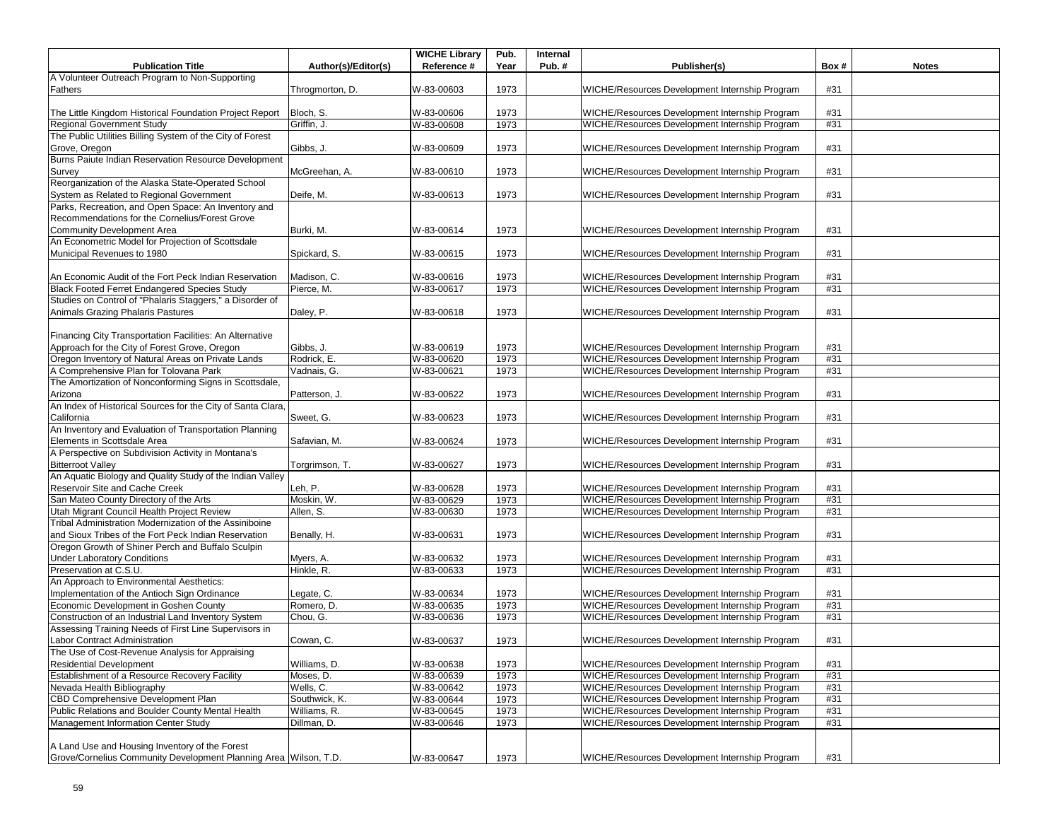| <b>Publication Title</b>                                                                             |                     | <b>WICHE Library</b><br>Reference # | Pub. | Internal |                                                                                                  | Box#       |              |
|------------------------------------------------------------------------------------------------------|---------------------|-------------------------------------|------|----------|--------------------------------------------------------------------------------------------------|------------|--------------|
|                                                                                                      | Author(s)/Editor(s) |                                     | Year | Pub.#    | Publisher(s)                                                                                     |            | <b>Notes</b> |
| A Volunteer Outreach Program to Non-Supporting<br>Fathers                                            | Throgmorton, D.     | W-83-00603                          | 1973 |          | WICHE/Resources Development Internship Program                                                   | #31        |              |
| The Little Kingdom Historical Foundation Project Report                                              | Bloch, S.           | W-83-00606                          | 1973 |          | WICHE/Resources Development Internship Program                                                   | #31        |              |
| Regional Government Study                                                                            | Griffin, J.         | W-83-00608                          | 1973 |          | WICHE/Resources Development Internship Program                                                   | #31        |              |
| The Public Utilities Billing System of the City of Forest                                            |                     |                                     |      |          |                                                                                                  |            |              |
| Grove, Oregon                                                                                        | Gibbs, J.           | W-83-00609                          | 1973 |          | WICHE/Resources Development Internship Program                                                   | #31        |              |
| Burns Paiute Indian Reservation Resource Development                                                 |                     |                                     |      |          |                                                                                                  |            |              |
| Survey                                                                                               | McGreehan, A.       | W-83-00610                          | 1973 |          | WICHE/Resources Development Internship Program                                                   | #31        |              |
| Reorganization of the Alaska State-Operated School                                                   |                     |                                     |      |          |                                                                                                  |            |              |
| System as Related to Regional Government                                                             | Deife, M.           | W-83-00613                          | 1973 |          | WICHE/Resources Development Internship Program                                                   | #31        |              |
| Parks, Recreation, and Open Space: An Inventory and                                                  |                     |                                     |      |          |                                                                                                  |            |              |
| Recommendations for the Cornelius/Forest Grove                                                       |                     |                                     |      |          |                                                                                                  |            |              |
| Community Development Area                                                                           | Burki, M.           | W-83-00614                          | 1973 |          | WICHE/Resources Development Internship Program                                                   | #31        |              |
| An Econometric Model for Projection of Scottsdale                                                    |                     |                                     |      |          |                                                                                                  |            |              |
| Municipal Revenues to 1980                                                                           | Spickard, S.        | W-83-00615                          | 1973 |          | WICHE/Resources Development Internship Program                                                   | #31        |              |
|                                                                                                      |                     |                                     |      |          |                                                                                                  |            |              |
| An Economic Audit of the Fort Peck Indian Reservation                                                | Madison, C.         | W-83-00616                          | 1973 |          | WICHE/Resources Development Internship Program                                                   | #31        |              |
| <b>Black Footed Ferret Endangered Species Study</b>                                                  | Pierce, M.          | W-83-00617                          | 1973 |          | WICHE/Resources Development Internship Program                                                   | #31        |              |
| Studies on Control of "Phalaris Staggers," a Disorder of                                             |                     |                                     |      |          |                                                                                                  |            |              |
| Animals Grazing Phalaris Pastures                                                                    | Daley, P.           | W-83-00618                          | 1973 |          | WICHE/Resources Development Internship Program                                                   | #31        |              |
| Financing City Transportation Facilities: An Alternative                                             |                     |                                     |      |          |                                                                                                  |            |              |
| Approach for the City of Forest Grove, Oregon                                                        | Gibbs, J.           | W-83-00619                          | 1973 |          | WICHE/Resources Development Internship Program                                                   |            |              |
| Oregon Inventory of Natural Areas on Private Lands                                                   | Rodrick, E.         | W-83-00620                          | 1973 |          | WICHE/Resources Development Internship Program                                                   | #31<br>#31 |              |
| A Comprehensive Plan for Tolovana Park                                                               | Vadnais, G.         | W-83-00621                          | 1973 |          | WICHE/Resources Development Internship Program                                                   | #31        |              |
| The Amortization of Nonconforming Signs in Scottsdale,                                               |                     |                                     |      |          |                                                                                                  |            |              |
|                                                                                                      |                     |                                     |      |          |                                                                                                  |            |              |
| Arizona<br>An Index of Historical Sources for the City of Santa Clara,                               | Patterson, J.       | W-83-00622                          | 1973 |          | WICHE/Resources Development Internship Program                                                   | #31        |              |
|                                                                                                      |                     |                                     |      |          |                                                                                                  |            |              |
| California<br>An Inventory and Evaluation of Transportation Planning                                 | Sweet, G.           | W-83-00623                          | 1973 |          | WICHE/Resources Development Internship Program                                                   | #31        |              |
| Elements in Scottsdale Area                                                                          | Safavian, M.        |                                     | 1973 |          | WICHE/Resources Development Internship Program                                                   | #31        |              |
| A Perspective on Subdivision Activity in Montana's                                                   |                     | W-83-00624                          |      |          |                                                                                                  |            |              |
| <b>Bitterroot Valley</b>                                                                             |                     |                                     | 1973 |          | WICHE/Resources Development Internship Program                                                   | #31        |              |
| An Aquatic Biology and Quality Study of the Indian Valley                                            | Torgrimson, T.      | W-83-00627                          |      |          |                                                                                                  |            |              |
| Reservoir Site and Cache Creek                                                                       | Leh, P.             | W-83-00628                          | 1973 |          |                                                                                                  | #31        |              |
| San Mateo County Directory of the Arts                                                               | Moskin, W.          |                                     |      |          | WICHE/Resources Development Internship Program                                                   | #31        |              |
|                                                                                                      |                     | W-83-00629                          | 1973 |          | WICHE/Resources Development Internship Program                                                   |            |              |
| Utah Migrant Council Health Project Review<br>Tribal Administration Modernization of the Assiniboine | Allen, S.           | W-83-00630                          | 1973 |          | WICHE/Resources Development Internship Program                                                   | #31        |              |
|                                                                                                      |                     |                                     |      |          |                                                                                                  |            |              |
| and Sioux Tribes of the Fort Peck Indian Reservation                                                 | Benally, H.         | W-83-00631                          | 1973 |          | WICHE/Resources Development Internship Program                                                   | #31        |              |
| Oregon Growth of Shiner Perch and Buffalo Sculpin                                                    |                     |                                     |      |          |                                                                                                  |            |              |
| <b>Under Laboratory Conditions</b><br>Preservation at C.S.U.                                         | Myers, A.           | W-83-00632                          | 1973 |          | WICHE/Resources Development Internship Program<br>WICHE/Resources Development Internship Program | #31<br>#31 |              |
| An Approach to Environmental Aesthetics:                                                             | Hinkle, R.          | W-83-00633                          | 1973 |          |                                                                                                  |            |              |
|                                                                                                      |                     |                                     |      |          |                                                                                                  |            |              |
| Implementation of the Antioch Sign Ordinance<br>Economic Development in Goshen County                | Legate, C.          | W-83-00634                          | 1973 |          | WICHE/Resources Development Internship Program<br>WICHE/Resources Development Internship Program | #31<br>#31 |              |
|                                                                                                      | Romero, D.          | W-83-00635                          | 1973 |          | WICHE/Resources Development Internship Program                                                   |            |              |
| Construction of an Industrial Land Inventory System                                                  | Chou, G.            | W-83-00636                          | 1973 |          |                                                                                                  | #31        |              |
| Assessing Training Needs of First Line Supervisors in                                                |                     |                                     |      |          |                                                                                                  |            |              |
| Labor Contract Administration                                                                        | Cowan, C.           | W-83-00637                          | 1973 |          | WICHE/Resources Development Internship Program                                                   | #31        |              |
| The Use of Cost-Revenue Analysis for Appraising                                                      |                     |                                     |      |          |                                                                                                  |            |              |
| <b>Residential Development</b>                                                                       | Williams, D.        | W-83-00638                          | 1973 |          | WICHE/Resources Development Internship Program                                                   | #31        |              |
| Establishment of a Resource Recovery Facility                                                        | Moses, D.           | W-83-00639                          | 1973 |          | WICHE/Resources Development Internship Program                                                   | #31        |              |
| Nevada Health Bibliography                                                                           | Wells, C.           | W-83-00642                          | 1973 |          | WICHE/Resources Development Internship Program                                                   | #31        |              |
| <b>CBD Comprehensive Development Plan</b>                                                            | Southwick, K.       | W-83-00644                          | 1973 |          | WICHE/Resources Development Internship Program                                                   | #31        |              |
| Public Relations and Boulder County Mental Health                                                    | Williams, R.        | W-83-00645                          | 1973 |          | WICHE/Resources Development Internship Program                                                   | #31        |              |
| Management Information Center Study                                                                  | Dillman, D.         | W-83-00646                          | 1973 |          | WICHE/Resources Development Internship Program                                                   | #31        |              |
|                                                                                                      |                     |                                     |      |          |                                                                                                  |            |              |
| A Land Use and Housing Inventory of the Forest                                                       |                     |                                     |      |          |                                                                                                  |            |              |
| Grove/Cornelius Community Development Planning Area Wilson, T.D.                                     |                     | W-83-00647                          | 1973 |          | WICHE/Resources Development Internship Program                                                   | #31        |              |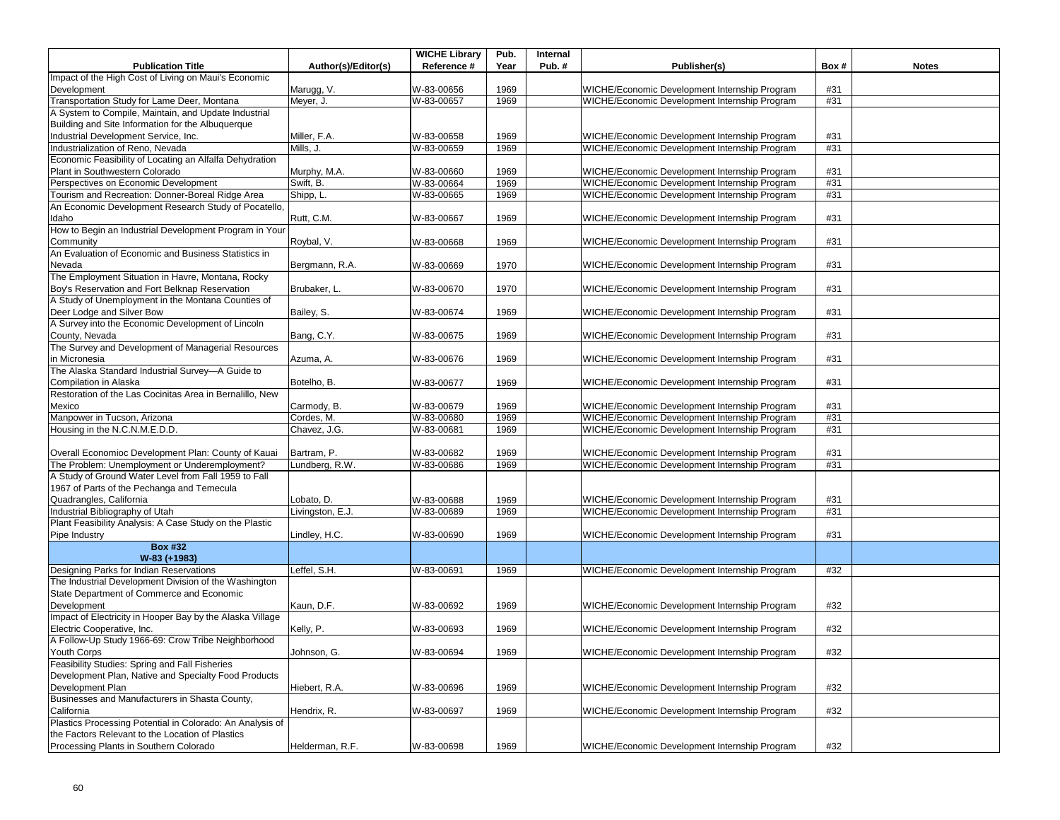|                                                           |                     | <b>WICHE Library</b> | Pub. | Internal |                                               |      |              |
|-----------------------------------------------------------|---------------------|----------------------|------|----------|-----------------------------------------------|------|--------------|
| <b>Publication Title</b>                                  | Author(s)/Editor(s) | Reference #          | Year | Pub.#    | Publisher(s)                                  | Box# | <b>Notes</b> |
| Impact of the High Cost of Living on Maui's Economic      |                     |                      |      |          |                                               |      |              |
| Development                                               | Marugg, V.          | W-83-00656           | 1969 |          | WICHE/Economic Development Internship Program | #31  |              |
| Transportation Study for Lame Deer, Montana               | Meyer, J.           | W-83-00657           | 1969 |          | WICHE/Economic Development Internship Program | #31  |              |
| A System to Compile, Maintain, and Update Industrial      |                     |                      |      |          |                                               |      |              |
| Building and Site Information for the Albuquerque         |                     |                      |      |          |                                               |      |              |
| Industrial Development Service, Inc.                      | Miller, F.A.        | W-83-00658           | 1969 |          | WICHE/Economic Development Internship Program | #31  |              |
| Industrialization of Reno, Nevada                         | Mills, J.           | W-83-00659           | 1969 |          | WICHE/Economic Development Internship Program | #31  |              |
| Economic Feasibility of Locating an Alfalfa Dehydration   |                     |                      |      |          |                                               |      |              |
| Plant in Southwestern Colorado                            | Murphy, M.A.        | W-83-00660           | 1969 |          | WICHE/Economic Development Internship Program | #31  |              |
| Perspectives on Economic Development                      | Swift, B.           | W-83-00664           | 1969 |          | WICHE/Economic Development Internship Program | #31  |              |
| Tourism and Recreation: Donner-Boreal Ridge Area          | Shipp, L.           | W-83-00665           | 1969 |          | WICHE/Economic Development Internship Program | #31  |              |
| An Economic Development Research Study of Pocatello,      |                     |                      |      |          |                                               |      |              |
| Idaho                                                     | Rutt, C.M.          | W-83-00667           | 1969 |          | WICHE/Economic Development Internship Program | #31  |              |
| How to Begin an Industrial Development Program in Your    |                     |                      |      |          |                                               |      |              |
| Community                                                 | Roybal, V.          | W-83-00668           | 1969 |          | WICHE/Economic Development Internship Program | #31  |              |
| An Evaluation of Economic and Business Statistics in      |                     |                      |      |          |                                               |      |              |
| Nevada                                                    | Bergmann, R.A.      | W-83-00669           | 1970 |          | WICHE/Economic Development Internship Program | #31  |              |
| The Employment Situation in Havre, Montana, Rocky         |                     |                      |      |          |                                               |      |              |
| Boy's Reservation and Fort Belknap Reservation            | Brubaker, L.        | W-83-00670           | 1970 |          | WICHE/Economic Development Internship Program | #31  |              |
| A Study of Unemployment in the Montana Counties of        |                     |                      |      |          |                                               |      |              |
| Deer Lodge and Silver Bow                                 | Bailey, S.          | W-83-00674           | 1969 |          | WICHE/Economic Development Internship Program | #31  |              |
| A Survey into the Economic Development of Lincoln         |                     |                      |      |          |                                               |      |              |
| County, Nevada                                            | Bang, C.Y.          | W-83-00675           | 1969 |          | WICHE/Economic Development Internship Program | #31  |              |
| The Survey and Development of Managerial Resources        |                     |                      |      |          |                                               |      |              |
| in Micronesia                                             | Azuma, A.           | W-83-00676           | 1969 |          | WICHE/Economic Development Internship Program | #31  |              |
| The Alaska Standard Industrial Survey-A Guide to          |                     |                      |      |          |                                               |      |              |
| Compilation in Alaska                                     | Botelho, B.         | W-83-00677           | 1969 |          | WICHE/Economic Development Internship Program | #31  |              |
| Restoration of the Las Cocinitas Area in Bernalillo, New  |                     |                      |      |          |                                               |      |              |
| Mexico                                                    | Carmody, B.         | W-83-00679           | 1969 |          | WICHE/Economic Development Internship Program | #31  |              |
| Manpower in Tucson, Arizona                               | Cordes, M.          | W-83-00680           | 1969 |          | WICHE/Economic Development Internship Program | #31  |              |
| Housing in the N.C.N.M.E.D.D.                             | Chavez, J.G.        | W-83-00681           | 1969 |          | WICHE/Economic Development Internship Program | #31  |              |
|                                                           |                     |                      |      |          |                                               |      |              |
| Overall Economioc Development Plan: County of Kauai       | Bartram, P.         | W-83-00682           | 1969 |          | WICHE/Economic Development Internship Program | #31  |              |
| The Problem: Unemployment or Underemployment?             | Lundberg, R.W.      | W-83-00686           | 1969 |          | WICHE/Economic Development Internship Program | #31  |              |
| A Study of Ground Water Level from Fall 1959 to Fall      |                     |                      |      |          |                                               |      |              |
| 1967 of Parts of the Pechanga and Temecula                |                     |                      |      |          |                                               |      |              |
| Quadrangles, California                                   | Lobato, D.          | W-83-00688           | 1969 |          | WICHE/Economic Development Internship Program | #31  |              |
| Industrial Bibliography of Utah                           | Livingston, E.J.    | W-83-00689           | 1969 |          | WICHE/Economic Development Internship Program | #31  |              |
| Plant Feasibility Analysis: A Case Study on the Plastic   |                     |                      |      |          |                                               |      |              |
| Pipe Industry                                             | Lindley, H.C.       | W-83-00690           | 1969 |          | WICHE/Economic Development Internship Program | #31  |              |
| <b>Box #32</b>                                            |                     |                      |      |          |                                               |      |              |
| W-83 (+1983)                                              |                     |                      |      |          |                                               |      |              |
| Designing Parks for Indian Reservations                   | Leffel, S.H.        | W-83-00691           | 1969 |          | WICHE/Economic Development Internship Program | #32  |              |
| The Industrial Development Division of the Washington     |                     |                      |      |          |                                               |      |              |
| State Department of Commerce and Economic                 |                     |                      |      |          |                                               |      |              |
| Development                                               |                     |                      |      |          | WICHE/Economic Development Internship Program | #32  |              |
|                                                           | Kaun, D.F.          | W-83-00692           | 1969 |          |                                               |      |              |
| Impact of Electricity in Hooper Bay by the Alaska Village |                     |                      |      |          |                                               |      |              |
| Electric Cooperative, Inc.                                | Kelly, P.           | W-83-00693           | 1969 |          | WICHE/Economic Development Internship Program | #32  |              |
| A Follow-Up Study 1966-69: Crow Tribe Neighborhood        |                     |                      |      |          |                                               |      |              |
| Youth Corps                                               | Johnson, G.         | W-83-00694           | 1969 |          | WICHE/Economic Development Internship Program | #32  |              |
| Feasibility Studies: Spring and Fall Fisheries            |                     |                      |      |          |                                               |      |              |
| Development Plan, Native and Specialty Food Products      |                     |                      |      |          |                                               |      |              |
| Development Plan                                          | Hiebert, R.A.       | W-83-00696           | 1969 |          | WICHE/Economic Development Internship Program | #32  |              |
| Businesses and Manufacturers in Shasta County,            |                     |                      |      |          |                                               |      |              |
| California                                                | Hendrix, R.         | W-83-00697           | 1969 |          | WICHE/Economic Development Internship Program | #32  |              |
| Plastics Processing Potential in Colorado: An Analysis of |                     |                      |      |          |                                               |      |              |
| the Factors Relevant to the Location of Plastics          |                     |                      |      |          |                                               |      |              |
| Processing Plants in Southern Colorado                    | Helderman, R.F.     | W-83-00698           | 1969 |          | WICHE/Economic Development Internship Program | #32  |              |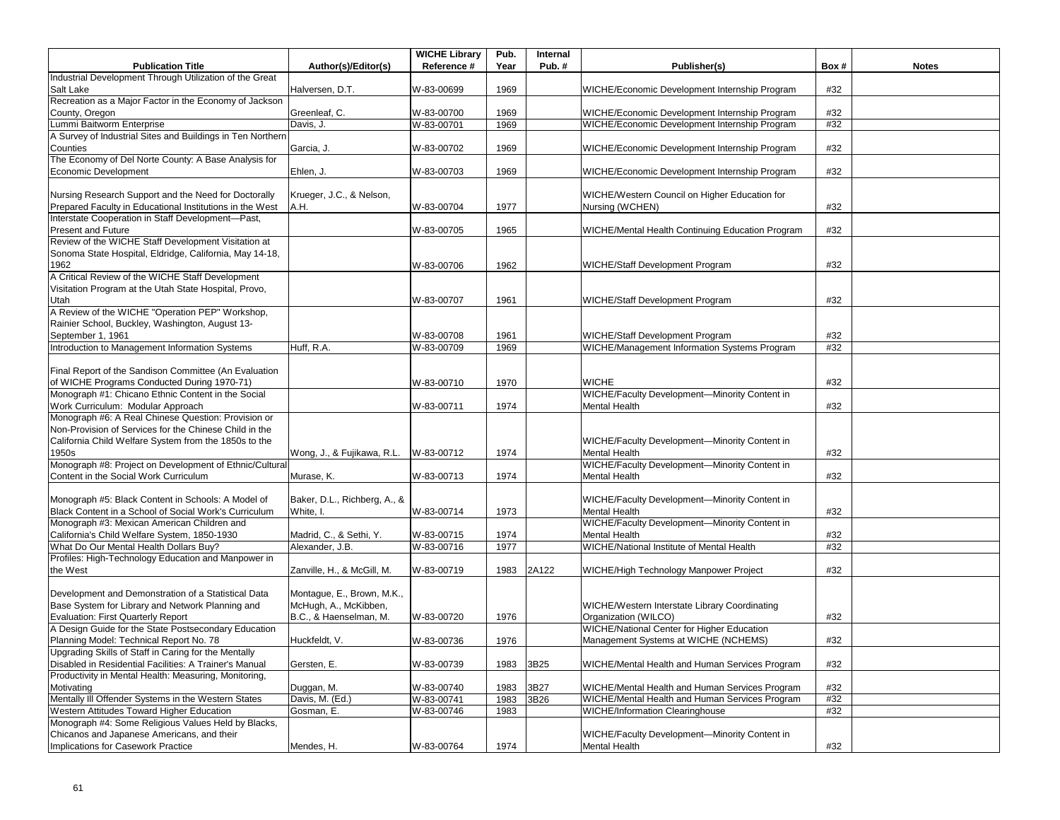|                                                                                                                 |                              | <b>WICHE Library</b> | Pub. | Internal |                                                  |      |              |
|-----------------------------------------------------------------------------------------------------------------|------------------------------|----------------------|------|----------|--------------------------------------------------|------|--------------|
| <b>Publication Title</b>                                                                                        | Author(s)/Editor(s)          | Reference #          | Year | Pub.#    | Publisher(s)                                     | Box# | <b>Notes</b> |
| Industrial Development Through Utilization of the Great                                                         |                              |                      |      |          |                                                  |      |              |
| Salt Lake<br>Recreation as a Major Factor in the Economy of Jackson                                             | Halversen, D.T.              | W-83-00699           | 1969 |          | WICHE/Economic Development Internship Program    | #32  |              |
| County, Oregon                                                                                                  | Greenleaf, C.                | W-83-00700           | 1969 |          | WICHE/Economic Development Internship Program    | #32  |              |
| Lummi Baitworm Enterprise                                                                                       | Davis, J.                    | W-83-00701           | 1969 |          | WICHE/Economic Development Internship Program    | #32  |              |
| A Survey of Industrial Sites and Buildings in Ten Northern                                                      |                              |                      |      |          |                                                  |      |              |
| Counties                                                                                                        | Garcia, J.                   | W-83-00702           | 1969 |          | WICHE/Economic Development Internship Program    | #32  |              |
| The Economy of Del Norte County: A Base Analysis for                                                            |                              |                      |      |          |                                                  |      |              |
| Economic Development                                                                                            | Ehlen, J.                    | W-83-00703           | 1969 |          | WICHE/Economic Development Internship Program    | #32  |              |
|                                                                                                                 |                              |                      |      |          |                                                  |      |              |
| Nursing Research Support and the Need for Doctorally                                                            | Krueger, J.C., & Nelson,     |                      |      |          | WICHE/Western Council on Higher Education for    |      |              |
| Prepared Faculty in Educational Institutions in the West                                                        | A.H.                         | W-83-00704           | 1977 |          | Nursing (WCHEN)                                  | #32  |              |
| Interstate Cooperation in Staff Development-Past,                                                               |                              |                      |      |          |                                                  |      |              |
| <b>Present and Future</b>                                                                                       |                              | W-83-00705           | 1965 |          | WICHE/Mental Health Continuing Education Program | #32  |              |
| Review of the WICHE Staff Development Visitation at                                                             |                              |                      |      |          |                                                  |      |              |
| Sonoma State Hospital, Eldridge, California, May 14-18,                                                         |                              |                      |      |          |                                                  |      |              |
| 1962                                                                                                            |                              | W-83-00706           | 1962 |          | WICHE/Staff Development Program                  | #32  |              |
| A Critical Review of the WICHE Staff Development                                                                |                              |                      |      |          |                                                  |      |              |
| Visitation Program at the Utah State Hospital, Provo,                                                           |                              |                      |      |          |                                                  |      |              |
| Utah                                                                                                            |                              | W-83-00707           | 1961 |          | WICHE/Staff Development Program                  | #32  |              |
| A Review of the WICHE "Operation PEP" Workshop,                                                                 |                              |                      |      |          |                                                  |      |              |
| Rainier School, Buckley, Washington, August 13-                                                                 |                              |                      |      |          |                                                  |      |              |
| September 1, 1961                                                                                               |                              | W-83-00708           | 1961 |          | <b>WICHE/Staff Development Program</b>           | #32  |              |
| Introduction to Management Information Systems                                                                  | Huff, R.A.                   | W-83-00709           | 1969 |          | WICHE/Management Information Systems Program     | #32  |              |
|                                                                                                                 |                              |                      |      |          |                                                  |      |              |
| Final Report of the Sandison Committee (An Evaluation                                                           |                              |                      |      |          |                                                  |      |              |
| of WICHE Programs Conducted During 1970-71)                                                                     |                              | W-83-00710           | 1970 |          | <b>WICHE</b>                                     | #32  |              |
| Monograph #1: Chicano Ethnic Content in the Social                                                              |                              |                      |      |          | WICHE/Faculty Development-Minority Content in    |      |              |
| Work Curriculum: Modular Approach                                                                               |                              | W-83-00711           | 1974 |          | <b>Mental Health</b>                             | #32  |              |
| Monograph #6: A Real Chinese Question: Provision or                                                             |                              |                      |      |          |                                                  |      |              |
| Non-Provision of Services for the Chinese Child in the<br>California Child Welfare System from the 1850s to the |                              |                      |      |          | WICHE/Faculty Development-Minority Content in    |      |              |
|                                                                                                                 |                              | W-83-00712           | 1974 |          | <b>Mental Health</b>                             | #32  |              |
| 1950s<br>Monograph #8: Project on Development of Ethnic/Cultural                                                | Wong, J., & Fujikawa, R.L.   |                      |      |          | WICHE/Faculty Development-Minority Content in    |      |              |
| Content in the Social Work Curriculum                                                                           | Murase, K.                   | W-83-00713           | 1974 |          | <b>Mental Health</b>                             | #32  |              |
|                                                                                                                 |                              |                      |      |          |                                                  |      |              |
| Monograph #5: Black Content in Schools: A Model of                                                              | Baker, D.L., Richberg, A., & |                      |      |          | WICHE/Faculty Development-Minority Content in    |      |              |
| Black Content in a School of Social Work's Curriculum                                                           | White, I.                    | W-83-00714           | 1973 |          | <b>Mental Health</b>                             | #32  |              |
| Monograph #3: Mexican American Children and                                                                     |                              |                      |      |          | WICHE/Faculty Development-Minority Content in    |      |              |
| California's Child Welfare System, 1850-1930                                                                    | Madrid, C., & Sethi, Y.      | W-83-00715           | 1974 |          | <b>Mental Health</b>                             | #32  |              |
| What Do Our Mental Health Dollars Buy?                                                                          | Alexander, J.B.              | W-83-00716           | 1977 |          | WICHE/National Institute of Mental Health        | #32  |              |
| Profiles: High-Technology Education and Manpower in                                                             |                              |                      |      |          |                                                  |      |              |
| the West                                                                                                        | Zanville, H., & McGill, M.   | W-83-00719           | 1983 | 2A122    | WICHE/High Technology Manpower Project           | #32  |              |
|                                                                                                                 |                              |                      |      |          |                                                  |      |              |
| Development and Demonstration of a Statistical Data                                                             | Montague, E., Brown, M.K.,   |                      |      |          |                                                  |      |              |
| Base System for Library and Network Planning and                                                                | McHugh, A., McKibben,        |                      |      |          | WICHE/Western Interstate Library Coordinating    |      |              |
| Evaluation: First Quarterly Report                                                                              | B.C., & Haenselman, M.       | W-83-00720           | 1976 |          | Organization (WILCO)                             | #32  |              |
| A Design Guide for the State Postsecondary Education                                                            |                              |                      |      |          | WICHE/National Center for Higher Education       |      |              |
| Planning Model: Technical Report No. 78                                                                         | Huckfeldt, V.                | W-83-00736           | 1976 |          | Management Systems at WICHE (NCHEMS)             | #32  |              |
| Upgrading Skills of Staff in Caring for the Mentally                                                            |                              |                      |      |          |                                                  |      |              |
| Disabled in Residential Facilities: A Trainer's Manual                                                          | Gersten, E.                  | W-83-00739           | 1983 | 3B25     | WICHE/Mental Health and Human Services Program   | #32  |              |
| Productivity in Mental Health: Measuring, Monitoring,                                                           |                              |                      |      |          |                                                  |      |              |
| Motivating                                                                                                      | Duggan, M.                   | W-83-00740           | 1983 | 3B27     | WICHE/Mental Health and Human Services Program   | #32  |              |
| Mentally III Offender Systems in the Western States                                                             | Davis, M. (Ed.)              | W-83-00741           | 1983 | 3B26     | WICHE/Mental Health and Human Services Program   | #32  |              |
| Western Attitudes Toward Higher Education                                                                       | Gosman, E.                   | W-83-00746           | 1983 |          | <b>WICHE/Information Clearinghouse</b>           | #32  |              |
| Monograph #4: Some Religious Values Held by Blacks,                                                             |                              |                      |      |          |                                                  |      |              |
| Chicanos and Japanese Americans, and their                                                                      |                              |                      |      |          | WICHE/Faculty Development-Minority Content in    |      |              |
| Implications for Casework Practice                                                                              | Mendes, H.                   | W-83-00764           | 1974 |          | Mental Health                                    | #32  |              |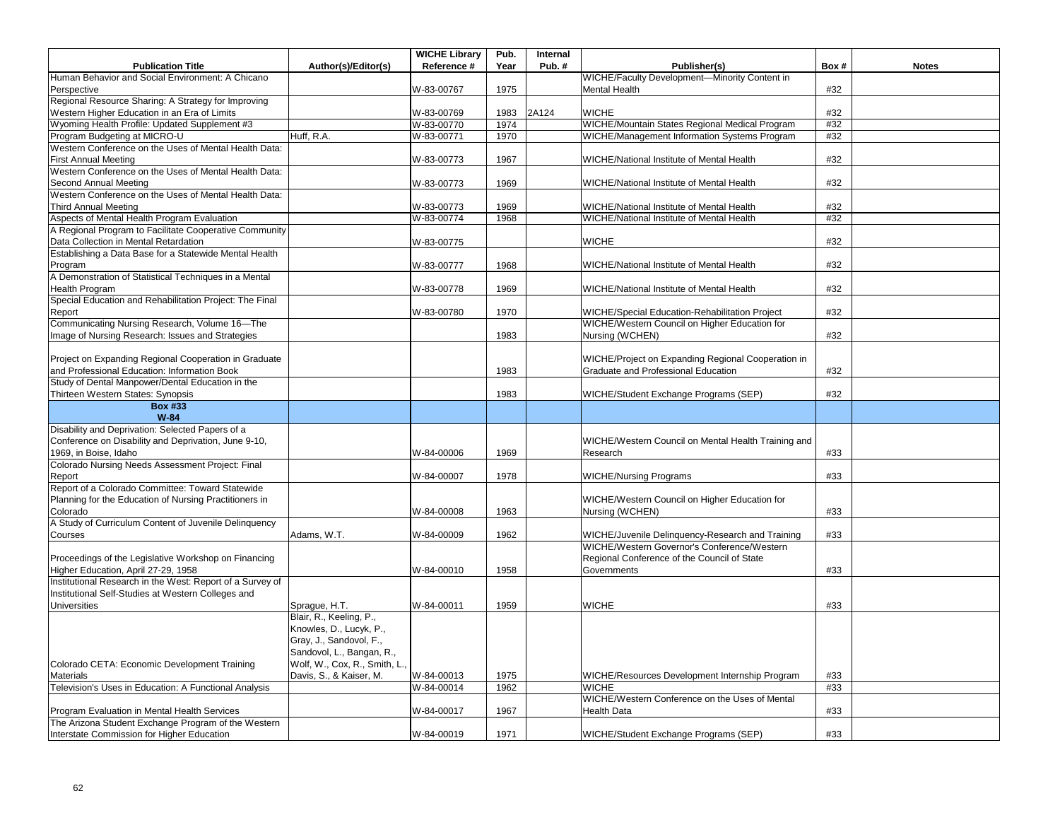|                                                           |                               | <b>WICHE Library</b> | Pub. | Internal |                                                     |      |              |
|-----------------------------------------------------------|-------------------------------|----------------------|------|----------|-----------------------------------------------------|------|--------------|
| <b>Publication Title</b>                                  | Author(s)/Editor(s)           | Reference #          | Year | Pub.#    | Publisher(s)                                        | Box# | <b>Notes</b> |
| Human Behavior and Social Environment: A Chicano          |                               |                      |      |          | WICHE/Faculty Development-Minority Content in       |      |              |
| Perspective                                               |                               | W-83-00767           | 1975 |          | <b>Mental Health</b>                                | #32  |              |
| Regional Resource Sharing: A Strategy for Improving       |                               |                      |      |          |                                                     |      |              |
| Western Higher Education in an Era of Limits              |                               | W-83-00769           | 1983 | 2A124    | <b>WICHE</b>                                        | #32  |              |
| Wyoming Health Profile: Updated Supplement #3             |                               | W-83-00770           | 1974 |          | WICHE/Mountain States Regional Medical Program      | #32  |              |
| Program Budgeting at MICRO-U                              | Huff, R.A.                    | W-83-00771           | 1970 |          | WICHE/Management Information Systems Program        | #32  |              |
| Western Conference on the Uses of Mental Health Data:     |                               |                      |      |          |                                                     |      |              |
| <b>First Annual Meeting</b>                               |                               | W-83-00773           | 1967 |          | WICHE/National Institute of Mental Health           | #32  |              |
| Western Conference on the Uses of Mental Health Data:     |                               |                      |      |          |                                                     |      |              |
| Second Annual Meeting                                     |                               | W-83-00773           | 1969 |          | WICHE/National Institute of Mental Health           | #32  |              |
| Western Conference on the Uses of Mental Health Data:     |                               |                      |      |          |                                                     |      |              |
| <b>Third Annual Meeting</b>                               |                               | W-83-00773           | 1969 |          | WICHE/National Institute of Mental Health           | #32  |              |
| Aspects of Mental Health Program Evaluation               |                               | W-83-00774           | 1968 |          | WICHE/National Institute of Mental Health           | #32  |              |
| A Regional Program to Facilitate Cooperative Community    |                               |                      |      |          |                                                     |      |              |
| Data Collection in Mental Retardation                     |                               | W-83-00775           |      |          | <b>WICHE</b>                                        | #32  |              |
| Establishing a Data Base for a Statewide Mental Health    |                               |                      |      |          |                                                     |      |              |
| Program                                                   |                               | W-83-00777           | 1968 |          | WICHE/National Institute of Mental Health           | #32  |              |
| A Demonstration of Statistical Techniques in a Mental     |                               |                      |      |          |                                                     |      |              |
| Health Program                                            |                               | W-83-00778           | 1969 |          | WICHE/National Institute of Mental Health           | #32  |              |
| Special Education and Rehabilitation Project: The Final   |                               |                      |      |          |                                                     |      |              |
| Report                                                    |                               | W-83-00780           | 1970 |          | WICHE/Special Education-Rehabilitation Project      | #32  |              |
| Communicating Nursing Research, Volume 16-The             |                               |                      |      |          | WICHE/Western Council on Higher Education for       |      |              |
| Image of Nursing Research: Issues and Strategies          |                               |                      | 1983 |          | Nursing (WCHEN)                                     | #32  |              |
|                                                           |                               |                      |      |          |                                                     |      |              |
| Project on Expanding Regional Cooperation in Graduate     |                               |                      |      |          | WICHE/Project on Expanding Regional Cooperation in  |      |              |
| and Professional Education: Information Book              |                               |                      | 1983 |          | Graduate and Professional Education                 | #32  |              |
| Study of Dental Manpower/Dental Education in the          |                               |                      |      |          |                                                     |      |              |
| Thirteen Western States: Synopsis                         |                               |                      | 1983 |          | WICHE/Student Exchange Programs (SEP)               | #32  |              |
| <b>Box #33</b>                                            |                               |                      |      |          |                                                     |      |              |
| $W-84$                                                    |                               |                      |      |          |                                                     |      |              |
| Disability and Deprivation: Selected Papers of a          |                               |                      |      |          |                                                     |      |              |
| Conference on Disability and Deprivation, June 9-10,      |                               |                      |      |          | WICHE/Western Council on Mental Health Training and |      |              |
| 1969, in Boise, Idaho                                     |                               | W-84-00006           | 1969 |          | Research                                            | #33  |              |
| Colorado Nursing Needs Assessment Project: Final          |                               |                      |      |          |                                                     |      |              |
| Report                                                    |                               | W-84-00007           | 1978 |          | <b>WICHE/Nursing Programs</b>                       | #33  |              |
| Report of a Colorado Committee: Toward Statewide          |                               |                      |      |          |                                                     |      |              |
| Planning for the Education of Nursing Practitioners in    |                               |                      |      |          | WICHE/Western Council on Higher Education for       |      |              |
| Colorado                                                  |                               | W-84-00008           | 1963 |          | Nursing (WCHEN)                                     | #33  |              |
| A Study of Curriculum Content of Juvenile Delinquency     |                               |                      |      |          |                                                     |      |              |
| Courses                                                   | Adams, W.T.                   | W-84-00009           | 1962 |          | WICHE/Juvenile Delinquency-Research and Training    | #33  |              |
|                                                           |                               |                      |      |          | WICHE/Western Governor's Conference/Western         |      |              |
| Proceedings of the Legislative Workshop on Financing      |                               |                      |      |          | Regional Conference of the Council of State         |      |              |
| Higher Education, April 27-29, 1958                       |                               | W-84-00010           | 1958 |          | Governments                                         | #33  |              |
| Institutional Research in the West: Report of a Survey of |                               |                      |      |          |                                                     |      |              |
| Institutional Self-Studies at Western Colleges and        |                               |                      |      |          |                                                     |      |              |
| <b>Universities</b>                                       | Sprague, H.T.                 | W-84-00011           | 1959 |          | <b>WICHE</b>                                        | #33  |              |
|                                                           | Blair, R., Keeling, P.,       |                      |      |          |                                                     |      |              |
|                                                           | Knowles, D., Lucyk, P.,       |                      |      |          |                                                     |      |              |
|                                                           | Gray, J., Sandovol, F.,       |                      |      |          |                                                     |      |              |
|                                                           | Sandovol, L., Bangan, R.,     |                      |      |          |                                                     |      |              |
| Colorado CETA: Economic Development Training              | Wolf, W., Cox, R., Smith, L., |                      |      |          |                                                     |      |              |
| Materials                                                 | Davis, S., & Kaiser, M.       | W-84-00013           | 1975 |          | WICHE/Resources Development Internship Program      | #33  |              |
| Television's Uses in Education: A Functional Analysis     |                               | W-84-00014           | 1962 |          | <b>WICHE</b>                                        | #33  |              |
|                                                           |                               |                      |      |          | WICHE/Western Conference on the Uses of Mental      |      |              |
| Program Evaluation in Mental Health Services              |                               | W-84-00017           | 1967 |          | <b>Health Data</b>                                  | #33  |              |
| The Arizona Student Exchange Program of the Western       |                               |                      |      |          |                                                     |      |              |
| Interstate Commission for Higher Education                |                               | W-84-00019           | 1971 |          | WICHE/Student Exchange Programs (SEP)               | #33  |              |
|                                                           |                               |                      |      |          |                                                     |      |              |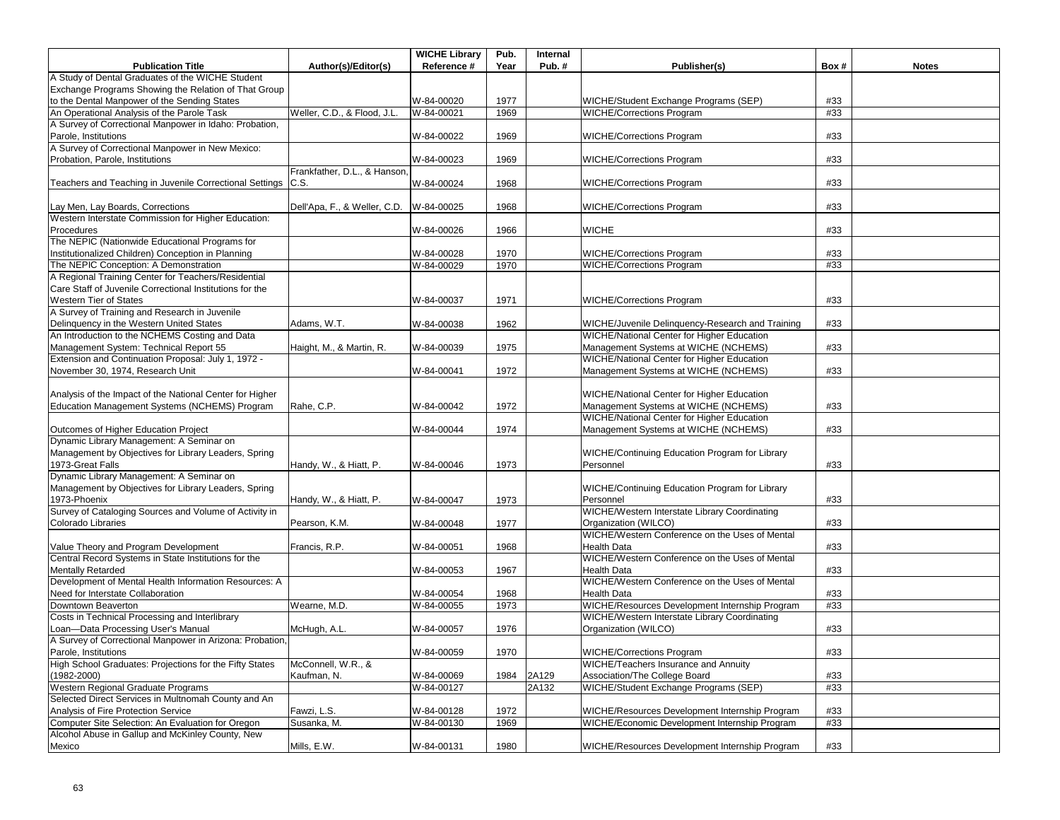|                                                              |                              | <b>WICHE Library</b> | Pub. | Internal |                                                   |      |              |
|--------------------------------------------------------------|------------------------------|----------------------|------|----------|---------------------------------------------------|------|--------------|
| <b>Publication Title</b>                                     | Author(s)/Editor(s)          | Reference #          | Year | Pub.#    | Publisher(s)                                      | Box# | <b>Notes</b> |
| A Study of Dental Graduates of the WICHE Student             |                              |                      |      |          |                                                   |      |              |
| Exchange Programs Showing the Relation of That Group         |                              |                      |      |          |                                                   |      |              |
| to the Dental Manpower of the Sending States                 |                              | W-84-00020           | 1977 |          | WICHE/Student Exchange Programs (SEP)             | #33  |              |
| An Operational Analysis of the Parole Task                   | Weller, C.D., & Flood, J.L   | W-84-00021           | 1969 |          | <b>WICHE/Corrections Program</b>                  | #33  |              |
| A Survey of Correctional Manpower in Idaho: Probation,       |                              |                      |      |          |                                                   |      |              |
| Parole, Institutions                                         |                              | W-84-00022           | 1969 |          | <b>WICHE/Corrections Program</b>                  | #33  |              |
| A Survey of Correctional Manpower in New Mexico:             |                              |                      |      |          |                                                   |      |              |
| Probation, Parole, Institutions                              |                              | W-84-00023           | 1969 |          | <b>WICHE/Corrections Program</b>                  | #33  |              |
|                                                              | Frankfather, D.L., & Hanson, |                      |      |          |                                                   |      |              |
| Teachers and Teaching in Juvenile Correctional Settings C.S. |                              | W-84-00024           | 1968 |          | <b>WICHE/Corrections Program</b>                  | #33  |              |
|                                                              |                              |                      |      |          |                                                   |      |              |
| Lay Men, Lay Boards, Corrections                             | Dell'Apa, F., & Weller, C.D. | W-84-00025           | 1968 |          | <b>WICHE/Corrections Program</b>                  | #33  |              |
| Western Interstate Commission for Higher Education:          |                              |                      |      |          |                                                   |      |              |
| Procedures                                                   |                              | W-84-00026           | 1966 |          | <b>WICHE</b>                                      | #33  |              |
| The NEPIC (Nationwide Educational Programs for               |                              |                      |      |          |                                                   |      |              |
|                                                              |                              |                      |      |          |                                                   |      |              |
| Institutionalized Children) Conception in Planning           |                              | W-84-00028           | 1970 |          | <b>WICHE/Corrections Program</b>                  | #33  |              |
| The NEPIC Conception: A Demonstration                        |                              | W-84-00029           | 1970 |          | <b>WICHE/Corrections Program</b>                  | #33  |              |
| A Regional Training Center for Teachers/Residential          |                              |                      |      |          |                                                   |      |              |
| Care Staff of Juvenile Correctional Institutions for the     |                              |                      |      |          |                                                   |      |              |
| Western Tier of States                                       |                              | W-84-00037           | 1971 |          | <b>WICHE/Corrections Program</b>                  | #33  |              |
| A Survey of Training and Research in Juvenile                |                              |                      |      |          |                                                   |      |              |
| Delinquency in the Western United States                     | Adams. W.T.                  | W-84-00038           | 1962 |          | WICHE/Juvenile Delinguency-Research and Training  | #33  |              |
| An Introduction to the NCHEMS Costing and Data               |                              |                      |      |          | <b>WICHE/National Center for Higher Education</b> |      |              |
| Management System: Technical Report 55                       | Haight, M., & Martin, R.     | W-84-00039           | 1975 |          | Management Systems at WICHE (NCHEMS)              | #33  |              |
| Extension and Continuation Proposal: July 1, 1972 -          |                              |                      |      |          | WICHE/National Center for Higher Education        |      |              |
| November 30, 1974, Research Unit                             |                              | W-84-00041           | 1972 |          | Management Systems at WICHE (NCHEMS)              | #33  |              |
|                                                              |                              |                      |      |          |                                                   |      |              |
| Analysis of the Impact of the National Center for Higher     |                              |                      |      |          | WICHE/National Center for Higher Education        |      |              |
| Education Management Systems (NCHEMS) Program                | Rahe, C.P.                   | W-84-00042           | 1972 |          | Management Systems at WICHE (NCHEMS)              | #33  |              |
|                                                              |                              |                      |      |          | <b>WICHE/National Center for Higher Education</b> |      |              |
| Outcomes of Higher Education Project                         |                              | W-84-00044           | 1974 |          | Management Systems at WICHE (NCHEMS)              | #33  |              |
| Dynamic Library Management: A Seminar on                     |                              |                      |      |          |                                                   |      |              |
|                                                              |                              |                      |      |          |                                                   |      |              |
| Management by Objectives for Library Leaders, Spring         |                              |                      |      |          | WICHE/Continuing Education Program for Library    |      |              |
| 1973-Great Falls                                             | Handy, W., & Hiatt, P.       | W-84-00046           | 1973 |          | Personnel                                         | #33  |              |
| Dynamic Library Management: A Seminar on                     |                              |                      |      |          |                                                   |      |              |
| Management by Objectives for Library Leaders, Spring         |                              |                      |      |          | WICHE/Continuing Education Program for Library    |      |              |
| 1973-Phoenix                                                 | Handy, W., & Hiatt, P.       | W-84-00047           | 1973 |          | Personnel                                         | #33  |              |
| Survey of Cataloging Sources and Volume of Activity in       |                              |                      |      |          | WICHE/Western Interstate Library Coordinating     |      |              |
| Colorado Libraries                                           | Pearson, K.M.                | W-84-00048           | 1977 |          | Organization (WILCO)                              | #33  |              |
|                                                              |                              |                      |      |          | WICHE/Western Conference on the Uses of Mental    |      |              |
| Value Theory and Program Development                         | Francis, R.P.                | W-84-00051           | 1968 |          | <b>Health Data</b>                                | #33  |              |
| Central Record Systems in State Institutions for the         |                              |                      |      |          | WICHE/Western Conference on the Uses of Mental    |      |              |
| <b>Mentally Retarded</b>                                     |                              | W-84-00053           | 1967 |          | <b>Health Data</b>                                | #33  |              |
| Development of Mental Health Information Resources: A        |                              |                      |      |          | WICHE/Western Conference on the Uses of Mental    |      |              |
| Need for Interstate Collaboration                            |                              | W-84-00054           | 1968 |          | <b>Health Data</b>                                | #33  |              |
| Downtown Beaverton                                           | Wearne, M.D.                 | W-84-00055           | 1973 |          | WICHE/Resources Development Internship Program    | #33  |              |
| Costs in Technical Processing and Interlibrary               |                              |                      |      |          | WICHE/Western Interstate Library Coordinating     |      |              |
| Loan-Data Processing User's Manual                           | McHugh, A.L.                 | W-84-00057           | 1976 |          | Organization (WILCO)                              | #33  |              |
| A Survey of Correctional Manpower in Arizona: Probation,     |                              |                      |      |          |                                                   |      |              |
|                                                              |                              |                      |      |          |                                                   |      |              |
| Parole, Institutions                                         |                              | W-84-00059           | 1970 |          | <b>WICHE/Corrections Program</b>                  | #33  |              |
| High School Graduates: Projections for the Fifty States      | McConnell, W.R., &           |                      |      |          | WICHE/Teachers Insurance and Annuity              |      |              |
| (1982-2000)                                                  | Kaufman, N.                  | W-84-00069           | 1984 | 2A129    | Association/The College Board                     | #33  |              |
| Western Regional Graduate Programs                           |                              | W-84-00127           |      | 2A132    | WICHE/Student Exchange Programs (SEP)             | #33  |              |
| Selected Direct Services in Multnomah County and An          |                              |                      |      |          |                                                   |      |              |
| Analysis of Fire Protection Service                          | Fawzi, L.S.                  | W-84-00128           | 1972 |          | WICHE/Resources Development Internship Program    | #33  |              |
| Computer Site Selection: An Evaluation for Oregon            | Susanka, M.                  | W-84-00130           | 1969 |          | WICHE/Economic Development Internship Program     | #33  |              |
| Alcohol Abuse in Gallup and McKinley County, New             |                              |                      |      |          |                                                   |      |              |
| Mexico                                                       | Mills, E.W.                  | W-84-00131           | 1980 |          | WICHE/Resources Development Internship Program    | #33  |              |
|                                                              |                              |                      |      |          |                                                   |      |              |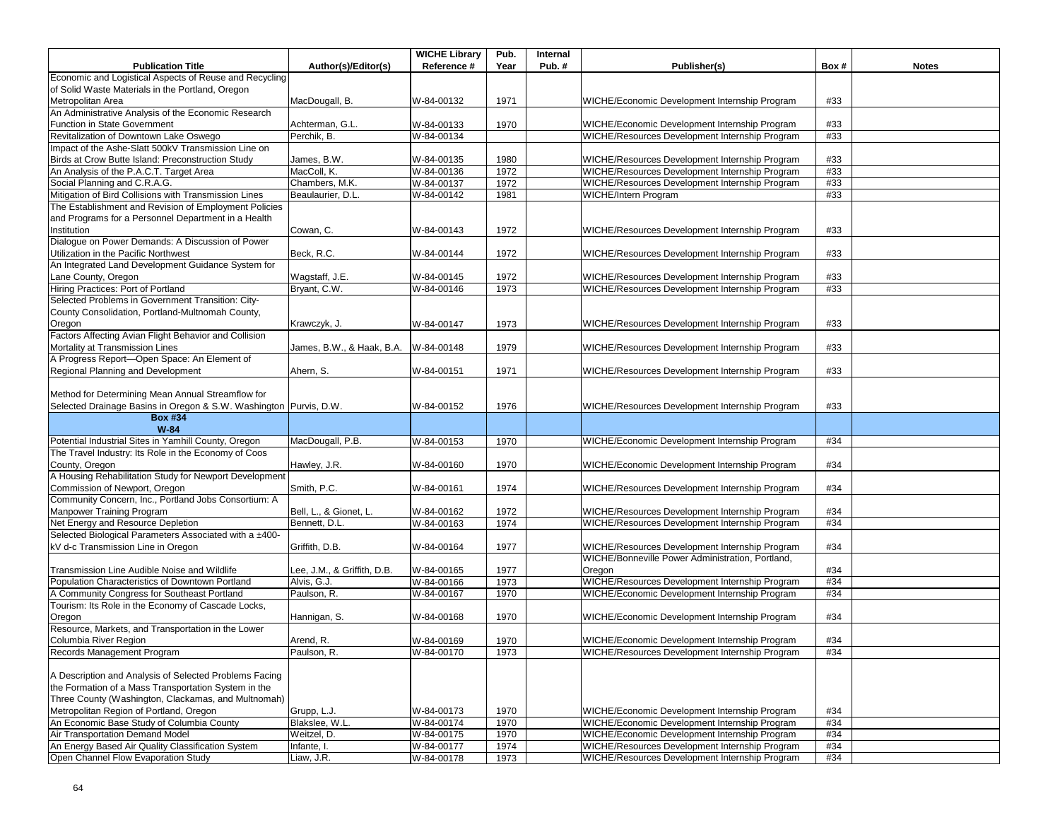|                                                                                                             |                             | <b>WICHE Library</b>     | Pub.         | Internal |                                                                                                  |            |              |
|-------------------------------------------------------------------------------------------------------------|-----------------------------|--------------------------|--------------|----------|--------------------------------------------------------------------------------------------------|------------|--------------|
| <b>Publication Title</b>                                                                                    | Author(s)/Editor(s)         | Reference #              | Year         | Pub.#    | Publisher(s)                                                                                     | Box#       | <b>Notes</b> |
| Economic and Logistical Aspects of Reuse and Recycling                                                      |                             |                          |              |          |                                                                                                  |            |              |
| of Solid Waste Materials in the Portland, Oregon                                                            |                             |                          |              |          |                                                                                                  |            |              |
| Metropolitan Area                                                                                           | MacDougall, B.              | W-84-00132               | 1971         |          | WICHE/Economic Development Internship Program                                                    | #33        |              |
| An Administrative Analysis of the Economic Research                                                         |                             |                          |              |          |                                                                                                  |            |              |
| Function in State Government                                                                                | Achterman, G.L.             | W-84-00133               | 1970         |          | WICHE/Economic Development Internship Program                                                    | #33        |              |
| Revitalization of Downtown Lake Oswego<br>Impact of the Ashe-Slatt 500kV Transmission Line on               | Perchik, B.                 | W-84-00134               |              |          | WICHE/Resources Development Internship Program                                                   | #33        |              |
|                                                                                                             |                             |                          |              |          |                                                                                                  |            |              |
| Birds at Crow Butte Island: Preconstruction Study<br>An Analysis of the P.A.C.T. Target Area                | James, B.W.<br>MacColl, K.  | W-84-00135<br>W-84-00136 | 1980<br>1972 |          | WICHE/Resources Development Internship Program<br>WICHE/Resources Development Internship Program | #33<br>#33 |              |
| Social Planning and C.R.A.G.                                                                                | Chambers, M.K.              | W-84-00137               | 1972         |          | WICHE/Resources Development Internship Program                                                   | #33        |              |
| Mitigation of Bird Collisions with Transmission Lines                                                       | Beaulaurier, D.L.           | W-84-00142               | 1981         |          | <b>WICHE/Intern Program</b>                                                                      | #33        |              |
| The Establishment and Revision of Employment Policies                                                       |                             |                          |              |          |                                                                                                  |            |              |
| and Programs for a Personnel Department in a Health                                                         |                             |                          |              |          |                                                                                                  |            |              |
| Institution                                                                                                 | Cowan, C.                   | W-84-00143               | 1972         |          | WICHE/Resources Development Internship Program                                                   | #33        |              |
| Dialogue on Power Demands: A Discussion of Power                                                            |                             |                          |              |          |                                                                                                  |            |              |
| Utilization in the Pacific Northwest                                                                        | Beck, R.C.                  | W-84-00144               | 1972         |          | WICHE/Resources Development Internship Program                                                   | #33        |              |
| An Integrated Land Development Guidance System for                                                          |                             |                          |              |          |                                                                                                  |            |              |
| Lane County, Oregon                                                                                         | Wagstaff, J.E.              | W-84-00145               | 1972         |          | WICHE/Resources Development Internship Program                                                   | #33        |              |
| Hiring Practices: Port of Portland                                                                          | Bryant, C.W.                | W-84-00146               | 1973         |          | WICHE/Resources Development Internship Program                                                   | #33        |              |
| Selected Problems in Government Transition: City-                                                           |                             |                          |              |          |                                                                                                  |            |              |
| County Consolidation, Portland-Multnomah County,                                                            |                             |                          |              |          |                                                                                                  |            |              |
| Oregon                                                                                                      | Krawczyk, J.                | W-84-00147               | 1973         |          | WICHE/Resources Development Internship Program                                                   | #33        |              |
| Factors Affecting Avian Flight Behavior and Collision                                                       |                             |                          |              |          |                                                                                                  |            |              |
| Mortality at Transmission Lines                                                                             | James, B.W., & Haak, B.A.   | W-84-00148               | 1979         |          | WICHE/Resources Development Internship Program                                                   | #33        |              |
| A Progress Report-Open Space: An Element of                                                                 |                             |                          |              |          |                                                                                                  |            |              |
| Regional Planning and Development                                                                           | Ahern, S.                   | W-84-00151               | 1971         |          | WICHE/Resources Development Internship Program                                                   | #33        |              |
|                                                                                                             |                             |                          |              |          |                                                                                                  |            |              |
| Method for Determining Mean Annual Streamflow for                                                           |                             |                          |              |          |                                                                                                  |            |              |
| Selected Drainage Basins in Oregon & S.W. Washington Purvis, D.W.                                           |                             | W-84-00152               | 1976         |          | WICHE/Resources Development Internship Program                                                   | #33        |              |
| <b>Box #34</b>                                                                                              |                             |                          |              |          |                                                                                                  |            |              |
| $W-84$<br>Potential Industrial Sites in Yamhill County, Oregon                                              | MacDougall, P.B.            |                          | 1970         |          | WICHE/Economic Development Internship Program                                                    | #34        |              |
| The Travel Industry: Its Role in the Economy of Coos                                                        |                             | W-84-00153               |              |          |                                                                                                  |            |              |
| County, Oregon                                                                                              | Hawley, J.R.                | W-84-00160               | 1970         |          | WICHE/Economic Development Internship Program                                                    | #34        |              |
| A Housing Rehabilitation Study for Newport Development                                                      |                             |                          |              |          |                                                                                                  |            |              |
| Commission of Newport, Oregon                                                                               | Smith, P.C.                 | W-84-00161               | 1974         |          | WICHE/Resources Development Internship Program                                                   | #34        |              |
| Community Concern, Inc., Portland Jobs Consortium: A                                                        |                             |                          |              |          |                                                                                                  |            |              |
| Manpower Training Program                                                                                   | Bell, L., & Gionet, L.      | W-84-00162               | 1972         |          | WICHE/Resources Development Internship Program                                                   | #34        |              |
| Net Energy and Resource Depletion                                                                           | Bennett, D.L.               | W-84-00163               | 1974         |          | WICHE/Resources Development Internship Program                                                   | #34        |              |
| Selected Biological Parameters Associated with a ±400-                                                      |                             |                          |              |          |                                                                                                  |            |              |
| kV d-c Transmission Line in Oregon                                                                          | Griffith, D.B.              | W-84-00164               | 1977         |          | WICHE/Resources Development Internship Program                                                   | #34        |              |
|                                                                                                             |                             |                          |              |          | WICHE/Bonneville Power Administration, Portland,                                                 |            |              |
| Transmission Line Audible Noise and Wildlife                                                                | Lee, J.M., & Griffith, D.B. | W-84-00165               | 1977         |          | Oregon                                                                                           | #34        |              |
| Population Characteristics of Downtown Portland                                                             | Alvis, G.J.                 | W-84-00166               | 1973         |          | WICHE/Resources Development Internship Program                                                   | #34        |              |
| A Community Congress for Southeast Portland                                                                 | Paulson, R.                 | W-84-00167               | 1970         |          | WICHE/Economic Development Internship Program                                                    | #34        |              |
| Tourism: Its Role in the Economy of Cascade Locks,                                                          |                             |                          |              |          |                                                                                                  |            |              |
| Oregon                                                                                                      | Hannigan, S.                | W-84-00168               | 1970         |          | WICHE/Economic Development Internship Program                                                    | #34        |              |
| Resource, Markets, and Transportation in the Lower                                                          |                             |                          |              |          |                                                                                                  |            |              |
| Columbia River Region                                                                                       | Arend, R.                   | W-84-00169               | 1970         |          | WICHE/Economic Development Internship Program                                                    | #34        |              |
| Records Management Program                                                                                  | Paulson, R.                 | W-84-00170               | 1973         |          | WICHE/Resources Development Internship Program                                                   | #34        |              |
|                                                                                                             |                             |                          |              |          |                                                                                                  |            |              |
| A Description and Analysis of Selected Problems Facing                                                      |                             |                          |              |          |                                                                                                  |            |              |
| the Formation of a Mass Transportation System in the<br>Three County (Washington, Clackamas, and Multnomah) |                             |                          |              |          |                                                                                                  |            |              |
| Metropolitan Region of Portland, Oregon                                                                     | Grupp, L.J.                 | W-84-00173               | 1970         |          | WICHE/Economic Development Internship Program                                                    | #34        |              |
| An Economic Base Study of Columbia County                                                                   | Blakslee, W.L.              | W-84-00174               | 1970         |          | WICHE/Economic Development Internship Program                                                    | #34        |              |
| Air Transportation Demand Model                                                                             | Weitzel, D.                 | W-84-00175               | 1970         |          | WICHE/Economic Development Internship Program                                                    | #34        |              |
| An Energy Based Air Quality Classification System                                                           | Infante, I                  | W-84-00177               | 1974         |          | WICHE/Resources Development Internship Program                                                   | #34        |              |
| Open Channel Flow Evaporation Study                                                                         | Liaw, J.R.                  | W-84-00178               | 1973         |          | WICHE/Resources Development Internship Program                                                   | #34        |              |
|                                                                                                             |                             |                          |              |          |                                                                                                  |            |              |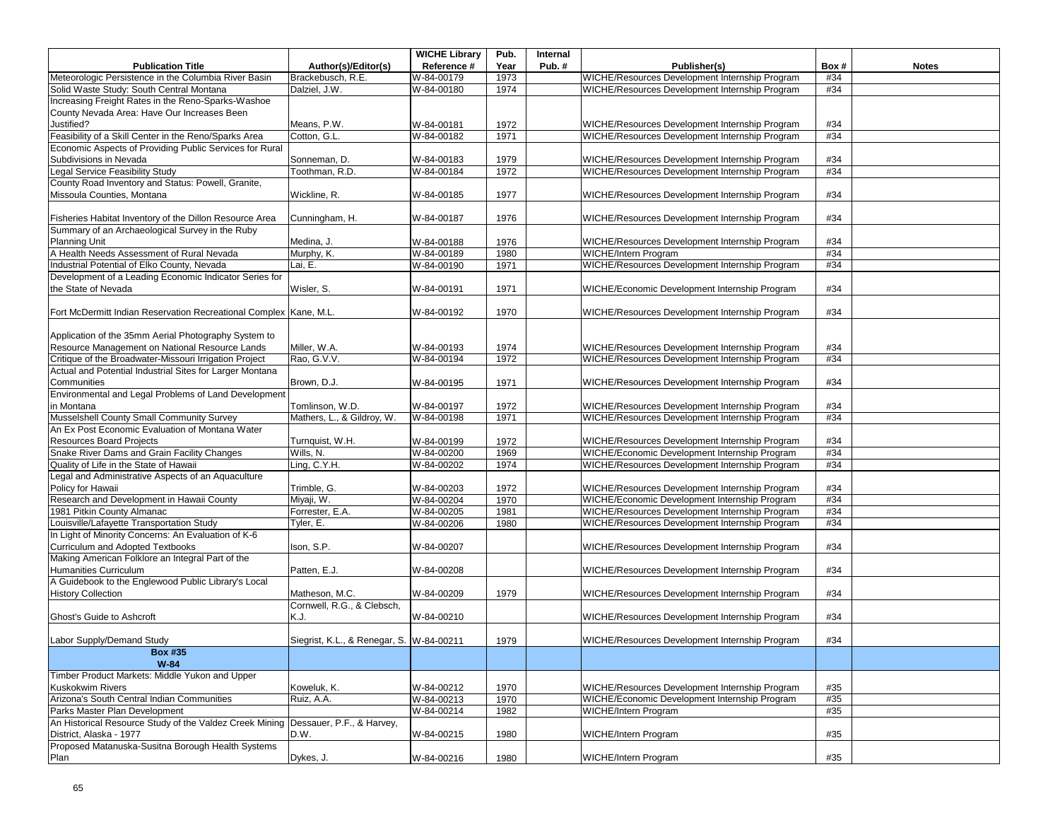|                                                                                   |                                          | <b>WICHE Library</b> | Pub. | Internal |                                                |      |              |
|-----------------------------------------------------------------------------------|------------------------------------------|----------------------|------|----------|------------------------------------------------|------|--------------|
| <b>Publication Title</b>                                                          | Author(s)/Editor(s)                      | Reference #          | Year | Pub.#    | Publisher(s)                                   | Box# | <b>Notes</b> |
| Meteorologic Persistence in the Columbia River Basin                              | Brackebusch, R.E.                        | W-84-00179           | 1973 |          | WICHE/Resources Development Internship Program | #34  |              |
| Solid Waste Study: South Central Montana                                          | Dalziel, J.W.                            | W-84-00180           | 1974 |          | WICHE/Resources Development Internship Program | #34  |              |
| Increasing Freight Rates in the Reno-Sparks-Washoe                                |                                          |                      |      |          |                                                |      |              |
| County Nevada Area: Have Our Increases Been                                       |                                          |                      |      |          |                                                |      |              |
| Justified?                                                                        | Means, P.W.                              | W-84-00181           | 1972 |          | WICHE/Resources Development Internship Program | #34  |              |
| Feasibility of a Skill Center in the Reno/Sparks Area                             | Cotton, G.L.                             | W-84-00182           | 1971 |          | WICHE/Resources Development Internship Program | #34  |              |
| Economic Aspects of Providing Public Services for Rural                           |                                          |                      |      |          |                                                |      |              |
| Subdivisions in Nevada                                                            | Sonneman, D.                             | W-84-00183           | 1979 |          | WICHE/Resources Development Internship Program | #34  |              |
| Legal Service Feasibility Study                                                   | Toothman, R.D.                           | W-84-00184           | 1972 |          | WICHE/Resources Development Internship Program | #34  |              |
| County Road Inventory and Status: Powell, Granite,                                |                                          |                      |      |          |                                                |      |              |
| Missoula Counties. Montana                                                        | Wickline, R.                             | W-84-00185           | 1977 |          | WICHE/Resources Development Internship Program | #34  |              |
|                                                                                   |                                          |                      |      |          |                                                |      |              |
| Fisheries Habitat Inventory of the Dillon Resource Area                           | Cunningham, H.                           | W-84-00187           | 1976 |          | WICHE/Resources Development Internship Program | #34  |              |
| Summary of an Archaeological Survey in the Ruby                                   |                                          |                      |      |          |                                                |      |              |
| <b>Planning Unit</b>                                                              | Medina, J.                               |                      |      |          | WICHE/Resources Development Internship Program | #34  |              |
| A Health Needs Assessment of Rural Nevada                                         |                                          | W-84-00188           | 1976 |          |                                                |      |              |
|                                                                                   | Murphy, K.                               | W-84-00189           | 1980 |          | <b>WICHE/Intern Program</b>                    | #34  |              |
| Industrial Potential of Elko County, Nevada                                       | Lai, E.                                  | W-84-00190           | 1971 |          | WICHE/Resources Development Internship Program | #34  |              |
| Development of a Leading Economic Indicator Series for                            |                                          |                      |      |          |                                                |      |              |
| the State of Nevada                                                               | Wisler, S.                               | W-84-00191           | 1971 |          | WICHE/Economic Development Internship Program  | #34  |              |
|                                                                                   |                                          |                      |      |          |                                                |      |              |
| Fort McDermitt Indian Reservation Recreational Complex Kane, M.L.                 |                                          | W-84-00192           | 1970 |          | WICHE/Resources Development Internship Program | #34  |              |
|                                                                                   |                                          |                      |      |          |                                                |      |              |
| Application of the 35mm Aerial Photography System to                              |                                          |                      |      |          |                                                |      |              |
| Resource Management on National Resource Lands                                    | Miller, W.A.                             | W-84-00193           | 1974 |          | WICHE/Resources Development Internship Program | #34  |              |
| Critique of the Broadwater-Missouri Irrigation Project                            | Rao, G.V.V.                              | W-84-00194           | 1972 |          | WICHE/Resources Development Internship Program | #34  |              |
| Actual and Potential Industrial Sites for Larger Montana                          |                                          |                      |      |          |                                                |      |              |
| Communities                                                                       | Brown, D.J.                              | W-84-00195           | 1971 |          | WICHE/Resources Development Internship Program | #34  |              |
| Environmental and Legal Problems of Land Development                              |                                          |                      |      |          |                                                |      |              |
| in Montana                                                                        | Tomlinson, W.D.                          | W-84-00197           | 1972 |          | WICHE/Resources Development Internship Program | #34  |              |
| Musselshell County Small Community Survey                                         | Mathers, L., & Gildroy, W.               | W-84-00198           | 1971 |          | WICHE/Resources Development Internship Program | #34  |              |
| An Ex Post Economic Evaluation of Montana Water                                   |                                          |                      |      |          |                                                |      |              |
| <b>Resources Board Projects</b>                                                   | Turnquist, W.H.                          | W-84-00199           | 1972 |          | WICHE/Resources Development Internship Program | #34  |              |
| Snake River Dams and Grain Facility Changes                                       | Wills, N.                                | W-84-00200           | 1969 |          | WICHE/Economic Development Internship Program  | #34  |              |
| Quality of Life in the State of Hawaii                                            | Ling, C.Y.H.                             | W-84-00202           | 1974 |          | WICHE/Resources Development Internship Program | #34  |              |
| Legal and Administrative Aspects of an Aquaculture                                |                                          |                      |      |          |                                                |      |              |
| Policy for Hawaii                                                                 | Trimble, G.                              | W-84-00203           | 1972 |          | WICHE/Resources Development Internship Program | #34  |              |
| Research and Development in Hawaii County                                         | Miyaji, W.                               | W-84-00204           | 1970 |          | WICHE/Economic Development Internship Program  | #34  |              |
| 1981 Pitkin County Almanac                                                        | Forrester, E.A.                          | W-84-00205           | 1981 |          | WICHE/Resources Development Internship Program | #34  |              |
| Louisville/Lafayette Transportation Study                                         | Tyler, E.                                | W-84-00206           | 1980 |          | WICHE/Resources Development Internship Program | #34  |              |
| In Light of Minority Concerns: An Evaluation of K-6                               |                                          |                      |      |          |                                                |      |              |
| Curriculum and Adopted Textbooks                                                  | son, S.P.                                | W-84-00207           |      |          | WICHE/Resources Development Internship Program | #34  |              |
| Making American Folklore an Integral Part of the                                  |                                          |                      |      |          |                                                |      |              |
| Humanities Curriculum                                                             | Patten, E.J.                             | W-84-00208           |      |          | WICHE/Resources Development Internship Program | #34  |              |
| A Guidebook to the Englewood Public Library's Local                               |                                          |                      |      |          |                                                |      |              |
| <b>History Collection</b>                                                         | Matheson, M.C.                           | W-84-00209           | 1979 |          | WICHE/Resources Development Internship Program | #34  |              |
|                                                                                   | Cornwell, R.G., & Clebsch,               |                      |      |          |                                                |      |              |
| Ghost's Guide to Ashcroft                                                         | K.J.                                     | W-84-00210           |      |          | WICHE/Resources Development Internship Program | #34  |              |
|                                                                                   |                                          |                      |      |          |                                                |      |              |
| Labor Supply/Demand Study                                                         | Siegrist, K.L., & Renegar, S. W-84-00211 |                      | 1979 |          | WICHE/Resources Development Internship Program | #34  |              |
| Box #35                                                                           |                                          |                      |      |          |                                                |      |              |
| $W-84$                                                                            |                                          |                      |      |          |                                                |      |              |
| Timber Product Markets: Middle Yukon and Upper                                    |                                          |                      |      |          |                                                |      |              |
| <b>Kuskokwim Rivers</b>                                                           | Koweluk, K.                              | W-84-00212           | 1970 |          | WICHE/Resources Development Internship Program | #35  |              |
| Arizona's South Central Indian Communities                                        | Ruiz, A.A.                               | W-84-00213           | 1970 |          | WICHE/Economic Development Internship Program  | #35  |              |
| Parks Master Plan Development                                                     |                                          |                      |      |          | <b>WICHE/Intern Program</b>                    | #35  |              |
| An Historical Resource Study of the Valdez Creek Mining Dessauer, P.F., & Harvey, |                                          | W-84-00214           | 1982 |          |                                                |      |              |
|                                                                                   |                                          |                      |      |          | <b>WICHE/Intern Program</b>                    |      |              |
| District, Alaska - 1977                                                           | D.W.                                     | W-84-00215           | 1980 |          |                                                | #35  |              |
| Proposed Matanuska-Susitna Borough Health Systems                                 |                                          |                      |      |          |                                                |      |              |
| Plan                                                                              | Dykes, J.                                | W-84-00216           | 1980 |          | WICHE/Intern Program                           | #35  |              |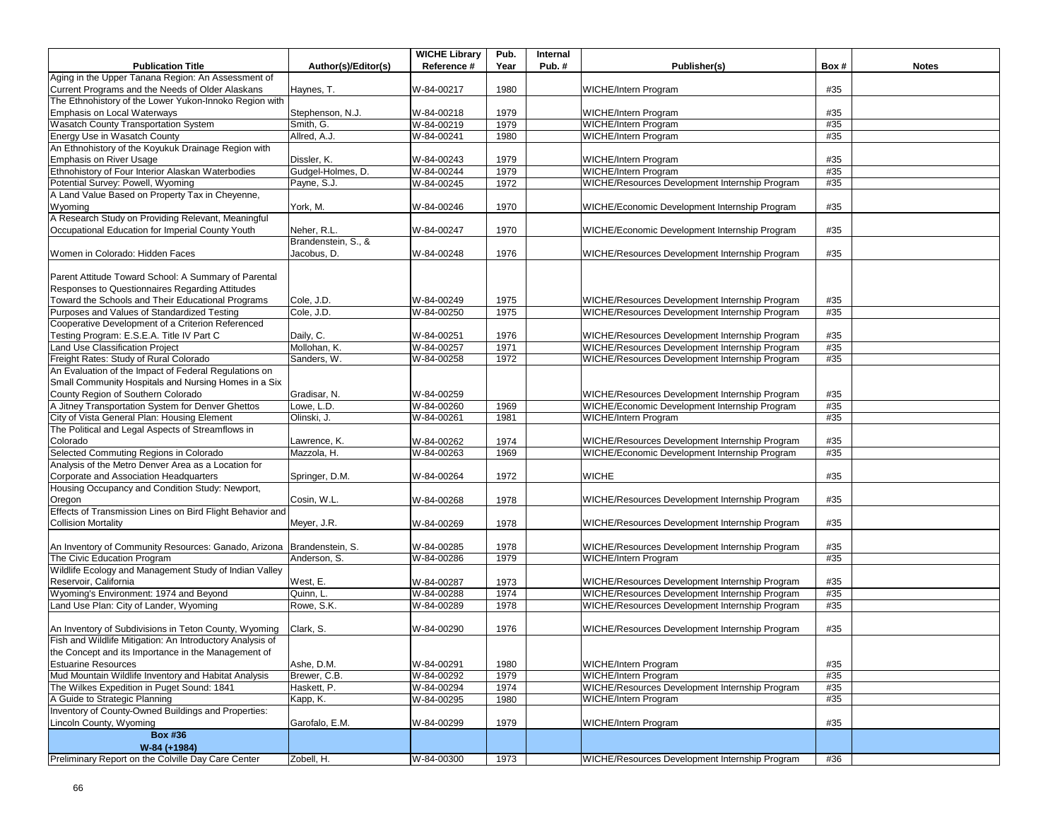|                                                                       |                     | <b>WICHE Library</b> | Pub. | Internal |                                                |      |              |
|-----------------------------------------------------------------------|---------------------|----------------------|------|----------|------------------------------------------------|------|--------------|
| <b>Publication Title</b>                                              | Author(s)/Editor(s) | Reference #          | Year | Pub.#    | Publisher(s)                                   | Box# | <b>Notes</b> |
| Aging in the Upper Tanana Region: An Assessment of                    |                     |                      |      |          |                                                |      |              |
| Current Programs and the Needs of Older Alaskans                      | Haynes, T.          | W-84-00217           | 1980 |          | <b>WICHE/Intern Program</b>                    | #35  |              |
| The Ethnohistory of the Lower Yukon-Innoko Region with                |                     |                      |      |          |                                                |      |              |
| Emphasis on Local Waterways                                           | Stephenson, N.J.    | W-84-00218           | 1979 |          | WICHE/Intern Program                           | #35  |              |
| Wasatch County Transportation System                                  | Smith, G.           | W-84-00219           | 1979 |          | <b>WICHE/Intern Program</b>                    | #35  |              |
| Energy Use in Wasatch County                                          | Allred, A.J.        | W-84-00241           | 1980 |          | WICHE/Intern Program                           | #35  |              |
| An Ethnohistory of the Koyukuk Drainage Region with                   |                     |                      |      |          |                                                |      |              |
| <b>Emphasis on River Usage</b>                                        | Dissler, K.         | W-84-00243           | 1979 |          | WICHE/Intern Program                           | #35  |              |
| Ethnohistory of Four Interior Alaskan Waterbodies                     | Gudgel-Holmes, D.   | W-84-00244           | 1979 |          | <b>WICHE/Intern Program</b>                    | #35  |              |
| Potential Survey: Powell, Wyoming                                     | Payne, S.J.         | W-84-00245           | 1972 |          | WICHE/Resources Development Internship Program | #35  |              |
| A Land Value Based on Property Tax in Cheyenne,                       |                     |                      |      |          |                                                |      |              |
| Wyoming                                                               | York, M.            | W-84-00246           | 1970 |          | WICHE/Economic Development Internship Program  | #35  |              |
| A Research Study on Providing Relevant, Meaningful                    |                     |                      |      |          |                                                |      |              |
| Occupational Education for Imperial County Youth                      | Neher, R.L.         | W-84-00247           | 1970 |          | WICHE/Economic Development Internship Program  | #35  |              |
|                                                                       | Brandenstein, S., & |                      |      |          |                                                |      |              |
| Women in Colorado: Hidden Faces                                       | Jacobus, D.         | W-84-00248           | 1976 |          | WICHE/Resources Development Internship Program | #35  |              |
|                                                                       |                     |                      |      |          |                                                |      |              |
| Parent Attitude Toward School: A Summary of Parental                  |                     |                      |      |          |                                                |      |              |
| Responses to Questionnaires Regarding Attitudes                       |                     |                      |      |          |                                                |      |              |
| Toward the Schools and Their Educational Programs                     | Cole, J.D.          | W-84-00249           | 1975 |          | WICHE/Resources Development Internship Program | #35  |              |
| Purposes and Values of Standardized Testing                           | Cole, J.D.          | W-84-00250           | 1975 |          | WICHE/Resources Development Internship Program | #35  |              |
| Cooperative Development of a Criterion Referenced                     |                     |                      |      |          |                                                |      |              |
| Testing Program: E.S.E.A. Title IV Part C                             | Daily, C.           |                      |      |          | WICHE/Resources Development Internship Program | #35  |              |
|                                                                       |                     | W-84-00251           | 1976 |          |                                                |      |              |
| Land Use Classification Project                                       | Mollohan, K.        | W-84-00257           | 1971 |          | WICHE/Resources Development Internship Program | #35  |              |
| Freight Rates: Study of Rural Colorado                                | Sanders, W.         | W-84-00258           | 1972 |          | WICHE/Resources Development Internship Program | #35  |              |
| An Evaluation of the Impact of Federal Regulations on                 |                     |                      |      |          |                                                |      |              |
| Small Community Hospitals and Nursing Homes in a Six                  |                     |                      |      |          |                                                |      |              |
| County Region of Southern Colorado                                    | Gradisar, N.        | W-84-00259           |      |          | WICHE/Resources Development Internship Program | #35  |              |
| A Jitney Transportation System for Denver Ghettos                     | Lowe, L.D.          | W-84-00260           | 1969 |          | WICHE/Economic Development Internship Program  | #35  |              |
| City of Vista General Plan: Housing Element                           | Olinski, J.         | W-84-00261           | 1981 |          | <b>WICHE/Intern Program</b>                    | #35  |              |
| The Political and Legal Aspects of Streamflows in                     |                     |                      |      |          |                                                |      |              |
| Colorado                                                              | Lawrence, K.        | W-84-00262           | 1974 |          | WICHE/Resources Development Internship Program | #35  |              |
| Selected Commuting Regions in Colorado                                | Mazzola, H.         | W-84-00263           | 1969 |          | WICHE/Economic Development Internship Program  | #35  |              |
| Analysis of the Metro Denver Area as a Location for                   |                     |                      |      |          |                                                |      |              |
| Corporate and Association Headquarters                                | Springer, D.M.      | W-84-00264           | 1972 |          | <b>WICHE</b>                                   | #35  |              |
| Housing Occupancy and Condition Study: Newport,                       |                     |                      |      |          |                                                |      |              |
| Oregon                                                                | Cosin, W.L.         | W-84-00268           | 1978 |          | WICHE/Resources Development Internship Program | #35  |              |
| Effects of Transmission Lines on Bird Flight Behavior and             |                     |                      |      |          |                                                |      |              |
| <b>Collision Mortality</b>                                            | Meyer, J.R.         | W-84-00269           | 1978 |          | WICHE/Resources Development Internship Program | #35  |              |
|                                                                       |                     |                      |      |          |                                                |      |              |
| An Inventory of Community Resources: Ganado, Arizona Brandenstein, S. |                     | W-84-00285           | 1978 |          | WICHE/Resources Development Internship Program | #35  |              |
| The Civic Education Program                                           | Anderson, S.        | W-84-00286           | 1979 |          | <b>WICHE/Intern Program</b>                    | #35  |              |
| Wildlife Ecology and Management Study of Indian Valley                |                     |                      |      |          |                                                |      |              |
| Reservoir, California                                                 | West, E.            | W-84-00287           | 1973 |          | WICHE/Resources Development Internship Program | #35  |              |
| Wyoming's Environment: 1974 and Beyond                                | Quinn, L.           | W-84-00288           | 1974 |          | WICHE/Resources Development Internship Program | #35  |              |
| Land Use Plan: City of Lander, Wyoming                                | Rowe, S.K.          | W-84-00289           | 1978 |          | WICHE/Resources Development Internship Program | #35  |              |
|                                                                       |                     |                      |      |          |                                                |      |              |
| An Inventory of Subdivisions in Teton County, Wyoming                 | Clark, S.           | W-84-00290           | 1976 |          | WICHE/Resources Development Internship Program | #35  |              |
| Fish and Wildlife Mitigation: An Introductory Analysis of             |                     |                      |      |          |                                                |      |              |
| the Concept and its Importance in the Management of                   |                     |                      |      |          |                                                |      |              |
| <b>Estuarine Resources</b>                                            | Ashe, D.M.          | W-84-00291           | 1980 |          | <b>WICHE/Intern Program</b>                    | #35  |              |
| Mud Mountain Wildlife Inventory and Habitat Analysis                  | Brewer, C.B.        | W-84-00292           | 1979 |          | <b>WICHE/Intern Program</b>                    | #35  |              |
| The Wilkes Expedition in Puget Sound: 1841                            | Haskett, P.         | W-84-00294           | 1974 |          | WICHE/Resources Development Internship Program | #35  |              |
| A Guide to Strategic Planning                                         |                     |                      |      |          | WICHE/Intern Program                           | #35  |              |
| Inventory of County-Owned Buildings and Properties:                   | Kapp, K.            | W-84-00295           | 1980 |          |                                                |      |              |
|                                                                       |                     |                      |      |          |                                                |      |              |
| Lincoln County, Wyoming                                               | Garofalo, E.M.      | W-84-00299           | 1979 |          | WICHE/Intern Program                           | #35  |              |
| <b>Box #36</b>                                                        |                     |                      |      |          |                                                |      |              |
| W-84 (+1984)                                                          |                     |                      |      |          |                                                |      |              |
| Preliminary Report on the Colville Day Care Center                    | Zobell, H.          | W-84-00300           | 1973 |          | WICHE/Resources Development Internship Program | #36  |              |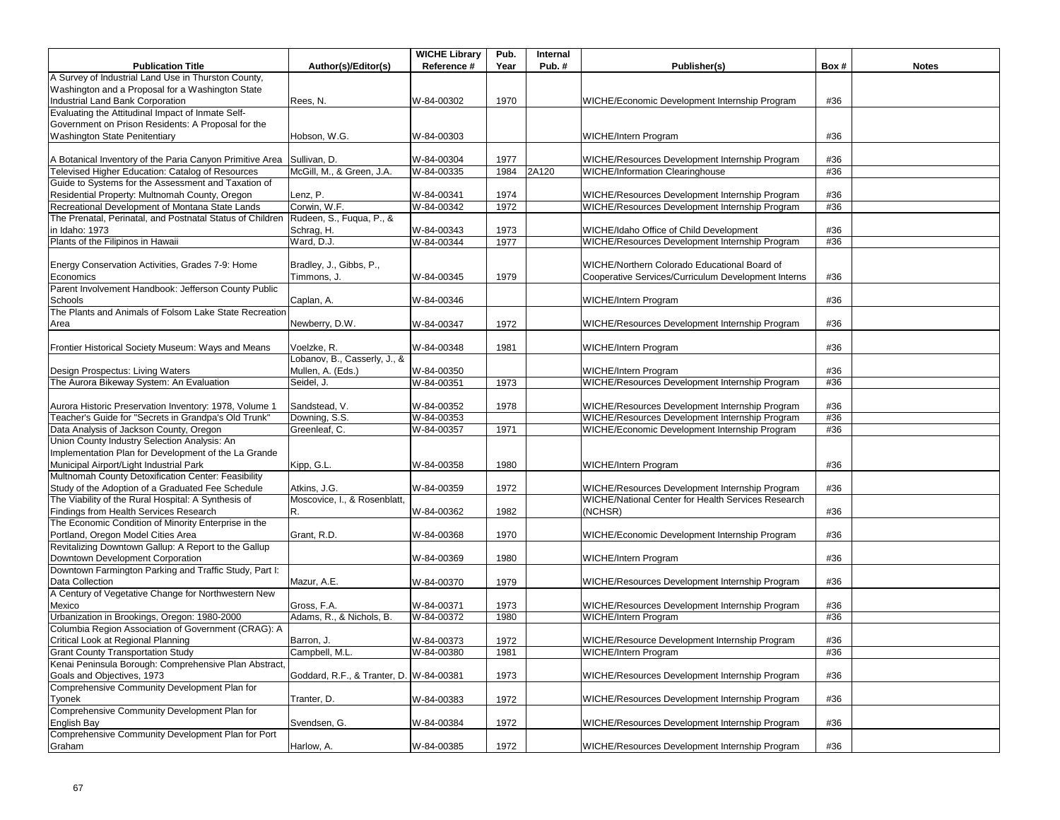|                                                                                                   |                              | <b>WICHE Library</b> | Pub. | Internal |                                                     |      |              |
|---------------------------------------------------------------------------------------------------|------------------------------|----------------------|------|----------|-----------------------------------------------------|------|--------------|
| <b>Publication Title</b>                                                                          | Author(s)/Editor(s)          | Reference #          | Year | Pub.#    | Publisher(s)                                        | Box# | <b>Notes</b> |
| A Survey of Industrial Land Use in Thurston County,                                               |                              |                      |      |          |                                                     |      |              |
| Washington and a Proposal for a Washington State                                                  |                              |                      |      |          |                                                     |      |              |
| Industrial Land Bank Corporation                                                                  | Rees, N.                     | W-84-00302           | 1970 |          | WICHE/Economic Development Internship Program       | #36  |              |
| Evaluating the Attitudinal Impact of Inmate Self-                                                 |                              |                      |      |          |                                                     |      |              |
| Government on Prison Residents: A Proposal for the                                                |                              |                      |      |          |                                                     |      |              |
| Washington State Penitentiary                                                                     | Hobson, W.G.                 | W-84-00303           |      |          | WICHE/Intern Program                                | #36  |              |
|                                                                                                   |                              |                      |      |          |                                                     |      |              |
| A Botanical Inventory of the Paria Canyon Primitive Area Sullivan, D.                             |                              | W-84-00304           | 1977 |          | WICHE/Resources Development Internship Program      | #36  |              |
| Televised Higher Education: Catalog of Resources                                                  | McGill, M., & Green, J.A.    | W-84-00335           | 1984 | 2A120    | <b>WICHE/Information Clearinghouse</b>              | #36  |              |
| Guide to Systems for the Assessment and Taxation of                                               |                              |                      |      |          |                                                     |      |              |
| Residential Property: Multnomah County, Oregon                                                    | Lenz, P.                     | W-84-00341           | 1974 |          | WICHE/Resources Development Internship Program      | #36  |              |
| Recreational Development of Montana State Lands                                                   | Corwin, W.F.                 | W-84-00342           | 1972 |          | WICHE/Resources Development Internship Program      | #36  |              |
| The Prenatal, Perinatal, and Postnatal Status of Children                                         | Rudeen, S., Fuqua, P., &     |                      |      |          |                                                     |      |              |
| in Idaho: 1973                                                                                    | Schrag, H.                   | W-84-00343           | 1973 |          | WICHE/Idaho Office of Child Development             | #36  |              |
| Plants of the Filipinos in Hawaii                                                                 | Ward, D.J.                   | W-84-00344           | 1977 |          | WICHE/Resources Development Internship Program      | #36  |              |
|                                                                                                   |                              |                      |      |          |                                                     |      |              |
| Energy Conservation Activities, Grades 7-9: Home                                                  | Bradley, J., Gibbs, P.,      |                      |      |          | WICHE/Northern Colorado Educational Board of        |      |              |
| Economics                                                                                         | Timmons, J.                  | W-84-00345           | 1979 |          | Cooperative Services/Curriculum Development Interns | #36  |              |
| Parent Involvement Handbook: Jefferson County Public                                              |                              |                      |      |          |                                                     |      |              |
| Schools                                                                                           | Caplan, A.                   | W-84-00346           |      |          | WICHE/Intern Program                                | #36  |              |
| The Plants and Animals of Folsom Lake State Recreation                                            |                              |                      |      |          |                                                     |      |              |
| Area                                                                                              | Newberry, D.W.               | W-84-00347           | 1972 |          | WICHE/Resources Development Internship Program      | #36  |              |
|                                                                                                   |                              |                      |      |          |                                                     |      |              |
| Frontier Historical Society Museum: Ways and Means                                                | Voelzke, R.                  | W-84-00348           | 1981 |          | WICHE/Intern Program                                | #36  |              |
|                                                                                                   | Lobanov, B., Casserly, J., & |                      |      |          |                                                     |      |              |
| Design Prospectus: Living Waters                                                                  | Mullen, A. (Eds.)            | W-84-00350           |      |          | WICHE/Intern Program                                | #36  |              |
| The Aurora Bikeway System: An Evaluation                                                          | Seidel, J.                   | W-84-00351           | 1973 |          | WICHE/Resources Development Internship Program      | #36  |              |
|                                                                                                   |                              |                      |      |          |                                                     |      |              |
| Aurora Historic Preservation Inventory: 1978, Volume 1                                            | Sandstead, V.                | W-84-00352           | 1978 |          | WICHE/Resources Development Internship Program      | #36  |              |
| Teacher's Guide for "Secrets in Grandpa's Old Trunk"                                              | Downing, S.S.                | W-84-00353           |      |          | WICHE/Resources Development Internship Program      | #36  |              |
| Data Analysis of Jackson County, Oregon                                                           | Greenleaf, C.                | W-84-00357           | 1971 |          | WICHE/Economic Development Internship Program       | #36  |              |
| Union County Industry Selection Analysis: An                                                      |                              |                      |      |          |                                                     |      |              |
| Implementation Plan for Development of the La Grande                                              |                              |                      |      |          |                                                     |      |              |
| Municipal Airport/Light Industrial Park                                                           | Kipp, G.L.                   | W-84-00358           | 1980 |          | <b>WICHE/Intern Program</b>                         | #36  |              |
| Multnomah County Detoxification Center: Feasibility                                               |                              |                      |      |          |                                                     |      |              |
| Study of the Adoption of a Graduated Fee Schedule                                                 | Atkins, J.G.                 | W-84-00359           | 1972 |          | WICHE/Resources Development Internship Program      | #36  |              |
| The Viability of the Rural Hospital: A Synthesis of                                               | Moscovice, I., & Rosenblatt, |                      |      |          | WICHE/National Center for Health Services Research  |      |              |
| Findings from Health Services Research                                                            | R.                           | W-84-00362           | 1982 |          | (NCHSR)                                             | #36  |              |
| The Economic Condition of Minority Enterprise in the                                              |                              |                      |      |          |                                                     |      |              |
| Portland, Oregon Model Cities Area                                                                | Grant, R.D.                  | W-84-00368           | 1970 |          | WICHE/Economic Development Internship Program       | #36  |              |
| Revitalizing Downtown Gallup: A Report to the Gallup                                              |                              |                      |      |          |                                                     |      |              |
| Downtown Development Corporation                                                                  |                              | W-84-00369           | 1980 |          | <b>WICHE/Intern Program</b>                         | #36  |              |
| Downtown Farmington Parking and Traffic Study, Part I:                                            |                              |                      |      |          |                                                     |      |              |
| Data Collection                                                                                   | Mazur, A.E.                  | W-84-00370           | 1979 |          | WICHE/Resources Development Internship Program      | #36  |              |
| A Century of Vegetative Change for Northwestern New                                               |                              |                      |      |          |                                                     |      |              |
| Mexico                                                                                            | Gross, F.A.                  | W-84-00371           | 1973 |          | WICHE/Resources Development Internship Program      | #36  |              |
| Urbanization in Brookings, Oregon: 1980-2000                                                      | Adams, R., & Nichols, B.     | W-84-00372           | 1980 |          | WICHE/Intern Program                                | #36  |              |
| Columbia Region Association of Government (CRAG): A                                               |                              |                      |      |          |                                                     |      |              |
| Critical Look at Regional Planning                                                                | Barron, J.                   | W-84-00373           | 1972 |          | WICHE/Resource Development Internship Program       | #36  |              |
|                                                                                                   |                              |                      |      |          | <b>WICHE/Intern Program</b>                         |      |              |
| <b>Grant County Transportation Study</b><br>Kenai Peninsula Borough: Comprehensive Plan Abstract, | Campbell, M.L.               | W-84-00380           | 1981 |          |                                                     | #36  |              |
|                                                                                                   |                              |                      |      |          |                                                     |      |              |
| Goals and Objectives, 1973<br>Comprehensive Community Development Plan for                        | Goddard, R.F., & Tranter, D. | W-84-00381           | 1973 |          | WICHE/Resources Development Internship Program      | #36  |              |
|                                                                                                   |                              |                      |      |          |                                                     | #36  |              |
| Tyonek<br>Comprehensive Community Development Plan for                                            | Tranter, D.                  | W-84-00383           | 1972 |          | WICHE/Resources Development Internship Program      |      |              |
|                                                                                                   |                              |                      |      |          |                                                     |      |              |
| English Bay<br>Comprehensive Community Development Plan for Port                                  | Svendsen, G.                 | W-84-00384           | 1972 |          | WICHE/Resources Development Internship Program      | #36  |              |
|                                                                                                   |                              |                      |      |          |                                                     |      |              |
| Graham                                                                                            | Harlow, A.                   | W-84-00385           | 1972 |          | WICHE/Resources Development Internship Program      | #36  |              |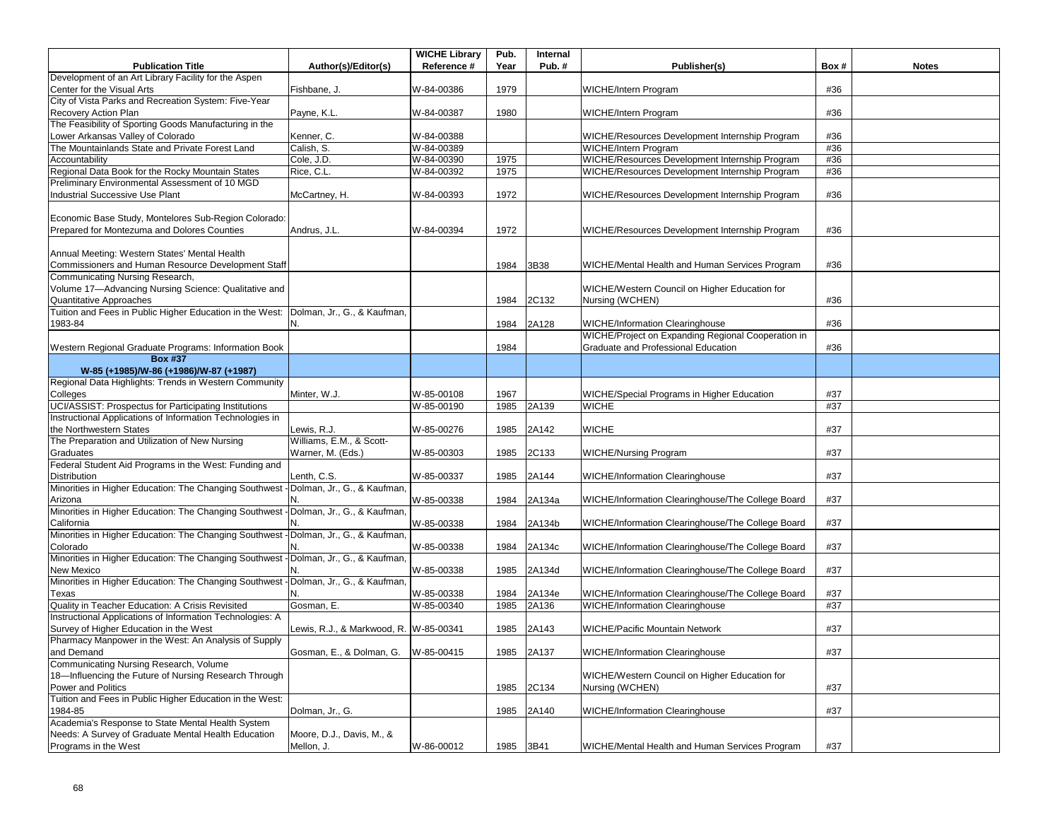|                                                                                      |                                        | <b>WICHE Library</b> | Pub. | Internal |                                                    |      |              |
|--------------------------------------------------------------------------------------|----------------------------------------|----------------------|------|----------|----------------------------------------------------|------|--------------|
| <b>Publication Title</b>                                                             | Author(s)/Editor(s)                    | Reference #          | Year | Pub.#    | Publisher(s)                                       | Box# | <b>Notes</b> |
| Development of an Art Library Facility for the Aspen                                 |                                        |                      |      |          |                                                    |      |              |
| Center for the Visual Arts                                                           | Fishbane, J.                           | W-84-00386           | 1979 |          | <b>WICHE/Intern Program</b>                        | #36  |              |
| City of Vista Parks and Recreation System: Five-Year                                 |                                        |                      |      |          |                                                    |      |              |
| Recovery Action Plan                                                                 | Payne, K.L.                            | W-84-00387           | 1980 |          | WICHE/Intern Program                               | #36  |              |
| The Feasibility of Sporting Goods Manufacturing in the                               |                                        |                      |      |          |                                                    |      |              |
| Lower Arkansas Valley of Colorado                                                    | Kenner, C.                             | W-84-00388           |      |          | WICHE/Resources Development Internship Program     | #36  |              |
| The Mountainlands State and Private Forest Land                                      | Calish, S.                             | W-84-00389           |      |          | <b>WICHE/Intern Program</b>                        | #36  |              |
| Accountability                                                                       | Cole, J.D.                             | W-84-00390           | 1975 |          | WICHE/Resources Development Internship Program     | #36  |              |
| Regional Data Book for the Rocky Mountain States                                     | Rice, C.L.                             | W-84-00392           | 1975 |          | WICHE/Resources Development Internship Program     | #36  |              |
| Preliminary Environmental Assessment of 10 MGD                                       |                                        |                      |      |          |                                                    |      |              |
| Industrial Successive Use Plant                                                      | McCartney, H.                          | W-84-00393           | 1972 |          | WICHE/Resources Development Internship Program     | #36  |              |
|                                                                                      |                                        |                      |      |          |                                                    |      |              |
| Economic Base Study, Montelores Sub-Region Colorado:                                 |                                        |                      |      |          |                                                    |      |              |
| Prepared for Montezuma and Dolores Counties                                          | Andrus, J.L.                           | W-84-00394           | 1972 |          | WICHE/Resources Development Internship Program     | #36  |              |
| Annual Meeting: Western States' Mental Health                                        |                                        |                      |      |          |                                                    |      |              |
| Commissioners and Human Resource Development Staff                                   |                                        |                      | 1984 | 3B38     |                                                    | #36  |              |
| Communicating Nursing Research,                                                      |                                        |                      |      |          | WICHE/Mental Health and Human Services Program     |      |              |
| Volume 17-Advancing Nursing Science: Qualitative and                                 |                                        |                      |      |          | WICHE/Western Council on Higher Education for      |      |              |
| Quantitative Approaches                                                              |                                        |                      | 1984 | 2C132    | Nursing (WCHEN)                                    | #36  |              |
| Tuition and Fees in Public Higher Education in the West:                             | Dolman, Jr., G., & Kaufman,            |                      |      |          |                                                    |      |              |
| 1983-84                                                                              | N.                                     |                      | 1984 | 2A128    | <b>WICHE/Information Clearinghouse</b>             | #36  |              |
|                                                                                      |                                        |                      |      |          | WICHE/Project on Expanding Regional Cooperation in |      |              |
| Western Regional Graduate Programs: Information Book                                 |                                        |                      | 1984 |          | Graduate and Professional Education                | #36  |              |
| <b>Box #37</b>                                                                       |                                        |                      |      |          |                                                    |      |              |
| W-85 (+1985)/W-86 (+1986)/W-87 (+1987)                                               |                                        |                      |      |          |                                                    |      |              |
| Regional Data Highlights: Trends in Western Community                                |                                        |                      |      |          |                                                    |      |              |
| Colleges                                                                             | Minter, W.J.                           | W-85-00108           | 1967 |          | WICHE/Special Programs in Higher Education         | #37  |              |
| UCI/ASSIST: Prospectus for Participating Institutions                                |                                        | W-85-00190           | 1985 | 2A139    | <b>WICHE</b>                                       | #37  |              |
| Instructional Applications of Information Technologies in                            |                                        |                      |      |          |                                                    |      |              |
| the Northwestern States                                                              | Lewis, R.J.                            | W-85-00276           | 1985 | 2A142    | <b>WICHE</b>                                       | #37  |              |
| The Preparation and Utilization of New Nursing                                       | Williams, E.M., & Scott-               |                      |      |          |                                                    |      |              |
| Graduates                                                                            | Warner, M. (Eds.)                      | W-85-00303           | 1985 | 2C133    | <b>WICHE/Nursing Program</b>                       | #37  |              |
| Federal Student Aid Programs in the West: Funding and                                |                                        |                      |      |          |                                                    |      |              |
| Distribution                                                                         | Lenth, C.S.                            | W-85-00337           | 1985 | 2A144    | <b>WICHE/Information Clearinghouse</b>             | #37  |              |
| Minorities in Higher Education: The Changing Southwest                               | -Dolman, Jr., G., & Kaufman,           |                      |      |          |                                                    |      |              |
| Arizona                                                                              |                                        | W-85-00338           | 1984 | 2A134a   | WICHE/Information Clearinghouse/The College Board  | #37  |              |
| Minorities in Higher Education: The Changing Southwest - Dolman, Jr., G., & Kaufman, |                                        |                      |      |          |                                                    |      |              |
| California                                                                           |                                        | W-85-00338           | 1984 | 2A134b   | WICHE/Information Clearinghouse/The College Board  | #37  |              |
| Minorities in Higher Education: The Changing Southwest                               | -Dolman, Jr., G., & Kaufman            |                      |      |          |                                                    |      |              |
| Colorado                                                                             |                                        | W-85-00338           | 1984 | 2A134c   | WICHE/Information Clearinghouse/The College Board  | #37  |              |
| Minorities in Higher Education: The Changing Southwest                               | -Dolman, Jr., G., & Kaufman.           |                      |      |          |                                                    |      |              |
| New Mexico                                                                           |                                        | W-85-00338           | 1985 | 2A134d   | WICHE/Information Clearinghouse/The College Board  | #37  |              |
| Minorities in Higher Education: The Changing Southwest                               | - Dolman, Jr., G., & Kaufman,          |                      |      |          |                                                    |      |              |
| Texas                                                                                | N.                                     | W-85-00338           | 1984 | 2A134e   | WICHE/Information Clearinghouse/The College Board  | #37  |              |
| Quality in Teacher Education: A Crisis Revisited                                     | Gosman, E.                             | W-85-00340           | 1985 | 2A136    | <b>WICHE/Information Clearinghouse</b>             | #37  |              |
| Instructional Applications of Information Technologies: A                            |                                        |                      |      |          |                                                    |      |              |
| Survey of Higher Education in the West                                               | Lewis, R.J., & Markwood, R. W-85-00341 |                      | 1985 | 2A143    | WICHE/Pacific Mountain Network                     | #37  |              |
| Pharmacy Manpower in the West: An Analysis of Supply                                 |                                        |                      |      |          |                                                    |      |              |
| and Demand                                                                           | Gosman, E., & Dolman, G.               | W-85-00415           | 1985 | 2A137    | <b>WICHE/Information Clearinghouse</b>             | #37  |              |
| Communicating Nursing Research, Volume                                               |                                        |                      |      |          |                                                    |      |              |
| 18-Influencing the Future of Nursing Research Through                                |                                        |                      |      |          | WICHE/Western Council on Higher Education for      |      |              |
| Power and Politics                                                                   |                                        |                      | 1985 | 2C134    | Nursing (WCHEN)                                    | #37  |              |
| Tuition and Fees in Public Higher Education in the West:                             |                                        |                      |      |          |                                                    |      |              |
| 1984-85                                                                              | Dolman, Jr., G.                        |                      | 1985 | 2A140    | <b>WICHE/Information Clearinghouse</b>             | #37  |              |
| Academia's Response to State Mental Health System                                    |                                        |                      |      |          |                                                    |      |              |
| Needs: A Survey of Graduate Mental Health Education                                  | Moore, D.J., Davis, M., &              |                      |      |          |                                                    |      |              |
| Programs in the West                                                                 | Mellon, J.                             | W-86-00012           | 1985 | 3B41     | WICHE/Mental Health and Human Services Program     | #37  |              |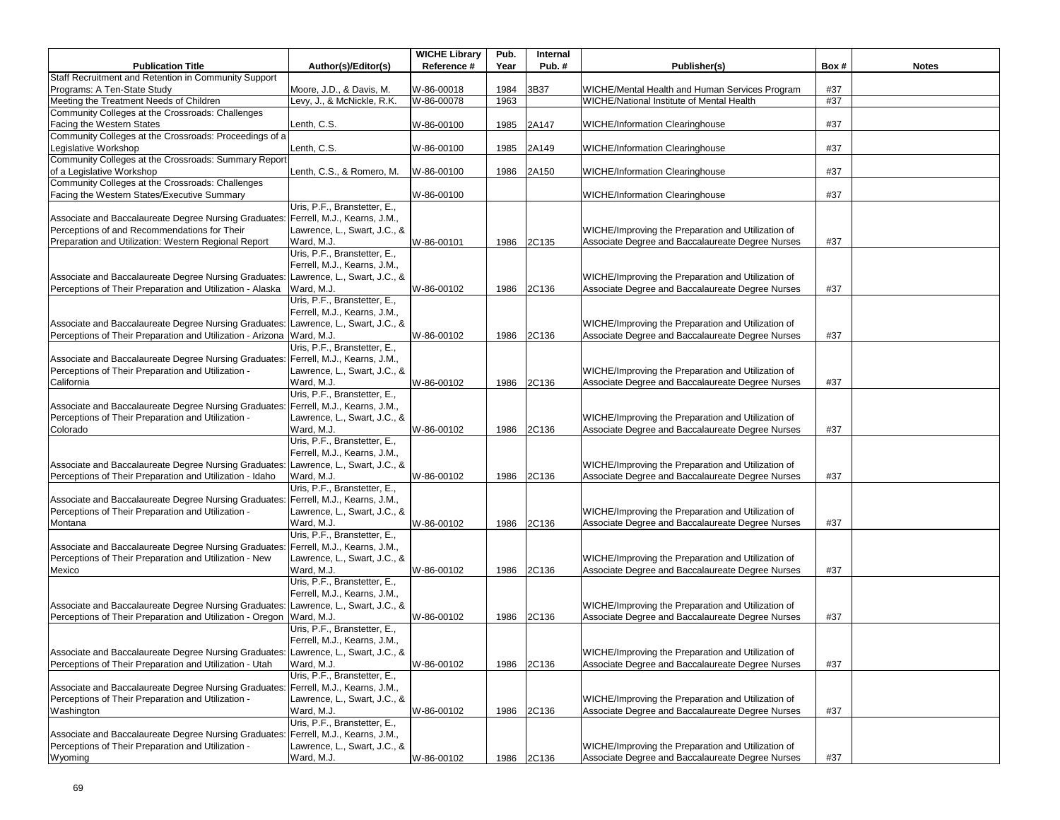|                                                                                    |                              | <b>WICHE Library</b> | Pub. | Internal |                                                    |      |              |
|------------------------------------------------------------------------------------|------------------------------|----------------------|------|----------|----------------------------------------------------|------|--------------|
| <b>Publication Title</b>                                                           | Author(s)/Editor(s)          | Reference #          | Year | Pub.#    | Publisher(s)                                       | Box# | <b>Notes</b> |
| Staff Recruitment and Retention in Community Support                               |                              |                      |      |          |                                                    |      |              |
| Programs: A Ten-State Study                                                        | Moore, J.D., & Davis, M.     | W-86-00018           | 1984 | 3B37     | WICHE/Mental Health and Human Services Program     | #37  |              |
| Meeting the Treatment Needs of Children                                            | Levy, J., & McNickle, R.K.   | W-86-00078           | 1963 |          | WICHE/National Institute of Mental Health          | #37  |              |
| Community Colleges at the Crossroads: Challenges<br>Facing the Western States      |                              |                      |      |          |                                                    |      |              |
| Community Colleges at the Crossroads: Proceedings of a                             | enth, C.S.                   | W-86-00100           | 1985 | 2A147    | <b>WICHE/Information Clearinghouse</b>             | #37  |              |
| Legislative Workshop                                                               | Lenth, C.S.                  | W-86-00100           | 1985 | 2A149    | <b>WICHE/Information Clearinghouse</b>             | #37  |              |
| Community Colleges at the Crossroads: Summary Report                               |                              |                      |      |          |                                                    |      |              |
| of a Legislative Workshop                                                          | Lenth, C.S., & Romero, M.    | W-86-00100           | 1986 | 2A150    | <b>WICHE/Information Clearinghouse</b>             | #37  |              |
| Community Colleges at the Crossroads: Challenges                                   |                              |                      |      |          |                                                    |      |              |
| Facing the Western States/Executive Summary                                        |                              | W-86-00100           |      |          | WICHE/Information Clearinghouse                    | #37  |              |
|                                                                                    | Uris, P.F., Branstetter, E., |                      |      |          |                                                    |      |              |
| Associate and Baccalaureate Degree Nursing Graduates:                              | Ferrell, M.J., Kearns, J.M., |                      |      |          |                                                    |      |              |
| Perceptions of and Recommendations for Their                                       | Lawrence, L., Swart, J.C., & |                      |      |          | WICHE/Improving the Preparation and Utilization of |      |              |
| Preparation and Utilization: Western Regional Report                               | Ward, M.J.                   | W-86-00101           | 1986 | 2C135    | Associate Degree and Baccalaureate Degree Nurses   | #37  |              |
|                                                                                    | Uris, P.F., Branstetter, E., |                      |      |          |                                                    |      |              |
|                                                                                    | Ferrell, M.J., Kearns, J.M., |                      |      |          |                                                    |      |              |
| Associate and Baccalaureate Degree Nursing Graduates: Lawrence, L., Swart, J.C., & |                              |                      |      |          | WICHE/Improving the Preparation and Utilization of |      |              |
| Perceptions of Their Preparation and Utilization - Alaska                          | Ward, M.J.                   | W-86-00102           | 1986 | 2C136    | Associate Degree and Baccalaureate Degree Nurses   | #37  |              |
|                                                                                    | Uris, P.F., Branstetter, E., |                      |      |          |                                                    |      |              |
|                                                                                    |                              |                      |      |          |                                                    |      |              |
|                                                                                    | Ferrell, M.J., Kearns, J.M., |                      |      |          |                                                    |      |              |
| Associate and Baccalaureate Degree Nursing Graduates:                              | Lawrence, L., Swart, J.C., & |                      |      |          | WICHE/Improving the Preparation and Utilization of |      |              |
| Perceptions of Their Preparation and Utilization - Arizona Ward, M.J.              |                              | W-86-00102           | 1986 | 2C136    | Associate Degree and Baccalaureate Degree Nurses   | #37  |              |
|                                                                                    | Uris, P.F., Branstetter, E., |                      |      |          |                                                    |      |              |
| Associate and Baccalaureate Degree Nursing Graduates: Ferrell, M.J., Kearns, J.M., |                              |                      |      |          |                                                    |      |              |
| Perceptions of Their Preparation and Utilization -                                 | Lawrence, L., Swart, J.C., & |                      |      |          | WICHE/Improving the Preparation and Utilization of |      |              |
| California                                                                         | Ward, M.J.                   | W-86-00102           | 1986 | 2C136    | Associate Degree and Baccalaureate Degree Nurses   | #37  |              |
|                                                                                    | Uris, P.F., Branstetter, E., |                      |      |          |                                                    |      |              |
| Associate and Baccalaureate Degree Nursing Graduates:                              | Ferrell, M.J., Kearns, J.M., |                      |      |          |                                                    |      |              |
| Perceptions of Their Preparation and Utilization -                                 | Lawrence, L., Swart, J.C., & |                      |      |          | WICHE/Improving the Preparation and Utilization of |      |              |
| Colorado                                                                           | Ward, M.J.                   | W-86-00102           | 1986 | 2C136    | Associate Degree and Baccalaureate Degree Nurses   | #37  |              |
|                                                                                    | Uris, P.F., Branstetter, E., |                      |      |          |                                                    |      |              |
|                                                                                    | Ferrell, M.J., Kearns, J.M., |                      |      |          |                                                    |      |              |
| Associate and Baccalaureate Degree Nursing Graduates:                              | Lawrence, L., Swart, J.C., & |                      |      |          | WICHE/Improving the Preparation and Utilization of |      |              |
| Perceptions of Their Preparation and Utilization - Idaho                           | Ward, M.J.                   | W-86-00102           | 1986 | 2C136    | Associate Degree and Baccalaureate Degree Nurses   | #37  |              |
|                                                                                    | Uris, P.F., Branstetter, E., |                      |      |          |                                                    |      |              |
| Associate and Baccalaureate Degree Nursing Graduates:                              | Ferrell, M.J., Kearns, J.M., |                      |      |          |                                                    |      |              |
| Perceptions of Their Preparation and Utilization -                                 | Lawrence, L., Swart, J.C., & |                      |      |          | WICHE/Improving the Preparation and Utilization of |      |              |
| Montana                                                                            | Ward, M.J.                   | W-86-00102           | 1986 | 2C136    | Associate Degree and Baccalaureate Degree Nurses   | #37  |              |
|                                                                                    | Uris, P.F., Branstetter, E., |                      |      |          |                                                    |      |              |
| Associate and Baccalaureate Degree Nursing Graduates:                              | Ferrell, M.J., Kearns, J.M., |                      |      |          |                                                    |      |              |
| Perceptions of Their Preparation and Utilization - New                             | Lawrence, L., Swart, J.C., & |                      |      |          | WICHE/Improving the Preparation and Utilization of |      |              |
| Mexico                                                                             | Ward, M.J.                   | W-86-00102           | 1986 | 2C136    | Associate Degree and Baccalaureate Degree Nurses   | #37  |              |
|                                                                                    | Uris, P.F., Branstetter, E., |                      |      |          |                                                    |      |              |
|                                                                                    | Ferrell, M.J., Kearns, J.M., |                      |      |          |                                                    |      |              |
| Associate and Baccalaureate Degree Nursing Graduates:                              | Lawrence, L., Swart, J.C., & |                      |      |          | WICHE/Improving the Preparation and Utilization of |      |              |
| Perceptions of Their Preparation and Utilization - Oregon                          | Ward, M.J.                   | W-86-00102           | 1986 | 2C136    | Associate Degree and Baccalaureate Degree Nurses   | #37  |              |
|                                                                                    | Uris, P.F., Branstetter, E., |                      |      |          |                                                    |      |              |
|                                                                                    | Ferrell, M.J., Kearns, J.M., |                      |      |          |                                                    |      |              |
| Associate and Baccalaureate Degree Nursing Graduates: Lawrence, L., Swart, J.C., & |                              |                      |      |          | WICHE/Improving the Preparation and Utilization of |      |              |
| Perceptions of Their Preparation and Utilization - Utah                            | Ward, M.J.                   | W-86-00102           | 1986 | 2C136    | Associate Degree and Baccalaureate Degree Nurses   | #37  |              |
|                                                                                    | Uris, P.F., Branstetter, E., |                      |      |          |                                                    |      |              |
| Associate and Baccalaureate Degree Nursing Graduates:                              | Ferrell, M.J., Kearns, J.M., |                      |      |          |                                                    |      |              |
| Perceptions of Their Preparation and Utilization -                                 | Lawrence, L., Swart, J.C., & |                      |      |          | WICHE/Improving the Preparation and Utilization of |      |              |
| Washington                                                                         | Ward, M.J.                   | W-86-00102           | 1986 | 2C136    | Associate Degree and Baccalaureate Degree Nurses   | #37  |              |
|                                                                                    | Uris, P.F., Branstetter, E., |                      |      |          |                                                    |      |              |
| Associate and Baccalaureate Degree Nursing Graduates:                              | Ferrell, M.J., Kearns, J.M., |                      |      |          |                                                    |      |              |
| Perceptions of Their Preparation and Utilization -                                 | Lawrence, L., Swart, J.C., & |                      |      |          | WICHE/Improving the Preparation and Utilization of |      |              |
| Wyoming                                                                            | Ward, M.J.                   | W-86-00102           | 1986 | 2C136    | Associate Degree and Baccalaureate Degree Nurses   | #37  |              |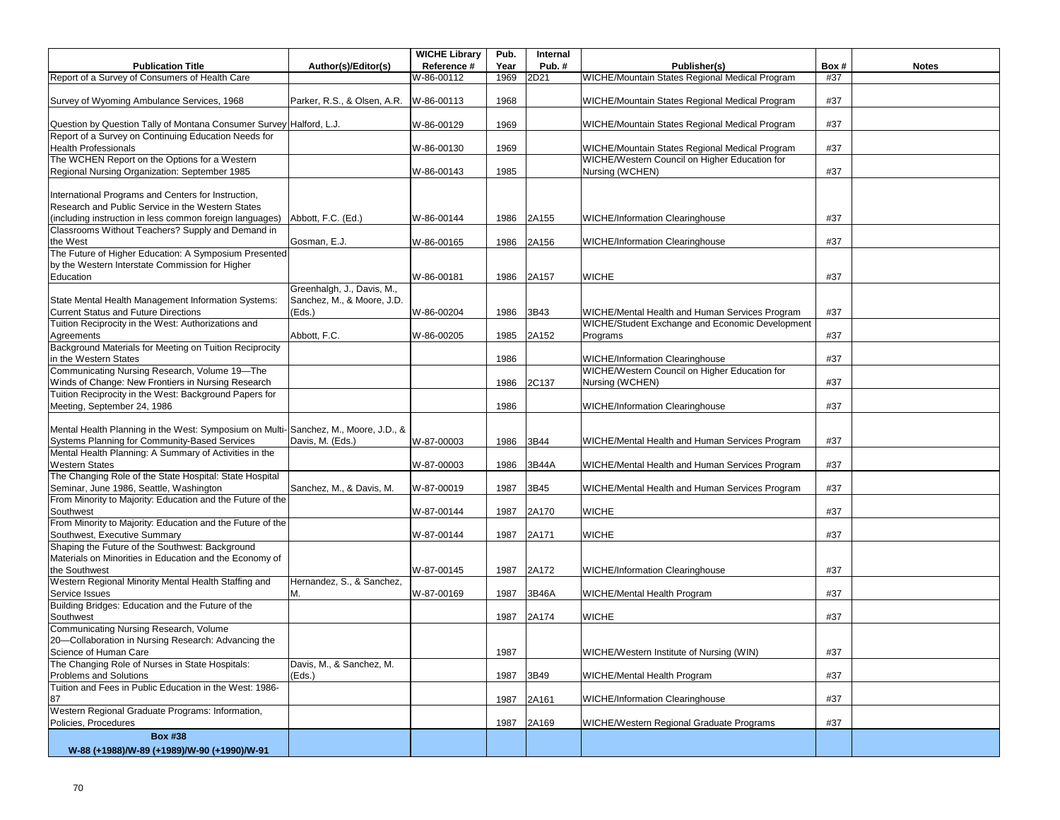|                                                                                                               |                             | <b>WICHE Library</b> | Pub. | Internal |                                                 |      |              |
|---------------------------------------------------------------------------------------------------------------|-----------------------------|----------------------|------|----------|-------------------------------------------------|------|--------------|
| <b>Publication Title</b>                                                                                      | Author(s)/Editor(s)         | Reference #          | Year | Pub.#    | Publisher(s)                                    | Box# | <b>Notes</b> |
| Report of a Survey of Consumers of Health Care                                                                |                             | W-86-00112           | 1969 | 2D21     | WICHE/Mountain States Regional Medical Program  | #37  |              |
| Survey of Wyoming Ambulance Services, 1968                                                                    | Parker, R.S., & Olsen, A.R. | W-86-00113           | 1968 |          | WICHE/Mountain States Regional Medical Program  | #37  |              |
| Question by Question Tally of Montana Consumer Survey Halford, L.J.                                           |                             | W-86-00129           | 1969 |          | WICHE/Mountain States Regional Medical Program  | #37  |              |
| Report of a Survey on Continuing Education Needs for<br><b>Health Professionals</b>                           |                             | W-86-00130           | 1969 |          | WICHE/Mountain States Regional Medical Program  | #37  |              |
| The WCHEN Report on the Options for a Western                                                                 |                             |                      |      |          | WICHE/Western Council on Higher Education for   |      |              |
| Regional Nursing Organization: September 1985                                                                 |                             | W-86-00143           | 1985 |          | Nursing (WCHEN)                                 | #37  |              |
| International Programs and Centers for Instruction,                                                           |                             |                      |      |          |                                                 |      |              |
| Research and Public Service in the Western States<br>(including instruction in less common foreign languages) | Abbott, F.C. (Ed.)          | W-86-00144           | 1986 | 2A155    | <b>WICHE/Information Clearinghouse</b>          | #37  |              |
| Classrooms Without Teachers? Supply and Demand in                                                             |                             |                      |      |          |                                                 |      |              |
| the West                                                                                                      | Gosman, E.J.                | W-86-00165           | 1986 | 2A156    | <b>WICHE/Information Clearinghouse</b>          | #37  |              |
| The Future of Higher Education: A Symposium Presented                                                         |                             |                      |      |          |                                                 |      |              |
| by the Western Interstate Commission for Higher                                                               |                             |                      |      |          |                                                 |      |              |
| Education                                                                                                     |                             | W-86-00181           | 1986 | 2A157    | <b>WICHE</b>                                    | #37  |              |
|                                                                                                               | Greenhalgh, J., Davis, M.,  |                      |      |          |                                                 |      |              |
| State Mental Health Management Information Systems:                                                           | Sanchez, M., & Moore, J.D.  |                      |      |          |                                                 |      |              |
| <b>Current Status and Future Directions</b>                                                                   | (Eds.)                      | W-86-00204           | 1986 | 3B43     | WICHE/Mental Health and Human Services Program  | #37  |              |
| Tuition Reciprocity in the West: Authorizations and                                                           |                             |                      |      |          | WICHE/Student Exchange and Economic Development |      |              |
| Agreements                                                                                                    | Abbott, F.C.                | W-86-00205           | 1985 | 2A152    | Programs                                        | #37  |              |
| Background Materials for Meeting on Tuition Reciprocity<br>in the Western States                              |                             |                      | 1986 |          | <b>WICHE/Information Clearinghouse</b>          | #37  |              |
| Communicating Nursing Research, Volume 19-The                                                                 |                             |                      |      |          | WICHE/Western Council on Higher Education for   |      |              |
| Winds of Change: New Frontiers in Nursing Research                                                            |                             |                      | 1986 | 2C137    | Nursing (WCHEN)                                 | #37  |              |
| Tuition Reciprocity in the West: Background Papers for                                                        |                             |                      |      |          |                                                 |      |              |
| Meeting, September 24, 1986                                                                                   |                             |                      | 1986 |          | <b>WICHE/Information Clearinghouse</b>          | #37  |              |
|                                                                                                               |                             |                      |      |          |                                                 |      |              |
| Mental Health Planning in the West: Symposium on Multi-                                                       | Sanchez, M., Moore, J.D., & |                      |      |          |                                                 |      |              |
| Systems Planning for Community-Based Services                                                                 | Davis, M. (Eds.)            | W-87-00003           | 1986 | 3B44     | WICHE/Mental Health and Human Services Program  | #37  |              |
| Mental Health Planning: A Summary of Activities in the                                                        |                             |                      |      |          |                                                 |      |              |
| <b>Western States</b>                                                                                         |                             | W-87-00003           | 1986 | 3B44A    | WICHE/Mental Health and Human Services Program  | #37  |              |
| The Changing Role of the State Hospital: State Hospital                                                       |                             |                      |      |          |                                                 |      |              |
| Seminar, June 1986, Seattle, Washington<br>From Minority to Majority: Education and the Future of the         | Sanchez, M., & Davis, M.    | W-87-00019           | 1987 | 3B45     | WICHE/Mental Health and Human Services Program  | #37  |              |
| Southwest                                                                                                     |                             | W-87-00144           | 1987 | 2A170    | <b>WICHE</b>                                    | #37  |              |
| From Minority to Majority: Education and the Future of the                                                    |                             |                      |      |          |                                                 |      |              |
| Southwest, Executive Summary                                                                                  |                             | W-87-00144           | 1987 | 2A171    | <b>WICHE</b>                                    | #37  |              |
| Shaping the Future of the Southwest: Background                                                               |                             |                      |      |          |                                                 |      |              |
| Materials on Minorities in Education and the Economy of                                                       |                             |                      |      |          |                                                 |      |              |
| the Southwest                                                                                                 |                             | W-87-00145           | 1987 | 2A172    | <b>WICHE/Information Clearinghouse</b>          | #37  |              |
| Western Regional Minority Mental Health Staffing and                                                          | Hernandez, S., & Sanchez,   |                      |      |          |                                                 |      |              |
| Service Issues                                                                                                | М.                          | W-87-00169           | 1987 | 3B46A    | WICHE/Mental Health Program                     | #37  |              |
| Building Bridges: Education and the Future of the                                                             |                             |                      |      |          |                                                 |      |              |
| Southwest<br>Communicating Nursing Research, Volume                                                           |                             |                      | 1987 | 2A174    | <b>WICHE</b>                                    | #37  |              |
|                                                                                                               |                             |                      |      |          |                                                 |      |              |
| 20-Collaboration in Nursing Research: Advancing the<br>Science of Human Care                                  |                             |                      | 1987 |          | WICHE/Western Institute of Nursing (WIN)        | #37  |              |
| The Changing Role of Nurses in State Hospitals:                                                               | Davis, M., & Sanchez, M.    |                      |      |          |                                                 |      |              |
| Problems and Solutions                                                                                        | (Eds.)                      |                      | 1987 | 3B49     | WICHE/Mental Health Program                     | #37  |              |
| Tuition and Fees in Public Education in the West: 1986-                                                       |                             |                      |      |          |                                                 |      |              |
| 87                                                                                                            |                             |                      | 1987 | 2A161    | <b>WICHE/Information Clearinghouse</b>          | #37  |              |
| Western Regional Graduate Programs: Information,                                                              |                             |                      |      |          |                                                 |      |              |
| Policies, Procedures                                                                                          |                             |                      | 1987 | 2A169    | WICHE/Western Regional Graduate Programs        | #37  |              |
| <b>Box #38</b>                                                                                                |                             |                      |      |          |                                                 |      |              |
| W-88 (+1988)/W-89 (+1989)/W-90 (+1990)/W-91                                                                   |                             |                      |      |          |                                                 |      |              |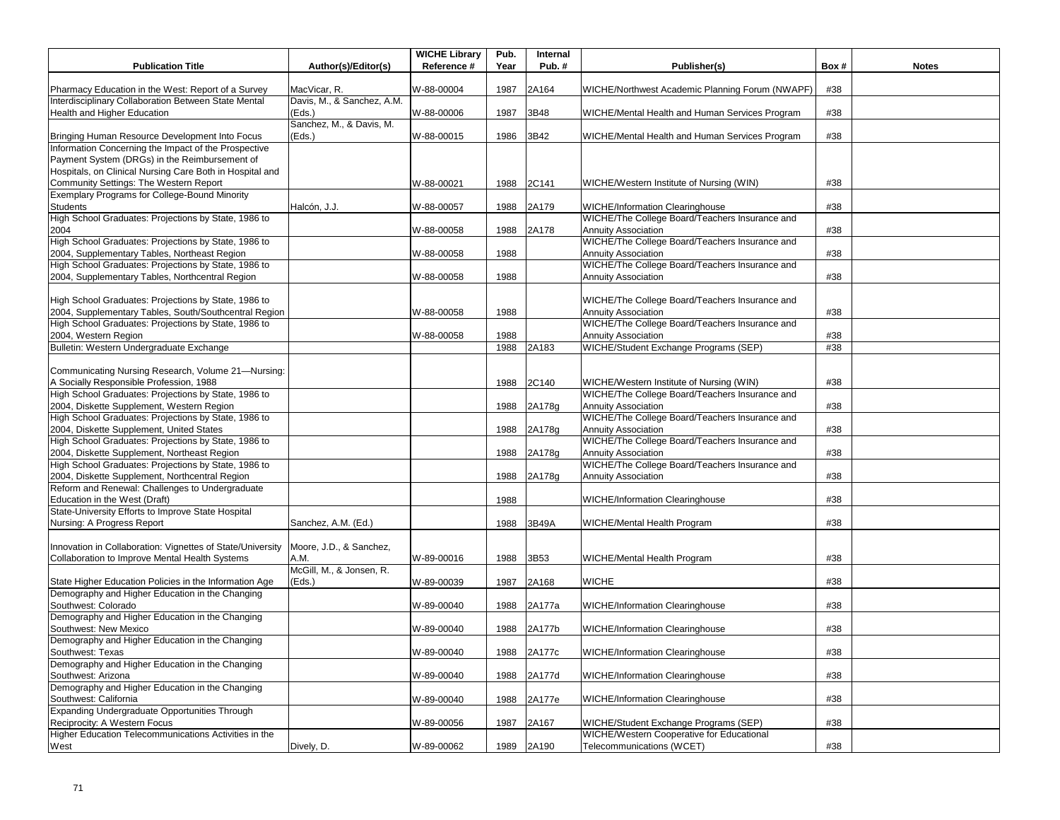| <b>Publication Title</b>                                                                                     | Author(s)/Editor(s)             | <b>WICHE Library</b><br>Reference # | Pub.<br>Year | Internal<br>Pub.# | Publisher(s)                                                                              | Box# | <b>Notes</b> |
|--------------------------------------------------------------------------------------------------------------|---------------------------------|-------------------------------------|--------------|-------------------|-------------------------------------------------------------------------------------------|------|--------------|
|                                                                                                              |                                 |                                     |              |                   |                                                                                           |      |              |
| Pharmacy Education in the West: Report of a Survey                                                           | MacVicar, R.                    | W-88-00004                          | 1987         | 2A164             | WICHE/Northwest Academic Planning Forum (NWAPF)                                           | #38  |              |
| Interdisciplinary Collaboration Between State Mental                                                         | Davis, M., & Sanchez, A.M.      |                                     |              |                   |                                                                                           |      |              |
| Health and Higher Education                                                                                  | (Eds.)                          | W-88-00006                          | 1987         | 3B48              | WICHE/Mental Health and Human Services Program                                            | #38  |              |
|                                                                                                              | Sanchez, M., & Davis, M.        |                                     | 1986         | 3B42              |                                                                                           | #38  |              |
| Bringing Human Resource Development Into Focus<br>Information Concerning the Impact of the Prospective       | (Eds.)                          | W-88-00015                          |              |                   | WICHE/Mental Health and Human Services Program                                            |      |              |
| Payment System (DRGs) in the Reimbursement of                                                                |                                 |                                     |              |                   |                                                                                           |      |              |
| Hospitals, on Clinical Nursing Care Both in Hospital and                                                     |                                 |                                     |              |                   |                                                                                           |      |              |
| Community Settings: The Western Report                                                                       |                                 | W-88-00021                          | 1988         | 2C141             | WICHE/Western Institute of Nursing (WIN)                                                  | #38  |              |
| Exemplary Programs for College-Bound Minority                                                                |                                 |                                     |              |                   |                                                                                           |      |              |
| <b>Students</b>                                                                                              | Halcón, J.J.                    | W-88-00057                          | 1988         | 2A179             | <b>WICHE/Information Clearinghouse</b>                                                    | #38  |              |
| High School Graduates: Projections by State, 1986 to                                                         |                                 |                                     |              |                   | WICHE/The College Board/Teachers Insurance and                                            |      |              |
| 2004                                                                                                         |                                 | W-88-00058                          | 1988         | 2A178             | <b>Annuity Association</b>                                                                | #38  |              |
| High School Graduates: Projections by State, 1986 to                                                         |                                 |                                     |              |                   | WICHE/The College Board/Teachers Insurance and                                            |      |              |
| 2004, Supplementary Tables, Northeast Region                                                                 |                                 | W-88-00058                          | 1988         |                   | <b>Annuity Association</b>                                                                | #38  |              |
| High School Graduates: Projections by State, 1986 to                                                         |                                 |                                     |              |                   | WICHE/The College Board/Teachers Insurance and                                            |      |              |
| 2004, Supplementary Tables, Northcentral Region                                                              |                                 | W-88-00058                          | 1988         |                   | <b>Annuity Association</b>                                                                | #38  |              |
|                                                                                                              |                                 |                                     |              |                   |                                                                                           |      |              |
| High School Graduates: Projections by State, 1986 to                                                         |                                 |                                     |              |                   | WICHE/The College Board/Teachers Insurance and                                            |      |              |
| 2004, Supplementary Tables, South/Southcentral Region                                                        |                                 | W-88-00058                          | 1988         |                   | <b>Annuity Association</b>                                                                | #38  |              |
| High School Graduates: Projections by State, 1986 to                                                         |                                 |                                     |              |                   | WICHE/The College Board/Teachers Insurance and                                            |      |              |
| 2004, Western Region                                                                                         |                                 | W-88-00058                          | 1988         |                   | <b>Annuity Association</b>                                                                | #38  |              |
| Bulletin: Western Undergraduate Exchange                                                                     |                                 |                                     | 1988         | 2A183             | WICHE/Student Exchange Programs (SEP)                                                     | #38  |              |
| Communicating Nursing Research, Volume 21-Nursing:                                                           |                                 |                                     |              |                   |                                                                                           |      |              |
| A Socially Responsible Profession, 1988                                                                      |                                 |                                     | 1988         | 2C140             | WICHE/Western Institute of Nursing (WIN)                                                  | #38  |              |
| High School Graduates: Projections by State, 1986 to                                                         |                                 |                                     |              |                   | WICHE/The College Board/Teachers Insurance and                                            |      |              |
| 2004, Diskette Supplement, Western Region                                                                    |                                 |                                     | 1988         | 2A178g            | <b>Annuity Association</b>                                                                | #38  |              |
| High School Graduates: Projections by State, 1986 to                                                         |                                 |                                     |              |                   | WICHE/The College Board/Teachers Insurance and                                            |      |              |
| 2004, Diskette Supplement, United States                                                                     |                                 |                                     | 1988         | 2A178g            | <b>Annuity Association</b>                                                                | #38  |              |
| High School Graduates: Projections by State, 1986 to                                                         |                                 |                                     |              |                   | WICHE/The College Board/Teachers Insurance and                                            |      |              |
| 2004, Diskette Supplement, Northeast Region                                                                  |                                 |                                     | 1988         | 2A178g            | <b>Annuity Association</b>                                                                | #38  |              |
| High School Graduates: Projections by State, 1986 to                                                         |                                 |                                     |              |                   | WICHE/The College Board/Teachers Insurance and                                            |      |              |
| 2004, Diskette Supplement, Northcentral Region                                                               |                                 |                                     | 1988         | 2A178g            | <b>Annuity Association</b>                                                                | #38  |              |
| Reform and Renewal: Challenges to Undergraduate                                                              |                                 |                                     |              |                   |                                                                                           |      |              |
| Education in the West (Draft)                                                                                |                                 |                                     | 1988         |                   | <b>WICHE/Information Clearinghouse</b>                                                    | #38  |              |
| State-University Efforts to Improve State Hospital                                                           |                                 |                                     |              |                   |                                                                                           |      |              |
| Nursing: A Progress Report                                                                                   | Sanchez, A.M. (Ed.)             |                                     | 1988         | 3B49A             | WICHE/Mental Health Program                                                               | #38  |              |
|                                                                                                              |                                 |                                     |              |                   |                                                                                           |      |              |
| Innovation in Collaboration: Vignettes of State/University<br>Collaboration to Improve Mental Health Systems | Moore, J.D., & Sanchez,<br>A.M. | W-89-00016                          | 1988         | 3B53              |                                                                                           | #38  |              |
|                                                                                                              | McGill, M., & Jonsen, R.        |                                     |              |                   | WICHE/Mental Health Program                                                               |      |              |
| State Higher Education Policies in the Information Age                                                       | (Eds.)                          | W-89-00039                          | 1987         | 2A168             | <b>WICHE</b>                                                                              | #38  |              |
| Demography and Higher Education in the Changing                                                              |                                 |                                     |              |                   |                                                                                           |      |              |
| Southwest: Colorado                                                                                          |                                 | W-89-00040                          | 1988         | 2A177a            | WICHE/Information Clearinghouse                                                           | #38  |              |
| Demography and Higher Education in the Changing                                                              |                                 |                                     |              |                   |                                                                                           |      |              |
| Southwest: New Mexico                                                                                        |                                 | W-89-00040                          | 1988         | 2A177b            | <b>WICHE/Information Clearinghouse</b>                                                    | #38  |              |
| Demography and Higher Education in the Changing                                                              |                                 |                                     |              |                   |                                                                                           |      |              |
| Southwest: Texas                                                                                             |                                 | W-89-00040                          | 1988         | 2A177c            | <b>WICHE/Information Clearinghouse</b>                                                    | #38  |              |
| Demography and Higher Education in the Changing                                                              |                                 |                                     |              |                   |                                                                                           |      |              |
| Southwest: Arizona                                                                                           |                                 | W-89-00040                          | 1988         | 2A177d            | <b>WICHE/Information Clearinghouse</b>                                                    | #38  |              |
| Demography and Higher Education in the Changing                                                              |                                 |                                     |              |                   |                                                                                           |      |              |
| Southwest: California                                                                                        |                                 | W-89-00040                          | 1988         | 2A177e            | <b>WICHE/Information Clearinghouse</b>                                                    | #38  |              |
| Expanding Undergraduate Opportunities Through                                                                |                                 |                                     |              |                   |                                                                                           |      |              |
| Reciprocity: A Western Focus<br>Higher Education Telecommunications Activities in the                        |                                 | W-89-00056                          | 1987         | 2A167             | WICHE/Student Exchange Programs (SEP)<br><b>WICHE/Western Cooperative for Educational</b> | #38  |              |
|                                                                                                              |                                 |                                     |              |                   |                                                                                           |      |              |
| West                                                                                                         | Dively, D.                      | W-89-00062                          |              | 1989 2A190        | Telecommunications (WCET)                                                                 | #38  |              |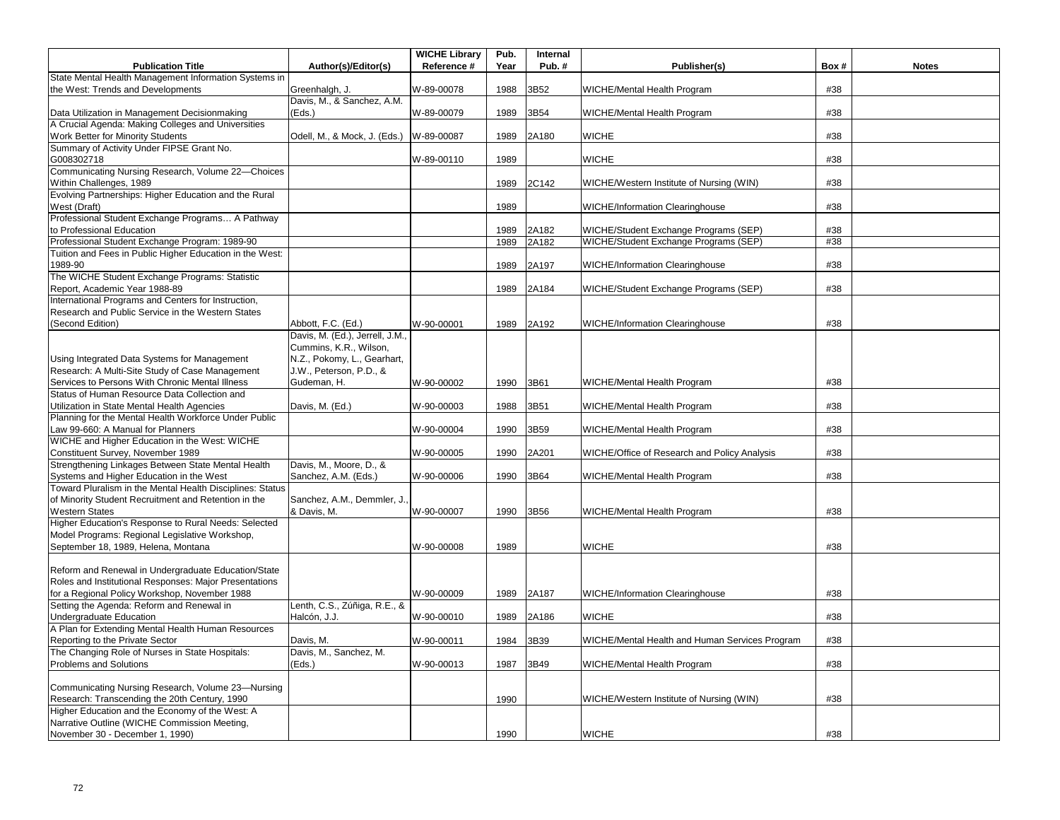|                                                                                    |                                 | <b>WICHE Library</b> | Pub. | Internal |                                                |      |              |
|------------------------------------------------------------------------------------|---------------------------------|----------------------|------|----------|------------------------------------------------|------|--------------|
| <b>Publication Title</b>                                                           | Author(s)/Editor(s)             | Reference #          | Year | Pub.#    | Publisher(s)                                   | Box# | <b>Notes</b> |
| State Mental Health Management Information Systems in                              |                                 |                      |      |          |                                                |      |              |
| the West: Trends and Developments                                                  | Greenhalgh, J.                  | W-89-00078           | 1988 | 3B52     | WICHE/Mental Health Program                    | #38  |              |
|                                                                                    | Davis, M., & Sanchez, A.M.      |                      |      |          |                                                |      |              |
| Data Utilization in Management Decisionmaking                                      | (Eds.)                          | W-89-00079           | 1989 | 3B54     | WICHE/Mental Health Program                    | #38  |              |
| A Crucial Agenda: Making Colleges and Universities                                 |                                 |                      |      |          |                                                |      |              |
| Work Better for Minority Students                                                  | Odell, M., & Mock, J. (Eds.)    | W-89-00087           | 1989 | 2A180    | <b>WICHE</b>                                   | #38  |              |
| Summary of Activity Under FIPSE Grant No.                                          |                                 |                      |      |          |                                                | #38  |              |
| G008302718<br>Communicating Nursing Research, Volume 22-Choices                    |                                 | W-89-00110           | 1989 |          | <b>WICHE</b>                                   |      |              |
| Within Challenges, 1989                                                            |                                 |                      | 1989 | 2C142    | WICHE/Western Institute of Nursing (WIN)       | #38  |              |
| Evolving Partnerships: Higher Education and the Rural                              |                                 |                      |      |          |                                                |      |              |
| West (Draft)                                                                       |                                 |                      | 1989 |          | <b>WICHE/Information Clearinghouse</b>         | #38  |              |
| Professional Student Exchange Programs A Pathway                                   |                                 |                      |      |          |                                                |      |              |
| to Professional Education                                                          |                                 |                      | 1989 | 2A182    | WICHE/Student Exchange Programs (SEP)          | #38  |              |
| Professional Student Exchange Program: 1989-90                                     |                                 |                      | 1989 | 2A182    | WICHE/Student Exchange Programs (SEP)          | #38  |              |
| Tuition and Fees in Public Higher Education in the West:                           |                                 |                      |      |          |                                                |      |              |
| 1989-90                                                                            |                                 |                      | 1989 | 2A197    | WICHE/Information Clearinghouse                | #38  |              |
| The WICHE Student Exchange Programs: Statistic                                     |                                 |                      |      |          |                                                |      |              |
| Report, Academic Year 1988-89                                                      |                                 |                      | 1989 | 2A184    | WICHE/Student Exchange Programs (SEP)          | #38  |              |
| International Programs and Centers for Instruction,                                |                                 |                      |      |          |                                                |      |              |
| Research and Public Service in the Western States                                  |                                 |                      |      |          |                                                |      |              |
| (Second Edition)                                                                   | Abbott, F.C. (Ed.)              | W-90-00001           | 1989 | 2A192    | <b>WICHE/Information Clearinghouse</b>         | #38  |              |
|                                                                                    | Davis, M. (Ed.), Jerrell, J.M., |                      |      |          |                                                |      |              |
|                                                                                    | Cummins, K.R., Wilson,          |                      |      |          |                                                |      |              |
| Using Integrated Data Systems for Management                                       | N.Z., Pokomy, L., Gearhart,     |                      |      |          |                                                |      |              |
| Research: A Multi-Site Study of Case Management                                    | J.W., Peterson, P.D., &         |                      |      |          |                                                |      |              |
| Services to Persons With Chronic Mental Illness                                    | Gudeman, H.                     | W-90-00002           | 1990 | 3B61     | WICHE/Mental Health Program                    | #38  |              |
| Status of Human Resource Data Collection and                                       |                                 |                      |      |          |                                                |      |              |
| Utilization in State Mental Health Agencies                                        | Davis, M. (Ed.)                 | W-90-00003           | 1988 | 3B51     | WICHE/Mental Health Program                    | #38  |              |
| Planning for the Mental Health Workforce Under Public                              |                                 |                      |      |          |                                                |      |              |
| Law 99-660: A Manual for Planners<br>WICHE and Higher Education in the West: WICHE |                                 | W-90-00004           | 1990 | 3B59     | WICHE/Mental Health Program                    | #38  |              |
| Constituent Survey, November 1989                                                  |                                 | W-90-00005           | 1990 | 2A201    | WICHE/Office of Research and Policy Analysis   | #38  |              |
| Strengthening Linkages Between State Mental Health                                 | Davis, M., Moore, D., &         |                      |      |          |                                                |      |              |
| Systems and Higher Education in the West                                           | Sanchez, A.M. (Eds.)            | W-90-00006           | 1990 | 3B64     | WICHE/Mental Health Program                    | #38  |              |
| Toward Pluralism in the Mental Health Disciplines: Status                          |                                 |                      |      |          |                                                |      |              |
| of Minority Student Recruitment and Retention in the                               | Sanchez, A.M., Demmler, J.      |                      |      |          |                                                |      |              |
| <b>Western States</b>                                                              | & Davis, M.                     | W-90-00007           | 1990 | 3B56     | WICHE/Mental Health Program                    | #38  |              |
| Higher Education's Response to Rural Needs: Selected                               |                                 |                      |      |          |                                                |      |              |
| Model Programs: Regional Legislative Workshop,                                     |                                 |                      |      |          |                                                |      |              |
| September 18, 1989, Helena, Montana                                                |                                 | W-90-00008           | 1989 |          | <b>WICHE</b>                                   | #38  |              |
|                                                                                    |                                 |                      |      |          |                                                |      |              |
| Reform and Renewal in Undergraduate Education/State                                |                                 |                      |      |          |                                                |      |              |
| Roles and Institutional Responses: Major Presentations                             |                                 |                      |      |          |                                                |      |              |
| for a Regional Policy Workshop, November 1988                                      |                                 | W-90-00009           | 1989 | 2A187    | <b>WICHE/Information Clearinghouse</b>         | #38  |              |
| Setting the Agenda: Reform and Renewal in                                          | Lenth, C.S., Zúñiga, R.E., &    |                      |      |          |                                                |      |              |
| <b>Undergraduate Education</b>                                                     | Halcón, J.J.                    | W-90-00010           | 1989 | 2A186    | <b>WICHE</b>                                   | #38  |              |
| A Plan for Extending Mental Health Human Resources                                 |                                 |                      |      |          |                                                |      |              |
| Reporting to the Private Sector                                                    | Davis, M.                       | W-90-00011           | 1984 | 3B39     | WICHE/Mental Health and Human Services Program | #38  |              |
| The Changing Role of Nurses in State Hospitals:                                    | Davis, M., Sanchez, M.          |                      |      |          |                                                |      |              |
| Problems and Solutions                                                             | (Eds.)                          | W-90-00013           | 1987 | 3B49     | WICHE/Mental Health Program                    | #38  |              |
| Communicating Nursing Research, Volume 23-Nursing                                  |                                 |                      |      |          |                                                |      |              |
| Research: Transcending the 20th Century, 1990                                      |                                 |                      | 1990 |          | WICHE/Western Institute of Nursing (WIN)       | #38  |              |
| Higher Education and the Economy of the West: A                                    |                                 |                      |      |          |                                                |      |              |
| Narrative Outline (WICHE Commission Meeting,                                       |                                 |                      |      |          |                                                |      |              |
| November 30 - December 1, 1990)                                                    |                                 |                      | 1990 |          | <b>WICHE</b>                                   | #38  |              |
|                                                                                    |                                 |                      |      |          |                                                |      |              |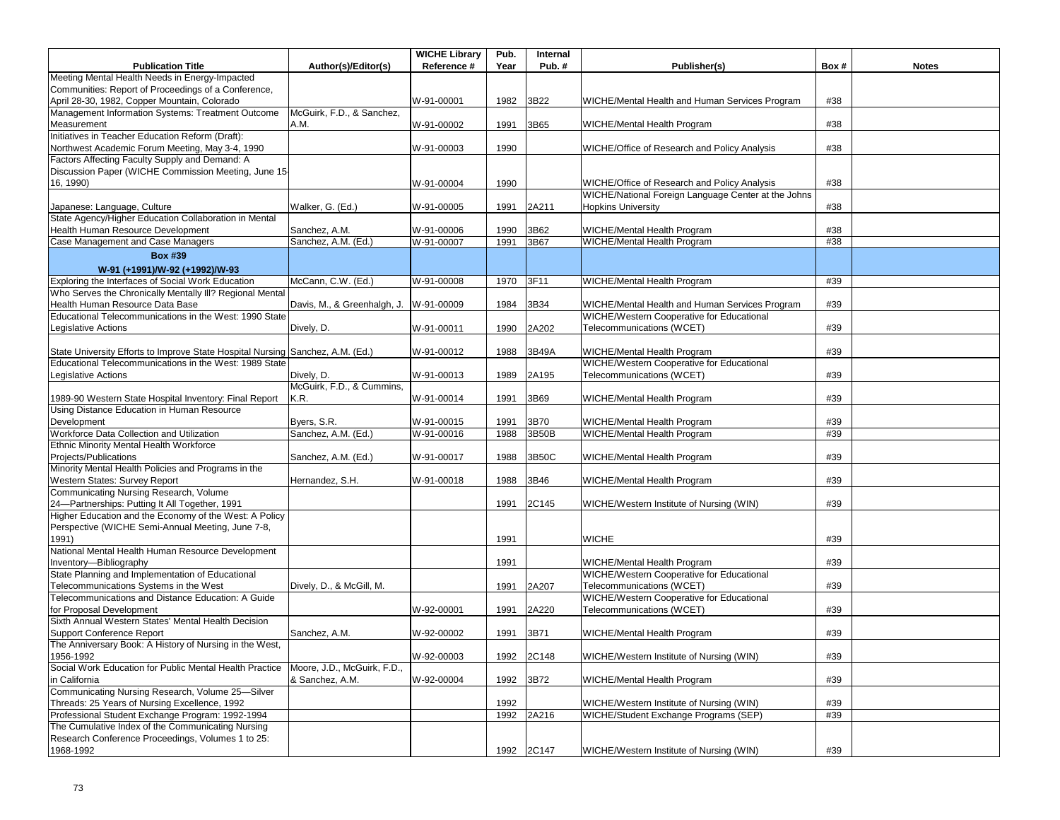|                                                                                           |                             | <b>WICHE Library</b> | Pub. | Internal   |                                                                                                     |      |              |
|-------------------------------------------------------------------------------------------|-----------------------------|----------------------|------|------------|-----------------------------------------------------------------------------------------------------|------|--------------|
| <b>Publication Title</b>                                                                  | Author(s)/Editor(s)         | Reference #          | Year | Pub.#      | Publisher(s)                                                                                        | Box# | <b>Notes</b> |
| Meeting Mental Health Needs in Energy-Impacted                                            |                             |                      |      |            |                                                                                                     |      |              |
| Communities: Report of Proceedings of a Conference,                                       |                             |                      |      |            |                                                                                                     |      |              |
| April 28-30, 1982, Copper Mountain, Colorado                                              |                             | W-91-00001           | 1982 | 3B22       | WICHE/Mental Health and Human Services Program                                                      | #38  |              |
| Management Information Systems: Treatment Outcome                                         | McGuirk, F.D., & Sanchez,   |                      |      |            |                                                                                                     |      |              |
| Measurement                                                                               | A.M.                        | W-91-00002           | 1991 | 3B65       | WICHE/Mental Health Program                                                                         | #38  |              |
| Initiatives in Teacher Education Reform (Draft):                                          |                             |                      |      |            |                                                                                                     |      |              |
| Northwest Academic Forum Meeting, May 3-4, 1990                                           |                             | W-91-00003           | 1990 |            | WICHE/Office of Research and Policy Analysis                                                        | #38  |              |
| Factors Affecting Faculty Supply and Demand: A                                            |                             |                      |      |            |                                                                                                     |      |              |
| Discussion Paper (WICHE Commission Meeting, June 15                                       |                             |                      |      |            |                                                                                                     |      |              |
| 16, 1990)                                                                                 |                             | W-91-00004           | 1990 |            | WICHE/Office of Research and Policy Analysis<br>WICHE/National Foreign Language Center at the Johns | #38  |              |
| Japanese: Language, Culture                                                               | Walker, G. (Ed.)            |                      |      |            | <b>Hopkins University</b>                                                                           | #38  |              |
| State Agency/Higher Education Collaboration in Mental                                     |                             | W-91-00005           | 1991 | 2A211      |                                                                                                     |      |              |
| Health Human Resource Development                                                         | Sanchez, A.M.               | W-91-00006           | 1990 | 3B62       | WICHE/Mental Health Program                                                                         | #38  |              |
| Case Management and Case Managers                                                         | Sanchez, A.M. (Ed.)         | W-91-00007           | 1991 | 3B67       | <b>WICHE/Mental Health Program</b>                                                                  | #38  |              |
| <b>Box #39</b>                                                                            |                             |                      |      |            |                                                                                                     |      |              |
|                                                                                           |                             |                      |      |            |                                                                                                     |      |              |
| W-91 (+1991)/W-92 (+1992)/W-93                                                            |                             |                      |      |            |                                                                                                     |      |              |
| Exploring the Interfaces of Social Work Education                                         | McCann, C.W. (Ed.)          | W-91-00008           | 1970 | 3F11       | WICHE/Mental Health Program                                                                         | #39  |              |
| Who Serves the Chronically Mentally III? Regional Mental                                  |                             |                      |      |            |                                                                                                     |      |              |
| Health Human Resource Data Base<br>Educational Telecommunications in the West: 1990 State | Davis, M., & Greenhalgh, J. | W-91-00009           | 1984 | 3B34       | WICHE/Mental Health and Human Services Program<br>WICHE/Western Cooperative for Educational         | #39  |              |
| Legislative Actions                                                                       | Dively, D.                  | W-91-00011           | 1990 | 2A202      | Telecommunications (WCET)                                                                           | #39  |              |
|                                                                                           |                             |                      |      |            |                                                                                                     |      |              |
| State University Efforts to Improve State Hospital Nursing Sanchez, A.M. (Ed.)            |                             | W-91-00012           | 1988 | 3B49A      | WICHE/Mental Health Program                                                                         | #39  |              |
| Educational Telecommunications in the West: 1989 State                                    |                             |                      |      |            | WICHE/Western Cooperative for Educational                                                           |      |              |
| Legislative Actions                                                                       | Dively, D.                  | W-91-00013           | 1989 | 2A195      | Telecommunications (WCET)                                                                           | #39  |              |
|                                                                                           | McGuirk, F.D., & Cummins,   |                      |      |            |                                                                                                     |      |              |
| 1989-90 Western State Hospital Inventory: Final Report                                    | K.R.                        | W-91-00014           | 1991 | 3B69       | WICHE/Mental Health Program                                                                         | #39  |              |
| Using Distance Education in Human Resource                                                |                             |                      |      |            |                                                                                                     |      |              |
| Development                                                                               | Byers, S.R.                 | W-91-00015           | 1991 | 3B70       | WICHE/Mental Health Program                                                                         | #39  |              |
| Workforce Data Collection and Utilization                                                 | Sanchez, A.M. (Ed.)         | W-91-00016           | 1988 | 3B50B      | WICHE/Mental Health Program                                                                         | #39  |              |
| Ethnic Minority Mental Health Workforce                                                   |                             |                      |      |            |                                                                                                     |      |              |
| Projects/Publications                                                                     | Sanchez, A.M. (Ed.)         | W-91-00017           | 1988 | 3B50C      | WICHE/Mental Health Program                                                                         | #39  |              |
| Minority Mental Health Policies and Programs in the                                       |                             |                      |      |            |                                                                                                     |      |              |
| Western States: Survey Report                                                             | Hernandez, S.H.             | W-91-00018           | 1988 | 3B46       | WICHE/Mental Health Program                                                                         | #39  |              |
| Communicating Nursing Research, Volume                                                    |                             |                      |      |            |                                                                                                     |      |              |
| 24-Partnerships: Putting It All Together, 1991                                            |                             |                      | 1991 | 2C145      | WICHE/Western Institute of Nursing (WIN)                                                            | #39  |              |
| Higher Education and the Economy of the West: A Policy                                    |                             |                      |      |            |                                                                                                     |      |              |
| Perspective (WICHE Semi-Annual Meeting, June 7-8,                                         |                             |                      |      |            |                                                                                                     |      |              |
| 1991)                                                                                     |                             |                      | 1991 |            | <b>WICHE</b>                                                                                        | #39  |              |
| National Mental Health Human Resource Development                                         |                             |                      |      |            |                                                                                                     |      |              |
| Inventory-Bibliography                                                                    |                             |                      | 1991 |            | WICHE/Mental Health Program                                                                         | #39  |              |
| State Planning and Implementation of Educational                                          |                             |                      |      |            | WICHE/Western Cooperative for Educational                                                           |      |              |
| Telecommunications Systems in the West                                                    | Dively, D., & McGill, M.    |                      | 1991 | 2A207      | Telecommunications (WCET)<br><b>WICHE/Western Cooperative for Educational</b>                       | #39  |              |
| Telecommunications and Distance Education: A Guide                                        |                             |                      |      |            |                                                                                                     |      |              |
| for Proposal Development<br>Sixth Annual Western States' Mental Health Decision           |                             | W-92-00001           | 1991 | 2A220      | Telecommunications (WCET)                                                                           | #39  |              |
| <b>Support Conference Report</b>                                                          |                             | W-92-00002           | 1991 | 3B71       |                                                                                                     | #39  |              |
| The Anniversary Book: A History of Nursing in the West,                                   | Sanchez, A.M.               |                      |      |            | WICHE/Mental Health Program                                                                         |      |              |
| 1956-1992                                                                                 |                             | W-92-00003           | 1992 | 2C148      | WICHE/Western Institute of Nursing (WIN)                                                            | #39  |              |
| Social Work Education for Public Mental Health Practice                                   | Moore, J.D., McGuirk, F.D., |                      |      |            |                                                                                                     |      |              |
| in California                                                                             | & Sanchez, A.M.             | W-92-00004           | 1992 | 3B72       | WICHE/Mental Health Program                                                                         | #39  |              |
| Communicating Nursing Research, Volume 25-Silver                                          |                             |                      |      |            |                                                                                                     |      |              |
| Threads: 25 Years of Nursing Excellence, 1992                                             |                             |                      | 1992 |            | WICHE/Western Institute of Nursing (WIN)                                                            | #39  |              |
| Professional Student Exchange Program: 1992-1994                                          |                             |                      | 1992 | 2A216      | WICHE/Student Exchange Programs (SEP)                                                               | #39  |              |
| The Cumulative Index of the Communicating Nursing                                         |                             |                      |      |            |                                                                                                     |      |              |
| Research Conference Proceedings, Volumes 1 to 25:                                         |                             |                      |      |            |                                                                                                     |      |              |
| 1968-1992                                                                                 |                             |                      |      | 1992 2C147 | WICHE/Western Institute of Nursing (WIN)                                                            | #39  |              |
|                                                                                           |                             |                      |      |            |                                                                                                     |      |              |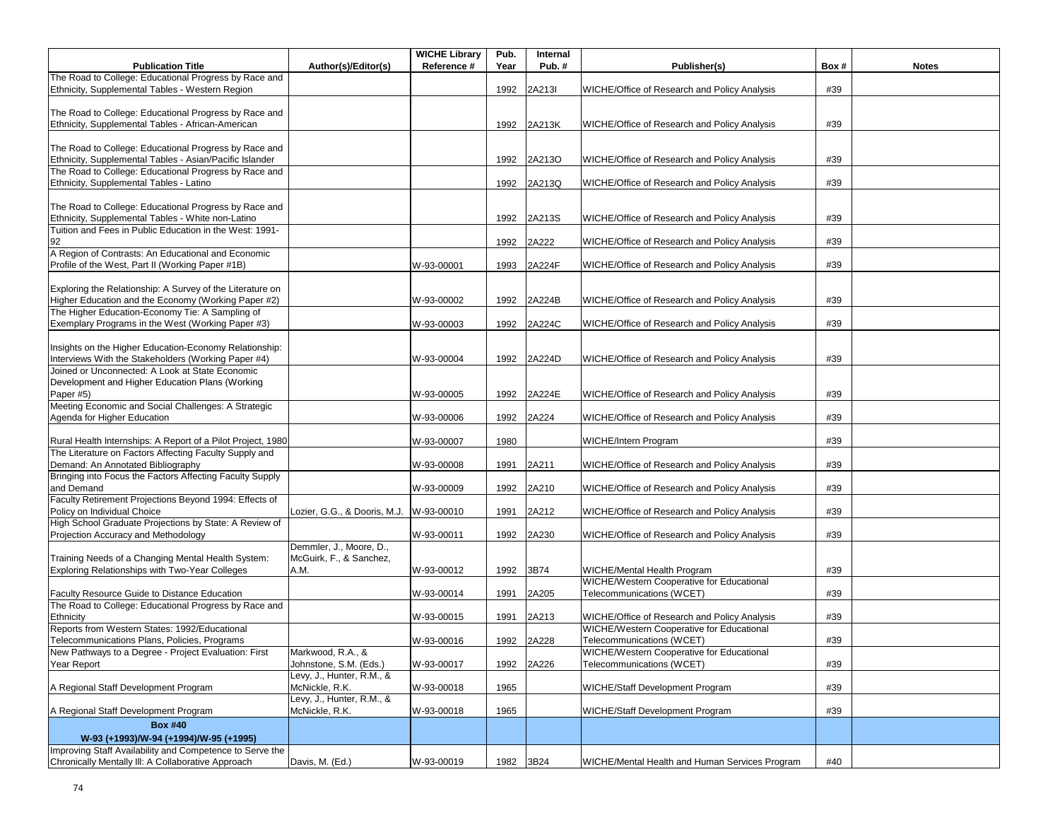|                                                                                                        |                                                     | <b>WICHE Library</b> | Pub. | Internal   |                                                     |      |              |
|--------------------------------------------------------------------------------------------------------|-----------------------------------------------------|----------------------|------|------------|-----------------------------------------------------|------|--------------|
| <b>Publication Title</b><br>The Road to College: Educational Progress by Race and                      | Author(s)/Editor(s)                                 | Reference #          | Year | Pub.#      | Publisher(s)                                        | Box# | <b>Notes</b> |
| Ethnicity, Supplemental Tables - Western Region                                                        |                                                     |                      | 1992 | 2A213I     | WICHE/Office of Research and Policy Analysis        | #39  |              |
|                                                                                                        |                                                     |                      |      |            |                                                     |      |              |
| The Road to College: Educational Progress by Race and                                                  |                                                     |                      |      |            |                                                     |      |              |
| Ethnicity, Supplemental Tables - African-American                                                      |                                                     |                      | 1992 | 2A213K     | WICHE/Office of Research and Policy Analysis        | #39  |              |
|                                                                                                        |                                                     |                      |      |            |                                                     |      |              |
| The Road to College: Educational Progress by Race and                                                  |                                                     |                      |      |            |                                                     |      |              |
| Ethnicity, Supplemental Tables - Asian/Pacific Islander                                                |                                                     |                      | 1992 | 2A213O     | WICHE/Office of Research and Policy Analysis        | #39  |              |
| The Road to College: Educational Progress by Race and                                                  |                                                     |                      |      |            |                                                     |      |              |
| Ethnicity, Supplemental Tables - Latino                                                                |                                                     |                      | 1992 | 2A213Q     | WICHE/Office of Research and Policy Analysis        | #39  |              |
| The Road to College: Educational Progress by Race and                                                  |                                                     |                      |      |            |                                                     |      |              |
| Ethnicity, Supplemental Tables - White non-Latino                                                      |                                                     |                      | 1992 | 2A213S     | WICHE/Office of Research and Policy Analysis        | #39  |              |
| Tuition and Fees in Public Education in the West: 1991-                                                |                                                     |                      |      |            |                                                     |      |              |
| 92                                                                                                     |                                                     |                      | 1992 | 2A222      | WICHE/Office of Research and Policy Analysis        | #39  |              |
| A Region of Contrasts: An Educational and Economic                                                     |                                                     |                      |      |            |                                                     |      |              |
| Profile of the West, Part II (Working Paper #1B)                                                       |                                                     | W-93-00001           | 1993 | 2A224F     | WICHE/Office of Research and Policy Analysis        | #39  |              |
|                                                                                                        |                                                     |                      |      |            |                                                     |      |              |
| Exploring the Relationship: A Survey of the Literature on                                              |                                                     |                      |      |            |                                                     |      |              |
| Higher Education and the Economy (Working Paper #2)<br>The Higher Education-Economy Tie: A Sampling of |                                                     | W-93-00002           | 1992 | 2A224B     | WICHE/Office of Research and Policy Analysis        | #39  |              |
| Exemplary Programs in the West (Working Paper #3)                                                      |                                                     | W-93-00003           | 1992 | 2A224C     | WICHE/Office of Research and Policy Analysis        | #39  |              |
|                                                                                                        |                                                     |                      |      |            |                                                     |      |              |
| Insights on the Higher Education-Economy Relationship:                                                 |                                                     |                      |      |            |                                                     |      |              |
| Interviews With the Stakeholders (Working Paper #4)                                                    |                                                     | W-93-00004           | 1992 | 2A224D     | <b>WICHE/Office of Research and Policy Analysis</b> | #39  |              |
| Joined or Unconnected: A Look at State Economic                                                        |                                                     |                      |      |            |                                                     |      |              |
| Development and Higher Education Plans (Working                                                        |                                                     |                      |      |            |                                                     |      |              |
| Paper #5)                                                                                              |                                                     | W-93-00005           | 1992 | 2A224E     | WICHE/Office of Research and Policy Analysis        | #39  |              |
| Meeting Economic and Social Challenges: A Strategic                                                    |                                                     |                      |      |            |                                                     |      |              |
| Agenda for Higher Education                                                                            |                                                     | W-93-00006           | 1992 | 2A224      | WICHE/Office of Research and Policy Analysis        | #39  |              |
| Rural Health Internships: A Report of a Pilot Project, 1980                                            |                                                     |                      | 1980 |            | WICHE/Intern Program                                | #39  |              |
| The Literature on Factors Affecting Faculty Supply and                                                 |                                                     | W-93-00007           |      |            |                                                     |      |              |
| Demand: An Annotated Bibliography                                                                      |                                                     | W-93-00008           | 1991 | 2A211      | WICHE/Office of Research and Policy Analysis        | #39  |              |
| Bringing into Focus the Factors Affecting Faculty Supply                                               |                                                     |                      |      |            |                                                     |      |              |
| and Demand                                                                                             |                                                     | W-93-00009           | 1992 | 2A210      | WICHE/Office of Research and Policy Analysis        | #39  |              |
| Faculty Retirement Projections Beyond 1994: Effects of                                                 |                                                     |                      |      |            |                                                     |      |              |
| Policy on Individual Choice                                                                            | Lozier, G.G., & Dooris, M.J.                        | W-93-00010           | 1991 | 2A212      | WICHE/Office of Research and Policy Analysis        | #39  |              |
| High School Graduate Projections by State: A Review of                                                 |                                                     |                      |      |            |                                                     |      |              |
| Projection Accuracy and Methodology                                                                    |                                                     | W-93-00011           | 1992 | 2A230      | WICHE/Office of Research and Policy Analysis        | #39  |              |
| Training Needs of a Changing Mental Health System:                                                     | Demmler, J., Moore, D.,<br>McGuirk, F., & Sanchez,  |                      |      |            |                                                     |      |              |
| Exploring Relationships with Two-Year Colleges                                                         | A.M.                                                | W-93-00012           | 1992 | 3B74       | WICHE/Mental Health Program                         | #39  |              |
|                                                                                                        |                                                     |                      |      |            | WICHE/Western Cooperative for Educational           |      |              |
| Faculty Resource Guide to Distance Education                                                           |                                                     | W-93-00014           | 1991 | 2A205      | Telecommunications (WCET)                           | #39  |              |
| The Road to College: Educational Progress by Race and                                                  |                                                     |                      |      |            |                                                     |      |              |
| Ethnicity                                                                                              |                                                     | W-93-00015           | 1991 | 2A213      | WICHE/Office of Research and Policy Analysis        | #39  |              |
| Reports from Western States: 1992/Educational                                                          |                                                     |                      |      |            | WICHE/Western Cooperative for Educational           |      |              |
| Telecommunications Plans, Policies, Programs                                                           |                                                     | W-93-00016           |      | 1992 2A228 | Telecommunications (WCET)                           | #39  |              |
| New Pathways to a Degree - Project Evaluation: First                                                   | Markwood, R.A., &                                   |                      |      |            | WICHE/Western Cooperative for Educational           |      |              |
| Year Report                                                                                            | Johnstone, S.M. (Eds.)<br>Levy, J., Hunter, R.M., & | W-93-00017           | 1992 | 2A226      | Telecommunications (WCET)                           | #39  |              |
| A Regional Staff Development Program                                                                   | McNickle, R.K.                                      | W-93-00018           | 1965 |            | WICHE/Staff Development Program                     | #39  |              |
|                                                                                                        | Levy, J., Hunter, R.M., &                           |                      |      |            |                                                     |      |              |
| A Regional Staff Development Program                                                                   | McNickle, R.K.                                      | W-93-00018           | 1965 |            | <b>WICHE/Staff Development Program</b>              | #39  |              |
| <b>Box #40</b>                                                                                         |                                                     |                      |      |            |                                                     |      |              |
| W-93 (+1993)/W-94 (+1994)/W-95 (+1995)                                                                 |                                                     |                      |      |            |                                                     |      |              |
| Improving Staff Availability and Competence to Serve the                                               |                                                     |                      |      |            |                                                     |      |              |
| Chronically Mentally III: A Collaborative Approach                                                     | Davis, M. (Ed.)                                     | W-93-00019           | 1982 | 3B24       | WICHE/Mental Health and Human Services Program      | #40  |              |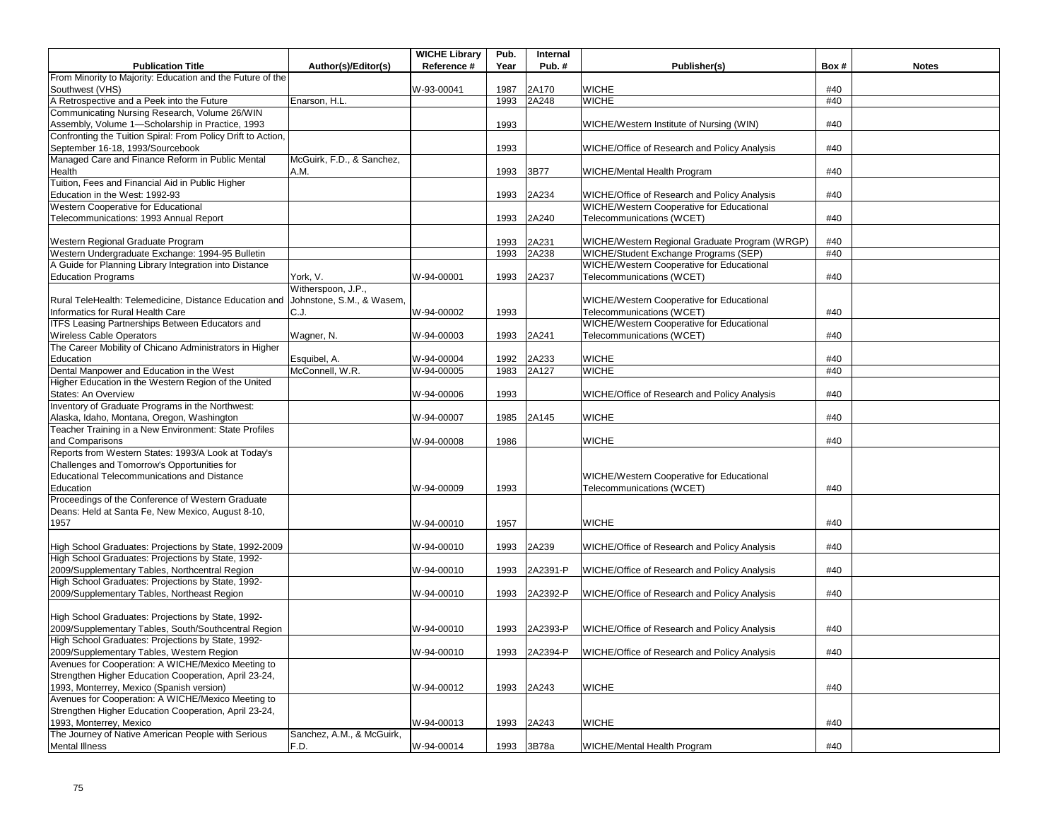|                                                                               |                           | <b>WICHE Library</b> | Pub. | Internal |                                                |      |              |
|-------------------------------------------------------------------------------|---------------------------|----------------------|------|----------|------------------------------------------------|------|--------------|
| <b>Publication Title</b>                                                      | Author(s)/Editor(s)       | Reference #          | Year | Pub.#    | Publisher(s)                                   | Box# | <b>Notes</b> |
| From Minority to Majority: Education and the Future of the                    |                           |                      |      |          |                                                |      |              |
| Southwest (VHS)                                                               |                           | W-93-00041           | 1987 | 2A170    | <b>WICHE</b>                                   | #40  |              |
| A Retrospective and a Peek into the Future                                    | Enarson, H.L.             |                      | 1993 | 2A248    | <b>WICHE</b>                                   | #40  |              |
| Communicating Nursing Research, Volume 26/WIN                                 |                           |                      |      |          |                                                |      |              |
| Assembly, Volume 1-Scholarship in Practice, 1993                              |                           |                      | 1993 |          | WICHE/Western Institute of Nursing (WIN)       | #40  |              |
| Confronting the Tuition Spiral: From Policy Drift to Action,                  |                           |                      |      |          |                                                |      |              |
| September 16-18, 1993/Sourcebook                                              |                           |                      | 1993 |          | WICHE/Office of Research and Policy Analysis   | #40  |              |
| Managed Care and Finance Reform in Public Mental                              | McGuirk, F.D., & Sanchez, |                      |      |          |                                                |      |              |
| Health                                                                        | A.M.                      |                      | 1993 | 3B77     | WICHE/Mental Health Program                    | #40  |              |
| Tuition, Fees and Financial Aid in Public Higher                              |                           |                      |      |          |                                                |      |              |
| Education in the West: 1992-93                                                |                           |                      | 1993 | 2A234    | WICHE/Office of Research and Policy Analysis   | #40  |              |
| Western Cooperative for Educational                                           |                           |                      |      |          | WICHE/Western Cooperative for Educational      |      |              |
| Telecommunications: 1993 Annual Report                                        |                           |                      | 1993 | 2A240    | Telecommunications (WCET)                      | #40  |              |
|                                                                               |                           |                      |      |          |                                                |      |              |
| Western Regional Graduate Program                                             |                           |                      | 1993 | 2A231    | WICHE/Western Regional Graduate Program (WRGP) | #40  |              |
| Western Undergraduate Exchange: 1994-95 Bulletin                              |                           |                      | 1993 | 2A238    | WICHE/Student Exchange Programs (SEP)          | #40  |              |
| A Guide for Planning Library Integration into Distance                        |                           |                      |      |          | WICHE/Western Cooperative for Educational      |      |              |
| <b>Education Programs</b>                                                     | York, V.                  | W-94-00001           | 1993 | 2A237    | Telecommunications (WCET)                      | #40  |              |
|                                                                               | Witherspoon, J.P.,        |                      |      |          |                                                |      |              |
| Rural TeleHealth: Telemedicine, Distance Education and                        | Johnstone, S.M., & Wasem, |                      |      |          | WICHE/Western Cooperative for Educational      |      |              |
| Informatics for Rural Health Care                                             | C.J.                      |                      | 1993 |          | Telecommunications (WCET)                      | #40  |              |
| <b>ITFS Leasing Partnerships Between Educators and</b>                        |                           | W-94-00002           |      |          | WICHE/Western Cooperative for Educational      |      |              |
|                                                                               |                           |                      |      |          |                                                |      |              |
| <b>Wireless Cable Operators</b>                                               | Wagner, N.                | W-94-00003           | 1993 | 2A241    | Telecommunications (WCET)                      | #40  |              |
| The Career Mobility of Chicano Administrators in Higher                       |                           |                      |      |          |                                                |      |              |
| Education                                                                     | Esquibel, A.              | W-94-00004           | 1992 | 2A233    | <b>WICHE</b>                                   | #40  |              |
| Dental Manpower and Education in the West                                     | McConnell, W.R.           | W-94-00005           | 1983 | 2A127    | <b>WICHE</b>                                   | #40  |              |
| Higher Education in the Western Region of the United                          |                           |                      |      |          |                                                |      |              |
| States: An Overview                                                           |                           | W-94-00006           | 1993 |          | WICHE/Office of Research and Policy Analysis   | #40  |              |
| Inventory of Graduate Programs in the Northwest:                              |                           |                      |      |          |                                                |      |              |
| Alaska, Idaho, Montana, Oregon, Washington                                    |                           | W-94-00007           | 1985 | 2A145    | <b>WICHE</b>                                   | #40  |              |
| Teacher Training in a New Environment: State Profiles                         |                           |                      |      |          |                                                |      |              |
| and Comparisons                                                               |                           | W-94-00008           | 1986 |          | <b>WICHE</b>                                   | #40  |              |
| Reports from Western States: 1993/A Look at Today's                           |                           |                      |      |          |                                                |      |              |
| Challenges and Tomorrow's Opportunities for                                   |                           |                      |      |          |                                                |      |              |
| <b>Educational Telecommunications and Distance</b>                            |                           |                      |      |          | WICHE/Western Cooperative for Educational      |      |              |
| Education                                                                     |                           | W-94-00009           | 1993 |          | Telecommunications (WCET)                      | #40  |              |
| Proceedings of the Conference of Western Graduate                             |                           |                      |      |          |                                                |      |              |
| Deans: Held at Santa Fe, New Mexico, August 8-10,                             |                           |                      |      |          |                                                |      |              |
| 1957                                                                          |                           | W-94-00010           | 1957 |          | <b>WICHE</b>                                   | #40  |              |
|                                                                               |                           |                      |      |          |                                                |      |              |
| High School Graduates: Projections by State, 1992-2009                        |                           | W-94-00010           | 1993 | 2A239    | WICHE/Office of Research and Policy Analysis   | #40  |              |
| High School Graduates: Projections by State, 1992-                            |                           |                      |      |          |                                                |      |              |
| 2009/Supplementary Tables, Northcentral Region                                |                           | W-94-00010           | 1993 | 2A2391-P | WICHE/Office of Research and Policy Analysis   | #40  |              |
| High School Graduates: Projections by State, 1992-                            |                           |                      |      |          |                                                |      |              |
| 2009/Supplementary Tables, Northeast Region                                   |                           | W-94-00010           | 1993 | 2A2392-P | WICHE/Office of Research and Policy Analysis   | #40  |              |
|                                                                               |                           |                      |      |          |                                                |      |              |
| High School Graduates: Projections by State, 1992-                            |                           |                      |      |          |                                                |      |              |
| 2009/Supplementary Tables, South/Southcentral Region                          |                           | W-94-00010           | 1993 | 2A2393-P | WICHE/Office of Research and Policy Analysis   | #40  |              |
| High School Graduates: Projections by State, 1992-                            |                           |                      |      |          |                                                |      |              |
| 2009/Supplementary Tables, Western Region                                     |                           | W-94-00010           | 1993 | 2A2394-P | WICHE/Office of Research and Policy Analysis   | #40  |              |
| Avenues for Cooperation: A WICHE/Mexico Meeting to                            |                           |                      |      |          |                                                |      |              |
| Strengthen Higher Education Cooperation, April 23-24,                         |                           |                      |      |          |                                                |      |              |
| 1993, Monterrey, Mexico (Spanish version)                                     |                           | W-94-00012           | 1993 | 2A243    | <b>WICHE</b>                                   | #40  |              |
| Avenues for Cooperation: A WICHE/Mexico Meeting to                            |                           |                      |      |          |                                                |      |              |
|                                                                               |                           |                      |      |          |                                                |      |              |
| Strengthen Higher Education Cooperation, April 23-24,                         |                           |                      |      |          |                                                |      |              |
| 1993, Monterrey, Mexico<br>The Journey of Native American People with Serious |                           | W-94-00013           | 1993 | 2A243    | <b>WICHE</b>                                   | #40  |              |
|                                                                               | Sanchez, A.M., & McGuirk, |                      |      |          |                                                |      |              |
| <b>Mental Illness</b>                                                         | F.D.                      | W-94-00014           | 1993 | 3B78a    | WICHE/Mental Health Program                    | #40  |              |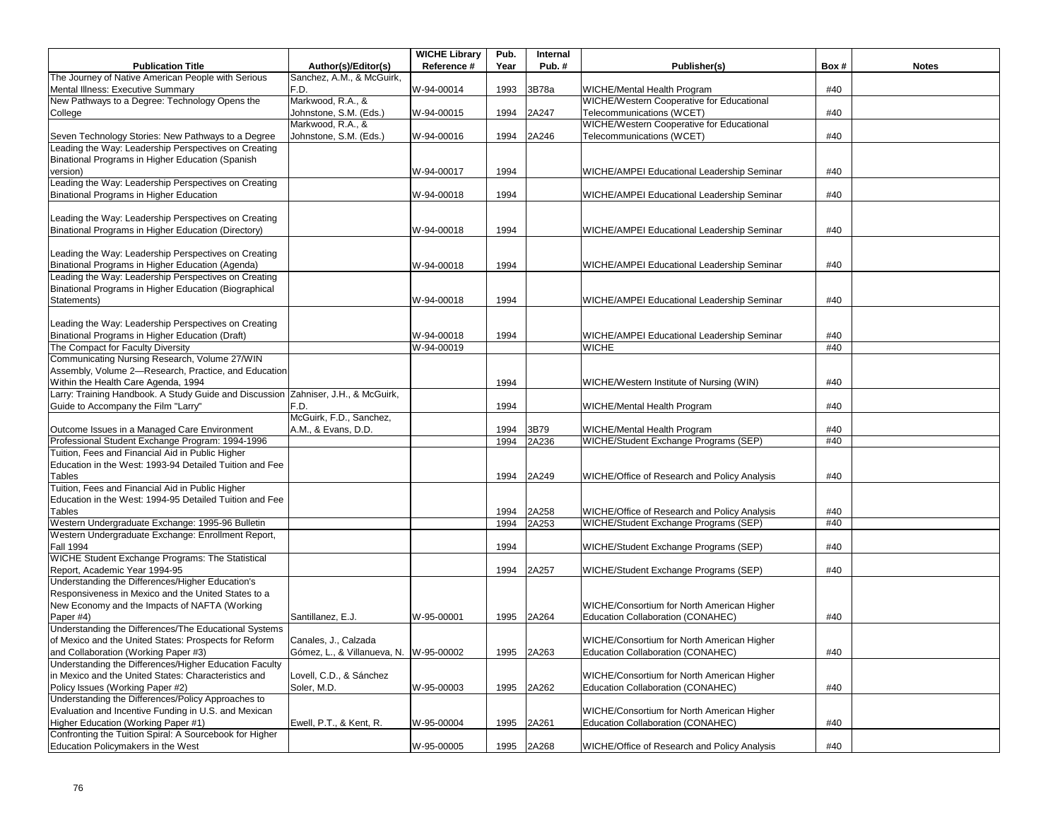|                                                                                                        |                                        | <b>WICHE Library</b> | Pub. | Internal   |                                              |      |              |
|--------------------------------------------------------------------------------------------------------|----------------------------------------|----------------------|------|------------|----------------------------------------------|------|--------------|
| <b>Publication Title</b>                                                                               | Author(s)/Editor(s)                    | Reference #          | Year | Pub.#      | Publisher(s)                                 | Box# | <b>Notes</b> |
| The Journey of Native American People with Serious                                                     | Sanchez, A.M., & McGuirk,              |                      |      |            |                                              |      |              |
| Mental Illness: Executive Summary                                                                      | F.D.                                   | W-94-00014           | 1993 | 3B78a      | WICHE/Mental Health Program                  | #40  |              |
| New Pathways to a Degree: Technology Opens the                                                         | Markwood, R.A., &                      |                      |      |            | WICHE/Western Cooperative for Educational    |      |              |
| College                                                                                                | Johnstone, S.M. (Eds.)                 | W-94-00015           | 1994 | 2A247      | Telecommunications (WCET)                    | #40  |              |
|                                                                                                        | Markwood, R.A., &                      |                      |      |            | WICHE/Western Cooperative for Educational    |      |              |
| Seven Technology Stories: New Pathways to a Degree                                                     | Johnstone, S.M. (Eds.)                 | W-94-00016           | 1994 | 2A246      | Telecommunications (WCET)                    | #40  |              |
| Leading the Way: Leadership Perspectives on Creating                                                   |                                        |                      |      |            |                                              |      |              |
| Binational Programs in Higher Education (Spanish                                                       |                                        |                      |      |            |                                              |      |              |
| version)                                                                                               |                                        | W-94-00017           | 1994 |            | WICHE/AMPEI Educational Leadership Seminar   | #40  |              |
| Leading the Way: Leadership Perspectives on Creating                                                   |                                        |                      |      |            |                                              |      |              |
| Binational Programs in Higher Education                                                                |                                        | W-94-00018           | 1994 |            | WICHE/AMPEI Educational Leadership Seminar   | #40  |              |
|                                                                                                        |                                        |                      |      |            |                                              |      |              |
| Leading the Way: Leadership Perspectives on Creating                                                   |                                        |                      |      |            |                                              |      |              |
| Binational Programs in Higher Education (Directory)                                                    |                                        | W-94-00018           | 1994 |            | WICHE/AMPEI Educational Leadership Seminar   | #40  |              |
|                                                                                                        |                                        |                      |      |            |                                              |      |              |
| Leading the Way: Leadership Perspectives on Creating                                                   |                                        |                      |      |            |                                              |      |              |
| Binational Programs in Higher Education (Agenda)                                                       |                                        | W-94-00018           | 1994 |            | WICHE/AMPEI Educational Leadership Seminar   | #40  |              |
| Leading the Way: Leadership Perspectives on Creating                                                   |                                        |                      |      |            |                                              |      |              |
| Binational Programs in Higher Education (Biographical                                                  |                                        |                      |      |            |                                              |      |              |
| Statements)                                                                                            |                                        | W-94-00018           | 1994 |            | WICHE/AMPEI Educational Leadership Seminar   | #40  |              |
|                                                                                                        |                                        |                      |      |            |                                              |      |              |
| Leading the Way: Leadership Perspectives on Creating                                                   |                                        |                      |      |            |                                              |      |              |
| Binational Programs in Higher Education (Draft)                                                        |                                        | W-94-00018           | 1994 |            | WICHE/AMPEI Educational Leadership Seminar   | #40  |              |
| The Compact for Faculty Diversity                                                                      |                                        | W-94-00019           |      |            | <b>WICHE</b>                                 | #40  |              |
| Communicating Nursing Research, Volume 27/WIN                                                          |                                        |                      |      |            |                                              |      |              |
| Assembly, Volume 2-Research, Practice, and Education                                                   |                                        |                      |      |            |                                              |      |              |
| Within the Health Care Agenda, 1994                                                                    |                                        |                      | 1994 |            | WICHE/Western Institute of Nursing (WIN)     | #40  |              |
| Larry: Training Handbook. A Study Guide and Discussion Zahniser, J.H., & McGuirk,                      |                                        |                      |      |            |                                              |      |              |
| Guide to Accompany the Film "Larry"                                                                    | F.D.                                   |                      | 1994 |            | WICHE/Mental Health Program                  | #40  |              |
|                                                                                                        | McGuirk, F.D., Sanchez,                |                      |      |            |                                              |      |              |
| Outcome Issues in a Managed Care Environment                                                           | A.M., & Evans, D.D.                    |                      | 1994 | 3B79       | WICHE/Mental Health Program                  | #40  |              |
| Professional Student Exchange Program: 1994-1996                                                       |                                        |                      | 1994 | 2A236      | WICHE/Student Exchange Programs (SEP)        | #40  |              |
| Tuition, Fees and Financial Aid in Public Higher                                                       |                                        |                      |      |            |                                              |      |              |
| Education in the West: 1993-94 Detailed Tuition and Fee                                                |                                        |                      |      |            |                                              |      |              |
| Tables                                                                                                 |                                        |                      | 1994 | 2A249      | WICHE/Office of Research and Policy Analysis | #40  |              |
| Tuition, Fees and Financial Aid in Public Higher                                                       |                                        |                      |      |            |                                              |      |              |
| Education in the West: 1994-95 Detailed Tuition and Fee                                                |                                        |                      |      |            |                                              |      |              |
| Tables                                                                                                 |                                        |                      | 1994 | 2A258      | WICHE/Office of Research and Policy Analysis | #40  |              |
| Western Undergraduate Exchange: 1995-96 Bulletin<br>Western Undergraduate Exchange: Enrollment Report, |                                        |                      | 1994 | 2A253      | WICHE/Student Exchange Programs (SEP)        | #40  |              |
| <b>Fall 1994</b>                                                                                       |                                        |                      | 1994 |            |                                              | #40  |              |
| WICHE Student Exchange Programs: The Statistical                                                       |                                        |                      |      |            | WICHE/Student Exchange Programs (SEP)        |      |              |
| Report, Academic Year 1994-95                                                                          |                                        |                      | 1994 | 2A257      | WICHE/Student Exchange Programs (SEP)        | #40  |              |
| Understanding the Differences/Higher Education's                                                       |                                        |                      |      |            |                                              |      |              |
| Responsiveness in Mexico and the United States to a                                                    |                                        |                      |      |            |                                              |      |              |
| New Economy and the Impacts of NAFTA (Working                                                          |                                        |                      |      |            | WICHE/Consortium for North American Higher   |      |              |
| Paper #4)                                                                                              | Santillanez, E.J.                      | W-95-00001           | 1995 | 2A264      | Education Collaboration (CONAHEC)            | #40  |              |
| Understanding the Differences/The Educational Systems                                                  |                                        |                      |      |            |                                              |      |              |
| of Mexico and the United States: Prospects for Reform                                                  | Canales, J., Calzada                   |                      |      |            | WICHE/Consortium for North American Higher   |      |              |
| and Collaboration (Working Paper #3)                                                                   | Gómez, L., & Villanueva, N. W-95-00002 |                      | 1995 | 2A263      | Education Collaboration (CONAHEC)            | #40  |              |
| Understanding the Differences/Higher Education Faculty                                                 |                                        |                      |      |            |                                              |      |              |
| in Mexico and the United States: Characteristics and                                                   | Lovell, C.D., & Sánchez                |                      |      |            | WICHE/Consortium for North American Higher   |      |              |
| Policy Issues (Working Paper #2)                                                                       | Soler, M.D.                            | W-95-00003           | 1995 | 2A262      | Education Collaboration (CONAHEC)            | #40  |              |
| Understanding the Differences/Policy Approaches to                                                     |                                        |                      |      |            |                                              |      |              |
| Evaluation and Incentive Funding in U.S. and Mexican                                                   |                                        |                      |      |            | WICHE/Consortium for North American Higher   |      |              |
| Higher Education (Working Paper #1)                                                                    | Ewell, P.T., & Kent, R.                | W-95-00004           | 1995 | 2A261      | Education Collaboration (CONAHEC)            | #40  |              |
| Confronting the Tuition Spiral: A Sourcebook for Higher                                                |                                        |                      |      |            |                                              |      |              |
| Education Policymakers in the West                                                                     |                                        | W-95-00005           |      | 1995 2A268 | WICHE/Office of Research and Policy Analysis | #40  |              |
|                                                                                                        |                                        |                      |      |            |                                              |      |              |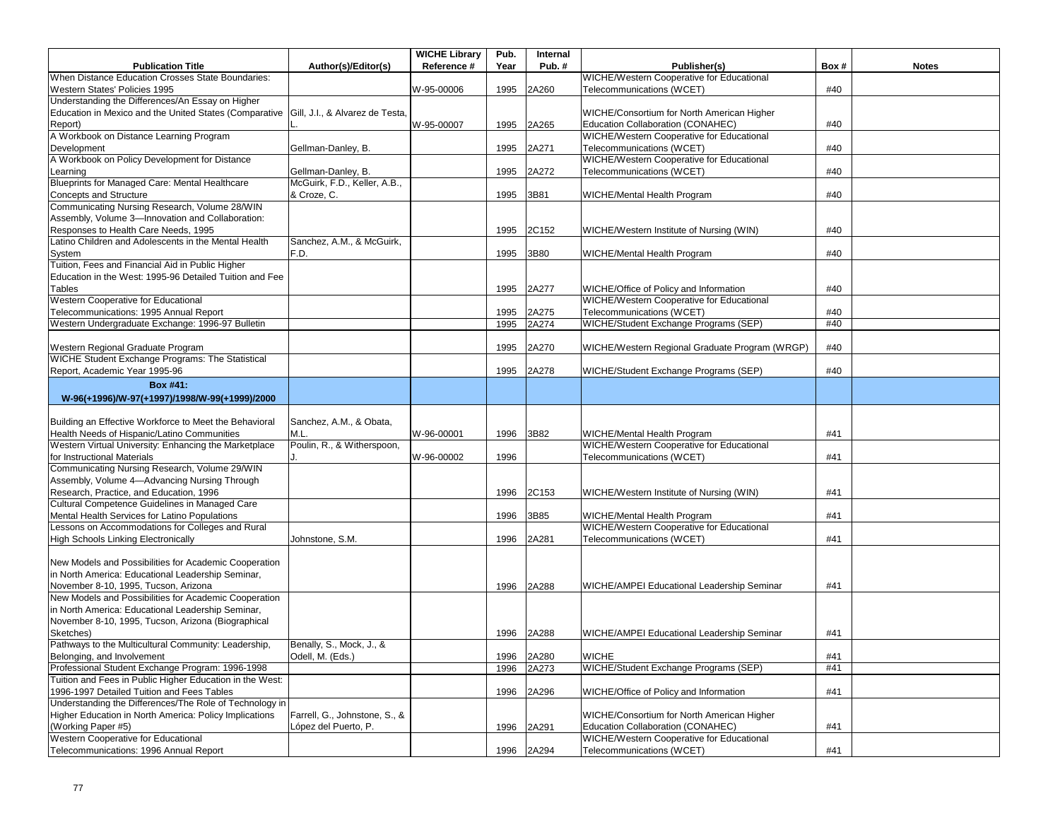|                                                                                          |                               | <b>WICHE Library</b> | Pub. | Internal |                                                |      |              |
|------------------------------------------------------------------------------------------|-------------------------------|----------------------|------|----------|------------------------------------------------|------|--------------|
| <b>Publication Title</b>                                                                 | Author(s)/Editor(s)           | Reference #          | Year | Pub.#    | Publisher(s)                                   | Box# | <b>Notes</b> |
| When Distance Education Crosses State Boundaries:                                        |                               |                      |      |          | WICHE/Western Cooperative for Educational      |      |              |
| Western States' Policies 1995                                                            |                               | W-95-00006           | 1995 | 2A260    | Telecommunications (WCET)                      | #40  |              |
| Understanding the Differences/An Essay on Higher                                         |                               |                      |      |          |                                                |      |              |
| Education in Mexico and the United States (Comparative   Gill, J.I., & Alvarez de Testa, |                               |                      |      |          | WICHE/Consortium for North American Higher     |      |              |
| Report)                                                                                  |                               | W-95-00007           | 1995 | 2A265    | Education Collaboration (CONAHEC)              | #40  |              |
| A Workbook on Distance Learning Program                                                  |                               |                      |      |          | WICHE/Western Cooperative for Educational      |      |              |
| Development                                                                              | Gellman-Danley, B.            |                      | 1995 | 2A271    | Telecommunications (WCET)                      | #40  |              |
| A Workbook on Policy Development for Distance                                            |                               |                      |      |          | WICHE/Western Cooperative for Educational      |      |              |
| Learning                                                                                 | Gellman-Danley, B.            |                      | 1995 | 2A272    | Telecommunications (WCET)                      | #40  |              |
| Blueprints for Managed Care: Mental Healthcare                                           | McGuirk, F.D., Keller, A.B.,  |                      |      |          |                                                |      |              |
| <b>Concepts and Structure</b>                                                            | & Croze, C.                   |                      | 1995 | 3B81     | WICHE/Mental Health Program                    | #40  |              |
| Communicating Nursing Research, Volume 28/WIN                                            |                               |                      |      |          |                                                |      |              |
|                                                                                          |                               |                      |      |          |                                                |      |              |
| Assembly, Volume 3-Innovation and Collaboration:                                         |                               |                      |      |          |                                                |      |              |
| Responses to Health Care Needs, 1995                                                     |                               |                      | 1995 | 2C152    | WICHE/Western Institute of Nursing (WIN)       | #40  |              |
| Latino Children and Adolescents in the Mental Health                                     | Sanchez, A.M., & McGuirk,     |                      |      |          |                                                |      |              |
| System                                                                                   | F.D.                          |                      | 1995 | 3B80     | WICHE/Mental Health Program                    | #40  |              |
| Tuition, Fees and Financial Aid in Public Higher                                         |                               |                      |      |          |                                                |      |              |
| Education in the West: 1995-96 Detailed Tuition and Fee                                  |                               |                      |      |          |                                                |      |              |
| Tables                                                                                   |                               |                      | 1995 | 2A277    | WICHE/Office of Policy and Information         | #40  |              |
| Western Cooperative for Educational                                                      |                               |                      |      |          | WICHE/Western Cooperative for Educational      |      |              |
| Telecommunications: 1995 Annual Report                                                   |                               |                      | 1995 | 2A275    | Telecommunications (WCET)                      | #40  |              |
| Western Undergraduate Exchange: 1996-97 Bulletin                                         |                               |                      | 1995 | 2A274    | WICHE/Student Exchange Programs (SEP)          | #40  |              |
|                                                                                          |                               |                      |      |          |                                                |      |              |
| Western Regional Graduate Program                                                        |                               |                      | 1995 | 2A270    | WICHE/Western Regional Graduate Program (WRGP) | #40  |              |
| WICHE Student Exchange Programs: The Statistical                                         |                               |                      |      |          |                                                |      |              |
|                                                                                          |                               |                      |      |          |                                                |      |              |
| Report, Academic Year 1995-96                                                            |                               |                      | 1995 | 2A278    | WICHE/Student Exchange Programs (SEP)          | #40  |              |
| Box #41:<br>W-96(+1996)/W-97(+1997)/1998/W-99(+1999)/2000                                |                               |                      |      |          |                                                |      |              |
|                                                                                          |                               |                      |      |          |                                                |      |              |
|                                                                                          |                               |                      |      |          |                                                |      |              |
| Building an Effective Workforce to Meet the Behavioral                                   | Sanchez, A.M., & Obata,       |                      |      |          |                                                |      |              |
| Health Needs of Hispanic/Latino Communities                                              | M.L.                          | W-96-00001           | 1996 | 3B82     | WICHE/Mental Health Program                    | #41  |              |
| Western Virtual University: Enhancing the Marketplace                                    | Poulin, R., & Witherspoon,    |                      |      |          | WICHE/Western Cooperative for Educational      |      |              |
| for Instructional Materials                                                              |                               | W-96-00002           | 1996 |          | Telecommunications (WCET)                      | #41  |              |
| Communicating Nursing Research, Volume 29/WIN                                            |                               |                      |      |          |                                                |      |              |
| Assembly, Volume 4-Advancing Nursing Through                                             |                               |                      |      |          |                                                |      |              |
| Research, Practice, and Education, 1996                                                  |                               |                      | 1996 | 2C153    | WICHE/Western Institute of Nursing (WIN)       | #41  |              |
| Cultural Competence Guidelines in Managed Care                                           |                               |                      |      |          |                                                |      |              |
| Mental Health Services for Latino Populations                                            |                               |                      | 1996 | 3B85     | WICHE/Mental Health Program                    | #41  |              |
| Lessons on Accommodations for Colleges and Rural                                         |                               |                      |      |          | WICHE/Western Cooperative for Educational      |      |              |
| <b>High Schools Linking Electronically</b>                                               | Johnstone, S.M.               |                      | 1996 | 2A281    | Telecommunications (WCET)                      | #41  |              |
|                                                                                          |                               |                      |      |          |                                                |      |              |
| New Models and Possibilities for Academic Cooperation                                    |                               |                      |      |          |                                                |      |              |
| in North America: Educational Leadership Seminar,                                        |                               |                      |      |          |                                                |      |              |
| November 8-10, 1995, Tucson, Arizona                                                     |                               |                      | 1996 | 2A288    | WICHE/AMPEI Educational Leadership Seminar     | #41  |              |
| New Models and Possibilities for Academic Cooperation                                    |                               |                      |      |          |                                                |      |              |
| in North America: Educational Leadership Seminar,                                        |                               |                      |      |          |                                                |      |              |
| November 8-10, 1995, Tucson, Arizona (Biographical                                       |                               |                      |      |          |                                                |      |              |
|                                                                                          |                               |                      |      |          |                                                |      |              |
| Sketches)                                                                                |                               |                      | 1996 | 2A288    | WICHE/AMPEI Educational Leadership Seminar     | #41  |              |
| Pathways to the Multicultural Community: Leadership,                                     | Benally, S., Mock, J., &      |                      |      |          |                                                |      |              |
| Belonging, and Involvement                                                               | Odell, M. (Eds.)              |                      | 1996 | 2A280    | <b>WICHE</b>                                   | #41  |              |
| Professional Student Exchange Program: 1996-1998                                         |                               |                      | 1996 | 2A273    | WICHE/Student Exchange Programs (SEP)          | #41  |              |
| Tuition and Fees in Public Higher Education in the West:                                 |                               |                      |      |          |                                                |      |              |
| 1996-1997 Detailed Tuition and Fees Tables                                               |                               |                      | 1996 | 2A296    | WICHE/Office of Policy and Information         | #41  |              |
| Understanding the Differences/The Role of Technology in                                  |                               |                      |      |          |                                                |      |              |
| Higher Education in North America: Policy Implications                                   | Farrell, G., Johnstone, S., & |                      |      |          | WICHE/Consortium for North American Higher     |      |              |
| (Working Paper #5)                                                                       | López del Puerto, P.          |                      | 1996 | 2A291    | Education Collaboration (CONAHEC)              | #41  |              |
| Western Cooperative for Educational                                                      |                               |                      |      |          | WICHE/Western Cooperative for Educational      |      |              |
| Telecommunications: 1996 Annual Report                                                   |                               |                      | 1996 | 2A294    | Telecommunications (WCET)                      | #41  |              |
|                                                                                          |                               |                      |      |          |                                                |      |              |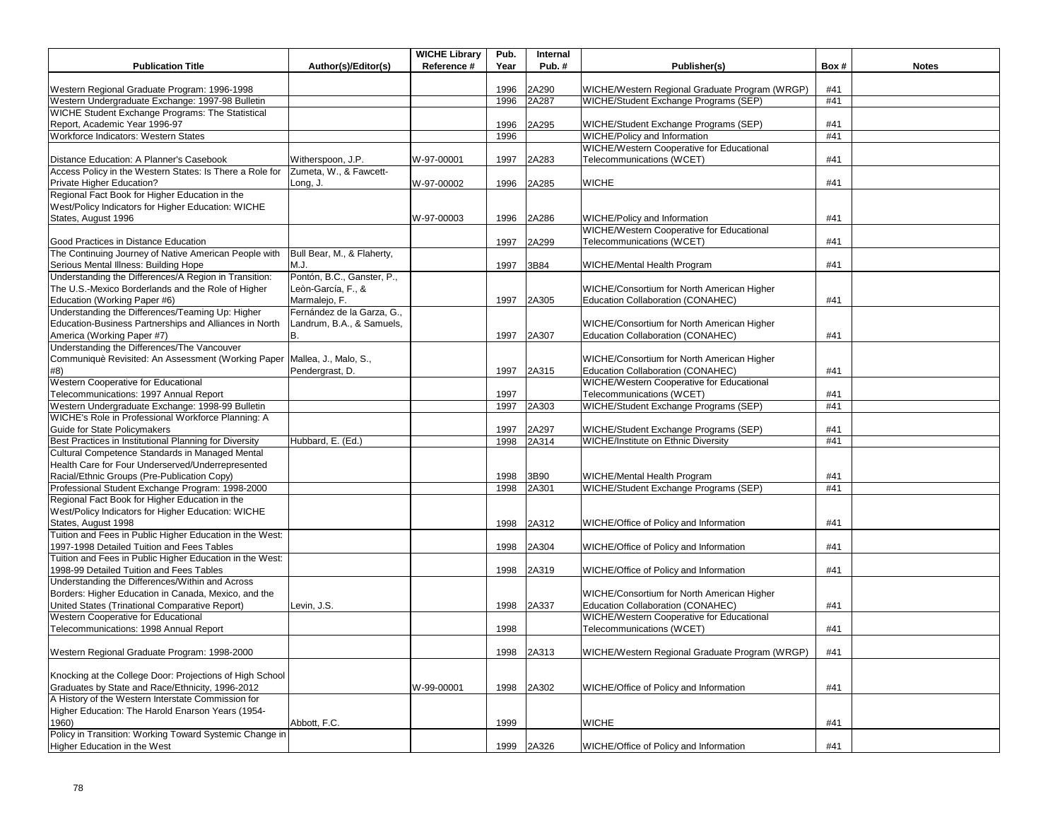| <b>Publication Title</b>                                                                             |                                   | <b>WICHE Library</b><br>Reference # | Pub.<br>Year | Internal<br>Pub.# |                                                                                 | Box# |              |
|------------------------------------------------------------------------------------------------------|-----------------------------------|-------------------------------------|--------------|-------------------|---------------------------------------------------------------------------------|------|--------------|
|                                                                                                      | Author(s)/Editor(s)               |                                     |              |                   | Publisher(s)                                                                    |      | <b>Notes</b> |
| Western Regional Graduate Program: 1996-1998                                                         |                                   |                                     | 1996         | 2A290             | WICHE/Western Regional Graduate Program (WRGP)                                  | #41  |              |
| Western Undergraduate Exchange: 1997-98 Bulletin                                                     |                                   |                                     | 1996         | 2A287             | WICHE/Student Exchange Programs (SEP)                                           | #41  |              |
| WICHE Student Exchange Programs: The Statistical                                                     |                                   |                                     |              |                   |                                                                                 |      |              |
| Report, Academic Year 1996-97                                                                        |                                   |                                     | 1996         | 2A295             | WICHE/Student Exchange Programs (SEP)                                           | #41  |              |
| Workforce Indicators: Western States                                                                 |                                   |                                     | 1996         |                   | WICHE/Policy and Information                                                    | #41  |              |
|                                                                                                      |                                   |                                     |              |                   | WICHE/Western Cooperative for Educational                                       |      |              |
| Distance Education: A Planner's Casebook                                                             | Witherspoon, J.P.                 | W-97-00001                          | 1997         | 2A283             | Telecommunications (WCET)                                                       | #41  |              |
| Access Policy in the Western States: Is There a Role for                                             | Zumeta, W., & Fawcett-            |                                     |              |                   |                                                                                 |      |              |
| Private Higher Education?                                                                            | Long, J.                          | W-97-00002                          | 1996         | 2A285             | <b>WICHE</b>                                                                    | #41  |              |
| Regional Fact Book for Higher Education in the                                                       |                                   |                                     |              |                   |                                                                                 |      |              |
| West/Policy Indicators for Higher Education: WICHE                                                   |                                   |                                     |              |                   |                                                                                 |      |              |
| States, August 1996                                                                                  |                                   | W-97-00003                          | 1996         | 2A286             | WICHE/Policy and Information                                                    | #41  |              |
|                                                                                                      |                                   |                                     |              |                   | WICHE/Western Cooperative for Educational                                       |      |              |
| Good Practices in Distance Education                                                                 |                                   |                                     | 1997         | 2A299             | Telecommunications (WCET)                                                       | #41  |              |
| The Continuing Journey of Native American People with                                                | Bull Bear, M., & Flaherty,        |                                     |              |                   |                                                                                 |      |              |
| Serious Mental Illness: Building Hope<br>Understanding the Differences/A Region in Transition:       | MJ.<br>Pontón, B.C., Ganster, P., |                                     | 1997         | 3B84              | WICHE/Mental Health Program                                                     | #41  |              |
| The U.S.-Mexico Borderlands and the Role of Higher                                                   | Leòn-García, F., &                |                                     |              |                   |                                                                                 |      |              |
| Education (Working Paper #6)                                                                         | Marmalejo, F.                     |                                     | 1997         |                   | WICHE/Consortium for North American Higher<br>Education Collaboration (CONAHEC) | #41  |              |
| Understanding the Differences/Teaming Up: Higher                                                     | Fernández de la Garza, G.,        |                                     |              | 2A305             |                                                                                 |      |              |
| Education-Business Partnerships and Alliances in North                                               | Landrum, B.A., & Samuels,         |                                     |              |                   | WICHE/Consortium for North American Higher                                      |      |              |
| America (Working Paper #7)                                                                           | B.                                |                                     | 1997         | 2A307             | Education Collaboration (CONAHEC)                                               | #41  |              |
| Understanding the Differences/The Vancouver                                                          |                                   |                                     |              |                   |                                                                                 |      |              |
| Communiquè Revisited: An Assessment (Working Paper Mallea, J., Malo, S.,                             |                                   |                                     |              |                   | WICHE/Consortium for North American Higher                                      |      |              |
| #8)                                                                                                  | Pendergrast, D.                   |                                     | 1997         | 2A315             | Education Collaboration (CONAHEC)                                               | #41  |              |
| Western Cooperative for Educational                                                                  |                                   |                                     |              |                   | WICHE/Western Cooperative for Educational                                       |      |              |
| Telecommunications: 1997 Annual Report                                                               |                                   |                                     | 1997         |                   | Telecommunications (WCET)                                                       | #41  |              |
| Western Undergraduate Exchange: 1998-99 Bulletin                                                     |                                   |                                     | 1997         | 2A303             | WICHE/Student Exchange Programs (SEP)                                           | #41  |              |
| WICHE's Role in Professional Workforce Planning: A                                                   |                                   |                                     |              |                   |                                                                                 |      |              |
| Guide for State Policymakers                                                                         |                                   |                                     | 1997         | 2A297             | WICHE/Student Exchange Programs (SEP)                                           | #41  |              |
| Best Practices in Institutional Planning for Diversity                                               | Hubbard, E. (Ed.)                 |                                     | 1998         | 2A314             | <b>WICHE/Institute on Ethnic Diversity</b>                                      | #41  |              |
| Cultural Competence Standards in Managed Mental                                                      |                                   |                                     |              |                   |                                                                                 |      |              |
| Health Care for Four Underserved/Underrepresented                                                    |                                   |                                     |              |                   |                                                                                 |      |              |
| Racial/Ethnic Groups (Pre-Publication Copy)                                                          |                                   |                                     | 1998         | 3B90              | WICHE/Mental Health Program                                                     | #41  |              |
| Professional Student Exchange Program: 1998-2000                                                     |                                   |                                     | 1998         | 2A301             | WICHE/Student Exchange Programs (SEP)                                           | #41  |              |
| Regional Fact Book for Higher Education in the                                                       |                                   |                                     |              |                   |                                                                                 |      |              |
| West/Policy Indicators for Higher Education: WICHE                                                   |                                   |                                     |              |                   |                                                                                 |      |              |
| States, August 1998                                                                                  |                                   |                                     | 1998         | 2A312             | WICHE/Office of Policy and Information                                          | #41  |              |
| Tuition and Fees in Public Higher Education in the West:                                             |                                   |                                     |              |                   |                                                                                 |      |              |
| 1997-1998 Detailed Tuition and Fees Tables                                                           |                                   |                                     | 1998         | 2A304             | WICHE/Office of Policy and Information                                          | #41  |              |
| Tuition and Fees in Public Higher Education in the West:<br>1998-99 Detailed Tuition and Fees Tables |                                   |                                     |              |                   |                                                                                 | #41  |              |
| Understanding the Differences/Within and Across                                                      |                                   |                                     | 1998         | 2A319             | WICHE/Office of Policy and Information                                          |      |              |
| Borders: Higher Education in Canada, Mexico, and the                                                 |                                   |                                     |              |                   | WICHE/Consortium for North American Higher                                      |      |              |
| United States (Trinational Comparative Report)                                                       | Levin, J.S.                       |                                     | 1998         | 2A337             | Education Collaboration (CONAHEC)                                               | #41  |              |
| Western Cooperative for Educational                                                                  |                                   |                                     |              |                   | WICHE/Western Cooperative for Educational                                       |      |              |
| Telecommunications: 1998 Annual Report                                                               |                                   |                                     | 1998         |                   | Telecommunications (WCET)                                                       | #41  |              |
|                                                                                                      |                                   |                                     |              |                   |                                                                                 |      |              |
| Western Regional Graduate Program: 1998-2000                                                         |                                   |                                     | 1998         | 2A313             | WICHE/Western Regional Graduate Program (WRGP)                                  | #41  |              |
|                                                                                                      |                                   |                                     |              |                   |                                                                                 |      |              |
| Knocking at the College Door: Projections of High School                                             |                                   |                                     |              |                   |                                                                                 |      |              |
| Graduates by State and Race/Ethnicity, 1996-2012                                                     |                                   | W-99-00001                          | 1998         | 2A302             | WICHE/Office of Policy and Information                                          | #41  |              |
| A History of the Western Interstate Commission for                                                   |                                   |                                     |              |                   |                                                                                 |      |              |
| Higher Education: The Harold Enarson Years (1954-                                                    |                                   |                                     |              |                   |                                                                                 |      |              |
| 1960)                                                                                                | Abbott, F.C.                      |                                     | 1999         |                   | <b>WICHE</b>                                                                    | #41  |              |
| Policy in Transition: Working Toward Systemic Change in                                              |                                   |                                     |              |                   |                                                                                 |      |              |
| Higher Education in the West                                                                         |                                   |                                     | 1999         | 2A326             | WICHE/Office of Policy and Information                                          | #41  |              |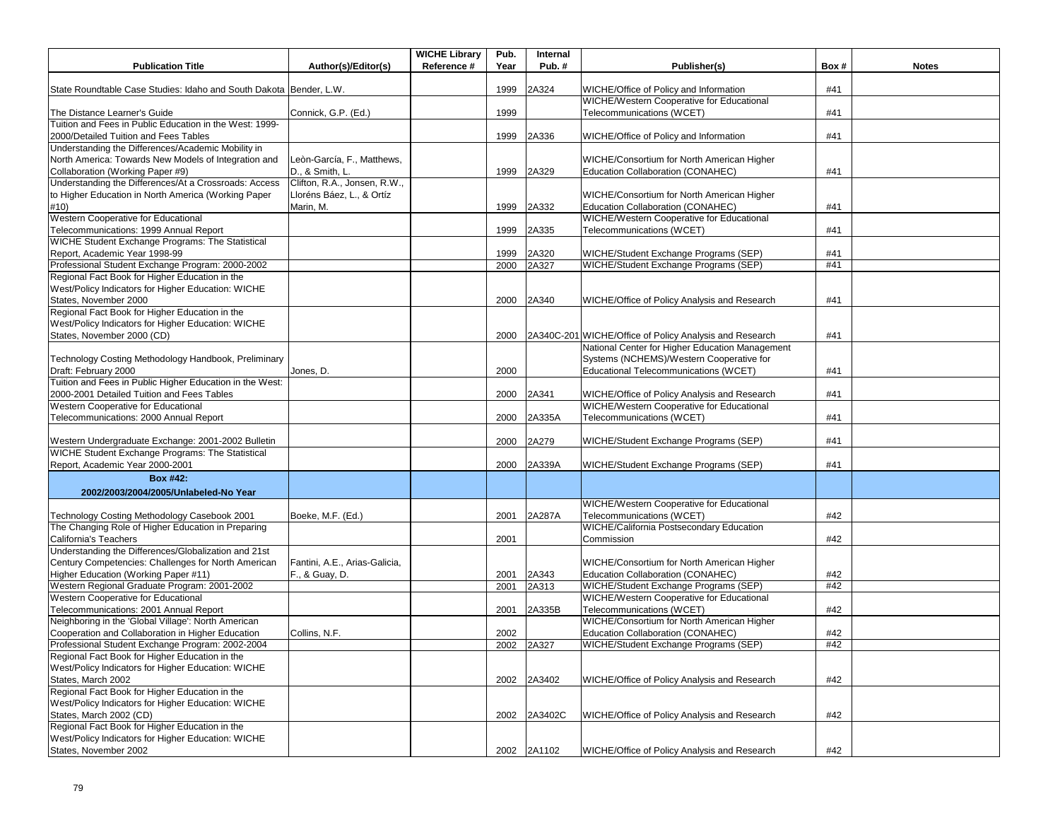| <b>Publication Title</b>                                                                               | Author(s)/Editor(s)           | <b>WICHE Library</b><br>Reference # | Pub.<br>Year | Internal<br>Pub.# | Publisher(s)                                                                              | Box#       | <b>Notes</b> |
|--------------------------------------------------------------------------------------------------------|-------------------------------|-------------------------------------|--------------|-------------------|-------------------------------------------------------------------------------------------|------------|--------------|
|                                                                                                        |                               |                                     |              |                   |                                                                                           |            |              |
| State Roundtable Case Studies: Idaho and South Dakota Bender, L.W.                                     |                               |                                     | 1999         | 2A324             | WICHE/Office of Policy and Information                                                    | #41        |              |
|                                                                                                        |                               |                                     |              |                   | WICHE/Western Cooperative for Educational                                                 |            |              |
| The Distance Learner's Guide                                                                           | Connick, G.P. (Ed.)           |                                     | 1999         |                   | Telecommunications (WCET)                                                                 | #41        |              |
| Tuition and Fees in Public Education in the West: 1999-                                                |                               |                                     |              |                   |                                                                                           |            |              |
| 2000/Detailed Tuition and Fees Tables                                                                  |                               |                                     | 1999         | 2A336             | WICHE/Office of Policy and Information                                                    | #41        |              |
| Understanding the Differences/Academic Mobility in                                                     |                               |                                     |              |                   |                                                                                           |            |              |
| North America: Towards New Models of Integration and                                                   | Leòn-García, F., Matthews,    |                                     |              |                   | WICHE/Consortium for North American Higher                                                |            |              |
| Collaboration (Working Paper #9)                                                                       | D., & Smith, L.               |                                     | 1999         | 2A329             | Education Collaboration (CONAHEC)                                                         | #41        |              |
| Understanding the Differences/At a Crossroads: Access                                                  | Clifton, R.A., Jonsen, R.W.,  |                                     |              |                   |                                                                                           |            |              |
| to Higher Education in North America (Working Paper                                                    | Lloréns Báez, L., & Ortíz     |                                     |              |                   | WICHE/Consortium for North American Higher                                                |            |              |
| #10)                                                                                                   | Marin, M.                     |                                     | 1999         | 2A332             | Education Collaboration (CONAHEC)                                                         | #41        |              |
| Western Cooperative for Educational                                                                    |                               |                                     |              |                   | WICHE/Western Cooperative for Educational                                                 |            |              |
| Telecommunications: 1999 Annual Report<br>WICHE Student Exchange Programs: The Statistical             |                               |                                     | 1999         | 2A335             | Telecommunications (WCET)                                                                 | #41        |              |
|                                                                                                        |                               |                                     |              |                   |                                                                                           |            |              |
| Report, Academic Year 1998-99                                                                          |                               |                                     | 1999<br>2000 | 2A320             | WICHE/Student Exchange Programs (SEP)                                                     | #41<br>#41 |              |
| Professional Student Exchange Program: 2000-2002<br>Regional Fact Book for Higher Education in the     |                               |                                     |              | 2A327             | WICHE/Student Exchange Programs (SEP)                                                     |            |              |
|                                                                                                        |                               |                                     |              |                   |                                                                                           |            |              |
| West/Policy Indicators for Higher Education: WICHE                                                     |                               |                                     |              |                   |                                                                                           |            |              |
| States, November 2000                                                                                  |                               |                                     | 2000         | 2A340             | WICHE/Office of Policy Analysis and Research                                              | #41        |              |
| Regional Fact Book for Higher Education in the                                                         |                               |                                     |              |                   |                                                                                           |            |              |
| West/Policy Indicators for Higher Education: WICHE                                                     |                               |                                     |              |                   |                                                                                           |            |              |
| States, November 2000 (CD)                                                                             |                               |                                     | 2000         |                   | 2A340C-201 WICHE/Office of Policy Analysis and Research                                   | #41        |              |
|                                                                                                        |                               |                                     |              |                   | National Center for Higher Education Management                                           |            |              |
| Technology Costing Methodology Handbook, Preliminary                                                   |                               |                                     |              |                   | Systems (NCHEMS)/Western Cooperative for                                                  |            |              |
| Draft: February 2000                                                                                   | Jones, D.                     |                                     | 2000         |                   | Educational Telecommunications (WCET)                                                     | #41        |              |
| Tuition and Fees in Public Higher Education in the West:                                               |                               |                                     |              |                   |                                                                                           |            |              |
| 2000-2001 Detailed Tuition and Fees Tables<br>Western Cooperative for Educational                      |                               |                                     | 2000         | 2A341             | WICHE/Office of Policy Analysis and Research<br>WICHE/Western Cooperative for Educational | #41        |              |
|                                                                                                        |                               |                                     |              |                   |                                                                                           |            |              |
| Telecommunications: 2000 Annual Report                                                                 |                               |                                     | 2000         | 2A335A            | Telecommunications (WCET)                                                                 | #41        |              |
|                                                                                                        |                               |                                     |              |                   |                                                                                           | #41        |              |
| Western Undergraduate Exchange: 2001-2002 Bulletin<br>WICHE Student Exchange Programs: The Statistical |                               |                                     | 2000         | 2A279             | WICHE/Student Exchange Programs (SEP)                                                     |            |              |
| Report, Academic Year 2000-2001                                                                        |                               |                                     | 2000         | 2A339A            | WICHE/Student Exchange Programs (SEP)                                                     | #41        |              |
|                                                                                                        |                               |                                     |              |                   |                                                                                           |            |              |
| <b>Box #42:</b>                                                                                        |                               |                                     |              |                   |                                                                                           |            |              |
| 2002/2003/2004/2005/Unlabeled-No Year                                                                  |                               |                                     |              |                   |                                                                                           |            |              |
|                                                                                                        |                               |                                     |              |                   | WICHE/Western Cooperative for Educational                                                 |            |              |
| Technology Costing Methodology Casebook 2001                                                           | Boeke, M.F. (Ed.)             |                                     | 2001         | 2A287A            | Telecommunications (WCET)                                                                 | #42        |              |
| The Changing Role of Higher Education in Preparing                                                     |                               |                                     |              |                   | WICHE/California Postsecondary Education                                                  |            |              |
| California's Teachers                                                                                  |                               |                                     | 2001         |                   | Commission                                                                                | #42        |              |
| Understanding the Differences/Globalization and 21st                                                   |                               |                                     |              |                   |                                                                                           |            |              |
| Century Competencies: Challenges for North American                                                    | Fantini, A.E., Arias-Galicia, |                                     |              |                   | WICHE/Consortium for North American Higher                                                |            |              |
| Higher Education (Working Paper #11)                                                                   | F., & Guay, D.                |                                     | 2001         | 2A343             | Education Collaboration (CONAHEC)                                                         | #42        |              |
| Western Regional Graduate Program: 2001-2002                                                           |                               |                                     | 2001         | 2A313             | WICHE/Student Exchange Programs (SEP)                                                     | #42        |              |
| Western Cooperative for Educational                                                                    |                               |                                     |              |                   | <b>WICHE/Western Cooperative for Educational</b>                                          |            |              |
| Telecommunications: 2001 Annual Report                                                                 |                               |                                     | 2001         | 2A335B            | Telecommunications (WCET)                                                                 | #42        |              |
| Neighboring in the 'Global Village': North American                                                    |                               |                                     |              |                   | WICHE/Consortium for North American Higher                                                |            |              |
| Cooperation and Collaboration in Higher Education                                                      | Collins, N.F.                 |                                     | 2002         |                   | Education Collaboration (CONAHEC)                                                         | #42        |              |
| Professional Student Exchange Program: 2002-2004                                                       |                               |                                     |              | 2002 2A327        | WICHE/Student Exchange Programs (SEP)                                                     | #42        |              |
| Regional Fact Book for Higher Education in the                                                         |                               |                                     |              |                   |                                                                                           |            |              |
| West/Policy Indicators for Higher Education: WICHE                                                     |                               |                                     |              |                   |                                                                                           |            |              |
| States, March 2002                                                                                     |                               |                                     | 2002         | 2A3402            | WICHE/Office of Policy Analysis and Research                                              | #42        |              |
| Regional Fact Book for Higher Education in the                                                         |                               |                                     |              |                   |                                                                                           |            |              |
| West/Policy Indicators for Higher Education: WICHE                                                     |                               |                                     |              |                   |                                                                                           |            |              |
| States, March 2002 (CD)                                                                                |                               |                                     | 2002         | 2A3402C           | WICHE/Office of Policy Analysis and Research                                              | #42        |              |
| Regional Fact Book for Higher Education in the                                                         |                               |                                     |              |                   |                                                                                           |            |              |
| West/Policy Indicators for Higher Education: WICHE                                                     |                               |                                     |              |                   |                                                                                           |            |              |
| States, November 2002                                                                                  |                               |                                     |              | 2002 2A1102       | WICHE/Office of Policy Analysis and Research                                              | #42        |              |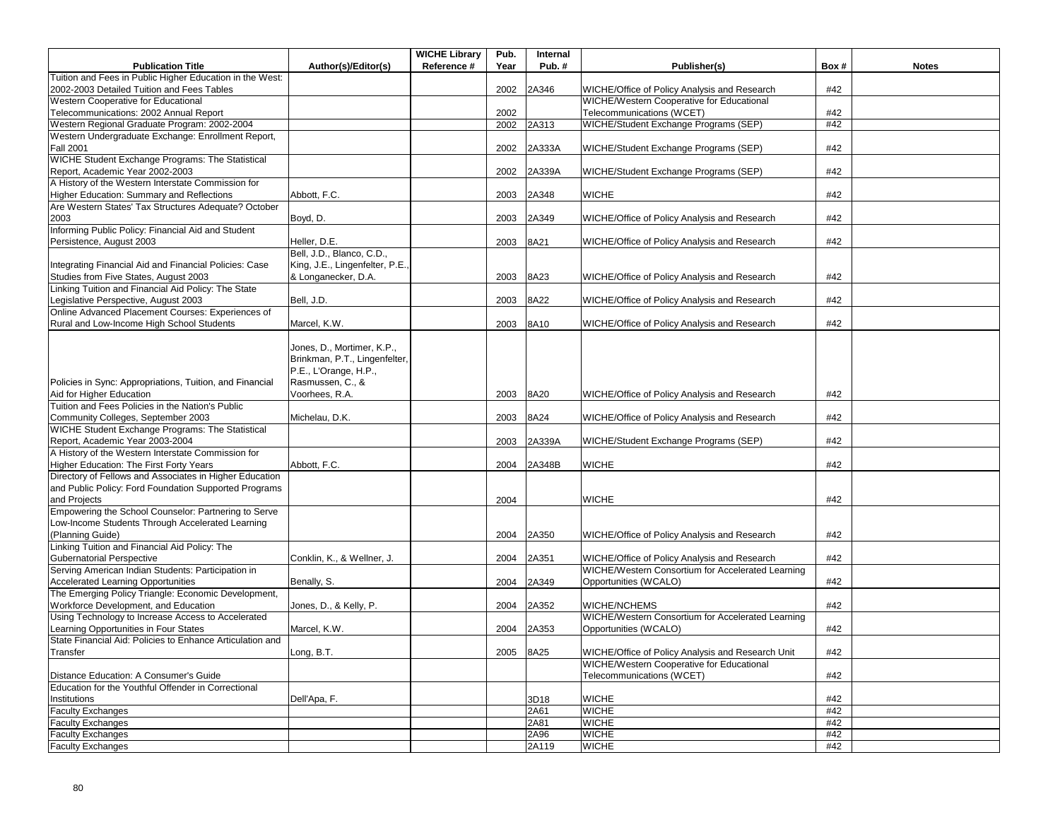|                                                           |                                | <b>WICHE Library</b> | Pub. | Internal |                                                   |      |              |
|-----------------------------------------------------------|--------------------------------|----------------------|------|----------|---------------------------------------------------|------|--------------|
| <b>Publication Title</b>                                  | Author(s)/Editor(s)            | Reference #          | Year | Pub.#    | Publisher(s)                                      | Box# | <b>Notes</b> |
| Tuition and Fees in Public Higher Education in the West:  |                                |                      |      |          |                                                   |      |              |
| 2002-2003 Detailed Tuition and Fees Tables                |                                |                      | 2002 | 2A346    | WICHE/Office of Policy Analysis and Research      | #42  |              |
| Western Cooperative for Educational                       |                                |                      |      |          | WICHE/Western Cooperative for Educational         |      |              |
| Telecommunications: 2002 Annual Report                    |                                |                      | 2002 |          | Telecommunications (WCET)                         | #42  |              |
| Western Regional Graduate Program: 2002-2004              |                                |                      | 2002 | 2A313    | WICHE/Student Exchange Programs (SEP)             | #42  |              |
| Western Undergraduate Exchange: Enrollment Report,        |                                |                      |      |          |                                                   |      |              |
| <b>Fall 2001</b>                                          |                                |                      | 2002 | 2A333A   | WICHE/Student Exchange Programs (SEP)             | #42  |              |
| WICHE Student Exchange Programs: The Statistical          |                                |                      |      |          |                                                   |      |              |
| Report, Academic Year 2002-2003                           |                                |                      | 2002 | 2A339A   | WICHE/Student Exchange Programs (SEP)             | #42  |              |
| A History of the Western Interstate Commission for        |                                |                      |      |          |                                                   |      |              |
| Higher Education: Summary and Reflections                 | Abbott, F.C.                   |                      | 2003 | 2A348    | <b>WICHE</b>                                      | #42  |              |
| Are Western States' Tax Structures Adequate? October      |                                |                      |      |          |                                                   |      |              |
| 2003                                                      | Boyd, D.                       |                      | 2003 | 2A349    | WICHE/Office of Policy Analysis and Research      | #42  |              |
| Informing Public Policy: Financial Aid and Student        |                                |                      |      |          |                                                   |      |              |
| Persistence, August 2003                                  | Heller, D.E.                   |                      | 2003 | 8A21     | WICHE/Office of Policy Analysis and Research      | #42  |              |
|                                                           | Bell, J.D., Blanco, C.D.,      |                      |      |          |                                                   |      |              |
| Integrating Financial Aid and Financial Policies: Case    | King, J.E., Lingenfelter, P.E. |                      |      |          |                                                   |      |              |
| Studies from Five States, August 2003                     | & Longanecker, D.A.            |                      | 2003 | 8A23     | WICHE/Office of Policy Analysis and Research      | #42  |              |
| Linking Tuition and Financial Aid Policy: The State       |                                |                      |      |          |                                                   |      |              |
| Legislative Perspective, August 2003                      | Bell, J.D.                     |                      | 2003 | 8A22     | WICHE/Office of Policy Analysis and Research      | #42  |              |
| Online Advanced Placement Courses: Experiences of         |                                |                      |      |          |                                                   |      |              |
| Rural and Low-Income High School Students                 | Marcel, K.W.                   |                      | 2003 | 8A10     | WICHE/Office of Policy Analysis and Research      | #42  |              |
|                                                           |                                |                      |      |          |                                                   |      |              |
|                                                           | Jones, D., Mortimer, K.P.,     |                      |      |          |                                                   |      |              |
|                                                           | Brinkman, P.T., Lingenfelter,  |                      |      |          |                                                   |      |              |
|                                                           | P.E., L'Orange, H.P.,          |                      |      |          |                                                   |      |              |
| Policies in Sync: Appropriations, Tuition, and Financial  | Rasmussen, C., &               |                      |      |          |                                                   |      |              |
| Aid for Higher Education                                  | Voorhees, R.A.                 |                      | 2003 | 8A20     | WICHE/Office of Policy Analysis and Research      | #42  |              |
| Tuition and Fees Policies in the Nation's Public          |                                |                      |      |          |                                                   |      |              |
| Community Colleges, September 2003                        | Michelau, D.K.                 |                      | 2003 | 8A24     | WICHE/Office of Policy Analysis and Research      | #42  |              |
| WICHE Student Exchange Programs: The Statistical          |                                |                      |      |          |                                                   |      |              |
| Report, Academic Year 2003-2004                           |                                |                      | 2003 | 2A339A   | WICHE/Student Exchange Programs (SEP)             | #42  |              |
| A History of the Western Interstate Commission for        |                                |                      |      |          |                                                   |      |              |
| Higher Education: The First Forty Years                   | Abbott, F.C.                   |                      | 2004 | 2A348B   | <b>WICHE</b>                                      | #42  |              |
| Directory of Fellows and Associates in Higher Education   |                                |                      |      |          |                                                   |      |              |
| and Public Policy: Ford Foundation Supported Programs     |                                |                      |      |          |                                                   |      |              |
| and Projects                                              |                                |                      | 2004 |          | <b>WICHE</b>                                      | #42  |              |
| Empowering the School Counselor: Partnering to Serve      |                                |                      |      |          |                                                   |      |              |
| Low-Income Students Through Accelerated Learning          |                                |                      |      |          |                                                   |      |              |
| (Planning Guide)                                          |                                |                      | 2004 | 2A350    | WICHE/Office of Policy Analysis and Research      | #42  |              |
| Linking Tuition and Financial Aid Policy: The             |                                |                      |      |          |                                                   |      |              |
| Gubernatorial Perspective                                 | Conklin, K., & Wellner, J.     |                      | 2004 | 2A351    | WICHE/Office of Policy Analysis and Research      | #42  |              |
| Serving American Indian Students: Participation in        |                                |                      |      |          | WICHE/Western Consortium for Accelerated Learning |      |              |
| Accelerated Learning Opportunities                        | Benally, S.                    |                      | 2004 | 2A349    | Opportunities (WCALO)                             | #42  |              |
| The Emerging Policy Triangle: Economic Development,       |                                |                      |      |          |                                                   |      |              |
| Workforce Development, and Education                      | Jones, D., & Kelly, P.         |                      | 2004 | 2A352    | WICHE/NCHEMS                                      | #42  |              |
| Using Technology to Increase Access to Accelerated        |                                |                      |      |          | WICHE/Western Consortium for Accelerated Learning |      |              |
| Learning Opportunities in Four States                     | Marcel, K.W.                   |                      | 2004 | 2A353    | Opportunities (WCALO)                             | #42  |              |
| State Financial Aid: Policies to Enhance Articulation and |                                |                      |      |          |                                                   |      |              |
| Transfer                                                  | Long, B.T.                     |                      | 2005 | 8A25     | WICHE/Office of Policy Analysis and Research Unit | #42  |              |
|                                                           |                                |                      |      |          | WICHE/Western Cooperative for Educational         |      |              |
| Distance Education: A Consumer's Guide                    |                                |                      |      |          | Telecommunications (WCET)                         | #42  |              |
| Education for the Youthful Offender in Correctional       |                                |                      |      |          |                                                   |      |              |
| Institutions                                              | Dell'Apa, F.                   |                      |      | 3D18     | <b>WICHE</b>                                      | #42  |              |
| <b>Faculty Exchanges</b>                                  |                                |                      |      | 2A61     | <b>WICHE</b>                                      | #42  |              |
| <b>Faculty Exchanges</b>                                  |                                |                      |      | 2A81     | <b>WICHE</b>                                      | #42  |              |
| <b>Faculty Exchanges</b>                                  |                                |                      |      | 2A96     | <b>WICHE</b>                                      | #42  |              |
| <b>Faculty Exchanges</b>                                  |                                |                      |      | 2A119    | <b>WICHE</b>                                      | #42  |              |
|                                                           |                                |                      |      |          |                                                   |      |              |